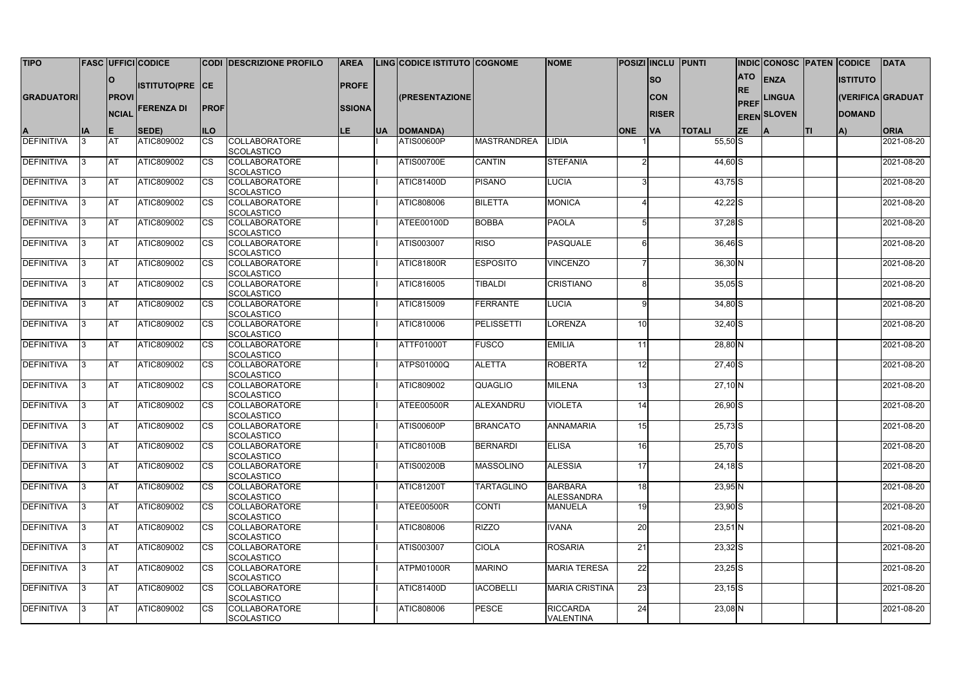| <b>TIPO</b>       |           |              | <b>FASC UFFICI CODICE</b> |             | <b>CODI DESCRIZIONE PROFILO</b>           | <b>AREA</b>   |            | <b>LING CODICE ISTITUTO COGNOME</b> |                    | <b>NOME</b>           |                 | <b>POSIZI INCLU PUNTI</b> |               |             | <b>INDIC CONOSC PATEN CODICE</b> |    |                 | DATA              |
|-------------------|-----------|--------------|---------------------------|-------------|-------------------------------------------|---------------|------------|-------------------------------------|--------------------|-----------------------|-----------------|---------------------------|---------------|-------------|----------------------------------|----|-----------------|-------------------|
|                   |           |              |                           |             |                                           |               |            |                                     |                    |                       |                 |                           |               | <b>ATO</b>  | ENZA                             |    | <b>ISTITUTO</b> |                   |
|                   |           | <b>O</b>     | <b>ISTITUTO(PRE CE</b>    |             |                                           | <b>PROFE</b>  |            |                                     |                    |                       |                 | <b>SO</b>                 |               | <b>RE</b>   |                                  |    |                 |                   |
| <b>GRADUATORI</b> |           | <b>PROVI</b> |                           |             |                                           |               |            | (PRESENTAZIONE                      |                    |                       |                 | <b>CON</b>                |               |             | <b>LINGUA</b>                    |    |                 | (VERIFICA GRADUAT |
|                   |           | <b>NCIAL</b> | <b>FERENZA DI</b>         | <b>PROF</b> |                                           | <b>SSIONA</b> |            |                                     |                    |                       |                 | <b>RISER</b>              |               | <b>PREF</b> |                                  |    | <b>DOMAND</b>   |                   |
|                   |           |              |                           |             |                                           |               |            |                                     |                    |                       |                 |                           |               |             | <b>EREN SLOVEN</b>               |    |                 |                   |
|                   | <b>IA</b> | IE.          | SEDE)                     | <b>ILO</b>  |                                           | LE.           | <b>IUA</b> | DOMANDA)                            |                    |                       | <b>ONE</b>      | VA                        | <b>TOTALI</b> | <b>ZE</b>   |                                  | TI | IA)             | <b>ORIA</b>       |
| <b>DEFINITIVA</b> |           | <b>AT</b>    | ATIC809002                | <b>CS</b>   | <b>COLLABORATORE</b>                      |               |            | <b>ATIS00600P</b>                   | <b>MASTRANDREA</b> | <b>LIDIA</b>          |                 |                           | $55,50$ S     |             |                                  |    |                 | 2021-08-20        |
|                   |           |              |                           |             | <b>SCOLASTICO</b>                         |               |            |                                     |                    |                       |                 |                           |               |             |                                  |    |                 |                   |
| <b>DEFINITIVA</b> |           | <b>AT</b>    | ATIC809002                | <b>CS</b>   | <b>COLLABORATORE</b>                      |               |            | <b>ATIS00700E</b>                   | <b>CANTIN</b>      | <b>STEFANIA</b>       |                 |                           | 44,60 S       |             |                                  |    |                 | 2021-08-20        |
| <b>DEFINITIVA</b> |           | <b>AT</b>    | ATIC809002                | <b>CS</b>   | <b>SCOLASTICO</b><br><b>COLLABORATORE</b> |               |            | <b>ATIC81400D</b>                   | <b>PISANO</b>      | <b>LUCIA</b>          |                 |                           | $43,75$ S     |             |                                  |    |                 | 2021-08-20        |
|                   |           |              |                           |             | SCOLASTICO                                |               |            |                                     |                    |                       |                 |                           |               |             |                                  |    |                 |                   |
| <b>DEFINITIVA</b> |           | <b>AT</b>    | ATIC809002                | <b>CS</b>   | <b>COLLABORATORE</b>                      |               |            | ATIC808006                          | <b>BILETTA</b>     | <b>MONICA</b>         |                 |                           | $42,22$ S     |             |                                  |    |                 | 2021-08-20        |
|                   |           |              |                           |             | <b>SCOLASTICO</b>                         |               |            |                                     |                    |                       |                 |                           |               |             |                                  |    |                 |                   |
| <b>DEFINITIVA</b> |           | <b>AT</b>    | ATIC809002                | <b>CS</b>   | <b>COLLABORATORE</b>                      |               |            | ATEE00100D                          | <b>BOBBA</b>       | <b>PAOLA</b>          |                 |                           | $37,28$ $S$   |             |                                  |    |                 | 2021-08-20        |
|                   |           |              |                           |             | SCOLASTICO                                |               |            |                                     |                    |                       |                 |                           |               |             |                                  |    |                 |                   |
| <b>DEFINITIVA</b> |           | <b>AT</b>    | ATIC809002                | <b>CS</b>   | <b>COLLABORATORE</b>                      |               |            | ATIS003007                          | <b>RISO</b>        | <b>PASQUALE</b>       |                 |                           | $36,46$ $S$   |             |                                  |    |                 | 2021-08-20        |
| <b>DEFINITIVA</b> |           | <b>AT</b>    | ATIC809002                | <b>CS</b>   | SCOLASTICO<br><b>COLLABORATORE</b>        |               |            | <b>ATIC81800R</b>                   | <b>ESPOSITO</b>    | <b>VINCENZO</b>       |                 |                           | $36,30$ N     |             |                                  |    |                 | 2021-08-20        |
|                   |           |              |                           |             | <b>SCOLASTICO</b>                         |               |            |                                     |                    |                       |                 |                           |               |             |                                  |    |                 |                   |
| <b>DEFINITIVA</b> |           | <b>AT</b>    | ATIC809002                | CS          | <b>COLLABORATORE</b>                      |               |            | ATIC816005                          | TIBALDI            | <b>CRISTIANO</b>      |                 |                           | $35,05$ $S$   |             |                                  |    |                 | 2021-08-20        |
|                   |           |              |                           |             | SCOLASTICO                                |               |            |                                     |                    |                       |                 |                           |               |             |                                  |    |                 |                   |
| <b>DEFINITIVA</b> |           | <b>AT</b>    | ATIC809002                | <b>CS</b>   | <b>COLLABORATORE</b>                      |               |            | <b>ATIC815009</b>                   | <b>FERRANTE</b>    | <b>LUCIA</b>          |                 |                           | $34,80$ S     |             |                                  |    |                 | 2021-08-20        |
|                   |           |              |                           |             | SCOLASTICO                                |               |            |                                     |                    |                       |                 |                           |               |             |                                  |    |                 |                   |
| <b>DEFINITIVA</b> |           | <b>AT</b>    | ATIC809002                | <b>CS</b>   | <b>COLLABORATORE</b>                      |               |            | ATIC810006                          | <b>PELISSETTI</b>  | <b>LORENZA</b>        | 10 <sup>1</sup> |                           | $32,40$ S     |             |                                  |    |                 | 2021-08-20        |
|                   |           |              |                           |             | SCOLASTICO                                |               |            |                                     |                    |                       |                 |                           |               |             |                                  |    |                 |                   |
| <b>DEFINITIVA</b> |           | <b>AT</b>    | ATIC809002                | <b>CS</b>   | <b>COLLABORATORE</b><br>SCOLASTICO        |               |            | ATTF01000T                          | <b>FUSCO</b>       | <b>EMILIA</b>         | 11              |                           | 28,80 N       |             |                                  |    |                 | 2021-08-20        |
| <b>DEFINITIVA</b> |           | <b>AT</b>    | ATIC809002                | <b>CS</b>   | <b>COLLABORATORE</b>                      |               |            | <b>ATPS01000Q</b>                   | <b>ALETTA</b>      | <b>ROBERTA</b>        | 12              |                           | $27,40$ S     |             |                                  |    |                 | 2021-08-20        |
|                   |           |              |                           |             | SCOLASTICO                                |               |            |                                     |                    |                       |                 |                           |               |             |                                  |    |                 |                   |
| <b>DEFINITIVA</b> |           | <b>AT</b>    | ATIC809002                | <b>CS</b>   | <b>COLLABORATORE</b>                      |               |            | ATIC809002                          | <b>QUAGLIO</b>     | <b>MILENA</b>         | 13              |                           | $27,10$ N     |             |                                  |    |                 | 2021-08-20        |
|                   |           |              |                           |             | <b>SCOLASTICO</b>                         |               |            |                                     |                    |                       |                 |                           |               |             |                                  |    |                 |                   |
| DEFINITIVA        |           | <b>AT</b>    | ATIC809002                | CS          | <b>COLLABORATORE</b>                      |               |            | ATEE00500R                          | ALEXANDRU          | <b>VIOLETA</b>        | 14              |                           | $26,90$ S     |             |                                  |    |                 | 2021-08-20        |
|                   |           |              |                           |             | SCOLASTICO                                |               |            |                                     |                    |                       |                 |                           |               |             |                                  |    |                 |                   |
| <b>DEFINITIVA</b> | 13        | <b>AT</b>    | <b>ATIC809002</b>         | <b>CS</b>   | <b>COLLABORATORE</b><br><b>SCOLASTICO</b> |               |            | <b>ATIS00600P</b>                   | <b>BRANCATO</b>    | <b>ANNAMARIA</b>      | 15              |                           | $25,73$ S     |             |                                  |    |                 | 2021-08-20        |
| <b>DEFINITIVA</b> |           | <b>AT</b>    | ATIC809002                | <b>CS</b>   | <b>COLLABORATORE</b>                      |               |            | <b>ATIC80100B</b>                   | <b>BERNARDI</b>    | <b>ELISA</b>          | 16              |                           | $25,70$ S     |             |                                  |    |                 | 2021-08-20        |
|                   |           |              |                           |             | <b>SCOLASTICO</b>                         |               |            |                                     |                    |                       |                 |                           |               |             |                                  |    |                 |                   |
| <b>DEFINITIVA</b> | ß.        | <b>AT</b>    | ATIC809002                | <b>CS</b>   | <b>COLLABORATORE</b>                      |               |            | <b>ATIS00200B</b>                   | <b>MASSOLINO</b>   | <b>ALESSIA</b>        | 17              |                           | $24,18$ $S$   |             |                                  |    |                 | 2021-08-20        |
|                   |           |              |                           |             | SCOLASTICO                                |               |            |                                     |                    |                       |                 |                           |               |             |                                  |    |                 |                   |
| DEFINITIVA        | 13        | <b>AT</b>    | ATIC809002                | <b>CS</b>   | <b>COLLABORATORE</b>                      |               |            | <b>ATIC81200T</b>                   | <b>TARTAGLINO</b>  | <b>BARBARA</b>        | 18              |                           | $23,95$ N     |             |                                  |    |                 | 2021-08-20        |
|                   |           |              |                           |             | <b>SCOLASTICO</b>                         |               |            |                                     |                    | <b>ALESSANDRA</b>     |                 |                           |               |             |                                  |    |                 |                   |
| DEFINITIVA        | ß.        | <b>AT</b>    | ATIC809002                | <b>CS</b>   | <b>COLLABORATORE</b><br>SCOLASTICO        |               |            | ATEE00500R                          | <b>CONTI</b>       | <b>MANUELA</b>        | 19              |                           | $23,90$ S     |             |                                  |    |                 | 2021-08-20        |
| <b>DEFINITIVA</b> | IЗ        | <b>AT</b>    | ATIC809002                | <b>CS</b>   | <b>COLLABORATORE</b>                      |               |            | ATIC808006                          | <b>RIZZO</b>       | <b>IVANA</b>          | 20              |                           | $23,51$ N     |             |                                  |    |                 | 2021-08-20        |
|                   |           |              |                           |             | <b>SCOLASTICO</b>                         |               |            |                                     |                    |                       |                 |                           |               |             |                                  |    |                 |                   |
| <b>DEFINITIVA</b> | ß.        | <b>AT</b>    | ATIC809002                | <b>CS</b>   | <b>COLLABORATORE</b>                      |               |            | ATIS003007                          | <b>CIOLA</b>       | <b>ROSARIA</b>        | 21              |                           | $23,32$ $S$   |             |                                  |    |                 | 2021-08-20        |
|                   |           |              |                           |             | <b>SCOLASTICO</b>                         |               |            |                                     |                    |                       |                 |                           |               |             |                                  |    |                 |                   |
| <b>DEFINITIVA</b> |           | <b>AT</b>    | ATIC809002                | <b>CS</b>   | <b>COLLABORATORE</b>                      |               |            | ATPM01000R                          | <b>MARINO</b>      | <b>MARIA TERESA</b>   | 22              |                           | $23,25$ S     |             |                                  |    |                 | 2021-08-20        |
|                   |           |              |                           |             | SCOLASTICO                                |               |            |                                     |                    |                       |                 |                           |               |             |                                  |    |                 |                   |
| <b>DEFINITIVA</b> |           | <b>AT</b>    | ATIC809002                | <b>CS</b>   | <b>COLLABORATORE</b><br><b>SCOLASTICO</b> |               |            | <b>ATIC81400D</b>                   | <b>IACOBELLI</b>   | <b>MARIA CRISTINA</b> | 23              |                           | $23,15$ $S$   |             |                                  |    |                 | 2021-08-20        |
| <b>DEFINITIVA</b> |           | <b>AT</b>    | ATIC809002                | <b>CS</b>   | <b>COLLABORATORE</b>                      |               |            | ATIC808006                          | <b>PESCE</b>       | <b>RICCARDA</b>       | 24              |                           | $23,08$ N     |             |                                  |    |                 | 2021-08-20        |
|                   |           |              |                           |             | SCOLASTICO                                |               |            |                                     |                    | <b>VALENTINA</b>      |                 |                           |               |             |                                  |    |                 |                   |
|                   |           |              |                           |             |                                           |               |            |                                     |                    |                       |                 |                           |               |             |                                  |    |                 |                   |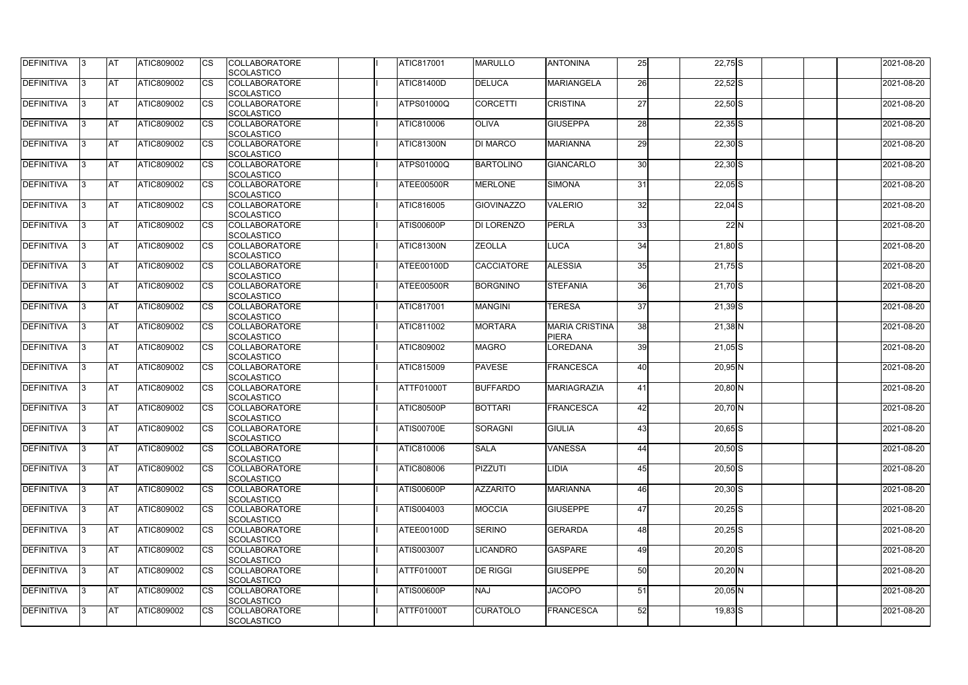| <b>DEFINITIVA</b> | IЗ  | <b>AT</b>  | ATIC809002 | <b>CS</b> | <b>COLLABORATORE</b><br>SCOLASTICO        | <b>ATIC817001</b> | <b>MARULLO</b>    | <b>ANTONINA</b>                       | 25 | $22,75$ S   | 2021-08-20 |
|-------------------|-----|------------|------------|-----------|-------------------------------------------|-------------------|-------------------|---------------------------------------|----|-------------|------------|
| <b>DEFINITIVA</b> | R   | <b>AT</b>  | ATIC809002 | <b>CS</b> | <b>COLLABORATORE</b><br><b>SCOLASTICO</b> | <b>ATIC81400D</b> | <b>DELUCA</b>     | <b>MARIANGELA</b>                     | 26 | $22,52$ $S$ | 2021-08-20 |
| <b>DEFINITIVA</b> | З   | <b>AT</b>  | ATIC809002 | CS        | <b>COLLABORATORE</b><br>SCOLASTICO        | <b>ATPS01000Q</b> | <b>CORCETTI</b>   | <b>CRISTINA</b>                       | 27 | $22,50$ S   | 2021-08-20 |
| <b>DEFINITIVA</b> |     | <b>AT</b>  | ATIC809002 | <b>CS</b> | <b>COLLABORATORE</b><br>SCOLASTICO        | <b>ATIC810006</b> | <b>OLIVA</b>      | <b>GIUSEPPA</b>                       | 28 | $22,35$ S   | 2021-08-20 |
| <b>DEFINITIVA</b> |     | <b>AT</b>  | ATIC809002 | CS        | <b>COLLABORATORE</b><br>SCOLASTICO        | <b>ATIC81300N</b> | <b>DI MARCO</b>   | <b>MARIANNA</b>                       | 29 | $22,30$ S   | 2021-08-20 |
| <b>DEFINITIVA</b> |     | <b>IAT</b> | ATIC809002 | <b>CS</b> | <b>COLLABORATORE</b><br><b>SCOLASTICO</b> | <b>ATPS01000Q</b> | <b>BARTOLINO</b>  | <b>GIANCARLO</b>                      | 30 | $22,30$ S   | 2021-08-20 |
| DEFINITIVA        |     | <b>AT</b>  | ATIC809002 | <b>CS</b> | <b>COLLABORATORE</b><br>SCOLASTICO        | ATEE00500R        | <b>MERLONE</b>    | <b>SIMONA</b>                         | 31 | $22,05$ S   | 2021-08-20 |
| <b>DEFINITIVA</b> | ß   | <b>AT</b>  | ATIC809002 | CS        | <b>COLLABORATORE</b><br><b>SCOLASTICO</b> | <b>ATIC816005</b> | <b>GIOVINAZZO</b> | <b>VALERIO</b>                        | 32 | $22,04$ S   | 2021-08-20 |
| <b>DEFINITIVA</b> | R   | <b>AT</b>  | ATIC809002 | <b>CS</b> | <b>COLLABORATORE</b><br><b>SCOLASTICO</b> | <b>ATIS00600P</b> | <b>DI LORENZO</b> | <b>PERLA</b>                          | 33 | 22N         | 2021-08-20 |
| <b>DEFINITIVA</b> |     | <b>AT</b>  | ATIC809002 | <b>CS</b> | <b>COLLABORATORE</b><br><b>SCOLASTICO</b> | ATIC81300N        | <b>ZEOLLA</b>     | <b>LUCA</b>                           | 34 | $21,80$ S   | 2021-08-20 |
| <b>DEFINITIVA</b> |     | <b>AT</b>  | ATIC809002 | <b>CS</b> | <b>COLLABORATORE</b><br>SCOLASTICO        | ATEE00100D        | <b>CACCIATORE</b> | <b>ALESSIA</b>                        | 35 | $21,75$ S   | 2021-08-20 |
| <b>DEFINITIVA</b> |     | <b>AT</b>  | ATIC809002 | <b>CS</b> | <b>COLLABORATORE</b><br>SCOLASTICO        | ATEE00500R        | <b>BORGNINO</b>   | <b>STEFANIA</b>                       | 36 | $21,70$ S   | 2021-08-20 |
| DEFINITIVA        |     | <b>AT</b>  | ATIC809002 | <b>CS</b> | <b>COLLABORATORE</b><br>SCOLASTICO        | <b>ATIC817001</b> | <b>MANGINI</b>    | <b>TERESA</b>                         | 37 | $21,39$ S   | 2021-08-20 |
| DEFINITIVA        | з   | <b>AT</b>  | ATIC809002 | CS        | <b>COLLABORATORE</b><br><b>SCOLASTICO</b> | <b>ATIC811002</b> | <b>MORTARA</b>    | <b>MARIA CRISTINA</b><br><b>PIERA</b> | 38 | $21,38$ N   | 2021-08-20 |
| <b>DEFINITIVA</b> | R   | <b>AT</b>  | ATIC809002 | CS        | <b>COLLABORATORE</b><br><b>SCOLASTICO</b> | <b>ATIC809002</b> | <b>MAGRO</b>      | LOREDANA                              | 39 | $21,05$ S   | 2021-08-20 |
| <b>DEFINITIVA</b> |     | <b>AT</b>  | ATIC809002 | <b>CS</b> | <b>COLLABORATORE</b><br><b>SCOLASTICO</b> | <b>ATIC815009</b> | <b>PAVESE</b>     | FRANCESCA                             | 40 | $20,95$ N   | 2021-08-20 |
| <b>DEFINITIVA</b> |     | <b>AT</b>  | ATIC809002 | <b>CS</b> | <b>COLLABORATORE</b><br><b>SCOLASTICO</b> | ATTF01000T        | <b>BUFFARDO</b>   | MARIAGRAZIA                           | 41 | $20,80$ N   | 2021-08-20 |
| <b>DEFINITIVA</b> |     | <b>AT</b>  | ATIC809002 | CS        | <b>COLLABORATORE</b><br>SCOLASTICO        | <b>ATIC80500P</b> | <b>BOTTARI</b>    | FRANCESCA                             | 42 | $20,70$ N   | 2021-08-20 |
| <b>DEFINITIVA</b> | 13. | <b>AT</b>  | ATIC809002 | <b>CS</b> | <b>COLLABORATORE</b><br><b>SCOLASTICO</b> | <b>ATIS00700E</b> | SORAGNI           | <b>GIULIA</b>                         | 43 | $20,65$ S   | 2021-08-20 |
| DEFINITIVA        | 3   | <b>AT</b>  | ATIC809002 | <b>CS</b> | <b>COLLABORATORE</b><br><b>SCOLASTICO</b> | ATIC810006        | <b>SALA</b>       | <b>VANESSA</b>                        | 44 | $20,50$ S   | 2021-08-20 |
| <b>DEFINITIVA</b> | IЗ  | <b>AT</b>  | ATIC809002 | <b>CS</b> | <b>COLLABORATORE</b><br><b>SCOLASTICO</b> | ATIC808006        | PIZZUTI           | <b>LIDIA</b>                          | 45 | $20,50$ S   | 2021-08-20 |
| <b>DEFINITIVA</b> |     | <b>AT</b>  | ATIC809002 | <b>CS</b> | <b>COLLABORATORE</b><br><b>SCOLASTICO</b> | <b>ATIS00600P</b> | <b>AZZARITO</b>   | <b>MARIANNA</b>                       | 46 | $20,30$ S   | 2021-08-20 |
| <b>DEFINITIVA</b> |     | <b>AT</b>  | ATIC809002 | <b>CS</b> | <b>COLLABORATORE</b><br><b>SCOLASTICO</b> | ATIS004003        | <b>MOCCIA</b>     | <b>GIUSEPPE</b>                       | 47 | $20,25$ S   | 2021-08-20 |
| <b>DEFINITIVA</b> | ß.  | <b>AT</b>  | ATIC809002 | <b>CS</b> | <b>COLLABORATORE</b><br><b>SCOLASTICO</b> | ATEE00100D        | <b>SERINO</b>     | <b>GERARDA</b>                        | 48 | $20,25$ S   | 2021-08-20 |
| <b>DEFINITIVA</b> | 3   | <b>AT</b>  | ATIC809002 | <b>CS</b> | <b>COLLABORATORE</b><br>SCOLASTICO        | <b>ATIS003007</b> | <b>LICANDRO</b>   | <b>GASPARE</b>                        | 49 | $20,20$ S   | 2021-08-20 |
| DEFINITIVA        | ß.  | <b>AT</b>  | ATIC809002 | <b>CS</b> | <b>COLLABORATORE</b><br><b>SCOLASTICO</b> | <b>ATTF01000T</b> | <b>DE RIGGI</b>   | <b>GIUSEPPE</b>                       | 50 | $20,20$ N   | 2021-08-20 |
| DEFINITIVA        | l3  | <b>AT</b>  | ATIC809002 | <b>CS</b> | <b>COLLABORATORE</b><br><b>SCOLASTICO</b> | <b>ATIS00600P</b> | <b>NAJ</b>        | <b>JACOPO</b>                         | 51 | $20,05$ N   | 2021-08-20 |
| <b>DEFINITIVA</b> | ß.  | <b>AT</b>  | ATIC809002 | <b>CS</b> | <b>COLLABORATORE</b><br>SCOLASTICO        | <b>ATTF01000T</b> | <b>CURATOLO</b>   | FRANCESCA                             | 52 | $19,83$ $S$ | 2021-08-20 |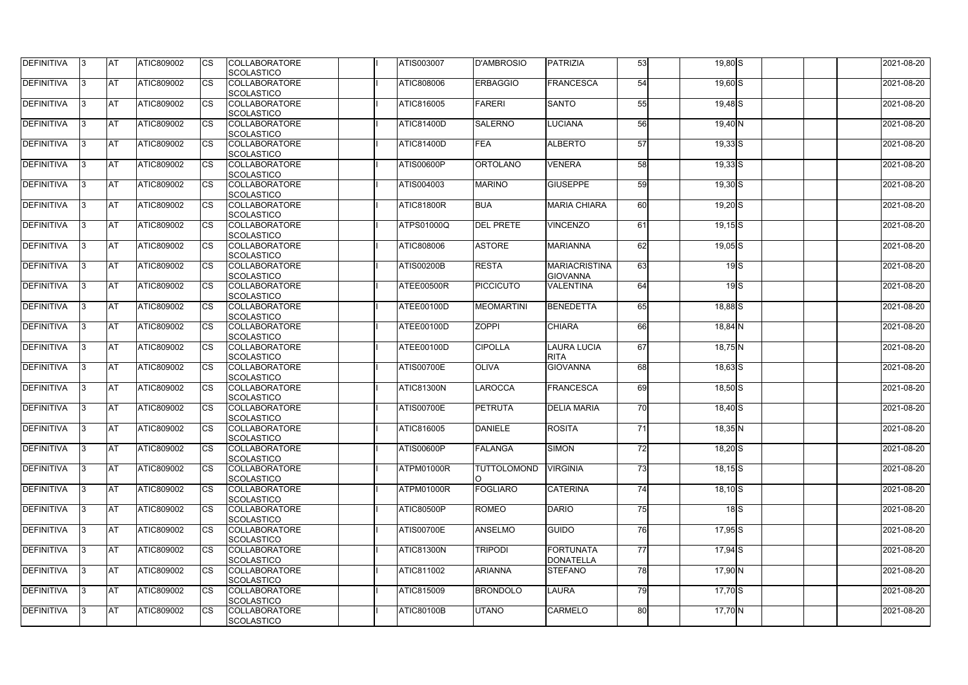| <b>DEFINITIVA</b> | 13 | <b>AT</b>  | ATIC809002        | Ics                    | <b>COLLABORATORE</b><br><b>SCOLASTICO</b> | <b>ATIS003007</b> | <b>D'AMBROSIO</b>  | PATRIZIA                          | 53              | 19,80 S     |                  | 2021-08-20 |
|-------------------|----|------------|-------------------|------------------------|-------------------------------------------|-------------------|--------------------|-----------------------------------|-----------------|-------------|------------------|------------|
| <b>DEFINITIVA</b> |    | <b>AT</b>  | ATIC809002        | Ics                    | <b>COLLABORATORE</b><br><b>SCOLASTICO</b> | ATIC808006        | <b>ERBAGGIO</b>    | FRANCESCA                         | 54              | $19,60$ S   |                  | 2021-08-20 |
| DEFINITIVA        |    | <b>AT</b>  | ATIC809002        | Ics                    | <b>COLLABORATORE</b><br><b>SCOLASTICO</b> | ATIC816005        | <b>FARERI</b>      | <b>SANTO</b>                      | 55              | $19,48$ $S$ |                  | 2021-08-20 |
| DEFINITIVA        | IЗ | <b>AT</b>  | ATIC809002        | <b>CS</b>              | <b>COLLABORATORE</b><br><b>SCOLASTICO</b> | <b>ATIC81400D</b> | <b>SALERNO</b>     | <b>LUCIANA</b>                    | 56              | $19,40$ N   |                  | 2021-08-20 |
| DEFINITIVA        |    | <b>AT</b>  | ATIC809002        | <b>CS</b>              | <b>COLLABORATORE</b><br><b>SCOLASTICO</b> | <b>ATIC81400D</b> | <b>FEA</b>         | <b>ALBERTO</b>                    | 57              | $19,33$ $S$ |                  | 2021-08-20 |
| <b>DEFINITIVA</b> |    | <b>JAT</b> | ATIC809002        | Ics                    | <b>COLLABORATORE</b><br><b>SCOLASTICO</b> | <b>ATIS00600P</b> | <b>ORTOLANO</b>    | <b>VENERA</b>                     | 58              | $19,33$ $S$ |                  | 2021-08-20 |
| DEFINITIVA        |    | <b>AT</b>  | <b>ATIC809002</b> | Ics                    | <b>COLLABORATORE</b><br><b>SCOLASTICO</b> | ATIS004003        | <b>MARINO</b>      | <b>GIUSEPPE</b>                   | 59              | $19,30$ S   |                  | 2021-08-20 |
| <b>DEFINITIVA</b> |    | AT         | ATIC809002        | <b>CS</b>              | <b>COLLABORATORE</b><br><b>SCOLASTICO</b> | <b>ATIC81800R</b> | <b>BUA</b>         | <b>MARIA CHIARA</b>               | 60              | $19,20$ S   |                  | 2021-08-20 |
| DEFINITIVA        |    | <b>AT</b>  | ATIC809002        | <b>CS</b>              | <b>COLLABORATORE</b><br><b>SCOLASTICO</b> | <b>ATPS01000Q</b> | <b>DEL PRETE</b>   | <b>VINCENZO</b>                   | 61              | $19,15$ S   |                  | 2021-08-20 |
| DEFINITIVA        |    | <b>AT</b>  | ATIC809002        | $\overline{\text{cs}}$ | <b>COLLABORATORE</b><br>SCOLASTICO        | ATIC808006        | <b>ASTORE</b>      | <b>MARIANNA</b>                   | 62              | $19,05$ S   |                  | 2021-08-20 |
| <b>DEFINITIVA</b> |    | AT         | <b>ATIC809002</b> | <b>CS</b>              | <b>COLLABORATORE</b><br><b>SCOLASTICO</b> | <b>ATIS00200B</b> | <b>RESTA</b>       | MARIACRISTINA<br><b>GIOVANNA</b>  | 63              |             | 19S              | 2021-08-20 |
| <b>DEFINITIVA</b> |    | <b>AT</b>  | ATIC809002        | <b>CS</b>              | <b>COLLABORATORE</b><br><b>SCOLASTICO</b> | <b>ATEE00500R</b> | <b>PICCICUTO</b>   | <b>VALENTINA</b>                  | 64              |             | 19 <sub>15</sub> | 2021-08-20 |
| <b>DEFINITIVA</b> |    | <b>AT</b>  | ATIC809002        |                        | <b>COLLABORATORE</b><br><b>SCOLASTICO</b> | ATEE00100D        | <b>MEOMARTINI</b>  | <b>BENEDETTA</b>                  | 65              | $18,88$ $S$ |                  | 2021-08-20 |
| <b>DEFINITIVA</b> |    | <b>AT</b>  | ATIC809002        | Ics                    | <b>COLLABORATORE</b><br><b>SCOLASTICO</b> | ATEE00100D        | <b>ZOPPI</b>       | <b>CHIARA</b>                     | 66              | $18,84$ N   |                  | 2021-08-20 |
| DEFINITIVA        |    | <b>AT</b>  | ATIC809002        | <b>CS</b>              | <b>COLLABORATORE</b><br><b>SCOLASTICO</b> | ATEE00100D        | <b>CIPOLLA</b>     | <b>LAURA LUCIA</b><br><b>RITA</b> | 67              | $18,75$ N   |                  | 2021-08-20 |
| DEFINITIVA        |    | <b>AT</b>  | ATIC809002        | Ics                    | <b>COLLABORATORE</b><br><b>SCOLASTICO</b> | <b>ATIS00700E</b> | <b>OLIVA</b>       | <b>GIOVANNA</b>                   | 68              | $18,63$ $S$ |                  | 2021-08-20 |
| <b>DEFINITIVA</b> |    | <b>AT</b>  | ATIC809002        | <b>CS</b>              | <b>COLLABORATORE</b><br><b>SCOLASTICO</b> | <b>ATIC81300N</b> | LAROCCA            | FRANCESCA                         | 69              | $18,50$ S   |                  | 2021-08-20 |
| DEFINITIVA        |    | <b>AT</b>  | ATIC809002        | <b>CS</b>              | <b>COLLABORATORE</b><br>SCOLASTICO        | <b>ATIS00700E</b> | <b>PETRUTA</b>     | <b>DELIA MARIA</b>                | 70              | $18,40$ S   |                  | 2021-08-20 |
| DEFINITIVA        | 13 | <b>AT</b>  | ATIC809002        |                        | <b>COLLABORATORE</b><br><b>SCOLASTICO</b> | <b>ATIC816005</b> | <b>DANIELE</b>     | <b>ROSITA</b>                     | 71              | $18,35$ N   |                  | 2021-08-20 |
| DEFINITIVA        | IЗ | <b>AT</b>  | ATIC809002        | Ics                    | <b>COLLABORATORE</b><br><b>SCOLASTICO</b> | <b>ATIS00600P</b> | <b>FALANGA</b>     | <b>SIMON</b>                      | 72              | $18,20$ S   |                  | 2021-08-20 |
| <b>DEFINITIVA</b> | I3 | <b>AT</b>  | ATIC809002        | Ics                    | <b>COLLABORATORE</b><br><b>SCOLASTICO</b> | ATPM01000R        | <b>TUTTOLOMOND</b> | <b>VIRGINIA</b>                   | 73              | $18,15$ S   |                  | 2021-08-20 |
| DEFINITIVA        |    | <b>AT</b>  | ATIC809002        | Ics                    | <b>COLLABORATORE</b><br><b>SCOLASTICO</b> | ATPM01000R        | <b>FOGLIARO</b>    | <b>CATERINA</b>                   | 74              | $18,10$ S   |                  | 2021-08-20 |
| <b>DEFINITIVA</b> |    | <b>AT</b>  | ATIC809002        | <b>CS</b>              | <b>COLLABORATORE</b><br><b>SCOLASTICO</b> | <b>ATIC80500P</b> | <b>ROMEO</b>       | DARIO                             | 75              |             | $18$ $S$         | 2021-08-20 |
| <b>DEFINITIVA</b> | ıз | <b>AT</b>  | ATIC809002        | Ics                    | <b>COLLABORATORE</b><br><b>SCOLASTICO</b> | <b>ATIS00700E</b> | <b>ANSELMO</b>     | <b>GUIDO</b>                      | 76              | $17,95$ S   |                  | 2021-08-20 |
| <b>DEFINITIVA</b> |    | AT         | ATIC809002        | Ics                    | <b>COLLABORATORE</b><br><b>SCOLASTICO</b> | <b>ATIC81300N</b> | <b>TRIPODI</b>     | FORTUNATA<br>DONATELLA            | $\overline{77}$ | 17,94 S     |                  | 2021-08-20 |
| DEFINITIVA        | ıз | <b>AT</b>  | ATIC809002        | Ics                    | <b>COLLABORATORE</b><br><b>SCOLASTICO</b> | ATIC811002        | <b>ARIANNA</b>     | <b>STEFANO</b>                    | 78              | 17,90 N     |                  | 2021-08-20 |
| <b>DEFINITIVA</b> | 13 | <b>AT</b>  | <b>ATIC809002</b> | <b>ICS</b>             | <b>COLLABORATORE</b><br><b>SCOLASTICO</b> | ATIC815009        | <b>BRONDOLO</b>    | <b>LAURA</b>                      | 79              | $17,70$ S   |                  | 2021-08-20 |
| DEFINITIVA        |    | <b>AT</b>  | ATIC809002        | Ics                    | <b>COLLABORATORE</b><br><b>SCOLASTICO</b> | <b>ATIC80100B</b> | <b>UTANO</b>       | <b>CARMELO</b>                    | 80              | $17,70$ N   |                  | 2021-08-20 |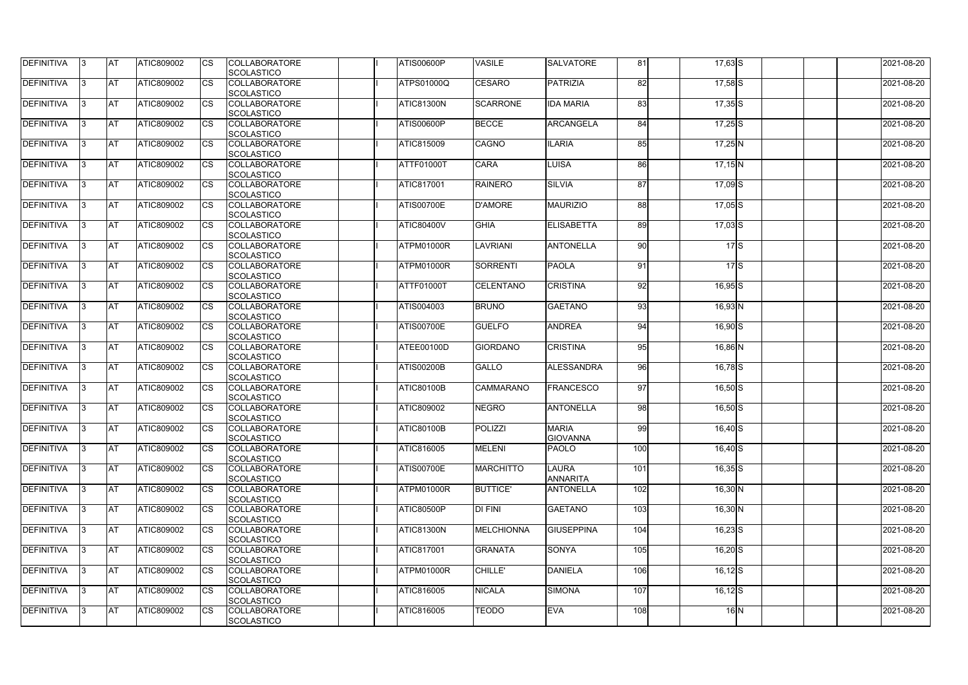| <b>DEFINITIVA</b> | IЗ  | <b>AT</b>  | ATIC809002 | <b>CS</b> | <b>COLLABORATORE</b><br>SCOLASTICO        | <b>ATIS00600P</b> | <b>VASILE</b>       | <b>SALVATORE</b>                | 81  | $17,63$ $S$ | 2021-08-20 |
|-------------------|-----|------------|------------|-----------|-------------------------------------------|-------------------|---------------------|---------------------------------|-----|-------------|------------|
| <b>DEFINITIVA</b> | R   | <b>AT</b>  | ATIC809002 | <b>CS</b> | <b>COLLABORATORE</b><br><b>SCOLASTICO</b> | <b>ATPS01000Q</b> | <b>CESARO</b>       | PATRIZIA                        | 82  | $17,58$ S   | 2021-08-20 |
| <b>DEFINITIVA</b> | З   | <b>AT</b>  | ATIC809002 | CS        | <b>COLLABORATORE</b><br>SCOLASTICO        | <b>ATIC81300N</b> | <b>SCARRONE</b>     | <b>IDA MARIA</b>                | 83  | $17,35$ S   | 2021-08-20 |
| <b>DEFINITIVA</b> |     | <b>AT</b>  | ATIC809002 | <b>CS</b> | <b>COLLABORATORE</b><br>SCOLASTICO        | <b>ATIS00600P</b> | <b>BECCE</b>        | ARCANGELA                       | 84  | $17,25$ S   | 2021-08-20 |
| <b>DEFINITIVA</b> |     | <b>AT</b>  | ATIC809002 | CS        | <b>COLLABORATORE</b><br>SCOLASTICO        | ATIC815009        | <b>CAGNO</b>        | <b>ILARIA</b>                   | 85  | $17,25$ N   | 2021-08-20 |
| <b>DEFINITIVA</b> |     | <b>IAT</b> | ATIC809002 | <b>CS</b> | <b>COLLABORATORE</b><br><b>SCOLASTICO</b> | <b>ATTF01000T</b> | <b>CARA</b>         | <b>LUISA</b>                    | 86  | $17,15$ N   | 2021-08-20 |
| DEFINITIVA        |     | <b>AT</b>  | ATIC809002 | <b>CS</b> | <b>COLLABORATORE</b><br>SCOLASTICO        | <b>ATIC817001</b> | <b>RAINERO</b>      | <b>SILVIA</b>                   | 87  | $17,09$ S   | 2021-08-20 |
| <b>DEFINITIVA</b> | ß   | <b>AT</b>  | ATIC809002 | CS        | <b>COLLABORATORE</b><br><b>SCOLASTICO</b> | <b>ATIS00700E</b> | <b>D'AMORE</b>      | <b>MAURIZIO</b>                 | 88  | $17,05$ S   | 2021-08-20 |
| <b>DEFINITIVA</b> | З   | <b>AT</b>  | ATIC809002 | <b>CS</b> | <b>COLLABORATORE</b><br><b>SCOLASTICO</b> | <b>ATIC80400V</b> | <b>GHIA</b>         | <b>ELISABETTA</b>               | 89  | $17,03$ $S$ | 2021-08-20 |
| <b>DEFINITIVA</b> |     | <b>AT</b>  | ATIC809002 | <b>CS</b> | <b>COLLABORATORE</b><br><b>SCOLASTICO</b> | ATPM01000R        | <b>LAVRIANI</b>     | ANTONELLA                       | 90  | $17$ S      | 2021-08-20 |
| <b>DEFINITIVA</b> |     | <b>AT</b>  | ATIC809002 | <b>CS</b> | <b>COLLABORATORE</b><br>SCOLASTICO        | ATPM01000R        | <b>SORRENTI</b>     | <b>PAOLA</b>                    | 91  | 17S         | 2021-08-20 |
| <b>DEFINITIVA</b> |     | <b>AT</b>  | ATIC809002 | <b>CS</b> | <b>COLLABORATORE</b><br>SCOLASTICO        | ATTF01000T        | <b>CELENTANO</b>    | <b>CRISTINA</b>                 | 92  | $16,95$ S   | 2021-08-20 |
| DEFINITIVA        |     | <b>AT</b>  | ATIC809002 | <b>CS</b> | <b>COLLABORATORE</b><br>SCOLASTICO        | <b>ATIS004003</b> | <b>BRUNO</b>        | <b>GAETANO</b>                  | 93  | $16,93$ N   | 2021-08-20 |
| DEFINITIVA        | з   | <b>AT</b>  | ATIC809002 | CS        | <b>COLLABORATORE</b><br><b>SCOLASTICO</b> | <b>ATIS00700E</b> | <b>GUELFO</b>       | <b>ANDREA</b>                   | 94  | 16,90 S     | 2021-08-20 |
| <b>DEFINITIVA</b> | R   | <b>AT</b>  | ATIC809002 | CS        | <b>COLLABORATORE</b><br><b>SCOLASTICO</b> | ATEE00100D        | <b>GIORDANO</b>     | <b>CRISTINA</b>                 | 95  | 16,86 N     | 2021-08-20 |
| <b>DEFINITIVA</b> |     | <b>AT</b>  | ATIC809002 | <b>CS</b> | <b>COLLABORATORE</b><br><b>SCOLASTICO</b> | <b>ATIS00200B</b> | <b>GALLO</b>        | ALESSANDRA                      | 96  | $16,78$ S   | 2021-08-20 |
| <b>DEFINITIVA</b> |     | <b>AT</b>  | ATIC809002 | <b>CS</b> | <b>COLLABORATORE</b><br><b>SCOLASTICO</b> | <b>ATIC80100B</b> | <b>CAMMARANO</b>    | <b>FRANCESCO</b>                | 97  | $16,50$ S   | 2021-08-20 |
| <b>DEFINITIVA</b> |     | <b>AT</b>  | ATIC809002 | CS        | <b>COLLABORATORE</b><br>SCOLASTICO        | ATIC809002        | <b>NEGRO</b>        | <b>ANTONELLA</b>                | 98  | $16,50$ S   | 2021-08-20 |
| <b>DEFINITIVA</b> | 13. | <b>AT</b>  | ATIC809002 | <b>CS</b> | <b>COLLABORATORE</b><br>SCOLASTICO        | <b>ATIC80100B</b> | <b>POLIZZI</b>      | <b>MARIA</b><br><b>GIOVANNA</b> | 99  | $16,40$ S   | 2021-08-20 |
| DEFINITIVA        | 3   | <b>AT</b>  | ATIC809002 | <b>CS</b> | <b>COLLABORATORE</b><br><b>SCOLASTICO</b> | <b>ATIC816005</b> | <b>MELENI</b>       | <b>PAOLO</b>                    | 100 | $16,40$ S   | 2021-08-20 |
| <b>DEFINITIVA</b> | IЗ  | <b>AT</b>  | ATIC809002 | <b>CS</b> | <b>COLLABORATORE</b><br><b>SCOLASTICO</b> | <b>ATIS00700E</b> | <b>MARCHITTO</b>    | <b>LAURA</b><br><b>ANNARITA</b> | 101 | $16,35$ S   | 2021-08-20 |
| <b>DEFINITIVA</b> |     | <b>AT</b>  | ATIC809002 | <b>CS</b> | <b>COLLABORATORE</b><br><b>SCOLASTICO</b> | ATPM01000R        | <b>BUTTICE'</b>     | <b>ANTONELLA</b>                | 102 | $16,30$ N   | 2021-08-20 |
| <b>DEFINITIVA</b> |     | <b>AT</b>  | ATIC809002 | <b>CS</b> | <b>COLLABORATORE</b><br><b>SCOLASTICO</b> | <b>ATIC80500P</b> | $\overline{D}$ FINI | <b>GAETANO</b>                  | 103 | $16,30$ N   | 2021-08-20 |
| <b>DEFINITIVA</b> | ß.  | <b>AT</b>  | ATIC809002 | <b>CS</b> | <b>COLLABORATORE</b><br><b>SCOLASTICO</b> | <b>ATIC81300N</b> | <b>MELCHIONNA</b>   | <b>GIUSEPPINA</b>               | 104 | $16,23$ $S$ | 2021-08-20 |
| <b>DEFINITIVA</b> | 3   | <b>AT</b>  | ATIC809002 | <b>CS</b> | <b>COLLABORATORE</b><br>SCOLASTICO        | <b>ATIC817001</b> | <b>GRANATA</b>      | <b>SONYA</b>                    | 105 | $16,20$ S   | 2021-08-20 |
| DEFINITIVA        | l3  | <b>AT</b>  | ATIC809002 | <b>CS</b> | <b>COLLABORATORE</b><br><b>SCOLASTICO</b> | ATPM01000R        | <b>CHILLE'</b>      | DANIELA                         | 106 | $16,12$ $S$ | 2021-08-20 |
| DEFINITIVA        | l3  | <b>AT</b>  | ATIC809002 | <b>CS</b> | <b>COLLABORATORE</b><br><b>SCOLASTICO</b> | <b>ATIC816005</b> | <b>NICALA</b>       | <b>SIMONA</b>                   | 107 | $16,12$ $S$ | 2021-08-20 |
| <b>DEFINITIVA</b> | ß.  | <b>AT</b>  | ATIC809002 | <b>CS</b> | <b>COLLABORATORE</b><br>SCOLASTICO        | ATIC816005        | <b>TEODO</b>        | <b>EVA</b>                      | 108 | $16$ N      | 2021-08-20 |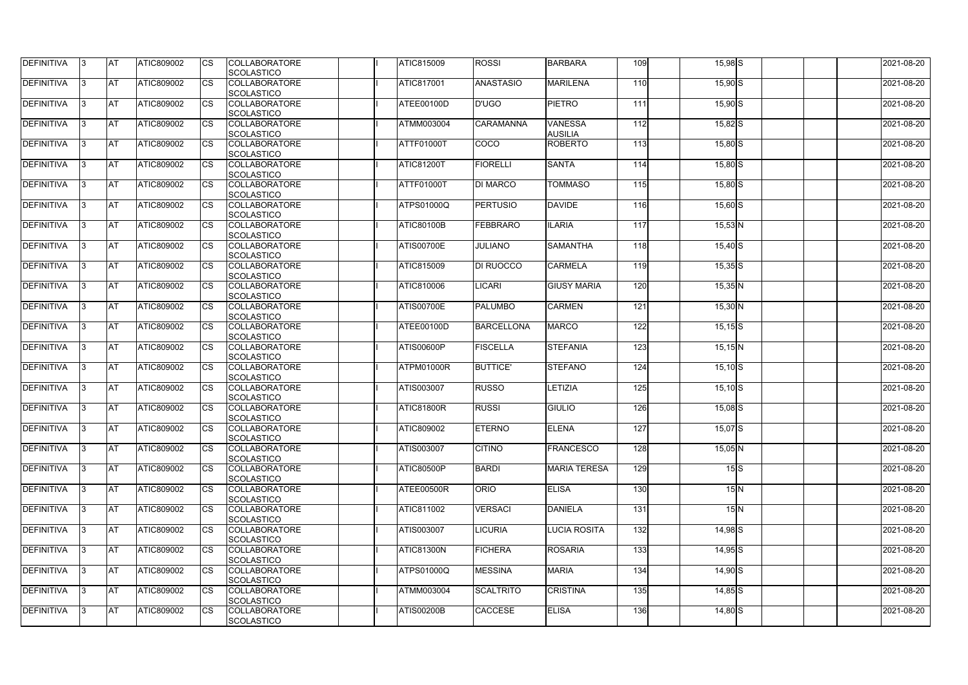| <b>DEFINITIVA</b> | 13  | <b>AT</b>  | <b>ATIC809002</b> | <b>I</b> CS | <b>COLLABORATORE</b><br><b>SCOLASTICO</b> | <b>ATIC815009</b> | <b>ROSSI</b>      | <b>BARBARA</b>                   | 109 | $15,98$ $S$ |              | 2021-08-20 |
|-------------------|-----|------------|-------------------|-------------|-------------------------------------------|-------------------|-------------------|----------------------------------|-----|-------------|--------------|------------|
| DEFINITIVA        |     | <b>AT</b>  | ATIC809002        | Ics         | <b>COLLABORATORE</b><br><b>SCOLASTICO</b> | ATIC817001        | <b>ANASTASIO</b>  | <b>MARILENA</b>                  | 110 | $15,90$ S   |              | 2021-08-20 |
| DEFINITIVA        |     | <b>AT</b>  | ATIC809002        | Ics         | <b>COLLABORATORE</b><br><b>SCOLASTICO</b> | ATEE00100D        | <b>D'UGO</b>      | <b>PIETRO</b>                    | 111 | $15,90$ S   |              | 2021-08-20 |
| DEFINITIVA        | 13  | <b>AT</b>  | ATIC809002        | Ics         | <b>COLLABORATORE</b><br><b>SCOLASTICO</b> | ATMM003004        | <b>CARAMANNA</b>  | <b>VANESSA</b><br><b>AUSILIA</b> | 112 | $15,82$ $S$ |              | 2021-08-20 |
| DEFINITIVA        |     | <b>AT</b>  | ATIC809002        | Ics         | <b>COLLABORATORE</b><br><b>SCOLASTICO</b> | <b>ATTF01000T</b> | COCO              | <b>ROBERTO</b>                   | 113 | $15,80$ S   |              | 2021-08-20 |
| <b>DEFINITIVA</b> |     | <b>IAT</b> | ATIC809002        | Ics         | <b>COLLABORATORE</b><br><b>SCOLASTICO</b> | <b>ATIC81200T</b> | <b>FIORELLI</b>   | <b>SANTA</b>                     | 114 | $15,80$ S   |              | 2021-08-20 |
| DEFINITIVA        | 13. | <b>AT</b>  | ATIC809002        | Ics         | <b>COLLABORATORE</b><br><b>SCOLASTICO</b> | ATTF01000T        | <b>DI MARCO</b>   | <b>TOMMASO</b>                   | 115 | $15,80$ S   |              | 2021-08-20 |
| <b>DEFINITIVA</b> | IЗ  | <b>AT</b>  | ATIC809002        | Ics         | <b>COLLABORATORE</b><br><b>SCOLASTICO</b> | ATPS01000Q        | <b>PERTUSIO</b>   | <b>DAVIDE</b>                    | 116 | $15,60$ S   |              | 2021-08-20 |
| <b>DEFINITIVA</b> | l3  | <b>AT</b>  | ATIC809002        | <b>ICS</b>  | <b>COLLABORATORE</b><br><b>SCOLASTICO</b> | ATIC80100B        | <b>FEBBRARO</b>   | <b>ILARIA</b>                    | 117 | $15,53$ N   |              | 2021-08-20 |
| DEFINITIVA        |     | <b>AT</b>  | ATIC809002        | <b>ICS</b>  | <b>COLLABORATORE</b><br><b>SCOLASTICO</b> | <b>ATIS00700E</b> | <b>JULIANO</b>    | <b>SAMANTHA</b>                  | 118 | $15,40$ S   |              | 2021-08-20 |
| <b>DEFINITIVA</b> |     | <b>AT</b>  | ATIC809002        | <b>ICS</b>  | <b>COLLABORATORE</b><br><b>SCOLASTICO</b> | ATIC815009        | <b>DI RUOCCO</b>  | <b>CARMELA</b>                   | 119 | $15,35$ S   |              | 2021-08-20 |
| <b>DEFINITIVA</b> |     | <b>AT</b>  | ATIC809002        | <b>ICS</b>  | <b>COLLABORATORE</b><br><b>SCOLASTICO</b> | ATIC810006        | <b>LICARI</b>     | <b>GIUSY MARIA</b>               | 120 | $15,35$ N   |              | 2021-08-20 |
| DEFINITIVA        | 13  | <b>AT</b>  | ATIC809002        | Ics         | <b>COLLABORATORE</b><br><b>SCOLASTICO</b> | <b>ATIS00700E</b> | <b>PALUMBO</b>    | <b>CARMEN</b>                    | 121 | $15,30$ N   |              | 2021-08-20 |
| DEFINITIVA        | l3  | <b>AT</b>  | ATIC809002        | Ics         | <b>COLLABORATORE</b><br><b>SCOLASTICO</b> | ATEE00100D        | <b>BARCELLONA</b> | <b>MARCO</b>                     | 122 | $15,15$ $S$ |              | 2021-08-20 |
| <b>DEFINITIVA</b> | IЗ  | <b>IAT</b> | ATIC809002        | Ics         | <b>COLLABORATORE</b><br><b>SCOLASTICO</b> | ATIS00600P        | <b>FISCELLA</b>   | <b>STEFANIA</b>                  | 123 | $15,15$ N   |              | 2021-08-20 |
| DEFINITIVA        |     | <b>AT</b>  | ATIC809002        | Ics         | <b>COLLABORATORE</b><br><b>SCOLASTICO</b> | ATPM01000R        | <b>BUTTICE'</b>   | <b>STEFANO</b>                   | 124 | $15,10$ S   |              | 2021-08-20 |
| DEFINITIVA        | 13. | <b>AT</b>  | ATIC809002        | Ics         | <b>COLLABORATORE</b><br><b>SCOLASTICO</b> | ATIS003007        | <b>RUSSO</b>      | LETIZIA                          | 125 | $15,10$ S   |              | 2021-08-20 |
| DEFINITIVA        |     | AT         | ATIC809002        | Ics         | <b>COLLABORATORE</b><br><b>SCOLASTICO</b> | <b>ATIC81800R</b> | <b>RUSSI</b>      | <b>GIULIO</b>                    | 126 | $15,08$ $S$ |              | 2021-08-20 |
| DEFINITIVA        | 13. | <b>AT</b>  | ATIC809002        | Ics         | <b>COLLABORATORE</b><br><b>SCOLASTICO</b> | ATIC809002        | <b>ETERNO</b>     | <b>ELENA</b>                     | 127 | $15,07$ $S$ |              | 2021-08-20 |
| <b>DEFINITIVA</b> | 13  | <b>AT</b>  | ATIC809002        | <b>I</b> CS | <b>COLLABORATORE</b><br><b>SCOLASTICO</b> | ATIS003007        | <b>CITINO</b>     | <b>FRANCESCO</b>                 | 128 | $15,05$ N   |              | 2021-08-20 |
| <b>DEFINITIVA</b> | 13. | <b>IAT</b> | ATIC809002        | <b>I</b> CS | <b>COLLABORATORE</b><br><b>SCOLASTICO</b> | <b>ATIC80500P</b> | <b>BARDI</b>      | <b>MARIA TERESA</b>              | 129 |             | 15S          | 2021-08-20 |
| DEFINITIVA        | IЗ  | <b>AT</b>  | ATIC809002        | Ics         | <b>COLLABORATORE</b><br><b>SCOLASTICO</b> | ATEE00500R        | <b>ORIO</b>       | <b>ELISA</b>                     | 130 |             | $15\text{N}$ | 2021-08-20 |
| DEFINITIVA        | 13. | <b>AT</b>  | ATIC809002        | <b>CS</b>   | <b>COLLABORATORE</b><br><b>SCOLASTICO</b> | ATIC811002        | <b>VERSACI</b>    | DANIELA                          | 131 |             | 15N          | 2021-08-20 |
| <b>DEFINITIVA</b> | 13. | <b>AT</b>  | ATIC809002        | <b>ICS</b>  | <b>COLLABORATORE</b><br><b>SCOLASTICO</b> | ATIS003007        | <b>LICURIA</b>    | <b>LUCIA ROSITA</b>              | 132 | $14,98$ $S$ |              | 2021-08-20 |
| <b>DEFINITIVA</b> | 13. | <b>AT</b>  | ATIC809002        | Ics         | <b>COLLABORATORE</b><br><b>SCOLASTICO</b> | <b>ATIC81300N</b> | <b>FICHERA</b>    | <b>ROSARIA</b>                   | 133 | $14,95$ S   |              | 2021-08-20 |
| DEFINITIVA        | 13. | <b>AT</b>  | ATIC809002        | Ics         | <b>COLLABORATORE</b><br><b>SCOLASTICO</b> | ATPS01000Q        | <b>MESSINA</b>    | <b>MARIA</b>                     | 134 | $14,90$ S   |              | 2021-08-20 |
| <b>DEFINITIVA</b> | 13. | <b>IAT</b> | ATIC809002        | <b>ICS</b>  | <b>COLLABORATORE</b><br><b>SCOLASTICO</b> | ATMM003004        | SCALTRITO         | <b>CRISTINA</b>                  | 135 | $14,85$ $S$ |              | 2021-08-20 |
| DEFINITIVA        |     | <b>AT</b>  | ATIC809002        | Ics         | <b>COLLABORATORE</b><br><b>SCOLASTICO</b> | <b>ATIS00200B</b> | <b>CACCESE</b>    | <b>ELISA</b>                     | 136 | $14,80$ S   |              | 2021-08-20 |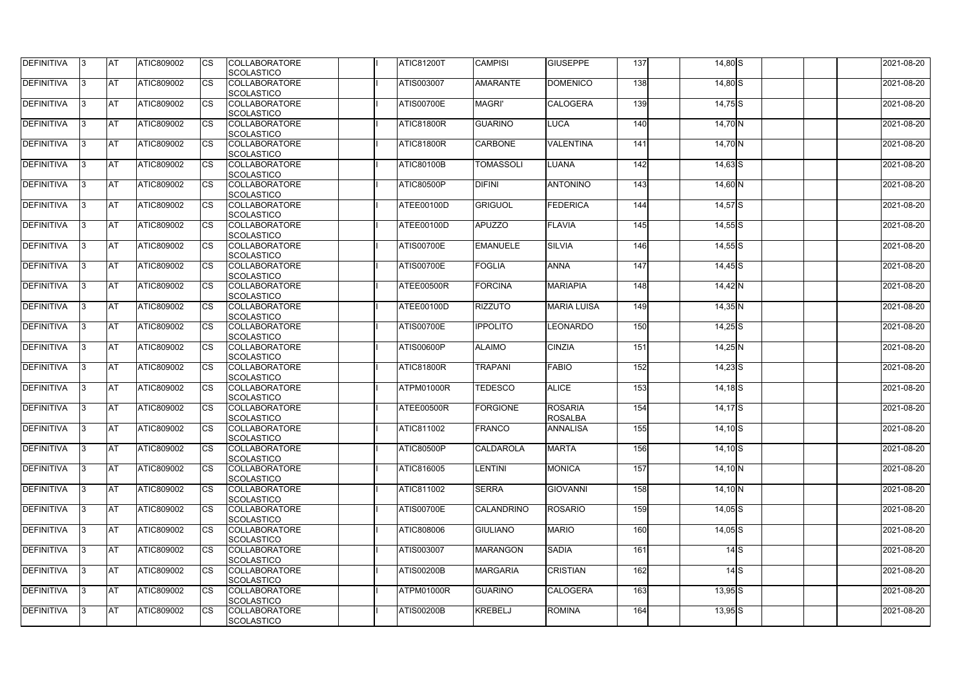| <b>DEFINITIVA</b> | 13  | <b>AT</b>  | ATIC809002        | Ics                    | <b>COLLABORATORE</b><br><b>SCOLASTICO</b> | <b>ATIC81200T</b> | <b>CAMPISI</b>    | <b>GIUSEPPE</b>                  | 137              | 14,80 S     |              | 2021-08-20 |
|-------------------|-----|------------|-------------------|------------------------|-------------------------------------------|-------------------|-------------------|----------------------------------|------------------|-------------|--------------|------------|
| <b>DEFINITIVA</b> |     | <b>AT</b>  | ATIC809002        | Ics                    | <b>COLLABORATORE</b><br><b>SCOLASTICO</b> | ATIS003007        | <b>AMARANTE</b>   | <b>DOMENICO</b>                  | 138              | $14,80$ S   |              | 2021-08-20 |
| DEFINITIVA        |     | <b>AT</b>  | ATIC809002        | Ics                    | <b>COLLABORATORE</b><br><b>SCOLASTICO</b> | <b>ATIS00700E</b> | <b>MAGRI'</b>     | <b>CALOGERA</b>                  | 139              | $14,75$ S   |              | 2021-08-20 |
| DEFINITIVA        | ıз  | <b>AT</b>  | ATIC809002        | Ics                    | <b>COLLABORATORE</b><br><b>SCOLASTICO</b> | ATIC81800R        | <b>GUARINO</b>    | <b>LUCA</b>                      | 140              | 14,70 N     |              | 2021-08-20 |
| DEFINITIVA        |     | <b>AT</b>  | ATIC809002        | <b>CS</b>              | <b>COLLABORATORE</b><br><b>SCOLASTICO</b> | <b>ATIC81800R</b> | <b>CARBONE</b>    | <b>VALENTINA</b>                 | 141              | 14,70 N     |              | 2021-08-20 |
| <b>DEFINITIVA</b> |     | <b>JAT</b> | ATIC809002        | Ics                    | <b>COLLABORATORE</b><br><b>SCOLASTICO</b> | <b>ATIC80100B</b> | <b>TOMASSOLI</b>  | <b>LUANA</b>                     | $\overline{142}$ | $14,63$ $S$ |              | 2021-08-20 |
| DEFINITIVA        | ıз  | <b>AT</b>  | <b>ATIC809002</b> | Ics                    | <b>COLLABORATORE</b><br><b>SCOLASTICO</b> | ATIC80500P        | <b>DIFINI</b>     | <b>ANTONINO</b>                  | 143              | $14,60$ N   |              | 2021-08-20 |
| <b>DEFINITIVA</b> |     | AT         | ATIC809002        | <b>CS</b>              | <b>COLLABORATORE</b><br><b>SCOLASTICO</b> | ATEE00100D        | <b>GRIGUOL</b>    | <b>FEDERICA</b>                  | 144              | $14,57$ $S$ |              | 2021-08-20 |
| DEFINITIVA        |     | <b>AT</b>  | ATIC809002        | <b>CS</b>              | <b>COLLABORATORE</b><br><b>SCOLASTICO</b> | ATEE00100D        | <b>APUZZO</b>     | <b>FLAVIA</b>                    | 145              | $14,55$ S   |              | 2021-08-20 |
| DEFINITIVA        |     | <b>AT</b>  | ATIC809002        | $\overline{\text{cs}}$ | <b>COLLABORATORE</b><br>SCOLASTICO        | <b>ATIS00700E</b> | <b>EMANUELE</b>   | <b>SILVIA</b>                    | 146              | $14,55$ S   |              | 2021-08-20 |
| <b>DEFINITIVA</b> |     | AT         | <b>ATIC809002</b> | <b>CS</b>              | <b>COLLABORATORE</b><br><b>SCOLASTICO</b> | <b>ATIS00700E</b> | <b>FOGLIA</b>     | <b>ANNA</b>                      | 147              | $14,45$ S   |              | 2021-08-20 |
| <b>DEFINITIVA</b> |     | <b>AT</b>  | ATIC809002        | <b>CS</b>              | <b>COLLABORATORE</b><br><b>SCOLASTICO</b> | <b>ATEE00500R</b> | <b>FORCINA</b>    | <b>MARIAPIA</b>                  | 148              | $14,42$ N   |              | 2021-08-20 |
| <b>DEFINITIVA</b> | l3  | <b>AT</b>  | ATIC809002        |                        | <b>COLLABORATORE</b><br><b>SCOLASTICO</b> | ATEE00100D        | <b>RIZZUTO</b>    | <b>MARIA LUISA</b>               | 149              | $14,35$ N   |              | 2021-08-20 |
| <b>DEFINITIVA</b> |     | <b>AT</b>  | ATIC809002        | Ics                    | <b>COLLABORATORE</b><br><b>SCOLASTICO</b> | <b>ATIS00700E</b> | <b>IPPOLITO</b>   | <b>LEONARDO</b>                  | 150              | $14,25$ S   |              | 2021-08-20 |
| DEFINITIVA        | R   | <b>AT</b>  | ATIC809002        | <b>CS</b>              | <b>COLLABORATORE</b><br><b>SCOLASTICO</b> | <b>ATIS00600P</b> | <b>ALAIMO</b>     | <b>CINZIA</b>                    | 151              | $14,25$ N   |              | 2021-08-20 |
| DEFINITIVA        |     | <b>AT</b>  | ATIC809002        | Ics                    | <b>COLLABORATORE</b><br><b>SCOLASTICO</b> | ATIC81800R        | <b>TRAPANI</b>    | <b>FABIO</b>                     | 152              | $14,23$ S   |              | 2021-08-20 |
| <b>DEFINITIVA</b> |     | <b>AT</b>  | ATIC809002        | <b>CS</b>              | <b>COLLABORATORE</b><br><b>SCOLASTICO</b> | ATPM01000R        | <b>TEDESCO</b>    | <b>ALICE</b>                     | 153              | $14,18$ $S$ |              | 2021-08-20 |
| DEFINITIVA        |     | <b>AT</b>  | ATIC809002        | <b>CS</b>              | <b>COLLABORATORE</b><br>SCOLASTICO        | ATEE00500R        | <b>FORGIONE</b>   | <b>ROSARIA</b><br><b>ROSALBA</b> | 154              | $14,17$ $S$ |              | 2021-08-20 |
| DEFINITIVA        | 13. | <b>AT</b>  | ATIC809002        |                        | <b>COLLABORATORE</b><br><b>SCOLASTICO</b> | ATIC811002        | FRANCO            | <b>ANNALISA</b>                  | 155              | $14,10$ S   |              | 2021-08-20 |
| DEFINITIVA        | IЗ  | <b>AT</b>  | <b>ATIC809002</b> | Ics                    | <b>COLLABORATORE</b><br><b>SCOLASTICO</b> | ATIC80500P        | <b>CALDAROLA</b>  | <b>MARTA</b>                     | 156              | $14,10$ S   |              | 2021-08-20 |
| <b>DEFINITIVA</b> | I3  | <b>AT</b>  | ATIC809002        | Ics                    | <b>COLLABORATORE</b><br><b>SCOLASTICO</b> | ATIC816005        | LENTINI           | <b>MONICA</b>                    | 157              | $14,10$ N   |              | 2021-08-20 |
| DEFINITIVA        |     | <b>AT</b>  | ATIC809002        | Ics                    | <b>COLLABORATORE</b><br><b>SCOLASTICO</b> | ATIC811002        | <b>SERRA</b>      | <b>GIOVANNI</b>                  | 158              | $14,10$ N   |              | 2021-08-20 |
| <b>DEFINITIVA</b> |     | <b>AT</b>  | ATIC809002        | <b>CS</b>              | <b>COLLABORATORE</b><br><b>SCOLASTICO</b> | <b>ATIS00700E</b> | <b>CALANDRINO</b> | <b>ROSARIO</b>                   | 159              | $14,05$ S   |              | 2021-08-20 |
| <b>DEFINITIVA</b> | ıз  | <b>AT</b>  | ATIC809002        | Ics                    | <b>COLLABORATORE</b><br><b>SCOLASTICO</b> | ATIC808006        | <b>GIULIANO</b>   | <b>MARIO</b>                     | 160              | $14,05$ S   |              | 2021-08-20 |
| <b>DEFINITIVA</b> |     | AT         | ATIC809002        | Ics                    | <b>COLLABORATORE</b><br><b>SCOLASTICO</b> | ATIS003007        | <b>MARANGON</b>   | <b>SADIA</b>                     | 161              |             | $14\text{S}$ | 2021-08-20 |
| DEFINITIVA        | ıз  | <b>AT</b>  | ATIC809002        | Ics                    | <b>COLLABORATORE</b><br><b>SCOLASTICO</b> | <b>ATIS00200B</b> | <b>MARGARIA</b>   | <b>CRISTIAN</b>                  | 162              |             | $14\text{S}$ | 2021-08-20 |
| <b>DEFINITIVA</b> | 13  | <b>AT</b>  | <b>ATIC809002</b> | <b>ICS</b>             | <b>COLLABORATORE</b><br><b>SCOLASTICO</b> | ATPM01000R        | <b>GUARINO</b>    | <b>CALOGERA</b>                  | 163              | $13,95$ $S$ |              | 2021-08-20 |
| DEFINITIVA        |     | <b>AT</b>  | ATIC809002        | Ics                    | <b>COLLABORATORE</b><br><b>SCOLASTICO</b> | <b>ATIS00200B</b> | <b>KREBELJ</b>    | <b>ROMINA</b>                    | 164              | $13,95$ $S$ |              | 2021-08-20 |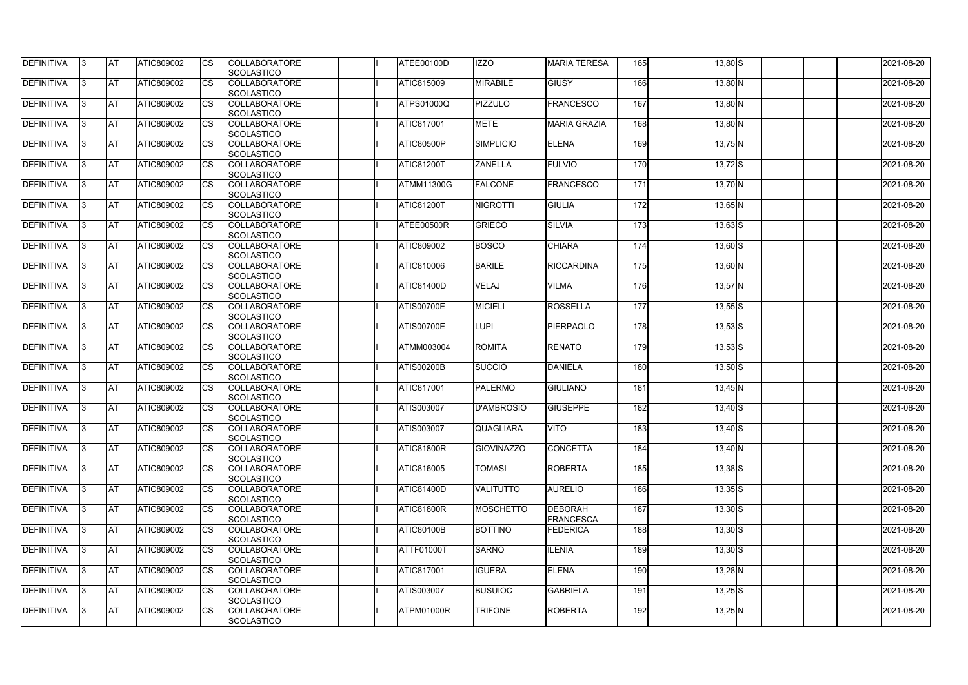| <b>DEFINITIVA</b> | IЗ  | <b>AT</b>  | <b>ATIC809002</b> | <b>CS</b> | <b>COLLABORATORE</b><br>SCOLASTICO        | ATEE00100D        | <b>IZZO</b>       | <b>MARIA TERESA</b>         | 165              | $13,80$ S   | 2021-08-20 |
|-------------------|-----|------------|-------------------|-----------|-------------------------------------------|-------------------|-------------------|-----------------------------|------------------|-------------|------------|
| <b>DEFINITIVA</b> | R   | <b>AT</b>  | ATIC809002        | <b>CS</b> | <b>COLLABORATORE</b><br><b>SCOLASTICO</b> | <b>ATIC815009</b> | <b>MIRABILE</b>   | <b>GIUSY</b>                | 166              | $13,80$ N   | 2021-08-20 |
| <b>DEFINITIVA</b> | З   | <b>AT</b>  | <b>ATIC809002</b> | CS        | <b>COLLABORATORE</b><br>SCOLASTICO        | <b>ATPS01000Q</b> | PIZZULO           | <b>FRANCESCO</b>            | 167              | $13,80$ N   | 2021-08-20 |
| <b>DEFINITIVA</b> |     | <b>AT</b>  | ATIC809002        | <b>CS</b> | <b>COLLABORATORE</b><br>SCOLASTICO        | <b>ATIC817001</b> | <b>METE</b>       | <b>MARIA GRAZIA</b>         | 168              | $13,80$ N   | 2021-08-20 |
| <b>DEFINITIVA</b> |     | <b>AT</b>  | ATIC809002        | CS        | <b>COLLABORATORE</b><br>SCOLASTICO        | <b>ATIC80500P</b> | <b>SIMPLICIO</b>  | <b>ELENA</b>                | 169              | $13,75$ N   | 2021-08-20 |
| <b>DEFINITIVA</b> |     | <b>IAT</b> | ATIC809002        | <b>CS</b> | <b>COLLABORATORE</b><br><b>SCOLASTICO</b> | <b>ATIC81200T</b> | <b>ZANELLA</b>    | <b>FULVIO</b>               | 170              | $13,72$ $S$ | 2021-08-20 |
| DEFINITIVA        |     | <b>AT</b>  | ATIC809002        | <b>CS</b> | <b>COLLABORATORE</b><br>SCOLASTICO        | <b>ATMM11300G</b> | <b>FALCONE</b>    | <b>FRANCESCO</b>            | 171              | $13,70$ N   | 2021-08-20 |
| <b>DEFINITIVA</b> | ß   | <b>AT</b>  | ATIC809002        | CS        | <b>COLLABORATORE</b><br><b>SCOLASTICO</b> | <b>ATIC81200T</b> | <b>NIGROTTI</b>   | <b>GIULIA</b>               | 172              | $13,65$ N   | 2021-08-20 |
| <b>DEFINITIVA</b> | R   | <b>AT</b>  | ATIC809002        | <b>CS</b> | <b>COLLABORATORE</b><br><b>SCOLASTICO</b> | ATEE00500R        | <b>GRIECO</b>     | <b>SILVIA</b>               | $\overline{173}$ | $13,63$ $S$ | 2021-08-20 |
| <b>DEFINITIVA</b> |     | <b>AT</b>  | ATIC809002        | <b>CS</b> | <b>COLLABORATORE</b><br><b>SCOLASTICO</b> | <b>ATIC809002</b> | <b>BOSCO</b>      | <b>CHIARA</b>               | 174              | 13,60 S     | 2021-08-20 |
| <b>DEFINITIVA</b> |     | <b>AT</b>  | ATIC809002        | <b>CS</b> | <b>COLLABORATORE</b><br>SCOLASTICO        | <b>ATIC810006</b> | <b>BARILE</b>     | <b>RICCARDINA</b>           | 175              | $13,60$ N   | 2021-08-20 |
| <b>DEFINITIVA</b> |     | <b>AT</b>  | ATIC809002        | <b>CS</b> | <b>COLLABORATORE</b><br>SCOLASTICO        | <b>ATIC81400D</b> | <b>VELAJ</b>      | <b>VILMA</b>                | 176              | $13,57$ N   | 2021-08-20 |
| DEFINITIVA        |     | <b>AT</b>  | ATIC809002        | <b>CS</b> | <b>COLLABORATORE</b><br>SCOLASTICO        | <b>ATIS00700E</b> | <b>MICIELI</b>    | <b>ROSSELLA</b>             | 177              | $13,55$ $S$ | 2021-08-20 |
| DEFINITIVA        | з   | <b>AT</b>  | ATIC809002        | CS        | <b>COLLABORATORE</b><br><b>SCOLASTICO</b> | <b>ATIS00700E</b> | <b>LUPI</b>       | PIERPAOLO                   | 178              | $13,53$ $S$ | 2021-08-20 |
| <b>DEFINITIVA</b> | R   | <b>AT</b>  | ATIC809002        | CS        | <b>COLLABORATORE</b><br><b>SCOLASTICO</b> | <b>ATMM003004</b> | <b>ROMITA</b>     | <b>RENATO</b>               | 179              | $13,53$ S   | 2021-08-20 |
| <b>DEFINITIVA</b> |     | <b>AT</b>  | ATIC809002        | <b>CS</b> | <b>COLLABORATORE</b><br><b>SCOLASTICO</b> | <b>ATIS00200B</b> | <b>SUCCIO</b>     | <b>DANIELA</b>              | 180              | $13,50$ S   | 2021-08-20 |
| <b>DEFINITIVA</b> |     | <b>AT</b>  | ATIC809002        | CS        | <b>COLLABORATORE</b><br><b>SCOLASTICO</b> | <b>ATIC817001</b> | <b>PALERMO</b>    | <b>GIULIANO</b>             | 181              | $13,45$ N   | 2021-08-20 |
| <b>DEFINITIVA</b> |     | <b>AT</b>  | ATIC809002        | CS        | <b>COLLABORATORE</b><br>SCOLASTICO        | ATIS003007        | <b>D'AMBROSIO</b> | <b>GIUSEPPE</b>             | 182              | $13,40$ S   | 2021-08-20 |
| <b>DEFINITIVA</b> | 13. | <b>AT</b>  | ATIC809002        | <b>CS</b> | <b>COLLABORATORE</b><br><b>SCOLASTICO</b> | <b>ATIS003007</b> | <b>QUAGLIARA</b>  | <b>VITO</b>                 | 183              | $13,40$ S   | 2021-08-20 |
| DEFINITIVA        | 3   | <b>AT</b>  | ATIC809002        | <b>CS</b> | <b>COLLABORATORE</b><br><b>SCOLASTICO</b> | ATIC81800R        | <b>GIOVINAZZO</b> | <b>CONCETTA</b>             | 184              | $13,40$ N   | 2021-08-20 |
| <b>DEFINITIVA</b> | IЗ  | <b>AT</b>  | ATIC809002        | <b>CS</b> | <b>COLLABORATORE</b><br><b>SCOLASTICO</b> | <b>ATIC816005</b> | <b>TOMASI</b>     | <b>ROBERTA</b>              | 185              | $13,38$ $S$ | 2021-08-20 |
| <b>DEFINITIVA</b> |     | <b>AT</b>  | ATIC809002        | <b>CS</b> | <b>COLLABORATORE</b><br><b>SCOLASTICO</b> | <b>ATIC81400D</b> | <b>VALITUTTO</b>  | <b>AURELIO</b>              | 186              | $13,35$ S   | 2021-08-20 |
| <b>DEFINITIVA</b> |     | <b>AT</b>  | ATIC809002        | <b>CS</b> | <b>COLLABORATORE</b><br><b>SCOLASTICO</b> | ATIC81800R        | <b>MOSCHETTO</b>  | <b>DEBORAH</b><br>FRANCESCA | 187              | $13,30$ S   | 2021-08-20 |
| <b>DEFINITIVA</b> | IЗ  | <b>AT</b>  | ATIC809002        | <b>CS</b> | <b>COLLABORATORE</b><br><b>SCOLASTICO</b> | <b>ATIC80100B</b> | <b>BOTTINO</b>    | <b>FEDERICA</b>             | 188              | $13,30$ S   | 2021-08-20 |
| <b>DEFINITIVA</b> | 3   | <b>AT</b>  | ATIC809002        | <b>CS</b> | <b>COLLABORATORE</b><br>SCOLASTICO        | <b>ATTF01000T</b> | <b>SARNO</b>      | <b>ILENIA</b>               | 189              | $13,30$ S   | 2021-08-20 |
| DEFINITIVA        | IЗ  | <b>AT</b>  | ATIC809002        | <b>CS</b> | <b>COLLABORATORE</b><br><b>SCOLASTICO</b> | <b>ATIC817001</b> | <b>IGUERA</b>     | <b>ELENA</b>                | 190              | $13,28$ N   | 2021-08-20 |
| DEFINITIVA        | IЗ  | <b>AT</b>  | ATIC809002        | <b>CS</b> | <b>COLLABORATORE</b><br><b>SCOLASTICO</b> | ATIS003007        | <b>BUSUIOC</b>    | <b>GABRIELA</b>             | 191              | $13,25$ S   | 2021-08-20 |
| <b>DEFINITIVA</b> | ß.  | <b>AT</b>  | ATIC809002        | <b>CS</b> | <b>COLLABORATORE</b><br>SCOLASTICO        | <b>ATPM01000R</b> | <b>TRIFONE</b>    | <b>ROBERTA</b>              | 192              | $13,25$ N   | 2021-08-20 |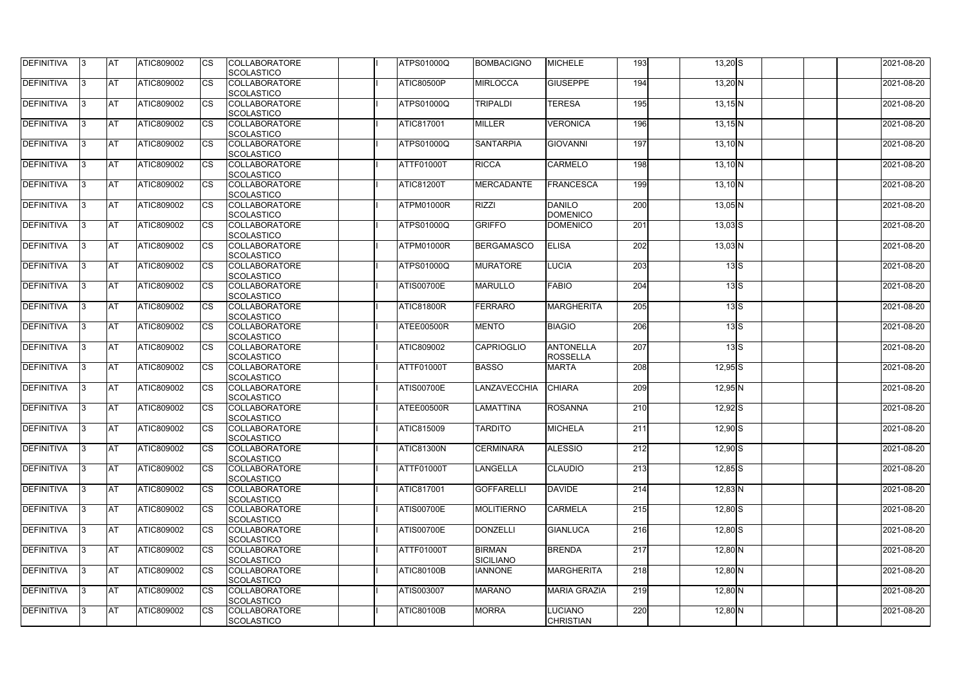| <b>DEFINITIVA</b> | 13  | <b>AT</b> | ATIC809002        | Ics                    | <b>COLLABORATORE</b><br><b>SCOLASTICO</b> | <b>ATPS01000Q</b> | <b>BOMBACIGNO</b>                 | <b>MICHELE</b>                      | 193              | $13,20$ S   |                                      | 2021-08-20 |
|-------------------|-----|-----------|-------------------|------------------------|-------------------------------------------|-------------------|-----------------------------------|-------------------------------------|------------------|-------------|--------------------------------------|------------|
| <b>DEFINITIVA</b> |     | <b>AT</b> | ATIC809002        | Ics                    | <b>COLLABORATORE</b><br><b>SCOLASTICO</b> | <b>ATIC80500P</b> | <b>MIRLOCCA</b>                   | <b>GIUSEPPE</b>                     | 194              | $13,20$ N   |                                      | 2021-08-20 |
| DEFINITIVA        |     | <b>AT</b> | ATIC809002        | Ics                    | <b>COLLABORATORE</b><br><b>SCOLASTICO</b> | <b>ATPS01000Q</b> | TRIPALDI                          | <b>TERESA</b>                       | 195              | $13,15$ N   |                                      | 2021-08-20 |
| DEFINITIVA        | IЗ  | <b>AT</b> | ATIC809002        | Ics                    | <b>COLLABORATORE</b><br><b>SCOLASTICO</b> | <b>ATIC817001</b> | <b>MILLER</b>                     | <b>VERONICA</b>                     | 196              | $13,15$ N   |                                      | 2021-08-20 |
| DEFINITIVA        |     | <b>AT</b> | ATIC809002        | <b>CS</b>              | <b>COLLABORATORE</b><br><b>SCOLASTICO</b> | ATPS01000Q        | <b>SANTARPIA</b>                  | <b>GIOVANNI</b>                     | 197              | $13,10$ N   |                                      | 2021-08-20 |
| <b>DEFINITIVA</b> |     | <b>AT</b> | ATIC809002        | Ics                    | <b>COLLABORATORE</b><br><b>SCOLASTICO</b> | ATTF01000T        | <b>RICCA</b>                      | <b>CARMELO</b>                      | 198              | $13,10$ N   |                                      | 2021-08-20 |
| DEFINITIVA        |     | <b>AT</b> | <b>ATIC809002</b> | Ics                    | <b>COLLABORATORE</b><br><b>SCOLASTICO</b> | <b>ATIC81200T</b> | <b>MERCADANTE</b>                 | FRANCESCA                           | 199              | $13,10$ N   |                                      | 2021-08-20 |
| <b>DEFINITIVA</b> |     | AT        | ATIC809002        | <b>CS</b>              | <b>COLLABORATORE</b><br><b>SCOLASTICO</b> | ATPM01000R        | <b>RIZZI</b>                      | <b>DANILO</b><br><b>DOMENICO</b>    | 200              | $13,05$ N   |                                      | 2021-08-20 |
| DEFINITIVA        |     | <b>AT</b> | ATIC809002        | <b>CS</b>              | <b>COLLABORATORE</b><br><b>SCOLASTICO</b> | <b>ATPS01000Q</b> | <b>GRIFFO</b>                     | <b>DOMENICO</b>                     | $\overline{201}$ | $13,03$ $S$ |                                      | 2021-08-20 |
| DEFINITIVA        |     | <b>AT</b> | ATIC809002        | $\overline{\text{cs}}$ | <b>COLLABORATORE</b><br>SCOLASTICO        | ATPM01000R        | <b>BERGAMASCO</b>                 | <b>ELISA</b>                        | 202              | $13,03$ N   |                                      | 2021-08-20 |
| <b>DEFINITIVA</b> |     | AT        | <b>ATIC809002</b> | <b>CS</b>              | <b>COLLABORATORE</b><br><b>SCOLASTICO</b> | <b>ATPS01000Q</b> | <b>MURATORE</b>                   | <b>LUCIA</b>                        | 203              |             | $13\overline{\smash{\big }S}$        | 2021-08-20 |
| <b>DEFINITIVA</b> |     | <b>AT</b> | ATIC809002        | <b>CS</b>              | <b>COLLABORATORE</b><br><b>SCOLASTICO</b> | <b>ATIS00700E</b> | <b>MARULLO</b>                    | <b>FABIO</b>                        | 204              |             | $13\overline{\text{S}}$              | 2021-08-20 |
| <b>DEFINITIVA</b> |     | <b>AT</b> | ATIC809002        |                        | <b>COLLABORATORE</b><br><b>SCOLASTICO</b> | <b>ATIC81800R</b> | <b>FERRARO</b>                    | <b>MARGHERITA</b>                   | 205              |             | $13\text{S}$                         | 2021-08-20 |
| <b>DEFINITIVA</b> |     | <b>AT</b> | ATIC809002        | Ics                    | <b>COLLABORATORE</b><br><b>SCOLASTICO</b> | ATEE00500R        | <b>MENTO</b>                      | <b>BIAGIO</b>                       | 206              |             | $13\overline{\smash{\vert S \vert}}$ | 2021-08-20 |
| DEFINITIVA        |     | <b>AT</b> | ATIC809002        | <b>CS</b>              | <b>COLLABORATORE</b><br><b>SCOLASTICO</b> | ATIC809002        | <b>CAPRIOGLIO</b>                 | <b>ANTONELLA</b><br><b>ROSSELLA</b> | 207              |             | $13\text{S}$                         | 2021-08-20 |
| DEFINITIVA        |     | <b>AT</b> | ATIC809002        | Ics                    | <b>COLLABORATORE</b><br><b>SCOLASTICO</b> | ATTF01000T        | <b>BASSO</b>                      | <b>MARTA</b>                        | 208              | $12,95$ S   |                                      | 2021-08-20 |
| <b>DEFINITIVA</b> |     | <b>AT</b> | ATIC809002        | <b>CS</b>              | <b>COLLABORATORE</b><br><b>SCOLASTICO</b> | <b>ATIS00700E</b> | LANZAVECCHIA                      | <b>CHIARA</b>                       | 209              | $12,95$ N   |                                      | 2021-08-20 |
| DEFINITIVA        |     | <b>AT</b> | ATIC809002        | <b>CS</b>              | <b>COLLABORATORE</b><br>SCOLASTICO        | ATEE00500R        | LAMATTINA                         | <b>ROSANNA</b>                      | 210              | $12,92$ $S$ |                                      | 2021-08-20 |
| <b>DEFINITIVA</b> | 13. | <b>AT</b> | ATIC809002        |                        | <b>COLLABORATORE</b><br><b>SCOLASTICO</b> | <b>ATIC815009</b> | <b>TARDITO</b>                    | <b>MICHELA</b>                      | 211              | $12,90$ S   |                                      | 2021-08-20 |
| DEFINITIVA        | IЗ  | <b>AT</b> | <b>ATIC809002</b> | Ics                    | <b>COLLABORATORE</b><br><b>SCOLASTICO</b> | <b>ATIC81300N</b> | <b>CERMINARA</b>                  | <b>ALESSIO</b>                      | 212              | $12,90$ S   |                                      | 2021-08-20 |
| <b>DEFINITIVA</b> | I3  | <b>AT</b> | ATIC809002        | Ics                    | <b>COLLABORATORE</b><br><b>SCOLASTICO</b> | ATTF01000T        | <b>LANGELLA</b>                   | <b>CLAUDIO</b>                      | 213              | $12,85$ S   |                                      | 2021-08-20 |
| DEFINITIVA        |     | <b>AT</b> | ATIC809002        | Ics                    | <b>COLLABORATORE</b><br><b>SCOLASTICO</b> | <b>ATIC817001</b> | <b>GOFFARELLI</b>                 | <b>DAVIDE</b>                       | 214              | $12,83$ N   |                                      | 2021-08-20 |
| DEFINITIVA        |     | <b>AT</b> | ATIC809002        | <b>CS</b>              | <b>COLLABORATORE</b><br><b>SCOLASTICO</b> | <b>ATIS00700E</b> | <b>MOLITIERNO</b>                 | <b>CARMELA</b>                      | 215              | $12,80$ S   |                                      | 2021-08-20 |
| <b>DEFINITIVA</b> | ıз  | <b>AT</b> | ATIC809002        | Ics                    | <b>COLLABORATORE</b><br><b>SCOLASTICO</b> | <b>ATIS00700E</b> | <b>DONZELLI</b>                   | <b>GIANLUCA</b>                     | 216              | $12,80$ S   |                                      | 2021-08-20 |
| <b>DEFINITIVA</b> |     | AT        | ATIC809002        | Ics                    | <b>COLLABORATORE</b><br><b>SCOLASTICO</b> | ATTF01000T        | <b>BIRMAN</b><br><b>SICILIANO</b> | <b>BRENDA</b>                       | 217              | $12,80$ N   |                                      | 2021-08-20 |
| DEFINITIVA        | ıз  | <b>AT</b> | ATIC809002        | Ics                    | <b>COLLABORATORE</b><br><b>SCOLASTICO</b> | <b>ATIC80100B</b> | <b>IANNONE</b>                    | <b>MARGHERITA</b>                   | 218              | $12,80$ N   |                                      | 2021-08-20 |
| <b>DEFINITIVA</b> | 13  | <b>AT</b> | <b>ATIC809002</b> | <b>ICS</b>             | <b>COLLABORATORE</b><br><b>SCOLASTICO</b> | ATIS003007        | <b>MARANO</b>                     | <b>MARIA GRAZIA</b>                 | 219              | $12,80$ N   |                                      | 2021-08-20 |
| <b>DEFINITIVA</b> |     | <b>AT</b> | ATIC809002        | Ics                    | <b>COLLABORATORE</b><br>SCOLASTICO        | <b>ATIC80100B</b> | <b>MORRA</b>                      | <b>LUCIANO</b><br><b>CHRISTIAN</b>  | 220              | $12,80$ N   |                                      | 2021-08-20 |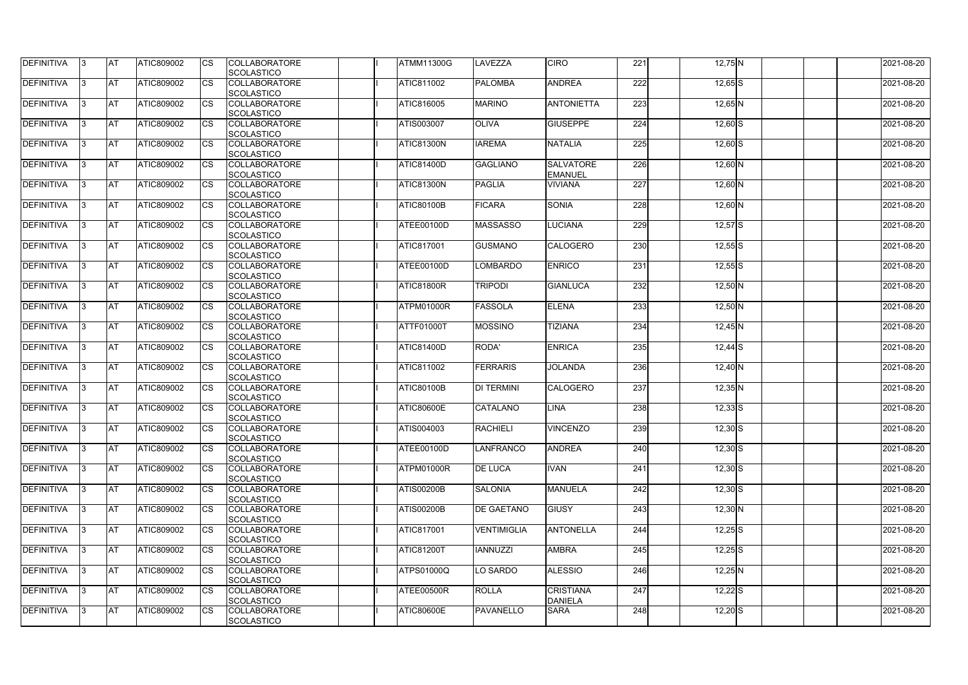| <b>DEFINITIVA</b> | IЗ  | <b>AT</b>  | <b>ATIC809002</b> | <b>CS</b> | <b>COLLABORATORE</b><br><b>SCOLASTICO</b> | <b>ATMM11300G</b> | LAVEZZA            | <b>CIRO</b>                        | 221 | $12,75$ N   | 2021-08-20 |
|-------------------|-----|------------|-------------------|-----------|-------------------------------------------|-------------------|--------------------|------------------------------------|-----|-------------|------------|
| <b>DEFINITIVA</b> | R   | <b>AT</b>  | ATIC809002        | <b>CS</b> | <b>COLLABORATORE</b><br><b>SCOLASTICO</b> | <b>ATIC811002</b> | <b>PALOMBA</b>     | <b>ANDREA</b>                      | 222 | $12,65$ S   | 2021-08-20 |
| <b>DEFINITIVA</b> | R   | <b>AT</b>  | <b>ATIC809002</b> | CS        | <b>COLLABORATORE</b><br>SCOLASTICO        | ATIC816005        | <b>MARINO</b>      | <b>ANTONIETTA</b>                  | 223 | $12,65$ N   | 2021-08-20 |
| <b>DEFINITIVA</b> |     | <b>AT</b>  | ATIC809002        | <b>CS</b> | <b>COLLABORATORE</b><br>SCOLASTICO        | ATIS003007        | <b>OLIVA</b>       | <b>GIUSEPPE</b>                    | 224 | $12,60$ S   | 2021-08-20 |
| <b>DEFINITIVA</b> |     | <b>AT</b>  | ATIC809002        | CS        | <b>COLLABORATORE</b><br>SCOLASTICO        | <b>ATIC81300N</b> | <b>IAREMA</b>      | <b>NATALIA</b>                     | 225 | $12,60$ S   | 2021-08-20 |
| <b>DEFINITIVA</b> |     | <b>IAT</b> | ATIC809002        | <b>CS</b> | <b>COLLABORATORE</b><br><b>SCOLASTICO</b> | <b>ATIC81400D</b> | <b>GAGLIANO</b>    | <b>SALVATORE</b><br><b>EMANUEL</b> | 226 | $12,60$ N   | 2021-08-20 |
| DEFINITIVA        |     | <b>AT</b>  | ATIC809002        | <b>CS</b> | <b>COLLABORATORE</b><br>SCOLASTICO        | ATIC81300N        | <b>PAGLIA</b>      | <b>VIVIANA</b>                     | 227 | $12,60$ N   | 2021-08-20 |
| <b>DEFINITIVA</b> | ß   | <b>AT</b>  | ATIC809002        | CS        | <b>COLLABORATORE</b><br><b>SCOLASTICO</b> | <b>ATIC80100B</b> | <b>FICARA</b>      | <b>SONIA</b>                       | 228 | $12,60$ N   | 2021-08-20 |
| <b>DEFINITIVA</b> | R   | <b>AT</b>  | ATIC809002        | <b>CS</b> | <b>COLLABORATORE</b><br><b>SCOLASTICO</b> | ATEE00100D        | <b>MASSASSO</b>    | <b>LUCIANA</b>                     | 229 | $12,57$ S   | 2021-08-20 |
| <b>DEFINITIVA</b> |     | <b>AT</b>  | ATIC809002        | <b>CS</b> | <b>COLLABORATORE</b><br><b>SCOLASTICO</b> | <b>ATIC817001</b> | <b>GUSMANO</b>     | <b>CALOGERO</b>                    | 230 | $12,55$ S   | 2021-08-20 |
| <b>DEFINITIVA</b> |     | <b>AT</b>  | ATIC809002        | <b>CS</b> | <b>COLLABORATORE</b><br>SCOLASTICO        | ATEE00100D        | <b>LOMBARDO</b>    | <b>ENRICO</b>                      | 231 | $12,55$ S   | 2021-08-20 |
| <b>DEFINITIVA</b> | R   | <b>AT</b>  | ATIC809002        | <b>CS</b> | <b>COLLABORATORE</b><br>SCOLASTICO        | ATIC81800R        | <b>TRIPODI</b>     | <b>GIANLUCA</b>                    | 232 | $12,50$ N   | 2021-08-20 |
| DEFINITIVA        |     | <b>AT</b>  | ATIC809002        | <b>CS</b> | <b>COLLABORATORE</b><br>SCOLASTICO        | ATPM01000R        | <b>FASSOLA</b>     | <b>ELENA</b>                       | 233 | 12,50 N     | 2021-08-20 |
| DEFINITIVA        | З   | <b>AT</b>  | ATIC809002        | CS        | <b>COLLABORATORE</b><br><b>SCOLASTICO</b> | <b>ATTF01000T</b> | <b>MOSSINO</b>     | <b>TIZIANA</b>                     | 234 | $12,45$ N   | 2021-08-20 |
| <b>DEFINITIVA</b> | R   | <b>AT</b>  | ATIC809002        | CS        | <b>COLLABORATORE</b><br><b>SCOLASTICO</b> | <b>ATIC81400D</b> | RODA'              | ENRICA                             | 235 | $12,44$ S   | 2021-08-20 |
| <b>DEFINITIVA</b> |     | <b>AT</b>  | ATIC809002        | <b>CS</b> | <b>COLLABORATORE</b><br><b>SCOLASTICO</b> | <b>ATIC811002</b> | <b>FERRARIS</b>    | <b>JOLANDA</b>                     | 236 | $12,40$ N   | 2021-08-20 |
| <b>DEFINITIVA</b> |     | <b>AT</b>  | ATIC809002        | CS        | <b>COLLABORATORE</b><br><b>SCOLASTICO</b> | <b>ATIC80100B</b> | <b>DI TERMINI</b>  | <b>CALOGERO</b>                    | 237 | $12,35$ N   | 2021-08-20 |
| <b>DEFINITIVA</b> |     | <b>AT</b>  | ATIC809002        | CS        | <b>COLLABORATORE</b><br>SCOLASTICO        | <b>ATIC80600E</b> | <b>CATALANO</b>    | <b>LINA</b>                        | 238 | $12,33$ $S$ | 2021-08-20 |
| <b>DEFINITIVA</b> | 13. | <b>AT</b>  | ATIC809002        | <b>CS</b> | <b>COLLABORATORE</b><br><b>SCOLASTICO</b> | <b>ATIS004003</b> | RACHIELI           | <b>VINCENZO</b>                    | 239 | $12,30$ S   | 2021-08-20 |
| DEFINITIVA        | 3   | <b>AT</b>  | ATIC809002        | <b>CS</b> | <b>COLLABORATORE</b><br><b>SCOLASTICO</b> | ATEE00100D        | LANFRANCO          | <b>ANDREA</b>                      | 240 | $12,30$ S   | 2021-08-20 |
| <b>DEFINITIVA</b> | IЗ  | <b>AT</b>  | ATIC809002        | <b>CS</b> | <b>COLLABORATORE</b><br><b>SCOLASTICO</b> | <b>ATPM01000R</b> | <b>DE LUCA</b>     | <b>IVAN</b>                        | 241 | $12,30$ S   | 2021-08-20 |
| <b>DEFINITIVA</b> |     | <b>AT</b>  | ATIC809002        | <b>CS</b> | <b>COLLABORATORE</b><br><b>SCOLASTICO</b> | <b>ATIS00200B</b> | <b>SALONIA</b>     | <b>MANUELA</b>                     | 242 | $12,30$ S   | 2021-08-20 |
| <b>DEFINITIVA</b> |     | <b>AT</b>  | ATIC809002        | <b>CS</b> | <b>COLLABORATORE</b><br><b>SCOLASTICO</b> | <b>ATIS00200B</b> | <b>DE GAETANO</b>  | <b>GIUSY</b>                       | 243 | $12,30$ N   | 2021-08-20 |
| <b>DEFINITIVA</b> | IЗ  | <b>AT</b>  | ATIC809002        | <b>CS</b> | <b>COLLABORATORE</b><br><b>SCOLASTICO</b> | <b>ATIC817001</b> | <b>VENTIMIGLIA</b> | <b>ANTONELLA</b>                   | 244 | $12,25$ S   | 2021-08-20 |
| <b>DEFINITIVA</b> | 3   | <b>AT</b>  | ATIC809002        | <b>CS</b> | <b>COLLABORATORE</b><br>SCOLASTICO        | <b>ATIC81200T</b> | <b>IANNUZZI</b>    | <b>AMBRA</b>                       | 245 | $12,25$ S   | 2021-08-20 |
| DEFINITIVA        | IЗ  | <b>AT</b>  | ATIC809002        | <b>CS</b> | <b>COLLABORATORE</b><br><b>SCOLASTICO</b> | <b>ATPS01000Q</b> | LO SARDO           | <b>ALESSIO</b>                     | 246 | $12,25$ N   | 2021-08-20 |
| DEFINITIVA        | 13. | <b>AT</b>  | ATIC809002        | <b>CS</b> | <b>COLLABORATORE</b><br><b>SCOLASTICO</b> | ATEE00500R        | <b>ROLLA</b>       | <b>CRISTIANA</b><br><b>DANIELA</b> | 247 | $12,22$ S   | 2021-08-20 |
| <b>DEFINITIVA</b> | ß.  | <b>AT</b>  | ATIC809002        | <b>CS</b> | <b>COLLABORATORE</b><br>SCOLASTICO        | <b>ATIC80600E</b> | PAVANELLO          | <b>SARA</b>                        | 248 | $12,20$ S   | 2021-08-20 |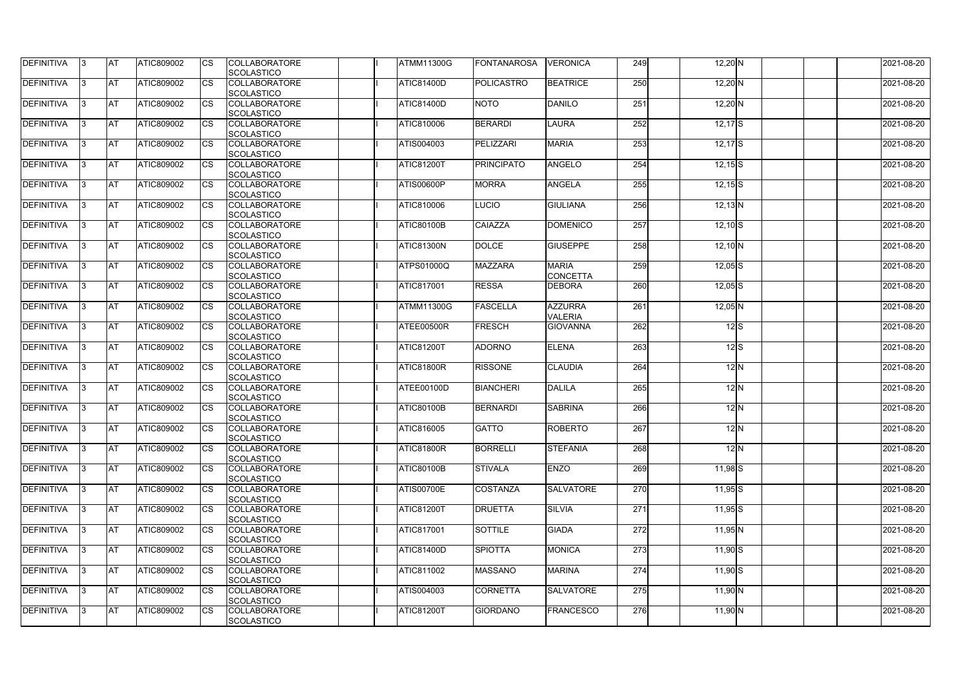| <b>DEFINITIVA</b> | IЗ  | <b>IAT</b> | <b>ATIC809002</b> | <b>CS</b>              | <b>COLLABORATORE</b><br>SCOLASTICO        | <b>ATMM11300G</b> | <b>FONTANAROSA</b> | <b>VERONICA</b>                 | 249 | $12,20$ N       |              | 2021-08-20 |
|-------------------|-----|------------|-------------------|------------------------|-------------------------------------------|-------------------|--------------------|---------------------------------|-----|-----------------|--------------|------------|
| DEFINITIVA        | ß.  | <b>AT</b>  | ATIC809002        | CS                     | <b>COLLABORATORE</b>                      | <b>ATIC81400D</b> | <b>POLICASTRO</b>  | <b>BEATRICE</b>                 | 250 | $12,20$ N       |              | 2021-08-20 |
|                   |     |            |                   |                        | SCOLASTICO                                |                   |                    |                                 |     |                 |              |            |
| <b>DEFINITIVA</b> | ß.  | <b>AT</b>  | ATIC809002        | CS                     | <b>COLLABORATORE</b><br><b>SCOLASTICO</b> | <b>ATIC81400D</b> | <b>NOTO</b>        | DANILO                          | 251 | $12,20$ N       |              | 2021-08-20 |
| <b>DEFINITIVA</b> |     | <b>AT</b>  | ATIC809002        | <b>CS</b>              | <b>COLLABORATORE</b>                      | <b>ATIC810006</b> | <b>BERARDI</b>     | <b>LAURA</b>                    | 252 | $12,17$ S       |              | 2021-08-20 |
|                   |     |            |                   |                        | <b>SCOLASTICO</b>                         |                   |                    |                                 |     |                 |              |            |
| <b>DEFINITIVA</b> |     | <b>AT</b>  | ATIC809002        | CS                     | <b>COLLABORATORE</b>                      | ATIS004003        | PELIZZARI          | <b>MARIA</b>                    | 253 | $12,17$ S       |              | 2021-08-20 |
|                   |     |            |                   |                        | SCOLASTICO                                |                   |                    |                                 |     |                 |              |            |
| <b>DEFINITIVA</b> | ß   | AT         | ATIC809002        | <b>CS</b>              | <b>COLLABORATORE</b><br>SCOLASTICO        | <b>ATIC81200T</b> | <b>PRINCIPATO</b>  | <b>ANGELO</b>                   | 254 | $12,15$ $S$     |              | 2021-08-20 |
| <b>DEFINITIVA</b> |     | <b>AT</b>  | ATIC809002        | <b>CS</b>              | <b>COLLABORATORE</b>                      | <b>ATIS00600P</b> | <b>MORRA</b>       | <b>ANGELA</b>                   | 255 | $12,15$ $S$     |              | 2021-08-20 |
|                   |     |            |                   |                        | SCOLASTICO                                |                   |                    |                                 |     |                 |              |            |
| DEFINITIVA        | 3   | <b>AT</b>  | ATIC809002        | <b>CS</b>              | <b>COLLABORATORE</b>                      | ATIC810006        | <b>LUCIO</b>       | <b>GIULIANA</b>                 | 256 | $12,13$ N       |              | 2021-08-20 |
|                   |     |            |                   |                        | <b>SCOLASTICO</b>                         |                   |                    |                                 |     |                 |              |            |
| <b>DEFINITIVA</b> | l3  | <b>AT</b>  | ATIC809002        | CS                     | <b>COLLABORATORE</b>                      | <b>ATIC80100B</b> | <b>CAIAZZA</b>     | <b>DOMENICO</b>                 | 257 | $12,10$ S       |              | 2021-08-20 |
|                   |     |            |                   |                        | <b>SCOLASTICO</b>                         |                   |                    |                                 |     |                 |              |            |
| <b>DEFINITIVA</b> |     | <b>AT</b>  | ATIC809002        | <b>CS</b>              | <b>COLLABORATORE</b>                      | ATIC81300N        | <b>DOLCE</b>       | <b>GIUSEPPE</b>                 | 258 | $12,10$ N       |              | 2021-08-20 |
|                   |     |            |                   |                        | <b>SCOLASTICO</b>                         |                   |                    |                                 |     |                 |              |            |
| <b>DEFINITIVA</b> |     | <b>AT</b>  | ATIC809002        | $\overline{\text{cs}}$ | <b>COLLABORATORE</b><br>SCOLASTICO        | ATPS01000Q        | <b>MAZZARA</b>     | <b>MARIA</b><br><b>CONCETTA</b> | 259 | $12,05$ S       |              | 2021-08-20 |
| <b>DEFINITIVA</b> | 3   | <b>AT</b>  | ATIC809002        | <b>CS</b>              | <b>COLLABORATORE</b><br>SCOLASTICO        | <b>ATIC817001</b> | <b>RESSA</b>       | <b>IDEBORA</b>                  | 260 | $12,05$ S       |              | 2021-08-20 |
| <b>DEFINITIVA</b> |     | <b>AT</b>  | ATIC809002        | CS                     | <b>COLLABORATORE</b>                      | <b>ATMM11300G</b> | <b>FASCELLA</b>    | <b>AZZURRA</b>                  | 261 | $12,05$ N       |              | 2021-08-20 |
|                   |     |            |                   |                        | <b>SCOLASTICO</b>                         |                   |                    | <b>VALERIA</b>                  |     |                 |              |            |
| <b>DEFINITIVA</b> |     | <b>AT</b>  | ATIC809002        | <b>CS</b>              | <b>COLLABORATORE</b><br>SCOLASTICO        | ATEE00500R        | <b>FRESCH</b>      | <b>GIOVANNA</b>                 | 262 | $12$ $\text{S}$ |              | 2021-08-20 |
| DEFINITIVA        | R   | <b>AT</b>  | ATIC809002        | CS                     | <b>COLLABORATORE</b>                      | <b>ATIC81200T</b> | <b>ADORNO</b>      | <b>ELENA</b>                    | 263 | $12$ S          |              | 2021-08-20 |
|                   |     |            |                   |                        | <b>SCOLASTICO</b>                         |                   |                    |                                 |     |                 |              |            |
| <b>DEFINITIVA</b> |     | <b>AT</b>  | <b>ATIC809002</b> | CS                     | <b>COLLABORATORE</b>                      | <b>ATIC81800R</b> | <b>RISSONE</b>     | <b>CLAUDIA</b>                  | 264 |                 | 12N          | 2021-08-20 |
|                   |     |            |                   |                        | <b>SCOLASTICO</b>                         |                   |                    |                                 |     |                 |              |            |
| <b>DEFINITIVA</b> |     | <b>AT</b>  | ATIC809002        | <b>CS</b>              | <b>COLLABORATORE</b>                      | ATEE00100D        | <b>BIANCHERI</b>   | <b>DALILA</b>                   | 265 |                 | $12\text{N}$ | 2021-08-20 |
|                   |     |            |                   |                        | SCOLASTICO                                |                   |                    |                                 |     |                 |              |            |
| <b>DEFINITIVA</b> |     | <b>AT</b>  | ATIC809002        | <b>CS</b>              | <b>COLLABORATORE</b>                      | <b>ATIC80100B</b> | <b>BERNARDI</b>    | <b>SABRINA</b>                  | 266 |                 | 12N          | 2021-08-20 |
| DEFINITIVA        |     | <b>AT</b>  | ATIC809002        | <b>CS</b>              | SCOLASTICO<br><b>COLLABORATORE</b>        | ATIC816005        | <b>GATTO</b>       | <b>ROBERTO</b>                  | 267 |                 | $12\vert N$  | 2021-08-20 |
|                   | 13. |            |                   |                        | SCOLASTICO                                |                   |                    |                                 |     |                 |              |            |
| <b>DEFINITIVA</b> | 3   | <b>AT</b>  | ATIC809002        | <b>CS</b>              | <b>COLLABORATORE</b>                      | <b>ATIC81800R</b> | <b>BORRELLI</b>    | <b>STEFANIA</b>                 | 268 |                 | $12\text{N}$ | 2021-08-20 |
|                   |     |            |                   |                        | <b>SCOLASTICO</b>                         |                   |                    |                                 |     |                 |              |            |
| <b>DEFINITIVA</b> | l3. | <b>AT</b>  | ATIC809002        | <b>CS</b>              | <b>COLLABORATORE</b>                      | <b>ATIC80100B</b> | <b>STIVALA</b>     | <b>ENZO</b>                     | 269 | $11,98$ $S$     |              | 2021-08-20 |
|                   |     |            |                   |                        | <b>SCOLASTICO</b>                         |                   |                    |                                 |     |                 |              |            |
| <b>DEFINITIVA</b> | 13. | <b>AT</b>  | ATIC809002        | <b>CS</b>              | <b>COLLABORATORE</b><br><b>SCOLASTICO</b> | <b>ATIS00700E</b> | <b>COSTANZA</b>    | <b>SALVATORE</b>                | 270 | $11,95$ S       |              | 2021-08-20 |
| <b>DEFINITIVA</b> |     | <b>AT</b>  | ATIC809002        | <b>CS</b>              | <b>COLLABORATORE</b>                      | <b>ATIC81200T</b> | <b>DRUETTA</b>     | <b>SILVIA</b>                   | 271 | $11,95$ S       |              | 2021-08-20 |
|                   |     |            |                   |                        | <b>SCOLASTICO</b>                         |                   |                    |                                 |     |                 |              |            |
| <b>DEFINITIVA</b> | ß   | <b>AT</b>  | ATIC809002        | <b>CS</b>              | <b>COLLABORATORE</b>                      | ATIC817001        | <b>SOTTILE</b>     | <b>GIADA</b>                    | 272 | 11,95 N         |              | 2021-08-20 |
|                   |     |            |                   |                        | <b>SCOLASTICO</b>                         |                   |                    |                                 |     |                 |              |            |
| <b>DEFINITIVA</b> | l3  | <b>AT</b>  | ATIC809002        | <b>CS</b>              | <b>COLLABORATORE</b>                      | <b>ATIC81400D</b> | <b>SPIOTTA</b>     | <b>MONICA</b>                   | 273 | $11,90$ S       |              | 2021-08-20 |
|                   |     |            |                   |                        | SCOLASTICO                                |                   |                    |                                 |     |                 |              |            |
| DEFINITIVA        |     | <b>AT</b>  | ATIC809002        | <b>CS</b>              | <b>COLLABORATORE</b>                      | ATIC811002        | <b>MASSANO</b>     | <b>MARINA</b>                   | 274 | $11,90$ S       |              | 2021-08-20 |
|                   |     |            |                   |                        | <b>SCOLASTICO</b>                         |                   |                    |                                 |     |                 |              |            |
| DEFINITIVA        | IЗ  | <b>AT</b>  | ATIC809002        | <b>CS</b>              | <b>COLLABORATORE</b>                      | ATIS004003        | <b>CORNETTA</b>    | <b>SALVATORE</b>                | 275 | $11,90$ N       |              | 2021-08-20 |
| <b>DEFINITIVA</b> |     |            |                   |                        | <b>SCOLASTICO</b>                         |                   |                    |                                 |     |                 |              |            |
|                   | 13. | <b>AT</b>  | ATIC809002        | <b>CS</b>              | <b>COLLABORATORE</b><br>SCOLASTICO        | <b>ATIC81200T</b> | <b>GIORDANO</b>    | <b>FRANCESCO</b>                | 276 | $11,90$ N       |              | 2021-08-20 |
|                   |     |            |                   |                        |                                           |                   |                    |                                 |     |                 |              |            |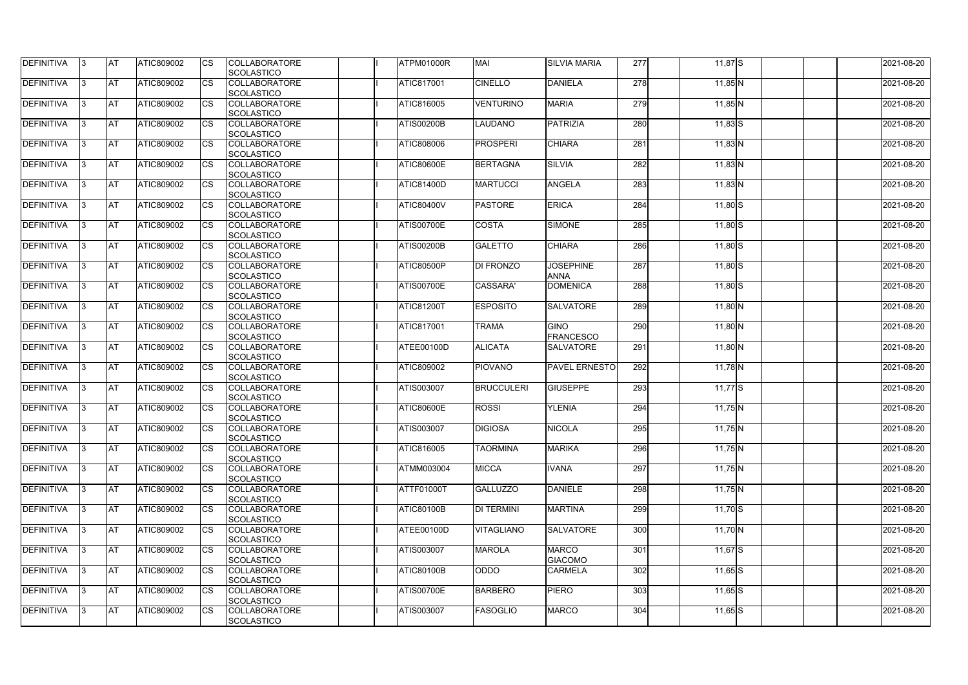| <b>DEFINITIVA</b> | IЗ  | <b>AT</b>  | <b>ATIC809002</b> | <b>CS</b>              | <b>COLLABORATORE</b><br>SCOLASTICO        | ATPM01000R        | <b>MAI</b>        | <b>SILVIA MARIA</b>             | 277 | $11,87$ S   | 2021-08-20 |
|-------------------|-----|------------|-------------------|------------------------|-------------------------------------------|-------------------|-------------------|---------------------------------|-----|-------------|------------|
| <b>DEFINITIVA</b> | R   | <b>AT</b>  | ATIC809002        | <b>CS</b>              | <b>COLLABORATORE</b><br><b>SCOLASTICO</b> | <b>ATIC817001</b> | <b>CINELLO</b>    | <b>DANIELA</b>                  | 278 | $11,85$ N   | 2021-08-20 |
| <b>DEFINITIVA</b> | R   | <b>AT</b>  | ATIC809002        | CS                     | <b>COLLABORATORE</b><br>SCOLASTICO        | ATIC816005        | <b>VENTURINO</b>  | <b>MARIA</b>                    | 279 | $11,85$ N   | 2021-08-20 |
| <b>DEFINITIVA</b> |     | <b>AT</b>  | ATIC809002        | <b>CS</b>              | <b>COLLABORATORE</b><br>SCOLASTICO        | <b>ATIS00200B</b> | <b>LAUDANO</b>    | <b>PATRIZIA</b>                 | 280 | $11,83$ S   | 2021-08-20 |
| <b>DEFINITIVA</b> |     | <b>AT</b>  | ATIC809002        | CS                     | <b>COLLABORATORE</b><br>SCOLASTICO        | ATIC808006        | <b>PROSPERI</b>   | <b>CHIARA</b>                   | 281 | $11,83$ N   | 2021-08-20 |
| <b>DEFINITIVA</b> |     | <b>IAT</b> | ATIC809002        | <b>CS</b>              | <b>COLLABORATORE</b><br><b>SCOLASTICO</b> | <b>ATIC80600E</b> | <b>BERTAGNA</b>   | <b>SILVIA</b>                   | 282 | $11,83$ N   | 2021-08-20 |
| DEFINITIVA        |     | <b>AT</b>  | ATIC809002        | <b>CS</b>              | <b>COLLABORATORE</b><br>SCOLASTICO        | <b>ATIC81400D</b> | <b>MARTUCCI</b>   | <b>ANGELA</b>                   | 283 | $11,83$ N   | 2021-08-20 |
| <b>DEFINITIVA</b> | ß   | <b>AT</b>  | ATIC809002        | CS                     | <b>COLLABORATORE</b><br><b>SCOLASTICO</b> | <b>ATIC80400V</b> | <b>PASTORE</b>    | <b>ERICA</b>                    | 284 | $11,80$ S   | 2021-08-20 |
| <b>DEFINITIVA</b> | R   | <b>AT</b>  | ATIC809002        | <b>CS</b>              | <b>COLLABORATORE</b><br><b>SCOLASTICO</b> | <b>ATIS00700E</b> | <b>COSTA</b>      | <b>SIMONE</b>                   | 285 | $11,80$ S   | 2021-08-20 |
| <b>DEFINITIVA</b> |     | <b>AT</b>  | ATIC809002        | <b>CS</b>              | <b>COLLABORATORE</b><br><b>SCOLASTICO</b> | <b>ATIS00200B</b> | <b>GALETTO</b>    | <b>CHIARA</b>                   | 286 | $11,80$ S   | 2021-08-20 |
| <b>DEFINITIVA</b> |     | <b>AT</b>  | ATIC809002        | <b>CS</b>              | <b>COLLABORATORE</b><br>SCOLASTICO        | <b>ATIC80500P</b> | <b>DI FRONZO</b>  | <b>JOSEPHINE</b><br><b>ANNA</b> | 287 | $11,80$ S   | 2021-08-20 |
| <b>DEFINITIVA</b> | R   | <b>AT</b>  | ATIC809002        | $\overline{\text{cs}}$ | <b>COLLABORATORE</b><br>SCOLASTICO        | <b>ATIS00700E</b> | CASSARA'          | <b>DOMENICA</b>                 | 288 | $11,80$ S   | 2021-08-20 |
| DEFINITIVA        |     | <b>AT</b>  | ATIC809002        | <b>CS</b>              | <b>COLLABORATORE</b><br>SCOLASTICO        | <b>ATIC81200T</b> | <b>ESPOSITO</b>   | <b>SALVATORE</b>                | 289 | $11,80$ N   | 2021-08-20 |
| DEFINITIVA        | з   | <b>AT</b>  | ATIC809002        | CS                     | <b>COLLABORATORE</b><br><b>SCOLASTICO</b> | <b>ATIC817001</b> | <b>TRAMA</b>      | <b>GINO</b><br><b>FRANCESCO</b> | 290 | $11,80$ N   | 2021-08-20 |
| <b>DEFINITIVA</b> | R   | <b>AT</b>  | ATIC809002        | CS                     | <b>COLLABORATORE</b><br><b>SCOLASTICO</b> | ATEE00100D        | <b>ALICATA</b>    | <b>SALVATORE</b>                | 291 | $11,80$ N   | 2021-08-20 |
| <b>DEFINITIVA</b> |     | <b>AT</b>  | ATIC809002        | <b>CS</b>              | <b>COLLABORATORE</b><br><b>SCOLASTICO</b> | <b>ATIC809002</b> | <b>PIOVANO</b>    | <b>PAVEL ERNESTO</b>            | 292 | $11,78$ N   | 2021-08-20 |
| <b>DEFINITIVA</b> |     | <b>AT</b>  | ATIC809002        | CS                     | <b>COLLABORATORE</b><br><b>SCOLASTICO</b> | <b>ATIS003007</b> | <b>BRUCCULERI</b> | <b>GIUSEPPE</b>                 | 293 | $11,77$ S   | 2021-08-20 |
| <b>DEFINITIVA</b> |     | <b>AT</b>  | ATIC809002        | CS                     | <b>COLLABORATORE</b><br>SCOLASTICO        | <b>ATIC80600E</b> | <b>ROSSI</b>      | <b>YLENIA</b>                   | 294 | 11,75 $N$   | 2021-08-20 |
| <b>DEFINITIVA</b> | 13. | <b>AT</b>  | ATIC809002        | <b>CS</b>              | <b>COLLABORATORE</b><br><b>SCOLASTICO</b> | <b>ATIS003007</b> | <b>DIGIOSA</b>    | <b>NICOLA</b>                   | 295 | $11,75$ N   | 2021-08-20 |
| DEFINITIVA        | 3   | <b>AT</b>  | ATIC809002        | <b>CS</b>              | <b>COLLABORATORE</b><br><b>SCOLASTICO</b> | <b>ATIC816005</b> | <b>TAORMINA</b>   | <b>MARIKA</b>                   | 296 | $11,75$ N   | 2021-08-20 |
| <b>DEFINITIVA</b> | IЗ  | <b>AT</b>  | ATIC809002        | <b>CS</b>              | <b>COLLABORATORE</b><br><b>SCOLASTICO</b> | <b>ATMM003004</b> | <b>MICCA</b>      | <b>IVANA</b>                    | 297 | $11,75$ N   | 2021-08-20 |
| <b>DEFINITIVA</b> |     | <b>AT</b>  | ATIC809002        | <b>CS</b>              | <b>COLLABORATORE</b><br><b>SCOLASTICO</b> | <b>ATTF01000T</b> | <b>GALLUZZO</b>   | <b>DANIELE</b>                  | 298 | $11,75$ N   | 2021-08-20 |
| <b>DEFINITIVA</b> |     | <b>AT</b>  | ATIC809002        | <b>CS</b>              | <b>COLLABORATORE</b><br><b>SCOLASTICO</b> | <b>ATIC80100B</b> | <b>DI TERMINI</b> | <b>MARTINA</b>                  | 299 | $11,70$ S   | 2021-08-20 |
| <b>DEFINITIVA</b> | IЗ  | <b>AT</b>  | ATIC809002        | <b>CS</b>              | <b>COLLABORATORE</b><br><b>SCOLASTICO</b> | ATEE00100D        | <b>VITAGLIANO</b> | <b>SALVATORE</b>                | 300 | $11,70$ N   | 2021-08-20 |
| <b>DEFINITIVA</b> | 3   | <b>AT</b>  | ATIC809002        | <b>CS</b>              | <b>COLLABORATORE</b><br>SCOLASTICO        | <b>ATIS003007</b> | <b>MAROLA</b>     | <b>MARCO</b><br><b>GIACOMO</b>  | 301 | $11,67$ $S$ | 2021-08-20 |
| DEFINITIVA        | ß.  | <b>AT</b>  | ATIC809002        | <b>CS</b>              | <b>COLLABORATORE</b><br><b>SCOLASTICO</b> | <b>ATIC80100B</b> | <b>ODDO</b>       | <b>CARMELA</b>                  | 302 | $11,65$ S   | 2021-08-20 |
| DEFINITIVA        | IЗ  | <b>AT</b>  | ATIC809002        | <b>CS</b>              | <b>COLLABORATORE</b><br><b>SCOLASTICO</b> | <b>ATIS00700E</b> | <b>BARBERO</b>    | <b>PIERO</b>                    | 303 | $11,65$ S   | 2021-08-20 |
| <b>DEFINITIVA</b> | ß.  | <b>AT</b>  | ATIC809002        | <b>CS</b>              | <b>COLLABORATORE</b><br>SCOLASTICO        | ATIS003007        | FASOGLIO          | <b>MARCO</b>                    | 304 | $11,65$ S   | 2021-08-20 |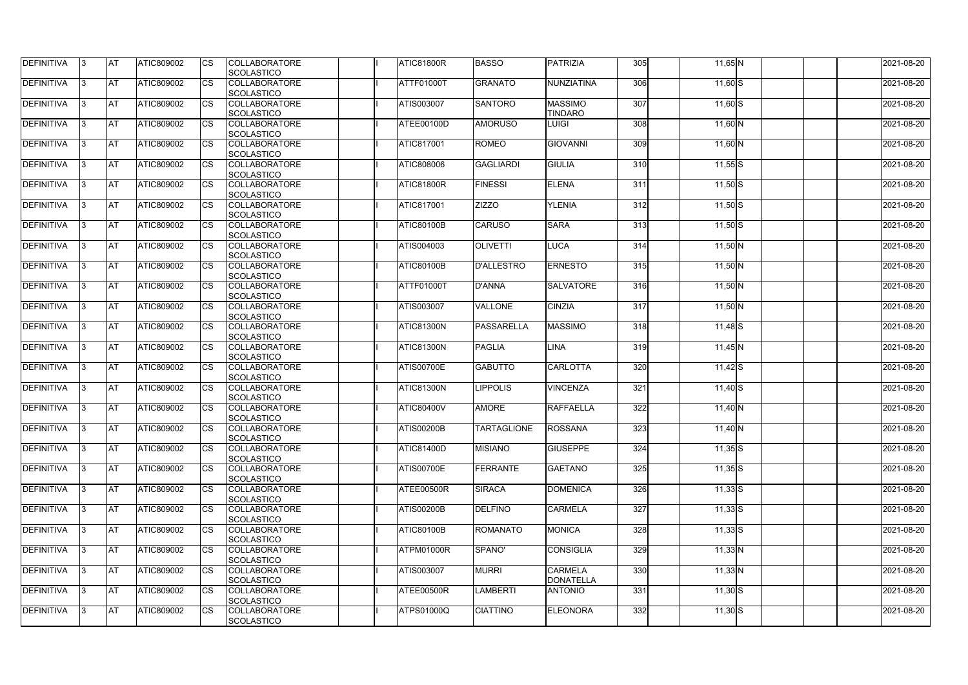| <b>DEFINITIVA</b> | 13  | <b>AT</b> | ATIC809002        | Ics                    | <b>COLLABORATORE</b><br><b>SCOLASTICO</b> | <b>ATIC81800R</b> | <b>BASSO</b>       | <b>PATRIZIA</b>                  | 305 | $11,65$ N   | 2021-08-20 |
|-------------------|-----|-----------|-------------------|------------------------|-------------------------------------------|-------------------|--------------------|----------------------------------|-----|-------------|------------|
| <b>DEFINITIVA</b> |     | <b>AT</b> | ATIC809002        | Ics                    | <b>COLLABORATORE</b><br><b>SCOLASTICO</b> | ATTF01000T        | <b>GRANATO</b>     | NUNZIATINA                       | 306 | $11,60$ S   | 2021-08-20 |
| DEFINITIVA        |     | <b>AT</b> | ATIC809002        | Ics                    | <b>COLLABORATORE</b><br><b>SCOLASTICO</b> | ATIS003007        | <b>SANTORO</b>     | <b>MASSIMO</b><br><b>TINDARO</b> | 307 | 11,60 S     | 2021-08-20 |
| DEFINITIVA        | ıз  | <b>AT</b> | ATIC809002        | Ics                    | <b>COLLABORATORE</b><br><b>SCOLASTICO</b> | ATEE00100D        | <b>AMORUSO</b>     | <b>LUIGI</b>                     | 308 | $11,60$ N   | 2021-08-20 |
| DEFINITIVA        |     | <b>AT</b> | ATIC809002        | <b>CS</b>              | <b>COLLABORATORE</b><br><b>SCOLASTICO</b> | <b>ATIC817001</b> | ROMEO              | <b>GIOVANNI</b>                  | 309 | $11,60$ N   | 2021-08-20 |
| <b>DEFINITIVA</b> |     | <b>AT</b> | ATIC809002        | Ics                    | <b>COLLABORATORE</b><br><b>SCOLASTICO</b> | ATIC808006        | <b>GAGLIARDI</b>   | <b>GIULIA</b>                    | 310 | $11,55$ S   | 2021-08-20 |
| DEFINITIVA        | ıз  | <b>AT</b> | ATIC809002        | Ics                    | <b>COLLABORATORE</b><br><b>SCOLASTICO</b> | <b>ATIC81800R</b> | <b>FINESSI</b>     | <b>ELENA</b>                     | 311 | $11,50$ S   | 2021-08-20 |
| <b>DEFINITIVA</b> |     | AT        | ATIC809002        | <b>CS</b>              | <b>COLLABORATORE</b><br><b>SCOLASTICO</b> | ATIC817001        | <b>ZIZZO</b>       | <b>YLENIA</b>                    | 312 | $11,50$ S   | 2021-08-20 |
| DEFINITIVA        |     | <b>AT</b> | ATIC809002        | $\overline{\text{cs}}$ | <b>COLLABORATORE</b><br><b>SCOLASTICO</b> | <b>ATIC80100B</b> | <b>CARUSO</b>      | <b>SARA</b>                      | 313 | $11,50$ S   | 2021-08-20 |
| DEFINITIVA        |     | <b>AT</b> | ATIC809002        | $\overline{\text{cs}}$ | <b>COLLABORATORE</b><br>SCOLASTICO        | ATIS004003        | <b>OLIVETTI</b>    | <b>LUCA</b>                      | 314 | $11,50$ N   | 2021-08-20 |
| <b>DEFINITIVA</b> |     | AT        | <b>ATIC809002</b> | <b>CS</b>              | <b>COLLABORATORE</b><br><b>SCOLASTICO</b> | <b>ATIC80100B</b> | <b>D'ALLESTRO</b>  | <b>ERNESTO</b>                   | 315 | $11,50$ N   | 2021-08-20 |
| <b>DEFINITIVA</b> |     | <b>AT</b> | ATIC809002        | <b>CS</b>              | <b>COLLABORATORE</b><br><b>SCOLASTICO</b> | <b>ATTF01000T</b> | <b>D'ANNA</b>      | <b>SALVATORE</b>                 | 316 | $11,50$ N   | 2021-08-20 |
| <b>DEFINITIVA</b> | l3  | <b>AT</b> | ATIC809002        |                        | <b>COLLABORATORE</b><br><b>SCOLASTICO</b> | ATIS003007        | <b>VALLONE</b>     | <b>CINZIA</b>                    | 317 | $11,50$ N   | 2021-08-20 |
| <b>DEFINITIVA</b> | ß   | <b>AT</b> | ATIC809002        | Ics                    | <b>COLLABORATORE</b><br><b>SCOLASTICO</b> | <b>ATIC81300N</b> | <b>PASSARELLA</b>  | <b>MASSIMO</b>                   | 318 | $11,48$ $S$ | 2021-08-20 |
| DEFINITIVA        | ıз  | <b>AT</b> | ATIC809002        | <b>CS</b>              | <b>COLLABORATORE</b><br><b>SCOLASTICO</b> | <b>ATIC81300N</b> | <b>PAGLIA</b>      | <b>LINA</b>                      | 319 | 11,45 N     | 2021-08-20 |
| DEFINITIVA        |     | <b>AT</b> | ATIC809002        | Ics                    | <b>COLLABORATORE</b><br><b>SCOLASTICO</b> | <b>ATIS00700E</b> | <b>GABUTTO</b>     | <b>CARLOTTA</b>                  | 320 | $11,42$ S   | 2021-08-20 |
| <b>DEFINITIVA</b> |     | <b>AT</b> | ATIC809002        | <b>CS</b>              | <b>COLLABORATORE</b><br><b>SCOLASTICO</b> | <b>ATIC81300N</b> | <b>IPPOLIS</b>     | <b>VINCENZA</b>                  | 321 | $11,40$ S   | 2021-08-20 |
| DEFINITIVA        |     | <b>AT</b> | ATIC809002        | <b>CS</b>              | <b>COLLABORATORE</b><br>SCOLASTICO        | <b>ATIC80400V</b> | <b>AMORE</b>       | <b>RAFFAELLA</b>                 | 322 | $11,40$ N   | 2021-08-20 |
| <b>DEFINITIVA</b> | 13. | <b>AT</b> | ATIC809002        |                        | <b>COLLABORATORE</b><br><b>SCOLASTICO</b> | <b>ATIS00200B</b> | <b>TARTAGLIONE</b> | <b>ROSSANA</b>                   | 323 | $11,40$ N   | 2021-08-20 |
| DEFINITIVA        | IЗ  | <b>AT</b> | <b>ATIC809002</b> | Ics                    | <b>COLLABORATORE</b><br><b>SCOLASTICO</b> | <b>ATIC81400D</b> | <b>MISIANO</b>     | <b>GIUSEPPE</b>                  | 324 | $11,35$ S   | 2021-08-20 |
| <b>DEFINITIVA</b> | I3  | <b>AT</b> | ATIC809002        | Ics                    | <b>COLLABORATORE</b><br><b>SCOLASTICO</b> | <b>ATIS00700E</b> | <b>FERRANTE</b>    | <b>GAETANO</b>                   | 325 | $11,35$ S   | 2021-08-20 |
| DEFINITIVA        |     | <b>AT</b> | ATIC809002        | Ics                    | <b>COLLABORATORE</b><br><b>SCOLASTICO</b> | ATEE00500R        | <b>SIRACA</b>      | <b>DOMENICA</b>                  | 326 | $11,33$ $S$ | 2021-08-20 |
| DEFINITIVA        |     | <b>AT</b> | ATIC809002        | <b>CS</b>              | <b>COLLABORATORE</b><br><b>SCOLASTICO</b> | <b>ATIS00200B</b> | <b>DELFINO</b>     | <b>CARMELA</b>                   | 327 | $11,33$ S   | 2021-08-20 |
| <b>DEFINITIVA</b> | ıз  | <b>AT</b> | ATIC809002        | Ics                    | <b>COLLABORATORE</b><br><b>SCOLASTICO</b> | <b>ATIC80100B</b> | <b>ROMANATO</b>    | <b>MONICA</b>                    | 328 | $11,33$ S   | 2021-08-20 |
| <b>DEFINITIVA</b> |     | AT        | ATIC809002        | Ics                    | <b>COLLABORATORE</b><br><b>SCOLASTICO</b> | ATPM01000R        | SPANO'             | <b>CONSIGLIA</b>                 | 329 | $11,33$ N   | 2021-08-20 |
| DEFINITIVA        | ıз  | <b>AT</b> | ATIC809002        | Ics                    | <b>COLLABORATORE</b><br><b>SCOLASTICO</b> | ATIS003007        | <b>MURRI</b>       | <b>CARMELA</b><br>DONATELLA      | 330 | $11,33$ N   | 2021-08-20 |
| <b>DEFINITIVA</b> | 13  | <b>AT</b> | <b>ATIC809002</b> | <b>ICS</b>             | <b>COLLABORATORE</b><br><b>SCOLASTICO</b> | ATEE00500R        | <b>LAMBERTI</b>    | <b>ANTONIO</b>                   | 331 | $11,30$ S   | 2021-08-20 |
| <b>DEFINITIVA</b> |     | <b>AT</b> | ATIC809002        | Ics                    | <b>COLLABORATORE</b><br><b>SCOLASTICO</b> | <b>ATPS01000Q</b> | <b>CIATTINO</b>    | <b>ELEONORA</b>                  | 332 | $11,30$ S   | 2021-08-20 |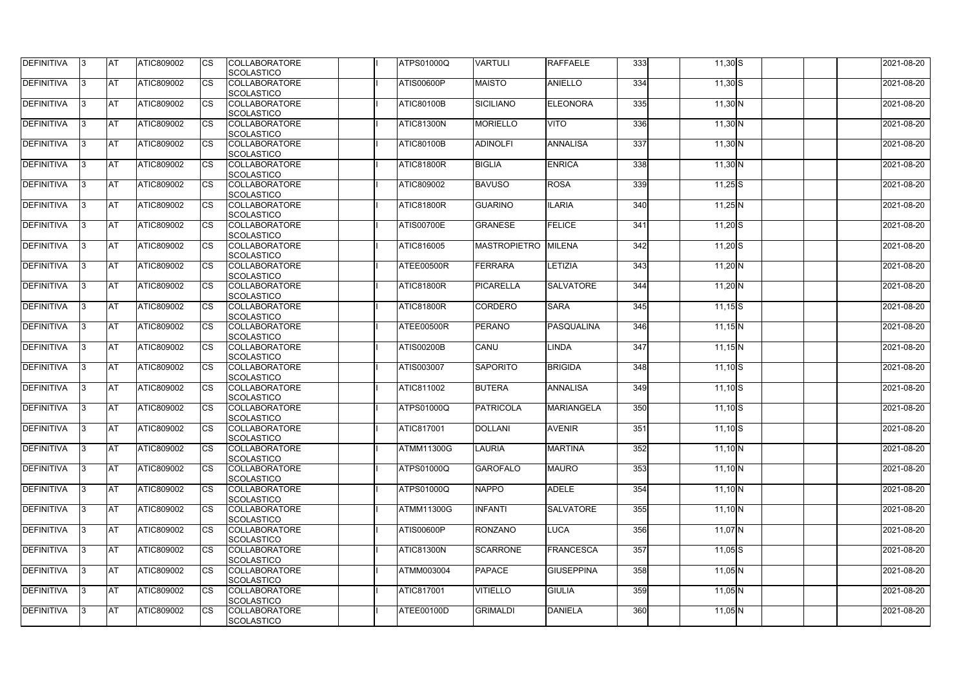| DEFINITIVA        | 13. | <b>JAT</b> | ATIC809002        | Ics        | <b>COLLABORATORE</b> | <b>ATPS01000Q</b> | <b>VARTULI</b>      | <b>RAFFAELE</b>   | 333              | $11,30$ S   | 2021-08-20 |
|-------------------|-----|------------|-------------------|------------|----------------------|-------------------|---------------------|-------------------|------------------|-------------|------------|
|                   |     |            |                   |            | <b>SCOLASTICO</b>    |                   |                     |                   |                  |             |            |
| <b>DEFINITIVA</b> | l3  | <b>AT</b>  | ATIC809002        | <b>CS</b>  | <b>COLLABORATORE</b> | <b>ATIS00600P</b> | <b>MAISTO</b>       | <b>ANIELLO</b>    | 334              | $11,30$ S   | 2021-08-20 |
|                   |     |            |                   |            | <b>SCOLASTICO</b>    |                   |                     |                   |                  |             |            |
| DEFINITIVA        | l3  | <b>AT</b>  | ATIC809002        | <b>CS</b>  | <b>COLLABORATORE</b> | <b>ATIC80100B</b> | <b>SICILIANO</b>    | <b>ELEONORA</b>   | 335              | $11,30$ N   | 2021-08-20 |
|                   |     |            |                   |            | <b>SCOLASTICO</b>    |                   |                     |                   |                  |             |            |
| DEFINITIVA        |     | <b>AT</b>  | ATIC809002        | Ics        | <b>COLLABORATORE</b> | <b>ATIC81300N</b> | <b>MORIELLO</b>     | <b>VITO</b>       | 336              | $11,30$ N   | 2021-08-20 |
|                   |     |            |                   |            | <b>SCOLASTICO</b>    |                   |                     |                   |                  |             |            |
| DEFINITIVA        |     | <b>AT</b>  | <b>ATIC809002</b> | <b>CS</b>  | <b>COLLABORATORE</b> | <b>ATIC80100B</b> | <b>ADINOLFI</b>     | ANNALISA          | 337              | $11,30$ N   | 2021-08-20 |
|                   |     |            |                   |            | <b>SCOLASTICO</b>    |                   |                     |                   |                  |             |            |
| <b>DEFINITIVA</b> |     | AT         | <b>ATIC809002</b> | <b>ICS</b> | <b>COLLABORATORE</b> | <b>ATIC81800R</b> | <b>BIGLIA</b>       | <b>ENRICA</b>     | 338              |             | 2021-08-20 |
|                   |     |            |                   |            |                      |                   |                     |                   |                  | $11,30$ N   |            |
|                   |     |            |                   |            | <b>SCOLASTICO</b>    |                   |                     |                   |                  |             |            |
| DEFINITIVA        |     | <b>AT</b>  | ATIC809002        | Ics        | <b>COLLABORATORE</b> | <b>ATIC809002</b> | <b>BAVUSO</b>       | <b>ROSA</b>       | 339              | $11,25$ S   | 2021-08-20 |
|                   |     |            |                   |            | <b>SCOLASTICO</b>    |                   |                     |                   |                  |             |            |
| <b>DEFINITIVA</b> | ıз  | <b>AT</b>  | ATIC809002        | Ics        | <b>COLLABORATORE</b> | <b>ATIC81800R</b> | <b>GUARINO</b>      | <b>ILARIA</b>     | 340              | $11,25$ N   | 2021-08-20 |
|                   |     |            |                   |            | <b>SCOLASTICO</b>    |                   |                     |                   |                  |             |            |
| DEFINITIVA        | I3  | <b>AT</b>  | ATIC809002        | <b>CS</b>  | <b>COLLABORATORE</b> | <b>ATIS00700E</b> | <b>GRANESE</b>      | <b>FELICE</b>     | 341              | $11,20$ S   | 2021-08-20 |
|                   |     |            |                   |            | <b>SCOLASTICO</b>    |                   |                     |                   |                  |             |            |
| <b>DEFINITIVA</b> |     | <b>AT</b>  | ATIC809002        | <b>CS</b>  | <b>COLLABORATORE</b> | ATIC816005        | <b>MASTROPIETRO</b> | <b>MILENA</b>     | 342              | $11,20$ S   | 2021-08-20 |
|                   |     |            |                   |            | <b>SCOLASTICO</b>    |                   |                     |                   |                  |             |            |
| <b>DEFINITIVA</b> |     | AT         | ATIC809002        | <b>CS</b>  | <b>COLLABORATORE</b> | ATEE00500R        | <b>FERRARA</b>      | LETIZIA           | $\overline{343}$ | $11,20$ N   | 2021-08-20 |
|                   |     |            |                   |            | <b>SCOLASTICO</b>    |                   |                     |                   |                  |             |            |
| DEFINITIVA        | I3  | <b>AT</b>  | ATIC809002        |            | <b>COLLABORATORE</b> | <b>ATIC81800R</b> | <b>PICARELLA</b>    | <b>SALVATORE</b>  | 344              | $11,20$ N   | 2021-08-20 |
|                   |     |            |                   |            |                      |                   |                     |                   |                  |             |            |
|                   |     |            |                   |            | <b>SCOLASTICO</b>    |                   |                     |                   |                  |             |            |
| <b>DEFINITIVA</b> |     | <b>JAT</b> | ATIC809002        |            | <b>COLLABORATORE</b> | <b>ATIC81800R</b> | CORDERO             | <b>SARA</b>       | 345              | $11,15$ $S$ | 2021-08-20 |
|                   |     |            |                   |            | <b>SCOLASTICO</b>    |                   |                     |                   |                  |             |            |
| <b>DEFINITIVA</b> |     | <b>AT</b>  | ATIC809002        | Ics        | <b>COLLABORATORE</b> | ATEE00500R        | <b>PERANO</b>       | PASQUALINA        | 346              | $11,15$ N   | 2021-08-20 |
|                   |     |            |                   |            | <b>SCOLASTICO</b>    |                   |                     |                   |                  |             |            |
| DEFINITIVA        | l3  | <b>AT</b>  | <b>ATIC809002</b> | Ics        | <b>COLLABORATORE</b> | <b>ATIS00200B</b> | CANU                | <b>LINDA</b>      | 347              | $11,15$ N   | 2021-08-20 |
|                   |     |            |                   |            | <b>SCOLASTICO</b>    |                   |                     |                   |                  |             |            |
| DEFINITIVA        |     | <b>AT</b>  | ATIC809002        | <b>CS</b>  | <b>COLLABORATORE</b> | ATIS003007        | <b>SAPORITO</b>     | <b>BRIGIDA</b>    | 348              | $11,10$ S   | 2021-08-20 |
|                   |     |            |                   |            | <b>SCOLASTICO</b>    |                   |                     |                   |                  |             |            |
| DEFINITIVA        |     | <b>AT</b>  | ATIC809002        | <b>CS</b>  | <b>COLLABORATORE</b> | ATIC811002        | <b>BUTERA</b>       | <b>ANNALISA</b>   | 349              | $11,10$ S   | 2021-08-20 |
|                   |     |            |                   |            | <b>SCOLASTICO</b>    |                   |                     |                   |                  |             |            |
| <b>DEFINITIVA</b> |     | <b>AT</b>  | ATIC809002        | <b>CS</b>  | <b>COLLABORATORE</b> | ATPS01000Q        | <b>PATRICOLA</b>    | MARIANGELA        | 350              | $11,10$ S   | 2021-08-20 |
|                   |     |            |                   |            | <b>SCOLASTICO</b>    |                   |                     |                   |                  |             |            |
|                   |     | <b>AT</b>  |                   |            | <b>COLLABORATORE</b> | <b>ATIC817001</b> | <b>DOLLANI</b>      | <b>AVENIR</b>     | 351              |             |            |
| <b>DEFINITIVA</b> | 13. |            | ATIC809002        |            |                      |                   |                     |                   |                  | $11,10$ S   | 2021-08-20 |
|                   |     |            |                   |            | <b>SCOLASTICO</b>    |                   |                     |                   |                  |             |            |
| <b>DEFINITIVA</b> | IЗ  | AT         | <b>ATIC809002</b> | Ics        | <b>COLLABORATORE</b> | <b>ATMM11300G</b> | <b>LAURIA</b>       | <b>MARTINA</b>    | 352              | $11,10$ N   | 2021-08-20 |
|                   |     |            |                   |            | <b>SCOLASTICO</b>    |                   |                     |                   |                  |             |            |
| <b>DEFINITIVA</b> | l3  | <b>AT</b>  | ATIC809002        | Ics        | <b>COLLABORATORE</b> | <b>ATPS01000Q</b> | <b>GAROFALO</b>     | <b>MAURO</b>      | 353              | $11,10$ N   | 2021-08-20 |
|                   |     |            |                   |            | <b>SCOLASTICO</b>    |                   |                     |                   |                  |             |            |
| DEFINITIVA        | I3  | <b>AT</b>  | ATIC809002        | Ics        | <b>COLLABORATORE</b> | <b>ATPS01000Q</b> | <b>NAPPO</b>        | <b>ADELE</b>      | 354              | $11,10$ N   | 2021-08-20 |
|                   |     |            |                   |            | <b>SCOLASTICO</b>    |                   |                     |                   |                  |             |            |
| <b>DEFINITIVA</b> |     | <b>AT</b>  | ATIC809002        | Ics        | <b>COLLABORATORE</b> | <b>ATMM11300G</b> | <b>INFANTI</b>      | <b>SALVATORE</b>  | 355              | $11,10$ N   | 2021-08-20 |
|                   |     |            |                   |            | <b>SCOLASTICO</b>    |                   |                     |                   |                  |             |            |
| <b>DEFINITIVA</b> | ıз  | <b>AT</b>  | ATIC809002        | Ics        | <b>COLLABORATORE</b> | <b>ATIS00600P</b> | <b>RONZANO</b>      | <b>LUCA</b>       | 356              | $11,07$ N   | 2021-08-20 |
|                   |     |            |                   |            | <b>SCOLASTICO</b>    |                   |                     |                   |                  |             |            |
| <b>DEFINITIVA</b> | ıз  | <b>AT</b>  | <b>ATIC809002</b> |            | <b>COLLABORATORE</b> | <b>ATIC81300N</b> | <b>SCARRONE</b>     | FRANCESCA         | 357              | $11,05$ S   | 2021-08-20 |
|                   |     |            |                   |            |                      |                   |                     |                   |                  |             |            |
|                   |     |            |                   |            | <b>SCOLASTICO</b>    |                   |                     |                   |                  |             |            |
| <b>DEFINITIVA</b> | IЗ  | <b>AT</b>  | ATIC809002        | Ics        | <b>COLLABORATORE</b> | <b>ATMM003004</b> | <b>PAPACE</b>       | <b>GIUSEPPINA</b> | 358              | $11,05$ N   | 2021-08-20 |
|                   |     |            |                   |            | <b>SCOLASTICO</b>    |                   |                     |                   |                  |             |            |
| <b>DEFINITIVA</b> | ıз  | <b>AT</b>  | <b>ATIC809002</b> | <b>ICS</b> | <b>COLLABORATORE</b> | <b>ATIC817001</b> | <b>VITIELLO</b>     | <b>GIULIA</b>     | 359              | $11,05$ N   | 2021-08-20 |
|                   |     |            |                   |            | <b>SCOLASTICO</b>    |                   |                     |                   |                  |             |            |
| <b>DEFINITIVA</b> | I3  | <b>AT</b>  | ATIC809002        | Ics        | <b>COLLABORATORE</b> | ATEE00100D        | <b>GRIMALDI</b>     | <b>DANIELA</b>    | 360              | $11,05$ N   | 2021-08-20 |
|                   |     |            |                   |            | SCOLASTICO           |                   |                     |                   |                  |             |            |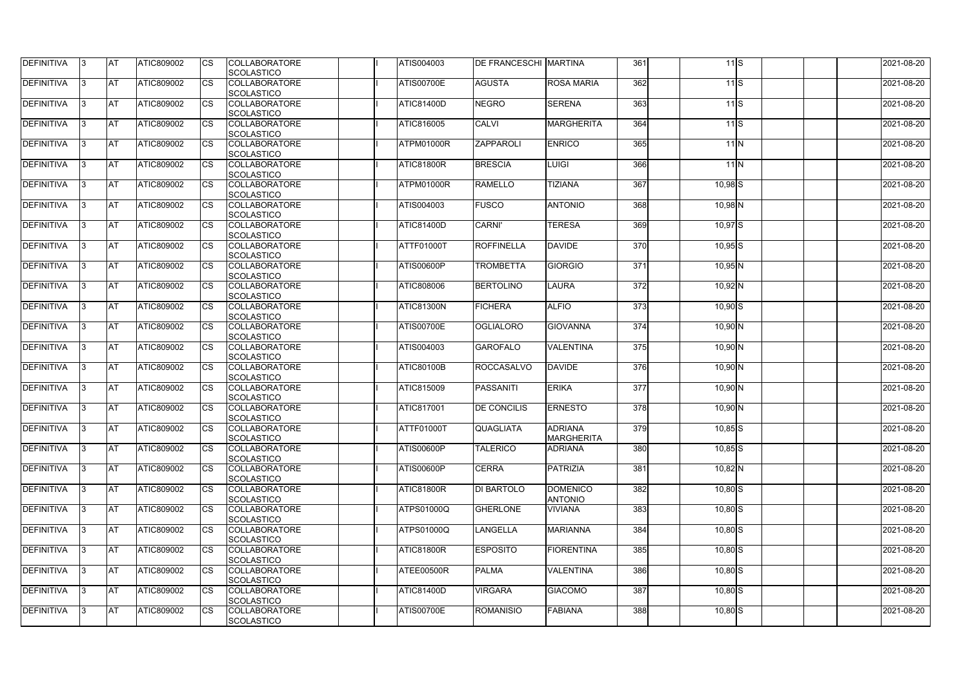| <b>DEFINITIVA</b> | 13.       | <b>AT</b>  | ATIC809002        | Ics         | <b>COLLABORATORE</b><br><b>SCOLASTICO</b> | ATIS004003        | <b>DE FRANCESCHI MARTINA</b> |                                     | 361              | 11S         | 2021-08-20 |
|-------------------|-----------|------------|-------------------|-------------|-------------------------------------------|-------------------|------------------------------|-------------------------------------|------------------|-------------|------------|
| DEFINITIVA        | l3        | <b>AT</b>  | ATIC809002        | Ics         | <b>COLLABORATORE</b><br><b>SCOLASTICO</b> | <b>ATIS00700E</b> | <b>AGUSTA</b>                | <b>ROSA MARIA</b>                   | 362              | $11$ S      | 2021-08-20 |
| <b>DEFINITIVA</b> | l3        | <b>IAT</b> | ATIC809002        | <b>CS</b>   | <b>COLLABORATORE</b><br><b>SCOLASTICO</b> | <b>ATIC81400D</b> | <b>NEGRO</b>                 | <b>SERENA</b>                       | 363              | 11S         | 2021-08-20 |
| DEFINITIVA        |           | <b>AT</b>  | ATIC809002        | Ics         | <b>COLLABORATORE</b><br><b>SCOLASTICO</b> | ATIC816005        | <b>CALVI</b>                 | <b>MARGHERITA</b>                   | 364              | $11$ S      | 2021-08-20 |
| DEFINITIVA        |           | <b>IAT</b> | ATIC809002        | Ics         | <b>COLLABORATORE</b><br><b>SCOLASTICO</b> | ATPM01000R        | ZAPPAROLI                    | <b>ENRICO</b>                       | 365              | 11N         | 2021-08-20 |
| <b>DEFINITIVA</b> | 13.       | <b>IAT</b> | <b>ATIC809002</b> | Ics         | <b>COLLABORATORE</b><br><b>SCOLASTICO</b> | <b>ATIC81800R</b> | <b>BRESCIA</b>               | <b>LUIGI</b>                        | 366              | 11N         | 2021-08-20 |
| DEFINITIVA        |           | <b>AT</b>  | ATIC809002        | Ics         | <b>COLLABORATORE</b><br><b>SCOLASTICO</b> | ATPM01000R        | <b>RAMELLO</b>               | <b>TIZIANA</b>                      | 367              | $10,98$ $S$ | 2021-08-20 |
| DEFINITIVA        | 13        | <b>AT</b>  | ATIC809002        | Ics         | <b>COLLABORATORE</b><br><b>SCOLASTICO</b> | ATIS004003        | <b>FUSCO</b>                 | <b>ANTONIO</b>                      | 368              | $10,98$ N   | 2021-08-20 |
| DEFINITIVA        | 13.       | <b>IAT</b> | ATIC809002        | <b>CS</b>   | <b>COLLABORATORE</b><br><b>SCOLASTICO</b> | <b>ATIC81400D</b> | <b>CARNI'</b>                | <b>TERESA</b>                       | 369              | $10,97$ $S$ | 2021-08-20 |
| DEFINITIVA        |           | <b>AT</b>  | <b>ATIC809002</b> | <b>CS</b>   | <b>COLLABORATORE</b><br><b>SCOLASTICO</b> | <b>ATTF01000T</b> | <b>ROFFINELLA</b>            | DAVIDE                              | 370              | $10,95$ S   | 2021-08-20 |
| DEFINITIVA        |           | <b>AT</b>  | ATIC809002        | <b>ICS</b>  | <b>COLLABORATORE</b><br><b>SCOLASTICO</b> | <b>ATIS00600P</b> | <b>TROMBETTA</b>             | <b>GIORGIO</b>                      | $\overline{371}$ | $10,95$ N   | 2021-08-20 |
| DEFINITIVA        | IЗ        | <b>AT</b>  | ATIC809002        |             | <b>COLLABORATORE</b><br><b>SCOLASTICO</b> | ATIC808006        | <b>BERTOLINO</b>             | <b>LAURA</b>                        | 372              | $10,92$ N   | 2021-08-20 |
| DEFINITIVA        |           | <b>AT</b>  | ATIC809002        |             | <b>COLLABORATORE</b><br><b>SCOLASTICO</b> | <b>ATIC81300N</b> | <b>FICHERA</b>               | <b>ALFIO</b>                        | 373              | $10,90$ S   | 2021-08-20 |
| DEFINITIVA        |           | <b>AT</b>  | ATIC809002        | Ics         | <b>COLLABORATORE</b><br><b>SCOLASTICO</b> | <b>ATIS00700E</b> | <b>OGLIALORO</b>             | <b>GIOVANNA</b>                     | 374              | $10,90$ N   | 2021-08-20 |
| DEFINITIVA        | IЗ        | <b>IAT</b> | <b>ATIC809002</b> | Ics         | <b>COLLABORATORE</b><br><b>SCOLASTICO</b> | ATIS004003        | <b>GAROFALO</b>              | <b>VALENTINA</b>                    | 375              | $10,90$ N   | 2021-08-20 |
| DEFINITIVA        |           | <b>AT</b>  | ATIC809002        | Ics         | <b>COLLABORATORE</b><br><b>SCOLASTICO</b> | <b>ATIC80100B</b> | <b>ROCCASALVO</b>            | DAVIDE                              | 376              | $10,90$ N   | 2021-08-20 |
| <b>DEFINITIVA</b> |           | <b>AT</b>  | ATIC809002        | Ics         | <b>COLLABORATORE</b><br><b>SCOLASTICO</b> | ATIC815009        | <b>PASSANITI</b>             | <b>ERIKA</b>                        | $\overline{377}$ | $10,90$ N   | 2021-08-20 |
| DEFINITIVA        |           | AT         | ATIC809002        | Ics         | <b>COLLABORATORE</b><br>SCOLASTICO        | ATIC817001        | <b>DE CONCILIS</b>           | <b>ERNESTO</b>                      | 378              | $10,90$ N   | 2021-08-20 |
| <b>DEFINITIVA</b> | $\vert$ 3 | <b>AT</b>  | ATIC809002        | <b>ICS</b>  | <b>COLLABORATORE</b><br><b>SCOLASTICO</b> | ATTF01000T        | <b>QUAGLIATA</b>             | <b>ADRIANA</b><br><b>MARGHERITA</b> | 379              | $10,85$ S   | 2021-08-20 |
| <b>DEFINITIVA</b> | 13        | <b>AT</b>  | ATIC809002        | Ics         | <b>COLLABORATORE</b><br><b>SCOLASTICO</b> | <b>ATIS00600P</b> | <b>TALERICO</b>              | <b>ADRIANA</b>                      | 380              | $10,85$ $S$ | 2021-08-20 |
| <b>DEFINITIVA</b> | 13.       | <b>AT</b>  | ATIC809002        | Ics         | <b>COLLABORATORE</b><br><b>SCOLASTICO</b> | <b>ATIS00600P</b> | <b>CERRA</b>                 | PATRIZIA                            | 381              | $10,82$ N   | 2021-08-20 |
| DEFINITIVA        | 13.       | <b>AT</b>  | <b>ATIC809002</b> | <b>I</b> CS | <b>COLLABORATORE</b><br><b>SCOLASTICO</b> | <b>ATIC81800R</b> | DI BARTOLO                   | <b>DOMENICO</b><br><b>ANTONIO</b>   | 382              | $10,80$ S   | 2021-08-20 |
| <b>DEFINITIVA</b> |           | <b>AT</b>  | <b>ATIC809002</b> | Ics         | <b>COLLABORATORE</b><br><b>SCOLASTICO</b> | ATPS01000Q        | GHERLONE                     | <b>VIVIANA</b>                      | 383              | $10,80$ S   | 2021-08-20 |
| <b>DEFINITIVA</b> | IЗ        | <b>AT</b>  | ATIC809002        | Ics         | <b>COLLABORATORE</b><br><b>SCOLASTICO</b> | ATPS01000Q        | LANGELLA                     | <b>MARIANNA</b>                     | 384              | $10,80$ S   | 2021-08-20 |
| <b>DEFINITIVA</b> | 13.       | <b>AT</b>  | ATIC809002        | <b>ICS</b>  | <b>COLLABORATORE</b><br><b>SCOLASTICO</b> | <b>ATIC81800R</b> | <b>ESPOSITO</b>              | <b>FIORENTINA</b>                   | 385              | $10,80$ S   | 2021-08-20 |
| <b>DEFINITIVA</b> | 13.       | <b>AT</b>  | ATIC809002        | Ics         | <b>COLLABORATORE</b><br><b>SCOLASTICO</b> | ATEE00500R        | <b>PALMA</b>                 | <b>VALENTINA</b>                    | 386              | $10,80$ S   | 2021-08-20 |
| <b>DEFINITIVA</b> | 13.       | <b>AT</b>  | ATIC809002        | <b>I</b> CS | <b>COLLABORATORE</b><br><b>SCOLASTICO</b> | ATIC81400D        | <b>VIRGARA</b>               | <b>GIACOMO</b>                      | 387              | $10,80$ S   | 2021-08-20 |
| DEFINITIVA        | 13.       | <b>AT</b>  | ATIC809002        | <b>CS</b>   | <b>COLLABORATORE</b><br><b>SCOLASTICO</b> | <b>ATIS00700E</b> | <b>ROMANISIO</b>             | <b>FABIANA</b>                      | 388              | $10,80$ S   | 2021-08-20 |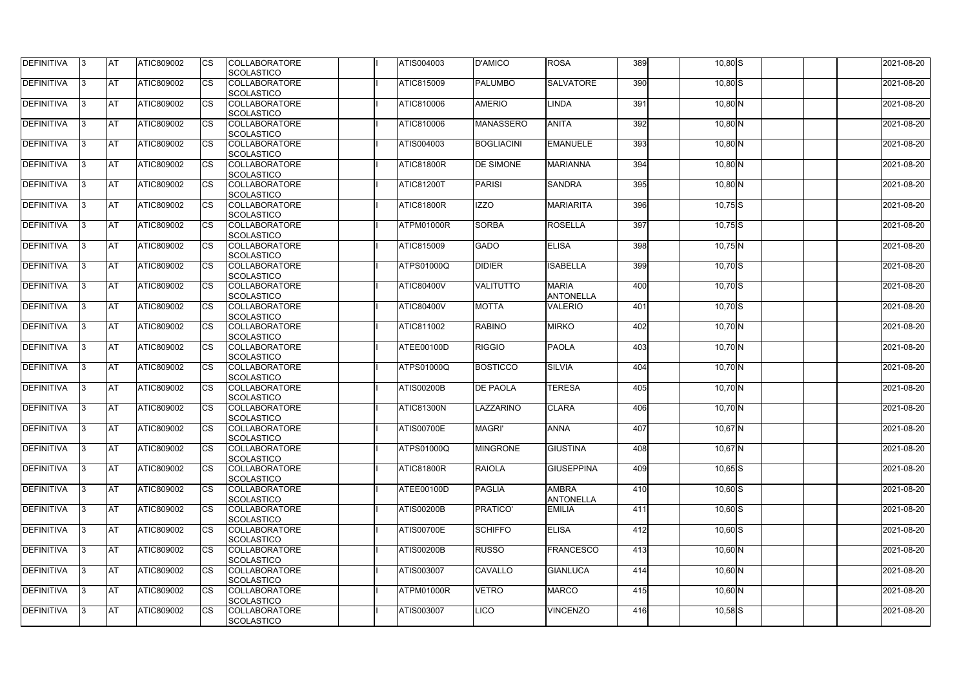| <b>DEFINITIVA</b> | 13  | <b>AT</b>  | ATIC809002        | Ics                    | <b>COLLABORATORE</b><br><b>SCOLASTICO</b> | ATIS004003        | <b>D'AMICO</b>    | <b>ROSA</b>                      | 389 | $10,80$ S | 2021-08-20 |
|-------------------|-----|------------|-------------------|------------------------|-------------------------------------------|-------------------|-------------------|----------------------------------|-----|-----------|------------|
| <b>DEFINITIVA</b> |     | <b>AT</b>  | ATIC809002        | Ics                    | <b>COLLABORATORE</b><br><b>SCOLASTICO</b> | ATIC815009        | <b>PALUMBO</b>    | <b>SALVATORE</b>                 | 390 | $10,80$ S | 2021-08-20 |
| DEFINITIVA        |     | <b>AT</b>  | ATIC809002        | Ics                    | <b>COLLABORATORE</b><br><b>SCOLASTICO</b> | ATIC810006        | <b>AMERIO</b>     | <b>LINDA</b>                     | 391 | $10,80$ N | 2021-08-20 |
| DEFINITIVA        | ıз  | <b>AT</b>  | ATIC809002        | <b>CS</b>              | <b>COLLABORATORE</b><br><b>SCOLASTICO</b> | ATIC810006        | <b>MANASSERO</b>  | <b>ANITA</b>                     | 392 | $10,80$ N | 2021-08-20 |
| DEFINITIVA        |     | <b>AT</b>  | ATIC809002        | <b>CS</b>              | <b>COLLABORATORE</b><br><b>SCOLASTICO</b> | ATIS004003        | <b>BOGLIACINI</b> | <b>EMANUELE</b>                  | 393 | $10,80$ N | 2021-08-20 |
| DEFINITIVA        |     | <b>JAT</b> | ATIC809002        | Ics                    | <b>COLLABORATORE</b><br><b>SCOLASTICO</b> | <b>ATIC81800R</b> | <b>DE SIMONE</b>  | <b>MARIANNA</b>                  | 394 | $10,80$ N | 2021-08-20 |
| DEFINITIVA        | ıз  | <b>AT</b>  | <b>ATIC809002</b> | Ics                    | <b>COLLABORATORE</b><br><b>SCOLASTICO</b> | <b>ATIC81200T</b> | <b>PARISI</b>     | <b>SANDRA</b>                    | 395 | $10,80$ N | 2021-08-20 |
| <b>DEFINITIVA</b> |     | <b>JAT</b> | ATIC809002        | <b>CS</b>              | <b>COLLABORATORE</b><br><b>SCOLASTICO</b> | <b>ATIC81800R</b> | <b>IZZO</b>       | <b>MARIARITA</b>                 | 396 | $10,75$ S | 2021-08-20 |
| DEFINITIVA        |     | <b>AT</b>  | ATIC809002        | <b>CS</b>              | <b>COLLABORATORE</b><br><b>SCOLASTICO</b> | ATPM01000R        | <b>SORBA</b>      | <b>ROSELLA</b>                   | 397 | $10,75$ S | 2021-08-20 |
| DEFINITIVA        |     | <b>AT</b>  | ATIC809002        | $\overline{\text{cs}}$ | <b>COLLABORATORE</b><br>SCOLASTICO        | <b>ATIC815009</b> | <b>GADO</b>       | <b>ELISA</b>                     | 398 | $10,75$ N | 2021-08-20 |
| <b>DEFINITIVA</b> |     | <b>AT</b>  | ATIC809002        | <b>CS</b>              | <b>COLLABORATORE</b><br><b>SCOLASTICO</b> | <b>ATPS01000Q</b> | <b>DIDIER</b>     | <b>ISABELLA</b>                  | 399 | $10,70$ S | 2021-08-20 |
| <b>DEFINITIVA</b> |     | <b>AT</b>  | ATIC809002        | <b>CS</b>              | <b>COLLABORATORE</b><br><b>SCOLASTICO</b> | <b>ATIC80400V</b> | <b>VALITUTTO</b>  | <b>MARIA</b><br><b>ANTONELLA</b> | 400 | $10,70$ S | 2021-08-20 |
| <b>DEFINITIVA</b> | l3  | <b>AT</b>  | ATIC809002        |                        | <b>COLLABORATORE</b><br><b>SCOLASTICO</b> | <b>ATIC80400V</b> | <b>MOTTA</b>      | <b>VALERIO</b>                   | 401 | $10,70$ S | 2021-08-20 |
| <b>DEFINITIVA</b> |     | <b>AT</b>  | ATIC809002        | Ics                    | <b>COLLABORATORE</b><br><b>SCOLASTICO</b> | ATIC811002        | <b>RABINO</b>     | <b>MIRKO</b>                     | 402 | $10,70$ N | 2021-08-20 |
| DEFINITIVA        | R   | <b>AT</b>  | ATIC809002        | <b>CS</b>              | <b>COLLABORATORE</b><br><b>SCOLASTICO</b> | ATEE00100D        | <b>RIGGIO</b>     | <b>PAOLA</b>                     | 403 | $10,70$ N | 2021-08-20 |
| DEFINITIVA        |     | <b>AT</b>  | ATIC809002        | Ics                    | <b>COLLABORATORE</b><br><b>SCOLASTICO</b> | <b>ATPS01000Q</b> | <b>BOSTICCO</b>   | <b>SILVIA</b>                    | 404 | $10,70$ N | 2021-08-20 |
| <b>DEFINITIVA</b> |     | <b>AT</b>  | ATIC809002        | <b>CS</b>              | <b>COLLABORATORE</b><br><b>SCOLASTICO</b> | <b>ATIS00200B</b> | <b>DE PAOLA</b>   | <b>TERESA</b>                    | 405 | $10,70$ N | 2021-08-20 |
| DEFINITIVA        |     | <b>AT</b>  | ATIC809002        | <b>CS</b>              | <b>COLLABORATORE</b><br>SCOLASTICO        | <b>ATIC81300N</b> | LAZZARINO         | <b>CLARA</b>                     | 406 | $10,70$ N | 2021-08-20 |
| DEFINITIVA        | 13. | <b>AT</b>  | ATIC809002        |                        | <b>COLLABORATORE</b><br><b>SCOLASTICO</b> | <b>ATIS00700E</b> | <b>MAGRI'</b>     | <b>ANNA</b>                      | 407 | $10,67$ N | 2021-08-20 |
| DEFINITIVA        | IЗ  | <b>AT</b>  | ATIC809002        | Ics                    | <b>COLLABORATORE</b><br><b>SCOLASTICO</b> | <b>ATPS01000Q</b> | <b>MINGRONE</b>   | <b>GIUSTINA</b>                  | 408 | $10,67$ N | 2021-08-20 |
| <b>DEFINITIVA</b> | I3  | <b>AT</b>  | ATIC809002        | Ics                    | <b>COLLABORATORE</b><br><b>SCOLASTICO</b> | <b>ATIC81800R</b> | <b>RAIOLA</b>     | <b>GIUSEPPINA</b>                | 409 | $10,65$ S | 2021-08-20 |
| DEFINITIVA        |     | <b>AT</b>  | ATIC809002        | Ics                    | <b>COLLABORATORE</b><br><b>SCOLASTICO</b> | ATEE00100D        | PAGLIA            | <b>AMBRA</b><br><b>ANTONELLA</b> | 410 | $10,60$ S | 2021-08-20 |
| <b>DEFINITIVA</b> |     | <b>AT</b>  | ATIC809002        | <b>CS</b>              | <b>COLLABORATORE</b><br><b>SCOLASTICO</b> | <b>ATIS00200B</b> | PRATICO'          | <b>EMILIA</b>                    | 411 | $10,60$ S | 2021-08-20 |
| <b>DEFINITIVA</b> | ıз  | <b>AT</b>  | ATIC809002        | Ics                    | <b>COLLABORATORE</b><br><b>SCOLASTICO</b> | <b>ATIS00700E</b> | <b>SCHIFFO</b>    | <b>ELISA</b>                     | 412 | $10,60$ S | 2021-08-20 |
| <b>DEFINITIVA</b> |     | <b>AT</b>  | ATIC809002        | Ics                    | <b>COLLABORATORE</b><br><b>SCOLASTICO</b> | <b>ATIS00200B</b> | <b>RUSSO</b>      | <b>FRANCESCO</b>                 | 413 | $10,60$ N | 2021-08-20 |
| DEFINITIVA        | ıз  | <b>AT</b>  | ATIC809002        | Ics                    | <b>COLLABORATORE</b><br><b>SCOLASTICO</b> | ATIS003007        | <b>CAVALLO</b>    | <b>GIANLUCA</b>                  | 414 | $10,60$ N | 2021-08-20 |
| <b>DEFINITIVA</b> | 13  | <b>AT</b>  | <b>ATIC809002</b> | <b>ICS</b>             | <b>COLLABORATORE</b><br><b>SCOLASTICO</b> | ATPM01000R        | VETRO             | <b>MARCO</b>                     | 415 | $10,60$ N | 2021-08-20 |
| <b>DEFINITIVA</b> |     | <b>AT</b>  | ATIC809002        | Ics                    | <b>COLLABORATORE</b><br><b>SCOLASTICO</b> | ATIS003007        | LICO              | <b>VINCENZO</b>                  | 416 | $10,58$ S | 2021-08-20 |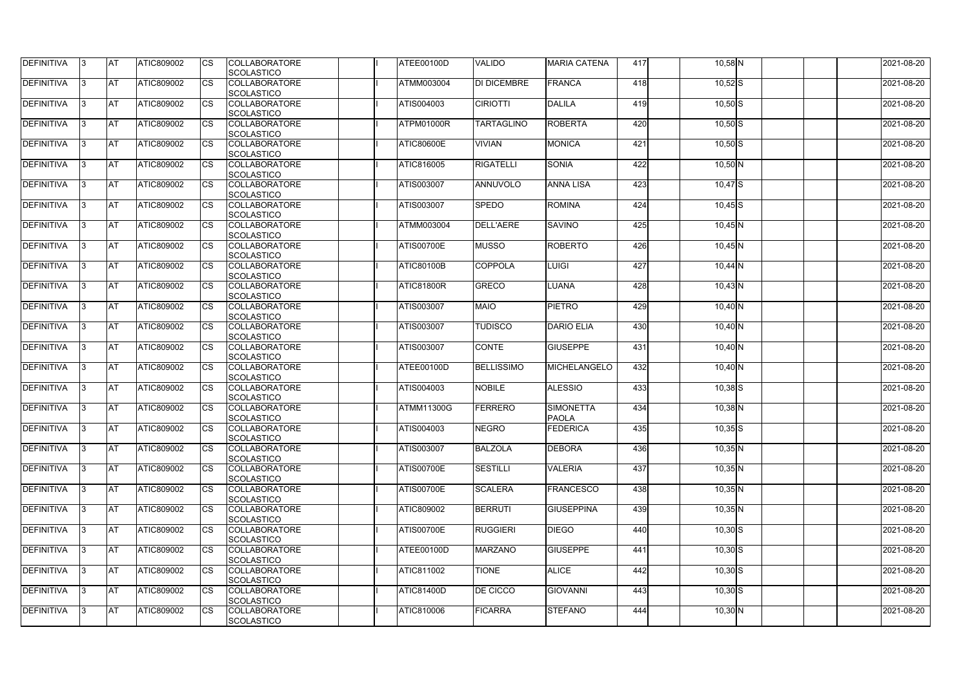| <b>DEFINITIVA</b> | 13  | <b>AT</b>  | ATIC809002        | Ics                    | <b>COLLABORATORE</b><br><b>SCOLASTICO</b> | ATEE00100D        | <b>VALIDO</b>      | <b>MARIA CATENA</b>              | 417 | $10,58$ N   | 2021-08-20 |
|-------------------|-----|------------|-------------------|------------------------|-------------------------------------------|-------------------|--------------------|----------------------------------|-----|-------------|------------|
| <b>DEFINITIVA</b> |     | <b>AT</b>  | ATIC809002        | Ics                    | <b>COLLABORATORE</b><br><b>SCOLASTICO</b> | ATMM003004        | <b>DI DICEMBRE</b> | <b>FRANCA</b>                    | 418 | $10,52$ $S$ | 2021-08-20 |
| DEFINITIVA        |     | <b>AT</b>  | ATIC809002        | Ics                    | <b>COLLABORATORE</b><br><b>SCOLASTICO</b> | ATIS004003        | <b>CIRIOTTI</b>    | DALILA                           | 419 | $10,50$ S   | 2021-08-20 |
| DEFINITIVA        | IЗ  | <b>AT</b>  | ATIC809002        | Ics                    | <b>COLLABORATORE</b><br><b>SCOLASTICO</b> | ATPM01000R        | <b>TARTAGLINO</b>  | <b>ROBERTA</b>                   | 420 | $10,50$ S   | 2021-08-20 |
| DEFINITIVA        |     | <b>AT</b>  | ATIC809002        | <b>CS</b>              | <b>COLLABORATORE</b><br><b>SCOLASTICO</b> | <b>ATIC80600E</b> | <b>VIVIAN</b>      | <b>MONICA</b>                    | 421 | $10,50$ S   | 2021-08-20 |
| <b>DEFINITIVA</b> |     | <b>JAT</b> | ATIC809002        | Ics                    | <b>COLLABORATORE</b><br><b>SCOLASTICO</b> | ATIC816005        | <b>RIGATELLI</b>   | <b>SONIA</b>                     | 422 | $10,50$ N   | 2021-08-20 |
| DEFINITIVA        |     | <b>AT</b>  | <b>ATIC809002</b> | Ics                    | <b>COLLABORATORE</b><br><b>SCOLASTICO</b> | ATIS003007        | <b>ANNUVOLO</b>    | <b>ANNA LISA</b>                 | 423 | $10,47$ $S$ | 2021-08-20 |
| <b>DEFINITIVA</b> |     | AT         | ATIC809002        | <b>CS</b>              | <b>COLLABORATORE</b><br><b>SCOLASTICO</b> | ATIS003007        | <b>SPEDO</b>       | <b>ROMINA</b>                    | 424 | $10,45$ S   | 2021-08-20 |
| DEFINITIVA        |     | <b>AT</b>  | ATIC809002        | <b>CS</b>              | <b>COLLABORATORE</b><br><b>SCOLASTICO</b> | ATMM003004        | <b>DELL'AERE</b>   | <b>SAVINO</b>                    | 425 | $10,45$ N   | 2021-08-20 |
| DEFINITIVA        |     | <b>AT</b>  | ATIC809002        | $\overline{\text{cs}}$ | <b>COLLABORATORE</b><br>SCOLASTICO        | <b>ATIS00700E</b> | <b>MUSSO</b>       | <b>ROBERTO</b>                   | 426 | $10,45$ N   | 2021-08-20 |
| <b>DEFINITIVA</b> |     | <b>AT</b>  | ATIC809002        | <b>CS</b>              | <b>COLLABORATORE</b><br><b>SCOLASTICO</b> | <b>ATIC80100B</b> | <b>COPPOLA</b>     | <b>LUIGI</b>                     | 427 | $10,44$ N   | 2021-08-20 |
| <b>DEFINITIVA</b> |     | <b>AT</b>  | ATIC809002        | <b>CS</b>              | <b>COLLABORATORE</b><br><b>SCOLASTICO</b> | <b>ATIC81800R</b> | <b>GRECO</b>       | <b>LUANA</b>                     | 428 | $10,43$ N   | 2021-08-20 |
| <b>DEFINITIVA</b> |     | <b>AT</b>  | ATIC809002        |                        | <b>COLLABORATORE</b><br><b>SCOLASTICO</b> | ATIS003007        | <b>MAIO</b>        | <b>PIETRO</b>                    | 429 | $10,40$ N   | 2021-08-20 |
| <b>DEFINITIVA</b> |     | <b>AT</b>  | ATIC809002        | Ics                    | <b>COLLABORATORE</b><br><b>SCOLASTICO</b> | ATIS003007        | <b>TUDISCO</b>     | <b>DARIO ELIA</b>                | 430 | $10,40$ N   | 2021-08-20 |
| DEFINITIVA        |     | <b>AT</b>  | ATIC809002        | <b>CS</b>              | <b>COLLABORATORE</b><br><b>SCOLASTICO</b> | ATIS003007        | <b>CONTE</b>       | <b>GIUSEPPE</b>                  | 431 | $10,40$ N   | 2021-08-20 |
| DEFINITIVA        |     | <b>AT</b>  | ATIC809002        | Ics                    | <b>COLLABORATORE</b><br><b>SCOLASTICO</b> | ATEE00100D        | <b>BELLISSIMO</b>  | <b>MICHELANGELO</b>              | 432 | $10,40$ N   | 2021-08-20 |
| <b>DEFINITIVA</b> |     | <b>AT</b>  | ATIC809002        | <b>CS</b>              | <b>COLLABORATORE</b><br><b>SCOLASTICO</b> | ATIS004003        | <b>NOBILE</b>      | <b>ALESSIO</b>                   | 433 | $10,38$ $S$ | 2021-08-20 |
| DEFINITIVA        |     | <b>AT</b>  | ATIC809002        | <b>CS</b>              | <b>COLLABORATORE</b><br>SCOLASTICO        | ATMM11300G        | <b>FERRERO</b>     | <b>SIMONETTA</b><br><b>PAOLA</b> | 434 | $10,38$ N   | 2021-08-20 |
| DEFINITIVA        | 13. | <b>AT</b>  | ATIC809002        |                        | <b>COLLABORATORE</b><br><b>SCOLASTICO</b> | ATIS004003        | <b>NEGRO</b>       | FEDERICA                         | 435 | $10,35$ S   | 2021-08-20 |
| DEFINITIVA        | IЗ  | <b>AT</b>  | <b>ATIC809002</b> | Ics                    | <b>COLLABORATORE</b><br><b>SCOLASTICO</b> | ATIS003007        | <b>BALZOLA</b>     | <b>DEBORA</b>                    | 436 | $10,35$ N   | 2021-08-20 |
| <b>DEFINITIVA</b> | I3  | <b>AT</b>  | ATIC809002        | Ics                    | <b>COLLABORATORE</b><br><b>SCOLASTICO</b> | <b>ATIS00700E</b> | <b>SESTILLI</b>    | <b>VALERIA</b>                   | 437 | $10,35$ N   | 2021-08-20 |
| DEFINITIVA        |     | <b>AT</b>  | ATIC809002        | Ics                    | <b>COLLABORATORE</b><br><b>SCOLASTICO</b> | <b>ATIS00700E</b> | <b>SCALERA</b>     | <b>FRANCESCO</b>                 | 438 | $10,35$ N   | 2021-08-20 |
| <b>DEFINITIVA</b> |     | <b>AT</b>  | ATIC809002        | <b>CS</b>              | <b>COLLABORATORE</b><br><b>SCOLASTICO</b> | ATIC809002        | <b>BERRUTI</b>     | <b>GIUSEPPINA</b>                | 439 | $10,35$ N   | 2021-08-20 |
| <b>DEFINITIVA</b> | ıз  | <b>AT</b>  | ATIC809002        | Ics                    | <b>COLLABORATORE</b><br><b>SCOLASTICO</b> | <b>ATIS00700E</b> | <b>RUGGIERI</b>    | <b>DIEGO</b>                     | 440 | $10,30$ S   | 2021-08-20 |
| <b>DEFINITIVA</b> |     | <b>AT</b>  | ATIC809002        | Ics                    | <b>COLLABORATORE</b><br><b>SCOLASTICO</b> | ATEE00100D        | <b>MARZANO</b>     | <b>GIUSEPPE</b>                  | 441 | $10,30$ S   | 2021-08-20 |
| DEFINITIVA        | ıз  | <b>AT</b>  | ATIC809002        | Ics                    | <b>COLLABORATORE</b><br><b>SCOLASTICO</b> | ATIC811002        | <b>TIONE</b>       | <b>ALICE</b>                     | 442 | $10,30$ S   | 2021-08-20 |
| <b>DEFINITIVA</b> | 13  | <b>AT</b>  | <b>ATIC809002</b> | <b>ICS</b>             | <b>COLLABORATORE</b><br><b>SCOLASTICO</b> | <b>ATIC81400D</b> | <b>DE CICCO</b>    | <b>GIOVANNI</b>                  | 443 | $10,30$ S   | 2021-08-20 |
| <b>DEFINITIVA</b> |     | <b>AT</b>  | ATIC809002        | Ics                    | <b>COLLABORATORE</b><br><b>SCOLASTICO</b> | ATIC810006        | <b>FICARRA</b>     | <b>STEFANO</b>                   | 444 | $10,30$ N   | 2021-08-20 |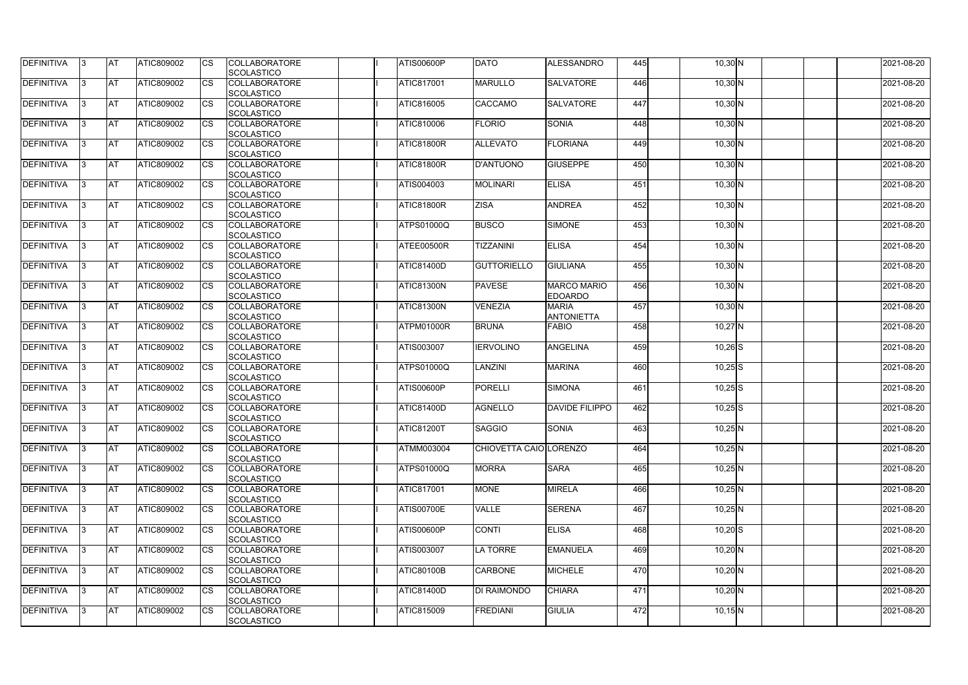| <b>DEFINITIVA</b> | 13 | <b>AT</b>  | ATIC809002        | Ics                    | <b>COLLABORATORE</b><br><b>SCOLASTICO</b> | <b>ATIS00600P</b> | <b>DATO</b>            | <b>ALESSANDRO</b>                    | 445 | $10,30$ N   | 2021-08-20 |
|-------------------|----|------------|-------------------|------------------------|-------------------------------------------|-------------------|------------------------|--------------------------------------|-----|-------------|------------|
| <b>DEFINITIVA</b> |    | <b>AT</b>  | ATIC809002        | Ics                    | <b>COLLABORATORE</b><br><b>SCOLASTICO</b> | ATIC817001        | <b>MARULLO</b>         | <b>SALVATORE</b>                     | 446 | $10,30$ N   | 2021-08-20 |
| DEFINITIVA        |    | <b>AT</b>  | ATIC809002        | Ics                    | <b>COLLABORATORE</b><br><b>SCOLASTICO</b> | ATIC816005        | <b>CACCAMO</b>         | <b>SALVATORE</b>                     | 447 | $10,30$ N   | 2021-08-20 |
| DEFINITIVA        | IЗ | <b>AT</b>  | ATIC809002        | <b>CS</b>              | <b>COLLABORATORE</b><br><b>SCOLASTICO</b> | ATIC810006        | <b>FLORIO</b>          | <b>SONIA</b>                         | 448 | $10,30$ N   | 2021-08-20 |
| DEFINITIVA        |    | <b>AT</b>  | ATIC809002        | <b>CS</b>              | <b>COLLABORATORE</b><br><b>SCOLASTICO</b> | <b>ATIC81800R</b> | <b>ALLEVATO</b>        | <b>FLORIANA</b>                      | 449 | $10,30$ N   | 2021-08-20 |
| <b>DEFINITIVA</b> |    | <b>JAT</b> | ATIC809002        | Ics                    | <b>COLLABORATORE</b><br><b>SCOLASTICO</b> | ATIC81800R        | <b>D'ANTUONO</b>       | <b>GIUSEPPE</b>                      | 450 | $10,30$ N   | 2021-08-20 |
| DEFINITIVA        |    | <b>AT</b>  | <b>ATIC809002</b> | Ics                    | <b>COLLABORATORE</b><br><b>SCOLASTICO</b> | ATIS004003        | <b>MOLINARI</b>        | <b>ELISA</b>                         | 451 | $10,30$ N   | 2021-08-20 |
| <b>DEFINITIVA</b> |    | AT         | ATIC809002        | <b>CS</b>              | <b>COLLABORATORE</b><br><b>SCOLASTICO</b> | ATIC81800R        | <b>ZISA</b>            | <b>ANDREA</b>                        | 452 | $10,30$ N   | 2021-08-20 |
| DEFINITIVA        |    | <b>AT</b>  | ATIC809002        | <b>CS</b>              | <b>COLLABORATORE</b><br><b>SCOLASTICO</b> | <b>ATPS01000Q</b> | <b>BUSCO</b>           | <b>SIMONE</b>                        | 453 | $10,30$ N   | 2021-08-20 |
| DEFINITIVA        |    | <b>AT</b>  | ATIC809002        | $\overline{\text{cs}}$ | <b>COLLABORATORE</b><br>SCOLASTICO        | ATEE00500R        | <b>TIZZANINI</b>       | <b>ELISA</b>                         | 454 | $10,30$ N   | 2021-08-20 |
| <b>DEFINITIVA</b> |    | <b>AT</b>  | ATIC809002        | <b>CS</b>              | <b>COLLABORATORE</b><br><b>SCOLASTICO</b> | <b>ATIC81400D</b> | <b>GUTTORIELLO</b>     | <b>GIULIANA</b>                      | 455 | $10,30$ N   | 2021-08-20 |
| <b>DEFINITIVA</b> |    | <b>AT</b>  | ATIC809002        | <b>CS</b>              | <b>COLLABORATORE</b><br><b>SCOLASTICO</b> | <b>ATIC81300N</b> | <b>PAVESE</b>          | <b>MARCO MARIO</b><br><b>EDOARDO</b> | 456 | $10,30$ N   | 2021-08-20 |
| <b>DEFINITIVA</b> |    | <b>AT</b>  | ATIC809002        |                        | <b>COLLABORATORE</b><br><b>SCOLASTICO</b> | <b>ATIC81300N</b> | <b>VENEZIA</b>         | <b>MARIA</b><br><b>ANTONIETTA</b>    | 457 | $10,30$ N   | 2021-08-20 |
| <b>DEFINITIVA</b> |    | <b>AT</b>  | ATIC809002        | Ics                    | <b>COLLABORATORE</b><br><b>SCOLASTICO</b> | ATPM01000R        | <b>BRUNA</b>           | <b>FABIO</b>                         | 458 | $10,27$ N   | 2021-08-20 |
| DEFINITIVA        |    | <b>AT</b>  | ATIC809002        | <b>CS</b>              | <b>COLLABORATORE</b><br><b>SCOLASTICO</b> | ATIS003007        | <b>IERVOLINO</b>       | <b>ANGELINA</b>                      | 459 | $10,26$ $S$ | 2021-08-20 |
| DEFINITIVA        |    | <b>AT</b>  | ATIC809002        | Ics                    | <b>COLLABORATORE</b><br><b>SCOLASTICO</b> | <b>ATPS01000Q</b> | <b>LANZINI</b>         | <b>MARINA</b>                        | 460 | $10,25$ S   | 2021-08-20 |
| <b>DEFINITIVA</b> |    | <b>AT</b>  | ATIC809002        | <b>CS</b>              | <b>COLLABORATORE</b><br><b>SCOLASTICO</b> | <b>ATIS00600P</b> | <b>PORELLI</b>         | <b>SIMONA</b>                        | 461 | $10,25$ S   | 2021-08-20 |
| DEFINITIVA        |    | <b>AT</b>  | ATIC809002        | <b>CS</b>              | <b>COLLABORATORE</b><br>SCOLASTICO        | <b>ATIC81400D</b> | AGNELLO                | <b>DAVIDE FILIPPO</b>                | 462 | $10,25$ S   | 2021-08-20 |
| DEFINITIVA        | 13 | <b>AT</b>  | ATIC809002        |                        | <b>COLLABORATORE</b><br><b>SCOLASTICO</b> | <b>ATIC81200T</b> | <b>SAGGIO</b>          | <b>SONIA</b>                         | 463 | $10,25$ N   | 2021-08-20 |
| DEFINITIVA        | IЗ | <b>AT</b>  | ATIC809002        | Ics                    | <b>COLLABORATORE</b><br><b>SCOLASTICO</b> | <b>ATMM003004</b> | CHIOVETTA CAIO LORENZO |                                      | 464 | $10,25$ N   | 2021-08-20 |
| <b>DEFINITIVA</b> | I3 | <b>AT</b>  | ATIC809002        | Ics                    | <b>COLLABORATORE</b><br><b>SCOLASTICO</b> | <b>ATPS01000Q</b> | <b>MORRA</b>           | <b>SARA</b>                          | 465 | $10,25$ N   | 2021-08-20 |
| DEFINITIVA        |    | <b>AT</b>  | ATIC809002        | Ics                    | <b>COLLABORATORE</b><br><b>SCOLASTICO</b> | <b>ATIC817001</b> | <b>MONE</b>            | <b>MIRELA</b>                        | 466 | $10,25$ N   | 2021-08-20 |
| <b>DEFINITIVA</b> |    | <b>AT</b>  | ATIC809002        | <b>CS</b>              | <b>COLLABORATORE</b><br><b>SCOLASTICO</b> | <b>ATIS00700E</b> | <b>VALLE</b>           | <b>SERENA</b>                        | 467 | $10,25$ N   | 2021-08-20 |
| <b>DEFINITIVA</b> | ıз | <b>AT</b>  | ATIC809002        | Ics                    | <b>COLLABORATORE</b><br><b>SCOLASTICO</b> | <b>ATIS00600P</b> | <b>CONTI</b>           | <b>ELISA</b>                         | 468 | $10,20$ S   | 2021-08-20 |
| <b>DEFINITIVA</b> |    | <b>AT</b>  | ATIC809002        | Ics                    | <b>COLLABORATORE</b><br><b>SCOLASTICO</b> | ATIS003007        | <b>LA TORRE</b>        | <b>EMANUELA</b>                      | 469 | $10,20$ N   | 2021-08-20 |
| DEFINITIVA        | ıз | <b>AT</b>  | ATIC809002        | Ics                    | <b>COLLABORATORE</b><br><b>SCOLASTICO</b> | <b>ATIC80100B</b> | <b>CARBONE</b>         | <b>MICHELE</b>                       | 470 | $10,20$ N   | 2021-08-20 |
| <b>DEFINITIVA</b> | 13 | <b>AT</b>  | <b>ATIC809002</b> | <b>ICS</b>             | <b>COLLABORATORE</b><br><b>SCOLASTICO</b> | <b>ATIC81400D</b> | <b>DI RAIMONDO</b>     | <b>CHIARA</b>                        | 471 | $10,20$ N   | 2021-08-20 |
| DEFINITIVA        |    | <b>AT</b>  | ATIC809002        | Ics                    | <b>COLLABORATORE</b><br><b>SCOLASTICO</b> | ATIC815009        | <b>FREDIANI</b>        | <b>GIULIA</b>                        | 472 | $10,15$ N   | 2021-08-20 |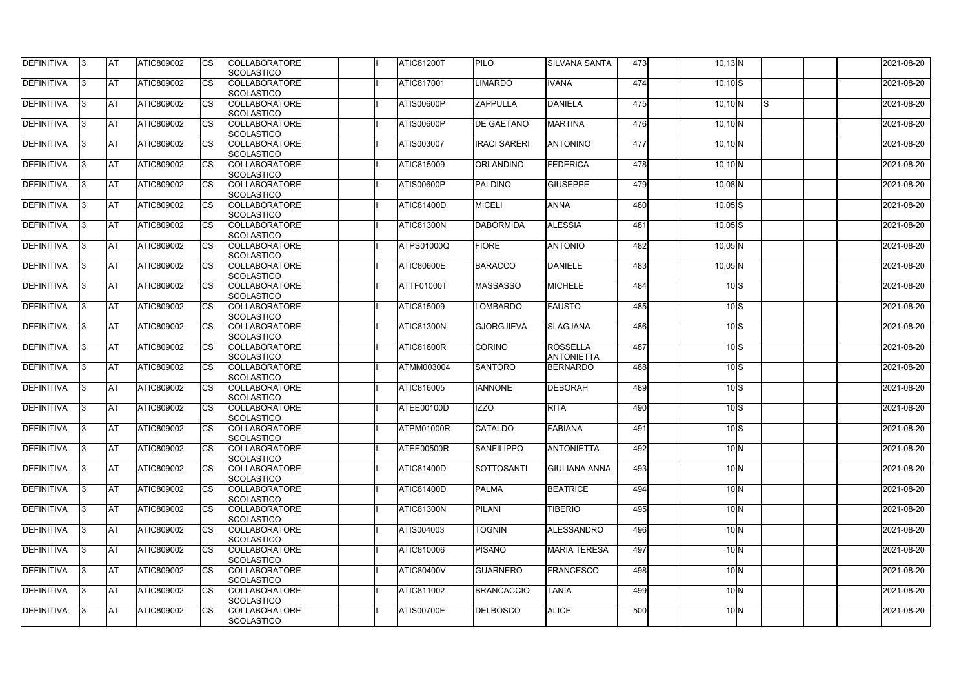| DEFINITIVA        | 13. | <b>JAT</b> | ATIC809002        | Ics                    | <b>COLLABORATORE</b> | <b>ATIC81200T</b> | <b>PILO</b>         | <b>SILVANA SANTA</b> | 473 | $10,13$ N    |              | 2021-08-20 |
|-------------------|-----|------------|-------------------|------------------------|----------------------|-------------------|---------------------|----------------------|-----|--------------|--------------|------------|
|                   |     |            |                   |                        | <b>SCOLASTICO</b>    |                   |                     |                      |     |              |              |            |
| <b>DEFINITIVA</b> | l3  | <b>AT</b>  | ATIC809002        | Ics                    | <b>COLLABORATORE</b> | <b>ATIC817001</b> | <b>LIMARDO</b>      | <b>IVANA</b>         | 474 | $10,10$ S    |              | 2021-08-20 |
|                   |     |            |                   |                        | <b>SCOLASTICO</b>    |                   |                     |                      |     |              |              |            |
| DEFINITIVA        | l3  | <b>AT</b>  | ATIC809002        | <b>CS</b>              | <b>COLLABORATORE</b> | ATIS00600P        | <b>ZAPPULLA</b>     | <b>DANIELA</b>       | 475 | $10,10$ N    | ls.          | 2021-08-20 |
|                   |     |            |                   |                        | <b>SCOLASTICO</b>    |                   |                     |                      |     |              |              |            |
| DEFINITIVA        |     | <b>AT</b>  | ATIC809002        | Ics                    | <b>COLLABORATORE</b> | ATIS00600P        | <b>DE GAETANO</b>   | <b>MARTINA</b>       | 476 | $10,10$ N    |              | 2021-08-20 |
|                   |     |            |                   |                        | <b>SCOLASTICO</b>    |                   |                     |                      |     |              |              |            |
| DEFINITIVA        |     | <b>AT</b>  | <b>ATIC809002</b> | <b>CS</b>              | <b>COLLABORATORE</b> | ATIS003007        | <b>IRACI SARERI</b> | <b>ANTONINO</b>      | 477 | $10,10$ N    |              | 2021-08-20 |
|                   |     |            |                   |                        | <b>SCOLASTICO</b>    |                   |                     |                      |     |              |              |            |
| <b>DEFINITIVA</b> |     | AT         | <b>ATIC809002</b> | <b>ICS</b>             | <b>COLLABORATORE</b> | <b>ATIC815009</b> | <b>ORLANDINO</b>    | FEDERICA             | 478 | $10,10$ N    |              | 2021-08-20 |
|                   |     |            |                   |                        |                      |                   |                     |                      |     |              |              |            |
|                   |     |            |                   |                        | <b>SCOLASTICO</b>    |                   |                     |                      |     |              |              |            |
| DEFINITIVA        |     | <b>AT</b>  | ATIC809002        | Ics                    | <b>COLLABORATORE</b> | <b>ATIS00600P</b> | <b>PALDINO</b>      | <b>GIUSEPPE</b>      | 479 | $10,08$ N    |              | 2021-08-20 |
|                   |     |            |                   |                        | <b>SCOLASTICO</b>    |                   |                     |                      |     |              |              |            |
| <b>DEFINITIVA</b> | ıз  | <b>AT</b>  | ATIC809002        | Ics                    | <b>COLLABORATORE</b> | <b>ATIC81400D</b> | <b>MICELI</b>       | <b>ANNA</b>          | 480 | $10,05$ $S$  |              | 2021-08-20 |
|                   |     |            |                   |                        | <b>SCOLASTICO</b>    |                   |                     |                      |     |              |              |            |
| DEFINITIVA        | I3  | <b>AT</b>  | ATIC809002        | <b>CS</b>              | <b>COLLABORATORE</b> | <b>ATIC81300N</b> | <b>DABORMIDA</b>    | <b>ALESSIA</b>       | 481 | $10,05$ $S$  |              | 2021-08-20 |
|                   |     |            |                   |                        | <b>SCOLASTICO</b>    |                   |                     |                      |     |              |              |            |
| <b>DEFINITIVA</b> |     | <b>AT</b>  | ATIC809002        | <b>CS</b>              | <b>COLLABORATORE</b> | <b>ATPS01000Q</b> | <b>FIORE</b>        | <b>ANTONIO</b>       | 482 | $10,05$ N    |              | 2021-08-20 |
|                   |     |            |                   |                        | <b>SCOLASTICO</b>    |                   |                     |                      |     |              |              |            |
| <b>DEFINITIVA</b> |     | AT         | ATIC809002        | $\overline{\text{cs}}$ | <b>COLLABORATORE</b> | <b>ATIC80600E</b> | <b>BARACCO</b>      | <b>DANIELE</b>       | 483 | $10,05$ N    |              | 2021-08-20 |
|                   |     |            |                   |                        | <b>SCOLASTICO</b>    |                   |                     |                      |     |              |              |            |
| DEFINITIVA        | I3  | <b>AT</b>  | ATIC809002        |                        | <b>COLLABORATORE</b> | ATTF01000T        | <b>MASSASSO</b>     | <b>MICHELE</b>       | 484 | $10\text{S}$ |              | 2021-08-20 |
|                   |     |            |                   |                        | <b>SCOLASTICO</b>    |                   |                     |                      |     |              |              |            |
|                   |     |            |                   |                        |                      |                   |                     |                      |     |              |              |            |
| <b>DEFINITIVA</b> |     | <b>JAT</b> | ATIC809002        |                        | <b>COLLABORATORE</b> | ATIC815009        | LOMBARDO            | <b>FAUSTO</b>        | 485 |              | $10\text{S}$ | 2021-08-20 |
|                   |     |            |                   |                        | <b>SCOLASTICO</b>    |                   |                     |                      |     |              |              |            |
| <b>DEFINITIVA</b> |     | <b>AT</b>  | ATIC809002        | Ics                    | <b>COLLABORATORE</b> | <b>ATIC81300N</b> | <b>GJORGJIEVA</b>   | <b>SLAGJANA</b>      | 486 | $10\text{S}$ |              | 2021-08-20 |
|                   |     |            |                   |                        | <b>SCOLASTICO</b>    |                   |                     |                      |     |              |              |            |
| DEFINITIVA        | l3  | <b>AT</b>  | ATIC809002        | Ics                    | <b>COLLABORATORE</b> | <b>ATIC81800R</b> | <b>CORINO</b>       | <b>ROSSELLA</b>      | 487 | $10\text{S}$ |              | 2021-08-20 |
|                   |     |            |                   |                        | <b>SCOLASTICO</b>    |                   |                     | <b>ANTONIETTA</b>    |     |              |              |            |
| DEFINITIVA        |     | <b>AT</b>  | ATIC809002        | Ics                    | <b>COLLABORATORE</b> | <b>ATMM003004</b> | <b>SANTORO</b>      | <b>BERNARDO</b>      | 488 |              | $10\text{S}$ | 2021-08-20 |
|                   |     |            |                   |                        | <b>SCOLASTICO</b>    |                   |                     |                      |     |              |              |            |
| DEFINITIVA        |     | <b>AT</b>  | ATIC809002        | <b>CS</b>              | <b>COLLABORATORE</b> | <b>ATIC816005</b> | <b>IANNONE</b>      | <b>DEBORAH</b>       | 489 | $10\text{S}$ |              | 2021-08-20 |
|                   |     |            |                   |                        | <b>SCOLASTICO</b>    |                   |                     |                      |     |              |              |            |
| <b>DEFINITIVA</b> |     | <b>AT</b>  | ATIC809002        | <b>CS</b>              | <b>COLLABORATORE</b> | ATEE00100D        | <b>IZZO</b>         | <b>RITA</b>          | 490 |              | $10\text{S}$ | 2021-08-20 |
|                   |     |            |                   |                        | <b>SCOLASTICO</b>    |                   |                     |                      |     |              |              |            |
| <b>DEFINITIVA</b> | 13. | <b>AT</b>  | ATIC809002        |                        | <b>COLLABORATORE</b> | ATPM01000R        | <b>CATALDO</b>      | <b>FABIANA</b>       | 491 |              | $10\text{S}$ | 2021-08-20 |
|                   |     |            |                   |                        |                      |                   |                     |                      |     |              |              |            |
|                   |     |            |                   |                        | <b>SCOLASTICO</b>    |                   |                     |                      |     |              |              |            |
| <b>DEFINITIVA</b> | IЗ  | AT         | <b>ATIC809002</b> | Ics                    | <b>COLLABORATORE</b> | ATEE00500R        | <b>SANFILIPPO</b>   | <b>ANTONIETTA</b>    | 492 |              | $10\text{N}$ | 2021-08-20 |
|                   |     |            |                   |                        | <b>SCOLASTICO</b>    |                   |                     |                      |     |              |              |            |
| <b>DEFINITIVA</b> | I3  | <b>AT</b>  | ATIC809002        | Ics                    | <b>COLLABORATORE</b> | <b>ATIC81400D</b> | <b>SOTTOSANTI</b>   | <b>GIULIANA ANNA</b> | 493 |              | $10\vert N$  | 2021-08-20 |
|                   |     |            |                   |                        | <b>SCOLASTICO</b>    |                   |                     |                      |     |              |              |            |
| DEFINITIVA        | I3  | <b>AT</b>  | ATIC809002        | Ics                    | <b>COLLABORATORE</b> | <b>ATIC81400D</b> | <b>PALMA</b>        | <b>BEATRICE</b>      | 494 |              | $10\vert N$  | 2021-08-20 |
|                   |     |            |                   |                        | <b>SCOLASTICO</b>    |                   |                     |                      |     |              |              |            |
| <b>DEFINITIVA</b> |     | <b>AT</b>  | ATIC809002        | Ics                    | <b>COLLABORATORE</b> | <b>ATIC81300N</b> | <b>PILANI</b>       | <b>TIBERIO</b>       | 495 |              | $10\text{N}$ | 2021-08-20 |
|                   |     |            |                   |                        | <b>SCOLASTICO</b>    |                   |                     |                      |     |              |              |            |
| <b>DEFINITIVA</b> |     | <b>AT</b>  | <b>ATIC809002</b> | Ics                    | <b>COLLABORATORE</b> | ATIS004003        | <b>TOGNIN</b>       | ALESSANDRO           | 496 |              | $10\text{N}$ | 2021-08-20 |
|                   |     |            |                   |                        | <b>SCOLASTICO</b>    |                   |                     |                      |     |              |              |            |
| <b>DEFINITIVA</b> | ıз  | <b>AT</b>  | <b>ATIC809002</b> |                        | <b>COLLABORATORE</b> | ATIC810006        | <b>PISANO</b>       | <b>MARIA TERESA</b>  | 497 |              | $10\text{N}$ | 2021-08-20 |
|                   |     |            |                   |                        | <b>SCOLASTICO</b>    |                   |                     |                      |     |              |              |            |
|                   |     |            |                   |                        |                      |                   |                     |                      |     |              |              |            |
| <b>DEFINITIVA</b> |     | <b>AT</b>  | ATIC809002        | Ics                    | <b>COLLABORATORE</b> | <b>ATIC80400V</b> | <b>GUARNERO</b>     | <b>FRANCESCO</b>     | 498 |              | $10\text{N}$ | 2021-08-20 |
|                   |     |            |                   |                        | <b>SCOLASTICO</b>    |                   |                     |                      |     |              |              |            |
| <b>DEFINITIVA</b> | ıз  | <b>AT</b>  | <b>ATIC809002</b> | <b>ICS</b>             | <b>COLLABORATORE</b> | ATIC811002        | <b>BRANCACCIO</b>   | <b>TANIA</b>         | 499 |              | $10\text{N}$ | 2021-08-20 |
|                   |     |            |                   |                        | <b>SCOLASTICO</b>    |                   |                     |                      |     |              |              |            |
| <b>DEFINITIVA</b> | I3  | <b>AT</b>  | ATIC809002        | Ics                    | <b>COLLABORATORE</b> | <b>ATIS00700E</b> | <b>DELBOSCO</b>     | <b>ALICE</b>         | 500 |              | $10\vert N$  | 2021-08-20 |
|                   |     |            |                   |                        | SCOLASTICO           |                   |                     |                      |     |              |              |            |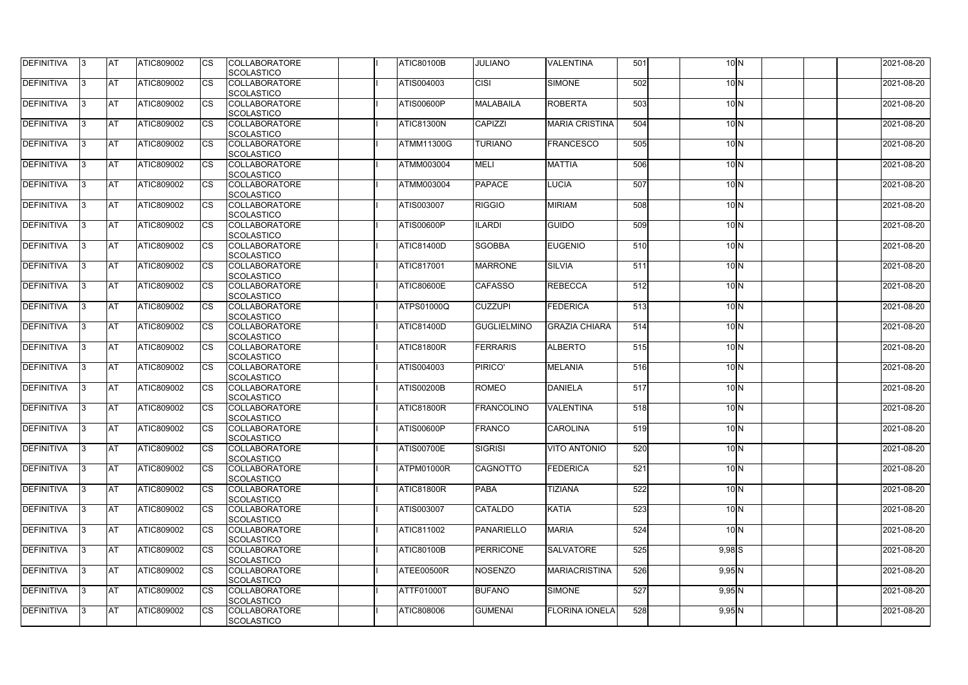| <b>DEFINITIVA</b> | 13  | IA1       | <b>ATIC809002</b> | <b>CS</b>              | <b>COLLABORATORE</b><br>SCOLASTICO        | <b>ATIC80100B</b> | <b>JULIANO</b>     | <b>VALENTINA</b>      | 501              | 10 <sub>N</sub> | 2021-08-20 |
|-------------------|-----|-----------|-------------------|------------------------|-------------------------------------------|-------------------|--------------------|-----------------------|------------------|-----------------|------------|
| DEFINITIVA        |     | <b>AT</b> | ATIC809002        | <b>CS</b>              | <b>COLLABORATORE</b><br><b>SCOLASTICO</b> | ATIS004003        | <b>CISI</b>        | <b>SIMONE</b>         | 502              | 10 <sub>N</sub> | 2021-08-20 |
| DEFINITIVA        |     | <b>AT</b> | ATIC809002        | <b>CS</b>              | <b>COLLABORATORE</b><br><b>SCOLASTICO</b> | ATIS00600P        | MALABAILA          | <b>ROBERTA</b>        | 503              | 10 <sub>N</sub> | 2021-08-20 |
| DEFINITIVA        | 13. | <b>AT</b> | ATIC809002        | <b>CS</b>              | <b>COLLABORATORE</b><br><b>SCOLASTICO</b> | ATIC81300N        | <b>CAPIZZI</b>     | <b>MARIA CRISTINA</b> | 504              | 10 <sub>N</sub> | 2021-08-20 |
| DEFINITIVA        |     | <b>AT</b> | ATIC809002        | <b>CS</b>              | <b>COLLABORATORE</b><br><b>SCOLASTICO</b> | <b>ATMM11300G</b> | <b>TURIANO</b>     | <b>FRANCESCO</b>      | 505              | 10 <sub>N</sub> | 2021-08-20 |
| <b>DEFINITIVA</b> |     | IAT       | <b>ATIC809002</b> | Ics                    | <b>COLLABORATORE</b><br><b>SCOLASTICO</b> | <b>ATMM003004</b> | <b>MELI</b>        | <b>MATTIA</b>         | 506              | $10\text{N}$    | 2021-08-20 |
| DEFINITIVA        | 13  | ΙAΤ       | ATIC809002        | <b>ICS</b>             | <b>COLLABORATORE</b><br><b>SCOLASTICO</b> | <b>ATMM003004</b> | <b>PAPACE</b>      | <b>LUCIA</b>          | 507              | 10 <sub>N</sub> | 2021-08-20 |
| <b>DEFINITIVA</b> |     | <b>AT</b> | <b>ATIC809002</b> | $\overline{\text{cs}}$ | <b>COLLABORATORE</b><br>SCOLASTICO        | <b>ATIS003007</b> | <b>RIGGIO</b>      | <b>MIRIAM</b>         | 508              | 10 <sub>N</sub> | 2021-08-20 |
| <b>DEFINITIVA</b> |     | IAT       | ATIC809002        | <b>ICS</b>             | <b>COLLABORATORE</b><br>SCOLASTICO        | ATIS00600P        | <b>ILARDI</b>      | <b>GUIDO</b>          | 509              | 10 <sub>N</sub> | 2021-08-20 |
| <b>DEFINITIVA</b> |     | <b>AT</b> | <b>ATIC809002</b> | <b>CS</b>              | <b>COLLABORATORE</b><br><b>SCOLASTICO</b> | ATIC81400D        | <b>SGOBBA</b>      | <b>EUGENIO</b>        | 510              | 10 <sub>N</sub> | 2021-08-20 |
| DEFINITIVA        |     | <b>AT</b> | ATIC809002        | <b>CS</b>              | <b>COLLABORATORE</b><br><b>SCOLASTICO</b> | ATIC817001        | <b>MARRONE</b>     | <b>SILVIA</b>         | $\overline{511}$ | 10 <sub>N</sub> | 2021-08-20 |
| <b>DEFINITIVA</b> |     | lAT       | ATIC809002        | <b>ICS</b>             | <b>COLLABORATORE</b><br><b>SCOLASTICO</b> | <b>ATIC80600E</b> | <b>CAFASSO</b>     | <b>REBECCA</b>        | 512              | 10 <sub>N</sub> | 2021-08-20 |
| <b>DEFINITIVA</b> |     | AT        | ATIC809002        | <b>ICS</b>             | <b>COLLABORATORE</b><br><b>SCOLASTICO</b> | <b>ATPS01000Q</b> | <b>CUZZUPI</b>     | <b>FEDERICA</b>       | 513              | $10\text{N}$    | 2021-08-20 |
| DEFINITIVA        | 13. | <b>AT</b> | <b>ATIC809002</b> | <b>CS</b>              | <b>COLLABORATORE</b><br><b>SCOLASTICO</b> | ATIC81400D        | <b>GUGLIELMINO</b> | <b>GRAZIA CHIARA</b>  | 514              | 10 <sub>N</sub> | 2021-08-20 |
| DEFINITIVA        |     | IAT       | ATIC809002        | <b>I</b> cs            | <b>COLLABORATORE</b><br><b>SCOLASTICO</b> | ATIC81800R        | <b>FERRARIS</b>    | <b>ALBERTO</b>        | 515              | 10 <sub>N</sub> | 2021-08-20 |
| DEFINITIVA        |     | <b>AT</b> | <b>ATIC809002</b> | <b>CS</b>              | <b>COLLABORATORE</b><br><b>SCOLASTICO</b> | ATIS004003        | PIRICO'            | <b>MELANIA</b>        | 516              | 10 <sub>N</sub> | 2021-08-20 |
| DEFINITIVA        |     | <b>AT</b> | ATIC809002        | <b>CS</b>              | <b>COLLABORATORE</b><br>SCOLASTICO        | <b>ATIS00200B</b> | <b>ROMEO</b>       | DANIELA               | 517              | 10 <sub>N</sub> | 2021-08-20 |
| DEFINITIVA        |     | AT        | ATIC809002        | <b>ICS</b>             | <b>COLLABORATORE</b><br>SCOLASTICO        | ATIC81800R        | <b>FRANCOLINO</b>  | <b>VALENTINA</b>      | 518              | 10 <sub>N</sub> | 2021-08-20 |
| <b>DEFINITIVA</b> | 13. | ΙAΤ       | ATIC809002        | <b>CS</b>              | <b>COLLABORATORE</b><br><b>SCOLASTICO</b> | ATIS00600P        | FRANCO             | <b>CAROLINA</b>       | 519              | 10 <sub>N</sub> | 2021-08-20 |
| <b>DEFINITIVA</b> | 13  | <b>AT</b> | ATIC809002        | <b>CS</b>              | <b>COLLABORATORE</b><br><b>SCOLASTICO</b> | <b>ATIS00700E</b> | SIGRISI            | <b>VITO ANTONIO</b>   | 520              | $10\text{N}$    | 2021-08-20 |
| <b>DEFINITIVA</b> | 13  | IAT       | ATIC809002        | <b>CS</b>              | <b>COLLABORATORE</b><br>SCOLASTICO        | ATPM01000R        | <b>CAGNOTTO</b>    | <b>FEDERICA</b>       | 521              | $10\text{N}$    | 2021-08-20 |
| <b>DEFINITIVA</b> | 13. | <b>AT</b> | <b>ATIC809002</b> | <b>CS</b>              | <b>COLLABORATORE</b><br>SCOLASTICO        | <b>ATIC81800R</b> | <b>PABA</b>        | <b>TIZIANA</b>        | 522              | $10\text{N}$    | 2021-08-20 |
| DEFINITIVA        | 13. | <b>AT</b> | ATIC809002        | <b>CS</b>              | <b>COLLABORATORE</b><br><b>SCOLASTICO</b> | ATIS003007        | <b>CATALDO</b>     | <b>KATIA</b>          | 523              | 10 <sub>N</sub> | 2021-08-20 |
| DEFINITIVA        | 13  | IAT       | ATIC809002        | <b>ICS</b>             | <b>COLLABORATORE</b><br>SCOLASTICO        | ATIC811002        | PANARIELLO         | <b>MARIA</b>          | 524              | 10 <sup>1</sup> | 2021-08-20 |
| <b>DEFINITIVA</b> | 13. | IAT       | <b>ATIC809002</b> | <b>CS</b>              | <b>COLLABORATORE</b><br>SCOLASTICO        | <b>ATIC80100B</b> | <b>PERRICONE</b>   | <b>SALVATORE</b>      | 525              | $9,98$ $S$      | 2021-08-20 |
| DEFINITIVA        | 13  | <b>AT</b> | <b>ATIC809002</b> | <b>CS</b>              | <b>COLLABORATORE</b><br><b>SCOLASTICO</b> | ATEE00500R        | <b>NOSENZO</b>     | <b>MARIACRISTINA</b>  | 526              | $9,95$ N        | 2021-08-20 |
| <b>DEFINITIVA</b> | 13  | IAT       | <b>ATIC809002</b> | <b>CS</b>              | <b>COLLABORATORE</b><br>SCOLASTICO        | ATTF01000T        | <b>BUFANO</b>      | <b>SIMONE</b>         | 527              | 9,95N           | 2021-08-20 |
| DEFINITIVA        |     | <b>AT</b> | <b>ATIC809002</b> | <b>CS</b>              | <b>COLLABORATORE</b><br>SCOLASTICO        | ATIC808006        | <b>GUMENAI</b>     | <b>FLORINA IONELA</b> | 528              | $9,95$ N        | 2021-08-20 |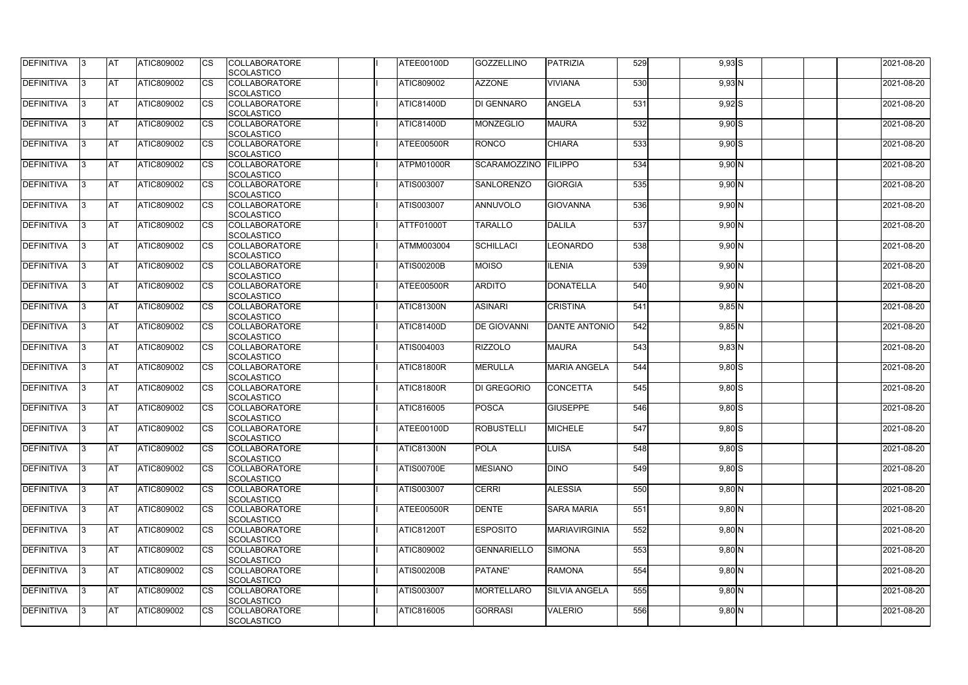| DEFINITIVA        | 13. | <b>JAT</b> | ATIC809002        | Ics        | <b>COLLABORATORE</b><br><b>SCOLASTICO</b> | ATEE00100D        | <b>GOZZELLINO</b>    | <b>TPATRIZIA</b>     | 529 | $9,93$ $S$ | 2021-08-20 |
|-------------------|-----|------------|-------------------|------------|-------------------------------------------|-------------------|----------------------|----------------------|-----|------------|------------|
| <b>DEFINITIVA</b> | l3  | <b>AT</b>  | ATIC809002        | Ics        | <b>COLLABORATORE</b>                      | ATIC809002        | <b>AZZONE</b>        | <b>VIVIANA</b>       | 530 | $9,93$ N   | 2021-08-20 |
|                   |     |            |                   |            | <b>SCOLASTICO</b>                         |                   |                      |                      |     |            |            |
| DEFINITIVA        | l3  | <b>AT</b>  | ATIC809002        | <b>CS</b>  | <b>COLLABORATORE</b>                      | <b>ATIC81400D</b> | <b>DI GENNARO</b>    | <b>ANGELA</b>        | 531 | $9,92$ S   | 2021-08-20 |
|                   |     |            |                   |            | <b>SCOLASTICO</b>                         |                   |                      |                      |     |            |            |
| DEFINITIVA        |     | <b>AT</b>  | ATIC809002        | Ics        | <b>COLLABORATORE</b><br><b>SCOLASTICO</b> | ATIC81400D        | <b>MONZEGLIO</b>     | <b>MAURA</b>         | 532 | $9,90$ S   | 2021-08-20 |
| DEFINITIVA        |     | <b>AT</b>  | <b>ATIC809002</b> | <b>CS</b>  | <b>COLLABORATORE</b>                      | ATEE00500R        | <b>RONCO</b>         | <b>CHIARA</b>        | 533 | $9,90$ $S$ | 2021-08-20 |
|                   |     |            |                   |            | <b>SCOLASTICO</b>                         |                   |                      |                      |     |            |            |
| <b>DEFINITIVA</b> |     | AT         | <b>ATIC809002</b> | Ics        | <b>COLLABORATORE</b>                      | ATPM01000R        | SCARAMOZZINO FILIPPO |                      | 534 | $9,90$ N   | 2021-08-20 |
|                   |     |            |                   |            | <b>SCOLASTICO</b>                         |                   |                      |                      |     |            |            |
| DEFINITIVA        |     | <b>AT</b>  | ATIC809002        | Ics        | <b>COLLABORATORE</b>                      | ATIS003007        | <b>SANLORENZO</b>    | <b>GIORGIA</b>       | 535 | $9,90$ N   | 2021-08-20 |
|                   |     |            |                   |            | <b>SCOLASTICO</b>                         |                   |                      |                      |     |            |            |
| <b>DEFINITIVA</b> | ıз  | <b>AT</b>  | ATIC809002        | Ics        | <b>COLLABORATORE</b>                      | ATIS003007        | ANNUVOLO             | <b>GIOVANNA</b>      | 536 | $9,90$ N   | 2021-08-20 |
| DEFINITIVA        | I3  | <b>AT</b>  | ATIC809002        | <b>CS</b>  | <b>SCOLASTICO</b><br><b>COLLABORATORE</b> | <b>ATTF01000T</b> | <b>TARALLO</b>       | <b>DALILA</b>        | 537 | $9,90$ N   | 2021-08-20 |
|                   |     |            |                   |            | <b>SCOLASTICO</b>                         |                   |                      |                      |     |            |            |
| <b>DEFINITIVA</b> |     | <b>AT</b>  | ATIC809002        | <b>CS</b>  | <b>COLLABORATORE</b>                      | <b>ATMM003004</b> | <b>SCHILLACI</b>     | <b>LEONARDO</b>      | 538 | $9,90$ N   | 2021-08-20 |
|                   |     |            |                   |            | <b>SCOLASTICO</b>                         |                   |                      |                      |     |            |            |
| <b>DEFINITIVA</b> |     | AT         | ATIC809002        | <b>CS</b>  | <b>COLLABORATORE</b>                      | <b>ATIS00200B</b> | <b>MOISO</b>         | <b>ILENIA</b>        | 539 | 9,90N      | 2021-08-20 |
|                   |     |            |                   |            | <b>SCOLASTICO</b>                         |                   |                      |                      |     |            |            |
| DEFINITIVA        | I3  | <b>AT</b>  | ATIC809002        |            | <b>COLLABORATORE</b><br><b>SCOLASTICO</b> | ATEE00500R        | <b>ARDITO</b>        | <b>DONATELLA</b>     | 540 | $9,90$ N   | 2021-08-20 |
| <b>DEFINITIVA</b> |     | <b>JAT</b> | ATIC809002        |            | <b>COLLABORATORE</b>                      | <b>ATIC81300N</b> | <b>ASINARI</b>       | <b>CRISTINA</b>      | 541 | $9,85$ N   | 2021-08-20 |
|                   |     |            |                   |            | <b>SCOLASTICO</b>                         |                   |                      |                      |     |            |            |
| <b>DEFINITIVA</b> |     | <b>AT</b>  | ATIC809002        | Ics        | <b>COLLABORATORE</b>                      | <b>ATIC81400D</b> | <b>DE GIOVANNI</b>   | <b>DANTE ANTONIO</b> | 542 | $9,85$ N   | 2021-08-20 |
|                   |     |            |                   |            | <b>SCOLASTICO</b>                         |                   |                      |                      |     |            |            |
| DEFINITIVA        | l3  | <b>AT</b>  | <b>ATIC809002</b> | Ics        | <b>COLLABORATORE</b><br><b>SCOLASTICO</b> | ATIS004003        | <b>RIZZOLO</b>       | <b>MAURA</b>         | 543 | $9,83$ N   | 2021-08-20 |
| DEFINITIVA        |     | <b>AT</b>  | ATIC809002        | <b>CS</b>  | <b>COLLABORATORE</b>                      | ATIC81800R        | <b>MERULLA</b>       | <b>MARIA ANGELA</b>  | 544 | $9,80$ S   | 2021-08-20 |
|                   |     |            |                   |            | <b>SCOLASTICO</b>                         |                   |                      |                      |     |            |            |
| DEFINITIVA        |     | <b>AT</b>  | ATIC809002        | <b>CS</b>  | <b>COLLABORATORE</b>                      | <b>ATIC81800R</b> | <b>DI GREGORIO</b>   | <b>CONCETTA</b>      | 545 | $9,80$ S   | 2021-08-20 |
|                   |     |            |                   |            | <b>SCOLASTICO</b>                         |                   |                      |                      |     |            |            |
| <b>DEFINITIVA</b> |     | <b>AT</b>  | ATIC809002        | <b>CS</b>  | <b>COLLABORATORE</b>                      | ATIC816005        | POSCA                | <b>GIUSEPPE</b>      | 546 | $9,80$ $S$ | 2021-08-20 |
|                   |     |            |                   |            | <b>SCOLASTICO</b>                         |                   |                      |                      |     |            |            |
| <b>DEFINITIVA</b> | 13. | <b>AT</b>  | ATIC809002        |            | <b>COLLABORATORE</b>                      | ATEE00100D        | <b>ROBUSTELLI</b>    | <b>MICHELE</b>       | 547 | $9,80$ S   | 2021-08-20 |
| <b>DEFINITIVA</b> |     | AT         | <b>ATIC809002</b> | Ics        | <b>SCOLASTICO</b><br><b>COLLABORATORE</b> | <b>ATIC81300N</b> | <b>POLA</b>          |                      | 548 |            | 2021-08-20 |
|                   | 13  |            |                   |            | <b>SCOLASTICO</b>                         |                   |                      | <b>LUISA</b>         |     | $9,80$ S   |            |
| <b>DEFINITIVA</b> | I3  | <b>AT</b>  | ATIC809002        | Ics        | <b>COLLABORATORE</b>                      | <b>ATIS00700E</b> | <b>MESIANO</b>       | <b>DINO</b>          | 549 | $9,80$ $S$ | 2021-08-20 |
|                   |     |            |                   |            | <b>SCOLASTICO</b>                         |                   |                      |                      |     |            |            |
| DEFINITIVA        | I3  | <b>AT</b>  | ATIC809002        | Ics        | <b>COLLABORATORE</b>                      | ATIS003007        | <b>CERRI</b>         | <b>ALESSIA</b>       | 550 | $9,80$ N   | 2021-08-20 |
|                   |     |            |                   |            | <b>SCOLASTICO</b>                         |                   |                      |                      |     |            |            |
| <b>DEFINITIVA</b> |     | <b>AT</b>  | ATIC809002        | Ics        | <b>COLLABORATORE</b>                      | ATEE00500R        | <b>DENTE</b>         | <b>SARA MARIA</b>    | 551 | $9,80$ N   | 2021-08-20 |
|                   |     |            |                   |            | <b>SCOLASTICO</b>                         |                   |                      |                      |     |            |            |
| <b>DEFINITIVA</b> |     | <b>AT</b>  | ATIC809002        | <b>CS</b>  | <b>COLLABORATORE</b>                      | <b>ATIC81200T</b> | <b>ESPOSITO</b>      | <b>MARIAVIRGINIA</b> | 552 | $9,80$ N   | 2021-08-20 |
| <b>DEFINITIVA</b> | ıз  | <b>AT</b>  | <b>ATIC809002</b> |            | <b>SCOLASTICO</b><br><b>COLLABORATORE</b> | ATIC809002        | <b>GENNARIELLO</b>   | <b>SIMONA</b>        | 553 | $9,80$ N   | 2021-08-20 |
|                   |     |            |                   |            | <b>SCOLASTICO</b>                         |                   |                      |                      |     |            |            |
| <b>DEFINITIVA</b> |     | <b>AT</b>  | ATIC809002        | Ics        | <b>COLLABORATORE</b>                      | <b>ATIS00200B</b> | PATANE'              | <b>RAMONA</b>        | 554 | $9,80$ N   | 2021-08-20 |
|                   |     |            |                   |            | <b>SCOLASTICO</b>                         |                   |                      |                      |     |            |            |
| <b>DEFINITIVA</b> | ıз  | <b>AT</b>  | <b>ATIC809002</b> | <b>ICS</b> | <b>COLLABORATORE</b>                      | ATIS003007        | <b>MORTELLARO</b>    | <b>SILVIA ANGELA</b> | 555 | $9,80$ N   | 2021-08-20 |
|                   |     |            |                   |            | <b>SCOLASTICO</b>                         |                   |                      |                      |     |            |            |
| <b>DEFINITIVA</b> | I3  | <b>AT</b>  | ATIC809002        | Ics        | <b>COLLABORATORE</b>                      | ATIC816005        | <b>GORRASI</b>       | <b>VALERIO</b>       | 556 | $9,80$ N   | 2021-08-20 |
|                   |     |            |                   |            | SCOLASTICO                                |                   |                      |                      |     |            |            |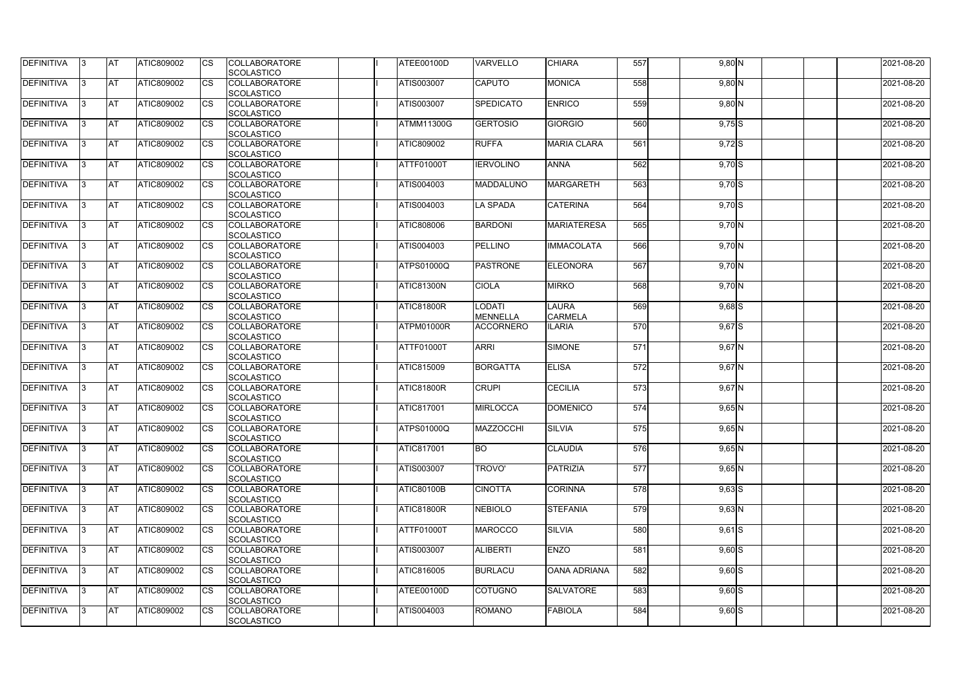| <b>DEFINITIVA</b> | IЗ  | <b>IAT</b> | ATIC809002        | <b>CS</b>              | <b>COLLABORATORE</b><br>SCOLASTICO        | ATEE00100D        | <b>VARVELLO</b>                  | <b>CHIARA</b>       | 557 | $9,80$ N   | 2021-08-20 |
|-------------------|-----|------------|-------------------|------------------------|-------------------------------------------|-------------------|----------------------------------|---------------------|-----|------------|------------|
| DEFINITIVA        | ß.  | <b>AT</b>  | ATIC809002        | CS                     | <b>COLLABORATORE</b>                      | <b>ATIS003007</b> | <b>CAPUTO</b>                    | <b>MONICA</b>       | 558 | $9,80$ N   | 2021-08-20 |
|                   |     |            |                   |                        | <b>SCOLASTICO</b>                         |                   |                                  |                     |     |            |            |
| <b>DEFINITIVA</b> | ß.  | <b>AT</b>  | ATIC809002        | CS                     | <b>COLLABORATORE</b>                      | ATIS003007        | <b>SPEDICATO</b>                 | <b>ENRICO</b>       | 559 | $9,80$ N   | 2021-08-20 |
|                   |     |            |                   |                        | <b>SCOLASTICO</b>                         |                   |                                  |                     |     |            |            |
| <b>DEFINITIVA</b> |     | <b>AT</b>  | ATIC809002        | <b>CS</b>              | <b>COLLABORATORE</b>                      | <b>ATMM11300G</b> | <b>GERTOSIO</b>                  | <b>GIORGIO</b>      | 560 | $9,75$ S   | 2021-08-20 |
|                   |     |            |                   |                        | <b>SCOLASTICO</b>                         |                   |                                  |                     |     |            |            |
| <b>DEFINITIVA</b> |     | <b>AT</b>  | ATIC809002        | CS                     | <b>COLLABORATORE</b>                      | ATIC809002        | <b>RUFFA</b>                     | <b>MARIA CLARA</b>  | 561 | $9,72$ S   | 2021-08-20 |
|                   |     |            |                   |                        | SCOLASTICO                                |                   |                                  |                     |     |            |            |
| <b>DEFINITIVA</b> | ß   | AT         | ATIC809002        | <b>CS</b>              | <b>COLLABORATORE</b><br>SCOLASTICO        | <b>ATTF01000T</b> | <b>IERVOLINO</b>                 | <b>ANNA</b>         | 562 | $9,70$ S   | 2021-08-20 |
| <b>DEFINITIVA</b> |     | <b>AT</b>  | ATIC809002        | <b>CS</b>              | <b>COLLABORATORE</b>                      | ATIS004003        | MADDALUNO                        | <b>MARGARETH</b>    | 563 | $9,70$ S   | 2021-08-20 |
|                   |     |            |                   |                        | SCOLASTICO                                |                   |                                  |                     |     |            |            |
| DEFINITIVA        | 3   | <b>AT</b>  | ATIC809002        | <b>CS</b>              | <b>COLLABORATORE</b>                      | ATIS004003        | <b>LA SPADA</b>                  | <b>CATERINA</b>     | 564 | $9,70$ S   | 2021-08-20 |
|                   |     |            |                   |                        | <b>SCOLASTICO</b>                         |                   |                                  |                     |     |            |            |
| <b>DEFINITIVA</b> | l3  | <b>AT</b>  | ATIC809002        | CS                     | <b>COLLABORATORE</b>                      | <b>ATIC808006</b> | <b>BARDONI</b>                   | <b>MARIATERESA</b>  | 565 | $9,70$ N   | 2021-08-20 |
|                   |     |            |                   |                        | <b>SCOLASTICO</b>                         |                   |                                  |                     |     |            |            |
| <b>DEFINITIVA</b> |     | <b>AT</b>  | ATIC809002        | <b>CS</b>              | <b>COLLABORATORE</b>                      | ATIS004003        | PELLINO                          | <b>IMMACOLATA</b>   | 566 | $9,70$ N   | 2021-08-20 |
|                   |     |            |                   |                        | <b>SCOLASTICO</b>                         |                   |                                  |                     |     |            |            |
| <b>DEFINITIVA</b> |     | <b>AT</b>  | ATIC809002        | $\overline{\text{cs}}$ | <b>COLLABORATORE</b>                      | <b>ATPS01000Q</b> | <b>PASTRONE</b>                  | <b>ELEONORA</b>     | 567 | 9,70 N     | 2021-08-20 |
|                   |     |            |                   |                        | SCOLASTICO                                |                   |                                  |                     |     |            |            |
| <b>DEFINITIVA</b> | 3   | <b>AT</b>  | ATIC809002        | <b>CS</b>              | <b>COLLABORATORE</b>                      | ATIC81300N        | <b>CIOLA</b>                     | <b>MIRKO</b>        | 568 | $9,70$ N   | 2021-08-20 |
| <b>DEFINITIVA</b> |     | <b>IAT</b> |                   |                        | SCOLASTICO<br><b>COLLABORATORE</b>        |                   |                                  | <b>LAURA</b>        | 569 |            |            |
|                   |     |            | ATIC809002        | CS                     | <b>SCOLASTICO</b>                         | <b>ATIC81800R</b> | <b>LODATI</b><br><b>MENNELLA</b> | <b>CARMELA</b>      |     | $9,68$ $S$ | 2021-08-20 |
| <b>DEFINITIVA</b> |     | <b>AT</b>  | ATIC809002        | <b>CS</b>              | <b>COLLABORATORE</b>                      | ATPM01000R        | <b>ACCORNERO</b>                 | <b>ILARIA</b>       | 570 | $9,67$ $S$ | 2021-08-20 |
|                   |     |            |                   |                        | SCOLASTICO                                |                   |                                  |                     |     |            |            |
| DEFINITIVA        | R   | <b>AT</b>  | ATIC809002        | CS                     | <b>COLLABORATORE</b>                      | <b>ATTF01000T</b> | <b>ARRI</b>                      | <b>SIMONE</b>       | 571 | $9,67$ N   | 2021-08-20 |
|                   |     |            |                   |                        | <b>SCOLASTICO</b>                         |                   |                                  |                     |     |            |            |
| <b>DEFINITIVA</b> |     | <b>AT</b>  | <b>ATIC809002</b> | CS                     | <b>COLLABORATORE</b>                      | <b>ATIC815009</b> | <b>BORGATTA</b>                  | <b>ELISA</b>        | 572 | $9,67$ N   | 2021-08-20 |
|                   |     |            |                   |                        | <b>SCOLASTICO</b>                         |                   |                                  |                     |     |            |            |
| <b>DEFINITIVA</b> |     | <b>AT</b>  | ATIC809002        | <b>CS</b>              | <b>COLLABORATORE</b>                      | <b>ATIC81800R</b> | <b>CRUPI</b>                     | <b>CECILIA</b>      | 573 | $9,67$ N   | 2021-08-20 |
|                   |     |            |                   |                        | SCOLASTICO                                |                   |                                  |                     |     |            |            |
| <b>DEFINITIVA</b> |     | <b>AT</b>  | ATIC809002        | <b>CS</b>              | <b>COLLABORATORE</b>                      | ATIC817001        | <b>MIRLOCCA</b>                  | <b>DOMENICO</b>     | 574 | $9,65$ N   | 2021-08-20 |
|                   |     |            |                   |                        | SCOLASTICO<br><b>COLLABORATORE</b>        |                   |                                  |                     |     |            |            |
| DEFINITIVA        | 13. | <b>AT</b>  | ATIC809002        | <b>CS</b>              | SCOLASTICO                                | <b>ATPS01000Q</b> | <b>MAZZOCCHI</b>                 | <b>SILVIA</b>       | 575 | $9,65$ N   | 2021-08-20 |
| <b>DEFINITIVA</b> | IЗ  | <b>AT</b>  | ATIC809002        | <b>CS</b>              | <b>COLLABORATORE</b>                      | <b>ATIC817001</b> | <b>BO</b>                        | <b>CLAUDIA</b>      | 576 | $9,65$ N   | 2021-08-20 |
|                   |     |            |                   |                        | <b>SCOLASTICO</b>                         |                   |                                  |                     |     |            |            |
| <b>DEFINITIVA</b> | l3. | <b>AT</b>  | ATIC809002        | <b>CS</b>              | <b>COLLABORATORE</b>                      | <b>ATIS003007</b> | TROVO'                           | PATRIZIA            | 577 | $9,65$ N   | 2021-08-20 |
|                   |     |            |                   |                        | <b>SCOLASTICO</b>                         |                   |                                  |                     |     |            |            |
| <b>DEFINITIVA</b> | 13. | <b>AT</b>  | ATIC809002        | <b>CS</b>              | <b>COLLABORATORE</b>                      | <b>ATIC80100B</b> | <b>CINOTTA</b>                   | <b>CORINNA</b>      | 578 | $9,63$ $S$ | 2021-08-20 |
|                   |     |            |                   |                        | <b>SCOLASTICO</b>                         |                   |                                  |                     |     |            |            |
| <b>DEFINITIVA</b> |     | <b>AT</b>  | ATIC809002        | <b>CS</b>              | <b>COLLABORATORE</b>                      | <b>ATIC81800R</b> | <b>NEBIOLO</b>                   | <b>STEFANIA</b>     | 579 | $9,63$ N   | 2021-08-20 |
|                   |     |            |                   |                        | <b>SCOLASTICO</b>                         |                   |                                  |                     |     |            |            |
| <b>DEFINITIVA</b> |     | <b>AT</b>  | ATIC809002        | <b>CS</b>              | <b>COLLABORATORE</b>                      | <b>ATTF01000T</b> | <b>MAROCCO</b>                   | <b>SILVIA</b>       | 580 | $9,61$ S   | 2021-08-20 |
| <b>DEFINITIVA</b> | ß.  | <b>AT</b>  | ATIC809002        | <b>CS</b>              | <b>SCOLASTICO</b><br><b>COLLABORATORE</b> | ATIS003007        | <b>ALIBERTI</b>                  | <b>ENZO</b>         | 581 |            | 2021-08-20 |
|                   |     |            |                   |                        | SCOLASTICO                                |                   |                                  |                     |     | $9,60$ S   |            |
| DEFINITIVA        |     | <b>AT</b>  | ATIC809002        | <b>CS</b>              | <b>COLLABORATORE</b>                      | ATIC816005        | <b>BURLACU</b>                   | <b>OANA ADRIANA</b> | 582 | $9,60$ S   | 2021-08-20 |
|                   |     |            |                   |                        | <b>SCOLASTICO</b>                         |                   |                                  |                     |     |            |            |
| DEFINITIVA        | IЗ  | <b>AT</b>  | ATIC809002        | <b>CS</b>              | <b>COLLABORATORE</b>                      | ATEE00100D        | <b>COTUGNO</b>                   | <b>SALVATORE</b>    | 583 | $9,60$ S   | 2021-08-20 |
|                   |     |            |                   |                        | <b>SCOLASTICO</b>                         |                   |                                  |                     |     |            |            |
| <b>DEFINITIVA</b> | l3  | <b>AT</b>  | ATIC809002        | <b>CS</b>              | <b>COLLABORATORE</b>                      | ATIS004003        | <b>ROMANO</b>                    | FABIOLA             | 584 | $9,60$ S   | 2021-08-20 |
|                   |     |            |                   |                        | <b>SCOLASTICO</b>                         |                   |                                  |                     |     |            |            |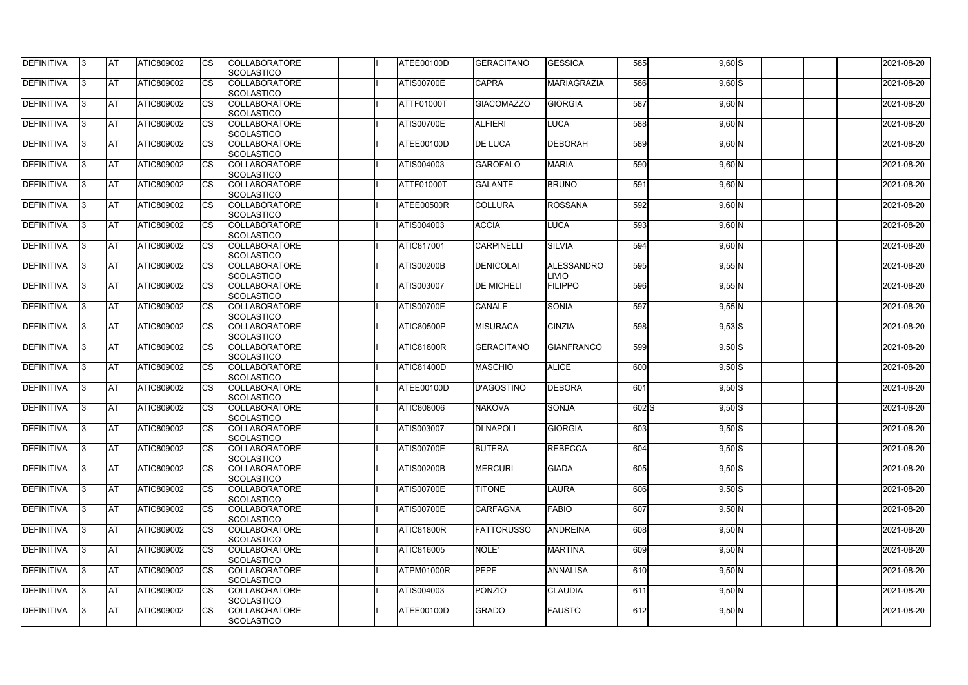| <b>DEFINITIVA</b> | 13  | <b>AT</b> | ATIC809002        | Ics                    | <b>COLLABORATORE</b>                      | ATEE00100D        | <b>GERACITANO</b> | <b>GESSICA</b>     | 585       | $9,60$ S            | 2021-08-20 |
|-------------------|-----|-----------|-------------------|------------------------|-------------------------------------------|-------------------|-------------------|--------------------|-----------|---------------------|------------|
|                   |     | <b>AT</b> |                   | Ics                    | <b>SCOLASTICO</b><br><b>COLLABORATORE</b> |                   | <b>CAPRA</b>      | <b>MARIAGRAZIA</b> | 586       |                     |            |
| <b>DEFINITIVA</b> |     |           | ATIC809002        |                        | <b>SCOLASTICO</b>                         | <b>ATIS00700E</b> |                   |                    |           | $9,60$ $S$          | 2021-08-20 |
| DEFINITIVA        |     | <b>AT</b> | ATIC809002        | Ics                    | <b>COLLABORATORE</b>                      | ATTF01000T        | <b>GIACOMAZZO</b> | <b>GIORGIA</b>     | 587       | $9,60$ N            | 2021-08-20 |
|                   |     |           |                   |                        | <b>SCOLASTICO</b>                         |                   |                   |                    |           |                     |            |
| DEFINITIVA        | IЗ  | <b>AT</b> | ATIC809002        | Ics                    | <b>COLLABORATORE</b>                      | <b>ATIS00700E</b> | <b>ALFIERI</b>    | <b>LUCA</b>        | 588       | $9,60$ N            | 2021-08-20 |
|                   |     |           |                   |                        | <b>SCOLASTICO</b>                         |                   |                   |                    |           |                     |            |
| DEFINITIVA        |     | <b>AT</b> | ATIC809002        | <b>CS</b>              | <b>COLLABORATORE</b>                      | ATEE00100D        | <b>DE LUCA</b>    | <b>DEBORAH</b>     | 589       | $9,60$ N            | 2021-08-20 |
|                   |     |           |                   |                        | <b>SCOLASTICO</b>                         |                   |                   |                    |           |                     |            |
| <b>DEFINITIVA</b> |     | <b>AT</b> | ATIC809002        | Ics                    | <b>COLLABORATORE</b>                      | ATIS004003        | <b>GAROFALO</b>   | <b>MARIA</b>       | 590       | $9,60$ N            | 2021-08-20 |
|                   |     |           |                   |                        | <b>SCOLASTICO</b>                         |                   |                   |                    |           |                     |            |
| DEFINITIVA        |     | <b>AT</b> | <b>ATIC809002</b> | Ics                    | <b>COLLABORATORE</b>                      | ATTF01000T        | <b>GALANTE</b>    | <b>BRUNO</b>       | 591       | $9,60$ N            | 2021-08-20 |
|                   |     |           |                   |                        | <b>SCOLASTICO</b>                         |                   |                   |                    |           |                     |            |
| <b>DEFINITIVA</b> |     | AT        | ATIC809002        | <b>CS</b>              | <b>COLLABORATORE</b>                      | ATEE00500R        | <b>COLLURA</b>    | <b>ROSSANA</b>     | 592       | $9,60$ N            | 2021-08-20 |
|                   |     |           |                   |                        | <b>SCOLASTICO</b>                         |                   |                   |                    |           |                     |            |
| DEFINITIVA        |     | <b>AT</b> | ATIC809002        | $\overline{\text{cs}}$ | <b>COLLABORATORE</b>                      | ATIS004003        | <b>ACCIA</b>      | <b>LUCA</b>        | 593       | $9,60$ N            | 2021-08-20 |
|                   |     |           |                   |                        | <b>SCOLASTICO</b>                         |                   |                   |                    |           |                     |            |
| DEFINITIVA        |     | <b>AT</b> | ATIC809002        | $\overline{\text{cs}}$ | <b>COLLABORATORE</b>                      | ATIC817001        | <b>CARPINELLI</b> | <b>SILVIA</b>      | 594       | $9,60$ N            | 2021-08-20 |
|                   |     |           |                   |                        | SCOLASTICO                                |                   |                   |                    |           |                     |            |
| <b>DEFINITIVA</b> |     | AT        | <b>ATIC809002</b> | <b>CS</b>              | <b>COLLABORATORE</b>                      | <b>ATIS00200B</b> | <b>DENICOLAI</b>  | <b>ALESSANDRO</b>  | 595       | 9,55N               | 2021-08-20 |
|                   |     |           |                   |                        | <b>SCOLASTICO</b>                         |                   |                   | <b>LIVIO</b>       |           |                     |            |
| DEFINITIVA        |     | <b>AT</b> | ATIC809002        | <b>CS</b>              | <b>COLLABORATORE</b>                      | ATIS003007        | <b>DE MICHELI</b> | <b>FILIPPO</b>     | 596       | $9,55$ N            | 2021-08-20 |
|                   |     |           |                   |                        | <b>SCOLASTICO</b>                         |                   |                   |                    |           |                     |            |
| DEFINITIVA        |     | <b>AT</b> | ATIC809002        |                        | <b>COLLABORATORE</b>                      | <b>ATIS00700E</b> | CANALE            | <b>SONIA</b>       | 597       | 9,55N               | 2021-08-20 |
|                   |     |           |                   |                        | <b>SCOLASTICO</b>                         |                   |                   |                    |           |                     |            |
| <b>DEFINITIVA</b> |     | <b>AT</b> | ATIC809002        | Ics                    | <b>COLLABORATORE</b>                      | ATIC80500P        | <b>MISURACA</b>   | <b>CINZIA</b>      | 598       | $9,53$ S            | 2021-08-20 |
|                   |     |           |                   |                        | <b>SCOLASTICO</b>                         |                   |                   |                    |           |                     |            |
| DEFINITIVA        |     | <b>AT</b> | ATIC809002        | <b>CS</b>              | <b>COLLABORATORE</b>                      | <b>ATIC81800R</b> | <b>GERACITANO</b> | <b>GIANFRANCO</b>  | 599       | $9,50$ S            | 2021-08-20 |
|                   |     |           |                   |                        | <b>SCOLASTICO</b>                         |                   |                   |                    |           |                     |            |
| DEFINITIVA        |     | <b>AT</b> | ATIC809002        | Ics                    | <b>COLLABORATORE</b>                      | <b>ATIC81400D</b> | <b>MASCHIO</b>    | <b>ALICE</b>       | 600       | $9,50$ S            | 2021-08-20 |
|                   |     |           |                   |                        | <b>SCOLASTICO</b>                         |                   |                   |                    |           |                     |            |
| <b>DEFINITIVA</b> |     | <b>AT</b> | ATIC809002        | <b>CS</b>              | <b>COLLABORATORE</b>                      | ATEE00100D        | <b>D'AGOSTINO</b> | <b>DEBORA</b>      | 601       | $9,50$ S            | 2021-08-20 |
|                   |     |           |                   |                        | <b>SCOLASTICO</b>                         |                   |                   |                    |           |                     |            |
| DEFINITIVA        |     | <b>AT</b> | ATIC809002        | <b>CS</b>              | <b>COLLABORATORE</b>                      | ATIC808006        | <b>NAKOVA</b>     | <b>SONJA</b>       | $602$ $S$ | $9,50$ S            | 2021-08-20 |
|                   |     |           |                   |                        | SCOLASTICO                                |                   |                   |                    |           |                     |            |
| DEFINITIVA        | 13. | <b>AT</b> | ATIC809002        |                        | <b>COLLABORATORE</b>                      | <b>ATIS003007</b> | <b>DI NAPOLI</b>  | <b>GIORGIA</b>     | 603       | $9,50$ S            | 2021-08-20 |
|                   |     |           |                   |                        | <b>SCOLASTICO</b>                         |                   |                   |                    |           |                     |            |
| DEFINITIVA        | IЗ  | <b>AT</b> | <b>ATIC809002</b> | Ics                    | <b>COLLABORATORE</b>                      | <b>ATIS00700E</b> | <b>BUTERA</b>     | <b>REBECCA</b>     | 604       | $\overline{9,50}$ S | 2021-08-20 |
|                   |     |           |                   |                        | <b>SCOLASTICO</b>                         |                   |                   |                    |           |                     |            |
| <b>DEFINITIVA</b> | I3  | <b>AT</b> | ATIC809002        | <b>ICS</b>             | <b>COLLABORATORE</b>                      | <b>ATIS00200B</b> | <b>MERCURI</b>    | <b>GIADA</b>       | 605       | $9,50$ S            | 2021-08-20 |
|                   |     |           |                   |                        | <b>SCOLASTICO</b>                         |                   |                   |                    |           |                     |            |
| DEFINITIVA        |     | <b>AT</b> | ATIC809002        | Ics                    | <b>COLLABORATORE</b>                      | <b>ATIS00700E</b> | <b>TITONE</b>     | <b>LAURA</b>       | 606       | $\overline{9,50}$ S | 2021-08-20 |
|                   |     |           |                   |                        | <b>SCOLASTICO</b>                         |                   |                   |                    |           |                     |            |
| DEFINITIVA        |     | <b>AT</b> | ATIC809002        | <b>CS</b>              | <b>COLLABORATORE</b>                      | <b>ATIS00700E</b> | <b>CARFAGNA</b>   | <b>FABIO</b>       | 607       | $9,50$ N            | 2021-08-20 |
|                   |     |           |                   |                        | <b>SCOLASTICO</b>                         |                   |                   |                    |           |                     |            |
| <b>DEFINITIVA</b> | ıз  | <b>AT</b> | ATIC809002        | Ics                    | <b>COLLABORATORE</b>                      | <b>ATIC81800R</b> | <b>FATTORUSSO</b> | <b>ANDREINA</b>    | 608       | $9,50$ N            | 2021-08-20 |
| <b>DEFINITIVA</b> |     | <b>AT</b> | ATIC809002        |                        | <b>SCOLASTICO</b><br><b>COLLABORATORE</b> |                   |                   |                    | 609       |                     |            |
|                   |     |           |                   | Ics                    |                                           | ATIC816005        | NOLE'             | <b>MARTINA</b>     |           | $9,50$ N            | 2021-08-20 |
| DEFINITIVA        | ıз  | <b>AT</b> | ATIC809002        | Ics                    | <b>SCOLASTICO</b><br><b>COLLABORATORE</b> | ATPM01000R        | <b>PEPE</b>       | <b>ANNALISA</b>    | 610       | $9,50$ N            | 2021-08-20 |
|                   |     |           |                   |                        | <b>SCOLASTICO</b>                         |                   |                   |                    |           |                     |            |
| <b>DEFINITIVA</b> | 13  | <b>AT</b> | <b>ATIC809002</b> | <b>ICS</b>             | <b>COLLABORATORE</b>                      | ATIS004003        | <b>PONZIO</b>     | <b>CLAUDIA</b>     | 611       | $9,50$ N            | 2021-08-20 |
|                   |     |           |                   |                        | SCOLASTICO                                |                   |                   |                    |           |                     |            |
| <b>DEFINITIVA</b> |     | <b>AT</b> | <b>ATIC809002</b> | Ics                    | <b>COLLABORATORE</b>                      | ATEE00100D        | <b>GRADO</b>      | <b>FAUSTO</b>      | 612       | $9,50$ N            | 2021-08-20 |
|                   |     |           |                   |                        | <b>SCOLASTICO</b>                         |                   |                   |                    |           |                     |            |
|                   |     |           |                   |                        |                                           |                   |                   |                    |           |                     |            |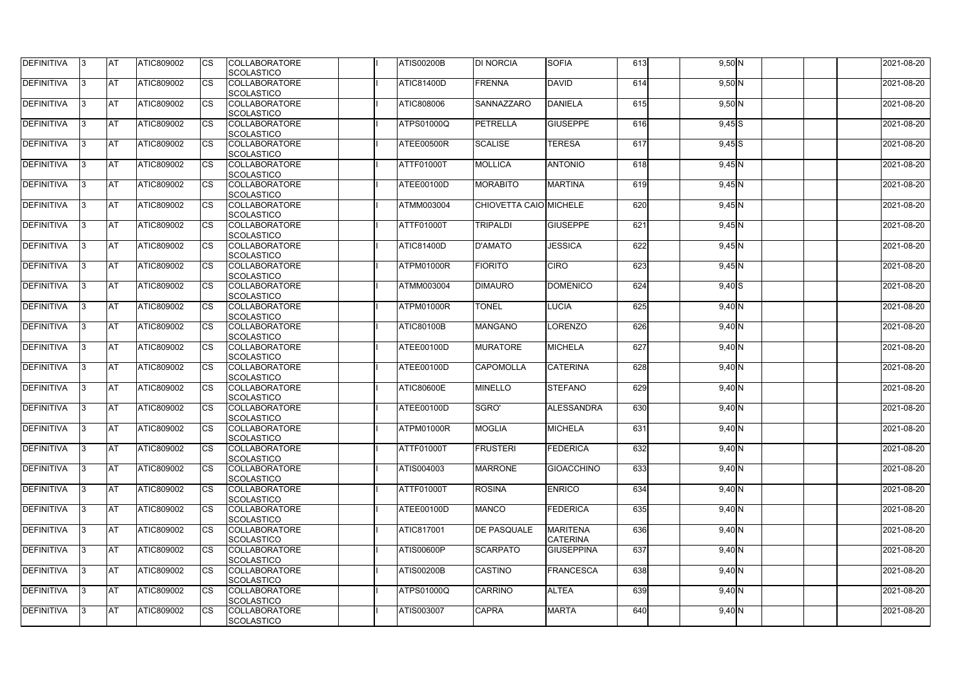| DEFINITIVA        | 13. | <b>JAT</b> | ATIC809002        | Ics        | <b>COLLABORATORE</b> | <b>ATIS00200B</b> | <b>DI NORCIA</b>       | <b>SOFIA</b>      | 613 | $9,50$ N   | 2021-08-20 |
|-------------------|-----|------------|-------------------|------------|----------------------|-------------------|------------------------|-------------------|-----|------------|------------|
|                   |     |            |                   |            | <b>SCOLASTICO</b>    |                   |                        |                   |     |            |            |
| <b>DEFINITIVA</b> | 3   | <b>AT</b>  | ATIC809002        | Ics        | <b>COLLABORATORE</b> | <b>ATIC81400D</b> | FRENNA                 | <b>DAVID</b>      | 614 | $9,50$ N   | 2021-08-20 |
|                   |     |            |                   |            | <b>SCOLASTICO</b>    |                   |                        |                   |     |            |            |
| DEFINITIVA        | l3  | <b>AT</b>  | ATIC809002        | <b>CS</b>  | <b>COLLABORATORE</b> | ATIC808006        | SANNAZZARO             | <b>DANIELA</b>    | 615 | $9,50$ N   | 2021-08-20 |
|                   |     |            |                   |            | <b>SCOLASTICO</b>    |                   |                        |                   |     |            |            |
| DEFINITIVA        |     | <b>AT</b>  | ATIC809002        | Ics        | <b>COLLABORATORE</b> | <b>ATPS01000Q</b> | <b>PETRELLA</b>        | <b>GIUSEPPE</b>   | 616 | $9,45$ S   | 2021-08-20 |
|                   |     |            |                   |            | <b>SCOLASTICO</b>    |                   |                        |                   |     |            |            |
| DEFINITIVA        |     | <b>AT</b>  | <b>ATIC809002</b> | <b>CS</b>  | <b>COLLABORATORE</b> | ATEE00500R        | <b>SCALISE</b>         | <b>TERESA</b>     | 617 | $9,45$ $S$ | 2021-08-20 |
|                   |     |            |                   |            | <b>SCOLASTICO</b>    |                   |                        |                   |     |            |            |
| <b>DEFINITIVA</b> |     | AT         | <b>ATIC809002</b> | <b>ICS</b> | <b>COLLABORATORE</b> | ATTF01000T        | <b>MOLLICA</b>         | <b>ANTONIO</b>    | 618 |            | 2021-08-20 |
|                   |     |            |                   |            |                      |                   |                        |                   |     | $9,45$ N   |            |
|                   |     |            |                   |            | <b>SCOLASTICO</b>    |                   |                        |                   |     |            |            |
| DEFINITIVA        |     | <b>AT</b>  | ATIC809002        | Ics        | <b>COLLABORATORE</b> | ATEE00100D        | <b>MORABITO</b>        | <b>MARTINA</b>    | 619 | $9,45$ N   | 2021-08-20 |
|                   |     |            |                   |            | <b>SCOLASTICO</b>    |                   |                        |                   |     |            |            |
| <b>DEFINITIVA</b> | ıз  | <b>AT</b>  | ATIC809002        | Ics        | <b>COLLABORATORE</b> | <b>ATMM003004</b> | CHIOVETTA CAIO MICHELE |                   | 620 | $9,45$ N   | 2021-08-20 |
|                   |     |            |                   |            | <b>SCOLASTICO</b>    |                   |                        |                   |     |            |            |
| DEFINITIVA        | I3  | <b>JAT</b> | ATIC809002        | <b>CS</b>  | <b>COLLABORATORE</b> | <b>ATTF01000T</b> | <b>TRIPALDI</b>        | <b>GIUSEPPE</b>   | 621 | $9,45$ N   | 2021-08-20 |
|                   |     |            |                   |            | <b>SCOLASTICO</b>    |                   |                        |                   |     |            |            |
| <b>DEFINITIVA</b> |     | <b>AT</b>  | ATIC809002        | <b>CS</b>  | <b>COLLABORATORE</b> | <b>ATIC81400D</b> | <b>D'AMATO</b>         | <b>JESSICA</b>    | 622 | 9,45N      | 2021-08-20 |
|                   |     |            |                   |            | <b>SCOLASTICO</b>    |                   |                        |                   |     |            |            |
| <b>DEFINITIVA</b> |     | AT         | ATIC809002        | <b>CS</b>  | <b>COLLABORATORE</b> | ATPM01000R        | <b>FIORITO</b>         | <b>CIRO</b>       | 623 | $9,45$ N   | 2021-08-20 |
|                   |     |            |                   |            | <b>SCOLASTICO</b>    |                   |                        |                   |     |            |            |
| DEFINITIVA        | l3  | <b>AT</b>  | ATIC809002        |            | <b>COLLABORATORE</b> | ATMM003004        | <b>DIMAURO</b>         | <b>DOMENICO</b>   | 624 | $9,40$ S   | 2021-08-20 |
|                   |     |            |                   |            |                      |                   |                        |                   |     |            |            |
|                   |     |            |                   |            | <b>SCOLASTICO</b>    |                   |                        |                   |     |            |            |
| <b>DEFINITIVA</b> |     | <b>JAT</b> | ATIC809002        |            | <b>COLLABORATORE</b> | ATPM01000R        | <b>TONEL</b>           | <b>LUCIA</b>      | 625 | $9,40$ N   | 2021-08-20 |
|                   |     |            |                   |            | <b>SCOLASTICO</b>    |                   |                        |                   |     |            |            |
| <b>DEFINITIVA</b> |     | <b>AT</b>  | ATIC809002        | Ics        | <b>COLLABORATORE</b> | <b>ATIC80100B</b> | <b>MANGANO</b>         | LORENZO           | 626 | $9,40$ N   | 2021-08-20 |
|                   |     |            |                   |            | <b>SCOLASTICO</b>    |                   |                        |                   |     |            |            |
| DEFINITIVA        | l3  | <b>AT</b>  | ATIC809002        | Ics        | <b>COLLABORATORE</b> | ATEE00100D        | <b>MURATORE</b>        | <b>MICHELA</b>    | 627 | $9,40$ N   | 2021-08-20 |
|                   |     |            |                   |            | <b>SCOLASTICO</b>    |                   |                        |                   |     |            |            |
| DEFINITIVA        |     | <b>AT</b>  | ATIC809002        | <b>CS</b>  | <b>COLLABORATORE</b> | ATEE00100D        | <b>CAPOMOLLA</b>       | <b>CATERINA</b>   | 628 | $9,40$ N   | 2021-08-20 |
|                   |     |            |                   |            | <b>SCOLASTICO</b>    |                   |                        |                   |     |            |            |
| DEFINITIVA        |     | <b>AT</b>  | ATIC809002        | <b>CS</b>  | <b>COLLABORATORE</b> | <b>ATIC80600E</b> | <b>MINELLO</b>         | <b>STEFANO</b>    | 629 | $9,40$ N   | 2021-08-20 |
|                   |     |            |                   |            | <b>SCOLASTICO</b>    |                   |                        |                   |     |            |            |
| <b>DEFINITIVA</b> |     | <b>AT</b>  | ATIC809002        | <b>CS</b>  | <b>COLLABORATORE</b> | ATEE00100D        | SGRO'                  | <b>ALESSANDRA</b> | 630 | $9,40$ N   | 2021-08-20 |
|                   |     |            |                   |            | SCOLASTICO           |                   |                        |                   |     |            |            |
| <b>DEFINITIVA</b> |     | <b>AT</b>  | ATIC809002        |            | <b>COLLABORATORE</b> | ATPM01000R        | <b>MOGLIA</b>          |                   | 631 |            |            |
|                   | 13. |            |                   |            |                      |                   |                        | <b>MICHELA</b>    |     | $9,40$ N   | 2021-08-20 |
|                   |     |            |                   |            | <b>SCOLASTICO</b>    |                   |                        |                   |     |            |            |
| <b>DEFINITIVA</b> | 13  | AT         | <b>ATIC809002</b> | Ics        | <b>COLLABORATORE</b> | <b>ATTF01000T</b> | <b>FRUSTERI</b>        | FEDERICA          | 632 | $9,40$ N   | 2021-08-20 |
|                   |     |            |                   |            | <b>SCOLASTICO</b>    |                   |                        |                   |     |            |            |
| <b>DEFINITIVA</b> | I3  | <b>AT</b>  | ATIC809002        | Ics        | <b>COLLABORATORE</b> | ATIS004003        | <b>MARRONE</b>         | <b>GIOACCHINO</b> | 633 | $9,40$ N   | 2021-08-20 |
|                   |     |            |                   |            | <b>SCOLASTICO</b>    |                   |                        |                   |     |            |            |
| DEFINITIVA        | I3  | <b>AT</b>  | ATIC809002        | Ics        | <b>COLLABORATORE</b> | ATTF01000T        | <b>ROSINA</b>          | <b>ENRICO</b>     | 634 | $9,40$ N   | 2021-08-20 |
|                   |     |            |                   |            | <b>SCOLASTICO</b>    |                   |                        |                   |     |            |            |
| DEFINITIVA        |     | <b>AT</b>  | ATIC809002        | Ics        | <b>COLLABORATORE</b> | ATEE00100D        | <b>MANCO</b>           | FEDERICA          | 635 | $9,40$ N   | 2021-08-20 |
|                   |     |            |                   |            | <b>SCOLASTICO</b>    |                   |                        |                   |     |            |            |
| <b>DEFINITIVA</b> |     | <b>AT</b>  | ATIC809002        | Ics        | <b>COLLABORATORE</b> | <b>ATIC817001</b> | <b>DE PASQUALE</b>     | <b>MARITENA</b>   | 636 | $9,40$ N   | 2021-08-20 |
|                   |     |            |                   |            | <b>SCOLASTICO</b>    |                   |                        | <b>CATERINA</b>   |     |            |            |
| <b>DEFINITIVA</b> | ıз  | <b>AT</b>  | <b>ATIC809002</b> |            | <b>COLLABORATORE</b> | <b>ATIS00600P</b> | <b>SCARPATO</b>        | <b>GIUSEPPINA</b> | 637 | $9,40$ N   | 2021-08-20 |
|                   |     |            |                   |            |                      |                   |                        |                   |     |            |            |
|                   |     |            |                   |            | <b>SCOLASTICO</b>    |                   |                        |                   |     |            |            |
| <b>DEFINITIVA</b> | ıз  | <b>AT</b>  | ATIC809002        | Ics        | <b>COLLABORATORE</b> | <b>ATIS00200B</b> | <b>CASTINO</b>         | <b>FRANCESCA</b>  | 638 | $9,40$ N   | 2021-08-20 |
|                   |     |            |                   |            | <b>SCOLASTICO</b>    |                   |                        |                   |     |            |            |
| <b>DEFINITIVA</b> | ıз  | <b>AT</b>  | <b>ATIC809002</b> | <b>ICS</b> | <b>COLLABORATORE</b> | <b>ATPS01000Q</b> | <b>CARRINO</b>         | <b>ALTEA</b>      | 639 | $9,40$ N   | 2021-08-20 |
|                   |     |            |                   |            | <b>SCOLASTICO</b>    |                   |                        |                   |     |            |            |
| <b>DEFINITIVA</b> | I3  | <b>AT</b>  | ATIC809002        | Ics        | <b>COLLABORATORE</b> | ATIS003007        | <b>CAPRA</b>           | <b>MARTA</b>      | 640 | $9,40$ N   | 2021-08-20 |
|                   |     |            |                   |            | SCOLASTICO           |                   |                        |                   |     |            |            |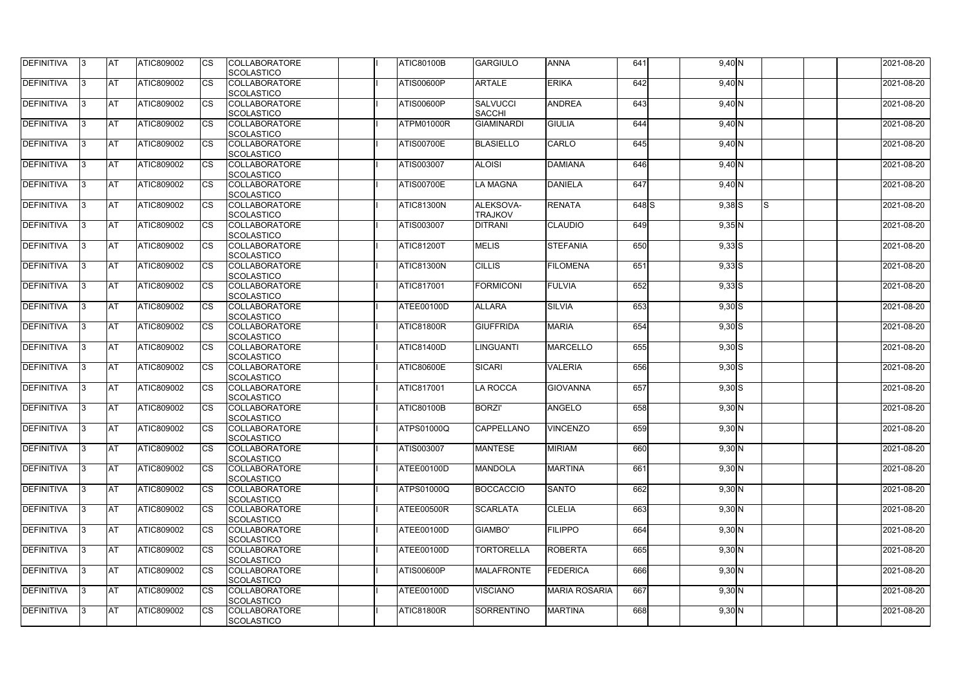| DEFINITIVA        | 13. | <b>JAT</b> | ATIC809002        | Ics        | <b>COLLABORATORE</b><br><b>SCOLASTICO</b> | <b>ATIC80100B</b> | <b>GARGIULO</b>                  | <b>ANNA</b>          | 641       | $9,40$ N   |     | 2021-08-20 |
|-------------------|-----|------------|-------------------|------------|-------------------------------------------|-------------------|----------------------------------|----------------------|-----------|------------|-----|------------|
| <b>DEFINITIVA</b> | l3  | <b>AT</b>  | ATIC809002        | Ics        | <b>COLLABORATORE</b><br><b>SCOLASTICO</b> | ATIS00600P        | <b>ARTALE</b>                    | <b>ERIKA</b>         | 642       | $9,40$ N   |     | 2021-08-20 |
| DEFINITIVA        | l3  | <b>AT</b>  | ATIC809002        | <b>CS</b>  | <b>COLLABORATORE</b><br><b>SCOLASTICO</b> | <b>ATIS00600P</b> | <b>SALVUCCI</b><br><b>SACCHI</b> | <b>ANDREA</b>        | 643       | $9,40$ N   |     | 2021-08-20 |
| DEFINITIVA        |     | <b>AT</b>  | ATIC809002        | Ics        | <b>COLLABORATORE</b><br><b>SCOLASTICO</b> | ATPM01000R        | <b>GIAMINARDI</b>                | <b>GIULIA</b>        | 644       | $9,40$ N   |     | 2021-08-20 |
| DEFINITIVA        |     | <b>AT</b>  | <b>ATIC809002</b> | <b>CS</b>  | <b>COLLABORATORE</b><br><b>SCOLASTICO</b> | <b>ATIS00700E</b> | <b>BLASIELLO</b>                 | <b>CARLO</b>         | 645       | $9,40$ N   |     | 2021-08-20 |
| <b>DEFINITIVA</b> |     | AT         | <b>ATIC809002</b> | <b>ICS</b> | <b>COLLABORATORE</b><br><b>SCOLASTICO</b> | ATIS003007        | <b>ALOISI</b>                    | <b>DAMIANA</b>       | 646       | $9,40$ N   |     | 2021-08-20 |
| DEFINITIVA        |     | <b>AT</b>  | ATIC809002        | Ics        | <b>COLLABORATORE</b><br><b>SCOLASTICO</b> | <b>ATIS00700E</b> | LA MAGNA                         | <b>DANIELA</b>       | 647       | $9,40$ N   |     | 2021-08-20 |
| <b>DEFINITIVA</b> | ıз  | <b>AT</b>  | ATIC809002        | Ics        | <b>COLLABORATORE</b><br><b>SCOLASTICO</b> | <b>ATIC81300N</b> | ALEKSOVA-<br><b>TRAJKOV</b>      | <b>RENATA</b>        | $648$ $S$ | $9,38$ $S$ | IS. | 2021-08-20 |
| DEFINITIVA        | I3  | <b>JAT</b> | ATIC809002        | <b>CS</b>  | <b>COLLABORATORE</b><br><b>SCOLASTICO</b> | ATIS003007        | <b>DITRANI</b>                   | <b>CLAUDIO</b>       | 649       | $9,35$ N   |     | 2021-08-20 |
| <b>DEFINITIVA</b> |     | <b>AT</b>  | ATIC809002        | <b>CS</b>  | <b>COLLABORATORE</b><br><b>SCOLASTICO</b> | <b>ATIC81200T</b> | <b>MELIS</b>                     | <b>STEFANIA</b>      | 650       | $9,33$ $S$ |     | 2021-08-20 |
| <b>DEFINITIVA</b> |     | AT         | ATIC809002        | <b>CS</b>  | <b>COLLABORATORE</b><br><b>SCOLASTICO</b> | <b>ATIC81300N</b> | <b>CILLIS</b>                    | <b>FILOMENA</b>      | 651       | $9,33$ $S$ |     | 2021-08-20 |
| DEFINITIVA        | I3  | <b>AT</b>  | ATIC809002        |            | <b>COLLABORATORE</b><br><b>SCOLASTICO</b> | <b>ATIC817001</b> | <b>FORMICONI</b>                 | <b>FULVIA</b>        | 652       | $9,33$ $S$ |     | 2021-08-20 |
| <b>DEFINITIVA</b> |     | <b>JAT</b> | ATIC809002        |            | <b>COLLABORATORE</b><br><b>SCOLASTICO</b> | ATEE00100D        | <b>ALLARA</b>                    | <b>SILVIA</b>        | 653       | $9,30$ S   |     | 2021-08-20 |
| <b>DEFINITIVA</b> |     | <b>AT</b>  | ATIC809002        | Ics        | <b>COLLABORATORE</b><br><b>SCOLASTICO</b> | <b>ATIC81800R</b> | <b>GIUFFRIDA</b>                 | <b>MARIA</b>         | 654       | $9,30$ S   |     | 2021-08-20 |
| DEFINITIVA        | l3  | <b>AT</b>  | ATIC809002        | Ics        | <b>COLLABORATORE</b><br><b>SCOLASTICO</b> | ATIC81400D        | <b>LINGUANTI</b>                 | <b>MARCELLO</b>      | 655       | $9,30$ S   |     | 2021-08-20 |
| DEFINITIVA        |     | <b>AT</b>  | ATIC809002        | <b>CS</b>  | <b>COLLABORATORE</b><br><b>SCOLASTICO</b> | <b>ATIC80600E</b> | <b>SICARI</b>                    | <b>VALERIA</b>       | 656       | $9,30$ S   |     | 2021-08-20 |
| DEFINITIVA        |     | <b>AT</b>  | ATIC809002        | <b>CS</b>  | <b>COLLABORATORE</b><br><b>SCOLASTICO</b> | <b>ATIC817001</b> | <b>LA ROCCA</b>                  | <b>GIOVANNA</b>      | 657       | $9,30$ S   |     | 2021-08-20 |
| <b>DEFINITIVA</b> |     | <b>AT</b>  | ATIC809002        | <b>CS</b>  | <b>COLLABORATORE</b><br><b>SCOLASTICO</b> | ATIC80100B        | <b>BORZI'</b>                    | ANGELO               | 658       | $9,30$ N   |     | 2021-08-20 |
| <b>DEFINITIVA</b> | 13. | <b>AT</b>  | ATIC809002        |            | <b>COLLABORATORE</b><br><b>SCOLASTICO</b> | ATPS01000Q        | <b>CAPPELLANO</b>                | <b>VINCENZO</b>      | 659       | $9,30$ N   |     | 2021-08-20 |
| <b>DEFINITIVA</b> | 13  | AT         | <b>ATIC809002</b> | Ics        | <b>COLLABORATORE</b><br><b>SCOLASTICO</b> | ATIS003007        | <b>MANTESE</b>                   | <b>MIRIAM</b>        | 660       | $9,30$ N   |     | 2021-08-20 |
| <b>DEFINITIVA</b> | I3  | <b>AT</b>  | ATIC809002        | Ics        | <b>COLLABORATORE</b><br><b>SCOLASTICO</b> | ATEE00100D        | <b>MANDOLA</b>                   | <b>MARTINA</b>       | 661       | $9,30$ N   |     | 2021-08-20 |
| DEFINITIVA        | I3  | <b>AT</b>  | ATIC809002        | Ics        | <b>COLLABORATORE</b><br><b>SCOLASTICO</b> | <b>ATPS01000Q</b> | <b>BOCCACCIO</b>                 | <b>SANTO</b>         | 662       | $9,30$ N   |     | 2021-08-20 |
| <b>DEFINITIVA</b> |     | <b>AT</b>  | ATIC809002        | Ics        | <b>COLLABORATORE</b><br><b>SCOLASTICO</b> | ATEE00500R        | <b>SCARLATA</b>                  | <b>CLELIA</b>        | 663       | $9,30$ N   |     | 2021-08-20 |
| <b>DEFINITIVA</b> |     | <b>AT</b>  | ATIC809002        | <b>CS</b>  | <b>COLLABORATORE</b><br><b>SCOLASTICO</b> | ATEE00100D        | GIAMBO'                          | <b>FILIPPO</b>       | 664       | $9,30$ N   |     | 2021-08-20 |
| <b>DEFINITIVA</b> | ıз  | <b>AT</b>  | <b>ATIC809002</b> |            | <b>COLLABORATORE</b><br><b>SCOLASTICO</b> | ATEE00100D        | <b>TORTORELLA</b>                | <b>ROBERTA</b>       | 665       | $9,30$ N   |     | 2021-08-20 |
| <b>DEFINITIVA</b> |     | <b>AT</b>  | ATIC809002        | Ics        | <b>COLLABORATORE</b><br><b>SCOLASTICO</b> | <b>ATIS00600P</b> | <b>MALAFRONTE</b>                | <b>FEDERICA</b>      | 666       | $9,30$ N   |     | 2021-08-20 |
| <b>DEFINITIVA</b> | ıз  | <b>AT</b>  | <b>ATIC809002</b> | <b>ICS</b> | <b>COLLABORATORE</b><br><b>SCOLASTICO</b> | ATEE00100D        | <b>VISCIANO</b>                  | <b>MARIA ROSARIA</b> | 667       | $9,30$ N   |     | 2021-08-20 |
| <b>DEFINITIVA</b> | I3  | <b>AT</b>  | ATIC809002        | Ics        | <b>COLLABORATORE</b><br>SCOLASTICO        | <b>ATIC81800R</b> | <b>SORRENTINO</b>                | <b>MARTINA</b>       | 668       | $9,30$ N   |     | 2021-08-20 |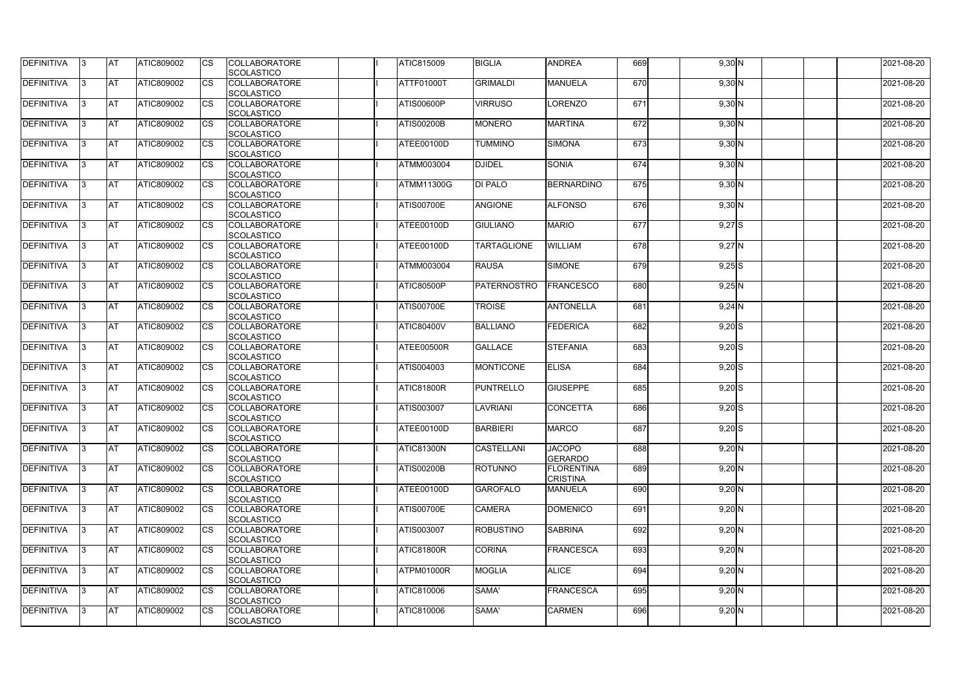| <b>DEFINITIVA</b> | 13.       | <b>AT</b>  | ATIC809002        | Ics         | <b>COLLABORATORE</b><br><b>SCOLASTICO</b> | ATIC815009        | <b>BIGLIA</b>      | <b>ANDREA</b>                        | 669 | $9,30$ N | 2021-08-20 |
|-------------------|-----------|------------|-------------------|-------------|-------------------------------------------|-------------------|--------------------|--------------------------------------|-----|----------|------------|
| DEFINITIVA        | l3        | <b>AT</b>  | ATIC809002        | Ics         | <b>COLLABORATORE</b><br><b>SCOLASTICO</b> | ATTF01000T        | <b>GRIMALDI</b>    | <b>MANUELA</b>                       | 670 | $9,30$ N | 2021-08-20 |
| DEFINITIVA        | IЗ        | <b>IAT</b> | ATIC809002        | <b>CS</b>   | <b>COLLABORATORE</b><br><b>SCOLASTICO</b> | ATIS00600P        | <b>VIRRUSO</b>     | <b>LORENZO</b>                       | 671 | $9,30$ N | 2021-08-20 |
| DEFINITIVA        |           | <b>AT</b>  | ATIC809002        | Ics         | <b>COLLABORATORE</b><br><b>SCOLASTICO</b> | <b>ATIS00200B</b> | <b>MONERO</b>      | <b>MARTINA</b>                       | 672 | $9,30$ N | 2021-08-20 |
| DEFINITIVA        |           | <b>IAT</b> | ATIC809002        | Ics         | <b>COLLABORATORE</b><br><b>SCOLASTICO</b> | ATEE00100D        | <b>TUMMINO</b>     | <b>SIMONA</b>                        | 673 | $9,30$ N | 2021-08-20 |
| <b>DEFINITIVA</b> | 13.       | <b>IAT</b> | ATIC809002        | Ics         | <b>COLLABORATORE</b><br><b>SCOLASTICO</b> | <b>ATMM003004</b> | <b>DJIDEL</b>      | <b>SONIA</b>                         | 674 | $9,30$ N | 2021-08-20 |
| DEFINITIVA        |           | <b>AT</b>  | ATIC809002        | Ics         | <b>COLLABORATORE</b><br><b>SCOLASTICO</b> | ATMM11300G        | <b>DI PALO</b>     | BERNARDINO                           | 675 | $9,30$ N | 2021-08-20 |
| DEFINITIVA        | 13        | <b>AT</b>  | ATIC809002        | Ics         | <b>COLLABORATORE</b><br><b>SCOLASTICO</b> | <b>ATIS00700E</b> | <b>ANGIONE</b>     | <b>ALFONSO</b>                       | 676 | $9,30$ N | 2021-08-20 |
| DEFINITIVA        | 13.       | <b>IAT</b> | ATIC809002        | <b>CS</b>   | <b>COLLABORATORE</b><br><b>SCOLASTICO</b> | ATEE00100D        | <b>GIULIANO</b>    | <b>MARIO</b>                         | 677 | $9,27$ S | 2021-08-20 |
| DEFINITIVA        |           | <b>AT</b>  | <b>ATIC809002</b> | <b>CS</b>   | <b>COLLABORATORE</b><br><b>SCOLASTICO</b> | ATEE00100D        | <b>TARTAGLIONE</b> | <b>WILLIAM</b>                       | 678 | $9,27$ N | 2021-08-20 |
| DEFINITIVA        |           | <b>AT</b>  | ATIC809002        | <b>ICS</b>  | <b>COLLABORATORE</b><br><b>SCOLASTICO</b> | ATMM003004        | <b>RAUSA</b>       | <b>SIMONE</b>                        | 679 | $9,25$ S | 2021-08-20 |
| DEFINITIVA        | IЗ        | <b>AT</b>  | ATIC809002        |             | <b>COLLABORATORE</b><br><b>SCOLASTICO</b> | ATIC80500P        | PATERNOSTRO        | <b>FRANCESCO</b>                     | 680 | $9,25$ N | 2021-08-20 |
| DEFINITIVA        |           | <b>AT</b>  | ATIC809002        |             | <b>COLLABORATORE</b><br><b>SCOLASTICO</b> | <b>ATIS00700E</b> | <b>TROISE</b>      | <b>ANTONELLA</b>                     | 681 | $9,24$ N | 2021-08-20 |
| DEFINITIVA        |           | <b>AT</b>  | ATIC809002        | Ics         | <b>COLLABORATORE</b><br><b>SCOLASTICO</b> | <b>ATIC80400V</b> | <b>BALLIANO</b>    | <b>FEDERICA</b>                      | 682 | $9,20$ S | 2021-08-20 |
| DEFINITIVA        | IЗ        | <b>AT</b>  | <b>ATIC809002</b> | Ics         | <b>COLLABORATORE</b><br><b>SCOLASTICO</b> | ATEE00500R        | <b>GALLACE</b>     | <b>STEFANIA</b>                      | 683 | $9,20$ S | 2021-08-20 |
| DEFINITIVA        |           | <b>AT</b>  | ATIC809002        | Ics         | <b>COLLABORATORE</b><br><b>SCOLASTICO</b> | <b>ATIS004003</b> | <b>MONTICONE</b>   | <b>ELISA</b>                         | 684 | $9,20$ S | 2021-08-20 |
| <b>DEFINITIVA</b> |           | <b>AT</b>  | ATIC809002        | Ics         | <b>COLLABORATORE</b><br><b>SCOLASTICO</b> | <b>ATIC81800R</b> | <b>PUNTRELLO</b>   | <b>GIUSEPPE</b>                      | 685 | $9,20$ S | 2021-08-20 |
| <b>DEFINITIVA</b> |           | AT         | ATIC809002        | Ics         | <b>COLLABORATORE</b><br>SCOLASTICO        | ATIS003007        | LAVRIANI           | <b>CONCETTA</b>                      | 686 | $9,20$ S | 2021-08-20 |
| <b>DEFINITIVA</b> | $\vert$ 3 | <b>IAT</b> | ATIC809002        | Ics         | <b>COLLABORATORE</b><br><b>SCOLASTICO</b> | ATEE00100D        | <b>BARBIERI</b>    | <b>MARCO</b>                         | 687 | $9,20$ S | 2021-08-20 |
| <b>DEFINITIVA</b> | 13        | <b>AT</b>  | ATIC809002        | Ics         | <b>COLLABORATORE</b><br><b>SCOLASTICO</b> | <b>ATIC81300N</b> | <b>CASTELLANI</b>  | <b>JACOPO</b><br><b>GERARDO</b>      | 688 | $9,20$ N | 2021-08-20 |
| DEFINITIVA        | 13.       | <b>AT</b>  | ATIC809002        | Ics         | <b>COLLABORATORE</b><br><b>SCOLASTICO</b> | <b>ATIS00200B</b> | <b>ROTUNNO</b>     | <b>FLORENTINA</b><br><b>CRISTINA</b> | 689 | $9,20$ N | 2021-08-20 |
| DEFINITIVA        | 13.       | <b>AT</b>  | <b>ATIC809002</b> | <b>I</b> CS | <b>COLLABORATORE</b><br><b>SCOLASTICO</b> | ATEE00100D        | <b>GAROFALO</b>    | <b>MANUELA</b>                       | 690 | $9,20$ N | 2021-08-20 |
| <b>DEFINITIVA</b> |           | <b>AT</b>  | <b>ATIC809002</b> | Ics         | <b>COLLABORATORE</b><br><b>SCOLASTICO</b> | <b>ATIS00700E</b> | <b>CAMERA</b>      | <b>DOMENICO</b>                      | 691 | $9,20$ N | 2021-08-20 |
| <b>DEFINITIVA</b> | IЗ        | <b>AT</b>  | ATIC809002        | Ics         | <b>COLLABORATORE</b><br><b>SCOLASTICO</b> | ATIS003007        | <b>ROBUSTINO</b>   | <b>SABRINA</b>                       | 692 | $9,20$ N | 2021-08-20 |
| <b>DEFINITIVA</b> | 13.       | <b>AT</b>  | ATIC809002        | <b>ICS</b>  | <b>COLLABORATORE</b><br><b>SCOLASTICO</b> | <b>ATIC81800R</b> | <b>CORINA</b>      | <b>FRANCESCA</b>                     | 693 | $9,20$ N | 2021-08-20 |
| <b>DEFINITIVA</b> | 13.       | <b>AT</b>  | ATIC809002        | Ics         | <b>COLLABORATORE</b><br><b>SCOLASTICO</b> | ATPM01000R        | <b>MOGLIA</b>      | <b>ALICE</b>                         | 694 | $9,20$ N | 2021-08-20 |
| <b>DEFINITIVA</b> | 13.       | <b>AT</b>  | ATIC809002        | Ics         | <b>COLLABORATORE</b><br><b>SCOLASTICO</b> | ATIC810006        | SAMA'              | <b>FRANCESCA</b>                     | 695 | $9,20$ N | 2021-08-20 |
| DEFINITIVA        | 13.       | <b>AT</b>  | ATIC809002        | <b>I</b> CS | <b>COLLABORATORE</b><br><b>SCOLASTICO</b> | ATIC810006        | SAMA'              | <b>CARMEN</b>                        | 696 | $9,20$ N | 2021-08-20 |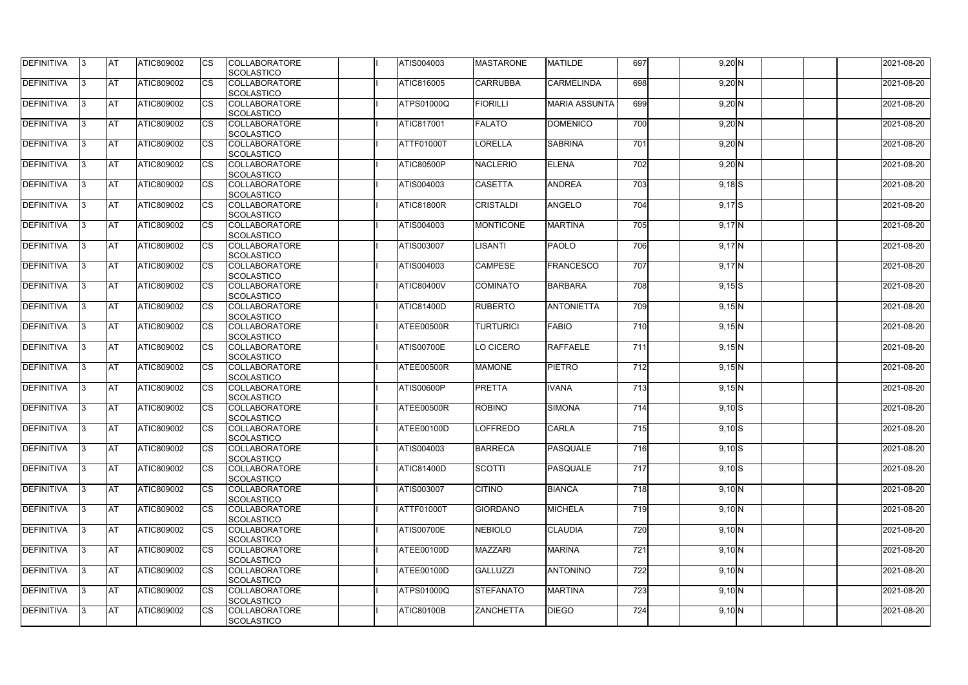| DEFINITIVA        | 13. | <b>JAT</b> | ATIC809002        | Ics                    | <b>COLLABORATORE</b> | ATIS004003        | <b>MASTARONE</b> | <b>MATILDE</b>       | 697              | $9,20$ N | 2021-08-20 |
|-------------------|-----|------------|-------------------|------------------------|----------------------|-------------------|------------------|----------------------|------------------|----------|------------|
|                   |     |            |                   |                        | <b>SCOLASTICO</b>    |                   |                  |                      |                  |          |            |
| <b>DEFINITIVA</b> | l3  | <b>AT</b>  | ATIC809002        | Ics                    | <b>COLLABORATORE</b> | <b>ATIC816005</b> | <b>CARRUBBA</b>  | <b>CARMELINDA</b>    | 698              | $9,20$ N | 2021-08-20 |
|                   |     |            |                   |                        | <b>SCOLASTICO</b>    |                   |                  |                      |                  |          |            |
| DEFINITIVA        | l3  | <b>AT</b>  | ATIC809002        | <b>CS</b>              | <b>COLLABORATORE</b> | <b>ATPS01000Q</b> | <b>FIORILLI</b>  | <b>MARIA ASSUNTA</b> | 699              | $9,20$ N | 2021-08-20 |
|                   |     |            |                   |                        | <b>SCOLASTICO</b>    |                   |                  |                      |                  |          |            |
| DEFINITIVA        |     | <b>AT</b>  | ATIC809002        | Ics                    | <b>COLLABORATORE</b> | <b>ATIC817001</b> | <b>FALATO</b>    | <b>DOMENICO</b>      | 700              | $9,20$ N | 2021-08-20 |
|                   |     |            |                   |                        | <b>SCOLASTICO</b>    |                   |                  |                      |                  |          |            |
| DEFINITIVA        |     | <b>AT</b>  | <b>ATIC809002</b> | <b>CS</b>              | <b>COLLABORATORE</b> | ATTF01000T        | LORELLA          | <b>SABRINA</b>       | $\overline{701}$ | $9,20$ N | 2021-08-20 |
|                   |     |            |                   |                        | <b>SCOLASTICO</b>    |                   |                  |                      |                  |          |            |
| <b>DEFINITIVA</b> |     | AT         | <b>ATIC809002</b> | <b>ICS</b>             | <b>COLLABORATORE</b> | <b>ATIC80500P</b> | <b>NACLERIO</b>  | <b>ELENA</b>         | $\overline{702}$ |          | 2021-08-20 |
|                   |     |            |                   |                        |                      |                   |                  |                      |                  | $9,20$ N |            |
|                   |     |            |                   |                        | <b>SCOLASTICO</b>    |                   |                  |                      |                  |          |            |
| DEFINITIVA        |     | <b>AT</b>  | ATIC809002        | Ics                    | <b>COLLABORATORE</b> | ATIS004003        | <b>CASETTA</b>   | <b>ANDREA</b>        | 703              | $9,18$ S | 2021-08-20 |
|                   |     |            |                   |                        | <b>SCOLASTICO</b>    |                   |                  |                      |                  |          |            |
| <b>DEFINITIVA</b> | ıз  | <b>AT</b>  | ATIC809002        | Ics                    | <b>COLLABORATORE</b> | <b>ATIC81800R</b> | <b>CRISTALDI</b> | <b>ANGELO</b>        | 704              | $9,17$ S | 2021-08-20 |
|                   |     |            |                   |                        | <b>SCOLASTICO</b>    |                   |                  |                      |                  |          |            |
| DEFINITIVA        | I3  | <b>AT</b>  | ATIC809002        | <b>CS</b>              | <b>COLLABORATORE</b> | ATIS004003        | <b>MONTICONE</b> | <b>MARTINA</b>       | 705              | $9,17$ N | 2021-08-20 |
|                   |     |            |                   |                        | <b>SCOLASTICO</b>    |                   |                  |                      |                  |          |            |
| <b>DEFINITIVA</b> |     | <b>AT</b>  | ATIC809002        | <b>CS</b>              | <b>COLLABORATORE</b> | ATIS003007        | LISANTI          | <b>PAOLO</b>         | 706              | $9,17$ N | 2021-08-20 |
|                   |     |            |                   |                        | <b>SCOLASTICO</b>    |                   |                  |                      |                  |          |            |
| <b>DEFINITIVA</b> |     | AT         | ATIC809002        | $\overline{\text{cs}}$ | <b>COLLABORATORE</b> | ATIS004003        | <b>CAMPESE</b>   | <b>FRANCESCO</b>     | 707              | $9,17$ N | 2021-08-20 |
|                   |     |            |                   |                        | <b>SCOLASTICO</b>    |                   |                  |                      |                  |          |            |
| DEFINITIVA        | I3  | <b>AT</b>  | ATIC809002        |                        | <b>COLLABORATORE</b> | <b>ATIC80400V</b> | <b>COMINATO</b>  | <b>BARBARA</b>       | 708              | $9,15$ S | 2021-08-20 |
|                   |     |            |                   |                        |                      |                   |                  |                      |                  |          |            |
|                   |     |            |                   |                        | <b>SCOLASTICO</b>    |                   |                  |                      |                  |          |            |
| <b>DEFINITIVA</b> |     | <b>JAT</b> | ATIC809002        |                        | <b>COLLABORATORE</b> | <b>ATIC81400D</b> | <b>RUBERTO</b>   | <b>ANTONIETTA</b>    | 709              | $9,15$ N | 2021-08-20 |
|                   |     |            |                   |                        | <b>SCOLASTICO</b>    |                   |                  |                      |                  |          |            |
| <b>DEFINITIVA</b> |     | <b>AT</b>  | ATIC809002        | Ics                    | <b>COLLABORATORE</b> | ATEE00500R        | <b>TURTURICI</b> | <b>FABIO</b>         | 710              | $9,15$ N | 2021-08-20 |
|                   |     |            |                   |                        | <b>SCOLASTICO</b>    |                   |                  |                      |                  |          |            |
| DEFINITIVA        | l3  | <b>AT</b>  | <b>ATIC809002</b> | Ics                    | <b>COLLABORATORE</b> | <b>ATIS00700E</b> | LO CICERO        | <b>RAFFAELE</b>      | 711              | $9,15$ N | 2021-08-20 |
|                   |     |            |                   |                        | <b>SCOLASTICO</b>    |                   |                  |                      |                  |          |            |
| DEFINITIVA        |     | <b>AT</b>  | ATIC809002        | Ics                    | <b>COLLABORATORE</b> | ATEE00500R        | <b>MAMONE</b>    | <b>PIETRO</b>        | 712              | 9,15N    | 2021-08-20 |
|                   |     |            |                   |                        | <b>SCOLASTICO</b>    |                   |                  |                      |                  |          |            |
| DEFINITIVA        |     | <b>AT</b>  | ATIC809002        | <b>CS</b>              | <b>COLLABORATORE</b> | <b>ATIS00600P</b> | <b>PRETTA</b>    | <b>IVANA</b>         | 713              | $9,15$ N | 2021-08-20 |
|                   |     |            |                   |                        | <b>SCOLASTICO</b>    |                   |                  |                      |                  |          |            |
| <b>DEFINITIVA</b> |     | <b>AT</b>  | ATIC809002        | <b>CS</b>              | <b>COLLABORATORE</b> | <b>ATEE00500R</b> | <b>ROBINO</b>    | <b>SIMONA</b>        | 714              | $9,10$ S | 2021-08-20 |
|                   |     |            |                   |                        | <b>SCOLASTICO</b>    |                   |                  |                      |                  |          |            |
| <b>DEFINITIVA</b> |     | <b>AT</b>  | ATIC809002        |                        | <b>COLLABORATORE</b> | ATEE00100D        | <b>LOFFREDO</b>  | <b>CARLA</b>         | 715              |          |            |
|                   | 13. |            |                   |                        |                      |                   |                  |                      |                  | $9,10$ S | 2021-08-20 |
|                   |     |            |                   |                        | <b>SCOLASTICO</b>    |                   |                  |                      |                  |          |            |
| <b>DEFINITIVA</b> | 13  | AT         | <b>ATIC809002</b> | Ics                    | <b>COLLABORATORE</b> | ATIS004003        | <b>BARRECA</b>   | PASQUALE             | 716              | $9,10$ S | 2021-08-20 |
|                   |     |            |                   |                        | <b>SCOLASTICO</b>    |                   |                  |                      |                  |          |            |
| <b>DEFINITIVA</b> | I3  | <b>AT</b>  | ATIC809002        | Ics                    | <b>COLLABORATORE</b> | <b>ATIC81400D</b> | <b>SCOTTI</b>    | PASQUALE             | 717              | $9,10$ S | 2021-08-20 |
|                   |     |            |                   |                        | <b>SCOLASTICO</b>    |                   |                  |                      |                  |          |            |
| DEFINITIVA        | I3  | <b>AT</b>  | ATIC809002        | Ics                    | <b>COLLABORATORE</b> | ATIS003007        | <b>CITINO</b>    | <b>BIANCA</b>        | 718              | 9,10 N   | 2021-08-20 |
|                   |     |            |                   |                        | <b>SCOLASTICO</b>    |                   |                  |                      |                  |          |            |
| <b>DEFINITIVA</b> |     | <b>AT</b>  | ATIC809002        | Ics                    | <b>COLLABORATORE</b> | ATTF01000T        | <b>GIORDANO</b>  | <b>MICHELA</b>       | 719              | 9,10 N   | 2021-08-20 |
|                   |     |            |                   |                        | <b>SCOLASTICO</b>    |                   |                  |                      |                  |          |            |
| <b>DEFINITIVA</b> |     | <b>AT</b>  | ATIC809002        | Ics                    | <b>COLLABORATORE</b> | <b>ATIS00700E</b> | <b>NEBIOLO</b>   | <b>CLAUDIA</b>       | 720              | 9,10 N   | 2021-08-20 |
|                   |     |            |                   |                        | <b>SCOLASTICO</b>    |                   |                  |                      |                  |          |            |
| <b>DEFINITIVA</b> | ıз  | <b>AT</b>  | <b>ATIC809002</b> |                        | <b>COLLABORATORE</b> | ATEE00100D        | <b>MAZZARI</b>   | <b>MARINA</b>        | 721              | 9,10 N   | 2021-08-20 |
|                   |     |            |                   |                        |                      |                   |                  |                      |                  |          |            |
|                   |     |            |                   |                        | <b>SCOLASTICO</b>    |                   |                  |                      |                  |          |            |
| <b>DEFINITIVA</b> | ıз  | <b>AT</b>  | ATIC809002        | Ics                    | <b>COLLABORATORE</b> | ATEE00100D        | <b>GALLUZZI</b>  | <b>ANTONINO</b>      | 722              | 9,10 N   | 2021-08-20 |
|                   |     |            |                   |                        | <b>SCOLASTICO</b>    |                   |                  |                      |                  |          |            |
| <b>DEFINITIVA</b> | ıз  | <b>AT</b>  | <b>ATIC809002</b> | <b>ICS</b>             | <b>COLLABORATORE</b> | <b>ATPS01000Q</b> | <b>STEFANATO</b> | <b>MARTINA</b>       | 723              | 9,10 N   | 2021-08-20 |
|                   |     |            |                   |                        | <b>SCOLASTICO</b>    |                   |                  |                      |                  |          |            |
| <b>DEFINITIVA</b> | I3  | <b>AT</b>  | ATIC809002        | Ics                    | <b>COLLABORATORE</b> | <b>ATIC80100B</b> | <b>ZANCHETTA</b> | <b>DIEGO</b>         | 724              | 9,10 N   | 2021-08-20 |
|                   |     |            |                   |                        | SCOLASTICO           |                   |                  |                      |                  |          |            |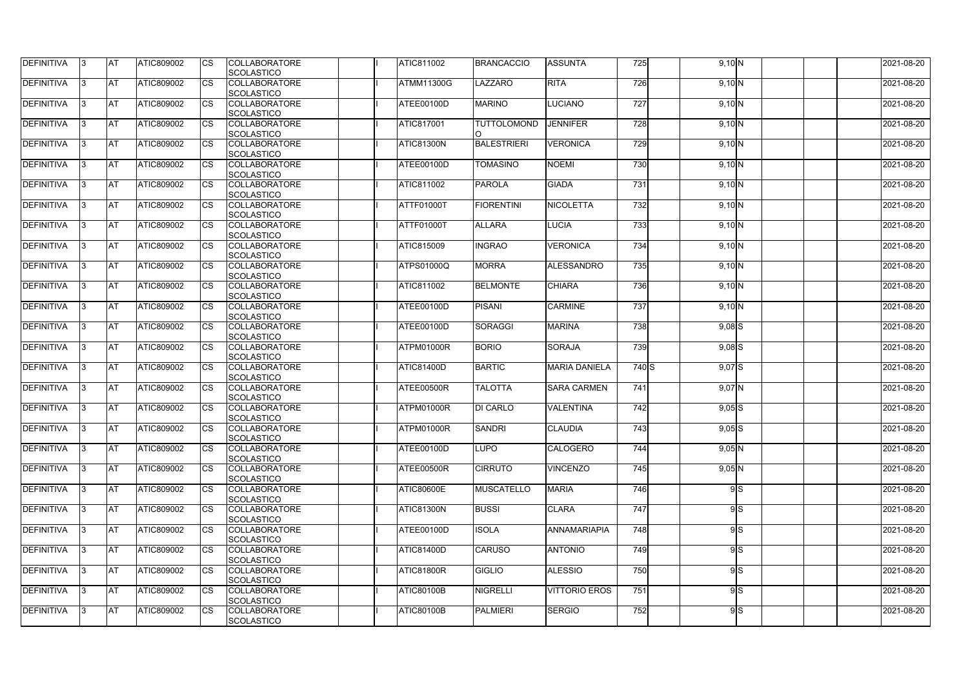| <b>DEFINITIVA</b> | 13  | <b>AT</b> | ATIC809002        | Ics                    | <b>COLLABORATORE</b><br><b>SCOLASTICO</b> | ATIC811002        | <b>BRANCACCIO</b>  | <b>ASSUNTA</b>       | 725              | 9,10 N     |    | 2021-08-20 |
|-------------------|-----|-----------|-------------------|------------------------|-------------------------------------------|-------------------|--------------------|----------------------|------------------|------------|----|------------|
| <b>DEFINITIVA</b> |     | <b>AT</b> | ATIC809002        | Ics                    | <b>COLLABORATORE</b><br><b>SCOLASTICO</b> | <b>ATMM11300G</b> | LAZZARO            | <b>RITA</b>          | 726              | 9,10 N     |    | 2021-08-20 |
| DEFINITIVA        |     | <b>AT</b> | ATIC809002        | Ics                    | <b>COLLABORATORE</b><br><b>SCOLASTICO</b> | ATEE00100D        | <b>MARINO</b>      | <b>LUCIANO</b>       | 727              | 9,10 N     |    | 2021-08-20 |
| DEFINITIVA        | IЗ  | <b>AT</b> | ATIC809002        | Ics                    | <b>COLLABORATORE</b><br><b>SCOLASTICO</b> | <b>ATIC817001</b> | <b>TUTTOLOMOND</b> | <b>JENNIFER</b>      | 728              | 9,10 N     |    | 2021-08-20 |
| DEFINITIVA        |     | <b>AT</b> | ATIC809002        | <b>CS</b>              | <b>COLLABORATORE</b><br><b>SCOLASTICO</b> | <b>ATIC81300N</b> | <b>BALESTRIERI</b> | <b>VERONICA</b>      | 729              | 9,10 N     |    | 2021-08-20 |
| <b>DEFINITIVA</b> |     | <b>AT</b> | ATIC809002        | Ics                    | <b>COLLABORATORE</b><br><b>SCOLASTICO</b> | ATEE00100D        | <b>TOMASINO</b>    | <b>NOEMI</b>         | 730              | 9,10 N     |    | 2021-08-20 |
| DEFINITIVA        |     | <b>AT</b> | <b>ATIC809002</b> | Ics                    | <b>COLLABORATORE</b><br><b>SCOLASTICO</b> | ATIC811002        | <b>PAROLA</b>      | <b>GIADA</b>         | 731              | 9,10 N     |    | 2021-08-20 |
| <b>DEFINITIVA</b> |     | AT        | ATIC809002        | <b>CS</b>              | <b>COLLABORATORE</b><br><b>SCOLASTICO</b> | ATTF01000T        | <b>FIORENTINI</b>  | <b>NICOLETTA</b>     | 732              | 9,10 N     |    | 2021-08-20 |
| DEFINITIVA        |     | <b>AT</b> | ATIC809002        | $\overline{\text{cs}}$ | <b>COLLABORATORE</b><br><b>SCOLASTICO</b> | ATTF01000T        | <b>ALLARA</b>      | <b>LUCIA</b>         | 733              | 9,10 N     |    | 2021-08-20 |
| DEFINITIVA        |     | <b>AT</b> | ATIC809002        | $\overline{\text{cs}}$ | <b>COLLABORATORE</b><br>SCOLASTICO        | <b>ATIC815009</b> | <b>INGRAO</b>      | <b>VERONICA</b>      | 734              | 9,10 N     |    | 2021-08-20 |
| <b>DEFINITIVA</b> |     | AT        | <b>ATIC809002</b> | <b>CS</b>              | <b>COLLABORATORE</b><br><b>SCOLASTICO</b> | <b>ATPS01000Q</b> | <b>MORRA</b>       | ALESSANDRO           | 735              | 9,10 N     |    | 2021-08-20 |
| DEFINITIVA        |     | <b>AT</b> | ATIC809002        | <b>CS</b>              | <b>COLLABORATORE</b><br><b>SCOLASTICO</b> | ATIC811002        | <b>BELMONTE</b>    | <b>CHIARA</b>        | 736              | 9,10 N     |    | 2021-08-20 |
| <b>DEFINITIVA</b> |     | <b>AT</b> | ATIC809002        |                        | <b>COLLABORATORE</b><br><b>SCOLASTICO</b> | ATEE00100D        | <b>PISANI</b>      | <b>CARMINE</b>       | 737              | 9,10 N     |    | 2021-08-20 |
| <b>DEFINITIVA</b> |     | <b>AT</b> | ATIC809002        | Ics                    | <b>COLLABORATORE</b><br><b>SCOLASTICO</b> | ATEE00100D        | <b>SORAGGI</b>     | <b>MARINA</b>        | 738              | $9,08$ $S$ |    | 2021-08-20 |
| DEFINITIVA        |     | <b>AT</b> | ATIC809002        | <b>CS</b>              | <b>COLLABORATORE</b><br><b>SCOLASTICO</b> | ATPM01000R        | <b>BORIO</b>       | <b>SORAJA</b>        | 739              | $9,08$ S   |    | 2021-08-20 |
| DEFINITIVA        |     | <b>AT</b> | ATIC809002        | Ics                    | <b>COLLABORATORE</b><br><b>SCOLASTICO</b> | ATIC81400D        | <b>BARTIC</b>      | <b>MARIA DANIELA</b> | 740 S            | $9,07$ S   |    | 2021-08-20 |
| <b>DEFINITIVA</b> |     | <b>AT</b> | ATIC809002        | <b>CS</b>              | <b>COLLABORATORE</b><br><b>SCOLASTICO</b> | ATEE00500R        | <b>TALOTTA</b>     | <b>SARA CARMEN</b>   | 741              | $9,07$ N   |    | 2021-08-20 |
| DEFINITIVA        |     | <b>AT</b> | ATIC809002        | <b>CS</b>              | <b>COLLABORATORE</b><br>SCOLASTICO        | ATPM01000R        | <b>DI CARLO</b>    | <b>VALENTINA</b>     | $\overline{742}$ | $9,05$ $S$ |    | 2021-08-20 |
| DEFINITIVA        | 13. | <b>AT</b> | ATIC809002        |                        | <b>COLLABORATORE</b><br><b>SCOLASTICO</b> | ATPM01000R        | <b>SANDRI</b>      | <b>CLAUDIA</b>       | 743              | $9,05$ $S$ |    | 2021-08-20 |
| DEFINITIVA        | I3  | <b>AT</b> | <b>ATIC809002</b> | Ics                    | <b>COLLABORATORE</b><br><b>SCOLASTICO</b> | ATEE00100D        | <b>LUPO</b>        | <b>CALOGERO</b>      | 744              | $9,05$ N   |    | 2021-08-20 |
| <b>DEFINITIVA</b> | I3  | <b>AT</b> | ATIC809002        | Ics                    | <b>COLLABORATORE</b><br><b>SCOLASTICO</b> | ATEE00500R        | <b>CIRRUTO</b>     | <b>VINCENZO</b>      | 745              | $9,05$ N   |    | 2021-08-20 |
| DEFINITIVA        |     | <b>AT</b> | ATIC809002        | Ics                    | <b>COLLABORATORE</b><br><b>SCOLASTICO</b> | <b>ATIC80600E</b> | <b>MUSCATELLO</b>  | <b>MARIA</b>         | 746              |            | 9S | 2021-08-20 |
| DEFINITIVA        |     | <b>AT</b> | ATIC809002        | <b>CS</b>              | <b>COLLABORATORE</b><br><b>SCOLASTICO</b> | <b>ATIC81300N</b> | <b>BUSSI</b>       | <b>CLARA</b>         | 747              |            | 9S | 2021-08-20 |
| <b>DEFINITIVA</b> | ıз  | <b>AT</b> | ATIC809002        | Ics                    | <b>COLLABORATORE</b><br><b>SCOLASTICO</b> | ATEE00100D        | <b>ISOLA</b>       | ANNAMARIAPIA         | 748              |            | 9S | 2021-08-20 |
| <b>DEFINITIVA</b> |     | AT        | ATIC809002        | Ics                    | <b>COLLABORATORE</b><br><b>SCOLASTICO</b> | <b>ATIC81400D</b> | <b>CARUSO</b>      | <b>ANTONIO</b>       | 749              |            | 9S | 2021-08-20 |
| DEFINITIVA        | ıз  | <b>AT</b> | ATIC809002        | Ics                    | <b>COLLABORATORE</b><br><b>SCOLASTICO</b> | <b>ATIC81800R</b> | <b>GIGLIO</b>      | <b>ALESSIO</b>       | 750              |            | 9S | 2021-08-20 |
| <b>DEFINITIVA</b> | 13  | <b>AT</b> | <b>ATIC809002</b> | <b>ICS</b>             | <b>COLLABORATORE</b><br><b>SCOLASTICO</b> | <b>ATIC80100B</b> | <b>NIGRELLI</b>    | <b>VITTORIO EROS</b> | 751              |            | 9S | 2021-08-20 |
| <b>DEFINITIVA</b> |     | <b>AT</b> | ATIC809002        | Ics                    | <b>COLLABORATORE</b><br><b>SCOLASTICO</b> | <b>ATIC80100B</b> | <b>PALMIERI</b>    | <b>SERGIO</b>        | 752              |            | 9S | 2021-08-20 |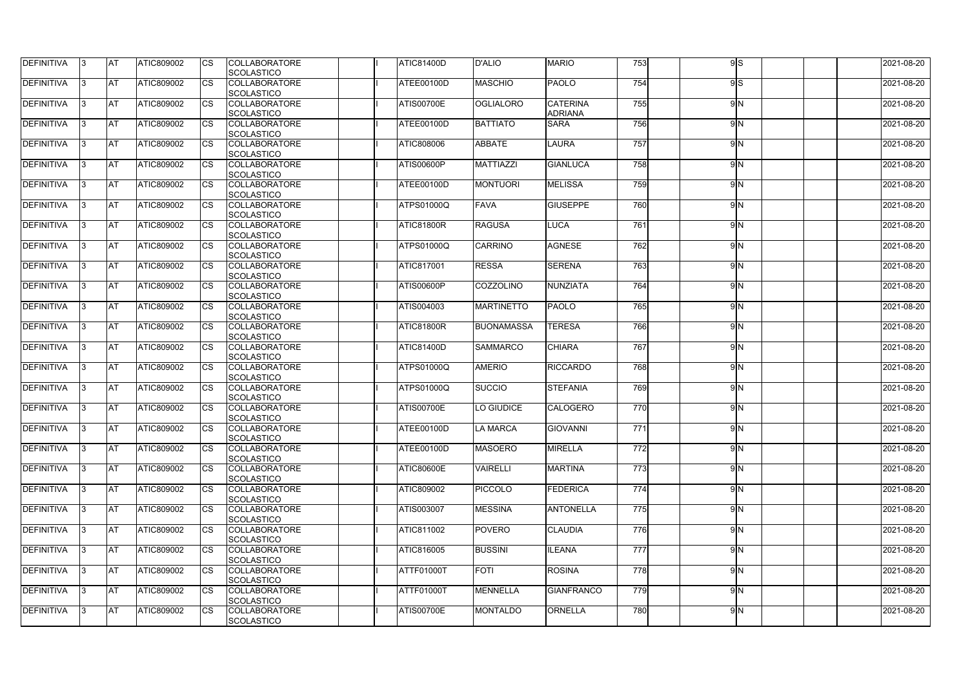| <b>DEFINITIVA</b> | 13        | IAT        | <b>ATIC809002</b> | Ics                    | <b>COLLABORATORE</b><br><b>SCOLASTICO</b> | <b>ATIC81400D</b> | <b>D'ALIO</b>     | <b>MARIO</b>                      | 753              | 9S  | 2021-08-20 |
|-------------------|-----------|------------|-------------------|------------------------|-------------------------------------------|-------------------|-------------------|-----------------------------------|------------------|-----|------------|
| <b>DEFINITIVA</b> | I3        | <b>AT</b>  | <b>ATIC809002</b> | Ics                    | <b>COLLABORATORE</b><br><b>SCOLASTICO</b> | ATEE00100D        | <b>MASCHIO</b>    | <b>PAOLO</b>                      | 754              | 9S  | 2021-08-20 |
| DEFINITIVA        | $\vert$ 3 | <b>AT</b>  | ATIC809002        | <b>CS</b>              | <b>COLLABORATORE</b><br><b>SCOLASTICO</b> | <b>ATIS00700E</b> | <b>OGLIALORO</b>  | <b>CATERINA</b><br><b>ADRIANA</b> | 755              | 9N  | 2021-08-20 |
| <b>DEFINITIVA</b> | 13.       | <b>AT</b>  | ATIC809002        | Ics                    | <b>COLLABORATORE</b><br>SCOLASTICO        | ATEE00100D        | <b>BATTIATO</b>   | <b>SARA</b>                       | 756              | 9N  | 2021-08-20 |
| DEFINITIVA        | 13.       | <b>AT</b>  | ATIC809002        | Ics                    | <b>COLLABORATORE</b><br><b>SCOLASTICO</b> | <b>ATIC808006</b> | <b>ABBATE</b>     | <b>LAURA</b>                      | 757              | 9N  | 2021-08-20 |
| <b>DEFINITIVA</b> | 13        | <b>AT</b>  | ATIC809002        | <b>ICS</b>             | <b>COLLABORATORE</b><br><b>SCOLASTICO</b> | <b>ATIS00600P</b> | <b>MATTIAZZI</b>  | <b>GIANLUCA</b>                   | 758              | 9N  | 2021-08-20 |
| <b>DEFINITIVA</b> | 13.       | <b>AT</b>  | <b>ATIC809002</b> | <b>CS</b>              | <b>COLLABORATORE</b><br><b>SCOLASTICO</b> | ATEE00100D        | <b>MONTUORI</b>   | <b>MELISSA</b>                    | 759              | 9N  | 2021-08-20 |
| DEFINITIVA        | 13        | <b>AT</b>  | <b>ATIC809002</b> | Ics                    | <b>COLLABORATORE</b><br><b>SCOLASTICO</b> | <b>ATPS01000Q</b> | <b>FAVA</b>       | <b>GIUSEPPE</b>                   | 760              | 9N  | 2021-08-20 |
| DEFINITIVA        | 13        | <b>IAT</b> | ATIC809002        | Ics                    | <b>COLLABORATORE</b><br><b>SCOLASTICO</b> | ATIC81800R        | <b>RAGUSA</b>     | <b>LUCA</b>                       | 761              | 9N  | 2021-08-20 |
| DEFINITIVA        | 13.       | <b>AT</b>  | <b>ATIC809002</b> | <b>CS</b>              | <b>COLLABORATORE</b><br>SCOLASTICO        | <b>ATPS01000Q</b> | CARRINO           | <b>AGNESE</b>                     | 762              | 9N  | 2021-08-20 |
| DEFINITIVA        | 13.       | <b>AT</b>  | <b>ATIC809002</b> | $\overline{\text{cs}}$ | <b>COLLABORATORE</b><br><b>SCOLASTICO</b> | <b>ATIC817001</b> | <b>RESSA</b>      | <b>SERENA</b>                     | $\overline{763}$ | 9N  | 2021-08-20 |
| DEFINITIVA        | 13        | <b>AT</b>  | ATIC809002        | Ics                    | <b>COLLABORATORE</b><br><b>SCOLASTICO</b> | ATIS00600P        | COZZOLINO         | <b>NUNZIATA</b>                   | 764              | 9N  | 2021-08-20 |
| <b>DEFINITIVA</b> | 13.       | <b>AT</b>  | ATIC809002        |                        | <b>COLLABORATORE</b><br><b>SCOLASTICO</b> | ATIS004003        | <b>MARTINETTO</b> | <b>PAOLO</b>                      | 765              | 9N  | 2021-08-20 |
| <b>DEFINITIVA</b> | 13        | <b>AT</b>  | ATIC809002        | Ics                    | <b>COLLABORATORE</b><br><b>SCOLASTICO</b> | ATIC81800R        | <b>BUONAMASSA</b> | <b>TERESA</b>                     | 766              | 9N  | 2021-08-20 |
| DEFINITIVA        | 13.       | <b>IAT</b> | ATIC809002        | Ics                    | <b>COLLABORATORE</b><br><b>SCOLASTICO</b> | ATIC81400D        | <b>SAMMARCO</b>   | <b>CHIARA</b>                     | 767              | 9N  | 2021-08-20 |
| <b>DEFINITIVA</b> | 13.       | <b>AT</b>  | <b>ATIC809002</b> | <b>CS</b>              | <b>COLLABORATORE</b><br><b>SCOLASTICO</b> | <b>ATPS01000Q</b> | <b>AMERIO</b>     | <b>RICCARDO</b>                   | 768              | 9N  | 2021-08-20 |
| <b>DEFINITIVA</b> | 13        | <b>AT</b>  | ATIC809002        | Ics                    | <b>COLLABORATORE</b><br>SCOLASTICO        | <b>ATPS01000Q</b> | <b>SUCCIO</b>     | <b>STEFANIA</b>                   | 769              | 9N  | 2021-08-20 |
| DEFINITIVA        | 13        | AT         | ATIC809002        | Ics                    | <b>COLLABORATORE</b><br>SCOLASTICO        | <b>ATIS00700E</b> | O GIUDICE         | <b>CALOGERO</b>                   | 770              | 9N  | 2021-08-20 |
| DEFINITIVA        | 13        | <b>AT</b>  | ATIC809002        | <b>CS</b>              | <b>COLLABORATORE</b><br><b>SCOLASTICO</b> | ATEE00100D        | LA MARCA          | <b>GIOVANNI</b>                   | 771              | 9N  | 2021-08-20 |
| <b>DEFINITIVA</b> | 13        | <b>AT</b>  | <b>ATIC809002</b> | <b>CS</b>              | <b>COLLABORATORE</b><br><b>SCOLASTICO</b> | ATEE00100D        | <b>MASOERO</b>    | <b>MIRELLA</b>                    | 772              | 9N  | 2021-08-20 |
| <b>DEFINITIVA</b> | 13        | <b>AT</b>  | ATIC809002        | <b>CS</b>              | <b>COLLABORATORE</b><br><b>SCOLASTICO</b> | <b>ATIC80600E</b> | <b>VAIRELLI</b>   | <b>MARTINA</b>                    | 773              | 9N  | 2021-08-20 |
| <b>DEFINITIVA</b> | 13        | <b>AT</b>  | <b>ATIC809002</b> | Ics                    | <b>COLLABORATORE</b><br><b>SCOLASTICO</b> | <b>ATIC809002</b> | <b>PICCOLO</b>    | <b>FEDERICA</b>                   | 774              | 9N  | 2021-08-20 |
| DEFINITIVA        | 13        | <b>AT</b>  | ATIC809002        | <b>CS</b>              | <b>COLLABORATORE</b><br>SCOLASTICO        | ATIS003007        | <b>MESSINA</b>    | <b>ANTONELLA</b>                  | 775              | 9N  | 2021-08-20 |
| <b>DEFINITIVA</b> | 13        | <b>AT</b>  | ATIC809002        | <b>CS</b>              | <b>COLLABORATORE</b><br><b>SCOLASTICO</b> | ATIC811002        | <b>POVERO</b>     | <b>CLAUDIA</b>                    | 776              | 9N  | 2021-08-20 |
| <b>DEFINITIVA</b> | 13        | <b>AT</b>  | ATIC809002        | <b>ICS</b>             | <b>COLLABORATORE</b><br><b>SCOLASTICO</b> | ATIC816005        | <b>BUSSINI</b>    | <b>ILEANA</b>                     | 777              | 9 N | 2021-08-20 |
| DEFINITIVA        | 13        | <b>AT</b>  | ATIC809002        | Ics                    | <b>COLLABORATORE</b><br><b>SCOLASTICO</b> | ATTF01000T        | <b>FOTI</b>       | <b>ROSINA</b>                     | 778              | 9N  | 2021-08-20 |
| DEFINITIVA        | 13        | <b>AT</b>  | <b>ATIC809002</b> | <b>CS</b>              | <b>COLLABORATORE</b><br><b>SCOLASTICO</b> | <b>ATTF01000T</b> | <b>MENNELLA</b>   | <b>GIANFRANCO</b>                 | 779              | 9N  | 2021-08-20 |
| <b>DEFINITIVA</b> | 13        | <b>AT</b>  | ATIC809002        | Ics                    | <b>COLLABORATORE</b><br>SCOLASTICO        | <b>ATIS00700E</b> | MONTALDO          | ORNELLA                           | 780              | 9N  | 2021-08-20 |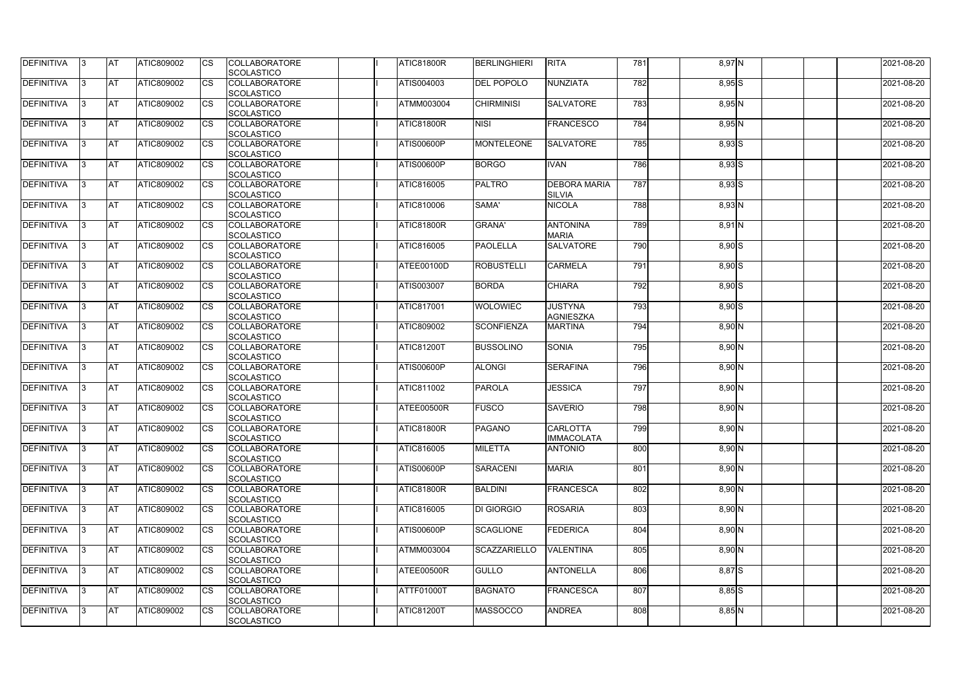| DEFINITIVA        | 13. | <b>JAT</b> | ATIC809002        | Ics        | <b>COLLABORATORE</b> | <b>ATIC81800R</b> | <b>BERLINGHIERI</b> | <b>RITA</b>         | $\overline{781}$ | $8,97$ N   | 2021-08-20 |
|-------------------|-----|------------|-------------------|------------|----------------------|-------------------|---------------------|---------------------|------------------|------------|------------|
|                   |     |            |                   |            | <b>SCOLASTICO</b>    |                   |                     |                     |                  |            |            |
| <b>DEFINITIVA</b> | l3  | <b>AT</b>  | ATIC809002        | Ics        | <b>COLLABORATORE</b> | ATIS004003        | <b>DEL POPOLO</b>   | NUNZIATA            | 782              | $8,95$ $S$ | 2021-08-20 |
|                   |     |            |                   |            | <b>SCOLASTICO</b>    |                   |                     |                     |                  |            |            |
| DEFINITIVA        | l3  | <b>AT</b>  | ATIC809002        | <b>CS</b>  | <b>COLLABORATORE</b> | ATMM003004        | <b>CHIRMINISI</b>   | <b>SALVATORE</b>    | 783              | $8,95$ N   | 2021-08-20 |
|                   |     |            |                   |            | <b>SCOLASTICO</b>    |                   |                     |                     |                  |            |            |
| DEFINITIVA        |     | <b>AT</b>  | ATIC809002        | Ics        | <b>COLLABORATORE</b> | <b>ATIC81800R</b> | <b>NISI</b>         | <b>FRANCESCO</b>    | 784              | $8,95$ N   | 2021-08-20 |
|                   |     |            |                   |            | <b>SCOLASTICO</b>    |                   |                     |                     |                  |            |            |
| DEFINITIVA        |     | <b>AT</b>  | <b>ATIC809002</b> | <b>CS</b>  | <b>COLLABORATORE</b> | ATIS00600P        | <b>MONTELEONE</b>   | <b>SALVATORE</b>    | 785              | $8,93$ $S$ | 2021-08-20 |
|                   |     |            |                   |            | <b>SCOLASTICO</b>    |                   |                     |                     |                  |            |            |
| <b>DEFINITIVA</b> |     | AT         | <b>ATIC809002</b> | <b>ICS</b> | <b>COLLABORATORE</b> | <b>ATIS00600P</b> | <b>BORGO</b>        | <b>IVAN</b>         | 786              | $8,93$ $S$ | 2021-08-20 |
|                   |     |            |                   |            |                      |                   |                     |                     |                  |            |            |
|                   |     |            |                   |            | <b>SCOLASTICO</b>    |                   |                     |                     |                  |            |            |
| DEFINITIVA        |     | <b>AT</b>  | ATIC809002        | Ics        | <b>COLLABORATORE</b> | <b>ATIC816005</b> | <b>PALTRO</b>       | <b>DEBORA MARIA</b> | 787              | $8,93$ $S$ | 2021-08-20 |
|                   |     |            |                   |            | <b>SCOLASTICO</b>    |                   |                     | <b>SILVIA</b>       |                  |            |            |
| <b>DEFINITIVA</b> | ıз  | <b>AT</b>  | ATIC809002        | Ics        | <b>COLLABORATORE</b> | ATIC810006        | SAMA'               | <b>NICOLA</b>       | 788              | $8,93$ N   | 2021-08-20 |
|                   |     |            |                   |            | <b>SCOLASTICO</b>    |                   |                     |                     |                  |            |            |
| DEFINITIVA        | I3  | <b>AT</b>  | ATIC809002        | <b>CS</b>  | <b>COLLABORATORE</b> | <b>ATIC81800R</b> | <b>GRANA'</b>       | <b>ANTONINA</b>     | 789              | $8,91$ N   | 2021-08-20 |
|                   |     |            |                   |            | <b>SCOLASTICO</b>    |                   |                     | <b>MARIA</b>        |                  |            |            |
| <b>DEFINITIVA</b> |     | <b>AT</b>  | ATIC809002        | <b>CS</b>  | <b>COLLABORATORE</b> | ATIC816005        | <b>PAOLELLA</b>     | <b>SALVATORE</b>    | 790              | 8,90 S     | 2021-08-20 |
|                   |     |            |                   |            | <b>SCOLASTICO</b>    |                   |                     |                     |                  |            |            |
| <b>DEFINITIVA</b> |     | AT         | ATIC809002        | <b>CS</b>  | <b>COLLABORATORE</b> | ATEE00100D        | <b>ROBUSTELLI</b>   | <b>CARMELA</b>      | 791              | $8,90$ S   | 2021-08-20 |
|                   |     |            |                   |            | <b>SCOLASTICO</b>    |                   |                     |                     |                  |            |            |
| DEFINITIVA        | I3  | <b>AT</b>  | ATIC809002        |            | <b>COLLABORATORE</b> | ATIS003007        | <b>BORDA</b>        | <b>CHIARA</b>       | 792              | $8,90$ S   | 2021-08-20 |
|                   |     |            |                   |            | <b>SCOLASTICO</b>    |                   |                     |                     |                  |            |            |
|                   |     |            |                   |            |                      |                   |                     |                     |                  |            |            |
| <b>DEFINITIVA</b> |     | <b>JAT</b> | ATIC809002        |            | <b>COLLABORATORE</b> | <b>ATIC817001</b> | <b>WOLOWIEC</b>     | <b>JUSTYNA</b>      | 793              | $8,90$ S   | 2021-08-20 |
|                   |     |            |                   |            | <b>SCOLASTICO</b>    |                   |                     | <b>AGNIESZKA</b>    |                  |            |            |
| <b>DEFINITIVA</b> |     | <b>AT</b>  | ATIC809002        | Ics        | <b>COLLABORATORE</b> | ATIC809002        | <b>SCONFIENZA</b>   | <b>MARTINA</b>      | 794              | $8,90$ N   | 2021-08-20 |
|                   |     |            |                   |            | <b>SCOLASTICO</b>    |                   |                     |                     |                  |            |            |
| DEFINITIVA        | l3  | <b>AT</b>  | ATIC809002        | Ics        | <b>COLLABORATORE</b> | <b>ATIC81200T</b> | <b>BUSSOLINO</b>    | <b>SONIA</b>        | 795              | $8,90$ N   | 2021-08-20 |
|                   |     |            |                   |            | <b>SCOLASTICO</b>    |                   |                     |                     |                  |            |            |
| DEFINITIVA        |     | <b>AT</b>  | ATIC809002        | <b>CS</b>  | <b>COLLABORATORE</b> | <b>ATIS00600P</b> | <b>ALONGI</b>       | <b>SERAFINA</b>     | 796              | $8,90$ N   | 2021-08-20 |
|                   |     |            |                   |            | <b>SCOLASTICO</b>    |                   |                     |                     |                  |            |            |
| DEFINITIVA        |     | <b>AT</b>  | ATIC809002        | <b>CS</b>  | <b>COLLABORATORE</b> | ATIC811002        | <b>PAROLA</b>       | <b>JESSICA</b>      | 797              | $8,90$ N   | 2021-08-20 |
|                   |     |            |                   |            | <b>SCOLASTICO</b>    |                   |                     |                     |                  |            |            |
| <b>DEFINITIVA</b> |     | <b>AT</b>  | ATIC809002        | <b>CS</b>  | <b>COLLABORATORE</b> | <b>ATEE00500R</b> | FUSCO               | <b>SAVERIO</b>      | 798              | 8,90 N     | 2021-08-20 |
|                   |     |            |                   |            | <b>SCOLASTICO</b>    |                   |                     |                     |                  |            |            |
| <b>DEFINITIVA</b> | 13. | <b>AT</b>  | ATIC809002        |            | <b>COLLABORATORE</b> | ATIC81800R        | <b>PAGANO</b>       | <b>CARLOTTA</b>     | 799              | $8,90$ N   | 2021-08-20 |
|                   |     |            |                   |            | <b>SCOLASTICO</b>    |                   |                     | <b>IMMACOLATA</b>   |                  |            |            |
|                   |     | AT         |                   | Ics        |                      | ATIC816005        |                     |                     |                  |            |            |
| <b>DEFINITIVA</b> | 13  |            | <b>ATIC809002</b> |            | <b>COLLABORATORE</b> |                   | <b>MILETTA</b>      | <b>ANTONIO</b>      | 800              | $8,90$ N   | 2021-08-20 |
|                   |     |            |                   |            | <b>SCOLASTICO</b>    |                   |                     |                     |                  |            |            |
| <b>DEFINITIVA</b> | I3  | <b>AT</b>  | ATIC809002        | Ics        | <b>COLLABORATORE</b> | <b>ATIS00600P</b> | <b>SARACENI</b>     | <b>MARIA</b>        | 801              | $8,90$ N   | 2021-08-20 |
|                   |     |            |                   |            | <b>SCOLASTICO</b>    |                   |                     |                     |                  |            |            |
| DEFINITIVA        | I3  | <b>AT</b>  | ATIC809002        | Ics        | <b>COLLABORATORE</b> | <b>ATIC81800R</b> | <b>BALDINI</b>      | <b>FRANCESCA</b>    | 802              | $8,90$ N   | 2021-08-20 |
|                   |     |            |                   |            | <b>SCOLASTICO</b>    |                   |                     |                     |                  |            |            |
| <b>DEFINITIVA</b> |     | <b>AT</b>  | ATIC809002        | Ics        | <b>COLLABORATORE</b> | ATIC816005        | <b>DI GIORGIO</b>   | <b>ROSARIA</b>      | 803              | $8,90$ N   | 2021-08-20 |
|                   |     |            |                   |            | <b>SCOLASTICO</b>    |                   |                     |                     |                  |            |            |
| <b>DEFINITIVA</b> |     | <b>AT</b>  | ATIC809002        | Ics        | <b>COLLABORATORE</b> | <b>ATIS00600P</b> | <b>SCAGLIONE</b>    | FEDERICA            | 804              | $8,90$ N   | 2021-08-20 |
|                   |     |            |                   |            | <b>SCOLASTICO</b>    |                   |                     |                     |                  |            |            |
| <b>DEFINITIVA</b> | ıз  | <b>AT</b>  | <b>ATIC809002</b> |            | <b>COLLABORATORE</b> | <b>ATMM003004</b> | <b>SCAZZARIELLO</b> | <b>VALENTINA</b>    | 805              | $8,90$ N   | 2021-08-20 |
|                   |     |            |                   |            | <b>SCOLASTICO</b>    |                   |                     |                     |                  |            |            |
| <b>DEFINITIVA</b> | ıз  | <b>AT</b>  | ATIC809002        | Ics        | <b>COLLABORATORE</b> | ATEE00500R        | GULLO               | <b>ANTONELLA</b>    | 806              | 8,87 S     | 2021-08-20 |
|                   |     |            |                   |            | <b>SCOLASTICO</b>    |                   |                     |                     |                  |            |            |
|                   |     |            |                   |            |                      |                   |                     |                     |                  |            |            |
| <b>DEFINITIVA</b> | ıз  | <b>AT</b>  | <b>ATIC809002</b> | <b>ICS</b> | <b>COLLABORATORE</b> | ATTF01000T        | <b>BAGNATO</b>      | <b>FRANCESCA</b>    | 807              | $8,85$ $S$ | 2021-08-20 |
|                   |     |            |                   |            | <b>SCOLASTICO</b>    |                   |                     |                     |                  |            |            |
| <b>DEFINITIVA</b> | I3  | <b>AT</b>  | ATIC809002        | Ics        | <b>COLLABORATORE</b> | <b>ATIC81200T</b> | <b>MASSOCCO</b>     | <b>ANDREA</b>       | 808              | $8,85$ N   | 2021-08-20 |
|                   |     |            |                   |            | SCOLASTICO           |                   |                     |                     |                  |            |            |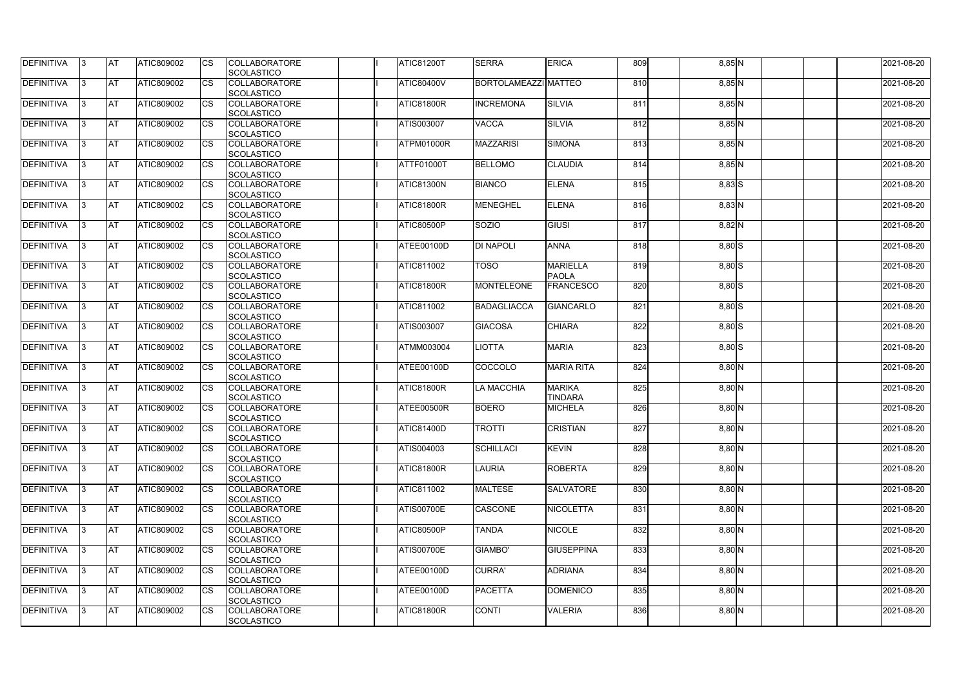| <b>DEFINITIVA</b> | IЗ  | <b>IAT</b> | <b>ATIC809002</b> | <b>CS</b>              | <b>COLLABORATORE</b>               | <b>ATIC81200T</b> | <b>SERRA</b>         | <b>ERICA</b>      | 809 | 8,85 N   | 2021-08-20 |
|-------------------|-----|------------|-------------------|------------------------|------------------------------------|-------------------|----------------------|-------------------|-----|----------|------------|
| DEFINITIVA        | ß.  | <b>AT</b>  | ATIC809002        | CS                     | SCOLASTICO<br><b>COLLABORATORE</b> | <b>ATIC80400V</b> | BORTOLAMEAZZI MATTEO |                   | 810 | 8,85 N   | 2021-08-20 |
|                   |     |            |                   |                        | <b>SCOLASTICO</b>                  |                   |                      |                   |     |          |            |
| DEFINITIVA        | ß.  | <b>AT</b>  | ATIC809002        | CS                     | <b>COLLABORATORE</b>               | ATIC81800R        | <b>INCREMONA</b>     | <b>SILVIA</b>     | 811 | 8,85 N   | 2021-08-20 |
|                   |     |            |                   |                        | <b>SCOLASTICO</b>                  |                   |                      |                   |     |          |            |
| <b>DEFINITIVA</b> |     | <b>AT</b>  | ATIC809002        | <b>CS</b>              | <b>COLLABORATORE</b>               | <b>ATIS003007</b> | <b>VACCA</b>         | <b>SILVIA</b>     | 812 | 8,85 N   | 2021-08-20 |
|                   |     |            |                   |                        | <b>SCOLASTICO</b>                  |                   |                      |                   |     |          |            |
| <b>DEFINITIVA</b> |     | <b>AT</b>  | ATIC809002        | CS                     | <b>COLLABORATORE</b>               | ATPM01000R        | <b>MAZZARISI</b>     | <b>SIMONA</b>     | 813 | 8,85 N   | 2021-08-20 |
|                   |     |            |                   |                        | SCOLASTICO                         |                   |                      |                   |     |          |            |
| <b>DEFINITIVA</b> | ß   | AT         | ATIC809002        | <b>CS</b>              | <b>COLLABORATORE</b>               | <b>ATTF01000T</b> | <b>BELLOMO</b>       | <b>CLAUDIA</b>    | 814 | $8,85$ N | 2021-08-20 |
|                   |     |            |                   |                        | SCOLASTICO                         |                   |                      |                   |     |          |            |
| <b>DEFINITIVA</b> |     | <b>AT</b>  | ATIC809002        | <b>CS</b>              | <b>COLLABORATORE</b>               | ATIC81300N        | <b>BIANCO</b>        | <b>ELENA</b>      | 815 | 8,83 S   | 2021-08-20 |
|                   |     |            |                   |                        | SCOLASTICO                         |                   |                      |                   |     |          |            |
| DEFINITIVA        | 3   | <b>AT</b>  | ATIC809002        | <b>CS</b>              | <b>COLLABORATORE</b>               | ATIC81800R        | <b>MENEGHEL</b>      | <b>ELENA</b>      | 816 | $8,83$ N | 2021-08-20 |
|                   |     |            |                   |                        | <b>SCOLASTICO</b>                  |                   |                      |                   |     |          |            |
| <b>DEFINITIVA</b> | l3  | <b>AT</b>  | ATIC809002        | CS                     | <b>COLLABORATORE</b>               | ATIC80500P        | SOZIO                | GIUSI             | 817 | 8,82 N   | 2021-08-20 |
|                   |     |            |                   |                        | <b>SCOLASTICO</b>                  |                   |                      |                   |     |          |            |
| <b>DEFINITIVA</b> |     | <b>AT</b>  | <b>ATIC809002</b> | <b>CS</b>              | <b>COLLABORATORE</b>               | ATEE00100D        | <b>DI NAPOLI</b>     | <b>ANNA</b>       | 818 | $8,80$ S | 2021-08-20 |
|                   |     |            |                   |                        | <b>SCOLASTICO</b>                  |                   |                      |                   |     |          |            |
| <b>DEFINITIVA</b> |     | <b>AT</b>  | ATIC809002        | $\overline{\text{cs}}$ | <b>COLLABORATORE</b>               | <b>ATIC811002</b> | <b>TOSO</b>          | <b>MARIELLA</b>   | 819 | $8,80$ S | 2021-08-20 |
|                   |     |            |                   |                        | SCOLASTICO                         |                   |                      | <b>PAOLA</b>      |     |          |            |
| <b>DEFINITIVA</b> | 3   | <b>AT</b>  | ATIC809002        | <b>CS</b>              | <b>COLLABORATORE</b>               | <b>ATIC81800R</b> | <b>MONTELEONE</b>    | <b>FRANCESCO</b>  | 820 | $8,80$ S | 2021-08-20 |
|                   |     |            |                   |                        | SCOLASTICO                         |                   |                      |                   |     |          |            |
| <b>DEFINITIVA</b> |     | <b>IAT</b> | ATIC809002        | CS                     | <b>COLLABORATORE</b>               | <b>ATIC811002</b> | <b>BADAGLIACCA</b>   | GIANCARLO         | 821 | 8,80 S   | 2021-08-20 |
|                   |     |            |                   |                        | <b>SCOLASTICO</b>                  |                   |                      |                   |     |          |            |
| <b>DEFINITIVA</b> |     | <b>AT</b>  | ATIC809002        | <b>CS</b>              | <b>COLLABORATORE</b>               | <b>ATIS003007</b> | <b>GIACOSA</b>       | <b>CHIARA</b>     | 822 | $8,80$ S | 2021-08-20 |
|                   |     |            |                   |                        | SCOLASTICO                         |                   |                      |                   |     |          |            |
| DEFINITIVA        | R   | <b>AT</b>  | ATIC809002        | CS                     | <b>COLLABORATORE</b>               | <b>ATMM003004</b> | <b>IOTTA</b>         | <b>MARIA</b>      | 823 | $8,80$ S | 2021-08-20 |
|                   |     |            |                   |                        | <b>SCOLASTICO</b>                  |                   |                      |                   |     |          |            |
| <b>DEFINITIVA</b> |     | <b>AT</b>  | <b>ATIC809002</b> | CS                     | <b>COLLABORATORE</b>               | ATEE00100D        | COCCOLO              | <b>MARIA RITA</b> | 824 | 8,80 N   | 2021-08-20 |
|                   |     |            |                   |                        | <b>SCOLASTICO</b>                  |                   |                      |                   |     |          |            |
| <b>DEFINITIVA</b> |     | <b>AT</b>  | ATIC809002        | <b>CS</b>              | <b>COLLABORATORE</b>               | <b>ATIC81800R</b> | LA MACCHIA           | <b>MARIKA</b>     | 825 | $8,80$ N | 2021-08-20 |
|                   |     |            |                   |                        | SCOLASTICO                         |                   |                      | <b>TINDARA</b>    |     |          |            |
| <b>DEFINITIVA</b> |     | <b>AT</b>  | ATIC809002        | <b>CS</b>              | <b>COLLABORATORE</b>               | ATEE00500R        | <b>BOERO</b>         | <b>MICHELA</b>    | 826 | 8,80 N   | 2021-08-20 |
|                   |     |            |                   |                        | SCOLASTICO                         |                   |                      |                   |     |          |            |
| DEFINITIVA        | I3. | <b>AT</b>  | ATIC809002        | <b>CS</b>              | <b>COLLABORATORE</b>               | <b>ATIC81400D</b> | <b>TROTTI</b>        | <b>CRISTIAN</b>   | 827 | $8,80$ N | 2021-08-20 |
|                   |     |            |                   |                        | SCOLASTICO                         |                   |                      |                   |     |          |            |
| <b>DEFINITIVA</b> | IЗ  | <b>AT</b>  | ATIC809002        | <b>CS</b>              | <b>COLLABORATORE</b>               | ATIS004003        | <b>SCHILLACI</b>     | <b>KEVIN</b>      | 828 | $8,80$ N | 2021-08-20 |
|                   |     |            |                   |                        | <b>SCOLASTICO</b>                  |                   |                      |                   |     |          |            |
| <b>DEFINITIVA</b> | l3. | <b>AT</b>  | <b>ATIC809002</b> | <b>CS</b>              | <b>COLLABORATORE</b>               | ATIC81800R        | <b>LAURIA</b>        | <b>ROBERTA</b>    | 829 | $8,80$ N | 2021-08-20 |
|                   |     |            |                   |                        | <b>SCOLASTICO</b>                  |                   |                      |                   |     |          |            |
| <b>DEFINITIVA</b> | 13. | <b>AT</b>  | ATIC809002        | <b>CS</b>              | <b>COLLABORATORE</b>               | <b>ATIC811002</b> | <b>MALTESE</b>       | <b>SALVATORE</b>  | 830 | 8,80 N   | 2021-08-20 |
|                   |     |            |                   |                        | <b>SCOLASTICO</b>                  |                   |                      |                   |     |          |            |
| <b>DEFINITIVA</b> |     | <b>AT</b>  | ATIC809002        | <b>CS</b>              | <b>COLLABORATORE</b>               | <b>ATIS00700E</b> | CASCONE              | <b>NICOLETTA</b>  | 831 | $8,80$ N | 2021-08-20 |
|                   |     |            |                   |                        | <b>SCOLASTICO</b>                  |                   |                      |                   |     |          |            |
| <b>DEFINITIVA</b> | ß   | <b>AT</b>  | ATIC809002        | <b>CS</b>              | <b>COLLABORATORE</b>               | <b>ATIC80500P</b> | <b>TANDA</b>         | <b>NICOLE</b>     | 832 | $8,80$ N | 2021-08-20 |
|                   |     |            |                   |                        | <b>SCOLASTICO</b>                  |                   |                      |                   |     |          |            |
| <b>DEFINITIVA</b> | l3  | <b>AT</b>  | ATIC809002        | <b>CS</b>              | <b>COLLABORATORE</b>               | <b>ATIS00700E</b> | <b>GIAMBO'</b>       | <b>GIUSEPPINA</b> | 833 | $8,80$ N | 2021-08-20 |
|                   |     |            |                   |                        | SCOLASTICO                         |                   |                      |                   |     |          |            |
| DEFINITIVA        |     | <b>AT</b>  | ATIC809002        | <b>CS</b>              | <b>COLLABORATORE</b>               | ATEE00100D        | <b>CURRA'</b>        | <b>ADRIANA</b>    | 834 | $8,80$ N | 2021-08-20 |
|                   |     |            |                   |                        | <b>SCOLASTICO</b>                  |                   |                      |                   |     |          |            |
| DEFINITIVA        | IЗ  | <b>AT</b>  | ATIC809002        | <b>CS</b>              | <b>COLLABORATORE</b>               | ATEE00100D        | <b>PACETTA</b>       | <b>DOMENICO</b>   | 835 | $8,80$ N | 2021-08-20 |
|                   |     |            |                   |                        | <b>SCOLASTICO</b>                  |                   |                      |                   |     |          |            |
| <b>DEFINITIVA</b> | 13. | <b>AT</b>  | ATIC809002        | <b>CS</b>              | <b>COLLABORATORE</b>               | ATIC81800R        | <b>CONTI</b>         | <b>VALERIA</b>    | 836 | $8,80$ N | 2021-08-20 |
|                   |     |            |                   |                        | SCOLASTICO                         |                   |                      |                   |     |          |            |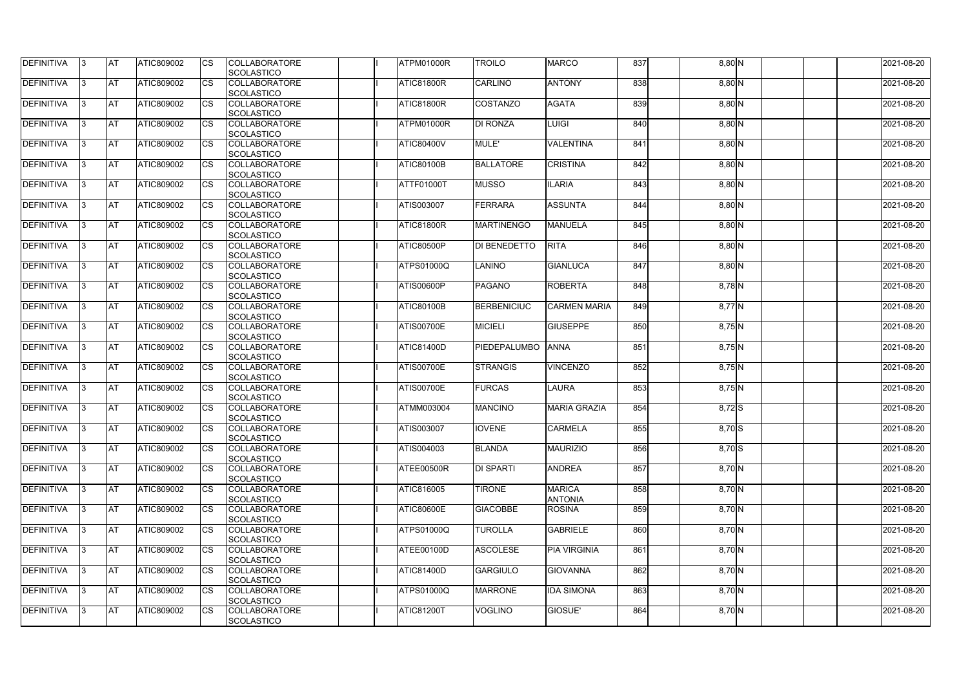| DEFINITIVA        | 13. | <b>JAT</b> | ATIC809002        | Ics        | <b>COLLABORATORE</b> | ATPM01000R        | TROILO              | <b>MARCO</b>        | 837 | 8,80 N   | 2021-08-20 |
|-------------------|-----|------------|-------------------|------------|----------------------|-------------------|---------------------|---------------------|-----|----------|------------|
|                   |     |            |                   |            | <b>SCOLASTICO</b>    |                   |                     |                     |     |          |            |
| <b>DEFINITIVA</b> | 3   | <b>AT</b>  | ATIC809002        | <b>CS</b>  | <b>COLLABORATORE</b> | <b>ATIC81800R</b> | <b>CARLINO</b>      | <b>ANTONY</b>       | 838 | $8,80$ N | 2021-08-20 |
|                   |     |            |                   |            | <b>SCOLASTICO</b>    |                   |                     |                     |     |          |            |
| DEFINITIVA        | l3  | <b>AT</b>  | ATIC809002        | <b>CS</b>  | <b>COLLABORATORE</b> | <b>ATIC81800R</b> | <b>COSTANZO</b>     | <b>AGATA</b>        | 839 | $8,80$ N | 2021-08-20 |
|                   |     |            |                   |            | <b>SCOLASTICO</b>    |                   |                     |                     |     |          |            |
| DEFINITIVA        |     | <b>AT</b>  | ATIC809002        | Ics        | <b>COLLABORATORE</b> | ATPM01000R        | <b>DI RONZA</b>     | <b>LUIGI</b>        | 840 | 8,80 N   | 2021-08-20 |
|                   |     |            |                   |            | <b>SCOLASTICO</b>    |                   |                     |                     |     |          |            |
| DEFINITIVA        |     | <b>AT</b>  | <b>ATIC809002</b> | <b>CS</b>  | <b>COLLABORATORE</b> | <b>ATIC80400V</b> | MULE'               | <b>VALENTINA</b>    | 841 | $8,80$ N | 2021-08-20 |
|                   |     |            |                   |            | <b>SCOLASTICO</b>    |                   |                     |                     |     |          |            |
| <b>DEFINITIVA</b> |     | AT         | <b>ATIC809002</b> | Ics        | <b>COLLABORATORE</b> | <b>ATIC80100B</b> | <b>BALLATORE</b>    | <b>CRISTINA</b>     | 842 |          | 2021-08-20 |
|                   |     |            |                   |            |                      |                   |                     |                     |     | $8,80$ N |            |
|                   |     |            |                   |            | <b>SCOLASTICO</b>    |                   |                     |                     |     |          |            |
| DEFINITIVA        |     | <b>AT</b>  | ATIC809002        | Ics        | <b>COLLABORATORE</b> | ATTF01000T        | <b>MUSSO</b>        | <b>ILARIA</b>       | 843 | $8,80$ N | 2021-08-20 |
|                   |     |            |                   |            | <b>SCOLASTICO</b>    |                   |                     |                     |     |          |            |
| <b>DEFINITIVA</b> | ıз  | <b>AT</b>  | ATIC809002        | Ics        | <b>COLLABORATORE</b> | ATIS003007        | <b>FERRARA</b>      | <b>ASSUNTA</b>      | 844 | 8,80 N   | 2021-08-20 |
|                   |     |            |                   |            | <b>SCOLASTICO</b>    |                   |                     |                     |     |          |            |
| DEFINITIVA        | I3  | <b>JAT</b> | ATIC809002        | <b>CS</b>  | <b>COLLABORATORE</b> | <b>ATIC81800R</b> | <b>MARTINENGO</b>   | <b>MANUELA</b>      | 845 | 8,80 N   | 2021-08-20 |
|                   |     |            |                   |            | <b>SCOLASTICO</b>    |                   |                     |                     |     |          |            |
| <b>DEFINITIVA</b> |     | <b>AT</b>  | ATIC809002        | <b>CS</b>  | <b>COLLABORATORE</b> | <b>ATIC80500P</b> | DI BENEDETTO        | <b>RITA</b>         | 846 | 8,80 N   | 2021-08-20 |
|                   |     |            |                   |            | <b>SCOLASTICO</b>    |                   |                     |                     |     |          |            |
| <b>DEFINITIVA</b> |     | AT         | ATIC809002        | <b>CS</b>  | <b>COLLABORATORE</b> | ATPS01000Q        | <b>LANINO</b>       | <b>GIANLUCA</b>     | 847 | 8,80 N   | 2021-08-20 |
|                   |     |            |                   |            | <b>SCOLASTICO</b>    |                   |                     |                     |     |          |            |
|                   |     |            |                   |            |                      |                   |                     |                     | 848 |          |            |
| DEFINITIVA        | I3  | <b>AT</b>  | ATIC809002        |            | <b>COLLABORATORE</b> | <b>ATIS00600P</b> | <b>PAGANO</b>       | <b>ROBERTA</b>      |     | 8,78 N   | 2021-08-20 |
|                   |     |            |                   |            | <b>SCOLASTICO</b>    |                   |                     |                     |     |          |            |
| <b>DEFINITIVA</b> |     | <b>JAT</b> | ATIC809002        |            | <b>COLLABORATORE</b> | <b>ATIC80100B</b> | <b>BERBENICIUC</b>  | <b>CARMEN MARIA</b> | 849 | 8,77 N   | 2021-08-20 |
|                   |     |            |                   |            | <b>SCOLASTICO</b>    |                   |                     |                     |     |          |            |
| <b>DEFINITIVA</b> |     | <b>AT</b>  | ATIC809002        | Ics        | <b>COLLABORATORE</b> | <b>ATIS00700E</b> | <b>MICIELI</b>      | <b>GIUSEPPE</b>     | 850 | $8,75$ N | 2021-08-20 |
|                   |     |            |                   |            | <b>SCOLASTICO</b>    |                   |                     |                     |     |          |            |
| DEFINITIVA        | l3  | <b>AT</b>  | ATIC809002        | Ics        | <b>COLLABORATORE</b> | ATIC81400D        | <b>PIEDEPALUMBO</b> | <b>ANNA</b>         | 851 | $8,75$ N | 2021-08-20 |
|                   |     |            |                   |            | <b>SCOLASTICO</b>    |                   |                     |                     |     |          |            |
| DEFINITIVA        |     | <b>AT</b>  | ATIC809002        | <b>CS</b>  | <b>COLLABORATORE</b> | <b>ATIS00700E</b> | <b>STRANGIS</b>     | <b>VINCENZO</b>     | 852 | $8,75$ N | 2021-08-20 |
|                   |     |            |                   |            | <b>SCOLASTICO</b>    |                   |                     |                     |     |          |            |
| DEFINITIVA        |     | <b>AT</b>  | ATIC809002        | <b>CS</b>  | <b>COLLABORATORE</b> | <b>ATIS00700E</b> | <b>FURCAS</b>       | <b>LAURA</b>        | 853 | $8,75$ N | 2021-08-20 |
|                   |     |            |                   |            | <b>SCOLASTICO</b>    |                   |                     |                     |     |          |            |
| <b>DEFINITIVA</b> |     | <b>AT</b>  | ATIC809002        | <b>CS</b>  | <b>COLLABORATORE</b> | ATMM003004        | <b>MANCINO</b>      | <b>MARIA GRAZIA</b> | 854 | 8,72 S   | 2021-08-20 |
|                   |     |            |                   |            | <b>SCOLASTICO</b>    |                   |                     |                     |     |          |            |
|                   |     |            |                   |            |                      |                   |                     |                     |     |          |            |
| <b>DEFINITIVA</b> | 13. | <b>AT</b>  | ATIC809002        |            | <b>COLLABORATORE</b> | ATIS003007        | <b>IOVENE</b>       | <b>CARMELA</b>      | 855 | 8,70 S   | 2021-08-20 |
|                   |     |            |                   |            | <b>SCOLASTICO</b>    |                   |                     |                     |     |          |            |
| <b>DEFINITIVA</b> | 13  | AT         | <b>ATIC809002</b> | Ics        | <b>COLLABORATORE</b> | ATIS004003        | <b>BLANDA</b>       | <b>MAURIZIO</b>     | 856 | $8,70$ S | 2021-08-20 |
|                   |     |            |                   |            | <b>SCOLASTICO</b>    |                   |                     |                     |     |          |            |
| <b>DEFINITIVA</b> | I3  | <b>AT</b>  | ATIC809002        | Ics        | <b>COLLABORATORE</b> | ATEE00500R        | <b>DI SPARTI</b>    | <b>ANDREA</b>       | 857 | 8,70 N   | 2021-08-20 |
|                   |     |            |                   |            | <b>SCOLASTICO</b>    |                   |                     |                     |     |          |            |
| DEFINITIVA        | I3  | <b>AT</b>  | ATIC809002        | Ics        | <b>COLLABORATORE</b> | ATIC816005        | <b>TIRONE</b>       | <b>MARICA</b>       | 858 | 8,70 N   | 2021-08-20 |
|                   |     |            |                   |            | <b>SCOLASTICO</b>    |                   |                     | <b>ANTONIA</b>      |     |          |            |
| DEFINITIVA        |     | <b>AT</b>  | ATIC809002        | Ics        | <b>COLLABORATORE</b> | <b>ATIC80600E</b> | <b>GIACOBBE</b>     | <b>ROSINA</b>       | 859 | 8,70 N   | 2021-08-20 |
|                   |     |            |                   |            | <b>SCOLASTICO</b>    |                   |                     |                     |     |          |            |
| <b>DEFINITIVA</b> |     | <b>AT</b>  | ATIC809002        | Ics        | <b>COLLABORATORE</b> | ATPS01000Q        | <b>TUROLLA</b>      | <b>GABRIELE</b>     | 860 | 8,70 N   | 2021-08-20 |
|                   |     |            |                   |            | <b>SCOLASTICO</b>    |                   |                     |                     |     |          |            |
| <b>DEFINITIVA</b> | ıз  | <b>AT</b>  | <b>ATIC809002</b> |            | <b>COLLABORATORE</b> | ATEE00100D        | <b>ASCOLESE</b>     | <b>PIA VIRGINIA</b> | 861 | 8,70 N   | 2021-08-20 |
|                   |     |            |                   |            |                      |                   |                     |                     |     |          |            |
|                   |     |            |                   |            | <b>SCOLASTICO</b>    |                   |                     |                     |     |          |            |
| <b>DEFINITIVA</b> | IЗ  | <b>AT</b>  | ATIC809002        | Ics        | <b>COLLABORATORE</b> | <b>ATIC81400D</b> | <b>GARGIULO</b>     | <b>GIOVANNA</b>     | 862 | 8,70 N   | 2021-08-20 |
|                   |     |            |                   |            | <b>SCOLASTICO</b>    |                   |                     |                     |     |          |            |
| <b>DEFINITIVA</b> | ıз  | <b>AT</b>  | <b>ATIC809002</b> | <b>ICS</b> | <b>COLLABORATORE</b> | <b>ATPS01000Q</b> | <b>MARRONE</b>      | <b>IDA SIMONA</b>   | 863 | 8,70 N   | 2021-08-20 |
|                   |     |            |                   |            | <b>SCOLASTICO</b>    |                   |                     |                     |     |          |            |
| <b>DEFINITIVA</b> | I3  | <b>AT</b>  | ATIC809002        | Ics        | <b>COLLABORATORE</b> | <b>ATIC81200T</b> | <b>VOGLINO</b>      | <b>GIOSUE'</b>      | 864 | 8,70 N   | 2021-08-20 |
|                   |     |            |                   |            | SCOLASTICO           |                   |                     |                     |     |          |            |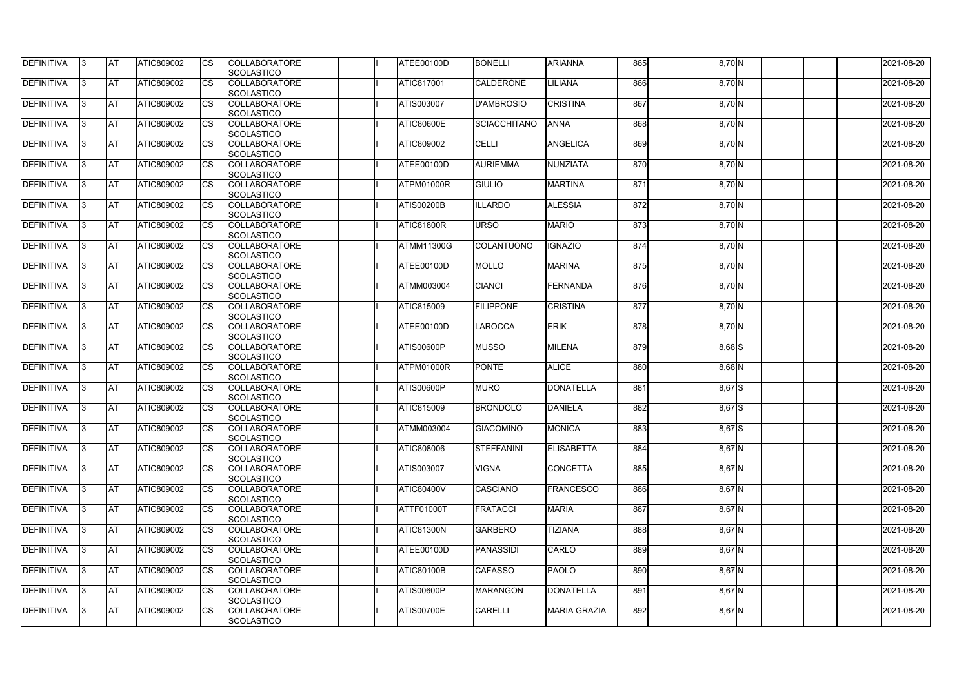| DEFINITIVA        | 13. | <b>JAT</b> | ATIC809002        | Ics        | <b>COLLABORATORE</b><br><b>SCOLASTICO</b> | ATEE00100D        | <b>BONELLI</b>      | <b>ARIANNA</b>      | 865 | 8,70 N    | 2021-08-20 |
|-------------------|-----|------------|-------------------|------------|-------------------------------------------|-------------------|---------------------|---------------------|-----|-----------|------------|
| <b>DEFINITIVA</b> | 3   | <b>AT</b>  | ATIC809002        | <b>CS</b>  | <b>COLLABORATORE</b><br><b>SCOLASTICO</b> | ATIC817001        | <b>CALDERONE</b>    | LILIANA             | 866 | 8,70 N    | 2021-08-20 |
| DEFINITIVA        | l3  | <b>AT</b>  | ATIC809002        | <b>CS</b>  | <b>COLLABORATORE</b><br><b>SCOLASTICO</b> | ATIS003007        | <b>D'AMBROSIO</b>   | <b>CRISTINA</b>     | 867 | 8,70 N    | 2021-08-20 |
| DEFINITIVA        |     | <b>AT</b>  | ATIC809002        | Ics        | <b>COLLABORATORE</b><br><b>SCOLASTICO</b> | <b>ATIC80600E</b> | <b>SCIACCHITANO</b> | <b>ANNA</b>         | 868 | 8,70 N    | 2021-08-20 |
| DEFINITIVA        |     | <b>AT</b>  | <b>ATIC809002</b> | <b>CS</b>  | <b>COLLABORATORE</b><br><b>SCOLASTICO</b> | ATIC809002        | <b>CELLI</b>        | <b>ANGELICA</b>     | 869 | 8,70 N    | 2021-08-20 |
| <b>DEFINITIVA</b> |     | AT         | <b>ATIC809002</b> | Ics        | <b>COLLABORATORE</b><br><b>SCOLASTICO</b> | <b>ATEE00100D</b> | <b>AURIEMMA</b>     | NUNZIATA            | 870 | 8,70 N    | 2021-08-20 |
| DEFINITIVA        |     | <b>AT</b>  | ATIC809002        | Ics        | <b>COLLABORATORE</b><br><b>SCOLASTICO</b> | ATPM01000R        | <b>GIULIO</b>       | <b>MARTINA</b>      | 871 | 8,70 N    | 2021-08-20 |
| <b>DEFINITIVA</b> | ıз  | <b>AT</b>  | ATIC809002        | Ics        | <b>COLLABORATORE</b><br><b>SCOLASTICO</b> | <b>ATIS00200B</b> | <b>ILLARDO</b>      | <b>ALESSIA</b>      | 872 | 8,70 N    | 2021-08-20 |
| DEFINITIVA        | I3  | <b>JAT</b> | ATIC809002        | <b>CS</b>  | <b>COLLABORATORE</b><br><b>SCOLASTICO</b> | <b>ATIC81800R</b> | <b>URSO</b>         | <b>MARIO</b>        | 873 | 8,70 N    | 2021-08-20 |
| <b>DEFINITIVA</b> |     | <b>AT</b>  | ATIC809002        | <b>CS</b>  | <b>COLLABORATORE</b><br><b>SCOLASTICO</b> | ATMM11300G        | COLANTUONO          | <b>IGNAZIO</b>      | 874 | 8,70 N    | 2021-08-20 |
| <b>DEFINITIVA</b> |     | AT         | ATIC809002        | <b>CS</b>  | <b>COLLABORATORE</b><br><b>SCOLASTICO</b> | ATEE00100D        | <b>MOLLO</b>        | <b>MARINA</b>       | 875 | 8,70 N    | 2021-08-20 |
| DEFINITIVA        | I3  | <b>AT</b>  | ATIC809002        |            | <b>COLLABORATORE</b><br><b>SCOLASTICO</b> | ATMM003004        | CIANCI              | FERNANDA            | 876 | 8,70 N    | 2021-08-20 |
| <b>DEFINITIVA</b> |     | <b>JAT</b> | ATIC809002        |            | <b>COLLABORATORE</b><br><b>SCOLASTICO</b> | ATIC815009        | <b>FILIPPONE</b>    | <b>CRISTINA</b>     | 877 | $8,70\,N$ | 2021-08-20 |
| <b>DEFINITIVA</b> |     | <b>AT</b>  | ATIC809002        | Ics        | <b>COLLABORATORE</b><br><b>SCOLASTICO</b> | ATEE00100D        | LAROCCA             | <b>ERIK</b>         | 878 | 8,70 N    | 2021-08-20 |
| DEFINITIVA        | l3  | <b>AT</b>  | ATIC809002        | Ics        | <b>COLLABORATORE</b><br><b>SCOLASTICO</b> | <b>ATIS00600P</b> | <b>MUSSO</b>        | <b>MILENA</b>       | 879 | 8,68 S    | 2021-08-20 |
| DEFINITIVA        |     | <b>AT</b>  | ATIC809002        | <b>CS</b>  | <b>COLLABORATORE</b><br><b>SCOLASTICO</b> | ATPM01000R        | <b>PONTE</b>        | <b>ALICE</b>        | 880 | $8,68$ N  | 2021-08-20 |
| DEFINITIVA        |     | <b>AT</b>  | ATIC809002        | <b>CS</b>  | <b>COLLABORATORE</b><br><b>SCOLASTICO</b> | <b>ATIS00600P</b> | <b>MURO</b>         | <b>DONATELLA</b>    | 881 | 8,67 S    | 2021-08-20 |
| <b>DEFINITIVA</b> |     | <b>AT</b>  | ATIC809002        | <b>CS</b>  | <b>COLLABORATORE</b><br><b>SCOLASTICO</b> | ATIC815009        | <b>BRONDOLO</b>     | <b>DANIELA</b>      | 882 | 8,67 S    | 2021-08-20 |
| <b>DEFINITIVA</b> | 13. | <b>AT</b>  | ATIC809002        |            | <b>COLLABORATORE</b><br><b>SCOLASTICO</b> | <b>ATMM003004</b> | <b>GIACOMINO</b>    | <b>MONICA</b>       | 883 | 8,67 S    | 2021-08-20 |
| <b>DEFINITIVA</b> | 13  | AT         | <b>ATIC809002</b> | Ics        | <b>COLLABORATORE</b><br><b>SCOLASTICO</b> | ATIC808006        | <b>STEFFANINI</b>   | <b>ELISABETTA</b>   | 884 | $8,67$ N  | 2021-08-20 |
| <b>DEFINITIVA</b> | l3  | <b>AT</b>  | ATIC809002        | Ics        | <b>COLLABORATORE</b><br><b>SCOLASTICO</b> | ATIS003007        | <b>VIGNA</b>        | <b>CONCETTA</b>     | 885 | $8,67$ N  | 2021-08-20 |
| DEFINITIVA        | I3  | <b>AT</b>  | ATIC809002        | Ics        | <b>COLLABORATORE</b><br><b>SCOLASTICO</b> | <b>ATIC80400V</b> | <b>CASCIANO</b>     | <b>FRANCESCO</b>    | 886 | $8,67$ N  | 2021-08-20 |
| <b>DEFINITIVA</b> |     | <b>AT</b>  | ATIC809002        | Ics        | <b>COLLABORATORE</b><br><b>SCOLASTICO</b> | ATTF01000T        | <b>FRATACCI</b>     | <b>MARIA</b>        | 887 | $8,67$ N  | 2021-08-20 |
| <b>DEFINITIVA</b> |     | <b>AT</b>  | ATIC809002        | <b>CS</b>  | <b>COLLABORATORE</b><br><b>SCOLASTICO</b> | <b>ATIC81300N</b> | <b>GARBERO</b>      | <b>TIZIANA</b>      | 888 | 8,67 N    | 2021-08-20 |
| <b>DEFINITIVA</b> | ıз  | <b>AT</b>  | <b>ATIC809002</b> |            | <b>COLLABORATORE</b><br><b>SCOLASTICO</b> | ATEE00100D        | <b>PANASSIDI</b>    | <b>CARLO</b>        | 889 | $8,67$ N  | 2021-08-20 |
| <b>DEFINITIVA</b> | ıз  | <b>AT</b>  | ATIC809002        | Ics        | <b>COLLABORATORE</b><br><b>SCOLASTICO</b> | <b>ATIC80100B</b> | <b>CAFASSO</b>      | <b>PAOLO</b>        | 890 | $8,67$ N  | 2021-08-20 |
| <b>DEFINITIVA</b> | ıз  | <b>AT</b>  | <b>ATIC809002</b> | <b>ICS</b> | <b>COLLABORATORE</b><br><b>SCOLASTICO</b> | <b>ATIS00600P</b> | <b>MARANGON</b>     | <b>DONATELLA</b>    | 891 | $8,67$ N  | 2021-08-20 |
| <b>DEFINITIVA</b> | I3  | <b>AT</b>  | ATIC809002        | Ics        | <b>COLLABORATORE</b><br>SCOLASTICO        | <b>ATIS00700E</b> | CARELLI             | <b>MARIA GRAZIA</b> | 892 | $8,67$ N  | 2021-08-20 |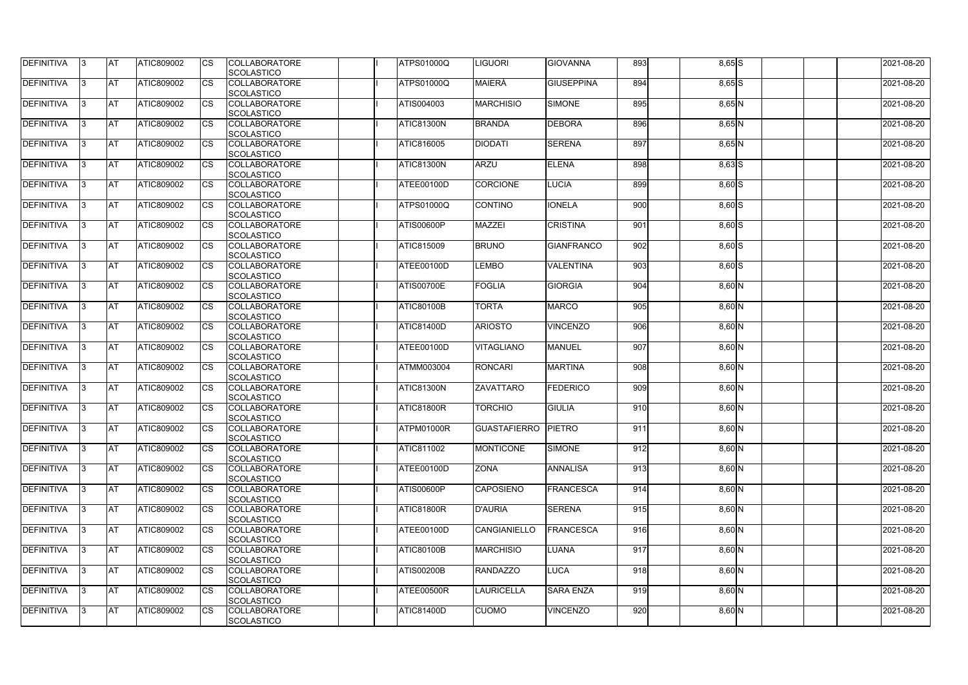| <b>DEFINITIVA</b> | IЗ  | <b>IAT</b> | <b>ATIC809002</b> | <b>CS</b>              | <b>COLLABORATORE</b><br>SCOLASTICO        | <b>ATPS01000Q</b> | <b>IGUORI</b>       | <b>GIOVANNA</b>   | 893 | $8,65$ $S$          | 2021-08-20 |
|-------------------|-----|------------|-------------------|------------------------|-------------------------------------------|-------------------|---------------------|-------------------|-----|---------------------|------------|
| DEFINITIVA        | ß.  | <b>AT</b>  | ATIC809002        | CS                     | <b>COLLABORATORE</b>                      | <b>ATPS01000Q</b> | <b>MAIERÀ</b>       | <b>GIUSEPPINA</b> | 894 | $8,65$ S            | 2021-08-20 |
|                   |     |            |                   |                        | <b>SCOLASTICO</b>                         |                   |                     |                   |     |                     |            |
| <b>DEFINITIVA</b> | ß.  | <b>AT</b>  | ATIC809002        |                        | <b>COLLABORATORE</b>                      | ATIS004003        | <b>MARCHISIO</b>    | <b>SIMONE</b>     | 895 |                     | 2021-08-20 |
|                   |     |            |                   | CS                     | <b>SCOLASTICO</b>                         |                   |                     |                   |     | $8,65$ N            |            |
| <b>DEFINITIVA</b> |     | <b>AT</b>  | ATIC809002        | <b>CS</b>              | <b>COLLABORATORE</b>                      | ATIC81300N        | <b>BRANDA</b>       | <b>DEBORA</b>     | 896 | $8,65$ <sub>N</sub> | 2021-08-20 |
|                   |     |            |                   |                        | <b>SCOLASTICO</b>                         |                   |                     |                   |     |                     |            |
| <b>DEFINITIVA</b> |     | <b>AT</b>  | ATIC809002        | CS                     | <b>COLLABORATORE</b>                      | <b>ATIC816005</b> | <b>DIODATI</b>      | <b>SERENA</b>     | 897 | $\overline{8,65}N$  | 2021-08-20 |
|                   |     |            |                   |                        | SCOLASTICO                                |                   |                     |                   |     |                     |            |
| <b>DEFINITIVA</b> | ß   | AT         | ATIC809002        | <b>CS</b>              | <b>COLLABORATORE</b>                      | <b>ATIC81300N</b> | <b>ARZU</b>         | <b>ELENA</b>      | 898 |                     | 2021-08-20 |
|                   |     |            |                   |                        |                                           |                   |                     |                   |     | $8,63$ $S$          |            |
| <b>DEFINITIVA</b> |     | <b>AT</b>  | ATIC809002        | <b>CS</b>              | SCOLASTICO<br><b>COLLABORATORE</b>        | ATEE00100D        |                     | <b>LUCIA</b>      | 899 |                     | 2021-08-20 |
|                   |     |            |                   |                        | SCOLASTICO                                |                   | <b>CORCIONE</b>     |                   |     | 8,60 S              |            |
| DEFINITIVA        | ß   | <b>AT</b>  | ATIC809002        | <b>CS</b>              | <b>COLLABORATORE</b>                      | <b>ATPS01000Q</b> | <b>CONTINO</b>      | <b>IONELA</b>     | 900 | $8,60$ S            | 2021-08-20 |
|                   |     |            |                   |                        |                                           |                   |                     |                   |     |                     |            |
| <b>DEFINITIVA</b> | l3  | <b>AT</b>  | ATIC809002        |                        | <b>SCOLASTICO</b><br><b>COLLABORATORE</b> | <b>ATIS00600P</b> | <b>MAZZEI</b>       | <b>CRISTINA</b>   | 901 |                     | 2021-08-20 |
|                   |     |            |                   | CS                     | <b>SCOLASTICO</b>                         |                   |                     |                   |     | $8,60$ S            |            |
|                   |     |            |                   |                        |                                           |                   | <b>BRUNO</b>        | <b>GIANFRANCO</b> |     |                     |            |
| <b>DEFINITIVA</b> |     | <b>AT</b>  | ATIC809002        | <b>CS</b>              | <b>COLLABORATORE</b>                      | <b>ATIC815009</b> |                     |                   | 902 | $8,60$ S            | 2021-08-20 |
| <b>DEFINITIVA</b> |     | <b>AT</b>  | ATIC809002        | $\overline{\text{cs}}$ | <b>SCOLASTICO</b><br><b>COLLABORATORE</b> | ATEE00100D        |                     | <b>VALENTINA</b>  | 903 |                     | 2021-08-20 |
|                   |     |            |                   |                        |                                           |                   | <b>LEMBO</b>        |                   |     | $8,60$ S            |            |
|                   |     |            |                   |                        | SCOLASTICO                                |                   |                     |                   |     |                     |            |
| <b>DEFINITIVA</b> | 3   | <b>AT</b>  | ATIC809002        | <b>CS</b>              | <b>COLLABORATORE</b>                      | <b>ATIS00700E</b> | <b>FOGLIA</b>       | <b>GIORGIA</b>    | 904 | $8,60$ N            | 2021-08-20 |
|                   |     |            |                   |                        | SCOLASTICO                                |                   |                     |                   |     |                     |            |
| <b>DEFINITIVA</b> |     | <b>IAT</b> | ATIC809002        | CS                     | <b>COLLABORATORE</b>                      | <b>ATIC80100B</b> | <b>TORTA</b>        | <b>MARCO</b>      | 905 | $8,60$ N            | 2021-08-20 |
|                   |     |            |                   |                        | <b>SCOLASTICO</b>                         |                   |                     |                   |     |                     |            |
| <b>DEFINITIVA</b> | з   | <b>AT</b>  | ATIC809002        | <b>CS</b>              | <b>COLLABORATORE</b>                      | <b>ATIC81400D</b> | <b>ARIOSTO</b>      | <b>VINCENZO</b>   | 906 | $8,60$ N            | 2021-08-20 |
|                   |     |            |                   |                        | SCOLASTICO                                |                   |                     |                   |     |                     |            |
| DEFINITIVA        | R   | <b>AT</b>  | ATIC809002        | CS                     | <b>COLLABORATORE</b>                      | ATEE00100D        | <b>VITAGLIANO</b>   | MANUEL            | 907 | $8,60$ N            | 2021-08-20 |
|                   |     |            |                   |                        | <b>SCOLASTICO</b>                         |                   |                     |                   |     |                     |            |
| <b>DEFINITIVA</b> |     | <b>AT</b>  | <b>ATIC809002</b> | CS                     | <b>COLLABORATORE</b>                      | <b>ATMM003004</b> | <b>RONCARI</b>      | <b>MARTINA</b>    | 908 | $8,60$ N            | 2021-08-20 |
|                   |     |            |                   |                        | <b>SCOLASTICO</b>                         |                   |                     |                   |     |                     |            |
| <b>DEFINITIVA</b> |     | <b>AT</b>  | ATIC809002        | <b>CS</b>              | <b>COLLABORATORE</b>                      | <b>ATIC81300N</b> | ZAVATTARO           | <b>FEDERICO</b>   | 909 | $8,60$ N            | 2021-08-20 |
|                   |     |            |                   |                        | SCOLASTICO                                |                   |                     |                   |     |                     | 2021-08-20 |
| <b>DEFINITIVA</b> |     | <b>AT</b>  | ATIC809002        | <b>CS</b>              | <b>COLLABORATORE</b>                      | <b>ATIC81800R</b> | <b>TORCHIO</b>      | <b>GIULIA</b>     | 910 | $8,60$ N            |            |
|                   |     |            |                   |                        | SCOLASTICO                                |                   |                     |                   |     |                     |            |
| DEFINITIVA        | 13. | <b>AT</b>  | ATIC809002        | <b>CS</b>              | <b>COLLABORATORE</b>                      | ATPM01000R        | <b>GUASTAFIERRO</b> | PIETRO            | 911 | $8,60$ N            | 2021-08-20 |
| <b>DEFINITIVA</b> |     | <b>AT</b>  |                   |                        | SCOLASTICO                                |                   |                     |                   | 912 |                     |            |
|                   | I3. |            | ATIC809002        | <b>CS</b>              | <b>COLLABORATORE</b>                      | <b>ATIC811002</b> | <b>MONTICONE</b>    | <b>SIMONE</b>     |     | $\overline{8,60}N$  | 2021-08-20 |
|                   |     |            |                   |                        | <b>SCOLASTICO</b>                         |                   |                     |                   |     |                     |            |
| DEFINITIVA        | l3. | <b>AT</b>  | <b>ATIC809002</b> | <b>CS</b>              | <b>COLLABORATORE</b>                      | ATEE00100D        | <b>ZONA</b>         | <b>ANNALISA</b>   | 913 | $8,60$ N            | 2021-08-20 |
|                   |     |            |                   |                        | <b>SCOLASTICO</b>                         |                   |                     |                   |     |                     |            |
| <b>DEFINITIVA</b> | 13. | <b>AT</b>  | ATIC809002        | <b>CS</b>              | <b>COLLABORATORE</b>                      | <b>ATIS00600P</b> | <b>CAPOSIENO</b>    | <b>FRANCESCA</b>  | 914 | 8,60 N              | 2021-08-20 |
|                   |     |            |                   |                        | <b>SCOLASTICO</b>                         |                   |                     |                   |     |                     |            |
| <b>DEFINITIVA</b> |     | <b>AT</b>  | ATIC809002        | <b>CS</b>              | <b>COLLABORATORE</b>                      | <b>ATIC81800R</b> | <b>D'AURIA</b>      | <b>SERENA</b>     | 915 | $8,60$ N            | 2021-08-20 |
|                   |     |            |                   |                        | <b>SCOLASTICO</b>                         |                   |                     |                   |     |                     |            |
| <b>DEFINITIVA</b> |     | <b>AT</b>  | ATIC809002        | <b>CS</b>              | <b>COLLABORATORE</b>                      | ATEE00100D        | <b>CANGIANIELLO</b> | <b>FRANCESCA</b>  | 916 | $\overline{8,60}N$  | 2021-08-20 |
|                   |     |            |                   |                        | <b>SCOLASTICO</b>                         |                   |                     |                   |     |                     |            |
| <b>DEFINITIVA</b> | ß.  | <b>AT</b>  | ATIC809002        | <b>CS</b>              | <b>COLLABORATORE</b>                      | <b>ATIC80100B</b> | <b>MARCHISIO</b>    | <b>LUANA</b>      | 917 | $8,60$ N            | 2021-08-20 |
|                   |     |            |                   |                        | SCOLASTICO                                |                   |                     |                   |     |                     |            |
| DEFINITIVA        |     | <b>AT</b>  | ATIC809002        | <b>CS</b>              | <b>COLLABORATORE</b>                      | <b>ATIS00200B</b> | <b>RANDAZZO</b>     | <b>LUCA</b>       | 918 | $8,60$ N            | 2021-08-20 |
|                   |     |            |                   |                        | <b>SCOLASTICO</b>                         |                   |                     |                   |     |                     |            |
| DEFINITIVA        | IЗ  | <b>AT</b>  | ATIC809002        | <b>CS</b>              | <b>COLLABORATORE</b>                      | ATEE00500R        | <b>LAURICELLA</b>   | <b>SARA ENZA</b>  | 919 | $8,60$ N            | 2021-08-20 |
|                   |     |            |                   |                        | <b>SCOLASTICO</b>                         |                   |                     |                   |     |                     |            |
| <b>DEFINITIVA</b> | 13. | <b>AT</b>  | ATIC809002        | <b>CS</b>              | <b>COLLABORATORE</b>                      | <b>ATIC81400D</b> | <b>CUOMO</b>        | <b>VINCENZO</b>   | 920 | $8,60$ N            | 2021-08-20 |
|                   |     |            |                   |                        | SCOLASTICO                                |                   |                     |                   |     |                     |            |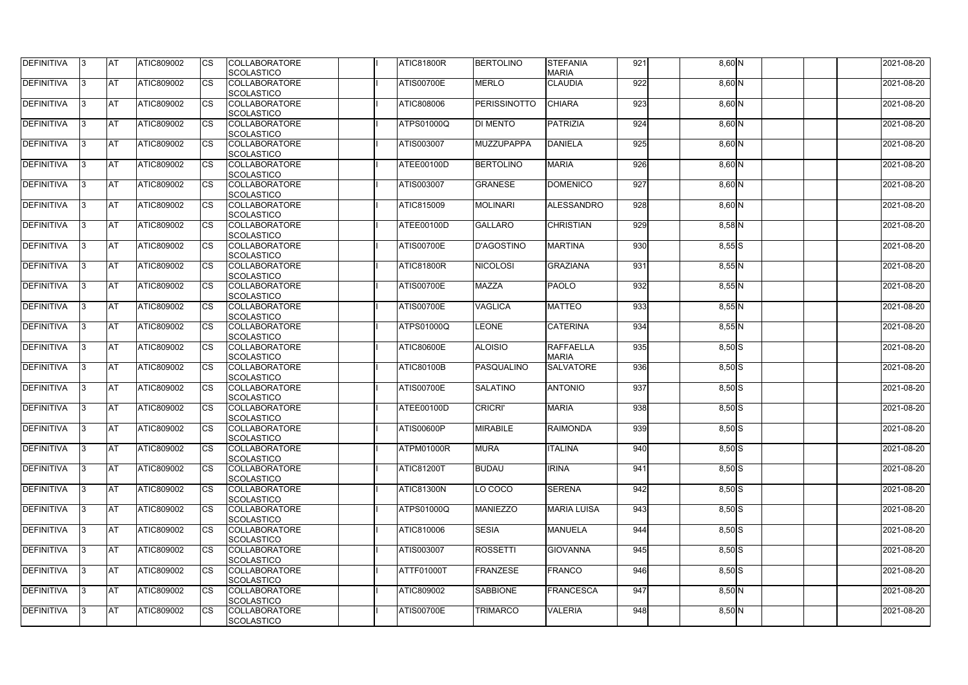| <b>DEFINITIVA</b> | 13  | <b>AT</b> | ATIC809002        | Ics                    | <b>COLLABORATORE</b> | <b>ATIC81800R</b> | <b>BERTOLINO</b>    | <b>STEFANIA</b>    | 921 | 8,60 N              | 2021-08-20 |
|-------------------|-----|-----------|-------------------|------------------------|----------------------|-------------------|---------------------|--------------------|-----|---------------------|------------|
|                   |     |           |                   |                        | <b>SCOLASTICO</b>    |                   |                     | <b>MARIA</b>       |     |                     |            |
| <b>DEFINITIVA</b> |     | <b>AT</b> | ATIC809002        | Ics                    | <b>COLLABORATORE</b> | <b>ATIS00700E</b> | <b>MERLO</b>        | <b>CLAUDIA</b>     | 922 | $8,60$ N            | 2021-08-20 |
|                   |     |           |                   |                        | <b>SCOLASTICO</b>    |                   |                     |                    |     |                     |            |
| DEFINITIVA        |     | <b>AT</b> | ATIC809002        | Ics                    | <b>COLLABORATORE</b> | ATIC808006        | <b>PERISSINOTTO</b> | <b>CHIARA</b>      | 923 | 8,60 N              | 2021-08-20 |
|                   |     |           |                   |                        | <b>SCOLASTICO</b>    |                   |                     |                    |     |                     |            |
| DEFINITIVA        | IЗ  | <b>AT</b> | ATIC809002        | Ics                    | <b>COLLABORATORE</b> | <b>ATPS01000Q</b> | <b>DI MENTO</b>     | <b>PATRIZIA</b>    | 924 | $8,60$ N            | 2021-08-20 |
|                   |     |           |                   |                        | <b>SCOLASTICO</b>    |                   |                     |                    |     |                     |            |
| DEFINITIVA        |     | <b>AT</b> | ATIC809002        | <b>CS</b>              | <b>COLLABORATORE</b> | ATIS003007        | <b>MUZZUPAPPA</b>   | <b>DANIELA</b>     | 925 | $8,60$ N            | 2021-08-20 |
|                   |     |           |                   |                        | <b>SCOLASTICO</b>    |                   |                     |                    |     |                     |            |
| <b>DEFINITIVA</b> |     | <b>AT</b> | ATIC809002        | Ics                    | <b>COLLABORATORE</b> | <b>ATEE00100D</b> | <b>BERTOLINO</b>    | <b>MARIA</b>       | 926 | $8,60$ N            | 2021-08-20 |
|                   |     |           |                   |                        | <b>SCOLASTICO</b>    |                   |                     |                    |     |                     |            |
| DEFINITIVA        |     | <b>AT</b> | <b>ATIC809002</b> | Ics                    | <b>COLLABORATORE</b> | ATIS003007        | <b>GRANESE</b>      | <b>DOMENICO</b>    | 927 | $8,60$ N            | 2021-08-20 |
|                   |     |           |                   |                        | <b>SCOLASTICO</b>    |                   |                     |                    |     |                     |            |
| <b>DEFINITIVA</b> |     | AT        | ATIC809002        | <b>CS</b>              | <b>COLLABORATORE</b> | ATIC815009        | <b>MOLINARI</b>     | <b>ALESSANDRO</b>  | 928 | $8,60$ N            | 2021-08-20 |
|                   |     |           |                   |                        | <b>SCOLASTICO</b>    |                   |                     |                    |     |                     |            |
| DEFINITIVA        |     | <b>AT</b> | ATIC809002        | $\overline{\text{cs}}$ | <b>COLLABORATORE</b> | ATEE00100D        | <b>GALLARO</b>      | <b>CHRISTIAN</b>   | 929 | $8,58$ N            | 2021-08-20 |
|                   |     |           |                   |                        | <b>SCOLASTICO</b>    |                   |                     |                    |     |                     |            |
| DEFINITIVA        |     | <b>AT</b> | ATIC809002        | $\overline{\text{cs}}$ | <b>COLLABORATORE</b> | <b>ATIS00700E</b> | <b>D'AGOSTINO</b>   | <b>MARTINA</b>     | 930 | $8,55$ S            | 2021-08-20 |
|                   |     |           |                   |                        | SCOLASTICO           |                   |                     |                    |     |                     |            |
| <b>DEFINITIVA</b> |     | AT        | <b>ATIC809002</b> | <b>CS</b>              | <b>COLLABORATORE</b> | <b>ATIC81800R</b> | <b>NICOLOSI</b>     | <b>GRAZIANA</b>    | 931 | $8,55$ N            | 2021-08-20 |
|                   |     |           |                   |                        | <b>SCOLASTICO</b>    |                   |                     |                    |     |                     |            |
| DEFINITIVA        |     | <b>AT</b> | ATIC809002        | <b>CS</b>              | <b>COLLABORATORE</b> | <b>ATIS00700E</b> | <b>MAZZA</b>        | <b>PAOLO</b>       | 932 | $8,55$ N            | 2021-08-20 |
|                   |     |           |                   |                        | <b>SCOLASTICO</b>    |                   |                     |                    |     |                     |            |
| DEFINITIVA        |     | <b>AT</b> | ATIC809002        |                        | <b>COLLABORATORE</b> | <b>ATIS00700E</b> | <b>VAGLICA</b>      | <b>MATTEO</b>      | 933 | 8,55 N              | 2021-08-20 |
|                   |     |           |                   |                        | <b>SCOLASTICO</b>    |                   |                     |                    |     |                     |            |
| <b>DEFINITIVA</b> |     | <b>AT</b> | ATIC809002        | Ics                    | <b>COLLABORATORE</b> | <b>ATPS01000Q</b> | <b>LEONE</b>        | <b>CATERINA</b>    | 934 | $8,55$ N            | 2021-08-20 |
|                   |     |           |                   |                        | <b>SCOLASTICO</b>    |                   |                     |                    |     |                     |            |
|                   |     |           |                   |                        |                      |                   |                     |                    |     |                     |            |
| DEFINITIVA        |     | <b>AT</b> | ATIC809002        | <b>CS</b>              | <b>COLLABORATORE</b> | <b>ATIC80600E</b> | <b>ALOISIO</b>      | <b>RAFFAELLA</b>   | 935 | $8,50$ S            | 2021-08-20 |
|                   |     |           |                   |                        | <b>SCOLASTICO</b>    |                   |                     | <b>MARIA</b>       |     |                     |            |
| DEFINITIVA        |     | <b>AT</b> | ATIC809002        | Ics                    | <b>COLLABORATORE</b> | <b>ATIC80100B</b> | PASQUALINO          | <b>SALVATORE</b>   | 936 | $8,50$ S            | 2021-08-20 |
|                   |     |           |                   |                        | <b>SCOLASTICO</b>    |                   |                     |                    |     |                     |            |
| <b>DEFINITIVA</b> |     | <b>AT</b> | ATIC809002        | <b>CS</b>              | <b>COLLABORATORE</b> | <b>ATIS00700E</b> | <b>SALATINO</b>     | <b>ANTONIO</b>     | 937 | $8,50$ S            | 2021-08-20 |
|                   |     |           |                   |                        | <b>SCOLASTICO</b>    |                   |                     |                    |     |                     |            |
| DEFINITIVA        |     | <b>AT</b> | ATIC809002        | <b>CS</b>              | <b>COLLABORATORE</b> | ATEE00100D        | <b>CRICRI'</b>      | <b>MARIA</b>       | 938 | $8,50$ S            | 2021-08-20 |
|                   |     |           |                   |                        | SCOLASTICO           |                   |                     |                    |     |                     |            |
| <b>DEFINITIVA</b> | 13. | <b>AT</b> | ATIC809002        |                        | <b>COLLABORATORE</b> | <b>ATIS00600P</b> | <b>MIRABILE</b>     | <b>RAIMONDA</b>    | 939 | $8,50$ S            | 2021-08-20 |
|                   |     |           |                   |                        | <b>SCOLASTICO</b>    |                   |                     |                    |     |                     |            |
| DEFINITIVA        | IЗ  | <b>AT</b> | <b>ATIC809002</b> | Ics                    | <b>COLLABORATORE</b> | ATPM01000R        | <b>MURA</b>         | <b>ITALINA</b>     | 940 | $\overline{8,50}$ S | 2021-08-20 |
|                   |     |           |                   |                        | <b>SCOLASTICO</b>    |                   |                     |                    |     |                     |            |
| <b>DEFINITIVA</b> | I3  | <b>AT</b> | ATIC809002        | <b>ICS</b>             | <b>COLLABORATORE</b> | <b>ATIC81200T</b> | <b>BUDAU</b>        | <b>IRINA</b>       | 941 | $8,50$ S            | 2021-08-20 |
|                   |     |           |                   |                        | <b>SCOLASTICO</b>    |                   |                     |                    |     |                     |            |
| DEFINITIVA        |     | <b>AT</b> | ATIC809002        | Ics                    | <b>COLLABORATORE</b> | <b>ATIC81300N</b> | LO COCO             | <b>SERENA</b>      | 942 | $8,50$ S            | 2021-08-20 |
|                   |     |           |                   |                        | <b>SCOLASTICO</b>    |                   |                     |                    |     |                     |            |
| DEFINITIVA        |     | <b>AT</b> | ATIC809002        | <b>CS</b>              | <b>COLLABORATORE</b> | ATPS01000Q        | <b>MANIEZZO</b>     | <b>MARIA LUISA</b> | 943 | $8,50$ S            | 2021-08-20 |
|                   |     |           |                   |                        | <b>SCOLASTICO</b>    |                   |                     |                    |     |                     |            |
| <b>DEFINITIVA</b> | ıз  | <b>AT</b> | ATIC809002        | Ics                    | <b>COLLABORATORE</b> | ATIC810006        | <b>SESIA</b>        | <b>MANUELA</b>     | 944 | $8,50$ S            | 2021-08-20 |
|                   |     |           |                   |                        | <b>SCOLASTICO</b>    |                   |                     |                    |     |                     |            |
| <b>DEFINITIVA</b> |     | <b>AT</b> | ATIC809002        | Ics                    | <b>COLLABORATORE</b> | ATIS003007        | <b>ROSSETTI</b>     | <b>GIOVANNA</b>    | 945 | $8,50$ S            | 2021-08-20 |
|                   |     |           |                   |                        | <b>SCOLASTICO</b>    |                   |                     |                    |     |                     |            |
| DEFINITIVA        | ıз  | <b>AT</b> | ATIC809002        | Ics                    | <b>COLLABORATORE</b> | ATTF01000T        | <b>FRANZESE</b>     | <b>FRANCO</b>      | 946 | $8,50$ S            | 2021-08-20 |
|                   |     |           |                   |                        | <b>SCOLASTICO</b>    |                   |                     |                    |     |                     |            |
| <b>DEFINITIVA</b> | 13  | <b>AT</b> | <b>ATIC809002</b> | <b>ICS</b>             | <b>COLLABORATORE</b> | ATIC809002        | <b>SABBIONE</b>     | <b>FRANCESCA</b>   | 947 | $8,50$ N            | 2021-08-20 |
|                   |     |           |                   |                        | SCOLASTICO           |                   |                     |                    |     |                     |            |
| <b>DEFINITIVA</b> |     | <b>AT</b> | <b>ATIC809002</b> | Ics                    | <b>COLLABORATORE</b> | <b>ATIS00700E</b> | <b>TRIMARCO</b>     | <b>VALERIA</b>     | 948 | $8,50$ N            | 2021-08-20 |
|                   |     |           |                   |                        | <b>SCOLASTICO</b>    |                   |                     |                    |     |                     |            |
|                   |     |           |                   |                        |                      |                   |                     |                    |     |                     |            |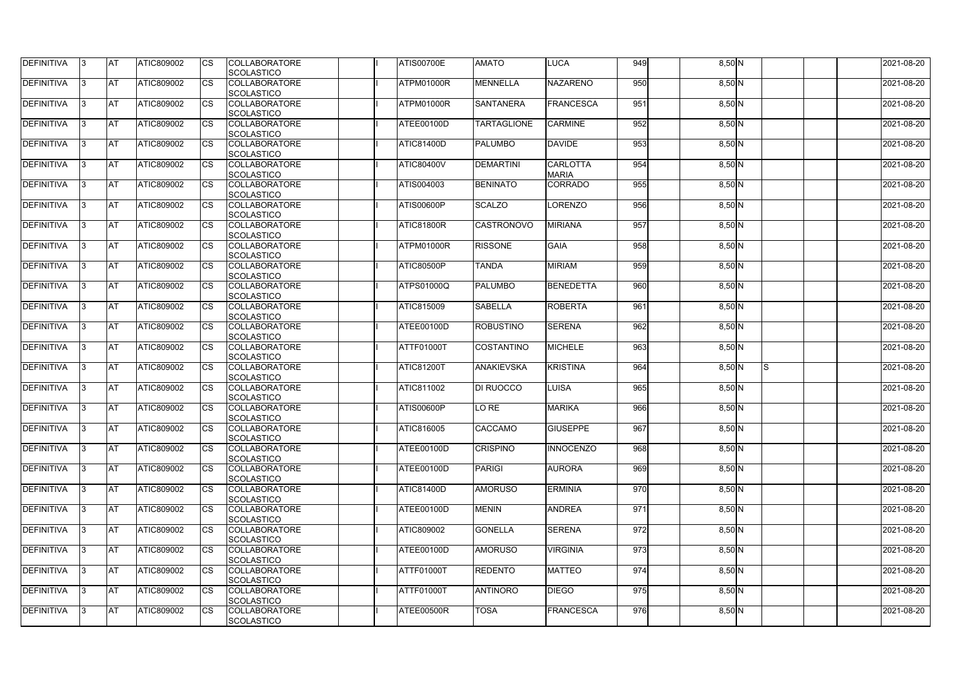| <b>AT</b><br><b>COLLABORATORE</b><br>950<br>DEFINITIVA<br>ATIC809002<br>CS<br>ATPM01000R<br><b>MENNELLA</b><br><b>NAZARENO</b><br>$8,50$ N<br>2021-08-20<br>ß.<br><b>SCOLASTICO</b><br>951<br>DEFINITIVA<br>ATIC809002<br><b>COLLABORATORE</b><br>ATPM01000R<br><b>SANTANERA</b><br>FRANCESCA<br>2021-08-20<br><b>AT</b><br>CS<br>$8,50$ N<br>ß.<br><b>SCOLASTICO</b><br><b>DEFINITIVA</b><br>952<br><b>AT</b><br>ATIC809002<br><b>CS</b><br><b>COLLABORATORE</b><br><b>CARMINE</b><br>8,50 N<br>2021-08-20<br>ATEE00100D<br><b>TARTAGLIONE</b><br><b>SCOLASTICO</b><br><b>DEFINITIVA</b><br>2021-08-20<br><b>AT</b><br>ATIC809002<br><b>COLLABORATORE</b><br><b>ATIC81400D</b><br><b>PALUMBO</b><br><b>DAVIDE</b><br>953<br>CS<br>$8,50$ N<br>SCOLASTICO<br><b>DEFINITIVA</b><br><b>CARLOTTA</b><br>954<br><b>AT</b><br>ATIC809002<br><b>COLLABORATORE</b><br><b>ATIC80400V</b><br><b>DEMARTINI</b><br>2021-08-20<br><b>CS</b><br>$8,50$ N<br>ß<br>SCOLASTICO<br><b>MARIA</b><br><b>DEFINITIVA</b><br><b>AT</b><br><b>COLLABORATORE</b><br><b>BENINATO</b><br><b>CORRADO</b><br>955<br>2021-08-20<br>ATIC809002<br><b>CS</b><br>ATIS004003<br>8,50 N<br>SCOLASTICO<br>956<br><b>AT</b><br>ATIC809002<br><b>CS</b><br><b>COLLABORATORE</b><br><b>ATIS00600P</b><br><b>SCALZO</b><br>LORENZO<br>8,50 N<br>2021-08-20<br>3<br><b>SCOLASTICO</b><br>957<br><b>AT</b><br>ATIC809002<br>2021-08-20<br>CS<br><b>COLLABORATORE</b><br>ATIC81800R<br><b>CASTRONOVO</b><br><b>MIRIANA</b><br>8,50 N<br>l3<br><b>SCOLASTICO</b><br><b>DEFINITIVA</b><br><b>AT</b><br>ATIC809002<br><b>CS</b><br><b>GAIA</b><br>958<br><b>COLLABORATORE</b><br>ATPM01000R<br><b>RISSONE</b><br>2021-08-20<br>$8,50$ N<br><b>SCOLASTICO</b><br>959<br><b>AT</b><br>ATIC809002<br>$\overline{\text{cs}}$<br><b>MIRIAM</b><br>2021-08-20<br><b>COLLABORATORE</b><br><b>ATIC80500P</b><br><b>TANDA</b><br>8,50 N<br>SCOLASTICO<br>960<br><b>AT</b><br>ATIC809002<br><b>CS</b><br><b>COLLABORATORE</b><br><b>PALUMBO</b><br>2021-08-20<br><b>ATPS01000Q</b><br>BENEDETTA<br>8,50 N<br>3<br>SCOLASTICO<br><b>IAT</b><br><b>COLLABORATORE</b><br><b>ROBERTA</b><br>961<br>ATIC809002<br>CS<br><b>ATIC815009</b><br><b>SABELLA</b><br>2021-08-20<br>$8,50$ N<br><b>SCOLASTICO</b><br><b>AT</b><br>962<br>ATIC809002<br><b>CS</b><br><b>COLLABORATORE</b><br><b>SERENA</b><br>2021-08-20<br>ATEE00100D<br><b>ROBUSTINO</b><br>8,50 N<br>SCOLASTICO<br>963<br><b>AT</b><br>ATIC809002<br><b>COLLABORATORE</b><br><b>MICHELE</b><br>2021-08-20<br>CS<br><b>ATTF01000T</b><br><b>COSTANTINO</b><br>8,50 N<br>R<br><b>SCOLASTICO</b><br><b>DEFINITIVA</b><br><b>AT</b><br><b>COLLABORATORE</b><br><b>KRISTINA</b><br>964<br>Is.<br>2021-08-20<br><b>ATIC809002</b><br>CS<br><b>ATIC81200T</b><br><b>ANAKIEVSKA</b><br>8,50 N<br><b>SCOLASTICO</b><br><b>DEFINITIVA</b><br><b>AT</b><br>965<br>ATIC809002<br><b>CS</b><br><b>COLLABORATORE</b><br>ATIC811002<br>DI RUOCCO<br><b>LUISA</b><br>8,50 N<br>2021-08-20<br>SCOLASTICO<br><b>DEFINITIVA</b><br>966<br><b>AT</b><br>ATIC809002<br><b>CS</b><br><b>COLLABORATORE</b><br><b>ATIS00600P</b><br><b>MARIKA</b><br>2021-08-20<br>LO RE<br>8,50 N<br>SCOLASTICO<br>DEFINITIVA<br><b>AT</b><br>ATIC809002<br><b>COLLABORATORE</b><br>ATIC816005<br>CACCAMO<br>967<br><b>CS</b><br><b>GIUSEPPE</b><br>8,50 N<br>2021-08-20<br>13.<br>SCOLASTICO<br><b>DEFINITIVA</b><br><b>AT</b><br>968<br>ATIC809002<br><b>CS</b><br><b>COLLABORATORE</b><br>ATEE00100D<br><b>CRISPINO</b><br><b>INNOCENZO</b><br>$8,50$ N<br>2021-08-20<br>IЗ<br><b>SCOLASTICO</b><br>969<br><b>DEFINITIVA</b><br><b>AT</b><br><b>AURORA</b><br>2021-08-20<br><b>ATIC809002</b><br><b>CS</b><br><b>COLLABORATORE</b><br>ATEE00100D<br><b>PARIGI</b><br>$8,50$ N<br>l3.<br><b>SCOLASTICO</b><br><b>DEFINITIVA</b><br><b>AT</b><br><b>ERMINIA</b><br>970<br>ATIC809002<br><b>COLLABORATORE</b><br><b>ATIC81400D</b><br><b>AMORUSO</b><br>8,50 N<br>2021-08-20<br><b>CS</b><br>13.<br><b>SCOLASTICO</b><br><b>DEFINITIVA</b><br><b>AT</b><br><b>ANDREA</b><br>971<br>2021-08-20<br>ATIC809002<br><b>COLLABORATORE</b><br>ATEE00100D<br><b>MENIN</b><br>$8,50$ N<br><b>CS</b><br><b>SCOLASTICO</b><br><b>DEFINITIVA</b><br>972<br>2021-08-20<br><b>AT</b><br>ATIC809002<br>ATIC809002<br><b>GONELLA</b><br><b>SERENA</b><br>8,50 N<br><b>CS</b><br><b>COLLABORATORE</b><br>ß<br><b>SCOLASTICO</b><br><b>DEFINITIVA</b><br>973<br><b>AT</b><br>ATIC809002<br><b>COLLABORATORE</b><br>ATEE00100D<br><b>AMORUSO</b><br><b>VIRGINIA</b><br>2021-08-20<br><b>CS</b><br>$8,50$ N<br>ß.<br>SCOLASTICO<br>DEFINITIVA<br><b>AT</b><br>974<br>ATIC809002<br>ATTF01000T<br><b>REDENTO</b><br><b>MATTEO</b><br>2021-08-20<br><b>CS</b><br><b>COLLABORATORE</b><br>$8,50$ N<br><b>SCOLASTICO</b><br>975<br>DEFINITIVA<br><b>AT</b><br>ATIC809002<br><b>ATTF01000T</b><br><b>DIEGO</b><br>2021-08-20<br><b>CS</b><br><b>COLLABORATORE</b><br><b>ANTINORO</b><br>$8,50$ N<br>IЗ<br><b>SCOLASTICO</b><br><b>DEFINITIVA</b><br>976<br><b>AT</b><br>ATIC809002<br>ATEE00500R<br><b>TOSA</b><br>2021-08-20<br><b>COLLABORATORE</b><br><b>FRANCESCA</b><br><b>CS</b><br>$8,50$ N<br>13.<br>SCOLASTICO | <b>DEFINITIVA</b> | 13. | <b>IAT</b> | <b>ATIC809002</b> | <b>CS</b> | <b>COLLABORATORE</b> | <b>ATIS00700E</b> | <b>AMATO</b> | <b>LUCA</b> | 949 | 8,50 N | 2021-08-20 |
|--------------------------------------------------------------------------------------------------------------------------------------------------------------------------------------------------------------------------------------------------------------------------------------------------------------------------------------------------------------------------------------------------------------------------------------------------------------------------------------------------------------------------------------------------------------------------------------------------------------------------------------------------------------------------------------------------------------------------------------------------------------------------------------------------------------------------------------------------------------------------------------------------------------------------------------------------------------------------------------------------------------------------------------------------------------------------------------------------------------------------------------------------------------------------------------------------------------------------------------------------------------------------------------------------------------------------------------------------------------------------------------------------------------------------------------------------------------------------------------------------------------------------------------------------------------------------------------------------------------------------------------------------------------------------------------------------------------------------------------------------------------------------------------------------------------------------------------------------------------------------------------------------------------------------------------------------------------------------------------------------------------------------------------------------------------------------------------------------------------------------------------------------------------------------------------------------------------------------------------------------------------------------------------------------------------------------------------------------------------------------------------------------------------------------------------------------------------------------------------------------------------------------------------------------------------------------------------------------------------------------------------------------------------------------------------------------------------------------------------------------------------------------------------------------------------------------------------------------------------------------------------------------------------------------------------------------------------------------------------------------------------------------------------------------------------------------------------------------------------------------------------------------------------------------------------------------------------------------------------------------------------------------------------------------------------------------------------------------------------------------------------------------------------------------------------------------------------------------------------------------------------------------------------------------------------------------------------------------------------------------------------------------------------------------------------------------------------------------------------------------------------------------------------------------------------------------------------------------------------------------------------------------------------------------------------------------------------------------------------------------------------------------------------------------------------------------------------------------------------------------------------------------------------------------------------------------------------------------------------------------------------------------------------------------------------------------------------------------------------------------------------------------------------------------------------------------------------------------------------------------------------------------------------------------------------------------------------------------------------------------------------------------------------------------------------------------------------------------------------------------------------------------------------------------------------------------------------------------------------------------------------------------------------------------------------------------------------------------------------------------------------------------------------------------------------------------------------------------------------------------------------------------------|-------------------|-----|------------|-------------------|-----------|----------------------|-------------------|--------------|-------------|-----|--------|------------|
|                                                                                                                                                                                                                                                                                                                                                                                                                                                                                                                                                                                                                                                                                                                                                                                                                                                                                                                                                                                                                                                                                                                                                                                                                                                                                                                                                                                                                                                                                                                                                                                                                                                                                                                                                                                                                                                                                                                                                                                                                                                                                                                                                                                                                                                                                                                                                                                                                                                                                                                                                                                                                                                                                                                                                                                                                                                                                                                                                                                                                                                                                                                                                                                                                                                                                                                                                                                                                                                                                                                                                                                                                                                                                                                                                                                                                                                                                                                                                                                                                                                                                                                                                                                                                                                                                                                                                                                                                                                                                                                                                                                                                                                                                                                                                                                                                                                                                                                                                                                                                                                                                                                                                        |                   |     |            |                   |           | SCOLASTICO           |                   |              |             |     |        |            |
|                                                                                                                                                                                                                                                                                                                                                                                                                                                                                                                                                                                                                                                                                                                                                                                                                                                                                                                                                                                                                                                                                                                                                                                                                                                                                                                                                                                                                                                                                                                                                                                                                                                                                                                                                                                                                                                                                                                                                                                                                                                                                                                                                                                                                                                                                                                                                                                                                                                                                                                                                                                                                                                                                                                                                                                                                                                                                                                                                                                                                                                                                                                                                                                                                                                                                                                                                                                                                                                                                                                                                                                                                                                                                                                                                                                                                                                                                                                                                                                                                                                                                                                                                                                                                                                                                                                                                                                                                                                                                                                                                                                                                                                                                                                                                                                                                                                                                                                                                                                                                                                                                                                                                        |                   |     |            |                   |           |                      |                   |              |             |     |        |            |
|                                                                                                                                                                                                                                                                                                                                                                                                                                                                                                                                                                                                                                                                                                                                                                                                                                                                                                                                                                                                                                                                                                                                                                                                                                                                                                                                                                                                                                                                                                                                                                                                                                                                                                                                                                                                                                                                                                                                                                                                                                                                                                                                                                                                                                                                                                                                                                                                                                                                                                                                                                                                                                                                                                                                                                                                                                                                                                                                                                                                                                                                                                                                                                                                                                                                                                                                                                                                                                                                                                                                                                                                                                                                                                                                                                                                                                                                                                                                                                                                                                                                                                                                                                                                                                                                                                                                                                                                                                                                                                                                                                                                                                                                                                                                                                                                                                                                                                                                                                                                                                                                                                                                                        |                   |     |            |                   |           |                      |                   |              |             |     |        |            |
|                                                                                                                                                                                                                                                                                                                                                                                                                                                                                                                                                                                                                                                                                                                                                                                                                                                                                                                                                                                                                                                                                                                                                                                                                                                                                                                                                                                                                                                                                                                                                                                                                                                                                                                                                                                                                                                                                                                                                                                                                                                                                                                                                                                                                                                                                                                                                                                                                                                                                                                                                                                                                                                                                                                                                                                                                                                                                                                                                                                                                                                                                                                                                                                                                                                                                                                                                                                                                                                                                                                                                                                                                                                                                                                                                                                                                                                                                                                                                                                                                                                                                                                                                                                                                                                                                                                                                                                                                                                                                                                                                                                                                                                                                                                                                                                                                                                                                                                                                                                                                                                                                                                                                        |                   |     |            |                   |           |                      |                   |              |             |     |        |            |
|                                                                                                                                                                                                                                                                                                                                                                                                                                                                                                                                                                                                                                                                                                                                                                                                                                                                                                                                                                                                                                                                                                                                                                                                                                                                                                                                                                                                                                                                                                                                                                                                                                                                                                                                                                                                                                                                                                                                                                                                                                                                                                                                                                                                                                                                                                                                                                                                                                                                                                                                                                                                                                                                                                                                                                                                                                                                                                                                                                                                                                                                                                                                                                                                                                                                                                                                                                                                                                                                                                                                                                                                                                                                                                                                                                                                                                                                                                                                                                                                                                                                                                                                                                                                                                                                                                                                                                                                                                                                                                                                                                                                                                                                                                                                                                                                                                                                                                                                                                                                                                                                                                                                                        |                   |     |            |                   |           |                      |                   |              |             |     |        |            |
|                                                                                                                                                                                                                                                                                                                                                                                                                                                                                                                                                                                                                                                                                                                                                                                                                                                                                                                                                                                                                                                                                                                                                                                                                                                                                                                                                                                                                                                                                                                                                                                                                                                                                                                                                                                                                                                                                                                                                                                                                                                                                                                                                                                                                                                                                                                                                                                                                                                                                                                                                                                                                                                                                                                                                                                                                                                                                                                                                                                                                                                                                                                                                                                                                                                                                                                                                                                                                                                                                                                                                                                                                                                                                                                                                                                                                                                                                                                                                                                                                                                                                                                                                                                                                                                                                                                                                                                                                                                                                                                                                                                                                                                                                                                                                                                                                                                                                                                                                                                                                                                                                                                                                        |                   |     |            |                   |           |                      |                   |              |             |     |        |            |
|                                                                                                                                                                                                                                                                                                                                                                                                                                                                                                                                                                                                                                                                                                                                                                                                                                                                                                                                                                                                                                                                                                                                                                                                                                                                                                                                                                                                                                                                                                                                                                                                                                                                                                                                                                                                                                                                                                                                                                                                                                                                                                                                                                                                                                                                                                                                                                                                                                                                                                                                                                                                                                                                                                                                                                                                                                                                                                                                                                                                                                                                                                                                                                                                                                                                                                                                                                                                                                                                                                                                                                                                                                                                                                                                                                                                                                                                                                                                                                                                                                                                                                                                                                                                                                                                                                                                                                                                                                                                                                                                                                                                                                                                                                                                                                                                                                                                                                                                                                                                                                                                                                                                                        |                   |     |            |                   |           |                      |                   |              |             |     |        |            |
|                                                                                                                                                                                                                                                                                                                                                                                                                                                                                                                                                                                                                                                                                                                                                                                                                                                                                                                                                                                                                                                                                                                                                                                                                                                                                                                                                                                                                                                                                                                                                                                                                                                                                                                                                                                                                                                                                                                                                                                                                                                                                                                                                                                                                                                                                                                                                                                                                                                                                                                                                                                                                                                                                                                                                                                                                                                                                                                                                                                                                                                                                                                                                                                                                                                                                                                                                                                                                                                                                                                                                                                                                                                                                                                                                                                                                                                                                                                                                                                                                                                                                                                                                                                                                                                                                                                                                                                                                                                                                                                                                                                                                                                                                                                                                                                                                                                                                                                                                                                                                                                                                                                                                        |                   |     |            |                   |           |                      |                   |              |             |     |        |            |
|                                                                                                                                                                                                                                                                                                                                                                                                                                                                                                                                                                                                                                                                                                                                                                                                                                                                                                                                                                                                                                                                                                                                                                                                                                                                                                                                                                                                                                                                                                                                                                                                                                                                                                                                                                                                                                                                                                                                                                                                                                                                                                                                                                                                                                                                                                                                                                                                                                                                                                                                                                                                                                                                                                                                                                                                                                                                                                                                                                                                                                                                                                                                                                                                                                                                                                                                                                                                                                                                                                                                                                                                                                                                                                                                                                                                                                                                                                                                                                                                                                                                                                                                                                                                                                                                                                                                                                                                                                                                                                                                                                                                                                                                                                                                                                                                                                                                                                                                                                                                                                                                                                                                                        |                   |     |            |                   |           |                      |                   |              |             |     |        |            |
|                                                                                                                                                                                                                                                                                                                                                                                                                                                                                                                                                                                                                                                                                                                                                                                                                                                                                                                                                                                                                                                                                                                                                                                                                                                                                                                                                                                                                                                                                                                                                                                                                                                                                                                                                                                                                                                                                                                                                                                                                                                                                                                                                                                                                                                                                                                                                                                                                                                                                                                                                                                                                                                                                                                                                                                                                                                                                                                                                                                                                                                                                                                                                                                                                                                                                                                                                                                                                                                                                                                                                                                                                                                                                                                                                                                                                                                                                                                                                                                                                                                                                                                                                                                                                                                                                                                                                                                                                                                                                                                                                                                                                                                                                                                                                                                                                                                                                                                                                                                                                                                                                                                                                        |                   |     |            |                   |           |                      |                   |              |             |     |        |            |
|                                                                                                                                                                                                                                                                                                                                                                                                                                                                                                                                                                                                                                                                                                                                                                                                                                                                                                                                                                                                                                                                                                                                                                                                                                                                                                                                                                                                                                                                                                                                                                                                                                                                                                                                                                                                                                                                                                                                                                                                                                                                                                                                                                                                                                                                                                                                                                                                                                                                                                                                                                                                                                                                                                                                                                                                                                                                                                                                                                                                                                                                                                                                                                                                                                                                                                                                                                                                                                                                                                                                                                                                                                                                                                                                                                                                                                                                                                                                                                                                                                                                                                                                                                                                                                                                                                                                                                                                                                                                                                                                                                                                                                                                                                                                                                                                                                                                                                                                                                                                                                                                                                                                                        |                   |     |            |                   |           |                      |                   |              |             |     |        |            |
|                                                                                                                                                                                                                                                                                                                                                                                                                                                                                                                                                                                                                                                                                                                                                                                                                                                                                                                                                                                                                                                                                                                                                                                                                                                                                                                                                                                                                                                                                                                                                                                                                                                                                                                                                                                                                                                                                                                                                                                                                                                                                                                                                                                                                                                                                                                                                                                                                                                                                                                                                                                                                                                                                                                                                                                                                                                                                                                                                                                                                                                                                                                                                                                                                                                                                                                                                                                                                                                                                                                                                                                                                                                                                                                                                                                                                                                                                                                                                                                                                                                                                                                                                                                                                                                                                                                                                                                                                                                                                                                                                                                                                                                                                                                                                                                                                                                                                                                                                                                                                                                                                                                                                        |                   |     |            |                   |           |                      |                   |              |             |     |        |            |
|                                                                                                                                                                                                                                                                                                                                                                                                                                                                                                                                                                                                                                                                                                                                                                                                                                                                                                                                                                                                                                                                                                                                                                                                                                                                                                                                                                                                                                                                                                                                                                                                                                                                                                                                                                                                                                                                                                                                                                                                                                                                                                                                                                                                                                                                                                                                                                                                                                                                                                                                                                                                                                                                                                                                                                                                                                                                                                                                                                                                                                                                                                                                                                                                                                                                                                                                                                                                                                                                                                                                                                                                                                                                                                                                                                                                                                                                                                                                                                                                                                                                                                                                                                                                                                                                                                                                                                                                                                                                                                                                                                                                                                                                                                                                                                                                                                                                                                                                                                                                                                                                                                                                                        | DEFINITIVA        |     |            |                   |           |                      |                   |              |             |     |        |            |
|                                                                                                                                                                                                                                                                                                                                                                                                                                                                                                                                                                                                                                                                                                                                                                                                                                                                                                                                                                                                                                                                                                                                                                                                                                                                                                                                                                                                                                                                                                                                                                                                                                                                                                                                                                                                                                                                                                                                                                                                                                                                                                                                                                                                                                                                                                                                                                                                                                                                                                                                                                                                                                                                                                                                                                                                                                                                                                                                                                                                                                                                                                                                                                                                                                                                                                                                                                                                                                                                                                                                                                                                                                                                                                                                                                                                                                                                                                                                                                                                                                                                                                                                                                                                                                                                                                                                                                                                                                                                                                                                                                                                                                                                                                                                                                                                                                                                                                                                                                                                                                                                                                                                                        |                   |     |            |                   |           |                      |                   |              |             |     |        |            |
|                                                                                                                                                                                                                                                                                                                                                                                                                                                                                                                                                                                                                                                                                                                                                                                                                                                                                                                                                                                                                                                                                                                                                                                                                                                                                                                                                                                                                                                                                                                                                                                                                                                                                                                                                                                                                                                                                                                                                                                                                                                                                                                                                                                                                                                                                                                                                                                                                                                                                                                                                                                                                                                                                                                                                                                                                                                                                                                                                                                                                                                                                                                                                                                                                                                                                                                                                                                                                                                                                                                                                                                                                                                                                                                                                                                                                                                                                                                                                                                                                                                                                                                                                                                                                                                                                                                                                                                                                                                                                                                                                                                                                                                                                                                                                                                                                                                                                                                                                                                                                                                                                                                                                        | <b>DEFINITIVA</b> |     |            |                   |           |                      |                   |              |             |     |        |            |
|                                                                                                                                                                                                                                                                                                                                                                                                                                                                                                                                                                                                                                                                                                                                                                                                                                                                                                                                                                                                                                                                                                                                                                                                                                                                                                                                                                                                                                                                                                                                                                                                                                                                                                                                                                                                                                                                                                                                                                                                                                                                                                                                                                                                                                                                                                                                                                                                                                                                                                                                                                                                                                                                                                                                                                                                                                                                                                                                                                                                                                                                                                                                                                                                                                                                                                                                                                                                                                                                                                                                                                                                                                                                                                                                                                                                                                                                                                                                                                                                                                                                                                                                                                                                                                                                                                                                                                                                                                                                                                                                                                                                                                                                                                                                                                                                                                                                                                                                                                                                                                                                                                                                                        |                   |     |            |                   |           |                      |                   |              |             |     |        |            |
|                                                                                                                                                                                                                                                                                                                                                                                                                                                                                                                                                                                                                                                                                                                                                                                                                                                                                                                                                                                                                                                                                                                                                                                                                                                                                                                                                                                                                                                                                                                                                                                                                                                                                                                                                                                                                                                                                                                                                                                                                                                                                                                                                                                                                                                                                                                                                                                                                                                                                                                                                                                                                                                                                                                                                                                                                                                                                                                                                                                                                                                                                                                                                                                                                                                                                                                                                                                                                                                                                                                                                                                                                                                                                                                                                                                                                                                                                                                                                                                                                                                                                                                                                                                                                                                                                                                                                                                                                                                                                                                                                                                                                                                                                                                                                                                                                                                                                                                                                                                                                                                                                                                                                        |                   |     |            |                   |           |                      |                   |              |             |     |        |            |
|                                                                                                                                                                                                                                                                                                                                                                                                                                                                                                                                                                                                                                                                                                                                                                                                                                                                                                                                                                                                                                                                                                                                                                                                                                                                                                                                                                                                                                                                                                                                                                                                                                                                                                                                                                                                                                                                                                                                                                                                                                                                                                                                                                                                                                                                                                                                                                                                                                                                                                                                                                                                                                                                                                                                                                                                                                                                                                                                                                                                                                                                                                                                                                                                                                                                                                                                                                                                                                                                                                                                                                                                                                                                                                                                                                                                                                                                                                                                                                                                                                                                                                                                                                                                                                                                                                                                                                                                                                                                                                                                                                                                                                                                                                                                                                                                                                                                                                                                                                                                                                                                                                                                                        |                   |     |            |                   |           |                      |                   |              |             |     |        |            |
|                                                                                                                                                                                                                                                                                                                                                                                                                                                                                                                                                                                                                                                                                                                                                                                                                                                                                                                                                                                                                                                                                                                                                                                                                                                                                                                                                                                                                                                                                                                                                                                                                                                                                                                                                                                                                                                                                                                                                                                                                                                                                                                                                                                                                                                                                                                                                                                                                                                                                                                                                                                                                                                                                                                                                                                                                                                                                                                                                                                                                                                                                                                                                                                                                                                                                                                                                                                                                                                                                                                                                                                                                                                                                                                                                                                                                                                                                                                                                                                                                                                                                                                                                                                                                                                                                                                                                                                                                                                                                                                                                                                                                                                                                                                                                                                                                                                                                                                                                                                                                                                                                                                                                        | <b>DEFINITIVA</b> |     |            |                   |           |                      |                   |              |             |     |        |            |
|                                                                                                                                                                                                                                                                                                                                                                                                                                                                                                                                                                                                                                                                                                                                                                                                                                                                                                                                                                                                                                                                                                                                                                                                                                                                                                                                                                                                                                                                                                                                                                                                                                                                                                                                                                                                                                                                                                                                                                                                                                                                                                                                                                                                                                                                                                                                                                                                                                                                                                                                                                                                                                                                                                                                                                                                                                                                                                                                                                                                                                                                                                                                                                                                                                                                                                                                                                                                                                                                                                                                                                                                                                                                                                                                                                                                                                                                                                                                                                                                                                                                                                                                                                                                                                                                                                                                                                                                                                                                                                                                                                                                                                                                                                                                                                                                                                                                                                                                                                                                                                                                                                                                                        |                   |     |            |                   |           |                      |                   |              |             |     |        |            |
|                                                                                                                                                                                                                                                                                                                                                                                                                                                                                                                                                                                                                                                                                                                                                                                                                                                                                                                                                                                                                                                                                                                                                                                                                                                                                                                                                                                                                                                                                                                                                                                                                                                                                                                                                                                                                                                                                                                                                                                                                                                                                                                                                                                                                                                                                                                                                                                                                                                                                                                                                                                                                                                                                                                                                                                                                                                                                                                                                                                                                                                                                                                                                                                                                                                                                                                                                                                                                                                                                                                                                                                                                                                                                                                                                                                                                                                                                                                                                                                                                                                                                                                                                                                                                                                                                                                                                                                                                                                                                                                                                                                                                                                                                                                                                                                                                                                                                                                                                                                                                                                                                                                                                        | <b>DEFINITIVA</b> |     |            |                   |           |                      |                   |              |             |     |        |            |
|                                                                                                                                                                                                                                                                                                                                                                                                                                                                                                                                                                                                                                                                                                                                                                                                                                                                                                                                                                                                                                                                                                                                                                                                                                                                                                                                                                                                                                                                                                                                                                                                                                                                                                                                                                                                                                                                                                                                                                                                                                                                                                                                                                                                                                                                                                                                                                                                                                                                                                                                                                                                                                                                                                                                                                                                                                                                                                                                                                                                                                                                                                                                                                                                                                                                                                                                                                                                                                                                                                                                                                                                                                                                                                                                                                                                                                                                                                                                                                                                                                                                                                                                                                                                                                                                                                                                                                                                                                                                                                                                                                                                                                                                                                                                                                                                                                                                                                                                                                                                                                                                                                                                                        |                   |     |            |                   |           |                      |                   |              |             |     |        |            |
|                                                                                                                                                                                                                                                                                                                                                                                                                                                                                                                                                                                                                                                                                                                                                                                                                                                                                                                                                                                                                                                                                                                                                                                                                                                                                                                                                                                                                                                                                                                                                                                                                                                                                                                                                                                                                                                                                                                                                                                                                                                                                                                                                                                                                                                                                                                                                                                                                                                                                                                                                                                                                                                                                                                                                                                                                                                                                                                                                                                                                                                                                                                                                                                                                                                                                                                                                                                                                                                                                                                                                                                                                                                                                                                                                                                                                                                                                                                                                                                                                                                                                                                                                                                                                                                                                                                                                                                                                                                                                                                                                                                                                                                                                                                                                                                                                                                                                                                                                                                                                                                                                                                                                        | <b>DEFINITIVA</b> |     |            |                   |           |                      |                   |              |             |     |        |            |
|                                                                                                                                                                                                                                                                                                                                                                                                                                                                                                                                                                                                                                                                                                                                                                                                                                                                                                                                                                                                                                                                                                                                                                                                                                                                                                                                                                                                                                                                                                                                                                                                                                                                                                                                                                                                                                                                                                                                                                                                                                                                                                                                                                                                                                                                                                                                                                                                                                                                                                                                                                                                                                                                                                                                                                                                                                                                                                                                                                                                                                                                                                                                                                                                                                                                                                                                                                                                                                                                                                                                                                                                                                                                                                                                                                                                                                                                                                                                                                                                                                                                                                                                                                                                                                                                                                                                                                                                                                                                                                                                                                                                                                                                                                                                                                                                                                                                                                                                                                                                                                                                                                                                                        |                   |     |            |                   |           |                      |                   |              |             |     |        |            |
|                                                                                                                                                                                                                                                                                                                                                                                                                                                                                                                                                                                                                                                                                                                                                                                                                                                                                                                                                                                                                                                                                                                                                                                                                                                                                                                                                                                                                                                                                                                                                                                                                                                                                                                                                                                                                                                                                                                                                                                                                                                                                                                                                                                                                                                                                                                                                                                                                                                                                                                                                                                                                                                                                                                                                                                                                                                                                                                                                                                                                                                                                                                                                                                                                                                                                                                                                                                                                                                                                                                                                                                                                                                                                                                                                                                                                                                                                                                                                                                                                                                                                                                                                                                                                                                                                                                                                                                                                                                                                                                                                                                                                                                                                                                                                                                                                                                                                                                                                                                                                                                                                                                                                        | <b>DEFINITIVA</b> |     |            |                   |           |                      |                   |              |             |     |        |            |
|                                                                                                                                                                                                                                                                                                                                                                                                                                                                                                                                                                                                                                                                                                                                                                                                                                                                                                                                                                                                                                                                                                                                                                                                                                                                                                                                                                                                                                                                                                                                                                                                                                                                                                                                                                                                                                                                                                                                                                                                                                                                                                                                                                                                                                                                                                                                                                                                                                                                                                                                                                                                                                                                                                                                                                                                                                                                                                                                                                                                                                                                                                                                                                                                                                                                                                                                                                                                                                                                                                                                                                                                                                                                                                                                                                                                                                                                                                                                                                                                                                                                                                                                                                                                                                                                                                                                                                                                                                                                                                                                                                                                                                                                                                                                                                                                                                                                                                                                                                                                                                                                                                                                                        |                   |     |            |                   |           |                      |                   |              |             |     |        |            |
|                                                                                                                                                                                                                                                                                                                                                                                                                                                                                                                                                                                                                                                                                                                                                                                                                                                                                                                                                                                                                                                                                                                                                                                                                                                                                                                                                                                                                                                                                                                                                                                                                                                                                                                                                                                                                                                                                                                                                                                                                                                                                                                                                                                                                                                                                                                                                                                                                                                                                                                                                                                                                                                                                                                                                                                                                                                                                                                                                                                                                                                                                                                                                                                                                                                                                                                                                                                                                                                                                                                                                                                                                                                                                                                                                                                                                                                                                                                                                                                                                                                                                                                                                                                                                                                                                                                                                                                                                                                                                                                                                                                                                                                                                                                                                                                                                                                                                                                                                                                                                                                                                                                                                        | DEFINITIVA        |     |            |                   |           |                      |                   |              |             |     |        |            |
|                                                                                                                                                                                                                                                                                                                                                                                                                                                                                                                                                                                                                                                                                                                                                                                                                                                                                                                                                                                                                                                                                                                                                                                                                                                                                                                                                                                                                                                                                                                                                                                                                                                                                                                                                                                                                                                                                                                                                                                                                                                                                                                                                                                                                                                                                                                                                                                                                                                                                                                                                                                                                                                                                                                                                                                                                                                                                                                                                                                                                                                                                                                                                                                                                                                                                                                                                                                                                                                                                                                                                                                                                                                                                                                                                                                                                                                                                                                                                                                                                                                                                                                                                                                                                                                                                                                                                                                                                                                                                                                                                                                                                                                                                                                                                                                                                                                                                                                                                                                                                                                                                                                                                        |                   |     |            |                   |           |                      |                   |              |             |     |        |            |
|                                                                                                                                                                                                                                                                                                                                                                                                                                                                                                                                                                                                                                                                                                                                                                                                                                                                                                                                                                                                                                                                                                                                                                                                                                                                                                                                                                                                                                                                                                                                                                                                                                                                                                                                                                                                                                                                                                                                                                                                                                                                                                                                                                                                                                                                                                                                                                                                                                                                                                                                                                                                                                                                                                                                                                                                                                                                                                                                                                                                                                                                                                                                                                                                                                                                                                                                                                                                                                                                                                                                                                                                                                                                                                                                                                                                                                                                                                                                                                                                                                                                                                                                                                                                                                                                                                                                                                                                                                                                                                                                                                                                                                                                                                                                                                                                                                                                                                                                                                                                                                                                                                                                                        |                   |     |            |                   |           |                      |                   |              |             |     |        |            |
|                                                                                                                                                                                                                                                                                                                                                                                                                                                                                                                                                                                                                                                                                                                                                                                                                                                                                                                                                                                                                                                                                                                                                                                                                                                                                                                                                                                                                                                                                                                                                                                                                                                                                                                                                                                                                                                                                                                                                                                                                                                                                                                                                                                                                                                                                                                                                                                                                                                                                                                                                                                                                                                                                                                                                                                                                                                                                                                                                                                                                                                                                                                                                                                                                                                                                                                                                                                                                                                                                                                                                                                                                                                                                                                                                                                                                                                                                                                                                                                                                                                                                                                                                                                                                                                                                                                                                                                                                                                                                                                                                                                                                                                                                                                                                                                                                                                                                                                                                                                                                                                                                                                                                        |                   |     |            |                   |           |                      |                   |              |             |     |        |            |
|                                                                                                                                                                                                                                                                                                                                                                                                                                                                                                                                                                                                                                                                                                                                                                                                                                                                                                                                                                                                                                                                                                                                                                                                                                                                                                                                                                                                                                                                                                                                                                                                                                                                                                                                                                                                                                                                                                                                                                                                                                                                                                                                                                                                                                                                                                                                                                                                                                                                                                                                                                                                                                                                                                                                                                                                                                                                                                                                                                                                                                                                                                                                                                                                                                                                                                                                                                                                                                                                                                                                                                                                                                                                                                                                                                                                                                                                                                                                                                                                                                                                                                                                                                                                                                                                                                                                                                                                                                                                                                                                                                                                                                                                                                                                                                                                                                                                                                                                                                                                                                                                                                                                                        |                   |     |            |                   |           |                      |                   |              |             |     |        |            |
|                                                                                                                                                                                                                                                                                                                                                                                                                                                                                                                                                                                                                                                                                                                                                                                                                                                                                                                                                                                                                                                                                                                                                                                                                                                                                                                                                                                                                                                                                                                                                                                                                                                                                                                                                                                                                                                                                                                                                                                                                                                                                                                                                                                                                                                                                                                                                                                                                                                                                                                                                                                                                                                                                                                                                                                                                                                                                                                                                                                                                                                                                                                                                                                                                                                                                                                                                                                                                                                                                                                                                                                                                                                                                                                                                                                                                                                                                                                                                                                                                                                                                                                                                                                                                                                                                                                                                                                                                                                                                                                                                                                                                                                                                                                                                                                                                                                                                                                                                                                                                                                                                                                                                        |                   |     |            |                   |           |                      |                   |              |             |     |        |            |
|                                                                                                                                                                                                                                                                                                                                                                                                                                                                                                                                                                                                                                                                                                                                                                                                                                                                                                                                                                                                                                                                                                                                                                                                                                                                                                                                                                                                                                                                                                                                                                                                                                                                                                                                                                                                                                                                                                                                                                                                                                                                                                                                                                                                                                                                                                                                                                                                                                                                                                                                                                                                                                                                                                                                                                                                                                                                                                                                                                                                                                                                                                                                                                                                                                                                                                                                                                                                                                                                                                                                                                                                                                                                                                                                                                                                                                                                                                                                                                                                                                                                                                                                                                                                                                                                                                                                                                                                                                                                                                                                                                                                                                                                                                                                                                                                                                                                                                                                                                                                                                                                                                                                                        |                   |     |            |                   |           |                      |                   |              |             |     |        |            |
|                                                                                                                                                                                                                                                                                                                                                                                                                                                                                                                                                                                                                                                                                                                                                                                                                                                                                                                                                                                                                                                                                                                                                                                                                                                                                                                                                                                                                                                                                                                                                                                                                                                                                                                                                                                                                                                                                                                                                                                                                                                                                                                                                                                                                                                                                                                                                                                                                                                                                                                                                                                                                                                                                                                                                                                                                                                                                                                                                                                                                                                                                                                                                                                                                                                                                                                                                                                                                                                                                                                                                                                                                                                                                                                                                                                                                                                                                                                                                                                                                                                                                                                                                                                                                                                                                                                                                                                                                                                                                                                                                                                                                                                                                                                                                                                                                                                                                                                                                                                                                                                                                                                                                        |                   |     |            |                   |           |                      |                   |              |             |     |        |            |
|                                                                                                                                                                                                                                                                                                                                                                                                                                                                                                                                                                                                                                                                                                                                                                                                                                                                                                                                                                                                                                                                                                                                                                                                                                                                                                                                                                                                                                                                                                                                                                                                                                                                                                                                                                                                                                                                                                                                                                                                                                                                                                                                                                                                                                                                                                                                                                                                                                                                                                                                                                                                                                                                                                                                                                                                                                                                                                                                                                                                                                                                                                                                                                                                                                                                                                                                                                                                                                                                                                                                                                                                                                                                                                                                                                                                                                                                                                                                                                                                                                                                                                                                                                                                                                                                                                                                                                                                                                                                                                                                                                                                                                                                                                                                                                                                                                                                                                                                                                                                                                                                                                                                                        |                   |     |            |                   |           |                      |                   |              |             |     |        |            |
|                                                                                                                                                                                                                                                                                                                                                                                                                                                                                                                                                                                                                                                                                                                                                                                                                                                                                                                                                                                                                                                                                                                                                                                                                                                                                                                                                                                                                                                                                                                                                                                                                                                                                                                                                                                                                                                                                                                                                                                                                                                                                                                                                                                                                                                                                                                                                                                                                                                                                                                                                                                                                                                                                                                                                                                                                                                                                                                                                                                                                                                                                                                                                                                                                                                                                                                                                                                                                                                                                                                                                                                                                                                                                                                                                                                                                                                                                                                                                                                                                                                                                                                                                                                                                                                                                                                                                                                                                                                                                                                                                                                                                                                                                                                                                                                                                                                                                                                                                                                                                                                                                                                                                        |                   |     |            |                   |           |                      |                   |              |             |     |        |            |
|                                                                                                                                                                                                                                                                                                                                                                                                                                                                                                                                                                                                                                                                                                                                                                                                                                                                                                                                                                                                                                                                                                                                                                                                                                                                                                                                                                                                                                                                                                                                                                                                                                                                                                                                                                                                                                                                                                                                                                                                                                                                                                                                                                                                                                                                                                                                                                                                                                                                                                                                                                                                                                                                                                                                                                                                                                                                                                                                                                                                                                                                                                                                                                                                                                                                                                                                                                                                                                                                                                                                                                                                                                                                                                                                                                                                                                                                                                                                                                                                                                                                                                                                                                                                                                                                                                                                                                                                                                                                                                                                                                                                                                                                                                                                                                                                                                                                                                                                                                                                                                                                                                                                                        |                   |     |            |                   |           |                      |                   |              |             |     |        |            |
|                                                                                                                                                                                                                                                                                                                                                                                                                                                                                                                                                                                                                                                                                                                                                                                                                                                                                                                                                                                                                                                                                                                                                                                                                                                                                                                                                                                                                                                                                                                                                                                                                                                                                                                                                                                                                                                                                                                                                                                                                                                                                                                                                                                                                                                                                                                                                                                                                                                                                                                                                                                                                                                                                                                                                                                                                                                                                                                                                                                                                                                                                                                                                                                                                                                                                                                                                                                                                                                                                                                                                                                                                                                                                                                                                                                                                                                                                                                                                                                                                                                                                                                                                                                                                                                                                                                                                                                                                                                                                                                                                                                                                                                                                                                                                                                                                                                                                                                                                                                                                                                                                                                                                        |                   |     |            |                   |           |                      |                   |              |             |     |        |            |
|                                                                                                                                                                                                                                                                                                                                                                                                                                                                                                                                                                                                                                                                                                                                                                                                                                                                                                                                                                                                                                                                                                                                                                                                                                                                                                                                                                                                                                                                                                                                                                                                                                                                                                                                                                                                                                                                                                                                                                                                                                                                                                                                                                                                                                                                                                                                                                                                                                                                                                                                                                                                                                                                                                                                                                                                                                                                                                                                                                                                                                                                                                                                                                                                                                                                                                                                                                                                                                                                                                                                                                                                                                                                                                                                                                                                                                                                                                                                                                                                                                                                                                                                                                                                                                                                                                                                                                                                                                                                                                                                                                                                                                                                                                                                                                                                                                                                                                                                                                                                                                                                                                                                                        |                   |     |            |                   |           |                      |                   |              |             |     |        |            |
|                                                                                                                                                                                                                                                                                                                                                                                                                                                                                                                                                                                                                                                                                                                                                                                                                                                                                                                                                                                                                                                                                                                                                                                                                                                                                                                                                                                                                                                                                                                                                                                                                                                                                                                                                                                                                                                                                                                                                                                                                                                                                                                                                                                                                                                                                                                                                                                                                                                                                                                                                                                                                                                                                                                                                                                                                                                                                                                                                                                                                                                                                                                                                                                                                                                                                                                                                                                                                                                                                                                                                                                                                                                                                                                                                                                                                                                                                                                                                                                                                                                                                                                                                                                                                                                                                                                                                                                                                                                                                                                                                                                                                                                                                                                                                                                                                                                                                                                                                                                                                                                                                                                                                        |                   |     |            |                   |           |                      |                   |              |             |     |        |            |
|                                                                                                                                                                                                                                                                                                                                                                                                                                                                                                                                                                                                                                                                                                                                                                                                                                                                                                                                                                                                                                                                                                                                                                                                                                                                                                                                                                                                                                                                                                                                                                                                                                                                                                                                                                                                                                                                                                                                                                                                                                                                                                                                                                                                                                                                                                                                                                                                                                                                                                                                                                                                                                                                                                                                                                                                                                                                                                                                                                                                                                                                                                                                                                                                                                                                                                                                                                                                                                                                                                                                                                                                                                                                                                                                                                                                                                                                                                                                                                                                                                                                                                                                                                                                                                                                                                                                                                                                                                                                                                                                                                                                                                                                                                                                                                                                                                                                                                                                                                                                                                                                                                                                                        |                   |     |            |                   |           |                      |                   |              |             |     |        |            |
|                                                                                                                                                                                                                                                                                                                                                                                                                                                                                                                                                                                                                                                                                                                                                                                                                                                                                                                                                                                                                                                                                                                                                                                                                                                                                                                                                                                                                                                                                                                                                                                                                                                                                                                                                                                                                                                                                                                                                                                                                                                                                                                                                                                                                                                                                                                                                                                                                                                                                                                                                                                                                                                                                                                                                                                                                                                                                                                                                                                                                                                                                                                                                                                                                                                                                                                                                                                                                                                                                                                                                                                                                                                                                                                                                                                                                                                                                                                                                                                                                                                                                                                                                                                                                                                                                                                                                                                                                                                                                                                                                                                                                                                                                                                                                                                                                                                                                                                                                                                                                                                                                                                                                        |                   |     |            |                   |           |                      |                   |              |             |     |        |            |
|                                                                                                                                                                                                                                                                                                                                                                                                                                                                                                                                                                                                                                                                                                                                                                                                                                                                                                                                                                                                                                                                                                                                                                                                                                                                                                                                                                                                                                                                                                                                                                                                                                                                                                                                                                                                                                                                                                                                                                                                                                                                                                                                                                                                                                                                                                                                                                                                                                                                                                                                                                                                                                                                                                                                                                                                                                                                                                                                                                                                                                                                                                                                                                                                                                                                                                                                                                                                                                                                                                                                                                                                                                                                                                                                                                                                                                                                                                                                                                                                                                                                                                                                                                                                                                                                                                                                                                                                                                                                                                                                                                                                                                                                                                                                                                                                                                                                                                                                                                                                                                                                                                                                                        |                   |     |            |                   |           |                      |                   |              |             |     |        |            |
|                                                                                                                                                                                                                                                                                                                                                                                                                                                                                                                                                                                                                                                                                                                                                                                                                                                                                                                                                                                                                                                                                                                                                                                                                                                                                                                                                                                                                                                                                                                                                                                                                                                                                                                                                                                                                                                                                                                                                                                                                                                                                                                                                                                                                                                                                                                                                                                                                                                                                                                                                                                                                                                                                                                                                                                                                                                                                                                                                                                                                                                                                                                                                                                                                                                                                                                                                                                                                                                                                                                                                                                                                                                                                                                                                                                                                                                                                                                                                                                                                                                                                                                                                                                                                                                                                                                                                                                                                                                                                                                                                                                                                                                                                                                                                                                                                                                                                                                                                                                                                                                                                                                                                        |                   |     |            |                   |           |                      |                   |              |             |     |        |            |
|                                                                                                                                                                                                                                                                                                                                                                                                                                                                                                                                                                                                                                                                                                                                                                                                                                                                                                                                                                                                                                                                                                                                                                                                                                                                                                                                                                                                                                                                                                                                                                                                                                                                                                                                                                                                                                                                                                                                                                                                                                                                                                                                                                                                                                                                                                                                                                                                                                                                                                                                                                                                                                                                                                                                                                                                                                                                                                                                                                                                                                                                                                                                                                                                                                                                                                                                                                                                                                                                                                                                                                                                                                                                                                                                                                                                                                                                                                                                                                                                                                                                                                                                                                                                                                                                                                                                                                                                                                                                                                                                                                                                                                                                                                                                                                                                                                                                                                                                                                                                                                                                                                                                                        |                   |     |            |                   |           |                      |                   |              |             |     |        |            |
|                                                                                                                                                                                                                                                                                                                                                                                                                                                                                                                                                                                                                                                                                                                                                                                                                                                                                                                                                                                                                                                                                                                                                                                                                                                                                                                                                                                                                                                                                                                                                                                                                                                                                                                                                                                                                                                                                                                                                                                                                                                                                                                                                                                                                                                                                                                                                                                                                                                                                                                                                                                                                                                                                                                                                                                                                                                                                                                                                                                                                                                                                                                                                                                                                                                                                                                                                                                                                                                                                                                                                                                                                                                                                                                                                                                                                                                                                                                                                                                                                                                                                                                                                                                                                                                                                                                                                                                                                                                                                                                                                                                                                                                                                                                                                                                                                                                                                                                                                                                                                                                                                                                                                        |                   |     |            |                   |           |                      |                   |              |             |     |        |            |
|                                                                                                                                                                                                                                                                                                                                                                                                                                                                                                                                                                                                                                                                                                                                                                                                                                                                                                                                                                                                                                                                                                                                                                                                                                                                                                                                                                                                                                                                                                                                                                                                                                                                                                                                                                                                                                                                                                                                                                                                                                                                                                                                                                                                                                                                                                                                                                                                                                                                                                                                                                                                                                                                                                                                                                                                                                                                                                                                                                                                                                                                                                                                                                                                                                                                                                                                                                                                                                                                                                                                                                                                                                                                                                                                                                                                                                                                                                                                                                                                                                                                                                                                                                                                                                                                                                                                                                                                                                                                                                                                                                                                                                                                                                                                                                                                                                                                                                                                                                                                                                                                                                                                                        |                   |     |            |                   |           |                      |                   |              |             |     |        |            |
|                                                                                                                                                                                                                                                                                                                                                                                                                                                                                                                                                                                                                                                                                                                                                                                                                                                                                                                                                                                                                                                                                                                                                                                                                                                                                                                                                                                                                                                                                                                                                                                                                                                                                                                                                                                                                                                                                                                                                                                                                                                                                                                                                                                                                                                                                                                                                                                                                                                                                                                                                                                                                                                                                                                                                                                                                                                                                                                                                                                                                                                                                                                                                                                                                                                                                                                                                                                                                                                                                                                                                                                                                                                                                                                                                                                                                                                                                                                                                                                                                                                                                                                                                                                                                                                                                                                                                                                                                                                                                                                                                                                                                                                                                                                                                                                                                                                                                                                                                                                                                                                                                                                                                        |                   |     |            |                   |           |                      |                   |              |             |     |        |            |
|                                                                                                                                                                                                                                                                                                                                                                                                                                                                                                                                                                                                                                                                                                                                                                                                                                                                                                                                                                                                                                                                                                                                                                                                                                                                                                                                                                                                                                                                                                                                                                                                                                                                                                                                                                                                                                                                                                                                                                                                                                                                                                                                                                                                                                                                                                                                                                                                                                                                                                                                                                                                                                                                                                                                                                                                                                                                                                                                                                                                                                                                                                                                                                                                                                                                                                                                                                                                                                                                                                                                                                                                                                                                                                                                                                                                                                                                                                                                                                                                                                                                                                                                                                                                                                                                                                                                                                                                                                                                                                                                                                                                                                                                                                                                                                                                                                                                                                                                                                                                                                                                                                                                                        |                   |     |            |                   |           |                      |                   |              |             |     |        |            |
|                                                                                                                                                                                                                                                                                                                                                                                                                                                                                                                                                                                                                                                                                                                                                                                                                                                                                                                                                                                                                                                                                                                                                                                                                                                                                                                                                                                                                                                                                                                                                                                                                                                                                                                                                                                                                                                                                                                                                                                                                                                                                                                                                                                                                                                                                                                                                                                                                                                                                                                                                                                                                                                                                                                                                                                                                                                                                                                                                                                                                                                                                                                                                                                                                                                                                                                                                                                                                                                                                                                                                                                                                                                                                                                                                                                                                                                                                                                                                                                                                                                                                                                                                                                                                                                                                                                                                                                                                                                                                                                                                                                                                                                                                                                                                                                                                                                                                                                                                                                                                                                                                                                                                        |                   |     |            |                   |           |                      |                   |              |             |     |        |            |
|                                                                                                                                                                                                                                                                                                                                                                                                                                                                                                                                                                                                                                                                                                                                                                                                                                                                                                                                                                                                                                                                                                                                                                                                                                                                                                                                                                                                                                                                                                                                                                                                                                                                                                                                                                                                                                                                                                                                                                                                                                                                                                                                                                                                                                                                                                                                                                                                                                                                                                                                                                                                                                                                                                                                                                                                                                                                                                                                                                                                                                                                                                                                                                                                                                                                                                                                                                                                                                                                                                                                                                                                                                                                                                                                                                                                                                                                                                                                                                                                                                                                                                                                                                                                                                                                                                                                                                                                                                                                                                                                                                                                                                                                                                                                                                                                                                                                                                                                                                                                                                                                                                                                                        |                   |     |            |                   |           |                      |                   |              |             |     |        |            |
|                                                                                                                                                                                                                                                                                                                                                                                                                                                                                                                                                                                                                                                                                                                                                                                                                                                                                                                                                                                                                                                                                                                                                                                                                                                                                                                                                                                                                                                                                                                                                                                                                                                                                                                                                                                                                                                                                                                                                                                                                                                                                                                                                                                                                                                                                                                                                                                                                                                                                                                                                                                                                                                                                                                                                                                                                                                                                                                                                                                                                                                                                                                                                                                                                                                                                                                                                                                                                                                                                                                                                                                                                                                                                                                                                                                                                                                                                                                                                                                                                                                                                                                                                                                                                                                                                                                                                                                                                                                                                                                                                                                                                                                                                                                                                                                                                                                                                                                                                                                                                                                                                                                                                        |                   |     |            |                   |           |                      |                   |              |             |     |        |            |
|                                                                                                                                                                                                                                                                                                                                                                                                                                                                                                                                                                                                                                                                                                                                                                                                                                                                                                                                                                                                                                                                                                                                                                                                                                                                                                                                                                                                                                                                                                                                                                                                                                                                                                                                                                                                                                                                                                                                                                                                                                                                                                                                                                                                                                                                                                                                                                                                                                                                                                                                                                                                                                                                                                                                                                                                                                                                                                                                                                                                                                                                                                                                                                                                                                                                                                                                                                                                                                                                                                                                                                                                                                                                                                                                                                                                                                                                                                                                                                                                                                                                                                                                                                                                                                                                                                                                                                                                                                                                                                                                                                                                                                                                                                                                                                                                                                                                                                                                                                                                                                                                                                                                                        |                   |     |            |                   |           |                      |                   |              |             |     |        |            |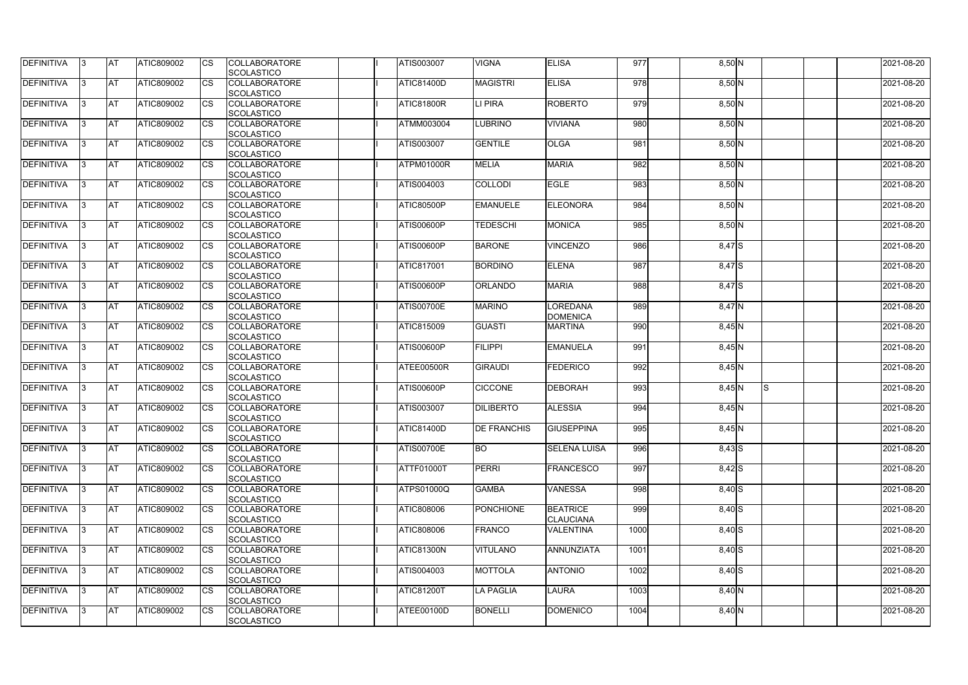| <b>DEFINITIVA</b> | IЗ  | <b>AT</b>  | ATIC809002        | <b>CS</b> | <b>COLLABORATORE</b><br><b>SCOLASTICO</b> | <b>ATIS003007</b> | <b>VIGNA</b>       | <b>ELISA</b>                        | 977  | $8,50$ N   |     | 2021-08-20 |
|-------------------|-----|------------|-------------------|-----------|-------------------------------------------|-------------------|--------------------|-------------------------------------|------|------------|-----|------------|
| <b>DEFINITIVA</b> | R   | <b>AT</b>  | ATIC809002        | <b>CS</b> | <b>COLLABORATORE</b><br><b>SCOLASTICO</b> | <b>ATIC81400D</b> | <b>MAGISTRI</b>    | <b>ELISA</b>                        | 978  | 8,50 N     |     | 2021-08-20 |
| <b>DEFINITIVA</b> | З   | <b>AT</b>  | <b>ATIC809002</b> | CS        | <b>COLLABORATORE</b><br>SCOLASTICO        | <b>ATIC81800R</b> | LI PIRA            | <b>ROBERTO</b>                      | 979  | 8,50 N     |     | 2021-08-20 |
| <b>DEFINITIVA</b> |     | <b>AT</b>  | ATIC809002        | <b>CS</b> | <b>COLLABORATORE</b><br>SCOLASTICO        | ATMM003004        | <b>LUBRINO</b>     | <b>VIVIANA</b>                      | 980  | 8,50 N     |     | 2021-08-20 |
| <b>DEFINITIVA</b> |     | <b>AT</b>  | ATIC809002        | CS        | <b>COLLABORATORE</b><br>SCOLASTICO        | ATIS003007        | <b>GENTILE</b>     | <b>OLGA</b>                         | 981  | 8,50 N     |     | 2021-08-20 |
| <b>DEFINITIVA</b> |     | <b>IAT</b> | ATIC809002        | <b>CS</b> | <b>COLLABORATORE</b><br><b>SCOLASTICO</b> | <b>ATPM01000R</b> | <b>MELIA</b>       | <b>MARIA</b>                        | 982  | $8,50$ N   |     | 2021-08-20 |
| DEFINITIVA        |     | <b>AT</b>  | ATIC809002        | <b>CS</b> | <b>COLLABORATORE</b><br>SCOLASTICO        | ATIS004003        | <b>COLLODI</b>     | <b>EGLE</b>                         | 983  | $8,50$ N   |     | 2021-08-20 |
| <b>DEFINITIVA</b> | ß   | <b>AT</b>  | ATIC809002        | CS        | <b>COLLABORATORE</b><br><b>SCOLASTICO</b> | ATIC80500P        | <b>EMANUELE</b>    | <b>ELEONORA</b>                     | 984  | $8,50$ N   |     | 2021-08-20 |
| <b>DEFINITIVA</b> | R   | <b>AT</b>  | ATIC809002        | <b>CS</b> | <b>COLLABORATORE</b><br><b>SCOLASTICO</b> | ATIS00600P        | <b>TEDESCHI</b>    | <b>MONICA</b>                       | 985  | 8,50 N     |     | 2021-08-20 |
| <b>DEFINITIVA</b> |     | <b>AT</b>  | ATIC809002        | <b>CS</b> | <b>COLLABORATORE</b><br><b>SCOLASTICO</b> | <b>ATIS00600P</b> | <b>BARONE</b>      | <b>VINCENZO</b>                     | 986  | $8,47$ S   |     | 2021-08-20 |
| <b>DEFINITIVA</b> |     | <b>AT</b>  | ATIC809002        | <b>CS</b> | <b>COLLABORATORE</b><br>SCOLASTICO        | <b>ATIC817001</b> | <b>BORDINO</b>     | <b>ELENA</b>                        | 987  | 8,47 S     |     | 2021-08-20 |
| <b>DEFINITIVA</b> | R   | <b>AT</b>  | ATIC809002        | <b>CS</b> | <b>COLLABORATORE</b><br>SCOLASTICO        | <b>ATIS00600P</b> | <b>ORLANDO</b>     | <b>MARIA</b>                        | 988  | 8,47 S     |     | 2021-08-20 |
| DEFINITIVA        |     | <b>AT</b>  | ATIC809002        | <b>CS</b> | <b>COLLABORATORE</b><br>SCOLASTICO        | <b>ATIS00700E</b> | <b>MARINO</b>      | LOREDANA<br><b>DOMENICA</b>         | 989  | 8,47 N     |     | 2021-08-20 |
| DEFINITIVA        | з   | <b>AT</b>  | ATIC809002        | CS        | <b>COLLABORATORE</b><br><b>SCOLASTICO</b> | <b>ATIC815009</b> | <b>GUASTI</b>      | <b>MARTINA</b>                      | 990  | 8,45 N     |     | 2021-08-20 |
| <b>DEFINITIVA</b> | R   | <b>AT</b>  | ATIC809002        | CS        | <b>COLLABORATORE</b><br><b>SCOLASTICO</b> | <b>ATIS00600P</b> | <b>FILIPPI</b>     | <b>EMANUELA</b>                     | 991  | 8,45 N     |     | 2021-08-20 |
| <b>DEFINITIVA</b> |     | <b>AT</b>  | ATIC809002        | <b>CS</b> | <b>COLLABORATORE</b><br><b>SCOLASTICO</b> | ATEE00500R        | <b>GIRAUDI</b>     | <b>FEDERICO</b>                     | 992  | 8,45 N     |     | 2021-08-20 |
| <b>DEFINITIVA</b> |     | <b>AT</b>  | ATIC809002        | CS        | <b>COLLABORATORE</b><br><b>SCOLASTICO</b> | <b>ATIS00600P</b> | <b>CICCONE</b>     | DEBORAH                             | 993  | $8,45$ N   | IS. | 2021-08-20 |
| <b>DEFINITIVA</b> |     | <b>AT</b>  | ATIC809002        | CS        | <b>COLLABORATORE</b><br>SCOLASTICO        | <b>ATIS003007</b> | <b>DILIBERTO</b>   | <b>ALESSIA</b>                      | 994  | 8,45 N     |     | 2021-08-20 |
| <b>DEFINITIVA</b> | 13. | <b>AT</b>  | ATIC809002        | <b>CS</b> | <b>COLLABORATORE</b><br>SCOLASTICO        | <b>ATIC81400D</b> | <b>DE FRANCHIS</b> | GIUSEPPINA                          | 995  | 8,45 N     |     | 2021-08-20 |
| DEFINITIVA        | 3   | <b>AT</b>  | ATIC809002        | <b>CS</b> | <b>COLLABORATORE</b><br><b>SCOLASTICO</b> | <b>ATIS00700E</b> | <b>BO</b>          | <b>SELENA LUISA</b>                 | 996  | $8,43$ $S$ |     | 2021-08-20 |
| <b>DEFINITIVA</b> | IЗ  | <b>AT</b>  | ATIC809002        | <b>CS</b> | <b>COLLABORATORE</b><br>SCOLASTICO        | <b>ATTF01000T</b> | <b>PERRI</b>       | <b>FRANCESCO</b>                    | 997  | $8,42$ $S$ |     | 2021-08-20 |
| <b>DEFINITIVA</b> |     | <b>AT</b>  | ATIC809002        | <b>CS</b> | <b>COLLABORATORE</b><br><b>SCOLASTICO</b> | <b>ATPS01000Q</b> | <b>GAMBA</b>       | <b>VANESSA</b>                      | 998  | $8,40$ $S$ |     | 2021-08-20 |
| <b>DEFINITIVA</b> |     | <b>AT</b>  | ATIC809002        | <b>CS</b> | <b>COLLABORATORE</b><br><b>SCOLASTICO</b> | ATIC808006        | <b>PONCHIONE</b>   | <b>BEATRICE</b><br><b>CLAUCIANA</b> | 999  | $8,40$ S   |     | 2021-08-20 |
| <b>DEFINITIVA</b> | ß.  | <b>AT</b>  | ATIC809002        | <b>CS</b> | <b>COLLABORATORE</b><br><b>SCOLASTICO</b> | ATIC808006        | FRANCO             | <b>VALENTINA</b>                    | 1000 | $8,40$ S   |     | 2021-08-20 |
| <b>DEFINITIVA</b> | 3   | <b>AT</b>  | ATIC809002        | <b>CS</b> | <b>COLLABORATORE</b><br>SCOLASTICO        | <b>ATIC81300N</b> | <b>VITULANO</b>    | ANNUNZIATA                          | 1001 | $8,40$ S   |     | 2021-08-20 |
| DEFINITIVA        | ß.  | <b>AT</b>  | ATIC809002        | <b>CS</b> | <b>COLLABORATORE</b><br><b>SCOLASTICO</b> | ATIS004003        | <b>MOTTOLA</b>     | <b>ANTONIO</b>                      | 1002 | $8,40$ S   |     | 2021-08-20 |
| DEFINITIVA        | IЗ  | <b>AT</b>  | ATIC809002        | <b>CS</b> | <b>COLLABORATORE</b><br><b>SCOLASTICO</b> | <b>ATIC81200T</b> | <b>LA PAGLIA</b>   | <b>LAURA</b>                        | 1003 | $8,40$ N   |     | 2021-08-20 |
| <b>DEFINITIVA</b> | l3  | <b>AT</b>  | ATIC809002        | <b>CS</b> | <b>COLLABORATORE</b><br>SCOLASTICO        | ATEE00100D        | <b>BONELLI</b>     | <b>DOMENICO</b>                     | 1004 | $8,40$ N   |     | 2021-08-20 |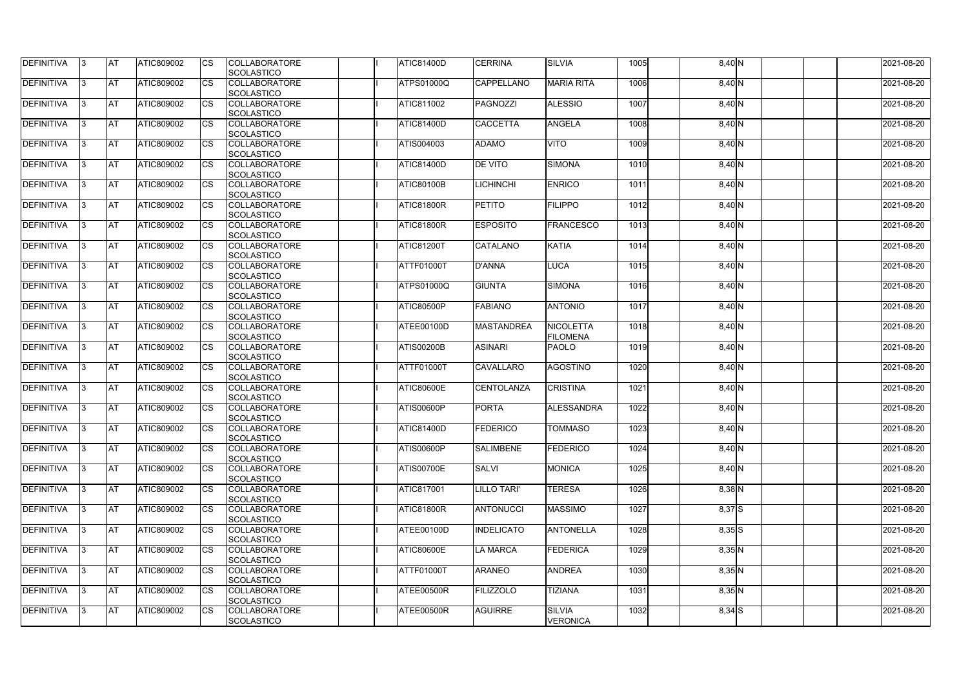| <b>DEFINITIVA</b> | 13  | <b>AT</b> | ATIC809002        | Ics                    | <b>COLLABORATORE</b><br><b>SCOLASTICO</b> | <b>ATIC81400D</b> | <b>CERRINA</b>     | <b>SILVIA</b>                       | 1005 | 8,40 N     | 2021-08-20 |
|-------------------|-----|-----------|-------------------|------------------------|-------------------------------------------|-------------------|--------------------|-------------------------------------|------|------------|------------|
| <b>DEFINITIVA</b> |     | <b>AT</b> | ATIC809002        | Ics                    | <b>COLLABORATORE</b><br><b>SCOLASTICO</b> | <b>ATPS01000Q</b> | <b>CAPPELLANO</b>  | <b>MARIA RITA</b>                   | 1006 | $8,40$ N   | 2021-08-20 |
| DEFINITIVA        |     | <b>AT</b> | ATIC809002        | Ics                    | <b>COLLABORATORE</b><br><b>SCOLASTICO</b> | ATIC811002        | PAGNOZZI           | <b>ALESSIO</b>                      | 1007 | 8,40 N     | 2021-08-20 |
| DEFINITIVA        | IЗ  | <b>AT</b> | ATIC809002        | Ics                    | <b>COLLABORATORE</b><br><b>SCOLASTICO</b> | <b>ATIC81400D</b> | <b>CACCETTA</b>    | <b>ANGELA</b>                       | 1008 | 8,40 N     | 2021-08-20 |
| DEFINITIVA        |     | <b>AT</b> | ATIC809002        | <b>CS</b>              | <b>COLLABORATORE</b><br><b>SCOLASTICO</b> | ATIS004003        | <b>ADAMO</b>       | <b>VITO</b>                         | 1009 | $8,40$ N   | 2021-08-20 |
| <b>DEFINITIVA</b> |     | <b>AT</b> | ATIC809002        | Ics                    | <b>COLLABORATORE</b><br><b>SCOLASTICO</b> | <b>ATIC81400D</b> | <b>DE VITO</b>     | <b>SIMONA</b>                       | 1010 | $8,40$ N   | 2021-08-20 |
| DEFINITIVA        |     | <b>AT</b> | <b>ATIC809002</b> | Ics                    | <b>COLLABORATORE</b><br><b>SCOLASTICO</b> | <b>ATIC80100B</b> | <b>ICHINCHI</b>    | <b>ENRICO</b>                       | 1011 | 8,40 N     | 2021-08-20 |
| <b>DEFINITIVA</b> |     | AT        | ATIC809002        | <b>CS</b>              | <b>COLLABORATORE</b><br><b>SCOLASTICO</b> | ATIC81800R        | <b>PETITO</b>      | <b>FILIPPO</b>                      | 1012 | $8,40$ N   | 2021-08-20 |
| DEFINITIVA        |     | <b>AT</b> | ATIC809002        | <b>CS</b>              | <b>COLLABORATORE</b><br><b>SCOLASTICO</b> | <b>ATIC81800R</b> | <b>ESPOSITO</b>    | <b>FRANCESCO</b>                    | 1013 | 8,40 N     | 2021-08-20 |
| DEFINITIVA        |     | <b>AT</b> | ATIC809002        | $\overline{\text{cs}}$ | <b>COLLABORATORE</b><br>SCOLASTICO        | <b>ATIC81200T</b> | <b>CATALANO</b>    | <b>KATIA</b>                        | 1014 | 8,40 N     | 2021-08-20 |
| <b>DEFINITIVA</b> |     | <b>AT</b> | ATIC809002        | <b>CS</b>              | <b>COLLABORATORE</b><br><b>SCOLASTICO</b> | ATTF01000T        | D'ANNA             | <b>LUCA</b>                         | 1015 | 8,40 N     | 2021-08-20 |
| <b>DEFINITIVA</b> |     | <b>AT</b> | ATIC809002        | <b>CS</b>              | <b>COLLABORATORE</b><br><b>SCOLASTICO</b> | ATPS01000Q        | <b>GIUNTA</b>      | <b>SIMONA</b>                       | 1016 | 8,40 N     | 2021-08-20 |
| <b>DEFINITIVA</b> |     | <b>AT</b> | ATIC809002        |                        | <b>COLLABORATORE</b><br><b>SCOLASTICO</b> | ATIC80500P        | <b>FABIANO</b>     | <b>ANTONIO</b>                      | 1017 | 8,40 N     | 2021-08-20 |
| <b>DEFINITIVA</b> |     | <b>AT</b> | ATIC809002        | Ics                    | <b>COLLABORATORE</b><br><b>SCOLASTICO</b> | ATEE00100D        | <b>MASTANDREA</b>  | <b>NICOLETTA</b><br><b>FILOMENA</b> | 1018 | 8,40 N     | 2021-08-20 |
| DEFINITIVA        |     | <b>AT</b> | ATIC809002        | <b>CS</b>              | <b>COLLABORATORE</b><br><b>SCOLASTICO</b> | <b>ATIS00200B</b> | <b>ASINARI</b>     | <b>PAOLO</b>                        | 1019 | $8,40$ N   | 2021-08-20 |
| DEFINITIVA        |     | <b>AT</b> | ATIC809002        | Ics                    | <b>COLLABORATORE</b><br><b>SCOLASTICO</b> | ATTF01000T        | <b>CAVALLARO</b>   | AGOSTINO                            | 1020 | 8,40 N     | 2021-08-20 |
| <b>DEFINITIVA</b> |     | <b>AT</b> | ATIC809002        | <b>CS</b>              | <b>COLLABORATORE</b><br><b>SCOLASTICO</b> | <b>ATIC80600E</b> | CENTOLANZA         | <b>CRISTINA</b>                     | 1021 | 8,40 N     | 2021-08-20 |
| DEFINITIVA        |     | <b>AT</b> | ATIC809002        | <b>CS</b>              | <b>COLLABORATORE</b><br>SCOLASTICO        | <b>ATIS00600P</b> | <b>PORTA</b>       | ALESSANDRA                          | 1022 | 8,40 N     | 2021-08-20 |
| <b>DEFINITIVA</b> | 13. | <b>AT</b> | ATIC809002        |                        | <b>COLLABORATORE</b><br><b>SCOLASTICO</b> | <b>ATIC81400D</b> | <b>FEDERICO</b>    | <b>TOMMASO</b>                      | 1023 | $8,40$ N   | 2021-08-20 |
| DEFINITIVA        | IЗ  | <b>AT</b> | <b>ATIC809002</b> | Ics                    | <b>COLLABORATORE</b><br><b>SCOLASTICO</b> | <b>ATIS00600P</b> | <b>SALIMBENE</b>   | <b>FEDERICO</b>                     | 1024 | $8,40$ N   | 2021-08-20 |
| <b>DEFINITIVA</b> | I3  | <b>AT</b> | ATIC809002        | Ics                    | <b>COLLABORATORE</b><br><b>SCOLASTICO</b> | ATIS00700E        | <b>SALVI</b>       | <b>MONICA</b>                       | 1025 | $8,40$ N   | 2021-08-20 |
| DEFINITIVA        |     | <b>AT</b> | ATIC809002        | Ics                    | <b>COLLABORATORE</b><br><b>SCOLASTICO</b> | ATIC817001        | <b>LILLO TARI'</b> | <b>TERESA</b>                       | 1026 | $8,38$ N   | 2021-08-20 |
| DEFINITIVA        |     | <b>AT</b> | ATIC809002        | <b>CS</b>              | <b>COLLABORATORE</b><br><b>SCOLASTICO</b> | <b>ATIC81800R</b> | <b>ANTONUCCI</b>   | <b>MASSIMO</b>                      | 1027 | 8,37 S     | 2021-08-20 |
| <b>DEFINITIVA</b> | ıз  | <b>AT</b> | ATIC809002        | Ics                    | <b>COLLABORATORE</b><br><b>SCOLASTICO</b> | ATEE00100D        | <b>INDELICATO</b>  | <b>ANTONELLA</b>                    | 1028 | $8,35$ $S$ | 2021-08-20 |
| <b>DEFINITIVA</b> |     | AT        | ATIC809002        | Ics                    | <b>COLLABORATORE</b><br><b>SCOLASTICO</b> | <b>ATIC80600E</b> | <b>LA MARCA</b>    | FEDERICA                            | 1029 | $8,35$ N   | 2021-08-20 |
| DEFINITIVA        | ıз  | <b>AT</b> | ATIC809002        | Ics                    | <b>COLLABORATORE</b><br><b>SCOLASTICO</b> | ATTF01000T        | <b>ARANEO</b>      | <b>ANDREA</b>                       | 1030 | $8,35$ N   | 2021-08-20 |
| <b>DEFINITIVA</b> | 13  | <b>AT</b> | <b>ATIC809002</b> | <b>ICS</b>             | <b>COLLABORATORE</b><br><b>SCOLASTICO</b> | ATEE00500R        | <b>FILIZZOLO</b>   | <b>TIZIANA</b>                      | 1031 | $8,35$ N   | 2021-08-20 |
| <b>DEFINITIVA</b> |     | <b>AT</b> | ATIC809002        | Ics                    | <b>COLLABORATORE</b><br>SCOLASTICO        | ATEE00500R        | <b>AGUIRRE</b>     | <b>SILVIA</b><br><b>VERONICA</b>    | 1032 | $8,34$ S   | 2021-08-20 |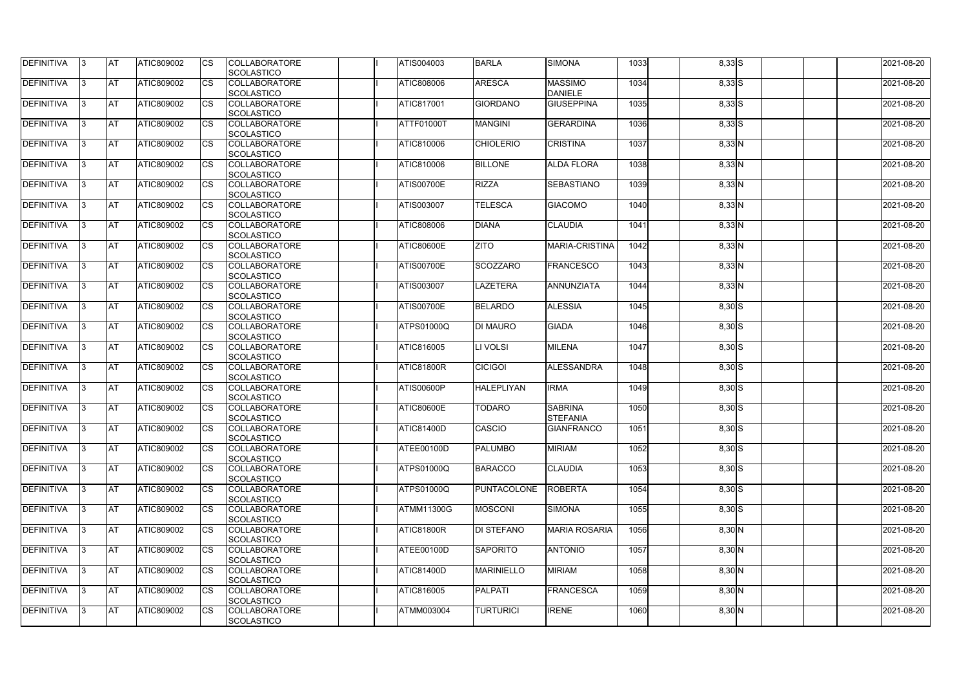| DEFINITIVA        | 13. | <b>JAT</b> | ATIC809002        | Ics        | <b>COLLABORATORE</b> | ATIS004003        | <b>BARLA</b>       | <b>SIMONA</b>        | 1033 | $8,33$ $S$ | 2021-08-20 |
|-------------------|-----|------------|-------------------|------------|----------------------|-------------------|--------------------|----------------------|------|------------|------------|
|                   |     |            |                   |            | <b>SCOLASTICO</b>    |                   |                    |                      |      |            |            |
| <b>DEFINITIVA</b> | l3  | <b>AT</b>  | ATIC809002        | Ics        | <b>COLLABORATORE</b> | ATIC808006        | <b>ARESCA</b>      | <b>MASSIMO</b>       | 1034 | $8,33$ $S$ | 2021-08-20 |
|                   |     |            |                   |            | <b>SCOLASTICO</b>    |                   |                    | <b>DANIELE</b>       |      |            |            |
| DEFINITIVA        | l3  | <b>AT</b>  | ATIC809002        | <b>CS</b>  | <b>COLLABORATORE</b> | <b>ATIC817001</b> | <b>GIORDANO</b>    | <b>GIUSEPPINA</b>    | 1035 | $8,33$ $S$ | 2021-08-20 |
|                   |     |            |                   |            | <b>SCOLASTICO</b>    |                   |                    |                      |      |            |            |
| DEFINITIVA        |     | <b>AT</b>  | ATIC809002        | Ics        | <b>COLLABORATORE</b> | ATTF01000T        | <b>MANGINI</b>     | <b>GERARDINA</b>     | 1036 | $8,33$ $S$ | 2021-08-20 |
|                   |     |            |                   |            | <b>SCOLASTICO</b>    |                   |                    |                      |      |            |            |
| DEFINITIVA        |     | <b>AT</b>  | <b>ATIC809002</b> | <b>CS</b>  | <b>COLLABORATORE</b> | ATIC810006        | <b>CHIOLERIO</b>   | <b>CRISTINA</b>      | 1037 | $8,33$ N   | 2021-08-20 |
|                   |     |            |                   |            | <b>SCOLASTICO</b>    |                   |                    |                      |      |            |            |
| <b>DEFINITIVA</b> | ıз  | AT         | <b>ATIC809002</b> | Ics        | <b>COLLABORATORE</b> | <b>ATIC810006</b> | <b>BILLONE</b>     | <b>ALDA FLORA</b>    | 1038 |            | 2021-08-20 |
|                   |     |            |                   |            |                      |                   |                    |                      |      | $8,33$ N   |            |
|                   |     |            |                   |            | <b>SCOLASTICO</b>    |                   |                    |                      |      |            |            |
| DEFINITIVA        |     | <b>AT</b>  | ATIC809002        | Ics        | <b>COLLABORATORE</b> | <b>ATIS00700E</b> | <b>RIZZA</b>       | <b>SEBASTIANO</b>    | 1039 | $8,33$ N   | 2021-08-20 |
|                   |     |            |                   |            | <b>SCOLASTICO</b>    |                   |                    |                      |      |            |            |
| <b>DEFINITIVA</b> | ıз  | <b>AT</b>  | ATIC809002        | Ics        | <b>COLLABORATORE</b> | ATIS003007        | <b>TELESCA</b>     | <b>GIACOMO</b>       | 1040 | $8,33$ N   | 2021-08-20 |
|                   |     |            |                   |            | <b>SCOLASTICO</b>    |                   |                    |                      |      |            |            |
| DEFINITIVA        | I3  | <b>JAT</b> | ATIC809002        | <b>CS</b>  | <b>COLLABORATORE</b> | ATIC808006        | <b>DIANA</b>       | <b>CLAUDIA</b>       | 1041 | 8,33 N     | 2021-08-20 |
|                   |     |            |                   |            | <b>SCOLASTICO</b>    |                   |                    |                      |      |            |            |
| <b>DEFINITIVA</b> |     | <b>AT</b>  | ATIC809002        | <b>CS</b>  | <b>COLLABORATORE</b> | <b>ATIC80600E</b> | <b>ZITO</b>        | MARIA-CRISTINA       | 1042 | 8,33 N     | 2021-08-20 |
|                   |     |            |                   |            | <b>SCOLASTICO</b>    |                   |                    |                      |      |            |            |
| <b>DEFINITIVA</b> |     | AT         | ATIC809002        | <b>CS</b>  | <b>COLLABORATORE</b> | <b>ATIS00700E</b> | <b>SCOZZARO</b>    | <b>FRANCESCO</b>     | 1043 | $8,33$ N   | 2021-08-20 |
|                   |     |            |                   |            | <b>SCOLASTICO</b>    |                   |                    |                      |      |            |            |
| DEFINITIVA        | I3  | <b>AT</b>  | ATIC809002        |            | <b>COLLABORATORE</b> | ATIS003007        | <b>LAZETERA</b>    | ANNUNZIATA           | 1044 | $8,33$ N   | 2021-08-20 |
|                   |     |            |                   |            |                      |                   |                    |                      |      |            |            |
|                   |     |            |                   |            | <b>SCOLASTICO</b>    |                   |                    |                      |      |            |            |
| <b>DEFINITIVA</b> |     | <b>JAT</b> | ATIC809002        |            | <b>COLLABORATORE</b> | <b>ATIS00700E</b> | <b>BELARDO</b>     | <b>ALESSIA</b>       | 1045 | $8,30$ S   | 2021-08-20 |
|                   |     |            |                   |            | <b>SCOLASTICO</b>    |                   |                    |                      |      |            |            |
| <b>DEFINITIVA</b> |     | <b>AT</b>  | ATIC809002        | Ics        | <b>COLLABORATORE</b> | <b>ATPS01000Q</b> | <b>DI MAURO</b>    | <b>GIADA</b>         | 1046 | $8,30$ S   | 2021-08-20 |
|                   |     |            |                   |            | <b>SCOLASTICO</b>    |                   |                    |                      |      |            |            |
| DEFINITIVA        | l3  | <b>AT</b>  | ATIC809002        | Ics        | <b>COLLABORATORE</b> | ATIC816005        | LI VOLSI           | <b>MILENA</b>        | 1047 | $8,30$ S   | 2021-08-20 |
|                   |     |            |                   |            | <b>SCOLASTICO</b>    |                   |                    |                      |      |            |            |
| DEFINITIVA        |     | <b>AT</b>  | ATIC809002        | <b>CS</b>  | <b>COLLABORATORE</b> | <b>ATIC81800R</b> | <b>CICIGOI</b>     | ALESSANDRA           | 1048 | $8,30$ S   | 2021-08-20 |
|                   |     |            |                   |            | <b>SCOLASTICO</b>    |                   |                    |                      |      |            |            |
| DEFINITIVA        |     | <b>AT</b>  | ATIC809002        | <b>CS</b>  | <b>COLLABORATORE</b> | <b>ATIS00600P</b> | <b>HALEPLIYAN</b>  | <b>IRMA</b>          | 1049 | $8,30$ S   | 2021-08-20 |
|                   |     |            |                   |            | <b>SCOLASTICO</b>    |                   |                    |                      |      |            |            |
| <b>DEFINITIVA</b> |     | <b>AT</b>  | ATIC809002        | <b>CS</b>  | <b>COLLABORATORE</b> | <b>ATIC80600E</b> | <b>TODARO</b>      | <b>SABRINA</b>       | 1050 | $8,30$ S   | 2021-08-20 |
|                   |     |            |                   |            | <b>SCOLASTICO</b>    |                   |                    | <b>STEFANIA</b>      |      |            |            |
|                   |     | <b>AT</b>  |                   |            | <b>COLLABORATORE</b> | <b>ATIC81400D</b> | <b>CASCIO</b>      |                      |      |            |            |
| <b>DEFINITIVA</b> | 13. |            | ATIC809002        |            |                      |                   |                    | <b>GIANFRANCO</b>    | 1051 | $8,30$ S   | 2021-08-20 |
|                   |     |            |                   |            | <b>SCOLASTICO</b>    |                   |                    |                      |      |            |            |
| <b>DEFINITIVA</b> | IЗ  | AT         | <b>ATIC809002</b> | Ics        | <b>COLLABORATORE</b> | ATEE00100D        | <b>PALUMBO</b>     | <b>MIRIAM</b>        | 1052 | $8,30$ S   | 2021-08-20 |
|                   |     |            |                   |            | <b>SCOLASTICO</b>    |                   |                    |                      |      |            |            |
| <b>DEFINITIVA</b> | l3  | <b>AT</b>  | ATIC809002        | Ics        | <b>COLLABORATORE</b> | <b>ATPS01000Q</b> | <b>BARACCO</b>     | <b>CLAUDIA</b>       | 1053 | $8,30$ S   | 2021-08-20 |
|                   |     |            |                   |            | <b>SCOLASTICO</b>    |                   |                    |                      |      |            |            |
| DEFINITIVA        | I3  | <b>AT</b>  | ATIC809002        | Ics        | <b>COLLABORATORE</b> | <b>ATPS01000Q</b> | <b>PUNTACOLONE</b> | <b>ROBERTA</b>       | 1054 | $8,30$ S   | 2021-08-20 |
|                   |     |            |                   |            | <b>SCOLASTICO</b>    |                   |                    |                      |      |            |            |
| <b>DEFINITIVA</b> |     | <b>AT</b>  | ATIC809002        | Ics        | <b>COLLABORATORE</b> | <b>ATMM11300G</b> | <b>MOSCONI</b>     | SIMONA               | 1055 | $8,30$ S   | 2021-08-20 |
|                   |     |            |                   |            | <b>SCOLASTICO</b>    |                   |                    |                      |      |            |            |
| <b>DEFINITIVA</b> |     | <b>AT</b>  | ATIC809002        | Ics        | <b>COLLABORATORE</b> | <b>ATIC81800R</b> | <b>DI STEFANO</b>  | <b>MARIA ROSARIA</b> | 1056 | $8,30$ N   | 2021-08-20 |
|                   |     |            |                   |            | <b>SCOLASTICO</b>    |                   |                    |                      |      |            |            |
| <b>DEFINITIVA</b> | ıз  | <b>AT</b>  | <b>ATIC809002</b> |            | <b>COLLABORATORE</b> | ATEE00100D        | <b>SAPORITO</b>    | <b>ANTONIO</b>       | 1057 | $8,30$ N   | 2021-08-20 |
|                   |     |            |                   |            |                      |                   |                    |                      |      |            |            |
|                   |     |            |                   |            | <b>SCOLASTICO</b>    |                   |                    |                      |      |            |            |
| <b>DEFINITIVA</b> | ıз  | <b>AT</b>  | ATIC809002        | Ics        | <b>COLLABORATORE</b> | <b>ATIC81400D</b> | <b>MARINIELLO</b>  | <b>MIRIAM</b>        | 1058 | $8,30$ N   | 2021-08-20 |
|                   |     |            |                   |            | <b>SCOLASTICO</b>    |                   |                    |                      |      |            |            |
| <b>DEFINITIVA</b> | ıз  | <b>AT</b>  | ATIC809002        | <b>ICS</b> | <b>COLLABORATORE</b> | ATIC816005        | PALPATI            | <b>FRANCESCA</b>     | 1059 | $8,30\,N$  | 2021-08-20 |
|                   |     |            |                   |            | <b>SCOLASTICO</b>    |                   |                    |                      |      |            |            |
| <b>DEFINITIVA</b> | I3  | <b>AT</b>  | ATIC809002        | Ics        | <b>COLLABORATORE</b> | ATMM003004        | <b>TURTURICI</b>   | <b>IRENE</b>         | 1060 | $8,30$ N   | 2021-08-20 |
|                   |     |            |                   |            | SCOLASTICO           |                   |                    |                      |      |            |            |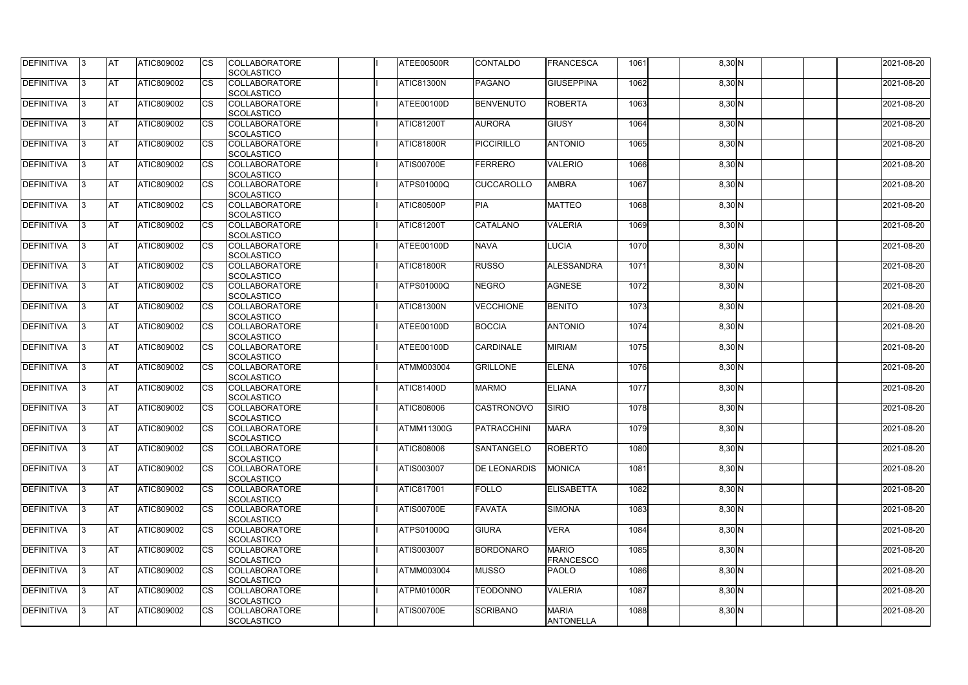| DEFINITIVA        | 13. | <b>JAT</b> | ATIC809002        | Ics        | <b>COLLABORATORE</b><br><b>SCOLASTICO</b>                      | ATEE00500R        | <b>CONTALDO</b>     | <b>FRANCESCA</b>                 | 1061 | 8,30 N   | 2021-08-20 |
|-------------------|-----|------------|-------------------|------------|----------------------------------------------------------------|-------------------|---------------------|----------------------------------|------|----------|------------|
| <b>DEFINITIVA</b> | l3  | <b>AT</b>  | ATIC809002        | Ics        | <b>COLLABORATORE</b>                                           | ATIC81300N        | <b>PAGANO</b>       | <b>GIUSEPPINA</b>                | 1062 | 8,30 N   | 2021-08-20 |
| DEFINITIVA        | l3  | <b>AT</b>  | ATIC809002        | <b>CS</b>  | <b>SCOLASTICO</b><br><b>COLLABORATORE</b><br><b>SCOLASTICO</b> | ATEE00100D        | <b>BENVENUTO</b>    | <b>ROBERTA</b>                   | 1063 | 8,30 N   | 2021-08-20 |
| DEFINITIVA        |     | <b>AT</b>  | ATIC809002        | Ics        | <b>COLLABORATORE</b><br><b>SCOLASTICO</b>                      | <b>ATIC81200T</b> | <b>AURORA</b>       | <b>GIUSY</b>                     | 1064 | 8,30 N   | 2021-08-20 |
| DEFINITIVA        |     | <b>AT</b>  | <b>ATIC809002</b> | <b>CS</b>  | <b>COLLABORATORE</b><br><b>SCOLASTICO</b>                      | <b>ATIC81800R</b> | <b>PICCIRILLO</b>   | <b>ANTONIO</b>                   | 1065 | 8,30 N   | 2021-08-20 |
| <b>DEFINITIVA</b> |     | AT         | <b>ATIC809002</b> | Ics        | <b>COLLABORATORE</b><br><b>SCOLASTICO</b>                      | <b>ATIS00700E</b> | <b>FERRERO</b>      | <b>VALERIO</b>                   | 1066 | $8,30$ N | 2021-08-20 |
| DEFINITIVA        |     | <b>AT</b>  | ATIC809002        | Ics        | <b>COLLABORATORE</b><br><b>SCOLASTICO</b>                      | <b>ATPS01000Q</b> | <b>CUCCAROLLO</b>   | <b>AMBRA</b>                     | 1067 | $8,30$ N | 2021-08-20 |
| <b>DEFINITIVA</b> | ıз  | <b>AT</b>  | ATIC809002        | Ics        | <b>COLLABORATORE</b><br><b>SCOLASTICO</b>                      | ATIC80500P        | <b>PIA</b>          | <b>MATTEO</b>                    | 1068 | $8,30$ N | 2021-08-20 |
| DEFINITIVA        | I3  | <b>AT</b>  | ATIC809002        | <b>CS</b>  | <b>COLLABORATORE</b><br><b>SCOLASTICO</b>                      | <b>ATIC81200T</b> | <b>CATALANO</b>     | <b>VALERIA</b>                   | 1069 | $8,30$ N | 2021-08-20 |
| <b>DEFINITIVA</b> |     | <b>AT</b>  | ATIC809002        | <b>CS</b>  | <b>COLLABORATORE</b><br><b>SCOLASTICO</b>                      | ATEE00100D        | <b>NAVA</b>         | <b>LUCIA</b>                     | 1070 | 8,30 N   | 2021-08-20 |
| <b>DEFINITIVA</b> |     | AT         | ATIC809002        | <b>CS</b>  | <b>COLLABORATORE</b><br><b>SCOLASTICO</b>                      | <b>ATIC81800R</b> | <b>RUSSO</b>        | ALESSANDRA                       | 1071 | 8,30 N   | 2021-08-20 |
| DEFINITIVA        | I3  | <b>AT</b>  | ATIC809002        |            | <b>COLLABORATORE</b><br><b>SCOLASTICO</b>                      | ATPS01000Q        | <b>NEGRO</b>        | <b>AGNESE</b>                    | 1072 | $8,30$ N | 2021-08-20 |
| <b>DEFINITIVA</b> |     | <b>JAT</b> | ATIC809002        |            | <b>COLLABORATORE</b><br><b>SCOLASTICO</b>                      | <b>ATIC81300N</b> | <b>VECCHIONE</b>    | <b>BENITO</b>                    | 1073 | $8,30$ N | 2021-08-20 |
| <b>DEFINITIVA</b> |     | <b>AT</b>  | ATIC809002        | Ics        | <b>COLLABORATORE</b><br><b>SCOLASTICO</b>                      | ATEE00100D        | <b>BOCCIA</b>       | <b>ANTONIO</b>                   | 1074 | $8,30$ N | 2021-08-20 |
| DEFINITIVA        | l3  | <b>AT</b>  | ATIC809002        | Ics        | <b>COLLABORATORE</b><br><b>SCOLASTICO</b>                      | ATEE00100D        | <b>CARDINALE</b>    | <b>MIRIAM</b>                    | 1075 | 8,30 N   | 2021-08-20 |
| DEFINITIVA        |     | <b>AT</b>  | ATIC809002        | <b>CS</b>  | <b>COLLABORATORE</b><br><b>SCOLASTICO</b>                      | <b>ATMM003004</b> | <b>GRILLONE</b>     | <b>ELENA</b>                     | 1076 | 8,30 N   | 2021-08-20 |
| DEFINITIVA        |     | <b>AT</b>  | ATIC809002        | <b>CS</b>  | <b>COLLABORATORE</b><br><b>SCOLASTICO</b>                      | <b>ATIC81400D</b> | <b>MARMO</b>        | <b>ELIANA</b>                    | 1077 | $8,30$ N | 2021-08-20 |
| <b>DEFINITIVA</b> |     | <b>AT</b>  | ATIC809002        | <b>CS</b>  | <b>COLLABORATORE</b><br><b>SCOLASTICO</b>                      | ATIC808006        | <b>CASTRONOVO</b>   | SIRIO                            | 1078 | 8,30 N   | 2021-08-20 |
| <b>DEFINITIVA</b> | 13. | <b>AT</b>  | ATIC809002        |            | <b>COLLABORATORE</b><br><b>SCOLASTICO</b>                      | <b>ATMM11300G</b> | PATRACCHINI         | <b>MARA</b>                      | 1079 | $8,30$ N | 2021-08-20 |
| <b>DEFINITIVA</b> | IЗ  | AT         | <b>ATIC809002</b> | Ics        | <b>COLLABORATORE</b><br><b>SCOLASTICO</b>                      | ATIC808006        | <b>SANTANGELO</b>   | <b>ROBERTO</b>                   | 1080 | $8,30$ N | 2021-08-20 |
| <b>DEFINITIVA</b> | l3  | <b>AT</b>  | ATIC809002        | Ics        | <b>COLLABORATORE</b><br><b>SCOLASTICO</b>                      | ATIS003007        | <b>DE LEONARDIS</b> | <b>MONICA</b>                    | 1081 | $8,30$ N | 2021-08-20 |
| DEFINITIVA        | I3  | <b>AT</b>  | ATIC809002        | Ics        | <b>COLLABORATORE</b><br><b>SCOLASTICO</b>                      | ATIC817001        | <b>FOLLO</b>        | <b>ELISABETTA</b>                | 1082 | $8,30$ N | 2021-08-20 |
| <b>DEFINITIVA</b> |     | <b>AT</b>  | ATIC809002        | Ics        | <b>COLLABORATORE</b><br><b>SCOLASTICO</b>                      | <b>ATIS00700E</b> | <b>FAVATA</b>       | <b>SIMONA</b>                    | 1083 | $8,30$ N | 2021-08-20 |
| <b>DEFINITIVA</b> |     | <b>AT</b>  | ATIC809002        | Ics        | <b>COLLABORATORE</b><br><b>SCOLASTICO</b>                      | <b>ATPS01000Q</b> | <b>GIURA</b>        | <b>VERA</b>                      | 1084 | $8,30$ N | 2021-08-20 |
| <b>DEFINITIVA</b> | ıз  | <b>AT</b>  | <b>ATIC809002</b> |            | <b>COLLABORATORE</b><br><b>SCOLASTICO</b>                      | ATIS003007        | <b>BORDONARO</b>    | <b>MARIO</b><br><b>FRANCESCO</b> | 1085 | $8,30$ N | 2021-08-20 |
| <b>DEFINITIVA</b> |     | <b>AT</b>  | ATIC809002        | Ics        | <b>COLLABORATORE</b><br><b>SCOLASTICO</b>                      | ATMM003004        | <b>MUSSO</b>        | <b>PAOLO</b>                     | 1086 | $8,30$ N | 2021-08-20 |
| <b>DEFINITIVA</b> | ıз  | <b>AT</b>  | <b>ATIC809002</b> | <b>ICS</b> | <b>COLLABORATORE</b><br><b>SCOLASTICO</b>                      | ATPM01000R        | <b>TEODONNO</b>     | <b>VALERIA</b>                   | 1087 | $8,30$ N | 2021-08-20 |
| <b>DEFINITIVA</b> | I3  | <b>AT</b>  | ATIC809002        | Ics        | <b>COLLABORATORE</b><br>SCOLASTICO                             | <b>ATIS00700E</b> | <b>SCRIBANO</b>     | <b>MARIA</b><br><b>ANTONELLA</b> | 1088 | $8,30$ N | 2021-08-20 |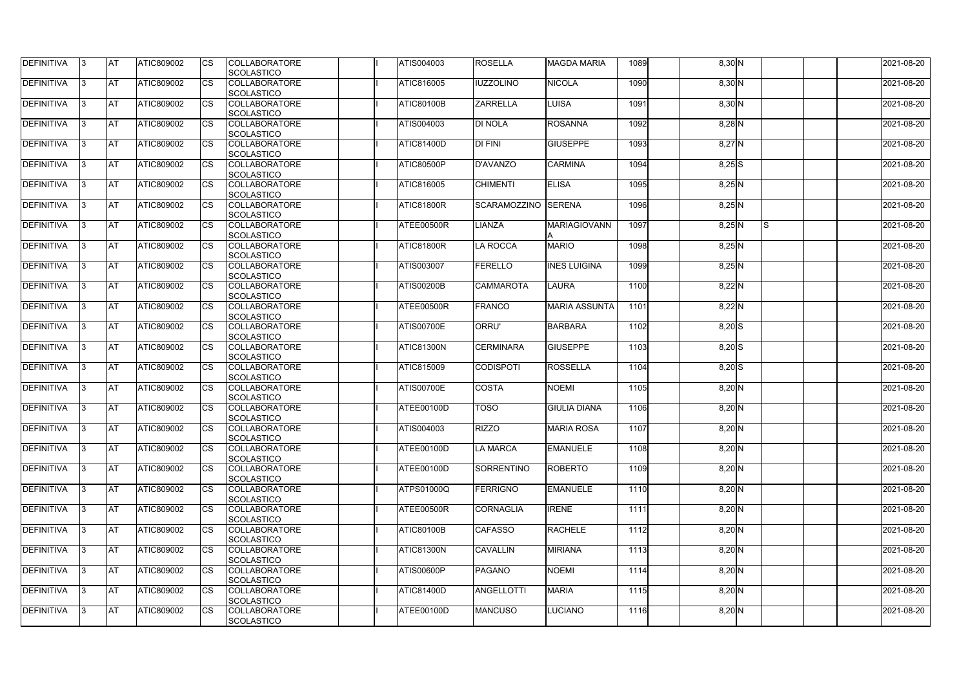| DEFINITIVA        | 13. | <b>JAT</b> | ATIC809002        | Ics        | <b>COLLABORATORE</b> | ATIS004003        | <b>ROSELLA</b>      | <b>MAGDA MARIA</b>   | 1089 | 8,30 N   |     | 2021-08-20 |
|-------------------|-----|------------|-------------------|------------|----------------------|-------------------|---------------------|----------------------|------|----------|-----|------------|
|                   |     |            |                   |            | <b>SCOLASTICO</b>    |                   |                     |                      |      |          |     |            |
| <b>DEFINITIVA</b> | l3  | <b>AT</b>  | ATIC809002        | Ics        | <b>COLLABORATORE</b> | ATIC816005        | <b>IUZZOLINO</b>    | <b>NICOLA</b>        | 1090 | 8,30 N   |     | 2021-08-20 |
|                   |     |            |                   |            | <b>SCOLASTICO</b>    |                   |                     |                      |      |          |     |            |
| DEFINITIVA        | l3  | <b>AT</b>  | ATIC809002        | <b>CS</b>  | <b>COLLABORATORE</b> | <b>ATIC80100B</b> | <b>ZARRELLA</b>     | <b>LUISA</b>         | 1091 | 8,30 N   |     | 2021-08-20 |
|                   |     |            |                   |            | <b>SCOLASTICO</b>    |                   |                     |                      |      |          |     |            |
| DEFINITIVA        |     | <b>AT</b>  | ATIC809002        | Ics        | <b>COLLABORATORE</b> | <b>ATIS004003</b> | <b>DI NOLA</b>      | <b>ROSANNA</b>       | 1092 | $8,28$ N |     | 2021-08-20 |
|                   |     |            |                   |            | <b>SCOLASTICO</b>    |                   |                     |                      |      |          |     |            |
| DEFINITIVA        |     | <b>AT</b>  | <b>ATIC809002</b> | <b>CS</b>  | <b>COLLABORATORE</b> | <b>ATIC81400D</b> | <b>DI FINI</b>      | <b>GIUSEPPE</b>      | 1093 | $8,27$ N |     | 2021-08-20 |
|                   |     |            |                   |            | <b>SCOLASTICO</b>    |                   |                     |                      |      |          |     |            |
| <b>DEFINITIVA</b> |     | AT         | <b>ATIC809002</b> | Ics        | <b>COLLABORATORE</b> | <b>ATIC80500P</b> | <b>D'AVANZO</b>     | <b>CARMINA</b>       | 1094 |          |     | 2021-08-20 |
|                   |     |            |                   |            |                      |                   |                     |                      |      | $8,25$ S |     |            |
|                   |     |            |                   |            | <b>SCOLASTICO</b>    |                   |                     |                      |      |          |     |            |
| DEFINITIVA        |     | <b>AT</b>  | ATIC809002        | Ics        | <b>COLLABORATORE</b> | <b>ATIC816005</b> | <b>CHIMENTI</b>     | <b>ELISA</b>         | 1095 | $8,25$ N |     | 2021-08-20 |
|                   |     |            |                   |            | <b>SCOLASTICO</b>    |                   |                     |                      |      |          |     |            |
| <b>DEFINITIVA</b> | ıз  | <b>AT</b>  | ATIC809002        | Ics        | <b>COLLABORATORE</b> | ATIC81800R        | SCARAMOZZINO SERENA |                      | 1096 | $8,25$ N |     | 2021-08-20 |
|                   |     |            |                   |            | <b>SCOLASTICO</b>    |                   |                     |                      |      |          |     |            |
| DEFINITIVA        | I3  | <b>JAT</b> | ATIC809002        | <b>CS</b>  | <b>COLLABORATORE</b> | ATEE00500R        | LIANZA              | <b>MARIAGIOVANN</b>  | 1097 | $8,25$ N | ls. | 2021-08-20 |
|                   |     |            |                   |            | <b>SCOLASTICO</b>    |                   |                     |                      |      |          |     |            |
| <b>DEFINITIVA</b> |     | <b>AT</b>  | ATIC809002        | <b>CS</b>  | <b>COLLABORATORE</b> | ATIC81800R        | LA ROCCA            | <b>MARIO</b>         | 1098 | $8,25$ N |     | 2021-08-20 |
|                   |     |            |                   |            | <b>SCOLASTICO</b>    |                   |                     |                      |      |          |     |            |
| <b>DEFINITIVA</b> |     | AT         | ATIC809002        | <b>CS</b>  | <b>COLLABORATORE</b> | ATIS003007        | <b>FERELLO</b>      | <b>INES LUIGINA</b>  | 1099 | $8,25$ N |     | 2021-08-20 |
|                   |     |            |                   |            | <b>SCOLASTICO</b>    |                   |                     |                      |      |          |     |            |
| DEFINITIVA        | I3  | <b>AT</b>  | ATIC809002        |            | <b>COLLABORATORE</b> | <b>ATIS00200B</b> | <b>CAMMAROTA</b>    | <b>LAURA</b>         | 1100 | $8,22$ N |     | 2021-08-20 |
|                   |     |            |                   |            |                      |                   |                     |                      |      |          |     |            |
|                   |     |            |                   |            | <b>SCOLASTICO</b>    |                   |                     |                      |      |          |     |            |
| <b>DEFINITIVA</b> |     | <b>JAT</b> | ATIC809002        |            | <b>COLLABORATORE</b> | ATEE00500R        | <b>FRANCO</b>       | <b>MARIA ASSUNTA</b> | 1101 | $8,22$ N |     | 2021-08-20 |
|                   |     |            |                   |            | <b>SCOLASTICO</b>    |                   |                     |                      |      |          |     |            |
| <b>DEFINITIVA</b> |     | <b>AT</b>  | ATIC809002        | Ics        | <b>COLLABORATORE</b> | <b>ATIS00700E</b> | ORRU'               | <b>BARBARA</b>       | 1102 | $8,20$ S |     | 2021-08-20 |
|                   |     |            |                   |            | <b>SCOLASTICO</b>    |                   |                     |                      |      |          |     |            |
| DEFINITIVA        | l3  | <b>AT</b>  | ATIC809002        | Ics        | <b>COLLABORATORE</b> | ATIC81300N        | <b>CERMINARA</b>    | <b>GIUSEPPE</b>      | 1103 | $8,20$ S |     | 2021-08-20 |
|                   |     |            |                   |            | <b>SCOLASTICO</b>    |                   |                     |                      |      |          |     |            |
| DEFINITIVA        |     | <b>AT</b>  | ATIC809002        | <b>CS</b>  | <b>COLLABORATORE</b> | ATIC815009        | <b>CODISPOTI</b>    | <b>ROSSELLA</b>      | 1104 | $8,20$ S |     | 2021-08-20 |
|                   |     |            |                   |            | <b>SCOLASTICO</b>    |                   |                     |                      |      |          |     |            |
| DEFINITIVA        |     | <b>AT</b>  | ATIC809002        | <b>CS</b>  | <b>COLLABORATORE</b> | <b>ATIS00700E</b> | <b>COSTA</b>        | <b>NOEMI</b>         | 1105 | $8,20$ N |     | 2021-08-20 |
|                   |     |            |                   |            | <b>SCOLASTICO</b>    |                   |                     |                      |      |          |     |            |
| <b>DEFINITIVA</b> |     | <b>AT</b>  | ATIC809002        | <b>CS</b>  | <b>COLLABORATORE</b> | ATEE00100D        | <b>TOSO</b>         | <b>GIULIA DIANA</b>  | 1106 | $8,20$ N |     | 2021-08-20 |
|                   |     |            |                   |            | SCOLASTICO           |                   |                     |                      |      |          |     |            |
|                   |     | <b>AT</b>  |                   |            |                      | ATIS004003        | <b>RIZZO</b>        |                      |      |          |     |            |
| <b>DEFINITIVA</b> | 13. |            | ATIC809002        |            | <b>COLLABORATORE</b> |                   |                     | <b>MARIA ROSA</b>    | 1107 | $8,20$ N |     | 2021-08-20 |
|                   |     |            |                   |            | <b>SCOLASTICO</b>    |                   |                     |                      |      |          |     |            |
| <b>DEFINITIVA</b> | 13  | AT         | <b>ATIC809002</b> | Ics        | <b>COLLABORATORE</b> | ATEE00100D        | <b>LA MARCA</b>     | <b>EMANUELE</b>      | 1108 | $8,20$ N |     | 2021-08-20 |
|                   |     |            |                   |            | <b>SCOLASTICO</b>    |                   |                     |                      |      |          |     |            |
| <b>DEFINITIVA</b> | l3  | <b>AT</b>  | ATIC809002        | Ics        | <b>COLLABORATORE</b> | ATEE00100D        | <b>SORRENTINO</b>   | <b>ROBERTO</b>       | 1109 | $8,20$ N |     | 2021-08-20 |
|                   |     |            |                   |            | <b>SCOLASTICO</b>    |                   |                     |                      |      |          |     |            |
| DEFINITIVA        | I3  | <b>AT</b>  | ATIC809002        | Ics        | <b>COLLABORATORE</b> | <b>ATPS01000Q</b> | FERRIGNO            | <b>EMANUELE</b>      | 1110 | $8,20$ N |     | 2021-08-20 |
|                   |     |            |                   |            | <b>SCOLASTICO</b>    |                   |                     |                      |      |          |     |            |
| <b>DEFINITIVA</b> |     | <b>AT</b>  | ATIC809002        | Ics        | <b>COLLABORATORE</b> | ATEE00500R        | <b>CORNAGLIA</b>    | <b>IRENE</b>         | 1111 | $8,20$ N |     | 2021-08-20 |
|                   |     |            |                   |            | <b>SCOLASTICO</b>    |                   |                     |                      |      |          |     |            |
| <b>DEFINITIVA</b> |     | <b>AT</b>  | ATIC809002        | Ics        | <b>COLLABORATORE</b> | <b>ATIC80100B</b> | <b>CAFASSO</b>      | <b>RACHELE</b>       | 1112 | $8,20$ N |     | 2021-08-20 |
|                   |     |            |                   |            | <b>SCOLASTICO</b>    |                   |                     |                      |      |          |     |            |
| <b>DEFINITIVA</b> | ıз  | <b>AT</b>  | <b>ATIC809002</b> |            | <b>COLLABORATORE</b> | <b>ATIC81300N</b> | <b>CAVALLIN</b>     | <b>MIRIANA</b>       | 1113 | $8,20$ N |     | 2021-08-20 |
|                   |     |            |                   |            |                      |                   |                     |                      |      |          |     |            |
|                   |     |            |                   |            | <b>SCOLASTICO</b>    |                   |                     |                      |      |          |     |            |
| <b>DEFINITIVA</b> | ıз  | <b>AT</b>  | ATIC809002        | Ics        | <b>COLLABORATORE</b> | <b>ATIS00600P</b> | <b>PAGANO</b>       | <b>NOEMI</b>         | 1114 | $8,20$ N |     | 2021-08-20 |
|                   |     |            |                   |            | <b>SCOLASTICO</b>    |                   |                     |                      |      |          |     |            |
| <b>DEFINITIVA</b> | ıз  | <b>AT</b>  | <b>ATIC809002</b> | <b>ICS</b> | <b>COLLABORATORE</b> | ATIC81400D        | <b>ANGELLOTTI</b>   | <b>MARIA</b>         | 1115 | $8,20$ N |     | 2021-08-20 |
|                   |     |            |                   |            | <b>SCOLASTICO</b>    |                   |                     |                      |      |          |     |            |
| <b>DEFINITIVA</b> | I3  | <b>AT</b>  | ATIC809002        | Ics        | <b>COLLABORATORE</b> | ATEE00100D        | <b>MANCUSO</b>      | <b>LUCIANO</b>       | 1116 | $8,20$ N |     | 2021-08-20 |
|                   |     |            |                   |            | SCOLASTICO           |                   |                     |                      |      |          |     |            |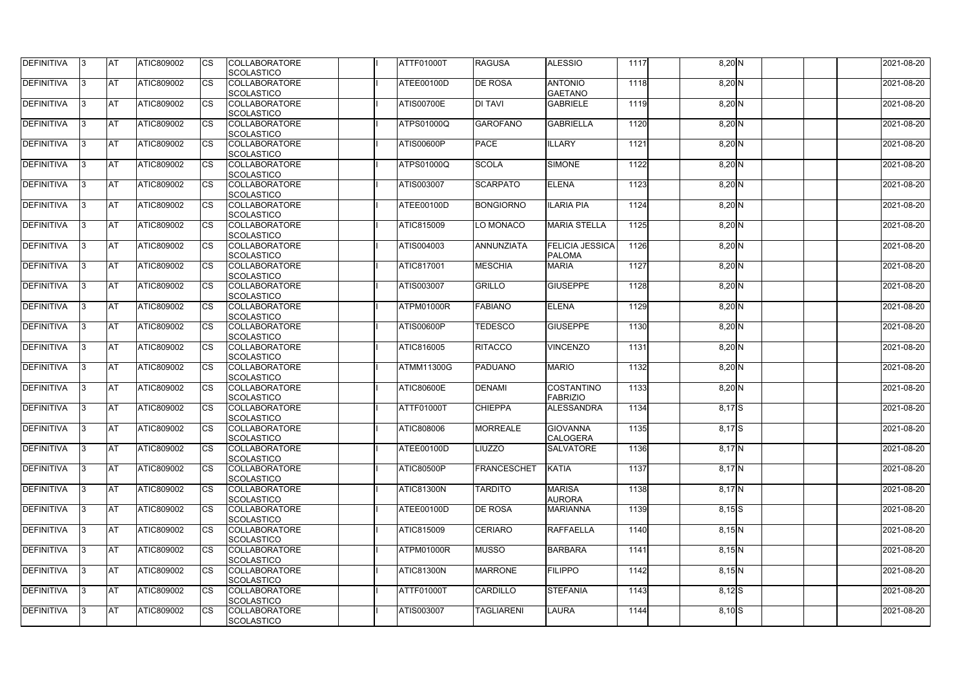| <b>DEFINITIVA</b> | IЗ  | <b>AT</b>  | ATIC809002 | <b>CS</b> | <b>COLLABORATORE</b><br>SCOLASTICO        | ATTF01000T        | <b>RAGUSA</b>      | <b>ALESSIO</b>                          | 1117 | $8,20$ N   | 2021-08-20 |
|-------------------|-----|------------|------------|-----------|-------------------------------------------|-------------------|--------------------|-----------------------------------------|------|------------|------------|
| <b>DEFINITIVA</b> | R   | <b>AT</b>  | ATIC809002 | <b>CS</b> | <b>COLLABORATORE</b><br><b>SCOLASTICO</b> | ATEE00100D        | <b>DE ROSA</b>     | <b>ANTONIO</b><br><b>GAETANO</b>        | 1118 | 8,20 N     | 2021-08-20 |
| <b>DEFINITIVA</b> | R   | <b>AT</b>  | ATIC809002 | CS        | <b>COLLABORATORE</b><br>SCOLASTICO        | <b>ATIS00700E</b> | <b>DI TAVI</b>     | <b>GABRIELE</b>                         | 1119 | $8,20$ N   | 2021-08-20 |
| <b>DEFINITIVA</b> |     | <b>AT</b>  | ATIC809002 | <b>CS</b> | <b>COLLABORATORE</b><br>SCOLASTICO        | <b>ATPS01000Q</b> | <b>GAROFANO</b>    | <b>GABRIELLA</b>                        | 1120 | $8,20$ N   | 2021-08-20 |
| <b>DEFINITIVA</b> |     | <b>AT</b>  | ATIC809002 | CS        | <b>COLLABORATORE</b><br>SCOLASTICO        | <b>ATIS00600P</b> | <b>PACE</b>        | <b>ILLARY</b>                           | 1121 | 8,20 N     | 2021-08-20 |
| <b>DEFINITIVA</b> |     | <b>IAT</b> | ATIC809002 | <b>CS</b> | <b>COLLABORATORE</b><br><b>SCOLASTICO</b> | <b>ATPS01000Q</b> | <b>SCOLA</b>       | <b>SIMONE</b>                           | 1122 | $8,20$ N   | 2021-08-20 |
| DEFINITIVA        |     | <b>AT</b>  | ATIC809002 | <b>CS</b> | <b>COLLABORATORE</b><br>SCOLASTICO        | <b>ATIS003007</b> | <b>SCARPATO</b>    | <b>ELENA</b>                            | 1123 | $8,20$ N   | 2021-08-20 |
| <b>DEFINITIVA</b> | ß   | <b>AT</b>  | ATIC809002 | CS        | <b>COLLABORATORE</b><br><b>SCOLASTICO</b> | ATEE00100D        | <b>BONGIORNO</b>   | <b>ILARIA PIA</b>                       | 1124 | $8,20$ N   | 2021-08-20 |
| <b>DEFINITIVA</b> | R   | <b>AT</b>  | ATIC809002 | <b>CS</b> | <b>COLLABORATORE</b><br><b>SCOLASTICO</b> | ATIC815009        | LO MONACO          | <b>MARIA STELLA</b>                     | 1125 | $8,20$ N   | 2021-08-20 |
| <b>DEFINITIVA</b> |     | <b>AT</b>  | ATIC809002 | <b>CS</b> | <b>COLLABORATORE</b><br><b>SCOLASTICO</b> | <b>ATIS004003</b> | ANNUNZIATA         | <b>FELICIA JESSICA</b><br><b>PALOMA</b> | 1126 | $8,20$ N   | 2021-08-20 |
| <b>DEFINITIVA</b> |     | <b>AT</b>  | ATIC809002 | <b>CS</b> | <b>COLLABORATORE</b><br>SCOLASTICO        | <b>ATIC817001</b> | <b>MESCHIA</b>     | <b>MARIA</b>                            | 1127 | 8,20 N     | 2021-08-20 |
| <b>DEFINITIVA</b> | R   | <b>AT</b>  | ATIC809002 | <b>CS</b> | <b>COLLABORATORE</b><br>SCOLASTICO        | ATIS003007        | <b>GRILLO</b>      | <b>GIUSEPPE</b>                         | 1128 | $8,20$ N   | 2021-08-20 |
| DEFINITIVA        |     | <b>AT</b>  | ATIC809002 | <b>CS</b> | <b>COLLABORATORE</b><br>SCOLASTICO        | ATPM01000R        | <b>FABIANO</b>     | <b>ELENA</b>                            | 1129 | $8,20$ N   | 2021-08-20 |
| DEFINITIVA        | з   | <b>AT</b>  | ATIC809002 | CS        | <b>COLLABORATORE</b><br><b>SCOLASTICO</b> | <b>ATIS00600P</b> | <b>TEDESCO</b>     | <b>GIUSEPPE</b>                         | 1130 | 8,20 N     | 2021-08-20 |
| <b>DEFINITIVA</b> | R   | <b>AT</b>  | ATIC809002 | CS        | <b>COLLABORATORE</b><br><b>SCOLASTICO</b> | ATIC816005        | <b>RITACCO</b>     | <b>VINCENZO</b>                         | 1131 | $8,20$ N   | 2021-08-20 |
| <b>DEFINITIVA</b> |     | <b>AT</b>  | ATIC809002 | <b>CS</b> | <b>COLLABORATORE</b><br><b>SCOLASTICO</b> | <b>ATMM11300G</b> | <b>PADUANO</b>     | <b>MARIO</b>                            | 1132 | $8,20$ N   | 2021-08-20 |
| <b>DEFINITIVA</b> |     | <b>AT</b>  | ATIC809002 | <b>CS</b> | <b>COLLABORATORE</b><br><b>SCOLASTICO</b> | <b>ATIC80600E</b> | <b>DENAMI</b>      | COSTANTINO<br><b>FABRIZIO</b>           | 1133 | $8,20$ N   | 2021-08-20 |
| <b>DEFINITIVA</b> |     | <b>AT</b>  | ATIC809002 | CS        | <b>COLLABORATORE</b><br>SCOLASTICO        | ATTF01000T        | <b>CHIEPPA</b>     | ALESSANDRA                              | 1134 | $8,17$ $S$ | 2021-08-20 |
| <b>DEFINITIVA</b> | 13. | <b>AT</b>  | ATIC809002 | <b>CS</b> | <b>COLLABORATORE</b><br><b>SCOLASTICO</b> | <b>ATIC808006</b> | <b>MORREALE</b>    | <b>GIOVANNA</b><br><b>CALOGERA</b>      | 1135 | $8,17$ $S$ | 2021-08-20 |
| DEFINITIVA        | 3   | <b>AT</b>  | ATIC809002 | <b>CS</b> | <b>COLLABORATORE</b><br><b>SCOLASTICO</b> | ATEE00100D        | <b>LIUZZO</b>      | <b>SALVATORE</b>                        | 1136 | $8,17$ N   | 2021-08-20 |
| <b>DEFINITIVA</b> | IЗ  | <b>AT</b>  | ATIC809002 | <b>CS</b> | <b>COLLABORATORE</b><br><b>SCOLASTICO</b> | <b>ATIC80500P</b> | <b>FRANCESCHET</b> | <b>KATIA</b>                            | 1137 | $8,17$ N   | 2021-08-20 |
| <b>DEFINITIVA</b> |     | <b>AT</b>  | ATIC809002 | <b>CS</b> | <b>COLLABORATORE</b><br><b>SCOLASTICO</b> | <b>ATIC81300N</b> | <b>TARDITO</b>     | <b>MARISA</b><br><b>AURORA</b>          | 1138 | $8,17$ N   | 2021-08-20 |
| <b>DEFINITIVA</b> |     | <b>AT</b>  | ATIC809002 | <b>CS</b> | <b>COLLABORATORE</b><br><b>SCOLASTICO</b> | ATEE00100D        | <b>DE ROSA</b>     | <b>MARIANNA</b>                         | 1139 | $8,15$ S   | 2021-08-20 |
| <b>DEFINITIVA</b> | IЗ  | <b>AT</b>  | ATIC809002 | <b>CS</b> | <b>COLLABORATORE</b><br><b>SCOLASTICO</b> | <b>ATIC815009</b> | <b>CERIARO</b>     | <b>RAFFAELLA</b>                        | 1140 | 8,15N      | 2021-08-20 |
| <b>DEFINITIVA</b> | 3   | <b>AT</b>  | ATIC809002 | <b>CS</b> | <b>COLLABORATORE</b><br>SCOLASTICO        | <b>ATPM01000R</b> | <b>MUSSO</b>       | <b>BARBARA</b>                          | 1141 | 8,15N      | 2021-08-20 |
| DEFINITIVA        | IЗ  | <b>AT</b>  | ATIC809002 | <b>CS</b> | <b>COLLABORATORE</b><br><b>SCOLASTICO</b> | ATIC81300N        | <b>MARRONE</b>     | <b>FILIPPO</b>                          | 1142 | $8,15$ N   | 2021-08-20 |
| DEFINITIVA        | IЗ  | <b>AT</b>  | ATIC809002 | <b>CS</b> | <b>COLLABORATORE</b><br><b>SCOLASTICO</b> | <b>ATTF01000T</b> | <b>CARDILLO</b>    | <b>STEFANIA</b>                         | 1143 | $8,12$ $S$ | 2021-08-20 |
| <b>DEFINITIVA</b> | ß.  | <b>AT</b>  | ATIC809002 | <b>CS</b> | <b>COLLABORATORE</b><br>SCOLASTICO        | ATIS003007        | <b>TAGLIARENI</b>  | <b>LAURA</b>                            | 1144 | $8,10$ S   | 2021-08-20 |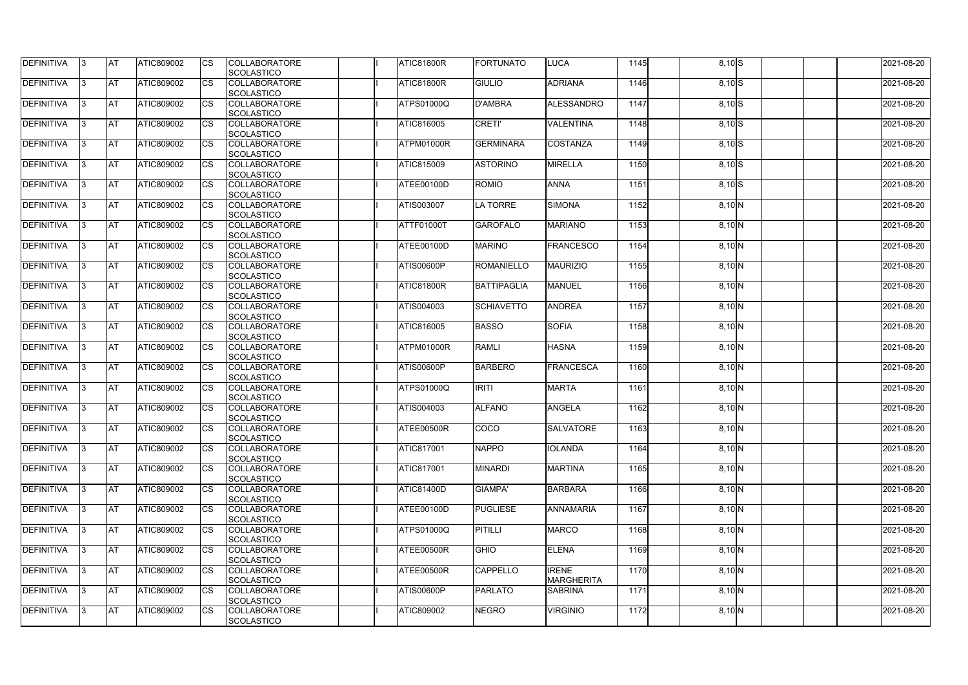| <b>DEFINITIVA</b> | 13  | IAT        | ATIC809002        | <b>I</b> CS | <b>COLLABORATORE</b><br><b>SCOLASTICO</b> | <b>ATIC81800R</b> | <b>FORTUNATO</b>   | <b>LUCA</b>                       | 1145 | $8,10$ S | 2021-08-20 |
|-------------------|-----|------------|-------------------|-------------|-------------------------------------------|-------------------|--------------------|-----------------------------------|------|----------|------------|
| DEFINITIVA        |     | <b>AT</b>  | ATIC809002        | Ics         | <b>COLLABORATORE</b><br><b>SCOLASTICO</b> | <b>ATIC81800R</b> | <b>GIULIO</b>      | <b>ADRIANA</b>                    | 1146 | $8,10$ S | 2021-08-20 |
| DEFINITIVA        |     | <b>AT</b>  | ATIC809002        | Ics         | <b>COLLABORATORE</b><br><b>SCOLASTICO</b> | <b>ATPS01000Q</b> | <b>D'AMBRA</b>     | <b>ALESSANDRO</b>                 | 1147 | $8,10$ S | 2021-08-20 |
| DEFINITIVA        | 13  | <b>AT</b>  | ATIC809002        | Ics         | <b>COLLABORATORE</b><br><b>SCOLASTICO</b> | ATIC816005        | <b>CRETI'</b>      | <b>VALENTINA</b>                  | 1148 | $8,10$ S | 2021-08-20 |
| DEFINITIVA        |     | <b>AT</b>  | ATIC809002        | Ics         | <b>COLLABORATORE</b><br><b>SCOLASTICO</b> | ATPM01000R        | <b>GERMINARA</b>   | <b>COSTANZA</b>                   | 1149 | $8,10$ S | 2021-08-20 |
| <b>DEFINITIVA</b> |     | <b>IAT</b> | ATIC809002        |             | <b>COLLABORATORE</b><br><b>SCOLASTICO</b> | <b>ATIC815009</b> | <b>ASTORINO</b>    | <b>MIRELLA</b>                    | 1150 | $8,10$ S | 2021-08-20 |
| DEFINITIVA        | 13. | <b>AT</b>  | ATIC809002        | Ics         | <b>COLLABORATORE</b><br><b>SCOLASTICO</b> | ATEE00100D        | <b>ROMIO</b>       | <b>ANNA</b>                       | 1151 | $8,10$ S | 2021-08-20 |
| <b>DEFINITIVA</b> |     | <b>AT</b>  | ATIC809002        | Ics         | <b>COLLABORATORE</b><br><b>SCOLASTICO</b> | ATIS003007        | LA TORRE           | <b>SIMONA</b>                     | 1152 | $8,10$ N | 2021-08-20 |
| <b>DEFINITIVA</b> | IЗ  | <b>AT</b>  | ATIC809002        | <b>ICS</b>  | <b>COLLABORATORE</b><br><b>SCOLASTICO</b> | ATTF01000T        | <b>GAROFALO</b>    | <b>MARIANO</b>                    | 1153 | $8,10$ N | 2021-08-20 |
| DEFINITIVA        |     | <b>AT</b>  | ATIC809002        | Ics         | <b>COLLABORATORE</b><br><b>SCOLASTICO</b> | ATEE00100D        | <b>MARINO</b>      | <b>FRANCESCO</b>                  | 1154 | $8,10$ N | 2021-08-20 |
| <b>DEFINITIVA</b> |     | <b>AT</b>  | ATIC809002        | Ics         | <b>COLLABORATORE</b><br><b>SCOLASTICO</b> | <b>ATIS00600P</b> | <b>ROMANIELLO</b>  | <b>MAURIZIO</b>                   | 1155 | $8,10$ N | 2021-08-20 |
| <b>DEFINITIVA</b> |     | <b>AT</b>  | ATIC809002        |             | <b>COLLABORATORE</b><br><b>SCOLASTICO</b> | <b>ATIC81800R</b> | <b>BATTIPAGLIA</b> | <b>MANUEL</b>                     | 1156 | $8,10$ N | 2021-08-20 |
| DEFINITIVA        | 13. | <b>AT</b>  | ATIC809002        | Ics         | <b>COLLABORATORE</b><br><b>SCOLASTICO</b> | ATIS004003        | <b>SCHIAVETTO</b>  | <b>ANDREA</b>                     | 1157 | $8,10$ N | 2021-08-20 |
| DEFINITIVA        | l3  | <b>AT</b>  | ATIC809002        | Ics         | <b>COLLABORATORE</b><br><b>SCOLASTICO</b> | <b>ATIC816005</b> | <b>BASSO</b>       | <b>SOFIA</b>                      | 1158 | $8,10$ N | 2021-08-20 |
| <b>DEFINITIVA</b> | IЗ  | <b>IAT</b> | ATIC809002        | Ics         | <b>COLLABORATORE</b><br><b>SCOLASTICO</b> | ATPM01000R        | <b>RAMLI</b>       | <b>HASNA</b>                      | 1159 | $8,10$ N | 2021-08-20 |
| DEFINITIVA        |     | <b>AT</b>  | ATIC809002        | Ics         | <b>COLLABORATORE</b><br><b>SCOLASTICO</b> | <b>ATIS00600P</b> | <b>BARBERO</b>     | <b>FRANCESCA</b>                  | 1160 | $8,10$ N | 2021-08-20 |
| DEFINITIVA        | 13. | <b>AT</b>  | ATIC809002        | Ics         | <b>COLLABORATORE</b><br><b>SCOLASTICO</b> | ATPS01000Q        | <b>IRITI</b>       | <b>MARTA</b>                      | 1161 | $8,10$ N | 2021-08-20 |
| DEFINITIVA        |     | <b>AT</b>  | ATIC809002        | Ics         | <b>COLLABORATORE</b><br><b>SCOLASTICO</b> | ATIS004003        | <b>ALFANO</b>      | <b>ANGELA</b>                     | 1162 | $8,10$ N | 2021-08-20 |
| DEFINITIVA        | 13. | <b>AT</b>  | <b>ATIC809002</b> | Ics         | <b>COLLABORATORE</b><br><b>SCOLASTICO</b> | <b>ATEE00500R</b> | COCO               | <b>SALVATORE</b>                  | 1163 | $8,10$ N | 2021-08-20 |
| <b>DEFINITIVA</b> | 13  | <b>AT</b>  | ATIC809002        | Ics         | <b>COLLABORATORE</b><br><b>SCOLASTICO</b> | <b>ATIC817001</b> | <b>NAPPO</b>       | <b>IOLANDA</b>                    | 1164 | $8,10$ N | 2021-08-20 |
| <b>DEFINITIVA</b> | 13. | <b>IAT</b> | ATIC809002        | <b>ICS</b>  | <b>COLLABORATORE</b><br><b>SCOLASTICO</b> | <b>ATIC817001</b> | <b>MINARDI</b>     | <b>MARTINA</b>                    | 1165 | $8,10$ N | 2021-08-20 |
| <b>DEFINITIVA</b> | IЗ  | <b>AT</b>  | ATIC809002        | Ics         | <b>COLLABORATORE</b><br><b>SCOLASTICO</b> | <b>ATIC81400D</b> | <b>GIAMPA'</b>     | <b>BARBARA</b>                    | 1166 | $8,10$ N | 2021-08-20 |
| <b>DEFINITIVA</b> | 13. | <b>AT</b>  | ATIC809002        | <b>I</b> CS | <b>COLLABORATORE</b><br><b>SCOLASTICO</b> | ATEE00100D        | <b>PUGLIESE</b>    | <b>ANNAMARIA</b>                  | 1167 | $8,10$ N | 2021-08-20 |
| <b>DEFINITIVA</b> | 13. | <b>JAT</b> | ATIC809002        | Ics         | <b>COLLABORATORE</b><br><b>SCOLASTICO</b> | ATPS01000Q        | <b>PITILLI</b>     | <b>MARCO</b>                      | 1168 | $8,10$ N | 2021-08-20 |
| <b>DEFINITIVA</b> | 13. | <b>AT</b>  | ATIC809002        | Ics         | <b>COLLABORATORE</b><br><b>SCOLASTICO</b> | ATEE00500R        | <b>GHIO</b>        | <b>ELENA</b>                      | 1169 | $8,10$ N | 2021-08-20 |
| DEFINITIVA        | 13. | <b>AT</b>  | ATIC809002        | Ics         | <b>COLLABORATORE</b><br><b>SCOLASTICO</b> | ATEE00500R        | <b>CAPPELLO</b>    | <b>IRENE</b><br><b>MARGHERITA</b> | 1170 | $8,10$ N | 2021-08-20 |
| <b>DEFINITIVA</b> | 13. | <b>AT</b>  | ATIC809002        | ICS         | <b>COLLABORATORE</b><br><b>SCOLASTICO</b> | ATIS00600P        | <b>PARLATO</b>     | <b>SABRINA</b>                    | 1171 | $8,10$ N | 2021-08-20 |
| DEFINITIVA        |     | <b>AT</b>  | ATIC809002        | Ics         | <b>COLLABORATORE</b><br><b>SCOLASTICO</b> | <b>ATIC809002</b> | <b>NEGRO</b>       | <b>VIRGINIO</b>                   | 1172 | $8,10$ N | 2021-08-20 |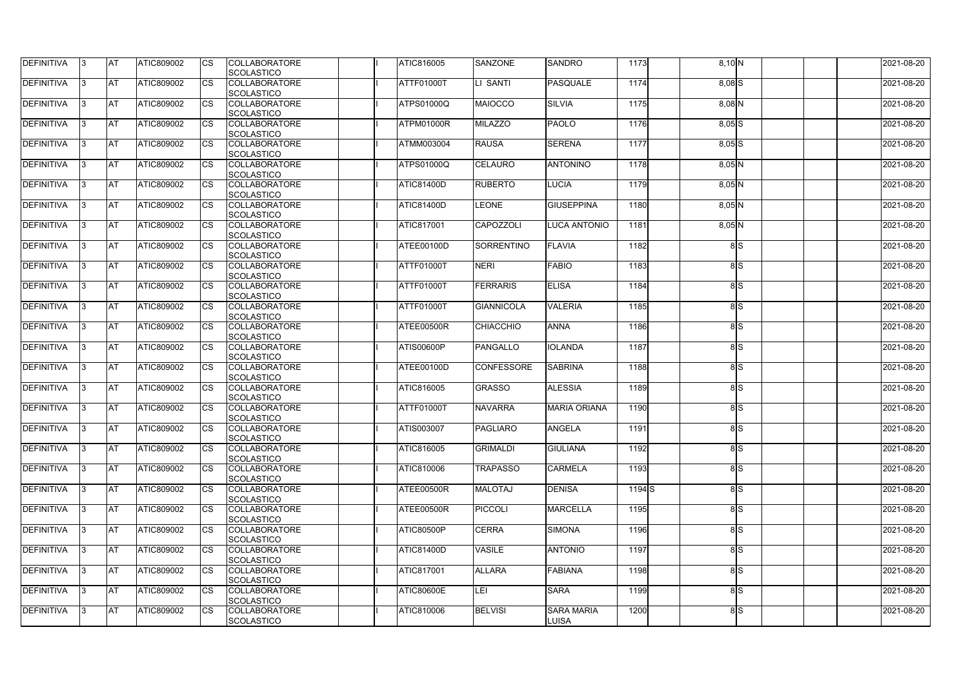| <b>DEFINITIVA</b> | 13.       | <b>AT</b>  | ATIC809002        | Ics         | <b>COLLABORATORE</b><br><b>SCOLASTICO</b> | ATIC816005        | <b>SANZONE</b>    | <b>SANDRO</b>                       | 1173  | $8,10\,N$  | 2021-08-20 |
|-------------------|-----------|------------|-------------------|-------------|-------------------------------------------|-------------------|-------------------|-------------------------------------|-------|------------|------------|
| DEFINITIVA        | l3        | <b>AT</b>  | ATIC809002        | Ics         | <b>COLLABORATORE</b><br><b>SCOLASTICO</b> | ATTF01000T        | LI SANTI          | <b>PASQUALE</b>                     | 1174  | $8,08$ $S$ | 2021-08-20 |
| DEFINITIVA        | IЗ        | <b>IAT</b> | ATIC809002        | <b>CS</b>   | <b>COLLABORATORE</b><br><b>SCOLASTICO</b> | ATPS01000Q        | MAIOCCO           | <b>SILVIA</b>                       | 1175  | $8,08$ N   | 2021-08-20 |
| DEFINITIVA        |           | <b>AT</b>  | ATIC809002        | Ics         | <b>COLLABORATORE</b><br><b>SCOLASTICO</b> | ATPM01000R        | <b>MILAZZO</b>    | <b>PAOLO</b>                        | 1176  | $8,05$ $S$ | 2021-08-20 |
| DEFINITIVA        |           | <b>IAT</b> | ATIC809002        | Ics         | <b>COLLABORATORE</b><br><b>SCOLASTICO</b> | ATMM003004        | <b>RAUSA</b>      | <b>SERENA</b>                       | 1177  | $8,05$ $S$ | 2021-08-20 |
| <b>DEFINITIVA</b> | 13.       | <b>IAT</b> | ATIC809002        | Ics         | <b>COLLABORATORE</b><br><b>SCOLASTICO</b> | <b>ATPS01000Q</b> | <b>CELAURO</b>    | <b>ANTONINO</b>                     | 1178  | $8,05$ N   | 2021-08-20 |
| DEFINITIVA        |           | <b>AT</b>  | ATIC809002        | Ics         | <b>COLLABORATORE</b><br><b>SCOLASTICO</b> | <b>ATIC81400D</b> | <b>RUBERTO</b>    | <b>LUCIA</b>                        | 1179  | $8,05$ N   | 2021-08-20 |
| DEFINITIVA        | 13        | <b>AT</b>  | ATIC809002        | Ics         | <b>COLLABORATORE</b><br><b>SCOLASTICO</b> | <b>ATIC81400D</b> | <b>LEONE</b>      | <b>GIUSEPPINA</b>                   | 1180  | $8,05$ N   | 2021-08-20 |
| DEFINITIVA        | 13.       | <b>IAT</b> | ATIC809002        | <b>CS</b>   | <b>COLLABORATORE</b><br><b>SCOLASTICO</b> | ATIC817001        | <b>CAPOZZOLI</b>  | <b>LUCA ANTONIO</b>                 | 1181  | $8,05$ N   | 2021-08-20 |
| DEFINITIVA        |           | <b>AT</b>  | ATIC809002        | <b>CS</b>   | <b>COLLABORATORE</b><br><b>SCOLASTICO</b> | ATEE00100D        | <b>SORRENTINO</b> | <b>FLAVIA</b>                       | 1182  | 8S         | 2021-08-20 |
| DEFINITIVA        |           | <b>AT</b>  | ATIC809002        | <b>ICS</b>  | <b>COLLABORATORE</b><br><b>SCOLASTICO</b> | ATTF01000T        | <b>NERI</b>       | <b>FABIO</b>                        | 1183  | 8S         | 2021-08-20 |
| DEFINITIVA        | IЗ        | <b>AT</b>  | ATIC809002        |             | <b>COLLABORATORE</b><br><b>SCOLASTICO</b> | ATTF01000T        | <b>FERRARIS</b>   | <b>ELISA</b>                        | 1184  | 8S         | 2021-08-20 |
| DEFINITIVA        |           | <b>AT</b>  | ATIC809002        |             | <b>COLLABORATORE</b><br><b>SCOLASTICO</b> | <b>ATTF01000T</b> | <b>GIANNICOLA</b> | <b>VALERIA</b>                      | 1185  | 8S         | 2021-08-20 |
| DEFINITIVA        |           | <b>AT</b>  | ATIC809002        | Ics         | <b>COLLABORATORE</b><br><b>SCOLASTICO</b> | ATEE00500R        | <b>CHIACCHIO</b>  | <b>ANNA</b>                         | 1186  | 8S         | 2021-08-20 |
| DEFINITIVA        | IЗ        | <b>AT</b>  | <b>ATIC809002</b> | Ics         | <b>COLLABORATORE</b><br><b>SCOLASTICO</b> | <b>ATIS00600P</b> | PANGALLO          | <b>IOLANDA</b>                      | 1187  | 8S         | 2021-08-20 |
| DEFINITIVA        |           | <b>AT</b>  | ATIC809002        | Ics         | <b>COLLABORATORE</b><br><b>SCOLASTICO</b> | ATEE00100D        |                   | <b>SABRINA</b><br><b>CONFESSORE</b> | 1188  | 8S         | 2021-08-20 |
| <b>DEFINITIVA</b> |           | <b>AT</b>  | ATIC809002        | Ics         | <b>COLLABORATORE</b><br><b>SCOLASTICO</b> | ATIC816005        | <b>GRASSO</b>     | <b>ALESSIA</b>                      | 1189  | 8S         | 2021-08-20 |
| <b>DEFINITIVA</b> |           | AT         | ATIC809002        | Ics         | <b>COLLABORATORE</b><br>SCOLASTICO        | <b>ATTF01000T</b> | <b>NAVARRA</b>    | <b>MARIA ORIANA</b>                 | 1190  | 8S         | 2021-08-20 |
| <b>DEFINITIVA</b> | $\vert$ 3 | <b>AT</b>  | ATIC809002        |             | <b>COLLABORATORE</b><br><b>SCOLASTICO</b> | ATIS003007        | PAGLIARO          | <b>ANGELA</b>                       | 1191  | 8 S        | 2021-08-20 |
| <b>DEFINITIVA</b> | 13        | <b>AT</b>  | <b>ATIC809002</b> | Ics         | <b>COLLABORATORE</b><br><b>SCOLASTICO</b> | ATIC816005        | <b>GRIMALDI</b>   | <b>GIULIANA</b>                     | 1192  | 8S         | 2021-08-20 |
| <b>DEFINITIVA</b> | 13.       | <b>AT</b>  | ATIC809002        | Ics         | <b>COLLABORATORE</b><br><b>SCOLASTICO</b> | ATIC810006        | <b>TRAPASSO</b>   | <b>CARMELA</b>                      | 1193  | 8S         | 2021-08-20 |
| DEFINITIVA        | 13.       | <b>AT</b>  | ATIC809002        | <b>I</b> CS | <b>COLLABORATORE</b><br><b>SCOLASTICO</b> | ATEE00500R        | <b>MALOTAJ</b>    | <b>DENISA</b>                       | 1194S | 8S         | 2021-08-20 |
| <b>DEFINITIVA</b> |           | <b>AT</b>  | ATIC809002        | Ics         | <b>COLLABORATORE</b><br><b>SCOLASTICO</b> | ATEE00500R        | <b>PICCOLI</b>    | <b>MARCELLA</b>                     | 1195  | 8S         | 2021-08-20 |
| <b>DEFINITIVA</b> |           | <b>AT</b>  | ATIC809002        | Ics         | <b>COLLABORATORE</b><br><b>SCOLASTICO</b> | <b>ATIC80500P</b> | <b>CERRA</b>      | <b>SIMONA</b>                       | 1196  | 8S         | 2021-08-20 |
| <b>DEFINITIVA</b> | 13.       | <b>AT</b>  | ATIC809002        | <b>ICS</b>  | <b>COLLABORATORE</b><br><b>SCOLASTICO</b> | <b>ATIC81400D</b> | <b>VASILE</b>     | <b>ANTONIO</b>                      | 1197  | 8S         | 2021-08-20 |
| <b>DEFINITIVA</b> | 13.       | <b>AT</b>  | ATIC809002        | Ics         | <b>COLLABORATORE</b><br><b>SCOLASTICO</b> | <b>ATIC817001</b> | <b>ALLARA</b>     | <b>FABIANA</b>                      | 1198  | 8S         | 2021-08-20 |
| <b>DEFINITIVA</b> | 13.       | <b>AT</b>  | ATIC809002        | Ics         | <b>COLLABORATORE</b><br><b>SCOLASTICO</b> | <b>ATIC80600E</b> | LEI               | <b>SARA</b>                         | 1199  | 8S         | 2021-08-20 |
| DEFINITIVA        | 13.       | <b>AT</b>  | ATIC809002        | <b>ICS</b>  | <b>COLLABORATORE</b><br><b>SCOLASTICO</b> | ATIC810006        | <b>BELVISI</b>    | <b>SARA MARIA</b><br><b>LUISA</b>   | 1200  | 8S         | 2021-08-20 |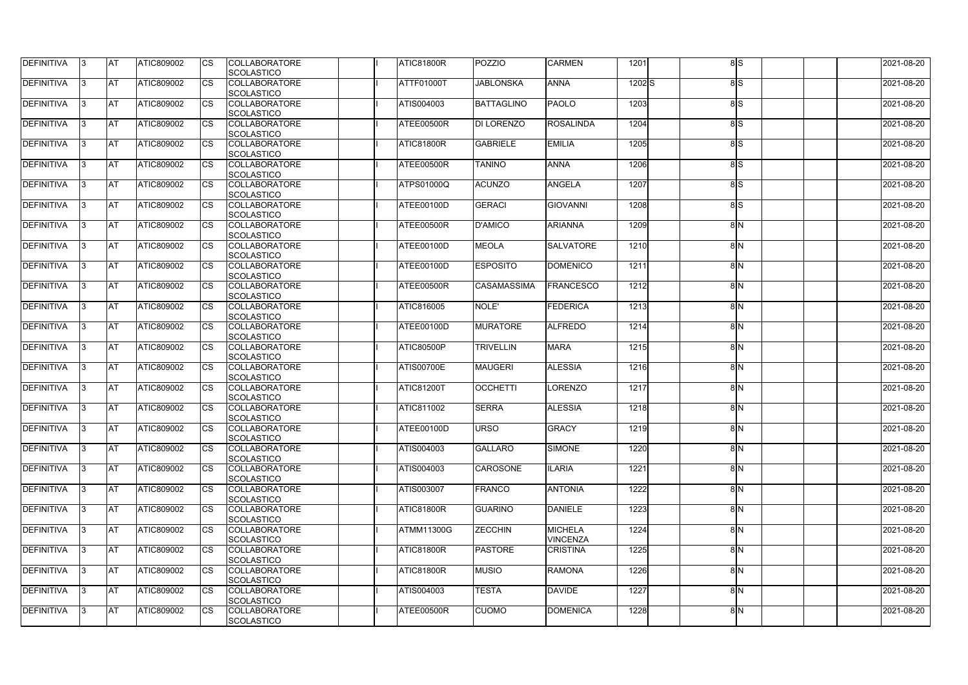| <b>DEFINITIVA</b> | 13  | <b>AT</b>  | ATIC809002        |    | <b>COLLABORATORE</b><br><b>SCOLASTICO</b> | <b>ATIC81800R</b> | <b>POZZIO</b>      | <b>CARMEN</b>                     | 1201     | 8S  | 2021-08-20 |
|-------------------|-----|------------|-------------------|----|-------------------------------------------|-------------------|--------------------|-----------------------------------|----------|-----|------------|
| DEFINITIVA        | IЗ  | <b>AT</b>  | ATIC809002        | CS | <b>COLLABORATORE</b><br><b>SCOLASTICO</b> | <b>ATTF01000T</b> | <b>JABLONSKA</b>   | <b>ANNA</b>                       | $1202$ S | 8S  | 2021-08-20 |
| DEFINITIVA        | IЗ  | <b>AT</b>  | ATIC809002        | CS | <b>COLLABORATORE</b><br><b>SCOLASTICO</b> | ATIS004003        | <b>BATTAGLINO</b>  | <b>PAOLO</b>                      | 1203     | 8lS | 2021-08-20 |
| <b>DEFINITIVA</b> | 13  | <b>AT</b>  | ATIC809002        | CS | <b>COLLABORATORE</b><br><b>SCOLASTICO</b> | ATEE00500R        | <b>DI LORENZO</b>  | <b>ROSALINDA</b>                  | 1204     | 8lS | 2021-08-20 |
| DEFINITIVA        | l3. | <b>AT</b>  | ATIC809002        | CS | <b>COLLABORATORE</b><br><b>SCOLASTICO</b> | ATIC81800R        | <b>GABRIELE</b>    | <b>EMILIA</b>                     | 1205     | 8lS | 2021-08-20 |
| <b>DEFINITIVA</b> | 13  | <b>IAT</b> | ATIC809002        | СS | <b>COLLABORATORE</b><br><b>SCOLASTICO</b> | ATEE00500R        | <b>TANINO</b>      | <b>ANNA</b>                       | 1206     | 8S  | 2021-08-20 |
| DEFINITIVA        | 13  | AT         | <b>ATIC809002</b> | CS | <b>COLLABORATORE</b><br><b>SCOLASTICO</b> | ATPS01000Q        | <b>ACUNZO</b>      | <b>ANGELA</b>                     | 1207     | 8S  | 2021-08-20 |
| DEFINITIVA        | IЗ  | <b>AT</b>  | <b>ATIC809002</b> | СS | <b>COLLABORATORE</b><br><b>SCOLASTICO</b> | ATEE00100D        | <b>GERACI</b>      | <b>GIOVANNI</b>                   | 1208     | 8S  | 2021-08-20 |
| <b>DEFINITIVA</b> | l3  | <b>AT</b>  | <b>ATIC809002</b> | CS | <b>COLLABORATORE</b><br><b>SCOLASTICO</b> | ATEE00500R        | <b>D'AMICO</b>     | <b>ARIANNA</b>                    | 1209     | 8N  | 2021-08-20 |
| DEFINITIVA        | l3  | <b>AT</b>  | ATIC809002        | CS | <b>COLLABORATORE</b><br><b>SCOLASTICO</b> | ATEE00100D        | <b>MEOLA</b>       | <b>SALVATORE</b>                  | 1210     | 8N  | 2021-08-20 |
| DEFINITIVA        | IЗ  | <b>AT</b>  | ATIC809002        | CS | <b>COLLABORATORE</b><br><b>SCOLASTICO</b> | ATEE00100D        | <b>ESPOSITO</b>    | <b>DOMENICO</b>                   | 1211     | 8N  | 2021-08-20 |
| <b>DEFINITIVA</b> | l3  | <b>AT</b>  | ATIC809002        | CS | <b>COLLABORATORE</b><br><b>SCOLASTICO</b> | ATEE00500R        | <b>CASAMASSIMA</b> | <b>FRANCESCO</b>                  | 1212     | 8M  | 2021-08-20 |
| DEFINITIVA        | 13. | <b>AT</b>  | <b>ATIC809002</b> |    | <b>COLLABORATORE</b><br><b>SCOLASTICO</b> | ATIC816005        | NOLE'              | <b>FEDERICA</b>                   | 1213     | 8N  | 2021-08-20 |
| DEFINITIVA        | IЗ  | <b>AT</b>  | <b>ATIC809002</b> | CS | <b>COLLABORATORE</b><br><b>SCOLASTICO</b> | ATEE00100D        | <b>MURATORE</b>    | <b>ALFREDO</b>                    | 1214     | 8N  | 2021-08-20 |
| <b>DEFINITIVA</b> | 13. | <b>AT</b>  | <b>ATIC809002</b> | CS | <b>COLLABORATORE</b><br><b>SCOLASTICO</b> | <b>ATIC80500P</b> | <b>TRIVELLIN</b>   | <b>MARA</b>                       | 1215     | 8N  | 2021-08-20 |
| DEFINITIVA        | IЗ  | <b>AT</b>  | ATIC809002        | CS | <b>COLLABORATORE</b><br><b>SCOLASTICO</b> | <b>ATIS00700E</b> | <b>MAUGERI</b>     | <b>ALESSIA</b>                    | 1216     | 8N  | 2021-08-20 |
| DEFINITIVA        | 13. | <b>AT</b>  | ATIC809002        | CS | <b>COLLABORATORE</b><br><b>SCOLASTICO</b> | <b>ATIC81200T</b> | <b>OCCHETTI</b>    | <b>LORENZO</b>                    | 1217     | 8N  | 2021-08-20 |
| <b>DEFINITIVA</b> |     | <b>AT</b>  | ATIC809002        | СS | <b>COLLABORATORE</b><br>SCOLASTICO        | ATIC811002        | <b>SERRA</b>       | <b>ALESSIA</b>                    | 1218     | 8M  | 2021-08-20 |
| <b>DEFINITIVA</b> | 13  | <b>AT</b>  | ATIC809002        |    | <b>COLLABORATORE</b><br><b>SCOLASTICO</b> | <b>ATEE00100D</b> | <b>URSO</b>        | <b>GRACY</b>                      | 1219     | 8N  | 2021-08-20 |
| <b>DEFINITIVA</b> | 13  | <b>AT</b>  | ATIC809002        | СS | <b>COLLABORATORE</b><br><b>SCOLASTICO</b> | ATIS004003        | <b>GALLARO</b>     | <b>SIMONE</b>                     | 1220     | 8N  | 2021-08-20 |
| <b>DEFINITIVA</b> | 13. | <b>AT</b>  | ATIC809002        | СS | <b>COLLABORATORE</b><br><b>SCOLASTICO</b> | ATIS004003        | <b>CAROSONE</b>    | <b>ILARIA</b>                     | 1221     | 8N  | 2021-08-20 |
| <b>DEFINITIVA</b> | 13  | <b>AT</b>  | <b>ATIC809002</b> | CS | <b>COLLABORATORE</b><br><b>SCOLASTICO</b> | ATIS003007        | FRANCO             | <b>ANTONIA</b>                    | 1222     | 8N  | 2021-08-20 |
| <b>DEFINITIVA</b> | 13. | <b>AT</b>  | ATIC809002        | CS | <b>COLLABORATORE</b><br><b>SCOLASTICO</b> | <b>ATIC81800R</b> | <b>GUARINO</b>     | <b>DANIELE</b>                    | 1223     | 8N  | 2021-08-20 |
| <b>DEFINITIVA</b> | 13. | <b>AT</b>  | ATIC809002        | СS | <b>COLLABORATORE</b><br><b>SCOLASTICO</b> | <b>ATMM11300G</b> | <b>ZECCHIN</b>     | <b>MICHELA</b><br><b>VINCENZA</b> | 1224     | 8N  | 2021-08-20 |
| <b>DEFINITIVA</b> | 13  | <b>AT</b>  | ATIC809002        | CS | <b>COLLABORATORE</b><br><b>SCOLASTICO</b> | <b>ATIC81800R</b> | <b>PASTORE</b>     | <b>CRISTINA</b>                   | 1225     | 8N  | 2021-08-20 |
| <b>DEFINITIVA</b> | 13  | <b>AT</b>  | ATIC809002        | СS | <b>COLLABORATORE</b><br><b>SCOLASTICO</b> | ATIC81800R        | <b>MUSIO</b>       | <b>RAMONA</b>                     | 1226     | 8N  | 2021-08-20 |
| <b>DEFINITIVA</b> | 13. | <b>AT</b>  | ATIC809002        | СS | <b>COLLABORATORE</b><br><b>SCOLASTICO</b> | ATIS004003        | <b>TESTA</b>       | <b>DAVIDE</b>                     | 1227     | 8N  | 2021-08-20 |
| <b>DEFINITIVA</b> | IЗ  | <b>AT</b>  | ATIC809002        | CS | <b>COLLABORATORE</b><br>SCOLASTICO        | ATEE00500R        | <b>CUOMO</b>       | <b>DOMENICA</b>                   | 1228     | 8N  | 2021-08-20 |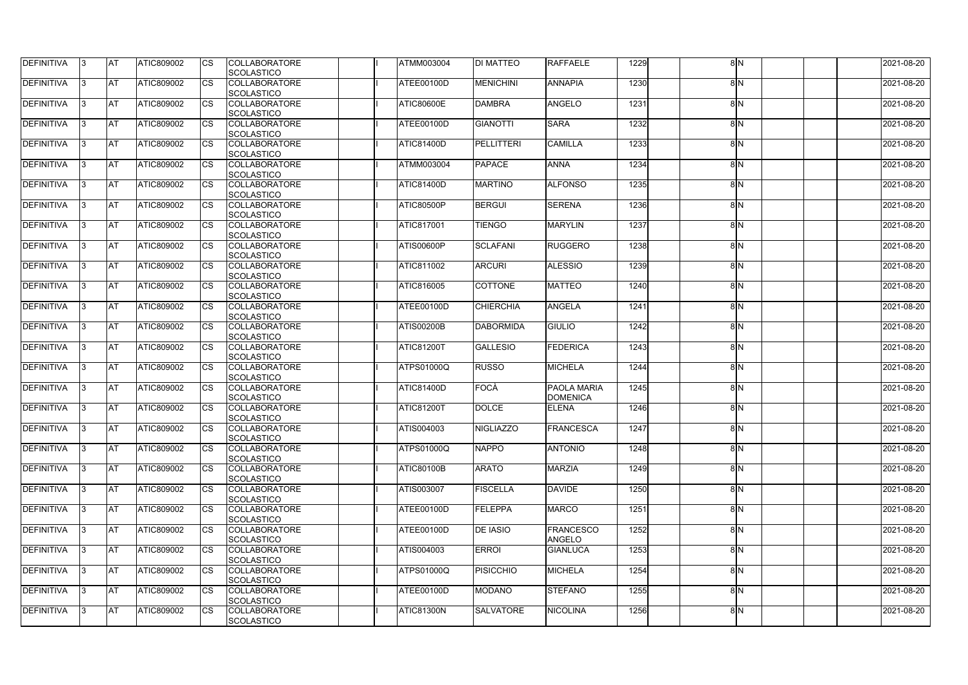| <b>DEFINITIVA</b> | 13  | <b>IAT</b> | <b>ATIC809002</b> |    | <b>COLLABORATORE</b><br><b>SCOLASTICO</b> | <b>ATMM003004</b> | <b>DI MATTEO</b>  | <b>RAFFAELE</b>    | 1229 | 8 N | 2021-08-20 |
|-------------------|-----|------------|-------------------|----|-------------------------------------------|-------------------|-------------------|--------------------|------|-----|------------|
| DEFINITIVA        | l3  | <b>AT</b>  | <b>ATIC809002</b> | СS | <b>COLLABORATORE</b>                      | ATEE00100D        | <b>MENICHINI</b>  | <b>ANNAPIA</b>     | 1230 | 8N  | 2021-08-20 |
|                   |     |            |                   |    | <b>SCOLASTICO</b>                         |                   |                   |                    |      |     |            |
| <b>DEFINITIVA</b> | 13  | <b>AT</b>  | ATIC809002        | CS | <b>COLLABORATORE</b>                      | <b>ATIC80600E</b> | <b>DAMBRA</b>     | <b>ANGELO</b>      | 1231 | 8N  | 2021-08-20 |
|                   |     |            |                   |    | <b>SCOLASTICO</b>                         |                   |                   |                    |      |     |            |
| <b>DEFINITIVA</b> | l3  | <b>AT</b>  | ATIC809002        | CS | <b>COLLABORATORE</b><br><b>SCOLASTICO</b> | ATEE00100D        | <b>GIANOTTI</b>   | <b>SARA</b>        | 1232 | 8N  | 2021-08-20 |
| DEFINITIVA        | IЗ  | <b>AT</b>  | ATIC809002        | CS | <b>COLLABORATORE</b>                      | <b>ATIC81400D</b> | <b>PELLITTERI</b> | <b>CAMILLA</b>     | 1233 | 8N  | 2021-08-20 |
|                   |     |            |                   |    | <b>SCOLASTICO</b>                         |                   |                   |                    |      |     |            |
| <b>DEFINITIVA</b> | IЗ  | <b>AT</b>  | <b>ATIC809002</b> | CS | <b>COLLABORATORE</b>                      | <b>ATMM003004</b> | <b>PAPACE</b>     | <b>ANNA</b>        | 1234 | 8N  | 2021-08-20 |
|                   |     |            |                   |    | <b>SCOLASTICO</b>                         |                   |                   |                    |      |     |            |
| <b>DEFINITIVA</b> | 13. | <b>AT</b>  | ATIC809002        | CS | <b>COLLABORATORE</b>                      | <b>ATIC81400D</b> | <b>MARTINO</b>    | <b>ALFONSO</b>     | 1235 | 8N  | 2021-08-20 |
|                   |     |            |                   |    | <b>SCOLASTICO</b>                         |                   |                   |                    |      |     |            |
| DEFINITIVA        | 13  | <b>AT</b>  | <b>ATIC809002</b> | СS | <b>COLLABORATORE</b>                      | ATIC80500P        | <b>BERGUI</b>     | <b>SERENA</b>      | 1236 | 8N  | 2021-08-20 |
|                   |     |            |                   |    | <b>SCOLASTICO</b>                         |                   |                   |                    |      |     |            |
| <b>DEFINITIVA</b> | 13. | <b>AT</b>  | ATIC809002        | CS | <b>COLLABORATORE</b>                      | <b>ATIC817001</b> | <b>TIENGO</b>     | <b>MARYLIN</b>     | 1237 | 8N  | 2021-08-20 |
|                   |     |            |                   |    | <b>SCOLASTICO</b>                         |                   |                   |                    |      |     |            |
| <b>DEFINITIVA</b> | l3  | <b>AT</b>  | <b>ATIC809002</b> | CS | <b>COLLABORATORE</b>                      | ATIS00600P        | <b>SCLAFANI</b>   | <b>RUGGERO</b>     | 1238 | 8N  | 2021-08-20 |
|                   |     |            |                   |    | <b>SCOLASTICO</b>                         |                   |                   |                    |      |     |            |
| DEFINITIVA        | IЗ  | <b>AT</b>  | ATIC809002        | CS | <b>COLLABORATORE</b><br><b>SCOLASTICO</b> | <b>ATIC811002</b> | <b>ARCURI</b>     | <b>ALESSIO</b>     | 1239 | 8M  | 2021-08-20 |
| DEFINITIVA        | 13. | <b>AT</b>  | ATIC809002        | CS | <b>COLLABORATORE</b>                      | ATIC816005        | <b>COTTONE</b>    | <b>MATTEO</b>      | 1240 | 8N  | 2021-08-20 |
|                   |     |            |                   |    | <b>SCOLASTICO</b>                         |                   |                   |                    |      |     |            |
| DEFINITIVA        | l3  | <b>AT</b>  | ATIC809002        |    | <b>COLLABORATORE</b>                      | ATEE00100D        | <b>CHIERCHIA</b>  | <b>ANGELA</b>      | 1241 | 8N  | 2021-08-20 |
|                   |     |            |                   |    | <b>SCOLASTICO</b>                         |                   |                   |                    |      |     |            |
| DEFINITIVA        | IЗ  | <b>AT</b>  | ATIC809002        | CS | <b>COLLABORATORE</b>                      | <b>ATIS00200B</b> | <b>DABORMIDA</b>  | <b>GIULIO</b>      | 1242 | 8N  | 2021-08-20 |
|                   |     |            |                   |    | <b>SCOLASTICO</b>                         |                   |                   |                    |      |     |            |
| <b>DEFINITIVA</b> | IЗ  | <b>AT</b>  | ATIC809002        | CS | <b>COLLABORATORE</b>                      | <b>ATIC81200T</b> | <b>GALLESIO</b>   | <b>FEDERICA</b>    | 1243 | 8N  | 2021-08-20 |
|                   |     |            |                   |    | <b>SCOLASTICO</b>                         |                   |                   |                    |      |     |            |
| <b>DEFINITIVA</b> | l3  | <b>AT</b>  | ATIC809002        | CS | <b>COLLABORATORE</b>                      | <b>ATPS01000Q</b> | <b>RUSSO</b>      | <b>MICHELA</b>     | 1244 | 8N  | 2021-08-20 |
|                   |     |            |                   |    | <b>SCOLASTICO</b>                         |                   |                   |                    |      |     |            |
| <b>DEFINITIVA</b> | 13  | <b>AT</b>  | <b>ATIC809002</b> | CS | <b>COLLABORATORE</b>                      | <b>ATIC81400D</b> | <b>FOCÀ</b>       | <b>PAOLA MARIA</b> | 1245 | 8N  | 2021-08-20 |
|                   |     |            |                   |    | <b>SCOLASTICO</b>                         |                   |                   | <b>DOMENICA</b>    |      |     |            |
| DEFINITIVA        |     | <b>AT</b>  | ATIC809002        | CS | <b>COLLABORATORE</b>                      | <b>ATIC81200T</b> | <b>DOLCE</b>      | <b>ELENA</b>       | 1246 | 8N  | 2021-08-20 |
|                   |     |            |                   |    | SCOLASTICO                                |                   |                   |                    |      |     |            |
| <b>DEFINITIVA</b> | 13  | <b>AT</b>  | ATIC809002        |    | <b>COLLABORATORE</b><br><b>SCOLASTICO</b> | ATIS004003        | <b>NIGLIAZZO</b>  | <b>FRANCESCA</b>   | 1247 | 8N  | 2021-08-20 |
| <b>DEFINITIVA</b> | 13  | <b>AT</b>  | ATIC809002        |    | <b>COLLABORATORE</b>                      | ATPS01000Q        | <b>NAPPO</b>      | <b>ANTONIO</b>     | 1248 | 8N  | 2021-08-20 |
|                   |     |            |                   |    | <b>SCOLASTICO</b>                         |                   |                   |                    |      |     |            |
| <b>DEFINITIVA</b> | 13. | <b>AT</b>  | <b>ATIC809002</b> | СS | <b>COLLABORATORE</b>                      | <b>ATIC80100B</b> | <b>ARATO</b>      | <b>MARZIA</b>      | 1249 | 8N  | 2021-08-20 |
|                   |     |            |                   |    | <b>SCOLASTICO</b>                         |                   |                   |                    |      |     |            |
| <b>DEFINITIVA</b> | 13  | <b>AT</b>  | ATIC809002        | CS | <b>COLLABORATORE</b>                      | ATIS003007        | <b>FISCELLA</b>   | <b>DAVIDE</b>      | 1250 | 8N  | 2021-08-20 |
|                   |     |            |                   |    | <b>SCOLASTICO</b>                         |                   |                   |                    |      |     |            |
| <b>DEFINITIVA</b> | 13. | <b>AT</b>  | ATIC809002        | СS | <b>COLLABORATORE</b>                      | ATEE00100D        | <b>FELEPPA</b>    | <b>MARCO</b>       | 1251 | 8N  | 2021-08-20 |
|                   |     |            |                   |    | <b>SCOLASTICO</b>                         |                   |                   |                    |      |     |            |
| <b>DEFINITIVA</b> | IЗ  | <b>AT</b>  | ATIC809002        | СS | <b>COLLABORATORE</b>                      | ATEE00100D        | <b>DE IASIO</b>   | <b>FRANCESCO</b>   | 1252 | 8N  | 2021-08-20 |
|                   |     |            |                   |    | <b>SCOLASTICO</b>                         |                   |                   | <b>ANGELO</b>      |      |     |            |
| <b>DEFINITIVA</b> | 13  | <b>AT</b>  | ATIC809002        |    | <b>COLLABORATORE</b>                      | ATIS004003        | <b>ERROI</b>      | <b>GIANLUCA</b>    | 1253 | 8N  | 2021-08-20 |
|                   |     |            |                   |    | <b>SCOLASTICO</b>                         |                   |                   |                    |      |     |            |
| <b>DEFINITIVA</b> | 13  | <b>AT</b>  | ATIC809002        | СS | <b>COLLABORATORE</b>                      | ATPS01000Q        | PISICCHIO         | <b>MICHELA</b>     | 1254 | 8N  | 2021-08-20 |
|                   |     |            |                   |    | <b>SCOLASTICO</b>                         |                   |                   |                    |      |     |            |
| <b>DEFINITIVA</b> | 13  | <b>AT</b>  | <b>ATIC809002</b> | СS | <b>COLLABORATORE</b>                      | ATEE00100D        | <b>MODANO</b>     | <b>STEFANO</b>     | 1255 | 8N  | 2021-08-20 |
|                   |     |            |                   |    | <b>SCOLASTICO</b>                         |                   |                   |                    |      |     |            |
| <b>DEFINITIVA</b> | 13  | <b>AT</b>  | ATIC809002        | CS | <b>COLLABORATORE</b>                      | <b>ATIC81300N</b> | <b>SALVATORE</b>  | <b>NICOLINA</b>    | 1256 | 8N  | 2021-08-20 |
|                   |     |            |                   |    | SCOLASTICO                                |                   |                   |                    |      |     |            |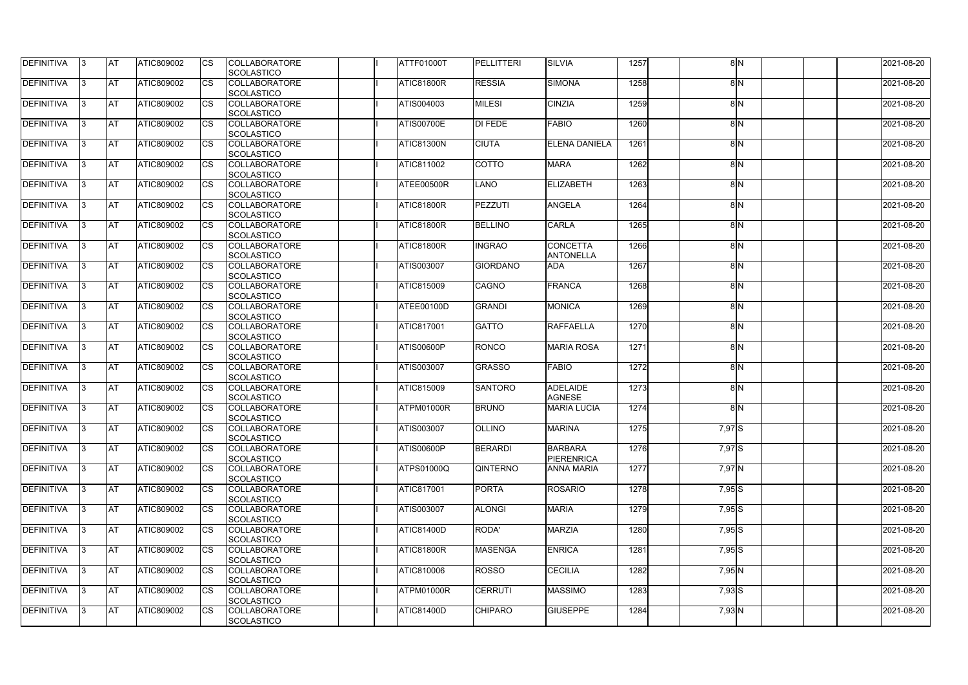| <b>DEFINITIVA</b> | 13  | IAT        | ATIC809002        | <b>CS</b>   | <b>COLLABORATORE</b><br><b>SCOLASTICO</b> | ATTF01000T        | <b>PELLITTERI</b> | <b>SILVIA</b>                       | 1257 |          | 8 N | 2021-08-20 |
|-------------------|-----|------------|-------------------|-------------|-------------------------------------------|-------------------|-------------------|-------------------------------------|------|----------|-----|------------|
| DEFINITIVA        | I3  | <b>AT</b>  | <b>ATIC809002</b> | <b>CS</b>   | <b>COLLABORATORE</b>                      | ATIC81800R        | <b>RESSIA</b>     | <b>SIMONA</b>                       | 1258 |          | 8N  | 2021-08-20 |
| DEFINITIVA        | 13  | IAT        | ATIC809002        | <b>I</b> cs | <b>SCOLASTICO</b><br><b>COLLABORATORE</b> | ATIS004003        | <b>MILESI</b>     | <b>CINZIA</b>                       | 1259 |          | 8N  | 2021-08-20 |
|                   |     |            |                   |             | <b>SCOLASTICO</b>                         |                   |                   |                                     |      |          |     |            |
| DEFINITIVA        |     | <b>AT</b>  | <b>ATIC809002</b> | <b>CS</b>   | <b>COLLABORATORE</b><br>SCOLASTICO        | ATIS00700E        | DI FEDE           | <b>FABIO</b>                        | 1260 |          | 8N  | 2021-08-20 |
| DEFINITIVA        |     | <b>AT</b>  | ATIC809002        | <b>CS</b>   | <b>COLLABORATORE</b>                      | ATIC81300N        | <b>CIUTA</b>      | <b>ELENA DANIELA</b>                | 1261 |          | 8N  | 2021-08-20 |
|                   |     |            |                   |             | <b>SCOLASTICO</b>                         |                   |                   |                                     |      |          |     |            |
| <b>DEFINITIVA</b> | 13. | IAT        | ATIC809002        | <b>ICS</b>  | <b>COLLABORATORE</b><br><b>SCOLASTICO</b> | ATIC811002        | <b>COTTO</b>      | <b>MARA</b>                         | 1262 |          | 8N  | 2021-08-20 |
| DEFINITIVA        |     | lAT        | <b>ATIC809002</b> | Ics         | <b>COLLABORATORE</b><br><b>SCOLASTICO</b> | ATEE00500R        | <b>LANO</b>       | <b>ELIZABETH</b>                    | 1263 |          | 8 N | 2021-08-20 |
| DEFINITIVA        | 13  | ΙAΤ        | <b>ATIC809002</b> | <b>CS</b>   | <b>COLLABORATORE</b>                      | ATIC81800R        | <b>PEZZUTI</b>    | <b>ANGELA</b>                       | 1264 |          | 8N  | 2021-08-20 |
|                   |     |            |                   |             | <b>SCOLASTICO</b>                         |                   |                   |                                     |      |          |     |            |
| DEFINITIVA        | 13  | IAT        | ATIC809002        | <b>CS</b>   | <b>COLLABORATORE</b>                      | ATIC81800R        | <b>BELLINO</b>    | <b>CARLA</b>                        | 1265 |          | 8N  | 2021-08-20 |
| DEFINITIVA        |     | <b>AT</b>  | <b>ATIC809002</b> | <b>CS</b>   | SCOLASTICO<br><b>COLLABORATORE</b>        | ATIC81800R        | <b>INGRAO</b>     | <b>CONCETTA</b>                     | 1266 |          | 8N  | 2021-08-20 |
|                   |     |            |                   |             | SCOLASTICO                                |                   |                   | <b>ANTONELLA</b>                    |      |          |     |            |
| DEFINITIVA        |     | <b>AT</b>  | ATIC809002        | <b>ICS</b>  | <b>COLLABORATORE</b>                      | ATIS003007        | <b>GIORDANO</b>   | <b>ADA</b>                          | 1267 |          | 8N  | 2021-08-20 |
|                   |     |            |                   |             | <b>SCOLASTICO</b>                         |                   |                   |                                     |      |          |     |            |
| <b>DEFINITIVA</b> | 13. | <b>AT</b>  | ATIC809002        | <b>ICS</b>  | <b>COLLABORATORE</b><br><b>SCOLASTICO</b> | ATIC815009        | CAGNO             | <b>FRANCA</b>                       | 1268 |          | 8N  | 2021-08-20 |
| DEFINITIVA        |     | lAT        | ATIC809002        |             | <b>COLLABORATORE</b>                      | ATEE00100D        | <b>GRANDI</b>     | <b>MONICA</b>                       | 1269 |          | 8N  | 2021-08-20 |
| DEFINITIVA        | IЗ  | <b>AT</b>  | <b>ATIC809002</b> | <b>ICS</b>  | <b>SCOLASTICO</b><br><b>COLLABORATORE</b> | ATIC817001        | <b>GATTO</b>      | <b>RAFFAELLA</b>                    | 1270 |          | 8N  | 2021-08-20 |
|                   |     |            |                   |             | <b>SCOLASTICO</b>                         |                   |                   |                                     |      |          |     |            |
| DEFINITIVA        |     | IAT        | ATIC809002        | <b>ICS</b>  | <b>COLLABORATORE</b><br><b>SCOLASTICO</b> | ATIS00600P        | <b>RONCO</b>      | <b>MARIA ROSA</b>                   | 1271 |          | 8N  | 2021-08-20 |
| DEFINITIVA        |     | <b>AT</b>  | <b>ATIC809002</b> | <b>CS</b>   | <b>COLLABORATORE</b>                      | <b>ATIS003007</b> | <b>GRASSO</b>     | <b>FABIO</b>                        | 1272 |          | 8N  | 2021-08-20 |
|                   |     |            |                   |             | SCOLASTICO                                |                   |                   |                                     |      |          |     |            |
| DEFINITIVA        |     | <b>AT</b>  | ATIC809002        | <b>CS</b>   | <b>COLLABORATORE</b>                      | ATIC815009        | <b>SANTORO</b>    | <b>ADELAIDE</b>                     | 1273 |          | 8N  | 2021-08-20 |
| DEFINITIVA        |     | AT         | ATIC809002        | <b>CS</b>   | SCOLASTICO<br><b>COLLABORATORE</b>        | ATPM01000R        | <b>BRUNO</b>      | <b>AGNESE</b><br><b>MARIA LUCIA</b> | 1274 |          | 8N  | 2021-08-20 |
|                   |     |            |                   |             | SCOLASTICO                                |                   |                   |                                     |      |          |     |            |
| DEFINITIVA        | 13. | IAT        | ATIC809002        | <b>CS</b>   | <b>COLLABORATORE</b>                      | ATIS003007        | <b>OLLINO</b>     | <b>MARINA</b>                       | 1275 | 7,97 S   |     | 2021-08-20 |
|                   |     |            | ATIC809002        | <b>CS</b>   | <b>SCOLASTICO</b>                         |                   | <b>BERARDI</b>    | <b>BARBARA</b>                      | 1276 | $7,97$ S |     |            |
| <b>DEFINITIVA</b> | 13  | <b>AT</b>  |                   |             | <b>COLLABORATORE</b><br><b>SCOLASTICO</b> | ATIS00600P        |                   | <b>PIERENRICA</b>                   |      |          |     | 2021-08-20 |
| <b>DEFINITIVA</b> | 13  | <b>AT</b>  | <b>ATIC809002</b> | <b>CS</b>   | <b>COLLABORATORE</b><br><b>SCOLASTICO</b> | <b>ATPS01000Q</b> | <b>QINTERNO</b>   | <b>ANNA MARIA</b>                   | 1277 | 7,97 N   |     | 2021-08-20 |
| DEFINITIVA        | 13  | <b>AT</b>  | <b>ATIC809002</b> | <b>CS</b>   | <b>COLLABORATORE</b>                      | ATIC817001        | <b>PORTA</b>      | <b>ROSARIO</b>                      | 1278 | $7,95$ S |     | 2021-08-20 |
|                   |     |            |                   |             | <b>SCOLASTICO</b>                         |                   |                   |                                     |      |          |     |            |
| <b>DEFINITIVA</b> | 13. | <b>AT</b>  | <b>ATIC809002</b> | <b>CS</b>   | <b>COLLABORATORE</b><br>SCOLASTICO        | <b>ATIS003007</b> | <b>ALONGI</b>     | <b>MARIA</b>                        | 1279 | $7,95$ S |     | 2021-08-20 |
| <b>DEFINITIVA</b> | 13. | <b>AT</b>  | ATIC809002        | <b>CS</b>   | <b>COLLABORATORE</b>                      | <b>ATIC81400D</b> | RODA'             | <b>MARZIA</b>                       | 1280 | $7,95$ S |     | 2021-08-20 |
|                   |     |            |                   |             | SCOLASTICO                                |                   |                   |                                     |      |          |     |            |
| <b>DEFINITIVA</b> | 13. | <b>IAT</b> | ATIC809002        | <b>CS</b>   | <b>COLLABORATORE</b><br><b>SCOLASTICO</b> | <b>ATIC81800R</b> | <b>MASENGA</b>    | <b>ENRICA</b>                       | 1281 | $7,95$ S |     | 2021-08-20 |
| <b>DEFINITIVA</b> | 13  | <b>AT</b>  | ATIC809002        | <b>ICS</b>  | <b>COLLABORATORE</b>                      | ATIC810006        | <b>ROSSO</b>      | <b>CECILIA</b>                      | 1282 | 7,95 N   |     | 2021-08-20 |
|                   |     |            |                   |             | SCOLASTICO                                |                   |                   |                                     |      |          |     |            |
| DEFINITIVA        | 13  | IAT        | <b>ATIC809002</b> | <b>CS</b>   | <b>COLLABORATORE</b><br>SCOLASTICO        | ATPM01000R        | <b>CERRUTI</b>    | <b>MASSIMO</b>                      | 1283 | $7,93$ S |     | 2021-08-20 |
| DEFINITIVA        | 13  | <b>AT</b>  | ATIC809002        | <b>CS</b>   | <b>COLLABORATORE</b>                      | ATIC81400D        | <b>CHIPARO</b>    | <b>GIUSEPPE</b>                     | 1284 | $7,93$ N |     | 2021-08-20 |
|                   |     |            |                   |             | SCOLASTICO                                |                   |                   |                                     |      |          |     |            |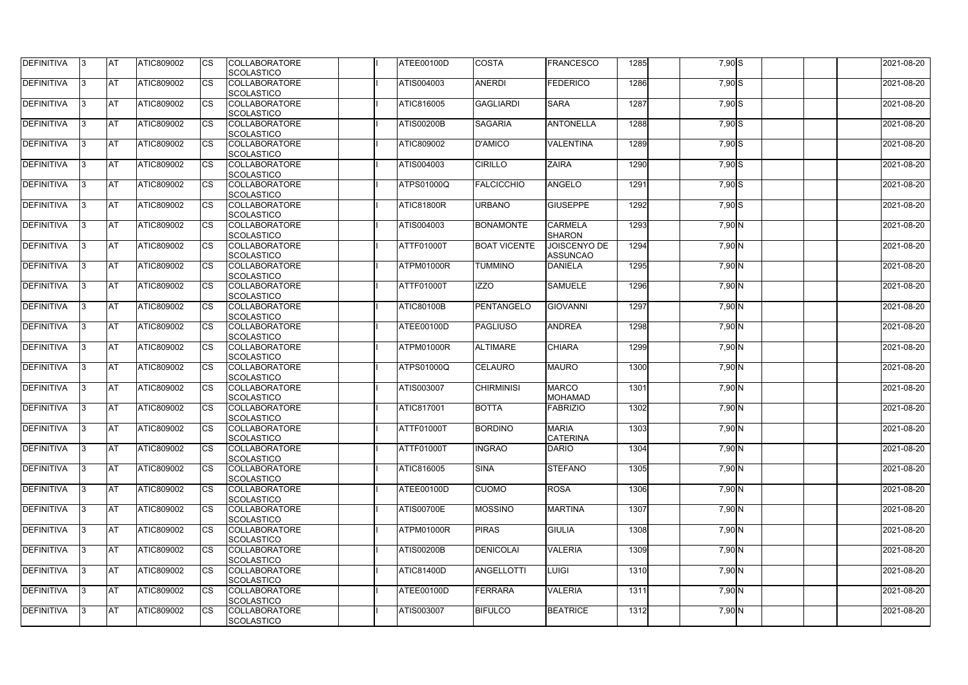| <b>DEFINITIVA</b> | 13  | <b>AT</b> | ATIC809002        | Ics                    | <b>COLLABORATORE</b><br><b>SCOLASTICO</b> | ATEE00100D        | <b>COSTA</b>        | <b>FRANCESCO</b>                       | 1285 | 7,90 S   | 2021-08-20 |
|-------------------|-----|-----------|-------------------|------------------------|-------------------------------------------|-------------------|---------------------|----------------------------------------|------|----------|------------|
| <b>DEFINITIVA</b> |     | <b>AT</b> | ATIC809002        | Ics                    | <b>COLLABORATORE</b><br><b>SCOLASTICO</b> | ATIS004003        | <b>ANERDI</b>       | FEDERICO                               | 1286 | $7,90$ S | 2021-08-20 |
| DEFINITIVA        |     | <b>AT</b> | ATIC809002        | Ics                    | <b>COLLABORATORE</b><br><b>SCOLASTICO</b> | ATIC816005        | <b>GAGLIARDI</b>    | <b>SARA</b>                            | 1287 | 7,90 S   | 2021-08-20 |
| DEFINITIVA        | ıз  | <b>AT</b> | ATIC809002        | <b>CS</b>              | <b>COLLABORATORE</b><br><b>SCOLASTICO</b> | <b>ATIS00200B</b> | <b>SAGARIA</b>      | <b>ANTONELLA</b>                       | 1288 | 7,90 S   | 2021-08-20 |
| DEFINITIVA        |     | <b>AT</b> | ATIC809002        | <b>CS</b>              | <b>COLLABORATORE</b><br><b>SCOLASTICO</b> | ATIC809002        | <b>D'AMICO</b>      | <b>VALENTINA</b>                       | 1289 | 7,90 S   | 2021-08-20 |
| <b>DEFINITIVA</b> |     | <b>AT</b> | ATIC809002        | Ics                    | <b>COLLABORATORE</b><br><b>SCOLASTICO</b> | ATIS004003        | <b>CIRILLO</b>      | <b>ZAIRA</b>                           | 1290 | $7,90$ S | 2021-08-20 |
| DEFINITIVA        | ıз  | <b>AT</b> | <b>ATIC809002</b> | Ics                    | <b>COLLABORATORE</b><br><b>SCOLASTICO</b> | ATPS01000Q        | <b>FALCICCHIO</b>   | <b>ANGELO</b>                          | 1291 | $7,90$ S | 2021-08-20 |
| <b>DEFINITIVA</b> |     | AT        | ATIC809002        | <b>CS</b>              | <b>COLLABORATORE</b><br><b>SCOLASTICO</b> | <b>ATIC81800R</b> | <b>URBANO</b>       | <b>GIUSEPPE</b>                        | 1292 | $7,90$ S | 2021-08-20 |
| DEFINITIVA        |     | <b>AT</b> | ATIC809002        | <b>CS</b>              | <b>COLLABORATORE</b><br><b>SCOLASTICO</b> | ATIS004003        | <b>BONAMONTE</b>    | <b>CARMELA</b><br><b>SHARON</b>        | 1293 | $7,90$ N | 2021-08-20 |
| DEFINITIVA        |     | <b>AT</b> | ATIC809002        | $\overline{\text{cs}}$ | <b>COLLABORATORE</b><br>SCOLASTICO        | ATTF01000T        | <b>BOAT VICENTE</b> | <b>JOISCENYO DE</b><br><b>ASSUNCAO</b> | 1294 | 7,90 N   | 2021-08-20 |
| <b>DEFINITIVA</b> |     | <b>AT</b> | ATIC809002        | <b>CS</b>              | <b>COLLABORATORE</b><br><b>SCOLASTICO</b> | ATPM01000R        | <b>TUMMINO</b>      | <b>DANIELA</b>                         | 1295 | 7,90 N   | 2021-08-20 |
| <b>DEFINITIVA</b> |     | <b>AT</b> | ATIC809002        | <b>CS</b>              | <b>COLLABORATORE</b><br><b>SCOLASTICO</b> | ATTF01000T        | <b>IZZO</b>         | <b>SAMUELE</b>                         | 1296 | $7,90$ N | 2021-08-20 |
| <b>DEFINITIVA</b> | l3  | <b>AT</b> | ATIC809002        |                        | <b>COLLABORATORE</b><br><b>SCOLASTICO</b> | <b>ATIC80100B</b> | <b>PENTANGELO</b>   | <b>GIOVANNI</b>                        | 1297 | 7,90 N   | 2021-08-20 |
| <b>DEFINITIVA</b> |     | <b>AT</b> | ATIC809002        | Ics                    | <b>COLLABORATORE</b><br><b>SCOLASTICO</b> | ATEE00100D        | <b>PAGLIUSO</b>     | <b>ANDREA</b>                          | 1298 | 7,90 N   | 2021-08-20 |
| DEFINITIVA        | R   | <b>AT</b> | ATIC809002        | <b>CS</b>              | <b>COLLABORATORE</b><br><b>SCOLASTICO</b> | ATPM01000R        | <b>ALTIMARE</b>     | <b>CHIARA</b>                          | 1299 | 7,90 N   | 2021-08-20 |
| DEFINITIVA        |     | <b>AT</b> | ATIC809002        | Ics                    | <b>COLLABORATORE</b><br><b>SCOLASTICO</b> | <b>ATPS01000Q</b> | <b>CELAURO</b>      | <b>MAURO</b>                           | 1300 | 7,90 N   | 2021-08-20 |
| <b>DEFINITIVA</b> |     | <b>AT</b> | ATIC809002        | <b>CS</b>              | <b>COLLABORATORE</b><br><b>SCOLASTICO</b> | ATIS003007        | <b>CHIRMINISI</b>   | <b>MARCO</b><br><b>MOHAMAD</b>         | 1301 | $7,90$ N | 2021-08-20 |
| DEFINITIVA        |     | <b>AT</b> | ATIC809002        | <b>CS</b>              | <b>COLLABORATORE</b><br>SCOLASTICO        | ATIC817001        | <b>BOTTA</b>        | FABRIZIO                               | 1302 | 7,90 N   | 2021-08-20 |
| DEFINITIVA        | 13. | <b>AT</b> | ATIC809002        |                        | <b>COLLABORATORE</b><br><b>SCOLASTICO</b> | <b>ATTF01000T</b> | <b>BORDINO</b>      | <b>MARIA</b><br><b>CATERINA</b>        | 1303 | $7,90$ N | 2021-08-20 |
| DEFINITIVA        | IЗ  | <b>AT</b> | <b>ATIC809002</b> | Ics                    | <b>COLLABORATORE</b><br><b>SCOLASTICO</b> | ATTF01000T        | <b>INGRAO</b>       | <b>DARIO</b>                           | 1304 | $7,90$ N | 2021-08-20 |
| <b>DEFINITIVA</b> | I3  | <b>AT</b> | ATIC809002        | Ics                    | <b>COLLABORATORE</b><br><b>SCOLASTICO</b> | ATIC816005        | <b>SINA</b>         | <b>STEFANO</b>                         | 1305 | 7,90 N   | 2021-08-20 |
| DEFINITIVA        |     | <b>AT</b> | ATIC809002        | Ics                    | <b>COLLABORATORE</b><br><b>SCOLASTICO</b> | ATEE00100D        | <b>CUOMO</b>        | <b>ROSA</b>                            | 1306 | 7,90 N   | 2021-08-20 |
| <b>DEFINITIVA</b> |     | <b>AT</b> | ATIC809002        | <b>CS</b>              | <b>COLLABORATORE</b><br><b>SCOLASTICO</b> | <b>ATIS00700E</b> | <b>MOSSINO</b>      | <b>MARTINA</b>                         | 1307 | $7,90$ N | 2021-08-20 |
| <b>DEFINITIVA</b> | ıз  | <b>AT</b> | ATIC809002        | Ics                    | <b>COLLABORATORE</b><br><b>SCOLASTICO</b> | ATPM01000R        | <b>PIRAS</b>        | <b>GIULIA</b>                          | 1308 | 7,90 N   | 2021-08-20 |
| <b>DEFINITIVA</b> |     | <b>AT</b> | ATIC809002        | Ics                    | <b>COLLABORATORE</b><br><b>SCOLASTICO</b> | <b>ATIS00200B</b> | <b>DENICOLAI</b>    | <b>VALERIA</b>                         | 1309 | 7,90 N   | 2021-08-20 |
| DEFINITIVA        | ıз  | <b>AT</b> | ATIC809002        | Ics                    | <b>COLLABORATORE</b><br><b>SCOLASTICO</b> | <b>ATIC81400D</b> | ANGELLOTTI          | LUIGI                                  | 1310 | 7,90 N   | 2021-08-20 |
| <b>DEFINITIVA</b> | 13  | <b>AT</b> | <b>ATIC809002</b> | <b>ICS</b>             | <b>COLLABORATORE</b><br><b>SCOLASTICO</b> | ATEE00100D        | <b>FERRARA</b>      | <b>VALERIA</b>                         | 1311 | 7,90 N   | 2021-08-20 |
| DEFINITIVA        |     | <b>AT</b> | ATIC809002        | Ics                    | <b>COLLABORATORE</b><br><b>SCOLASTICO</b> | ATIS003007        | <b>BIFULCO</b>      | <b>BEATRICE</b>                        | 1312 | 7,90 N   | 2021-08-20 |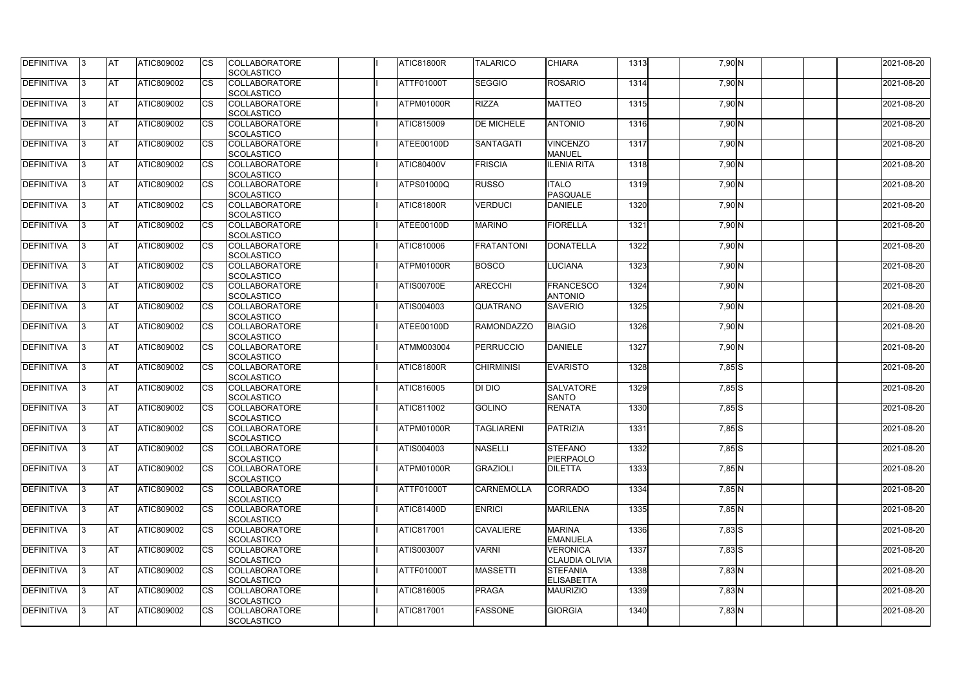| <b>DEFINITIVA</b> | 13  | IAT        | <b>ATIC809002</b> | <b>I</b> CS | <b>COLLABORATORE</b><br><b>SCOLASTICO</b> | <b>ATIC81800R</b> | <b>TALARICO</b>   | <b>CHIARA</b>                            | 1313 | 7,90 N   | 2021-08-20 |
|-------------------|-----|------------|-------------------|-------------|-------------------------------------------|-------------------|-------------------|------------------------------------------|------|----------|------------|
| DEFINITIVA        |     | <b>AT</b>  | ATIC809002        | Ics         | <b>COLLABORATORE</b><br><b>SCOLASTICO</b> | ATTF01000T        | <b>SEGGIO</b>     | <b>ROSARIO</b>                           | 1314 | 7,90 N   | 2021-08-20 |
| DEFINITIVA        |     | <b>AT</b>  | ATIC809002        | Ics         | <b>COLLABORATORE</b><br><b>SCOLASTICO</b> | ATPM01000R        | <b>RIZZA</b>      | <b>MATTEO</b>                            | 1315 | 7,90 N   | 2021-08-20 |
| DEFINITIVA        | 13  | <b>AT</b>  | ATIC809002        | Ics         | <b>COLLABORATORE</b><br><b>SCOLASTICO</b> | ATIC815009        | <b>DE MICHELE</b> | <b>ANTONIO</b>                           | 1316 | 7,90 N   | 2021-08-20 |
| DEFINITIVA        |     | <b>AT</b>  | ATIC809002        | Ics         | <b>COLLABORATORE</b><br><b>SCOLASTICO</b> | ATEE00100D        | SANTAGATI         | <b>VINCENZO</b><br><b>MANUEL</b>         | 1317 | 7,90 N   | 2021-08-20 |
| <b>DEFINITIVA</b> |     | <b>IAT</b> | ATIC809002        | Ics         | <b>COLLABORATORE</b><br><b>SCOLASTICO</b> | <b>ATIC80400V</b> | <b>FRISCIA</b>    | <b>ILENIA RITA</b>                       | 1318 | 7,90 N   | 2021-08-20 |
| DEFINITIVA        | 13. | <b>AT</b>  | ATIC809002        | Ics         | <b>COLLABORATORE</b><br><b>SCOLASTICO</b> | ATPS01000Q        | <b>RUSSO</b>      | <b>ITALO</b><br><b>PASQUALE</b>          | 1319 | 7,90 N   | 2021-08-20 |
| <b>DEFINITIVA</b> |     | <b>AT</b>  | ATIC809002        | Ics         | <b>COLLABORATORE</b><br><b>SCOLASTICO</b> | <b>ATIC81800R</b> | <b>VERDUCI</b>    | <b>DANIELE</b>                           | 1320 | $7,90$ N | 2021-08-20 |
| <b>DEFINITIVA</b> | l3  | <b>AT</b>  | ATIC809002        | <b>ICS</b>  | <b>COLLABORATORE</b><br><b>SCOLASTICO</b> | <b>ATEE00100D</b> | <b>MARINO</b>     | <b>FIORELLA</b>                          | 1321 | 7,90 N   | 2021-08-20 |
| DEFINITIVA        |     | <b>AT</b>  | ATIC809002        | <b>ICS</b>  | <b>COLLABORATORE</b><br><b>SCOLASTICO</b> | ATIC810006        | <b>FRATANTONI</b> | <b>DONATELLA</b>                         | 1322 | 7,90 N   | 2021-08-20 |
| <b>DEFINITIVA</b> |     | <b>AT</b>  | ATIC809002        | Ics         | <b>COLLABORATORE</b><br><b>SCOLASTICO</b> | ATPM01000R        | <b>BOSCO</b>      | <b>LUCIANA</b>                           | 1323 | $7,90$ N | 2021-08-20 |
| <b>DEFINITIVA</b> |     | <b>AT</b>  | ATIC809002        | <b>ICS</b>  | <b>COLLABORATORE</b><br><b>SCOLASTICO</b> | <b>ATIS00700E</b> | <b>ARECCHI</b>    | <b>FRANCESCO</b><br><b>ANTONIO</b>       | 1324 | 7,90 N   | 2021-08-20 |
| DEFINITIVA        | 13. | <b>AT</b>  | ATIC809002        | Ics         | <b>COLLABORATORE</b><br><b>SCOLASTICO</b> | ATIS004003        | QUATRANO          | <b>SAVERIO</b>                           | 1325 | 7,90 N   | 2021-08-20 |
| DEFINITIVA        | l3  | <b>AT</b>  | ATIC809002        | Ics         | <b>COLLABORATORE</b><br><b>SCOLASTICO</b> | ATEE00100D        | <b>RAMONDAZZO</b> | <b>BIAGIO</b>                            | 1326 | 7,90 N   | 2021-08-20 |
| <b>DEFINITIVA</b> | IЗ  | <b>IAT</b> | ATIC809002        | Ics         | <b>COLLABORATORE</b><br><b>SCOLASTICO</b> | ATMM003004        | <b>PERRUCCIO</b>  | DANIELE                                  | 1327 | $7,90$ N | 2021-08-20 |
| DEFINITIVA        |     | <b>AT</b>  | ATIC809002        | Ics         | <b>COLLABORATORE</b><br><b>SCOLASTICO</b> | ATIC81800R        | <b>CHIRMINISI</b> | <b>EVARISTO</b>                          | 1328 | $7,85$ S | 2021-08-20 |
| DEFINITIVA        | 13. | <b>AT</b>  | ATIC809002        | Ics         | <b>COLLABORATORE</b><br><b>SCOLASTICO</b> | ATIC816005        | DI DIO            | <b>SALVATORE</b><br><b>SANTO</b>         | 1329 | $7,85$ S | 2021-08-20 |
| DEFINITIVA        |     | <b>AT</b>  | ATIC809002        | Ics         | <b>COLLABORATORE</b><br><b>SCOLASTICO</b> | ATIC811002        | <b>GOLINO</b>     | <b>RENATA</b>                            | 1330 | $7,85$ S | 2021-08-20 |
| <b>DEFINITIVA</b> | 13. | <b>AT</b>  | <b>ATIC809002</b> | Ics         | <b>COLLABORATORE</b><br><b>SCOLASTICO</b> | ATPM01000R        | <b>TAGLIARENI</b> | PATRIZIA                                 | 1331 | $7,85$ S | 2021-08-20 |
| <b>DEFINITIVA</b> | 13  | <b>AT</b>  | ATIC809002        | <b>I</b> CS | <b>COLLABORATORE</b><br><b>SCOLASTICO</b> | ATIS004003        | <b>NASELLI</b>    | <b>STEFANO</b><br>PIERPAOLO              | 1332 | $7,85$ S | 2021-08-20 |
| <b>DEFINITIVA</b> | 13. | <b>IAT</b> | ATIC809002        | <b>ICS</b>  | <b>COLLABORATORE</b><br><b>SCOLASTICO</b> | ATPM01000R        | GRAZIOLI          | <b>DILETTA</b>                           | 1333 | $7,85$ N | 2021-08-20 |
| <b>DEFINITIVA</b> | IЗ  | <b>AT</b>  | ATIC809002        | Ics         | <b>COLLABORATORE</b><br><b>SCOLASTICO</b> | ATTF01000T        | <b>CARNEMOLLA</b> | <b>CORRADO</b>                           | 1334 | $7,85$ N | 2021-08-20 |
| <b>DEFINITIVA</b> | 13. | <b>AT</b>  | ATIC809002        | <b>CS</b>   | <b>COLLABORATORE</b><br><b>SCOLASTICO</b> | <b>ATIC81400D</b> | <b>ENRICI</b>     | <b>MARILENA</b>                          | 1335 | $7,85$ N | 2021-08-20 |
| <b>DEFINITIVA</b> | 13. | <b>AT</b>  | ATIC809002        | <b>ICS</b>  | <b>COLLABORATORE</b><br><b>SCOLASTICO</b> | ATIC817001        | <b>CAVALIERE</b>  | <b>MARINA</b><br><b>EMANUELA</b>         | 1336 | $7,83$ S | 2021-08-20 |
| <b>DEFINITIVA</b> | 13. | <b>AT</b>  | ATIC809002        | Ics         | <b>COLLABORATORE</b><br><b>SCOLASTICO</b> | ATIS003007        | <b>VARNI</b>      | <b>VERONICA</b><br><b>CLAUDIA OLIVIA</b> | 1337 | $7,83$ S | 2021-08-20 |
| DEFINITIVA        | 13. | <b>AT</b>  | ATIC809002        | Ics         | <b>COLLABORATORE</b><br><b>SCOLASTICO</b> | ATTF01000T        | <b>MASSETTI</b>   | <b>STEFANIA</b><br><b>ELISABETTA</b>     | 1338 | $7,83$ N | 2021-08-20 |
| <b>DEFINITIVA</b> | 13. | <b>AT</b>  | ATIC809002        | ICS         | <b>COLLABORATORE</b><br><b>SCOLASTICO</b> | ATIC816005        | <b>PRAGA</b>      | <b>MAURIZIO</b>                          | 1339 | $7,83$ N | 2021-08-20 |
| DEFINITIVA        |     | <b>AT</b>  | <b>ATIC809002</b> | Ics         | <b>COLLABORATORE</b><br><b>SCOLASTICO</b> | ATIC817001        | <b>FASSONE</b>    | <b>GIORGIA</b>                           | 1340 | $7,83$ N | 2021-08-20 |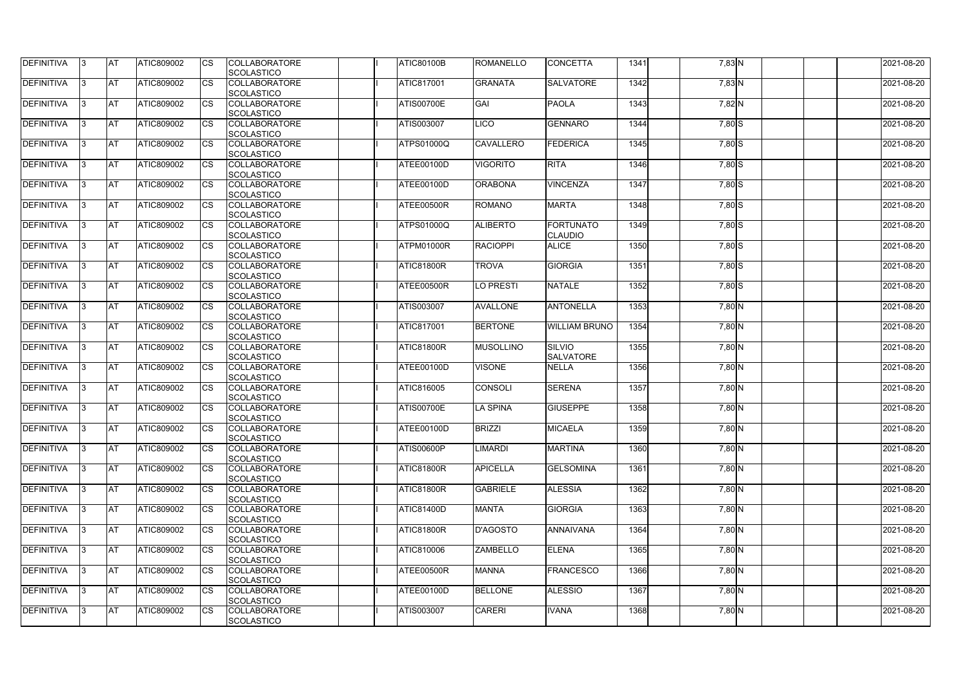| <b>DEFINITIVA</b> | IЗ  | <b>AT</b>  | <b>ATIC809002</b> | <b>CS</b> | <b>COLLABORATORE</b><br>SCOLASTICO        | <b>ATIC80100B</b> | <b>ROMANELLO</b> | <b>CONCETTA</b>                   | 1341 | 7,83 N   | 2021-08-20 |
|-------------------|-----|------------|-------------------|-----------|-------------------------------------------|-------------------|------------------|-----------------------------------|------|----------|------------|
| <b>DEFINITIVA</b> | R   | <b>AT</b>  | ATIC809002        | <b>CS</b> | <b>COLLABORATORE</b><br><b>SCOLASTICO</b> | <b>ATIC817001</b> | <b>GRANATA</b>   | <b>SALVATORE</b>                  | 1342 | 7,83 N   | 2021-08-20 |
| <b>DEFINITIVA</b> | R   | <b>AT</b>  | ATIC809002        | CS        | <b>COLLABORATORE</b><br>SCOLASTICO        | <b>ATIS00700E</b> | GAI              | PAOLA                             | 1343 | 7,82 N   | 2021-08-20 |
| <b>DEFINITIVA</b> |     | <b>AT</b>  | ATIC809002        | <b>CS</b> | <b>COLLABORATORE</b><br>SCOLASTICO        | ATIS003007        | <b>ICO</b>       | <b>GENNARO</b>                    | 1344 | $7,80$ S | 2021-08-20 |
| <b>DEFINITIVA</b> |     | <b>AT</b>  | ATIC809002        | CS        | <b>COLLABORATORE</b><br>SCOLASTICO        | <b>ATPS01000Q</b> | <b>CAVALLERO</b> | FEDERICA                          | 1345 | 7,80 S   | 2021-08-20 |
| <b>DEFINITIVA</b> |     | <b>IAT</b> | ATIC809002        | <b>CS</b> | <b>COLLABORATORE</b><br><b>SCOLASTICO</b> | ATEE00100D        | <b>VIGORITO</b>  | <b>RITA</b>                       | 1346 | $7,80$ S | 2021-08-20 |
| DEFINITIVA        |     | <b>AT</b>  | ATIC809002        | <b>CS</b> | <b>COLLABORATORE</b><br>SCOLASTICO        | ATEE00100D        | <b>ORABONA</b>   | <b>VINCENZA</b>                   | 1347 | $7,80$ S | 2021-08-20 |
| <b>DEFINITIVA</b> | ß   | <b>AT</b>  | ATIC809002        | CS        | <b>COLLABORATORE</b><br><b>SCOLASTICO</b> | ATEE00500R        | <b>ROMANO</b>    | <b>MARTA</b>                      | 1348 | $7,80$ S | 2021-08-20 |
| <b>DEFINITIVA</b> | R   | <b>AT</b>  | ATIC809002        | <b>CS</b> | <b>COLLABORATORE</b><br><b>SCOLASTICO</b> | <b>ATPS01000Q</b> | <b>ALIBERTO</b>  | FORTUNATO<br><b>CLAUDIO</b>       | 1349 | $7,80$ S | 2021-08-20 |
| <b>DEFINITIVA</b> |     | <b>AT</b>  | ATIC809002        | <b>CS</b> | <b>COLLABORATORE</b><br><b>SCOLASTICO</b> | ATPM01000R        | <b>RACIOPPI</b>  | <b>ALICE</b>                      | 1350 | 7,80 S   | 2021-08-20 |
| <b>DEFINITIVA</b> |     | <b>AT</b>  | ATIC809002        | <b>CS</b> | <b>COLLABORATORE</b><br>SCOLASTICO        | ATIC81800R        | <b>TROVA</b>     | <b>GIORGIA</b>                    | 1351 | 7,80 S   | 2021-08-20 |
| <b>DEFINITIVA</b> | R   | <b>AT</b>  | ATIC809002        | <b>CS</b> | <b>COLLABORATORE</b><br>SCOLASTICO        | ATEE00500R        | <b>LO PRESTI</b> | <b>NATALE</b>                     | 1352 | $7,80$ S | 2021-08-20 |
| DEFINITIVA        |     | <b>AT</b>  | ATIC809002        | <b>CS</b> | <b>COLLABORATORE</b><br><b>SCOLASTICO</b> | <b>ATIS003007</b> | <b>AVALLONE</b>  | <b>ANTONELLA</b>                  | 1353 | $7,80$ N | 2021-08-20 |
| DEFINITIVA        | З   | <b>AT</b>  | ATIC809002        | CS        | <b>COLLABORATORE</b><br><b>SCOLASTICO</b> | <b>ATIC817001</b> | <b>BERTONE</b>   | <b>WILLIAM BRUNO</b>              | 1354 | 7,80 N   | 2021-08-20 |
| <b>DEFINITIVA</b> | R   | <b>AT</b>  | ATIC809002        | CS        | <b>COLLABORATORE</b><br><b>SCOLASTICO</b> | <b>ATIC81800R</b> | <b>MUSOLLINO</b> | <b>SILVIO</b><br><b>SALVATORE</b> | 1355 | 7,80 N   | 2021-08-20 |
| <b>DEFINITIVA</b> |     | <b>AT</b>  | ATIC809002        | <b>CS</b> | <b>COLLABORATORE</b><br><b>SCOLASTICO</b> | ATEE00100D        | <b>VISONE</b>    | <b>NELLA</b>                      | 1356 | 7,80 N   | 2021-08-20 |
| <b>DEFINITIVA</b> |     | <b>AT</b>  | ATIC809002        | CS        | <b>COLLABORATORE</b><br><b>SCOLASTICO</b> | ATIC816005        | CONSOLI          | <b>SERENA</b>                     | 1357 | 7,80 N   | 2021-08-20 |
| <b>DEFINITIVA</b> |     | <b>AT</b>  | ATIC809002        | CS        | <b>COLLABORATORE</b><br>SCOLASTICO        | <b>ATIS00700E</b> | <b>LA SPINA</b>  | <b>GIUSEPPE</b>                   | 1358 | 7,80 N   | 2021-08-20 |
| <b>DEFINITIVA</b> | 13. | <b>AT</b>  | ATIC809002        | <b>CS</b> | <b>COLLABORATORE</b><br>SCOLASTICO        | ATEE00100D        | <b>BRIZZI</b>    | <b>MICAELA</b>                    | 1359 | 7,80 N   | 2021-08-20 |
| DEFINITIVA        | 3   | <b>AT</b>  | ATIC809002        | <b>CS</b> | <b>COLLABORATORE</b><br><b>SCOLASTICO</b> | <b>ATIS00600P</b> | <b>LIMARDI</b>   | <b>MARTINA</b>                    | 1360 | $7,80$ N | 2021-08-20 |
| <b>DEFINITIVA</b> | IЗ  | <b>AT</b>  | ATIC809002        | <b>CS</b> | <b>COLLABORATORE</b><br><b>SCOLASTICO</b> | <b>ATIC81800R</b> | <b>APICELLA</b>  | <b>GELSOMINA</b>                  | 1361 | 7,80 N   | 2021-08-20 |
| <b>DEFINITIVA</b> |     | <b>AT</b>  | ATIC809002        | <b>CS</b> | <b>COLLABORATORE</b><br><b>SCOLASTICO</b> | <b>ATIC81800R</b> | <b>GABRIELE</b>  | <b>ALESSIA</b>                    | 1362 | 7,80 N   | 2021-08-20 |
| <b>DEFINITIVA</b> |     | <b>AT</b>  | ATIC809002        | <b>CS</b> | <b>COLLABORATORE</b><br><b>SCOLASTICO</b> | <b>ATIC81400D</b> | <b>MANTA</b>     | <b>GIORGIA</b>                    | 1363 | 7,80 N   | 2021-08-20 |
| <b>DEFINITIVA</b> | IЗ  | <b>AT</b>  | ATIC809002        | <b>CS</b> | <b>COLLABORATORE</b><br><b>SCOLASTICO</b> | <b>ATIC81800R</b> | <b>D'AGOSTO</b>  | ANNAIVANA                         | 1364 | $7,80$ N | 2021-08-20 |
| <b>DEFINITIVA</b> | 3   | <b>AT</b>  | ATIC809002        | <b>CS</b> | <b>COLLABORATORE</b><br>SCOLASTICO        | ATIC810006        | <b>ZAMBELLO</b>  | <b>ELENA</b>                      | 1365 | 7,80 N   | 2021-08-20 |
| DEFINITIVA        | IЗ  | <b>AT</b>  | ATIC809002        | <b>CS</b> | <b>COLLABORATORE</b><br><b>SCOLASTICO</b> | ATEE00500R        | <b>MANNA</b>     | <b>FRANCESCO</b>                  | 1366 | 7,80 N   | 2021-08-20 |
| DEFINITIVA        | 13. | <b>AT</b>  | ATIC809002        | <b>CS</b> | <b>COLLABORATORE</b><br><b>SCOLASTICO</b> | ATEE00100D        | <b>BELLONE</b>   | <b>ALESSIO</b>                    | 1367 | $7,80$ N | 2021-08-20 |
| <b>DEFINITIVA</b> | ß.  | <b>AT</b>  | ATIC809002        | <b>CS</b> | <b>COLLABORATORE</b><br>SCOLASTICO        | ATIS003007        | <b>CARERI</b>    | <b>IVANA</b>                      | 1368 | 7,80 N   | 2021-08-20 |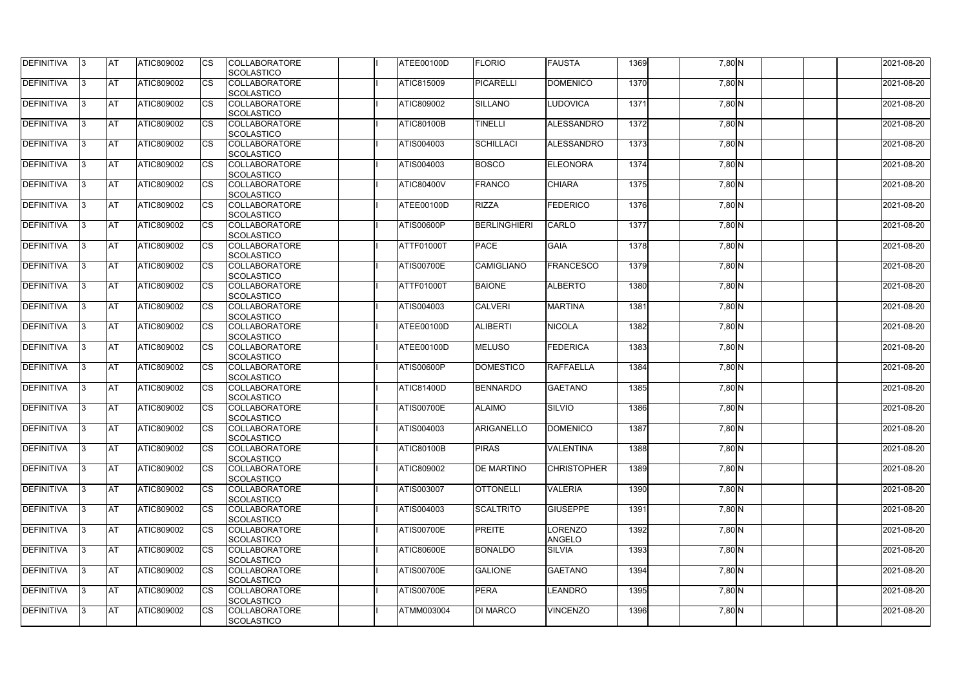| DEFINITIVA        | 13. | <b>JAT</b> | ATIC809002        | Ics        | <b>COLLABORATORE</b> | ATEE00100D        | <b>FLORIO</b>       | <b>FAUSTA</b>      | 1369 | 7,80 N   | 2021-08-20 |
|-------------------|-----|------------|-------------------|------------|----------------------|-------------------|---------------------|--------------------|------|----------|------------|
|                   |     |            |                   |            | <b>SCOLASTICO</b>    |                   |                     |                    |      |          |            |
| <b>DEFINITIVA</b> | l3  | <b>AT</b>  | ATIC809002        | Ics        | <b>COLLABORATORE</b> | ATIC815009        | PICARELLI           | <b>DOMENICO</b>    | 1370 | 7,80 N   | 2021-08-20 |
|                   |     |            |                   |            | <b>SCOLASTICO</b>    |                   |                     |                    |      |          |            |
| DEFINITIVA        | l3  | <b>AT</b>  | ATIC809002        | <b>CS</b>  | <b>COLLABORATORE</b> | ATIC809002        | <b>SILLANO</b>      | <b>LUDOVICA</b>    | 1371 | 7,80 N   | 2021-08-20 |
|                   |     |            |                   |            | <b>SCOLASTICO</b>    |                   |                     |                    |      |          |            |
| DEFINITIVA        |     | <b>AT</b>  | ATIC809002        | Ics        | <b>COLLABORATORE</b> | <b>ATIC80100B</b> | <b>TINELLI</b>      | ALESSANDRO         | 1372 | 7,80 N   | 2021-08-20 |
|                   |     |            |                   |            | <b>SCOLASTICO</b>    |                   |                     |                    |      |          |            |
| DEFINITIVA        |     | <b>AT</b>  | <b>ATIC809002</b> | <b>CS</b>  | <b>COLLABORATORE</b> | ATIS004003        | <b>SCHILLACI</b>    | ALESSANDRO         | 1373 | 7,80 N   | 2021-08-20 |
|                   |     |            |                   |            | <b>SCOLASTICO</b>    |                   |                     |                    |      |          |            |
| <b>DEFINITIVA</b> |     | AT         | <b>ATIC809002</b> | <b>ICS</b> | <b>COLLABORATORE</b> | ATIS004003        | <b>BOSCO</b>        | <b>ELEONORA</b>    | 1374 |          | 2021-08-20 |
|                   |     |            |                   |            |                      |                   |                     |                    |      | 7,80 N   |            |
|                   |     |            |                   |            | <b>SCOLASTICO</b>    |                   |                     |                    |      |          |            |
| DEFINITIVA        |     | <b>AT</b>  | ATIC809002        | Ics        | <b>COLLABORATORE</b> | <b>ATIC80400V</b> | <b>FRANCO</b>       | <b>CHIARA</b>      | 1375 | 7,80 N   | 2021-08-20 |
|                   |     |            |                   |            | <b>SCOLASTICO</b>    |                   |                     |                    |      |          |            |
| <b>DEFINITIVA</b> | ıз  | <b>AT</b>  | ATIC809002        | Ics        | <b>COLLABORATORE</b> | ATEE00100D        | <b>RIZZA</b>        | <b>FEDERICO</b>    | 1376 | $7,80$ N | 2021-08-20 |
|                   |     |            |                   |            | <b>SCOLASTICO</b>    |                   |                     |                    |      |          |            |
| DEFINITIVA        | I3  | <b>JAT</b> | ATIC809002        | <b>CS</b>  | <b>COLLABORATORE</b> | <b>ATIS00600P</b> | <b>BERLINGHIERI</b> | <b>CARLO</b>       | 1377 | 7,80 N   | 2021-08-20 |
|                   |     |            |                   |            | <b>SCOLASTICO</b>    |                   |                     |                    |      |          |            |
| <b>DEFINITIVA</b> |     | <b>AT</b>  | ATIC809002        | <b>CS</b>  | <b>COLLABORATORE</b> | ATTF01000T        | <b>PACE</b>         | <b>GAIA</b>        | 1378 | 7,80 N   | 2021-08-20 |
|                   |     |            |                   |            | <b>SCOLASTICO</b>    |                   |                     |                    |      |          |            |
| <b>DEFINITIVA</b> |     | AT         | ATIC809002        | <b>CS</b>  | <b>COLLABORATORE</b> | <b>ATIS00700E</b> | <b>CAMIGLIANO</b>   | <b>FRANCESCO</b>   | 1379 | 7,80 N   | 2021-08-20 |
|                   |     |            |                   |            | <b>SCOLASTICO</b>    |                   |                     |                    |      |          |            |
| DEFINITIVA        | I3  | <b>AT</b>  | ATIC809002        |            | <b>COLLABORATORE</b> | <b>ATTF01000T</b> | <b>BAIONE</b>       | <b>ALBERTO</b>     | 1380 | 7,80 N   | 2021-08-20 |
|                   |     |            |                   |            |                      |                   |                     |                    |      |          |            |
|                   |     |            |                   |            | <b>SCOLASTICO</b>    |                   |                     |                    |      |          |            |
| <b>DEFINITIVA</b> |     | <b>JAT</b> | ATIC809002        |            | <b>COLLABORATORE</b> | ATIS004003        | <b>CALVERI</b>      | <b>MARTINA</b>     | 1381 | 7,80 N   | 2021-08-20 |
|                   |     |            |                   |            | <b>SCOLASTICO</b>    |                   |                     |                    |      |          |            |
| <b>DEFINITIVA</b> |     | <b>AT</b>  | ATIC809002        | Ics        | <b>COLLABORATORE</b> | ATEE00100D        | <b>ALIBERTI</b>     | <b>NICOLA</b>      | 1382 | $7,80$ N | 2021-08-20 |
|                   |     |            |                   |            | <b>SCOLASTICO</b>    |                   |                     |                    |      |          |            |
| DEFINITIVA        | l3  | <b>AT</b>  | ATIC809002        | Ics        | <b>COLLABORATORE</b> | ATEE00100D        | <b>MELUSO</b>       | FEDERICA           | 1383 | 7,80 N   | 2021-08-20 |
|                   |     |            |                   |            | <b>SCOLASTICO</b>    |                   |                     |                    |      |          |            |
| DEFINITIVA        |     | <b>AT</b>  | ATIC809002        | <b>CS</b>  | <b>COLLABORATORE</b> | <b>ATIS00600P</b> | <b>DOMESTICO</b>    | <b>RAFFAELLA</b>   | 1384 | 7,80 N   | 2021-08-20 |
|                   |     |            |                   |            | <b>SCOLASTICO</b>    |                   |                     |                    |      |          |            |
| DEFINITIVA        |     | <b>AT</b>  | ATIC809002        | <b>CS</b>  | <b>COLLABORATORE</b> | <b>ATIC81400D</b> | <b>BENNARDO</b>     | <b>GAETANO</b>     | 1385 | $7,80$ N | 2021-08-20 |
|                   |     |            |                   |            | <b>SCOLASTICO</b>    |                   |                     |                    |      |          |            |
| <b>DEFINITIVA</b> |     | <b>AT</b>  | ATIC809002        | <b>CS</b>  | <b>COLLABORATORE</b> | <b>ATIS00700E</b> | <b>ALAIMO</b>       | <b>SILVIO</b>      | 1386 | 7,80 N   | 2021-08-20 |
|                   |     |            |                   |            | <b>SCOLASTICO</b>    |                   |                     |                    |      |          |            |
|                   |     | <b>AT</b>  | ATIC809002        |            | <b>COLLABORATORE</b> | ATIS004003        | <b>ARIGANELLO</b>   |                    |      |          |            |
| <b>DEFINITIVA</b> | 13. |            |                   |            |                      |                   |                     | <b>DOMENICO</b>    | 1387 | 7,80 N   | 2021-08-20 |
|                   |     |            |                   |            | <b>SCOLASTICO</b>    |                   |                     |                    |      |          |            |
| <b>DEFINITIVA</b> | 13  | AT         | <b>ATIC809002</b> | Ics        | <b>COLLABORATORE</b> | <b>ATIC80100B</b> | <b>PIRAS</b>        | <b>VALENTINA</b>   | 1388 | $7,80$ N | 2021-08-20 |
|                   |     |            |                   |            | <b>SCOLASTICO</b>    |                   |                     |                    |      |          |            |
| <b>DEFINITIVA</b> | l3  | <b>AT</b>  | ATIC809002        | Ics        | <b>COLLABORATORE</b> | ATIC809002        | <b>DE MARTINO</b>   | <b>CHRISTOPHER</b> | 1389 | 7,80 N   | 2021-08-20 |
|                   |     |            |                   |            | <b>SCOLASTICO</b>    |                   |                     |                    |      |          |            |
| DEFINITIVA        | I3  | <b>AT</b>  | ATIC809002        | Ics        | <b>COLLABORATORE</b> | ATIS003007        | <b>OTTONELLI</b>    | <b>VALERIA</b>     | 1390 | 7,80 N   | 2021-08-20 |
|                   |     |            |                   |            | <b>SCOLASTICO</b>    |                   |                     |                    |      |          |            |
| <b>DEFINITIVA</b> |     | <b>AT</b>  | ATIC809002        | Ics        | <b>COLLABORATORE</b> | ATIS004003        | <b>SCALTRITO</b>    | <b>GIUSEPPE</b>    | 1391 | $7,80$ N | 2021-08-20 |
|                   |     |            |                   |            | <b>SCOLASTICO</b>    |                   |                     |                    |      |          |            |
| <b>DEFINITIVA</b> |     | <b>AT</b>  | ATIC809002        | Ics        | <b>COLLABORATORE</b> | <b>ATIS00700E</b> | <b>PREITE</b>       | LORENZO            | 1392 | 7,80 N   | 2021-08-20 |
|                   |     |            |                   |            | <b>SCOLASTICO</b>    |                   |                     | <b>ANGELO</b>      |      |          |            |
| <b>DEFINITIVA</b> | ıз  | <b>AT</b>  | <b>ATIC809002</b> |            | <b>COLLABORATORE</b> | <b>ATIC80600E</b> | <b>BONALDO</b>      | <b>SILVIA</b>      | 1393 | 7,80 N   | 2021-08-20 |
|                   |     |            |                   |            | <b>SCOLASTICO</b>    |                   |                     |                    |      |          |            |
|                   |     |            |                   |            |                      |                   |                     |                    |      |          |            |
| <b>DEFINITIVA</b> | ıз  | <b>AT</b>  | ATIC809002        | Ics        | <b>COLLABORATORE</b> | <b>ATIS00700E</b> | <b>GALIONE</b>      | <b>GAETANO</b>     | 1394 | 7,80 N   | 2021-08-20 |
|                   |     |            |                   |            | <b>SCOLASTICO</b>    |                   |                     |                    |      |          |            |
| <b>DEFINITIVA</b> | ıз  | <b>AT</b>  | <b>ATIC809002</b> | <b>ICS</b> | <b>COLLABORATORE</b> | <b>ATIS00700E</b> | <b>PERA</b>         | <b>LEANDRO</b>     | 1395 | $7,80$ N | 2021-08-20 |
|                   |     |            |                   |            | <b>SCOLASTICO</b>    |                   |                     |                    |      |          |            |
| <b>DEFINITIVA</b> | I3  | <b>AT</b>  | ATIC809002        | Ics        | <b>COLLABORATORE</b> | ATMM003004        | <b>DI MARCO</b>     | <b>VINCENZO</b>    | 1396 | 7,80 N   | 2021-08-20 |
|                   |     |            |                   |            | SCOLASTICO           |                   |                     |                    |      |          |            |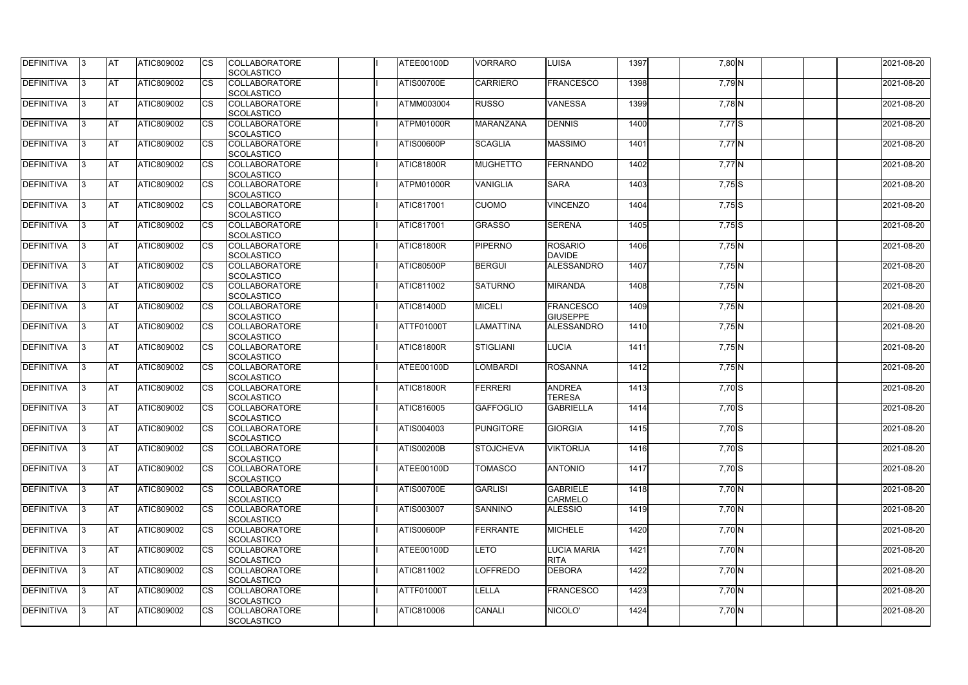| <b>DEFINITIVA</b> | IЗ  | <b>IAT</b> | <b>ATIC809002</b> | <b>CS</b>              | <b>COLLABORATORE</b> | ATEE00100D        | <b>VORRARO</b>   | <b>LUISA</b>       | 1397 | 7,80 N   | 2021-08-20 |
|-------------------|-----|------------|-------------------|------------------------|----------------------|-------------------|------------------|--------------------|------|----------|------------|
|                   |     |            |                   |                        | SCOLASTICO           |                   |                  |                    |      |          |            |
| DEFINITIVA        | ß.  | <b>AT</b>  | ATIC809002        | CS                     | <b>COLLABORATORE</b> | <b>ATIS00700E</b> | <b>CARRIERO</b>  | <b>FRANCESCO</b>   | 1398 | 7,79 N   | 2021-08-20 |
|                   |     |            |                   |                        | <b>SCOLASTICO</b>    |                   |                  |                    |      |          |            |
| DEFINITIVA        | ß.  | <b>AT</b>  | ATIC809002        | CS                     | <b>COLLABORATORE</b> | <b>ATMM003004</b> | <b>RUSSO</b>     | <b>VANESSA</b>     | 1399 | 7,78 N   | 2021-08-20 |
|                   |     |            |                   |                        | <b>SCOLASTICO</b>    |                   |                  |                    |      |          |            |
| <b>DEFINITIVA</b> |     | <b>AT</b>  | ATIC809002        | <b>CS</b>              | <b>COLLABORATORE</b> | ATPM01000R        | <b>MARANZANA</b> | <b>DENNIS</b>      | 1400 | 7,77S    | 2021-08-20 |
|                   |     |            |                   |                        | <b>SCOLASTICO</b>    |                   |                  |                    |      |          |            |
| <b>DEFINITIVA</b> |     | <b>AT</b>  | ATIC809002        | CS                     | <b>COLLABORATORE</b> | <b>ATIS00600P</b> | <b>SCAGLIA</b>   | <b>MASSIMO</b>     | 1401 | $7,77$ N | 2021-08-20 |
|                   |     |            |                   |                        | SCOLASTICO           |                   |                  |                    |      |          |            |
| <b>DEFINITIVA</b> | R   | AT         | ATIC809002        | <b>CS</b>              | <b>COLLABORATORE</b> | <b>ATIC81800R</b> | <b>MUGHETTO</b>  | FERNANDO           | 1402 | $7,77$ N | 2021-08-20 |
|                   |     |            |                   |                        | SCOLASTICO           |                   |                  |                    |      |          |            |
| <b>DEFINITIVA</b> |     | <b>AT</b>  | ATIC809002        | <b>CS</b>              | <b>COLLABORATORE</b> | ATPM01000R        | <b>VANIGLIA</b>  | <b>SARA</b>        | 1403 | 7,75 S   | 2021-08-20 |
|                   |     |            |                   |                        | SCOLASTICO           |                   |                  |                    |      |          |            |
| DEFINITIVA        | ß   | <b>AT</b>  | ATIC809002        | <b>CS</b>              | <b>COLLABORATORE</b> | <b>ATIC817001</b> | <b>CUOMO</b>     | <b>VINCENZO</b>    | 1404 | $7,75$ S | 2021-08-20 |
|                   |     |            |                   |                        | <b>SCOLASTICO</b>    |                   |                  |                    |      |          |            |
| DEFINITIVA        | l3  | <b>AT</b>  | ATIC809002        | CS                     | <b>COLLABORATORE</b> | <b>ATIC817001</b> | <b>GRASSO</b>    | <b>SERENA</b>      | 1405 | $7,75$ S | 2021-08-20 |
|                   |     |            |                   |                        | <b>SCOLASTICO</b>    |                   |                  |                    |      |          |            |
| <b>DEFINITIVA</b> |     | <b>AT</b>  | <b>ATIC809002</b> | <b>CS</b>              | <b>COLLABORATORE</b> | ATIC81800R        | <b>PIPERNO</b>   | <b>ROSARIO</b>     | 1406 | 7,75 N   | 2021-08-20 |
|                   |     |            |                   |                        | <b>SCOLASTICO</b>    |                   |                  | <b>DAVIDE</b>      |      |          |            |
| <b>DEFINITIVA</b> |     | <b>AT</b>  | ATIC809002        | $\overline{\text{cs}}$ | <b>COLLABORATORE</b> | <b>ATIC80500P</b> | <b>BERGUI</b>    | ALESSANDRO         | 1407 | 7,75N    | 2021-08-20 |
|                   |     |            |                   |                        | SCOLASTICO           |                   |                  |                    |      |          |            |
| <b>DEFINITIVA</b> | 3   | <b>AT</b>  | ATIC809002        | <b>CS</b>              | <b>COLLABORATORE</b> | <b>ATIC811002</b> | <b>SATURNO</b>   | <b>MIRANDA</b>     | 1408 | 7,75 N   | 2021-08-20 |
|                   |     |            |                   |                        | SCOLASTICO           |                   |                  |                    |      |          |            |
| <b>DEFINITIVA</b> |     | <b>AT</b>  | ATIC809002        | CS                     | <b>COLLABORATORE</b> | <b>ATIC81400D</b> | <b>MICELI</b>    | <b>FRANCESCO</b>   | 1409 | 7,75 N   | 2021-08-20 |
|                   |     |            |                   |                        | <b>SCOLASTICO</b>    |                   |                  | <b>GIUSEPPE</b>    |      |          |            |
| <b>DEFINITIVA</b> |     | <b>AT</b>  | ATIC809002        | <b>CS</b>              | <b>COLLABORATORE</b> | <b>ATTF01000T</b> | <b>LAMATTINA</b> | ALESSANDRO         | 1410 | $7,75$ N | 2021-08-20 |
|                   |     |            |                   |                        | SCOLASTICO           |                   |                  |                    |      |          |            |
| DEFINITIVA        | R   | <b>AT</b>  | ATIC809002        | CS                     | <b>COLLABORATORE</b> | <b>ATIC81800R</b> | STIGLIANI        | <b>LUCIA</b>       | 1411 | $7,75$ N | 2021-08-20 |
|                   |     |            |                   |                        | <b>SCOLASTICO</b>    |                   |                  |                    |      |          |            |
| <b>DEFINITIVA</b> |     | <b>AT</b>  | <b>ATIC809002</b> | CS                     | <b>COLLABORATORE</b> | ATEE00100D        | <b>LOMBARDI</b>  | <b>ROSANNA</b>     | 1412 | 7,75 N   | 2021-08-20 |
|                   |     |            |                   |                        | <b>SCOLASTICO</b>    |                   |                  |                    |      |          |            |
| <b>DEFINITIVA</b> |     | <b>AT</b>  | ATIC809002        | <b>CS</b>              | <b>COLLABORATORE</b> | <b>ATIC81800R</b> | <b>FERRERI</b>   | <b>ANDREA</b>      | 1413 | 7,70 S   | 2021-08-20 |
|                   |     |            |                   |                        | SCOLASTICO           |                   |                  | <b>TERESA</b>      |      |          |            |
| <b>DEFINITIVA</b> |     | <b>AT</b>  | ATIC809002        | <b>CS</b>              | <b>COLLABORATORE</b> | <b>ATIC816005</b> | <b>GAFFOGLIO</b> | <b>GABRIELLA</b>   | 1414 | $7,70$ S | 2021-08-20 |
|                   |     |            |                   |                        | SCOLASTICO           |                   |                  |                    |      |          |            |
| DEFINITIVA        | 13. | <b>AT</b>  | ATIC809002        | <b>CS</b>              | <b>COLLABORATORE</b> | ATIS004003        | PUNGITORE        | <b>GIORGIA</b>     | 1415 | 7,70 S   | 2021-08-20 |
|                   |     |            |                   |                        | SCOLASTICO           |                   |                  |                    |      |          |            |
| <b>DEFINITIVA</b> | 3   | <b>AT</b>  | ATIC809002        | <b>CS</b>              | <b>COLLABORATORE</b> | <b>ATIS00200B</b> | <b>STOJCHEVA</b> | <b>VIKTORIJA</b>   | 1416 | $7,70$ S | 2021-08-20 |
|                   |     |            |                   |                        | <b>SCOLASTICO</b>    |                   |                  |                    |      |          |            |
| <b>DEFINITIVA</b> | l3. | <b>AT</b>  | <b>ATIC809002</b> | <b>CS</b>              | <b>COLLABORATORE</b> | ATEE00100D        | <b>TOMASCO</b>   | <b>ANTONIO</b>     | 1417 | $7,70$ S | 2021-08-20 |
|                   |     |            |                   |                        | <b>SCOLASTICO</b>    |                   |                  |                    |      |          |            |
| <b>DEFINITIVA</b> | 13. | <b>AT</b>  | ATIC809002        | <b>CS</b>              | <b>COLLABORATORE</b> | <b>ATIS00700E</b> | <b>GARLISI</b>   | <b>GABRIELE</b>    | 1418 | $7,70$ N | 2021-08-20 |
|                   |     |            |                   |                        | <b>SCOLASTICO</b>    |                   |                  | <b>CARMELO</b>     |      |          |            |
| <b>DEFINITIVA</b> |     | <b>AT</b>  | ATIC809002        | <b>CS</b>              | <b>COLLABORATORE</b> | <b>ATIS003007</b> | <b>SANNINO</b>   | <b>ALESSIO</b>     | 1419 | $7,70$ N | 2021-08-20 |
|                   |     |            |                   |                        | <b>SCOLASTICO</b>    |                   |                  |                    |      |          |            |
| <b>DEFINITIVA</b> | ß   | <b>AT</b>  | ATIC809002        | <b>CS</b>              | <b>COLLABORATORE</b> | <b>ATIS00600P</b> | <b>FERRANTE</b>  | <b>MICHELE</b>     | 1420 | $7,70$ N | 2021-08-20 |
|                   |     |            |                   |                        | <b>SCOLASTICO</b>    |                   |                  |                    |      |          |            |
| <b>DEFINITIVA</b> | l3  | <b>AT</b>  | ATIC809002        | <b>CS</b>              | <b>COLLABORATORE</b> | ATEE00100D        | <b>LETO</b>      | <b>LUCIA MARIA</b> | 1421 | 7,70 N   | 2021-08-20 |
|                   |     |            |                   |                        | SCOLASTICO           |                   |                  | <b>RITA</b>        |      |          |            |
| DEFINITIVA        |     | <b>AT</b>  | ATIC809002        | <b>CS</b>              | <b>COLLABORATORE</b> | <b>ATIC811002</b> | <b>LOFFREDO</b>  | <b>DEBORA</b>      | 1422 | 7,70 N   | 2021-08-20 |
|                   |     |            |                   |                        | <b>SCOLASTICO</b>    |                   |                  |                    |      |          |            |
| DEFINITIVA        | IЗ  | <b>AT</b>  | ATIC809002        | <b>CS</b>              | <b>COLLABORATORE</b> | <b>ATTF01000T</b> | <b>LELLA</b>     | <b>FRANCESCO</b>   | 1423 | $7,70$ N | 2021-08-20 |
|                   |     |            |                   |                        | <b>SCOLASTICO</b>    |                   |                  |                    |      |          |            |
| <b>DEFINITIVA</b> | 13. | <b>AT</b>  | ATIC809002        | <b>CS</b>              | <b>COLLABORATORE</b> | ATIC810006        | <b>CANALI</b>    | NICOLO'            | 1424 | 7,70 N   | 2021-08-20 |
|                   |     |            |                   |                        | SCOLASTICO           |                   |                  |                    |      |          |            |
|                   |     |            |                   |                        |                      |                   |                  |                    |      |          |            |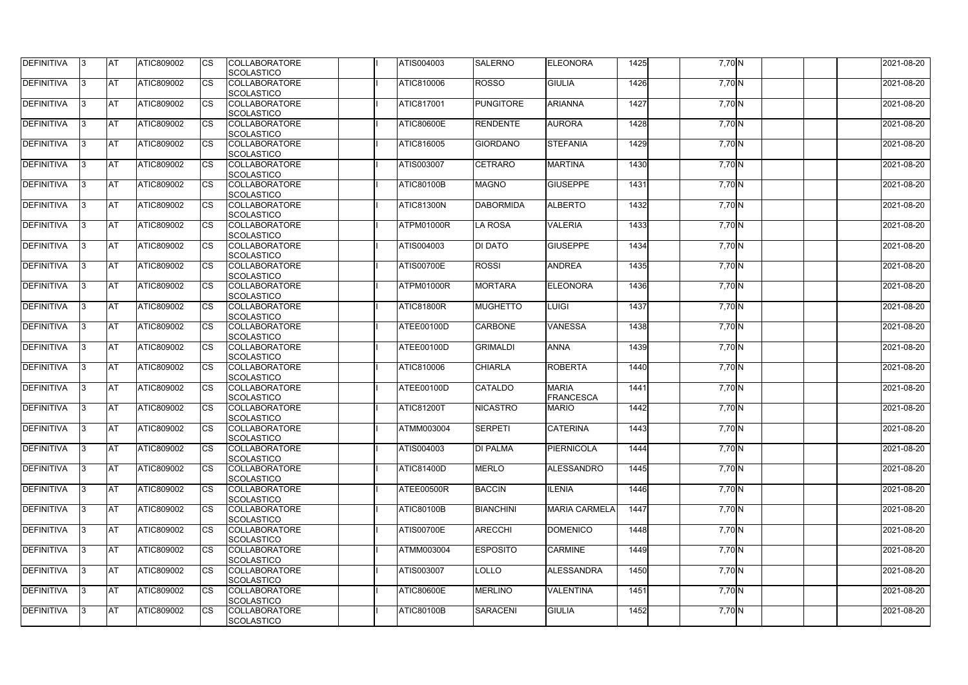| <b>DEFINITIVA</b> | IЗ  | <b>IAT</b> | ATIC809002        | <b>CS</b>              | <b>COLLABORATORE</b>                      | ATIS004003        | <b>SALERNO</b>   | <b>IELEONORA</b>     | 1425 | 7,70 N   | 2021-08-20 |
|-------------------|-----|------------|-------------------|------------------------|-------------------------------------------|-------------------|------------------|----------------------|------|----------|------------|
| DEFINITIVA        | ß.  | <b>AT</b>  | ATIC809002        | CS                     | SCOLASTICO<br><b>COLLABORATORE</b>        | ATIC810006        | <b>ROSSO</b>     | <b>GIULIA</b>        | 1426 | 7,70 N   | 2021-08-20 |
|                   |     |            |                   |                        | <b>SCOLASTICO</b>                         |                   |                  |                      |      |          |            |
| DEFINITIVA        | ß.  | <b>AT</b>  | ATIC809002        |                        | <b>COLLABORATORE</b>                      | <b>ATIC817001</b> | <b>PUNGITORE</b> | <b>ARIANNA</b>       | 1427 | 7,70 N   | 2021-08-20 |
|                   |     |            |                   | CS                     | <b>SCOLASTICO</b>                         |                   |                  |                      |      |          |            |
| <b>DEFINITIVA</b> |     | <b>AT</b>  | ATIC809002        | <b>CS</b>              | <b>COLLABORATORE</b>                      | <b>ATIC80600E</b> | <b>RENDENTE</b>  | <b>AURORA</b>        | 1428 | 7,70 N   | 2021-08-20 |
|                   |     |            |                   |                        | <b>SCOLASTICO</b>                         |                   |                  |                      |      |          |            |
| <b>DEFINITIVA</b> | ß   | <b>AT</b>  | ATIC809002        | CS                     | <b>COLLABORATORE</b>                      | <b>ATIC816005</b> | <b>GIORDANO</b>  | <b>STEFANIA</b>      | 1429 | $7,70$ N | 2021-08-20 |
|                   |     |            |                   |                        | SCOLASTICO                                |                   |                  |                      |      |          |            |
| <b>DEFINITIVA</b> | R   | AT         | ATIC809002        | <b>CS</b>              | <b>COLLABORATORE</b>                      | <b>ATIS003007</b> | <b>CETRARO</b>   | <b>MARTINA</b>       | 1430 |          | 2021-08-20 |
|                   |     |            |                   |                        |                                           |                   |                  |                      |      | 7,70 N   |            |
| <b>DEFINITIVA</b> |     | <b>AT</b>  | ATIC809002        | <b>CS</b>              | SCOLASTICO<br><b>COLLABORATORE</b>        | <b>ATIC80100B</b> | <b>MAGNO</b>     | <b>GIUSEPPE</b>      | 1431 | $7,70$ N | 2021-08-20 |
|                   |     |            |                   |                        | SCOLASTICO                                |                   |                  |                      |      |          |            |
| DEFINITIVA        | ß   | <b>AT</b>  | ATIC809002        | <b>CS</b>              | <b>COLLABORATORE</b>                      | ATIC81300N        | <b>DABORMIDA</b> | <b>ALBERTO</b>       | 1432 | 7,70 N   | 2021-08-20 |
|                   |     |            |                   |                        |                                           |                   |                  |                      |      |          |            |
|                   |     |            |                   |                        | <b>SCOLASTICO</b>                         |                   |                  | <b>VALERIA</b>       | 1433 |          | 2021-08-20 |
| DEFINITIVA        | l3  | <b>AT</b>  | ATIC809002        | CS                     | <b>COLLABORATORE</b><br><b>SCOLASTICO</b> | ATPM01000R        | <b>LA ROSA</b>   |                      |      | 7,70 N   |            |
|                   |     |            |                   |                        |                                           |                   |                  |                      |      |          |            |
| <b>DEFINITIVA</b> |     | <b>AT</b>  | <b>ATIC809002</b> | <b>CS</b>              | <b>COLLABORATORE</b>                      | ATIS004003        | <b>DI DATO</b>   | <b>GIUSEPPE</b>      | 1434 | 7,70 N   | 2021-08-20 |
|                   |     |            |                   |                        | <b>SCOLASTICO</b>                         |                   |                  |                      |      |          |            |
| <b>DEFINITIVA</b> |     | <b>AT</b>  | ATIC809002        | $\overline{\text{cs}}$ | <b>COLLABORATORE</b>                      | <b>ATIS00700E</b> | <b>ROSSI</b>     | <b>ANDREA</b>        | 1435 | 7,70 N   | 2021-08-20 |
|                   |     |            |                   |                        | SCOLASTICO                                |                   |                  |                      |      |          |            |
| <b>DEFINITIVA</b> | 3   | <b>AT</b>  | ATIC809002        | <b>CS</b>              | <b>COLLABORATORE</b>                      | ATPM01000R        | <b>MORTARA</b>   | <b>ELEONORA</b>      | 1436 | 7,70 N   | 2021-08-20 |
|                   |     |            |                   |                        | SCOLASTICO                                |                   |                  |                      |      |          |            |
| <b>DEFINITIVA</b> |     | <b>AT</b>  | ATIC809002        | CS                     | <b>COLLABORATORE</b>                      | <b>ATIC81800R</b> | <b>MUGHETTO</b>  | <b>LUIGI</b>         | 1437 | 7,70 N   | 2021-08-20 |
|                   |     |            |                   |                        | <b>SCOLASTICO</b>                         |                   |                  |                      |      |          |            |
| <b>DEFINITIVA</b> |     | <b>AT</b>  | ATIC809002        | <b>CS</b>              | <b>COLLABORATORE</b>                      | ATEE00100D        | <b>CARBONE</b>   | <b>VANESSA</b>       | 1438 | 7,70 N   | 2021-08-20 |
|                   |     |            |                   |                        | SCOLASTICO                                |                   |                  |                      |      |          |            |
| DEFINITIVA        | R   | <b>AT</b>  | ATIC809002        | CS                     | <b>COLLABORATORE</b>                      | ATEE00100D        | <b>GRIMALDI</b>  | <b>ANNA</b>          | 1439 | 7,70 N   | 2021-08-20 |
|                   |     |            |                   |                        | <b>SCOLASTICO</b>                         |                   |                  |                      |      |          |            |
| <b>DEFINITIVA</b> |     | <b>AT</b>  | <b>ATIC809002</b> | CS                     | <b>COLLABORATORE</b>                      | ATIC810006        | <b>CHIARLA</b>   | <b>ROBERTA</b>       | 1440 | 7,70 N   | 2021-08-20 |
|                   |     |            |                   |                        | <b>SCOLASTICO</b>                         |                   |                  |                      |      |          |            |
| <b>DEFINITIVA</b> |     | <b>AT</b>  | ATIC809002        | <b>CS</b>              | <b>COLLABORATORE</b>                      | ATEE00100D        | <b>CATALDO</b>   | <b>MARIA</b>         | 1441 | $7,70$ N | 2021-08-20 |
|                   |     |            |                   |                        | <b>SCOLASTICO</b>                         |                   |                  | <b>FRANCESCA</b>     |      |          |            |
| <b>DEFINITIVA</b> |     | <b>AT</b>  | ATIC809002        | <b>CS</b>              | <b>COLLABORATORE</b>                      | <b>ATIC81200T</b> | <b>NICASTRO</b>  | <b>MARIO</b>         | 1442 | 7,70 N   | 2021-08-20 |
|                   |     |            |                   |                        | SCOLASTICO                                |                   |                  |                      |      |          |            |
| <b>DEFINITIVA</b> | 13. | <b>AT</b>  | ATIC809002        | <b>CS</b>              | <b>COLLABORATORE</b>                      | <b>ATMM003004</b> | <b>SERPETI</b>   | <b>CATERINA</b>      | 1443 | 7,70 N   | 2021-08-20 |
|                   |     |            |                   |                        | SCOLASTICO                                |                   |                  |                      |      |          |            |
| <b>DEFINITIVA</b> | 3   | <b>AT</b>  | ATIC809002        | <b>CS</b>              | <b>COLLABORATORE</b>                      | ATIS004003        | <b>DI PALMA</b>  | <b>PIERNICOLA</b>    | 1444 | 7,70 N   | 2021-08-20 |
|                   |     |            |                   |                        | <b>SCOLASTICO</b>                         |                   |                  |                      |      |          |            |
| <b>DEFINITIVA</b> | l3. | <b>AT</b>  | ATIC809002        | <b>CS</b>              | <b>COLLABORATORE</b>                      | <b>ATIC81400D</b> | <b>MERLO</b>     | <b>ALESSANDRO</b>    | 1445 | $7,70$ N | 2021-08-20 |
|                   |     |            |                   |                        | <b>SCOLASTICO</b>                         |                   |                  |                      |      |          |            |
| <b>DEFINITIVA</b> | 13. | <b>AT</b>  | ATIC809002        | <b>CS</b>              | <b>COLLABORATORE</b>                      | ATEE00500R        | <b>BACCIN</b>    | <b>ILENIA</b>        | 1446 | 7,70 N   | 2021-08-20 |
|                   |     |            |                   |                        | SCOLASTICO                                |                   |                  |                      |      |          |            |
| <b>DEFINITIVA</b> |     | <b>AT</b>  | ATIC809002        | <b>CS</b>              | <b>COLLABORATORE</b>                      | <b>ATIC80100B</b> | <b>BIANCHINI</b> | <b>MARIA CARMELA</b> | 1447 | 7,70 N   | 2021-08-20 |
|                   |     |            |                   |                        | <b>SCOLASTICO</b>                         |                   |                  |                      |      |          |            |
| <b>DEFINITIVA</b> | ß   | <b>AT</b>  | ATIC809002        | <b>CS</b>              | <b>COLLABORATORE</b>                      | <b>ATIS00700E</b> | <b>ARECCHI</b>   | DOMENICO             | 1448 | $7,70$ N | 2021-08-20 |
|                   |     |            |                   |                        | <b>SCOLASTICO</b>                         |                   |                  |                      |      |          |            |
| <b>DEFINITIVA</b> | l3  | <b>AT</b>  | ATIC809002        | <b>CS</b>              | <b>COLLABORATORE</b>                      | <b>ATMM003004</b> | <b>ESPOSITO</b>  | <b>CARMINE</b>       | 1449 | 7,70 N   | 2021-08-20 |
|                   |     |            |                   |                        | SCOLASTICO                                |                   |                  |                      |      |          |            |
| DEFINITIVA        | З   | <b>AT</b>  | ATIC809002        | <b>CS</b>              | <b>COLLABORATORE</b>                      | <b>ATIS003007</b> | LOLLO            | <b>ALESSANDRA</b>    | 1450 | 7,70 N   | 2021-08-20 |
|                   |     |            |                   |                        | <b>SCOLASTICO</b>                         |                   |                  |                      |      |          |            |
| DEFINITIVA        | IЗ  | <b>AT</b>  | ATIC809002        | <b>CS</b>              | <b>COLLABORATORE</b>                      | <b>ATIC80600E</b> | <b>MERLINO</b>   | <b>VALENTINA</b>     | 1451 | $7,70$ N | 2021-08-20 |
|                   |     |            |                   |                        | <b>SCOLASTICO</b>                         |                   |                  |                      |      |          |            |
| <b>DEFINITIVA</b> | 13. | <b>AT</b>  | ATIC809002        | <b>CS</b>              | <b>COLLABORATORE</b>                      | <b>ATIC80100B</b> | SARACENI         | <b>GIULIA</b>        | 1452 | 7,70 N   | 2021-08-20 |
|                   |     |            |                   |                        | SCOLASTICO                                |                   |                  |                      |      |          |            |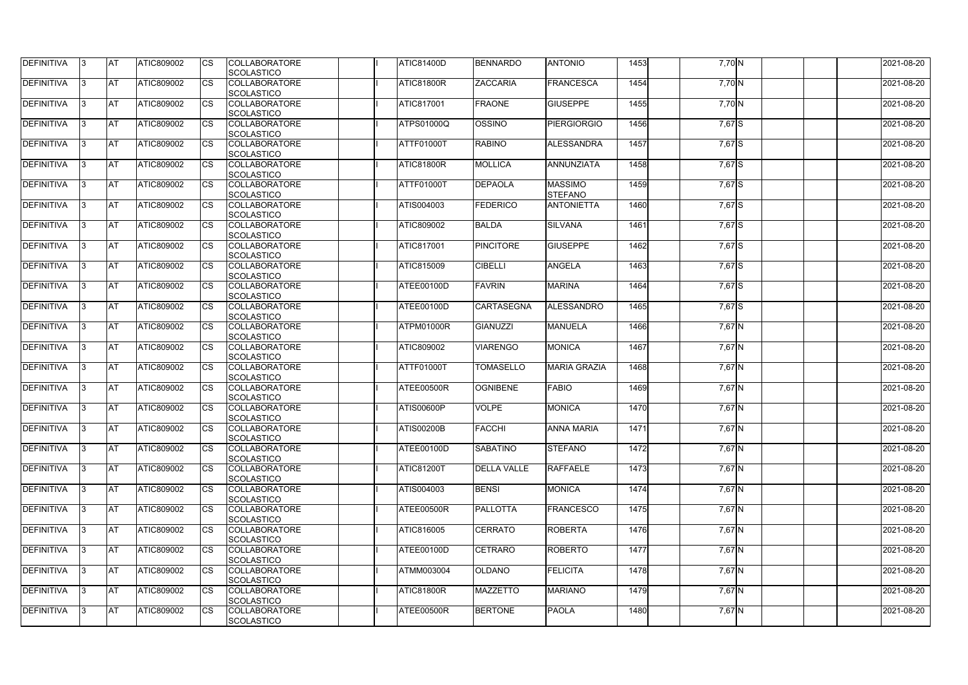| <b>DEFINITIVA</b> | 13  | <b>AT</b> | ATIC809002        | Ics                    | <b>COLLABORATORE</b><br><b>SCOLASTICO</b> | <b>ATIC81400D</b> | <b>BENNARDO</b>    | <b>ANTONIO</b>                   | 1453 | 7,70 N   | 2021-08-20 |
|-------------------|-----|-----------|-------------------|------------------------|-------------------------------------------|-------------------|--------------------|----------------------------------|------|----------|------------|
| <b>DEFINITIVA</b> |     | <b>AT</b> | ATIC809002        | Ics                    | <b>COLLABORATORE</b><br><b>SCOLASTICO</b> | <b>ATIC81800R</b> | <b>ZACCARIA</b>    | <b>FRANCESCA</b>                 | 1454 | 7,70 N   | 2021-08-20 |
| DEFINITIVA        |     | <b>AT</b> | ATIC809002        | Ics                    | <b>COLLABORATORE</b><br><b>SCOLASTICO</b> | <b>ATIC817001</b> | <b>FRAONE</b>      | <b>GIUSEPPE</b>                  | 1455 | 7,70 N   | 2021-08-20 |
| DEFINITIVA        | IЗ  | <b>AT</b> | ATIC809002        | Ics                    | <b>COLLABORATORE</b><br><b>SCOLASTICO</b> | <b>ATPS01000Q</b> | OSSINO             | <b>PIERGIORGIO</b>               | 1456 | 7,67 S   | 2021-08-20 |
| DEFINITIVA        |     | <b>AT</b> | ATIC809002        | <b>CS</b>              | <b>COLLABORATORE</b><br><b>SCOLASTICO</b> | ATTF01000T        | <b>RABINO</b>      | ALESSANDRA                       | 1457 | 7,67 S   | 2021-08-20 |
| <b>DEFINITIVA</b> |     | <b>AT</b> | ATIC809002        | Ics                    | <b>COLLABORATORE</b><br><b>SCOLASTICO</b> | <b>ATIC81800R</b> | <b>MOLLICA</b>     | ANNUNZIATA                       | 1458 | 7,67 S   | 2021-08-20 |
| DEFINITIVA        |     | <b>AT</b> | <b>ATIC809002</b> | Ics                    | <b>COLLABORATORE</b><br><b>SCOLASTICO</b> | ATTF01000T        | <b>DEPAOLA</b>     | <b>MASSIMO</b><br><b>STEFANO</b> | 1459 | 7,67 S   | 2021-08-20 |
| <b>DEFINITIVA</b> |     | AT        | ATIC809002        | <b>CS</b>              | <b>COLLABORATORE</b><br><b>SCOLASTICO</b> | ATIS004003        | <b>FEDERICO</b>    | <b>ANTONIETTA</b>                | 1460 | 7,67 S   | 2021-08-20 |
| DEFINITIVA        |     | <b>AT</b> | ATIC809002        | <b>CS</b>              | <b>COLLABORATORE</b><br><b>SCOLASTICO</b> | ATIC809002        | <b>BALDA</b>       | <b>SILVANA</b>                   | 1461 | 7,67 S   | 2021-08-20 |
| DEFINITIVA        |     | <b>AT</b> | ATIC809002        | $\overline{\text{cs}}$ | <b>COLLABORATORE</b><br>SCOLASTICO        | <b>ATIC817001</b> | <b>PINCITORE</b>   | <b>GIUSEPPE</b>                  | 1462 | 7,67 S   | 2021-08-20 |
| <b>DEFINITIVA</b> |     | AT        | <b>ATIC809002</b> | <b>CS</b>              | <b>COLLABORATORE</b><br><b>SCOLASTICO</b> | ATIC815009        | <b>CIBELLI</b>     | <b>ANGELA</b>                    | 1463 | 7,67 S   | 2021-08-20 |
| <b>DEFINITIVA</b> |     | <b>AT</b> | ATIC809002        | <b>CS</b>              | <b>COLLABORATORE</b><br><b>SCOLASTICO</b> | ATEE00100D        | <b>FAVRIN</b>      | <b>MARINA</b>                    | 1464 | 7,67 S   | 2021-08-20 |
| <b>DEFINITIVA</b> |     | <b>AT</b> | ATIC809002        |                        | <b>COLLABORATORE</b><br><b>SCOLASTICO</b> | ATEE00100D        | <b>CARTASEGNA</b>  | <b>ALESSANDRO</b>                | 1465 | 7,67 S   | 2021-08-20 |
| <b>DEFINITIVA</b> |     | <b>AT</b> | ATIC809002        | Ics                    | <b>COLLABORATORE</b><br><b>SCOLASTICO</b> | ATPM01000R        | GIANUZZI           | <b>MANUELA</b>                   | 1466 | $7,67$ N | 2021-08-20 |
| DEFINITIVA        |     | <b>AT</b> | ATIC809002        | <b>CS</b>              | <b>COLLABORATORE</b><br><b>SCOLASTICO</b> | ATIC809002        | <b>VIARENGO</b>    | <b>MONICA</b>                    | 1467 | 7,67 N   | 2021-08-20 |
| DEFINITIVA        |     | <b>AT</b> | ATIC809002        | Ics                    | <b>COLLABORATORE</b><br><b>SCOLASTICO</b> | ATTF01000T        | <b>TOMASELLO</b>   | <b>MARIA GRAZIA</b>              | 1468 | 7,67 N   | 2021-08-20 |
| <b>DEFINITIVA</b> |     | <b>AT</b> | ATIC809002        | <b>CS</b>              | <b>COLLABORATORE</b><br><b>SCOLASTICO</b> | ATEE00500R        | <b>OGNIBENE</b>    | <b>FABIO</b>                     | 1469 | $7,67$ N | 2021-08-20 |
| DEFINITIVA        |     | <b>AT</b> | ATIC809002        | <b>CS</b>              | <b>COLLABORATORE</b><br>SCOLASTICO        | ATIS00600P        | <b>VOLPE</b>       | <b>MONICA</b>                    | 1470 | 7,67 N   | 2021-08-20 |
| <b>DEFINITIVA</b> | 13. | <b>AT</b> | ATIC809002        |                        | <b>COLLABORATORE</b><br><b>SCOLASTICO</b> | <b>ATIS00200B</b> | <b>FACCHI</b>      | <b>ANNA MARIA</b>                | 1471 | 7,67 N   | 2021-08-20 |
| DEFINITIVA        | IЗ  | <b>AT</b> | <b>ATIC809002</b> | Ics                    | <b>COLLABORATORE</b><br><b>SCOLASTICO</b> | ATEE00100D        | <b>SABATINO</b>    | <b>STEFANO</b>                   | 1472 | $7,67$ N | 2021-08-20 |
| <b>DEFINITIVA</b> | I3  | <b>AT</b> | ATIC809002        | Ics                    | <b>COLLABORATORE</b><br><b>SCOLASTICO</b> | <b>ATIC81200T</b> | <b>DELLA VALLE</b> | <b>RAFFAELE</b>                  | 1473 | 7,67 N   | 2021-08-20 |
| DEFINITIVA        |     | <b>AT</b> | ATIC809002        | Ics                    | <b>COLLABORATORE</b><br><b>SCOLASTICO</b> | <b>ATIS004003</b> | <b>BENSI</b>       | <b>MONICA</b>                    | 1474 | 7,67 N   | 2021-08-20 |
| <b>DEFINITIVA</b> |     | <b>AT</b> | ATIC809002        | <b>CS</b>              | <b>COLLABORATORE</b><br><b>SCOLASTICO</b> | ATEE00500R        | <b>PALLOTTA</b>    | <b>FRANCESCO</b>                 | 1475 | $7,67$ N | 2021-08-20 |
| <b>DEFINITIVA</b> | ıз  | <b>AT</b> | ATIC809002        | Ics                    | <b>COLLABORATORE</b><br><b>SCOLASTICO</b> | ATIC816005        | <b>CERRATO</b>     | <b>ROBERTA</b>                   | 1476 | 7,67 N   | 2021-08-20 |
| <b>DEFINITIVA</b> |     | <b>AT</b> | ATIC809002        | Ics                    | <b>COLLABORATORE</b><br><b>SCOLASTICO</b> | ATEE00100D        | <b>CETRARO</b>     | <b>ROBERTO</b>                   | 1477 | 7,67 N   | 2021-08-20 |
| DEFINITIVA        | ıз  | <b>AT</b> | ATIC809002        | Ics                    | <b>COLLABORATORE</b><br><b>SCOLASTICO</b> | <b>ATMM003004</b> | <b>OLDANO</b>      | <b>FELICITA</b>                  | 1478 | 7,67 N   | 2021-08-20 |
| <b>DEFINITIVA</b> | 13  | <b>AT</b> | <b>ATIC809002</b> | <b>ICS</b>             | <b>COLLABORATORE</b><br><b>SCOLASTICO</b> | ATIC81800R        | <b>MAZZETTO</b>    | <b>MARIANO</b>                   | 1479 | 7,67 N   | 2021-08-20 |
| <b>DEFINITIVA</b> |     | <b>AT</b> | ATIC809002        | Ics                    | <b>COLLABORATORE</b><br><b>SCOLASTICO</b> | ATEE00500R        | <b>BERTONE</b>     | <b>PAOLA</b>                     | 1480 | 7,67 N   | 2021-08-20 |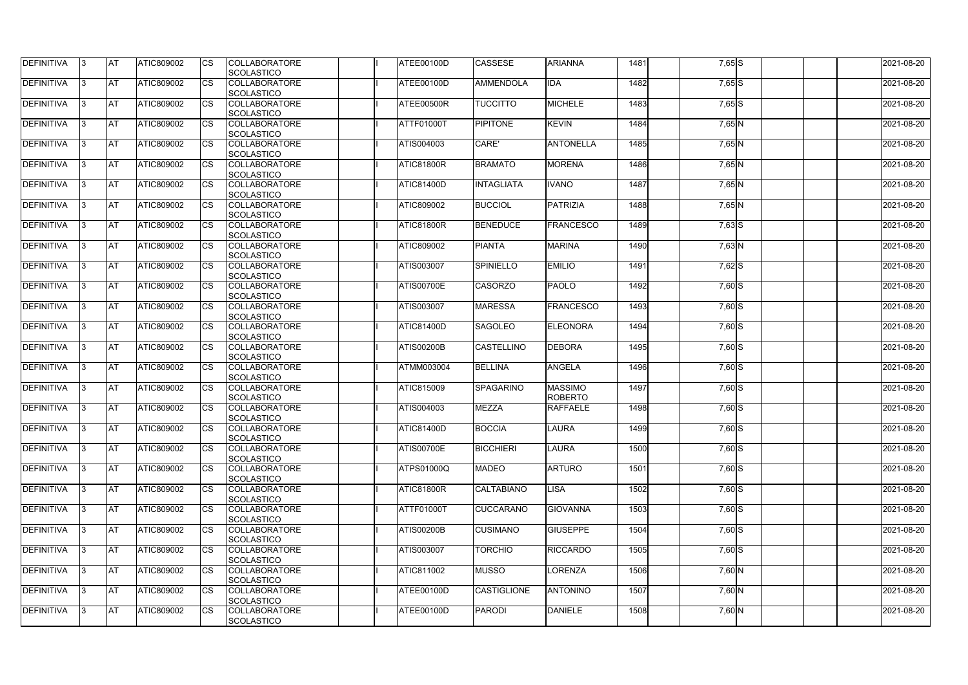| <b>DEFINITIVA</b> | 13  | <b>AT</b> | ATIC809002        | Ics                    | <b>COLLABORATORE</b>               | ATEE00100D        | <b>CASSESE</b>     | <b>ARIANNA</b>   | 1481 | 7,65 S     | 2021-08-20 |
|-------------------|-----|-----------|-------------------|------------------------|------------------------------------|-------------------|--------------------|------------------|------|------------|------------|
|                   |     |           |                   |                        | <b>SCOLASTICO</b>                  |                   |                    |                  |      |            |            |
| <b>DEFINITIVA</b> |     | <b>AT</b> | ATIC809002        | Ics                    | <b>COLLABORATORE</b>               | ATEE00100D        | <b>AMMENDOLA</b>   | <b>IDA</b>       | 1482 | $7,65$ $S$ | 2021-08-20 |
|                   |     |           |                   |                        | <b>SCOLASTICO</b>                  |                   |                    |                  |      |            |            |
| DEFINITIVA        |     | <b>AT</b> | ATIC809002        | Ics                    | <b>COLLABORATORE</b>               | ATEE00500R        | <b>TUCCITTO</b>    | <b>MICHELE</b>   | 1483 | $7,65$ S   | 2021-08-20 |
|                   |     |           |                   |                        | <b>SCOLASTICO</b>                  |                   |                    |                  |      |            |            |
| DEFINITIVA        | ıз  | <b>AT</b> | ATIC809002        | Ics                    | <b>COLLABORATORE</b>               | ATTF01000T        | <b>PIPITONE</b>    | <b>KEVIN</b>     | 1484 | $7,65$ N   | 2021-08-20 |
|                   |     |           |                   |                        | <b>SCOLASTICO</b>                  |                   |                    |                  |      |            |            |
| DEFINITIVA        |     | <b>AT</b> | ATIC809002        | <b>CS</b>              | <b>COLLABORATORE</b>               | ATIS004003        | CARE'              | <b>ANTONELLA</b> | 1485 | 7,65 N     | 2021-08-20 |
|                   |     |           |                   |                        | <b>SCOLASTICO</b>                  |                   |                    |                  |      |            |            |
| <b>DEFINITIVA</b> |     | <b>AT</b> | ATIC809002        | Ics                    | <b>COLLABORATORE</b>               | <b>ATIC81800R</b> | <b>BRAMATO</b>     | <b>MORENA</b>    | 1486 | 7,65 N     | 2021-08-20 |
|                   |     |           |                   |                        | <b>SCOLASTICO</b>                  |                   |                    |                  |      |            |            |
| DEFINITIVA        | ıз  | <b>AT</b> | <b>ATIC809002</b> | Ics                    | <b>COLLABORATORE</b>               | <b>ATIC81400D</b> | <b>INTAGLIATA</b>  | <b>IVANO</b>     | 1487 | 7,65 N     | 2021-08-20 |
|                   |     |           |                   |                        | <b>SCOLASTICO</b>                  |                   |                    |                  |      |            |            |
| <b>DEFINITIVA</b> |     | AT        | ATIC809002        | <b>CS</b>              | <b>COLLABORATORE</b>               | ATIC809002        | <b>BUCCIOL</b>     | <b>PATRIZIA</b>  | 1488 | $7,65$ N   | 2021-08-20 |
|                   |     |           |                   |                        | <b>SCOLASTICO</b>                  |                   |                    |                  |      |            |            |
| DEFINITIVA        |     | <b>AT</b> | ATIC809002        | <b>CS</b>              | <b>COLLABORATORE</b>               | <b>ATIC81800R</b> | <b>BENEDUCE</b>    | <b>FRANCESCO</b> | 1489 | $7,63$ $S$ | 2021-08-20 |
|                   |     |           |                   |                        | <b>SCOLASTICO</b>                  |                   |                    |                  |      |            |            |
| DEFINITIVA        |     | <b>AT</b> | ATIC809002        | $\overline{\text{cs}}$ | <b>COLLABORATORE</b>               | ATIC809002        | <b>PIANTA</b>      | <b>MARINA</b>    | 1490 | 7,63 N     | 2021-08-20 |
|                   |     |           |                   |                        | SCOLASTICO                         |                   |                    |                  |      |            |            |
| <b>DEFINITIVA</b> |     | AT        | <b>ATIC809002</b> | <b>CS</b>              | <b>COLLABORATORE</b>               | ATIS003007        | <b>SPINIELLO</b>   | <b>EMILIO</b>    | 1491 | 7,62 S     | 2021-08-20 |
|                   |     |           |                   |                        | <b>SCOLASTICO</b>                  |                   |                    |                  |      |            |            |
| DEFINITIVA        |     | <b>AT</b> | ATIC809002        | <b>CS</b>              | <b>COLLABORATORE</b>               | <b>ATIS00700E</b> | <b>CASORZO</b>     | <b>PAOLO</b>     | 1492 | $7,60$ S   | 2021-08-20 |
|                   |     |           |                   |                        | <b>SCOLASTICO</b>                  |                   |                    |                  |      |            |            |
| <b>DEFINITIVA</b> | l3  | <b>AT</b> | ATIC809002        |                        | <b>COLLABORATORE</b>               | ATIS003007        | <b>MARESSA</b>     | <b>FRANCESCO</b> | 1493 | 7,60 S     | 2021-08-20 |
|                   |     |           |                   |                        | <b>SCOLASTICO</b>                  |                   |                    |                  |      |            |            |
| <b>DEFINITIVA</b> |     | <b>AT</b> | ATIC809002        | Ics                    | <b>COLLABORATORE</b>               | <b>ATIC81400D</b> | <b>SAGOLEO</b>     | <b>ELEONORA</b>  | 1494 | $7,60$ S   | 2021-08-20 |
|                   |     |           |                   |                        | <b>SCOLASTICO</b>                  |                   |                    |                  |      |            |            |
| DEFINITIVA        | R   | <b>AT</b> | ATIC809002        | <b>CS</b>              | <b>COLLABORATORE</b>               | <b>ATIS00200B</b> | <b>CASTELLINO</b>  | <b>DEBORA</b>    | 1495 | 7,60 S     | 2021-08-20 |
|                   |     |           |                   |                        | <b>SCOLASTICO</b>                  |                   |                    |                  |      |            |            |
| DEFINITIVA        |     | <b>AT</b> | ATIC809002        | Ics                    | <b>COLLABORATORE</b>               | <b>ATMM003004</b> | <b>BELLINA</b>     | <b>ANGELA</b>    | 1496 | 7,60 S     | 2021-08-20 |
|                   |     |           |                   |                        | <b>SCOLASTICO</b>                  |                   |                    |                  |      |            |            |
| <b>DEFINITIVA</b> |     | <b>AT</b> | ATIC809002        | <b>CS</b>              | <b>COLLABORATORE</b>               | ATIC815009        | <b>SPAGARINO</b>   | <b>MASSIMO</b>   | 1497 | $7,60$ S   | 2021-08-20 |
|                   |     |           |                   |                        | <b>SCOLASTICO</b>                  |                   |                    | <b>ROBERTO</b>   |      |            |            |
| DEFINITIVA        |     | <b>AT</b> | ATIC809002        | <b>CS</b>              | <b>COLLABORATORE</b>               | ATIS004003        | <b>MEZZA</b>       | <b>RAFFAELE</b>  | 1498 | 7,60 S     | 2021-08-20 |
|                   |     |           |                   |                        |                                    |                   |                    |                  |      |            |            |
| <b>DEFINITIVA</b> | 13. | <b>AT</b> | ATIC809002        |                        | SCOLASTICO<br><b>COLLABORATORE</b> | <b>ATIC81400D</b> | <b>BOCCIA</b>      | <b>LAURA</b>     | 1499 | $7,60$ S   | 2021-08-20 |
|                   |     |           |                   |                        | <b>SCOLASTICO</b>                  |                   |                    |                  |      |            |            |
|                   |     |           |                   |                        |                                    |                   | <b>BICCHIERI</b>   |                  |      |            |            |
| DEFINITIVA        | IЗ  | <b>AT</b> | <b>ATIC809002</b> | Ics                    | <b>COLLABORATORE</b>               | <b>ATIS00700E</b> |                    | <b>LAURA</b>     | 1500 | $7,60$ S   | 2021-08-20 |
|                   |     |           |                   |                        | <b>SCOLASTICO</b>                  |                   |                    |                  |      |            |            |
| <b>DEFINITIVA</b> | I3  | <b>AT</b> | ATIC809002        | Ics                    | <b>COLLABORATORE</b>               | <b>ATPS01000Q</b> | <b>MADEO</b>       | <b>ARTURO</b>    | 1501 | $7,60$ S   | 2021-08-20 |
|                   |     |           |                   |                        | <b>SCOLASTICO</b>                  |                   |                    |                  |      |            |            |
| DEFINITIVA        |     | <b>AT</b> | ATIC809002        | Ics                    | <b>COLLABORATORE</b>               | <b>ATIC81800R</b> | <b>CALTABIANO</b>  | <b>LISA</b>      | 1502 | $7,60$ S   | 2021-08-20 |
|                   |     |           |                   |                        | <b>SCOLASTICO</b>                  |                   |                    |                  |      |            |            |
| DEFINITIVA        |     | <b>AT</b> | ATIC809002        | <b>CS</b>              | <b>COLLABORATORE</b>               | ATTF01000T        | <b>CUCCARANO</b>   | <b>GIOVANNA</b>  | 1503 | 7,60 S     | 2021-08-20 |
|                   |     |           |                   |                        | <b>SCOLASTICO</b>                  |                   |                    |                  |      |            |            |
| <b>DEFINITIVA</b> | ıз  | <b>AT</b> | ATIC809002        | Ics                    | <b>COLLABORATORE</b>               | <b>ATIS00200B</b> | <b>CUSIMANO</b>    | <b>GIUSEPPE</b>  | 1504 | $7,60$ S   | 2021-08-20 |
|                   |     |           |                   |                        | <b>SCOLASTICO</b>                  |                   |                    |                  |      |            |            |
| <b>DEFINITIVA</b> |     | <b>AT</b> | ATIC809002        | Ics                    | <b>COLLABORATORE</b>               | ATIS003007        | <b>TORCHIO</b>     | <b>RICCARDO</b>  | 1505 | $7,60$ S   | 2021-08-20 |
|                   |     |           |                   |                        | <b>SCOLASTICO</b>                  |                   |                    |                  |      |            |            |
| DEFINITIVA        | ıз  | <b>AT</b> | ATIC809002        | Ics                    | <b>COLLABORATORE</b>               | ATIC811002        | <b>MUSSO</b>       | <b>LORENZA</b>   | 1506 | $7,60$ N   | 2021-08-20 |
|                   |     |           |                   |                        | <b>SCOLASTICO</b>                  |                   |                    |                  |      |            |            |
| <b>DEFINITIVA</b> | 13  | <b>AT</b> | <b>ATIC809002</b> | <b>ICS</b>             | <b>COLLABORATORE</b>               | ATEE00100D        | <b>CASTIGLIONE</b> | <b>ANTONINO</b>  | 1507 | 7,60 N     | 2021-08-20 |
|                   |     |           |                   |                        | <b>SCOLASTICO</b>                  |                   |                    |                  |      |            |            |
| <b>DEFINITIVA</b> |     | <b>AT</b> | ATIC809002        | Ics                    | <b>COLLABORATORE</b>               | ATEE00100D        | <b>PARODI</b>      | <b>DANIELE</b>   | 1508 | 7,60 N     | 2021-08-20 |
|                   |     |           |                   |                        | <b>SCOLASTICO</b>                  |                   |                    |                  |      |            |            |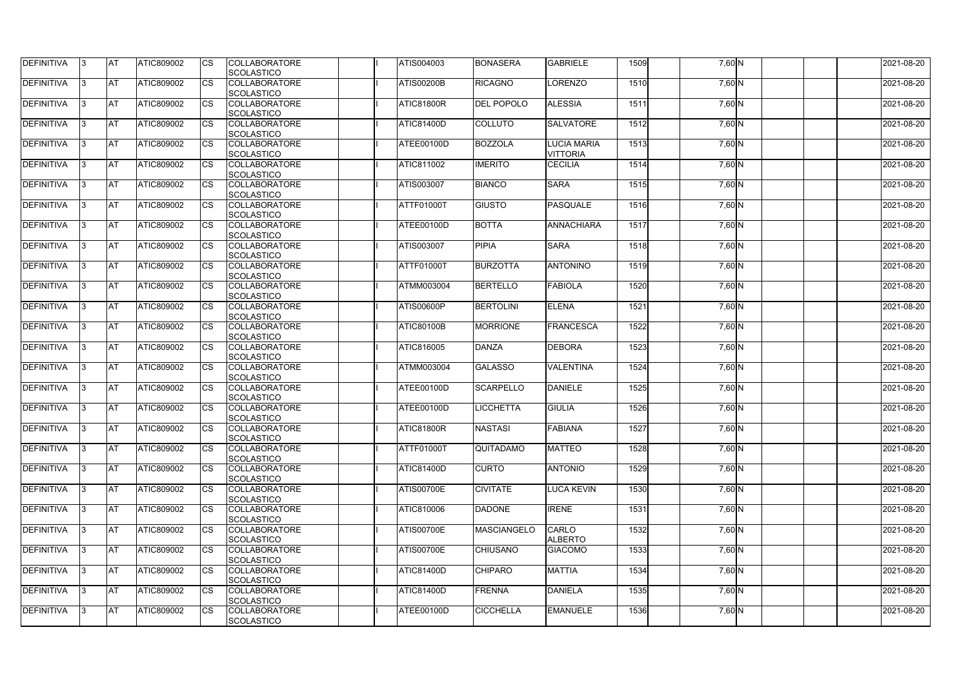| <b>DEFINITIVA</b> | 13  | <b>AT</b> | ATIC809002        | Ics                    | <b>COLLABORATORE</b><br><b>SCOLASTICO</b> | ATIS004003        | <b>BONASERA</b>    | <b>GABRIELE</b>                       | 1509 | 7,60 N   | 2021-08-20 |
|-------------------|-----|-----------|-------------------|------------------------|-------------------------------------------|-------------------|--------------------|---------------------------------------|------|----------|------------|
| <b>DEFINITIVA</b> |     | <b>AT</b> | ATIC809002        | Ics                    | <b>COLLABORATORE</b><br><b>SCOLASTICO</b> | <b>ATIS00200B</b> | <b>RICAGNO</b>     | LORENZO                               | 1510 | $7,60$ N | 2021-08-20 |
| DEFINITIVA        |     | <b>AT</b> | ATIC809002        | Ics                    | <b>COLLABORATORE</b><br><b>SCOLASTICO</b> | <b>ATIC81800R</b> | <b>DEL POPOLO</b>  | <b>ALESSIA</b>                        | 1511 | 7,60 N   | 2021-08-20 |
| DEFINITIVA        | ıз  | <b>AT</b> | ATIC809002        | Ics                    | <b>COLLABORATORE</b><br><b>SCOLASTICO</b> | <b>ATIC81400D</b> | <b>COLLUTO</b>     | <b>SALVATORE</b>                      | 1512 | 7,60 N   | 2021-08-20 |
| DEFINITIVA        |     | <b>AT</b> | ATIC809002        | <b>CS</b>              | <b>COLLABORATORE</b><br><b>SCOLASTICO</b> | ATEE00100D        | <b>BOZZOLA</b>     | <b>LUCIA MARIA</b><br><b>VITTORIA</b> | 1513 | $7,60$ N | 2021-08-20 |
| <b>DEFINITIVA</b> |     | <b>AT</b> | ATIC809002        | Ics                    | <b>COLLABORATORE</b><br><b>SCOLASTICO</b> | ATIC811002        | <b>IMERITO</b>     | <b>CECILIA</b>                        | 1514 | 7,60 N   | 2021-08-20 |
| DEFINITIVA        |     | <b>AT</b> | <b>ATIC809002</b> | Ics                    | <b>COLLABORATORE</b><br><b>SCOLASTICO</b> | ATIS003007        | <b>BIANCO</b>      | <b>SARA</b>                           | 1515 | 7,60 N   | 2021-08-20 |
| <b>DEFINITIVA</b> |     | AT        | ATIC809002        | <b>CS</b>              | <b>COLLABORATORE</b><br><b>SCOLASTICO</b> | ATTF01000T        | <b>GIUSTO</b>      | PASQUALE                              | 1516 | $7,60$ N | 2021-08-20 |
| DEFINITIVA        |     | <b>AT</b> | ATIC809002        | <b>CS</b>              | <b>COLLABORATORE</b><br><b>SCOLASTICO</b> | ATEE00100D        | <b>BOTTA</b>       | ANNACHIARA                            | 1517 | 7,60 N   | 2021-08-20 |
| DEFINITIVA        |     | <b>AT</b> | ATIC809002        | $\overline{\text{cs}}$ | <b>COLLABORATORE</b><br>SCOLASTICO        | ATIS003007        | <b>PIPIA</b>       | <b>SARA</b>                           | 1518 | 7,60 N   | 2021-08-20 |
| <b>DEFINITIVA</b> |     | AT        | <b>ATIC809002</b> | <b>CS</b>              | <b>COLLABORATORE</b><br><b>SCOLASTICO</b> | ATTF01000T        | <b>BURZOTTA</b>    | <b>ANTONINO</b>                       | 1519 | 7,60 N   | 2021-08-20 |
| <b>DEFINITIVA</b> |     | <b>AT</b> | ATIC809002        | <b>CS</b>              | <b>COLLABORATORE</b><br><b>SCOLASTICO</b> | ATMM003004        | <b>BERTELLO</b>    | <b>FABIOLA</b>                        | 1520 | 7,60 N   | 2021-08-20 |
| <b>DEFINITIVA</b> | l3  | <b>AT</b> | ATIC809002        |                        | <b>COLLABORATORE</b><br><b>SCOLASTICO</b> | <b>ATIS00600P</b> | <b>BERTOLINI</b>   | <b>ELENA</b>                          | 1521 | 7,60 N   | 2021-08-20 |
| <b>DEFINITIVA</b> |     | <b>AT</b> | ATIC809002        | Ics                    | <b>COLLABORATORE</b><br><b>SCOLASTICO</b> | <b>ATIC80100B</b> | <b>MORRIONE</b>    | <b>FRANCESCA</b>                      | 1522 | 7,60 N   | 2021-08-20 |
| DEFINITIVA        | R   | <b>AT</b> | ATIC809002        | <b>CS</b>              | <b>COLLABORATORE</b><br><b>SCOLASTICO</b> | ATIC816005        | <b>DANZA</b>       | <b>DEBORA</b>                         | 1523 | 7,60 N   | 2021-08-20 |
| DEFINITIVA        |     | <b>AT</b> | ATIC809002        | Ics                    | <b>COLLABORATORE</b><br><b>SCOLASTICO</b> | <b>ATMM003004</b> | <b>GALASSO</b>     | <b>VALENTINA</b>                      | 1524 | 7,60 N   | 2021-08-20 |
| <b>DEFINITIVA</b> |     | <b>AT</b> | ATIC809002        | <b>CS</b>              | <b>COLLABORATORE</b><br><b>SCOLASTICO</b> | ATEE00100D        | <b>SCARPELLO</b>   | DANIELE                               | 1525 | 7,60 N   | 2021-08-20 |
| DEFINITIVA        |     | <b>AT</b> | ATIC809002        | <b>CS</b>              | <b>COLLABORATORE</b><br>SCOLASTICO        | ATEE00100D        | <b>ICCHETTA</b>    | <b>GIULIA</b>                         | 1526 | 7,60 N   | 2021-08-20 |
| <b>DEFINITIVA</b> | 13. | <b>AT</b> | ATIC809002        |                        | <b>COLLABORATORE</b><br><b>SCOLASTICO</b> | <b>ATIC81800R</b> | <b>NASTASI</b>     | <b>FABIANA</b>                        | 1527 | $7,60$ N | 2021-08-20 |
| DEFINITIVA        | IЗ  | <b>AT</b> | <b>ATIC809002</b> | Ics                    | <b>COLLABORATORE</b><br><b>SCOLASTICO</b> | <b>ATTF01000T</b> | QUITADAMO          | <b>MATTEO</b>                         | 1528 | $7,60$ N | 2021-08-20 |
| <b>DEFINITIVA</b> | I3  | <b>AT</b> | ATIC809002        | Ics                    | <b>COLLABORATORE</b><br><b>SCOLASTICO</b> | <b>ATIC81400D</b> | <b>CURTO</b>       | <b>ANTONIO</b>                        | 1529 | 7,60 N   | 2021-08-20 |
| DEFINITIVA        |     | <b>AT</b> | ATIC809002        | Ics                    | <b>COLLABORATORE</b><br><b>SCOLASTICO</b> | <b>ATIS00700E</b> | <b>CIVITATE</b>    | <b>LUCA KEVIN</b>                     | 1530 | 7,60 N   | 2021-08-20 |
| DEFINITIVA        |     | <b>AT</b> | ATIC809002        | <b>CS</b>              | <b>COLLABORATORE</b><br><b>SCOLASTICO</b> | ATIC810006        | <b>DADONE</b>      | <b>IRENE</b>                          | 1531 | $7,60$ N | 2021-08-20 |
| <b>DEFINITIVA</b> | ıз  | <b>AT</b> | ATIC809002        | Ics                    | <b>COLLABORATORE</b><br><b>SCOLASTICO</b> | <b>ATIS00700E</b> | <b>MASCIANGELO</b> | CARLO<br><b>ALBERTO</b>               | 1532 | 7,60 N   | 2021-08-20 |
| <b>DEFINITIVA</b> |     | AT        | ATIC809002        | Ics                    | <b>COLLABORATORE</b><br><b>SCOLASTICO</b> | <b>ATIS00700E</b> | <b>CHIUSANO</b>    | <b>GIACOMO</b>                        | 1533 | 7,60 N   | 2021-08-20 |
| DEFINITIVA        | ıз  | <b>AT</b> | ATIC809002        | Ics                    | <b>COLLABORATORE</b><br><b>SCOLASTICO</b> | <b>ATIC81400D</b> | <b>CHIPARO</b>     | <b>MATTIA</b>                         | 1534 | 7,60 N   | 2021-08-20 |
| <b>DEFINITIVA</b> | 13  | <b>AT</b> | <b>ATIC809002</b> | <b>ICS</b>             | <b>COLLABORATORE</b><br><b>SCOLASTICO</b> | <b>ATIC81400D</b> | <b>FRENNA</b>      | <b>DANIELA</b>                        | 1535 | 7,60 N   | 2021-08-20 |
| DEFINITIVA        |     | <b>AT</b> | ATIC809002        | Ics                    | <b>COLLABORATORE</b><br><b>SCOLASTICO</b> | ATEE00100D        | <b>CICCHELLA</b>   | <b>EMANUELE</b>                       | 1536 | 7,60 N   | 2021-08-20 |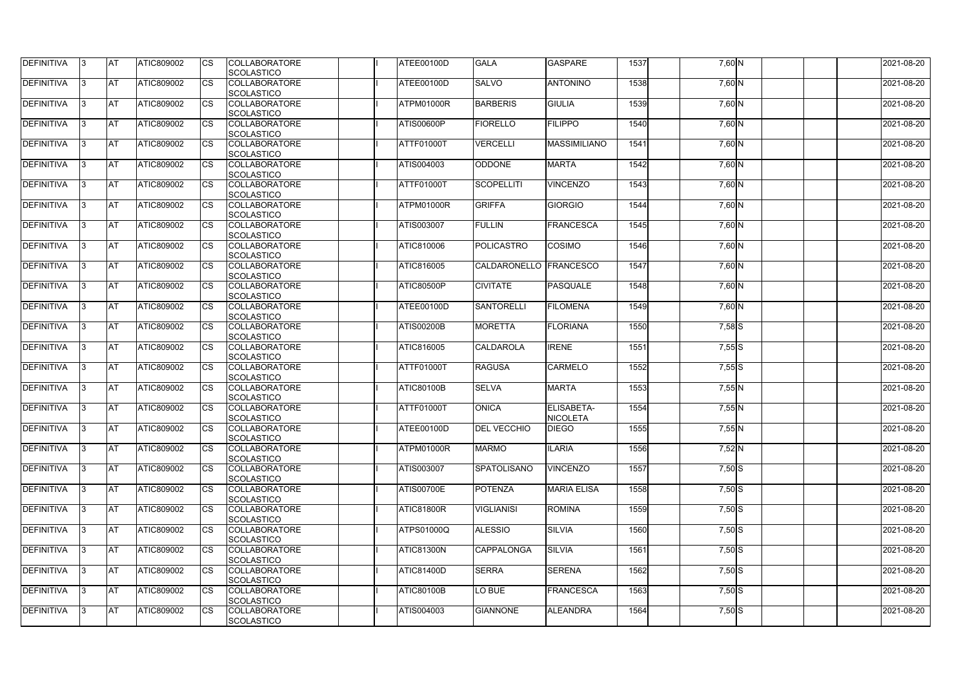| <b>DEFINITIVA</b> | IЗ  | <b>AT</b>  | <b>ATIC809002</b> | <b>CS</b> | <b>COLLABORATORE</b><br><b>SCOLASTICO</b> | ATEE00100D        | <b>GALA</b>              | <b>GASPARE</b>                | 1537 | 7,60 N   | 2021-08-20 |
|-------------------|-----|------------|-------------------|-----------|-------------------------------------------|-------------------|--------------------------|-------------------------------|------|----------|------------|
| <b>DEFINITIVA</b> | R   | <b>AT</b>  | ATIC809002        | <b>CS</b> | <b>COLLABORATORE</b><br><b>SCOLASTICO</b> | ATEE00100D        | <b>SALVO</b>             | <b>ANTONINO</b>               | 1538 | 7,60 N   | 2021-08-20 |
| <b>DEFINITIVA</b> | З   | <b>AT</b>  | <b>ATIC809002</b> | CS        | <b>COLLABORATORE</b><br>SCOLASTICO        | ATPM01000R        | <b>BARBERIS</b>          | <b>GIULIA</b>                 | 1539 | 7,60 N   | 2021-08-20 |
| <b>DEFINITIVA</b> |     | <b>AT</b>  | ATIC809002        | <b>CS</b> | <b>COLLABORATORE</b><br>SCOLASTICO        | <b>ATIS00600P</b> | <b>FIORELLO</b>          | FILIPPO                       | 1540 | 7,60 N   | 2021-08-20 |
| <b>DEFINITIVA</b> |     | <b>AT</b>  | ATIC809002        | CS        | <b>COLLABORATORE</b><br>SCOLASTICO        | ATTF01000T        | <b>VERCELLI</b>          | <b>MASSIMILIANO</b>           | 1541 | 7,60 N   | 2021-08-20 |
| <b>DEFINITIVA</b> |     | <b>IAT</b> | ATIC809002        | <b>CS</b> | <b>COLLABORATORE</b><br><b>SCOLASTICO</b> | ATIS004003        | <b>ODDONE</b>            | <b>MARTA</b>                  | 1542 | $7,60$ N | 2021-08-20 |
| DEFINITIVA        |     | <b>AT</b>  | ATIC809002        | <b>CS</b> | <b>COLLABORATORE</b><br>SCOLASTICO        | ATTF01000T        | <b>SCOPELLITI</b>        | <b>VINCENZO</b>               | 1543 | 7,60 N   | 2021-08-20 |
| <b>DEFINITIVA</b> | ß   | <b>AT</b>  | ATIC809002        | CS        | <b>COLLABORATORE</b><br><b>SCOLASTICO</b> | ATPM01000R        | <b>GRIFFA</b>            | <b>GIORGIO</b>                | 1544 | $7,60$ N | 2021-08-20 |
| <b>DEFINITIVA</b> | R   | <b>AT</b>  | ATIC809002        | <b>CS</b> | <b>COLLABORATORE</b><br><b>SCOLASTICO</b> | <b>ATIS003007</b> | <b>FULLIN</b>            | FRANCESCA                     | 1545 | 7,60 N   | 2021-08-20 |
| <b>DEFINITIVA</b> |     | <b>AT</b>  | ATIC809002        | <b>CS</b> | <b>COLLABORATORE</b><br><b>SCOLASTICO</b> | <b>ATIC810006</b> | <b>POLICASTRO</b>        | <b>COSIMO</b>                 | 1546 | 7,60 N   | 2021-08-20 |
| <b>DEFINITIVA</b> |     | <b>AT</b>  | ATIC809002        | <b>CS</b> | <b>COLLABORATORE</b><br>SCOLASTICO        | <b>ATIC816005</b> | CALDARONELLO   FRANCESCO |                               | 1547 | 7,60 N   | 2021-08-20 |
| <b>DEFINITIVA</b> | R   | <b>AT</b>  | ATIC809002        | <b>CS</b> | <b>COLLABORATORE</b><br>SCOLASTICO        | <b>ATIC80500P</b> | <b>CIVITATE</b>          | PASQUALE                      | 1548 | 7,60 N   | 2021-08-20 |
| DEFINITIVA        |     | <b>AT</b>  | ATIC809002        | <b>CS</b> | <b>COLLABORATORE</b><br><b>SCOLASTICO</b> | ATEE00100D        | <b>SANTORELLI</b>        | <b>FILOMENA</b>               | 1549 | 7,60 N   | 2021-08-20 |
| DEFINITIVA        | з   | <b>AT</b>  | ATIC809002        | CS        | <b>COLLABORATORE</b><br><b>SCOLASTICO</b> | <b>ATIS00200B</b> | <b>MORETTA</b>           | <b>FLORIANA</b>               | 1550 | 7,58 S   | 2021-08-20 |
| <b>DEFINITIVA</b> | R   | <b>AT</b>  | ATIC809002        | CS        | <b>COLLABORATORE</b><br><b>SCOLASTICO</b> | ATIC816005        | <b>CALDAROLA</b>         | <b>IRENE</b>                  | 1551 | $7,55$ S | 2021-08-20 |
| <b>DEFINITIVA</b> |     | <b>AT</b>  | ATIC809002        | <b>CS</b> | <b>COLLABORATORE</b><br><b>SCOLASTICO</b> | ATTF01000T        | <b>RAGUSA</b>            | <b>CARMELO</b>                | 1552 | $7,55$ S | 2021-08-20 |
| <b>DEFINITIVA</b> |     | <b>AT</b>  | ATIC809002        | CS        | <b>COLLABORATORE</b><br><b>SCOLASTICO</b> | <b>ATIC80100B</b> | <b>SELVA</b>             | <b>MARTA</b>                  | 1553 | 7,55 N   | 2021-08-20 |
| <b>DEFINITIVA</b> |     | <b>AT</b>  | ATIC809002        | CS        | <b>COLLABORATORE</b><br>SCOLASTICO        | <b>ATTF01000T</b> | <b>ONICA</b>             | ELISABETA-<br><b>NICOLETA</b> | 1554 | 7,55 N   | 2021-08-20 |
| <b>DEFINITIVA</b> | 13. | <b>AT</b>  | ATIC809002        | <b>CS</b> | <b>COLLABORATORE</b><br>SCOLASTICO        | ATEE00100D        | <b>DEL VECCHIO</b>       | <b>DIEGO</b>                  | 1555 | 7,55 N   | 2021-08-20 |
| DEFINITIVA        | 3   | <b>AT</b>  | ATIC809002        | <b>CS</b> | <b>COLLABORATORE</b><br><b>SCOLASTICO</b> | ATPM01000R        | <b>MARMO</b>             | <b>ILARIA</b>                 | 1556 | $7,52$ N | 2021-08-20 |
| <b>DEFINITIVA</b> | IЗ  | <b>AT</b>  | ATIC809002        | <b>CS</b> | <b>COLLABORATORE</b><br><b>SCOLASTICO</b> | ATIS003007        | <b>SPATOLISANO</b>       | <b>VINCENZO</b>               | 1557 | $7,50$ S | 2021-08-20 |
| <b>DEFINITIVA</b> |     | <b>AT</b>  | ATIC809002        | <b>CS</b> | <b>COLLABORATORE</b><br><b>SCOLASTICO</b> | <b>ATIS00700E</b> | <b>POTENZA</b>           | <b>MARIA ELISA</b>            | 1558 | $7,50$ S | 2021-08-20 |
| <b>DEFINITIVA</b> |     | <b>AT</b>  | ATIC809002        | <b>CS</b> | <b>COLLABORATORE</b><br><b>SCOLASTICO</b> | ATIC81800R        | <b>VIGLIANISI</b>        | <b>ROMINA</b>                 | 1559 | $7,50$ S | 2021-08-20 |
| <b>DEFINITIVA</b> | ß.  | <b>AT</b>  | ATIC809002        | <b>CS</b> | <b>COLLABORATORE</b><br><b>SCOLASTICO</b> | <b>ATPS01000Q</b> | <b>ALESSIO</b>           | <b>SILVIA</b>                 | 1560 | $7,50$ S | 2021-08-20 |
| <b>DEFINITIVA</b> | 3   | <b>AT</b>  | ATIC809002        | <b>CS</b> | <b>COLLABORATORE</b><br>SCOLASTICO        | <b>ATIC81300N</b> | <b>CAPPALONGA</b>        | <b>SILVIA</b>                 | 1561 | $7,50$ S | 2021-08-20 |
| DEFINITIVA        | ß.  | <b>AT</b>  | ATIC809002        | <b>CS</b> | <b>COLLABORATORE</b><br><b>SCOLASTICO</b> | <b>ATIC81400D</b> | <b>SERRA</b>             | <b>SERENA</b>                 | 1562 | $7,50$ S | 2021-08-20 |
| <b>DEFINITIVA</b> | IЗ  | <b>AT</b>  | ATIC809002        | <b>CS</b> | <b>COLLABORATORE</b><br><b>SCOLASTICO</b> | <b>ATIC80100B</b> | LO BUE                   | FRANCESCA                     | 1563 | $7,50$ S | 2021-08-20 |
| <b>DEFINITIVA</b> | ß.  | <b>AT</b>  | ATIC809002        | <b>CS</b> | <b>COLLABORATORE</b><br>SCOLASTICO        | ATIS004003        | <b>GIANNONE</b>          | <b>ALEANDRA</b>               | 1564 | $7,50$ S | 2021-08-20 |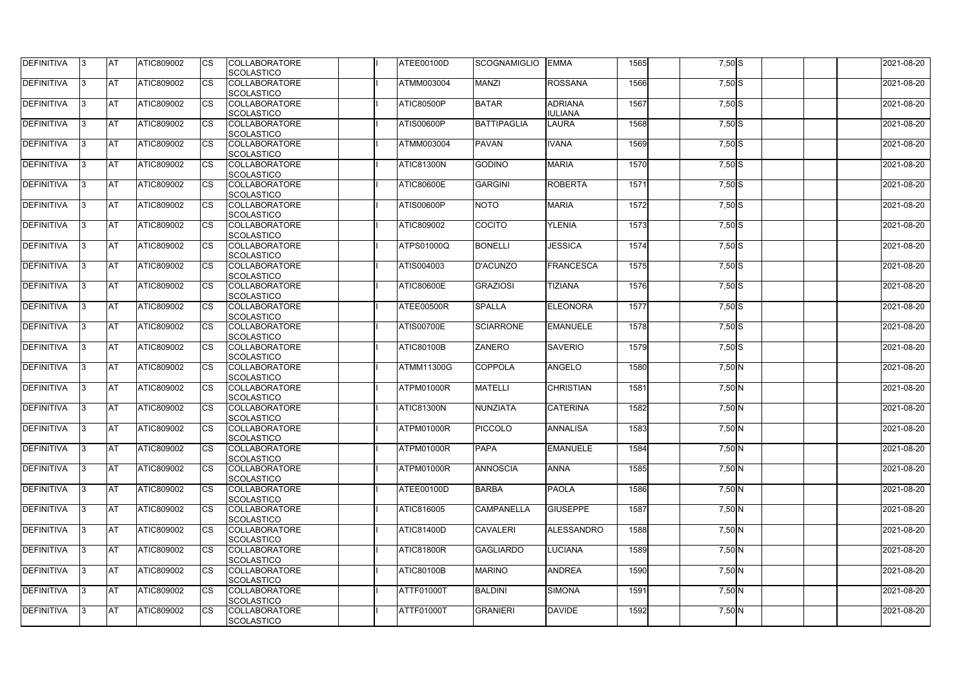| DEFINITIVA        | 13. | <b>JAT</b> | ATIC809002        | Ics        | <b>COLLABORATORE</b> | ATEE00100D        | <b>SCOGNAMIGLIO</b> | <b>EMMA</b>      | 1565 | $7,50$ S | 2021-08-20 |
|-------------------|-----|------------|-------------------|------------|----------------------|-------------------|---------------------|------------------|------|----------|------------|
|                   |     |            |                   |            | <b>SCOLASTICO</b>    |                   |                     |                  |      |          |            |
| <b>DEFINITIVA</b> | l3  | <b>AT</b>  | ATIC809002        | Ics        | <b>COLLABORATORE</b> | ATMM003004        | <b>MANZI</b>        | <b>ROSSANA</b>   | 1566 | $7,50$ S | 2021-08-20 |
|                   |     |            |                   |            | <b>SCOLASTICO</b>    |                   |                     |                  |      |          |            |
| DEFINITIVA        | l3  | <b>AT</b>  | ATIC809002        | <b>CS</b>  | <b>COLLABORATORE</b> | <b>ATIC80500P</b> | <b>BATAR</b>        | <b>ADRIANA</b>   | 1567 | $7,50$ S | 2021-08-20 |
|                   |     |            |                   |            | <b>SCOLASTICO</b>    |                   |                     | <b>IULIANA</b>   |      |          |            |
| DEFINITIVA        |     | <b>AT</b>  | ATIC809002        | Ics        | <b>COLLABORATORE</b> | ATIS00600P        | <b>BATTIPAGLIA</b>  | <b>LAURA</b>     | 1568 | $7,50$ S | 2021-08-20 |
|                   |     |            |                   |            | <b>SCOLASTICO</b>    |                   |                     |                  |      |          |            |
| DEFINITIVA        |     | <b>AT</b>  | <b>ATIC809002</b> | <b>CS</b>  | <b>COLLABORATORE</b> | <b>ATMM003004</b> | <b>PAVAN</b>        | <b>IVANA</b>     | 1569 | $7,50$ S | 2021-08-20 |
|                   |     |            |                   |            | <b>SCOLASTICO</b>    |                   |                     |                  |      |          |            |
| <b>DEFINITIVA</b> |     | AT         | <b>ATIC809002</b> | <b>ICS</b> | <b>COLLABORATORE</b> | <b>ATIC81300N</b> | <b>GODINO</b>       | <b>MARIA</b>     | 1570 | $7,50$ S | 2021-08-20 |
|                   |     |            |                   |            |                      |                   |                     |                  |      |          |            |
|                   |     |            |                   |            | <b>SCOLASTICO</b>    |                   |                     |                  |      |          |            |
| DEFINITIVA        |     | <b>AT</b>  | ATIC809002        | Ics        | <b>COLLABORATORE</b> | <b>ATIC80600E</b> | <b>GARGINI</b>      | <b>ROBERTA</b>   | 1571 | $7,50$ S | 2021-08-20 |
|                   |     |            |                   |            | <b>SCOLASTICO</b>    |                   |                     |                  |      |          |            |
| <b>DEFINITIVA</b> | ıз  | <b>AT</b>  | ATIC809002        | Ics        | <b>COLLABORATORE</b> | <b>ATIS00600P</b> | <b>NOTO</b>         | <b>MARIA</b>     | 1572 | $7,50$ S | 2021-08-20 |
|                   |     |            |                   |            | <b>SCOLASTICO</b>    |                   |                     |                  |      |          |            |
| DEFINITIVA        | I3  | <b>AT</b>  | ATIC809002        | <b>CS</b>  | <b>COLLABORATORE</b> | ATIC809002        | <b>COCITO</b>       | <b>YLENIA</b>    | 1573 | $7,50$ S | 2021-08-20 |
|                   |     |            |                   |            | <b>SCOLASTICO</b>    |                   |                     |                  |      |          |            |
| <b>DEFINITIVA</b> |     | <b>AT</b>  | ATIC809002        | <b>CS</b>  | <b>COLLABORATORE</b> | <b>ATPS01000Q</b> | <b>BONELLI</b>      | <b>JESSICA</b>   | 1574 | 7,50 S   | 2021-08-20 |
|                   |     |            |                   |            | <b>SCOLASTICO</b>    |                   |                     |                  |      |          |            |
| <b>DEFINITIVA</b> |     | <b>AT</b>  | ATIC809002        | <b>CS</b>  | <b>COLLABORATORE</b> | ATIS004003        | <b>D'ACUNZO</b>     | FRANCESCA        | 1575 | $7,50$ S | 2021-08-20 |
|                   |     |            |                   |            | <b>SCOLASTICO</b>    |                   |                     |                  |      |          |            |
| DEFINITIVA        | I3  | <b>AT</b>  | ATIC809002        |            | <b>COLLABORATORE</b> | <b>ATIC80600E</b> | <b>GRAZIOSI</b>     | TIZIANA          | 1576 | $7,50$ S | 2021-08-20 |
|                   |     |            |                   |            | <b>SCOLASTICO</b>    |                   |                     |                  |      |          |            |
|                   |     |            |                   |            |                      |                   |                     |                  |      |          |            |
| <b>DEFINITIVA</b> |     | <b>JAT</b> | ATIC809002        |            | <b>COLLABORATORE</b> | ATEE00500R        | <b>SPALLA</b>       | <b>ELEONORA</b>  | 1577 | $7,50$ S | 2021-08-20 |
|                   |     |            |                   |            | <b>SCOLASTICO</b>    |                   |                     |                  |      |          |            |
| <b>DEFINITIVA</b> |     | <b>AT</b>  | ATIC809002        | Ics        | <b>COLLABORATORE</b> | <b>ATIS00700E</b> | <b>SCIARRONE</b>    | <b>EMANUELE</b>  | 1578 | $7,50$ S | 2021-08-20 |
|                   |     |            |                   |            | <b>SCOLASTICO</b>    |                   |                     |                  |      |          |            |
| DEFINITIVA        | l3  | <b>AT</b>  | ATIC809002        | Ics        | <b>COLLABORATORE</b> | <b>ATIC80100B</b> | <b>ZANERO</b>       | <b>SAVERIO</b>   | 1579 | $7,50$ S | 2021-08-20 |
|                   |     |            |                   |            | <b>SCOLASTICO</b>    |                   |                     |                  |      |          |            |
| DEFINITIVA        |     | <b>AT</b>  | ATIC809002        | Ics        | <b>COLLABORATORE</b> | <b>ATMM11300G</b> | <b>COPPOLA</b>      | ANGELO           | 1580 | $7,50$ N | 2021-08-20 |
|                   |     |            |                   |            | <b>SCOLASTICO</b>    |                   |                     |                  |      |          |            |
| DEFINITIVA        |     | <b>AT</b>  | ATIC809002        | <b>CS</b>  | <b>COLLABORATORE</b> | ATPM01000R        | <b>MATELLI</b>      | <b>CHRISTIAN</b> | 1581 | $7,50$ N | 2021-08-20 |
|                   |     |            |                   |            | <b>SCOLASTICO</b>    |                   |                     |                  |      |          |            |
| <b>DEFINITIVA</b> |     | <b>AT</b>  | ATIC809002        | <b>CS</b>  | <b>COLLABORATORE</b> | <b>ATIC81300N</b> | <b>NUNZIATA</b>     | <b>CATERINA</b>  | 1582 | $7,50$ N | 2021-08-20 |
|                   |     |            |                   |            | <b>SCOLASTICO</b>    |                   |                     |                  |      |          |            |
| <b>DEFINITIVA</b> | 13. | <b>AT</b>  | ATIC809002        |            | <b>COLLABORATORE</b> | ATPM01000R        | <b>PICCOLO</b>      | <b>ANNALISA</b>  | 1583 | 7,50 N   | 2021-08-20 |
|                   |     |            |                   |            |                      |                   |                     |                  |      |          |            |
|                   |     |            |                   |            | <b>SCOLASTICO</b>    |                   |                     |                  |      |          |            |
| <b>DEFINITIVA</b> | 13  | AT         | <b>ATIC809002</b> | Ics        | <b>COLLABORATORE</b> | ATPM01000R        | <b>PAPA</b>         | <b>EMANUELE</b>  | 1584 | $7,50$ N | 2021-08-20 |
|                   |     |            |                   |            | <b>SCOLASTICO</b>    |                   |                     |                  |      |          |            |
| <b>DEFINITIVA</b> | l3  | <b>AT</b>  | ATIC809002        | Ics        | <b>COLLABORATORE</b> | ATPM01000R        | <b>ANNOSCIA</b>     | <b>ANNA</b>      | 1585 | $7,50$ N | 2021-08-20 |
|                   |     |            |                   |            | <b>SCOLASTICO</b>    |                   |                     |                  |      |          |            |
| DEFINITIVA        | I3  | <b>AT</b>  | ATIC809002        | Ics        | <b>COLLABORATORE</b> | ATEE00100D        | <b>BARBA</b>        | <b>PAOLA</b>     | 1586 | $7,50$ N | 2021-08-20 |
|                   |     |            |                   |            | <b>SCOLASTICO</b>    |                   |                     |                  |      |          |            |
| DEFINITIVA        |     | <b>AT</b>  | ATIC809002        | Ics        | <b>COLLABORATORE</b> | ATIC816005        | <b>CAMPANELLA</b>   | <b>GIUSEPPE</b>  | 1587 | $7,50$ N | 2021-08-20 |
|                   |     |            |                   |            | <b>SCOLASTICO</b>    |                   |                     |                  |      |          |            |
| <b>DEFINITIVA</b> |     | <b>AT</b>  | ATIC809002        | Ics        | <b>COLLABORATORE</b> | <b>ATIC81400D</b> | <b>CAVALERI</b>     | ALESSANDRO       | 1588 | $7,50$ N | 2021-08-20 |
|                   |     |            |                   |            | <b>SCOLASTICO</b>    |                   |                     |                  |      |          |            |
| <b>DEFINITIVA</b> | ıз  | <b>AT</b>  | <b>ATIC809002</b> |            | <b>COLLABORATORE</b> | <b>ATIC81800R</b> | <b>GAGLIARDO</b>    | <b>LUCIANA</b>   | 1589 | 7,50 N   | 2021-08-20 |
|                   |     |            |                   |            | <b>SCOLASTICO</b>    |                   |                     |                  |      |          |            |
| <b>DEFINITIVA</b> | IЗ  | <b>AT</b>  | ATIC809002        | Ics        | <b>COLLABORATORE</b> | <b>ATIC80100B</b> | <b>MARINO</b>       | <b>ANDREA</b>    | 1590 | $7,50$ N | 2021-08-20 |
|                   |     |            |                   |            |                      |                   |                     |                  |      |          |            |
|                   |     |            |                   |            | <b>SCOLASTICO</b>    |                   |                     |                  |      |          |            |
| <b>DEFINITIVA</b> | ıз  | <b>AT</b>  | <b>ATIC809002</b> | <b>ICS</b> | <b>COLLABORATORE</b> | ATTF01000T        | <b>BALDINI</b>      | <b>SIMONA</b>    | 1591 | $7,50$ N | 2021-08-20 |
|                   |     |            |                   |            | <b>SCOLASTICO</b>    |                   |                     |                  |      |          |            |
| <b>DEFINITIVA</b> | I3  | <b>AT</b>  | ATIC809002        | Ics        | <b>COLLABORATORE</b> | ATTF01000T        | <b>GRANIERI</b>     | <b>DAVIDE</b>    | 1592 | 7,50 N   | 2021-08-20 |
|                   |     |            |                   |            | SCOLASTICO           |                   |                     |                  |      |          |            |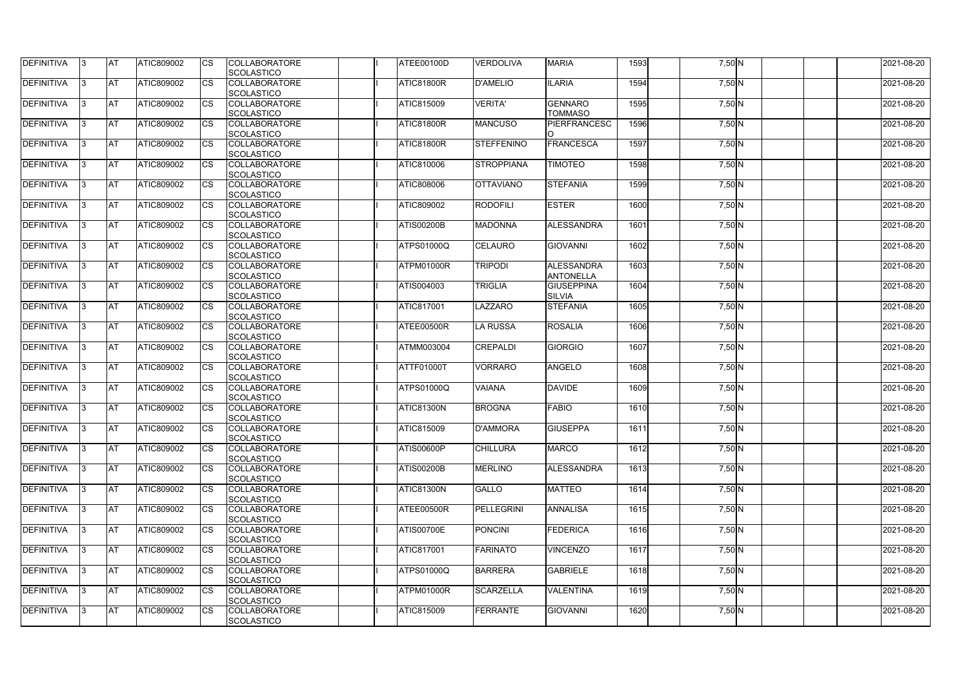| <b>DEFINITIVA</b> | IЗ  | <b>IAT</b> | <b>ATIC809002</b> | <b>CS</b>              | <b>COLLABORATORE</b>               | ATEE00100D        | <b>VERDOLIVA</b>  | <b>MARIA</b>      | 1593 | 7,50 N   | 2021-08-20 |
|-------------------|-----|------------|-------------------|------------------------|------------------------------------|-------------------|-------------------|-------------------|------|----------|------------|
|                   | ß.  |            |                   |                        | SCOLASTICO<br><b>COLLABORATORE</b> |                   |                   |                   | 1594 |          |            |
| DEFINITIVA        |     | <b>AT</b>  | ATIC809002        | CS                     |                                    | ATIC81800R        | <b>D'AMELIO</b>   | <b>ILARIA</b>     |      | 7,50 N   | 2021-08-20 |
|                   |     |            |                   |                        | SCOLASTICO                         |                   |                   |                   |      |          |            |
| <b>DEFINITIVA</b> | ß.  | <b>AT</b>  | ATIC809002        | CS                     | <b>COLLABORATORE</b>               | <b>ATIC815009</b> | <b>VERITA'</b>    | <b>GENNARO</b>    | 1595 | 7,50 N   | 2021-08-20 |
|                   |     |            |                   |                        | <b>SCOLASTICO</b>                  |                   |                   | <b>TOMMASO</b>    |      |          |            |
| <b>DEFINITIVA</b> |     | <b>AT</b>  | ATIC809002        | <b>CS</b>              | <b>COLLABORATORE</b>               | ATIC81800R        | <b>MANCUSO</b>    | PIERFRANCESC      | 1596 | 7,50 N   | 2021-08-20 |
|                   |     |            |                   |                        | <b>SCOLASTICO</b>                  |                   |                   |                   |      |          |            |
| <b>DEFINITIVA</b> |     | <b>AT</b>  | ATIC809002        | CS                     | <b>COLLABORATORE</b>               | ATIC81800R        | <b>STEFFENINO</b> | FRANCESCA         | 1597 | 7,50 N   | 2021-08-20 |
|                   |     |            |                   |                        | SCOLASTICO                         |                   |                   |                   |      |          |            |
| <b>DEFINITIVA</b> | ß   | AT         | ATIC809002        | <b>CS</b>              | <b>COLLABORATORE</b>               | <b>ATIC810006</b> | <b>STROPPIANA</b> | <b>TIMOTEO</b>    | 1598 | $7,50$ N | 2021-08-20 |
|                   |     |            |                   |                        | SCOLASTICO                         |                   |                   |                   |      |          |            |
| <b>DEFINITIVA</b> |     | <b>AT</b>  | ATIC809002        | <b>CS</b>              | <b>COLLABORATORE</b>               | <b>ATIC808006</b> | <b>OTTAVIANO</b>  | <b>STEFANIA</b>   | 1599 | 7,50 N   | 2021-08-20 |
|                   |     |            |                   |                        | SCOLASTICO                         |                   |                   |                   |      |          |            |
| DEFINITIVA        | l3  | <b>AT</b>  | ATIC809002        | <b>CS</b>              | <b>COLLABORATORE</b>               | <b>ATIC809002</b> | <b>RODOFILI</b>   | <b>ESTER</b>      | 1600 | 7,50 N   | 2021-08-20 |
|                   |     |            |                   |                        | <b>SCOLASTICO</b>                  |                   |                   |                   |      |          |            |
| <b>DEFINITIVA</b> | l3  | <b>AT</b>  | ATIC809002        | CS                     | <b>COLLABORATORE</b>               | <b>ATIS00200B</b> | <b>MADONNA</b>    | <b>ALESSANDRA</b> | 1601 | $7,50$ N | 2021-08-20 |
|                   |     |            |                   |                        | <b>SCOLASTICO</b>                  |                   |                   |                   |      |          |            |
| <b>DEFINITIVA</b> |     | <b>AT</b>  | <b>ATIC809002</b> | <b>CS</b>              | <b>COLLABORATORE</b>               | <b>ATPS01000Q</b> | <b>CELAURO</b>    | <b>GIOVANNI</b>   | 1602 | 7,50 N   | 2021-08-20 |
|                   |     |            |                   |                        | <b>SCOLASTICO</b>                  |                   |                   |                   |      |          |            |
| <b>DEFINITIVA</b> |     | <b>AT</b>  | ATIC809002        | $\overline{\text{cs}}$ | <b>COLLABORATORE</b>               | ATPM01000R        | <b>TRIPODI</b>    | ALESSANDRA        | 1603 | 7,50 N   | 2021-08-20 |
|                   |     |            |                   |                        | SCOLASTICO                         |                   |                   | <b>ANTONELLA</b>  |      |          |            |
| <b>DEFINITIVA</b> | 3   | <b>AT</b>  | ATIC809002        | <b>CS</b>              | <b>COLLABORATORE</b>               | ATIS004003        | <b>TRIGLIA</b>    | <b>GIUSEPPINA</b> | 1604 | 7,50 N   | 2021-08-20 |
|                   |     |            |                   |                        | SCOLASTICO                         |                   |                   | <b>SILVIA</b>     |      |          |            |
| <b>DEFINITIVA</b> |     | <b>AT</b>  | ATIC809002        | CS                     | <b>COLLABORATORE</b>               | <b>ATIC817001</b> | LAZZARO           | <b>STEFANIA</b>   | 1605 | 7,50 N   | 2021-08-20 |
|                   |     |            |                   |                        | <b>SCOLASTICO</b>                  |                   |                   |                   |      |          |            |
| <b>DEFINITIVA</b> |     | <b>AT</b>  | ATIC809002        | <b>CS</b>              | <b>COLLABORATORE</b>               | ATEE00500R        | <b>LA RUSSA</b>   | <b>ROSALIA</b>    | 1606 | $7,50$ N | 2021-08-20 |
|                   |     |            |                   |                        | SCOLASTICO                         |                   |                   |                   |      |          |            |
| DEFINITIVA        | R   | <b>AT</b>  | ATIC809002        | CS                     | <b>COLLABORATORE</b>               | <b>ATMM003004</b> | <b>CREPALDI</b>   | <b>GIORGIO</b>    | 1607 | $7,50$ N | 2021-08-20 |
|                   |     |            |                   |                        | <b>SCOLASTICO</b>                  |                   |                   |                   |      |          |            |
| <b>DEFINITIVA</b> |     | <b>AT</b>  | <b>ATIC809002</b> | CS                     | <b>COLLABORATORE</b>               | <b>ATTF01000T</b> | <b>VORRARO</b>    | ANGELO            | 1608 | 7,50 N   | 2021-08-20 |
|                   |     |            |                   |                        | <b>SCOLASTICO</b>                  |                   |                   |                   |      |          |            |
| <b>DEFINITIVA</b> |     | <b>AT</b>  | ATIC809002        | <b>CS</b>              | <b>COLLABORATORE</b>               | ATPS01000Q        | <b>VAIANA</b>     | <b>DAVIDE</b>     | 1609 | $7,50$ N | 2021-08-20 |
|                   |     |            |                   |                        | SCOLASTICO                         |                   |                   |                   |      |          |            |
| <b>DEFINITIVA</b> |     | <b>AT</b>  | ATIC809002        | <b>CS</b>              | <b>COLLABORATORE</b>               | <b>ATIC81300N</b> | <b>BROGNA</b>     | <b>FABIO</b>      | 1610 | 7,50 N   | 2021-08-20 |
|                   |     |            |                   |                        | SCOLASTICO                         |                   |                   |                   |      |          |            |
| <b>DEFINITIVA</b> | 13. | <b>AT</b>  | ATIC809002        | <b>CS</b>              | <b>COLLABORATORE</b>               | <b>ATIC815009</b> | <b>D'AMMORA</b>   | <b>GIUSEPPA</b>   | 1611 | 7,50 N   | 2021-08-20 |
|                   |     |            |                   |                        | SCOLASTICO                         |                   |                   |                   |      |          |            |
| <b>DEFINITIVA</b> | IЗ  | <b>AT</b>  | ATIC809002        | <b>CS</b>              | <b>COLLABORATORE</b>               | <b>ATIS00600P</b> | <b>CHILLURA</b>   | <b>MARCO</b>      | 1612 | $7,50$ N | 2021-08-20 |
|                   |     |            |                   |                        | <b>SCOLASTICO</b>                  |                   |                   |                   |      |          |            |
| <b>DEFINITIVA</b> | l3. | <b>AT</b>  | ATIC809002        | <b>CS</b>              | <b>COLLABORATORE</b>               | <b>ATIS00200B</b> | <b>MERLINO</b>    | <b>ALESSANDRA</b> | 1613 | $7,50$ N | 2021-08-20 |
|                   |     |            |                   |                        |                                    |                   |                   |                   |      |          |            |
|                   |     |            |                   |                        | <b>SCOLASTICO</b>                  |                   |                   |                   |      |          |            |
| <b>DEFINITIVA</b> | 13. | <b>AT</b>  | ATIC809002        | <b>CS</b>              | <b>COLLABORATORE</b>               | <b>ATIC81300N</b> | <b>GALLO</b>      | <b>MATTEO</b>     | 1614 | 7,50 N   | 2021-08-20 |
|                   |     |            |                   |                        | <b>SCOLASTICO</b>                  |                   |                   |                   |      |          |            |
| <b>DEFINITIVA</b> |     | <b>AT</b>  | ATIC809002        | <b>CS</b>              | <b>COLLABORATORE</b>               | ATEE00500R        | PELLEGRINI        | <b>ANNALISA</b>   | 1615 | 7,50 N   | 2021-08-20 |
|                   |     |            |                   |                        | <b>SCOLASTICO</b>                  |                   |                   |                   |      |          |            |
| <b>DEFINITIVA</b> | ß   | <b>AT</b>  | ATIC809002        | <b>CS</b>              | <b>COLLABORATORE</b>               | <b>ATIS00700E</b> | <b>PONCINI</b>    | <b>FEDERICA</b>   | 1616 | $7,50$ N | 2021-08-20 |
|                   |     |            |                   |                        | <b>SCOLASTICO</b>                  |                   |                   |                   |      |          |            |
| <b>DEFINITIVA</b> | l3  | <b>AT</b>  | ATIC809002        | <b>CS</b>              | <b>COLLABORATORE</b>               | <b>ATIC817001</b> | <b>FARINATO</b>   | <b>VINCENZO</b>   | 1617 | 7,50 N   | 2021-08-20 |
|                   |     |            |                   |                        | SCOLASTICO                         |                   |                   |                   |      |          |            |
| DEFINITIVA        |     | <b>AT</b>  | ATIC809002        | <b>CS</b>              | <b>COLLABORATORE</b>               | <b>ATPS01000Q</b> | <b>BARRERA</b>    | <b>GABRIELE</b>   | 1618 | 7,50 N   | 2021-08-20 |
|                   |     |            |                   |                        | <b>SCOLASTICO</b>                  |                   |                   |                   |      |          |            |
| DEFINITIVA        | IЗ  | <b>AT</b>  | ATIC809002        | <b>CS</b>              | <b>COLLABORATORE</b>               | ATPM01000R        | <b>SCARZELLA</b>  | <b>VALENTINA</b>  | 1619 | $7,50$ N | 2021-08-20 |
|                   |     |            |                   |                        | <b>SCOLASTICO</b>                  |                   |                   |                   |      |          |            |
| <b>DEFINITIVA</b> | 13. | <b>AT</b>  | ATIC809002        | <b>CS</b>              | <b>COLLABORATORE</b>               | <b>ATIC815009</b> | <b>FERRANTE</b>   | GIOVANNI          | 1620 | $7,50$ N | 2021-08-20 |
|                   |     |            |                   |                        | SCOLASTICO                         |                   |                   |                   |      |          |            |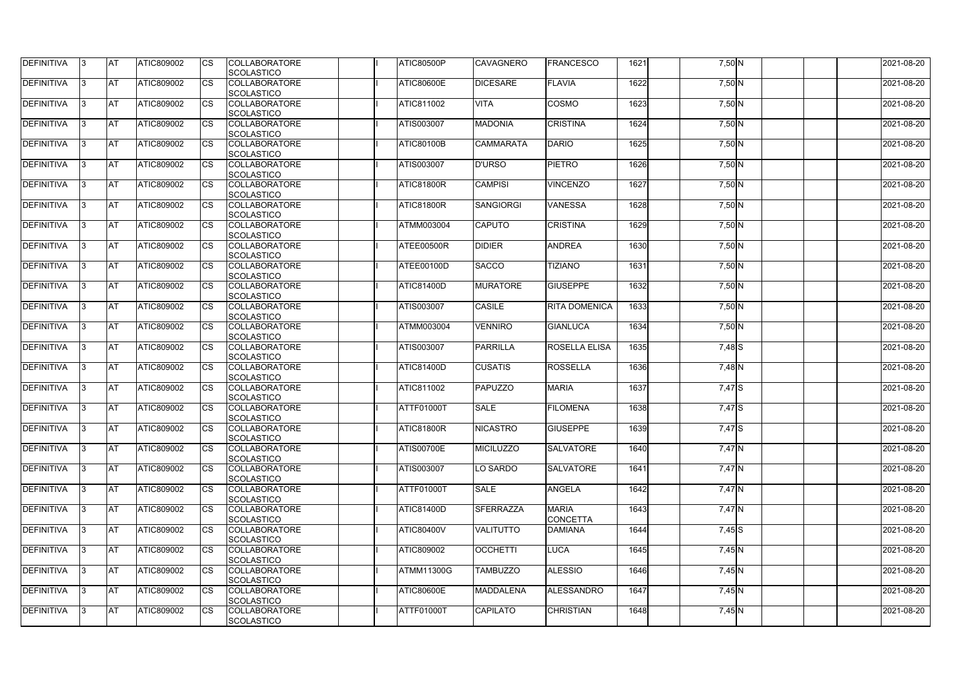| <b>AT</b><br><b>COLLABORATORE</b><br>1622<br>DEFINITIVA<br>ATIC809002<br>CS<br><b>ATIC80600E</b><br><b>DICESARE</b><br><b>FLAVIA</b><br>7,50 N<br>2021-08-20<br>ß.<br>SCOLASTICO<br>COSMO<br>1623<br>DEFINITIVA<br><b>AT</b><br>ATIC809002<br><b>COLLABORATORE</b><br>ATIC811002<br><b>VITA</b><br>7,50 N<br>2021-08-20<br>CS<br>ß.<br><b>SCOLASTICO</b><br><b>DEFINITIVA</b><br><b>CRISTINA</b><br><b>AT</b><br>ATIC809002<br><b>CS</b><br><b>COLLABORATORE</b><br><b>MADONIA</b><br>1624<br>7,50 N<br>2021-08-20<br><b>ATIS003007</b><br><b>SCOLASTICO</b><br><b>DEFINITIVA</b><br>2021-08-20<br><b>AT</b><br>ATIC809002<br><b>COLLABORATORE</b><br><b>ATIC80100B</b><br><b>DARIO</b><br>1625<br>7,50 N<br>CS<br><b>CAMMARATA</b><br>SCOLASTICO<br><b>DEFINITIVA</b><br><b>PIETRO</b><br>1626<br>2021-08-20<br>AT<br>ATIC809002<br><b>COLLABORATORE</b><br><b>ATIS003007</b><br><b>D'URSO</b><br><b>CS</b><br>$7,50$ N<br>ß<br>SCOLASTICO<br><b>DEFINITIVA</b><br><b>AT</b><br><b>COLLABORATORE</b><br><b>CAMPISI</b><br><b>VINCENZO</b><br>1627<br>2021-08-20<br>ATIC809002<br><b>CS</b><br>ATIC81800R<br>7,50 N<br>SCOLASTICO<br>1628<br>DEFINITIVA<br><b>AT</b><br>ATIC809002<br><b>CS</b><br><b>COLLABORATORE</b><br>ATIC81800R<br><b>SANGIORGI</b><br><b>VANESSA</b><br>7,50 N<br>2021-08-20<br>3<br><b>SCOLASTICO</b><br>DEFINITIVA<br><b>AT</b><br>ATIC809002<br><b>CRISTINA</b><br>1629<br>2021-08-20<br>CS<br><b>COLLABORATORE</b><br>ATMM003004<br><b>CAPUTO</b><br>$7,50$ N<br>l3<br><b>SCOLASTICO</b><br><b>DEFINITIVA</b><br><b>AT</b><br><b>ATIC809002</b><br><b>CS</b><br><b>DIDIER</b><br>ANDREA<br>1630<br><b>COLLABORATORE</b><br>ATEE00500R<br>7,50 N<br>2021-08-20<br><b>SCOLASTICO</b><br><b>DEFINITIVA</b><br><b>AT</b><br>ATIC809002<br>$\overline{\text{cs}}$<br><b>SACCO</b><br>1631<br>2021-08-20<br><b>COLLABORATORE</b><br><b>TIZIANO</b><br>7,50 N<br>ATEE00100D<br>SCOLASTICO<br>1632<br><b>DEFINITIVA</b><br><b>AT</b><br>ATIC809002<br><b>CS</b><br><b>COLLABORATORE</b><br><b>MURATORE</b><br><b>GIUSEPPE</b><br>2021-08-20<br><b>ATIC81400D</b><br>7,50 N<br>3<br>SCOLASTICO<br><b>DEFINITIVA</b><br><b>IAT</b><br><b>COLLABORATORE</b><br><b>CASILE</b><br>1633<br>ATIC809002<br>CS<br><b>ATIS003007</b><br><b>RITA DOMENICA</b><br>2021-08-20<br>7,50 N<br><b>SCOLASTICO</b><br><b>AT</b><br>1634<br><b>DEFINITIVA</b><br>ATIC809002<br><b>CS</b><br><b>COLLABORATORE</b><br><b>VENNIRO</b><br>2021-08-20<br><b>ATMM003004</b><br><b>GIANLUCA</b><br>7,50 N<br>ß<br>SCOLASTICO<br>1635<br>DEFINITIVA<br><b>AT</b><br>ATIC809002<br><b>COLLABORATORE</b><br>PARRILLA<br>2021-08-20<br>CS<br><b>ATIS003007</b><br><b>ROSELLA ELISA</b><br>$7,48$ S<br>R<br><b>SCOLASTICO</b><br><b>DEFINITIVA</b><br><b>AT</b><br><b>COLLABORATORE</b><br><b>CUSATIS</b><br><b>ROSSELLA</b><br>1636<br>2021-08-20<br><b>ATIC809002</b><br>CS<br><b>ATIC81400D</b><br>7,48 N<br><b>SCOLASTICO</b><br><b>DEFINITIVA</b><br><b>AT</b><br>ATIC809002<br><b>CS</b><br><b>COLLABORATORE</b><br>ATIC811002<br><b>PAPUZZO</b><br><b>MARIA</b><br>1637<br>7,47 S<br>2021-08-20<br>SCOLASTICO<br><b>DEFINITIVA</b><br>1638<br><b>AT</b><br>ATIC809002<br><b>CS</b><br><b>COLLABORATORE</b><br><b>SALE</b><br><b>FILOMENA</b><br>2021-08-20<br>ATTF01000T<br>7,47 S<br>SCOLASTICO<br>DEFINITIVA<br><b>AT</b><br>ATIC809002<br><b>COLLABORATORE</b><br>ATIC81800R<br>1639<br><b>NICASTRO</b><br><b>GIUSEPPE</b><br>7,47 S<br>2021-08-20<br><b>CS</b><br>13.<br>SCOLASTICO<br><b>DEFINITIVA</b><br><b>AT</b><br>ATIC809002<br><b>CS</b><br><b>COLLABORATORE</b><br><b>ATIS00700E</b><br><b>SALVATORE</b><br>1640<br>$7,47$ N<br>2021-08-20<br><b>MICILUZZO</b><br>IЗ<br><b>SCOLASTICO</b><br><b>AT</b><br>1641<br>2021-08-20<br>ATIC809002<br><b>CS</b><br><b>COLLABORATORE</b><br><b>ATIS003007</b><br>LO SARDO<br><b>SALVATORE</b><br>$7,47$ N<br>l3.<br><b>SCOLASTICO</b><br><b>AT</b><br><b>ANGELA</b><br>1642<br>ATIC809002<br><b>COLLABORATORE</b><br><b>ATTF01000T</b><br><b>SALE</b><br>7,47 N<br>2021-08-20<br><b>CS</b><br>13.<br><b>SCOLASTICO</b><br><b>AT</b><br><b>SFERRAZZA</b><br><b>MARIA</b><br>1643<br>$7,47$ N<br>2021-08-20<br>ATIC809002<br><b>COLLABORATORE</b><br><b>ATIC81400D</b><br><b>CS</b><br><b>CONCETTA</b><br><b>SCOLASTICO</b><br>2021-08-20<br><b>AT</b><br>ATIC809002<br><b>ATIC80400V</b><br><b>VALITUTTO</b><br>1644<br>$7,45$ S<br><b>CS</b><br><b>COLLABORATORE</b><br><b>DAMIANA</b><br>ß<br><b>SCOLASTICO</b><br><b>AT</b><br>ATIC809002<br><b>COLLABORATORE</b><br>ATIC809002<br><b>OCCHETTI</b><br><b>LUCA</b><br>1645<br>2021-08-20<br><b>CS</b><br>7,45 N<br>l3<br>SCOLASTICO<br><b>AT</b><br>ATIC809002<br><b>ALESSIO</b><br>1646<br>$7,45$ N<br>2021-08-20<br><b>CS</b><br><b>COLLABORATORE</b><br><b>ATMM11300G</b><br><b>TAMBUZZO</b><br><b>SCOLASTICO</b><br><b>AT</b><br>ATIC809002<br><b>ATIC80600E</b><br><b>ALESSANDRO</b><br>1647<br>$7,45$ N<br>2021-08-20<br><b>CS</b><br><b>COLLABORATORE</b><br><b>MADDALENA</b><br>IЗ<br><b>SCOLASTICO</b><br><b>AT</b><br>ATIC809002<br>CAPILATO<br><b>CHRISTIAN</b><br>1648<br>2021-08-20<br><b>COLLABORATORE</b><br><b>ATTF01000T</b><br>$7,45$ N<br><b>CS</b><br>13.<br>SCOLASTICO | <b>DEFINITIVA</b> | IЗ | <b>IAT</b> | ATIC809002 | <b>CS</b> | <b>COLLABORATORE</b> | <b>ATIC80500P</b> | <b>CAVAGNERO</b> | <b>FRANCESCO</b> | 1621 | 7,50 N | 2021-08-20 |
|--------------------------------------------------------------------------------------------------------------------------------------------------------------------------------------------------------------------------------------------------------------------------------------------------------------------------------------------------------------------------------------------------------------------------------------------------------------------------------------------------------------------------------------------------------------------------------------------------------------------------------------------------------------------------------------------------------------------------------------------------------------------------------------------------------------------------------------------------------------------------------------------------------------------------------------------------------------------------------------------------------------------------------------------------------------------------------------------------------------------------------------------------------------------------------------------------------------------------------------------------------------------------------------------------------------------------------------------------------------------------------------------------------------------------------------------------------------------------------------------------------------------------------------------------------------------------------------------------------------------------------------------------------------------------------------------------------------------------------------------------------------------------------------------------------------------------------------------------------------------------------------------------------------------------------------------------------------------------------------------------------------------------------------------------------------------------------------------------------------------------------------------------------------------------------------------------------------------------------------------------------------------------------------------------------------------------------------------------------------------------------------------------------------------------------------------------------------------------------------------------------------------------------------------------------------------------------------------------------------------------------------------------------------------------------------------------------------------------------------------------------------------------------------------------------------------------------------------------------------------------------------------------------------------------------------------------------------------------------------------------------------------------------------------------------------------------------------------------------------------------------------------------------------------------------------------------------------------------------------------------------------------------------------------------------------------------------------------------------------------------------------------------------------------------------------------------------------------------------------------------------------------------------------------------------------------------------------------------------------------------------------------------------------------------------------------------------------------------------------------------------------------------------------------------------------------------------------------------------------------------------------------------------------------------------------------------------------------------------------------------------------------------------------------------------------------------------------------------------------------------------------------------------------------------------------------------------------------------------------------------------------------------------------------------------------------------------------------------------------------------------------------------------------------------------------------------------------------------------------------------------------------------------------------------------------------------------------------------------------------------------------------------------------------------------------------------------------------------------------------------------------------------------------------------------------------------------------------------------------------------------------------------------------------------------------------------------------------------------------------------------------------------------------------------------------------------------------------------------------------------------------------------------------------------------------------|-------------------|----|------------|------------|-----------|----------------------|-------------------|------------------|------------------|------|--------|------------|
|                                                                                                                                                                                                                                                                                                                                                                                                                                                                                                                                                                                                                                                                                                                                                                                                                                                                                                                                                                                                                                                                                                                                                                                                                                                                                                                                                                                                                                                                                                                                                                                                                                                                                                                                                                                                                                                                                                                                                                                                                                                                                                                                                                                                                                                                                                                                                                                                                                                                                                                                                                                                                                                                                                                                                                                                                                                                                                                                                                                                                                                                                                                                                                                                                                                                                                                                                                                                                                                                                                                                                                                                                                                                                                                                                                                                                                                                                                                                                                                                                                                                                                                                                                                                                                                                                                                                                                                                                                                                                                                                                                                                                                                                                                                                                                                                                                                                                                                                                                                                                                                                                                                                                                                            |                   |    |            |            |           | SCOLASTICO           |                   |                  |                  |      |        |            |
|                                                                                                                                                                                                                                                                                                                                                                                                                                                                                                                                                                                                                                                                                                                                                                                                                                                                                                                                                                                                                                                                                                                                                                                                                                                                                                                                                                                                                                                                                                                                                                                                                                                                                                                                                                                                                                                                                                                                                                                                                                                                                                                                                                                                                                                                                                                                                                                                                                                                                                                                                                                                                                                                                                                                                                                                                                                                                                                                                                                                                                                                                                                                                                                                                                                                                                                                                                                                                                                                                                                                                                                                                                                                                                                                                                                                                                                                                                                                                                                                                                                                                                                                                                                                                                                                                                                                                                                                                                                                                                                                                                                                                                                                                                                                                                                                                                                                                                                                                                                                                                                                                                                                                                                            |                   |    |            |            |           |                      |                   |                  |                  |      |        |            |
|                                                                                                                                                                                                                                                                                                                                                                                                                                                                                                                                                                                                                                                                                                                                                                                                                                                                                                                                                                                                                                                                                                                                                                                                                                                                                                                                                                                                                                                                                                                                                                                                                                                                                                                                                                                                                                                                                                                                                                                                                                                                                                                                                                                                                                                                                                                                                                                                                                                                                                                                                                                                                                                                                                                                                                                                                                                                                                                                                                                                                                                                                                                                                                                                                                                                                                                                                                                                                                                                                                                                                                                                                                                                                                                                                                                                                                                                                                                                                                                                                                                                                                                                                                                                                                                                                                                                                                                                                                                                                                                                                                                                                                                                                                                                                                                                                                                                                                                                                                                                                                                                                                                                                                                            |                   |    |            |            |           |                      |                   |                  |                  |      |        |            |
|                                                                                                                                                                                                                                                                                                                                                                                                                                                                                                                                                                                                                                                                                                                                                                                                                                                                                                                                                                                                                                                                                                                                                                                                                                                                                                                                                                                                                                                                                                                                                                                                                                                                                                                                                                                                                                                                                                                                                                                                                                                                                                                                                                                                                                                                                                                                                                                                                                                                                                                                                                                                                                                                                                                                                                                                                                                                                                                                                                                                                                                                                                                                                                                                                                                                                                                                                                                                                                                                                                                                                                                                                                                                                                                                                                                                                                                                                                                                                                                                                                                                                                                                                                                                                                                                                                                                                                                                                                                                                                                                                                                                                                                                                                                                                                                                                                                                                                                                                                                                                                                                                                                                                                                            |                   |    |            |            |           |                      |                   |                  |                  |      |        |            |
|                                                                                                                                                                                                                                                                                                                                                                                                                                                                                                                                                                                                                                                                                                                                                                                                                                                                                                                                                                                                                                                                                                                                                                                                                                                                                                                                                                                                                                                                                                                                                                                                                                                                                                                                                                                                                                                                                                                                                                                                                                                                                                                                                                                                                                                                                                                                                                                                                                                                                                                                                                                                                                                                                                                                                                                                                                                                                                                                                                                                                                                                                                                                                                                                                                                                                                                                                                                                                                                                                                                                                                                                                                                                                                                                                                                                                                                                                                                                                                                                                                                                                                                                                                                                                                                                                                                                                                                                                                                                                                                                                                                                                                                                                                                                                                                                                                                                                                                                                                                                                                                                                                                                                                                            |                   |    |            |            |           |                      |                   |                  |                  |      |        |            |
|                                                                                                                                                                                                                                                                                                                                                                                                                                                                                                                                                                                                                                                                                                                                                                                                                                                                                                                                                                                                                                                                                                                                                                                                                                                                                                                                                                                                                                                                                                                                                                                                                                                                                                                                                                                                                                                                                                                                                                                                                                                                                                                                                                                                                                                                                                                                                                                                                                                                                                                                                                                                                                                                                                                                                                                                                                                                                                                                                                                                                                                                                                                                                                                                                                                                                                                                                                                                                                                                                                                                                                                                                                                                                                                                                                                                                                                                                                                                                                                                                                                                                                                                                                                                                                                                                                                                                                                                                                                                                                                                                                                                                                                                                                                                                                                                                                                                                                                                                                                                                                                                                                                                                                                            |                   |    |            |            |           |                      |                   |                  |                  |      |        |            |
|                                                                                                                                                                                                                                                                                                                                                                                                                                                                                                                                                                                                                                                                                                                                                                                                                                                                                                                                                                                                                                                                                                                                                                                                                                                                                                                                                                                                                                                                                                                                                                                                                                                                                                                                                                                                                                                                                                                                                                                                                                                                                                                                                                                                                                                                                                                                                                                                                                                                                                                                                                                                                                                                                                                                                                                                                                                                                                                                                                                                                                                                                                                                                                                                                                                                                                                                                                                                                                                                                                                                                                                                                                                                                                                                                                                                                                                                                                                                                                                                                                                                                                                                                                                                                                                                                                                                                                                                                                                                                                                                                                                                                                                                                                                                                                                                                                                                                                                                                                                                                                                                                                                                                                                            |                   |    |            |            |           |                      |                   |                  |                  |      |        |            |
|                                                                                                                                                                                                                                                                                                                                                                                                                                                                                                                                                                                                                                                                                                                                                                                                                                                                                                                                                                                                                                                                                                                                                                                                                                                                                                                                                                                                                                                                                                                                                                                                                                                                                                                                                                                                                                                                                                                                                                                                                                                                                                                                                                                                                                                                                                                                                                                                                                                                                                                                                                                                                                                                                                                                                                                                                                                                                                                                                                                                                                                                                                                                                                                                                                                                                                                                                                                                                                                                                                                                                                                                                                                                                                                                                                                                                                                                                                                                                                                                                                                                                                                                                                                                                                                                                                                                                                                                                                                                                                                                                                                                                                                                                                                                                                                                                                                                                                                                                                                                                                                                                                                                                                                            |                   |    |            |            |           |                      |                   |                  |                  |      |        |            |
|                                                                                                                                                                                                                                                                                                                                                                                                                                                                                                                                                                                                                                                                                                                                                                                                                                                                                                                                                                                                                                                                                                                                                                                                                                                                                                                                                                                                                                                                                                                                                                                                                                                                                                                                                                                                                                                                                                                                                                                                                                                                                                                                                                                                                                                                                                                                                                                                                                                                                                                                                                                                                                                                                                                                                                                                                                                                                                                                                                                                                                                                                                                                                                                                                                                                                                                                                                                                                                                                                                                                                                                                                                                                                                                                                                                                                                                                                                                                                                                                                                                                                                                                                                                                                                                                                                                                                                                                                                                                                                                                                                                                                                                                                                                                                                                                                                                                                                                                                                                                                                                                                                                                                                                            |                   |    |            |            |           |                      |                   |                  |                  |      |        |            |
|                                                                                                                                                                                                                                                                                                                                                                                                                                                                                                                                                                                                                                                                                                                                                                                                                                                                                                                                                                                                                                                                                                                                                                                                                                                                                                                                                                                                                                                                                                                                                                                                                                                                                                                                                                                                                                                                                                                                                                                                                                                                                                                                                                                                                                                                                                                                                                                                                                                                                                                                                                                                                                                                                                                                                                                                                                                                                                                                                                                                                                                                                                                                                                                                                                                                                                                                                                                                                                                                                                                                                                                                                                                                                                                                                                                                                                                                                                                                                                                                                                                                                                                                                                                                                                                                                                                                                                                                                                                                                                                                                                                                                                                                                                                                                                                                                                                                                                                                                                                                                                                                                                                                                                                            |                   |    |            |            |           |                      |                   |                  |                  |      |        |            |
|                                                                                                                                                                                                                                                                                                                                                                                                                                                                                                                                                                                                                                                                                                                                                                                                                                                                                                                                                                                                                                                                                                                                                                                                                                                                                                                                                                                                                                                                                                                                                                                                                                                                                                                                                                                                                                                                                                                                                                                                                                                                                                                                                                                                                                                                                                                                                                                                                                                                                                                                                                                                                                                                                                                                                                                                                                                                                                                                                                                                                                                                                                                                                                                                                                                                                                                                                                                                                                                                                                                                                                                                                                                                                                                                                                                                                                                                                                                                                                                                                                                                                                                                                                                                                                                                                                                                                                                                                                                                                                                                                                                                                                                                                                                                                                                                                                                                                                                                                                                                                                                                                                                                                                                            |                   |    |            |            |           |                      |                   |                  |                  |      |        |            |
|                                                                                                                                                                                                                                                                                                                                                                                                                                                                                                                                                                                                                                                                                                                                                                                                                                                                                                                                                                                                                                                                                                                                                                                                                                                                                                                                                                                                                                                                                                                                                                                                                                                                                                                                                                                                                                                                                                                                                                                                                                                                                                                                                                                                                                                                                                                                                                                                                                                                                                                                                                                                                                                                                                                                                                                                                                                                                                                                                                                                                                                                                                                                                                                                                                                                                                                                                                                                                                                                                                                                                                                                                                                                                                                                                                                                                                                                                                                                                                                                                                                                                                                                                                                                                                                                                                                                                                                                                                                                                                                                                                                                                                                                                                                                                                                                                                                                                                                                                                                                                                                                                                                                                                                            |                   |    |            |            |           |                      |                   |                  |                  |      |        |            |
|                                                                                                                                                                                                                                                                                                                                                                                                                                                                                                                                                                                                                                                                                                                                                                                                                                                                                                                                                                                                                                                                                                                                                                                                                                                                                                                                                                                                                                                                                                                                                                                                                                                                                                                                                                                                                                                                                                                                                                                                                                                                                                                                                                                                                                                                                                                                                                                                                                                                                                                                                                                                                                                                                                                                                                                                                                                                                                                                                                                                                                                                                                                                                                                                                                                                                                                                                                                                                                                                                                                                                                                                                                                                                                                                                                                                                                                                                                                                                                                                                                                                                                                                                                                                                                                                                                                                                                                                                                                                                                                                                                                                                                                                                                                                                                                                                                                                                                                                                                                                                                                                                                                                                                                            |                   |    |            |            |           |                      |                   |                  |                  |      |        |            |
|                                                                                                                                                                                                                                                                                                                                                                                                                                                                                                                                                                                                                                                                                                                                                                                                                                                                                                                                                                                                                                                                                                                                                                                                                                                                                                                                                                                                                                                                                                                                                                                                                                                                                                                                                                                                                                                                                                                                                                                                                                                                                                                                                                                                                                                                                                                                                                                                                                                                                                                                                                                                                                                                                                                                                                                                                                                                                                                                                                                                                                                                                                                                                                                                                                                                                                                                                                                                                                                                                                                                                                                                                                                                                                                                                                                                                                                                                                                                                                                                                                                                                                                                                                                                                                                                                                                                                                                                                                                                                                                                                                                                                                                                                                                                                                                                                                                                                                                                                                                                                                                                                                                                                                                            |                   |    |            |            |           |                      |                   |                  |                  |      |        |            |
|                                                                                                                                                                                                                                                                                                                                                                                                                                                                                                                                                                                                                                                                                                                                                                                                                                                                                                                                                                                                                                                                                                                                                                                                                                                                                                                                                                                                                                                                                                                                                                                                                                                                                                                                                                                                                                                                                                                                                                                                                                                                                                                                                                                                                                                                                                                                                                                                                                                                                                                                                                                                                                                                                                                                                                                                                                                                                                                                                                                                                                                                                                                                                                                                                                                                                                                                                                                                                                                                                                                                                                                                                                                                                                                                                                                                                                                                                                                                                                                                                                                                                                                                                                                                                                                                                                                                                                                                                                                                                                                                                                                                                                                                                                                                                                                                                                                                                                                                                                                                                                                                                                                                                                                            |                   |    |            |            |           |                      |                   |                  |                  |      |        |            |
|                                                                                                                                                                                                                                                                                                                                                                                                                                                                                                                                                                                                                                                                                                                                                                                                                                                                                                                                                                                                                                                                                                                                                                                                                                                                                                                                                                                                                                                                                                                                                                                                                                                                                                                                                                                                                                                                                                                                                                                                                                                                                                                                                                                                                                                                                                                                                                                                                                                                                                                                                                                                                                                                                                                                                                                                                                                                                                                                                                                                                                                                                                                                                                                                                                                                                                                                                                                                                                                                                                                                                                                                                                                                                                                                                                                                                                                                                                                                                                                                                                                                                                                                                                                                                                                                                                                                                                                                                                                                                                                                                                                                                                                                                                                                                                                                                                                                                                                                                                                                                                                                                                                                                                                            |                   |    |            |            |           |                      |                   |                  |                  |      |        |            |
|                                                                                                                                                                                                                                                                                                                                                                                                                                                                                                                                                                                                                                                                                                                                                                                                                                                                                                                                                                                                                                                                                                                                                                                                                                                                                                                                                                                                                                                                                                                                                                                                                                                                                                                                                                                                                                                                                                                                                                                                                                                                                                                                                                                                                                                                                                                                                                                                                                                                                                                                                                                                                                                                                                                                                                                                                                                                                                                                                                                                                                                                                                                                                                                                                                                                                                                                                                                                                                                                                                                                                                                                                                                                                                                                                                                                                                                                                                                                                                                                                                                                                                                                                                                                                                                                                                                                                                                                                                                                                                                                                                                                                                                                                                                                                                                                                                                                                                                                                                                                                                                                                                                                                                                            |                   |    |            |            |           |                      |                   |                  |                  |      |        |            |
|                                                                                                                                                                                                                                                                                                                                                                                                                                                                                                                                                                                                                                                                                                                                                                                                                                                                                                                                                                                                                                                                                                                                                                                                                                                                                                                                                                                                                                                                                                                                                                                                                                                                                                                                                                                                                                                                                                                                                                                                                                                                                                                                                                                                                                                                                                                                                                                                                                                                                                                                                                                                                                                                                                                                                                                                                                                                                                                                                                                                                                                                                                                                                                                                                                                                                                                                                                                                                                                                                                                                                                                                                                                                                                                                                                                                                                                                                                                                                                                                                                                                                                                                                                                                                                                                                                                                                                                                                                                                                                                                                                                                                                                                                                                                                                                                                                                                                                                                                                                                                                                                                                                                                                                            |                   |    |            |            |           |                      |                   |                  |                  |      |        |            |
|                                                                                                                                                                                                                                                                                                                                                                                                                                                                                                                                                                                                                                                                                                                                                                                                                                                                                                                                                                                                                                                                                                                                                                                                                                                                                                                                                                                                                                                                                                                                                                                                                                                                                                                                                                                                                                                                                                                                                                                                                                                                                                                                                                                                                                                                                                                                                                                                                                                                                                                                                                                                                                                                                                                                                                                                                                                                                                                                                                                                                                                                                                                                                                                                                                                                                                                                                                                                                                                                                                                                                                                                                                                                                                                                                                                                                                                                                                                                                                                                                                                                                                                                                                                                                                                                                                                                                                                                                                                                                                                                                                                                                                                                                                                                                                                                                                                                                                                                                                                                                                                                                                                                                                                            |                   |    |            |            |           |                      |                   |                  |                  |      |        |            |
|                                                                                                                                                                                                                                                                                                                                                                                                                                                                                                                                                                                                                                                                                                                                                                                                                                                                                                                                                                                                                                                                                                                                                                                                                                                                                                                                                                                                                                                                                                                                                                                                                                                                                                                                                                                                                                                                                                                                                                                                                                                                                                                                                                                                                                                                                                                                                                                                                                                                                                                                                                                                                                                                                                                                                                                                                                                                                                                                                                                                                                                                                                                                                                                                                                                                                                                                                                                                                                                                                                                                                                                                                                                                                                                                                                                                                                                                                                                                                                                                                                                                                                                                                                                                                                                                                                                                                                                                                                                                                                                                                                                                                                                                                                                                                                                                                                                                                                                                                                                                                                                                                                                                                                                            |                   |    |            |            |           |                      |                   |                  |                  |      |        |            |
|                                                                                                                                                                                                                                                                                                                                                                                                                                                                                                                                                                                                                                                                                                                                                                                                                                                                                                                                                                                                                                                                                                                                                                                                                                                                                                                                                                                                                                                                                                                                                                                                                                                                                                                                                                                                                                                                                                                                                                                                                                                                                                                                                                                                                                                                                                                                                                                                                                                                                                                                                                                                                                                                                                                                                                                                                                                                                                                                                                                                                                                                                                                                                                                                                                                                                                                                                                                                                                                                                                                                                                                                                                                                                                                                                                                                                                                                                                                                                                                                                                                                                                                                                                                                                                                                                                                                                                                                                                                                                                                                                                                                                                                                                                                                                                                                                                                                                                                                                                                                                                                                                                                                                                                            |                   |    |            |            |           |                      |                   |                  |                  |      |        |            |
|                                                                                                                                                                                                                                                                                                                                                                                                                                                                                                                                                                                                                                                                                                                                                                                                                                                                                                                                                                                                                                                                                                                                                                                                                                                                                                                                                                                                                                                                                                                                                                                                                                                                                                                                                                                                                                                                                                                                                                                                                                                                                                                                                                                                                                                                                                                                                                                                                                                                                                                                                                                                                                                                                                                                                                                                                                                                                                                                                                                                                                                                                                                                                                                                                                                                                                                                                                                                                                                                                                                                                                                                                                                                                                                                                                                                                                                                                                                                                                                                                                                                                                                                                                                                                                                                                                                                                                                                                                                                                                                                                                                                                                                                                                                                                                                                                                                                                                                                                                                                                                                                                                                                                                                            |                   |    |            |            |           |                      |                   |                  |                  |      |        |            |
|                                                                                                                                                                                                                                                                                                                                                                                                                                                                                                                                                                                                                                                                                                                                                                                                                                                                                                                                                                                                                                                                                                                                                                                                                                                                                                                                                                                                                                                                                                                                                                                                                                                                                                                                                                                                                                                                                                                                                                                                                                                                                                                                                                                                                                                                                                                                                                                                                                                                                                                                                                                                                                                                                                                                                                                                                                                                                                                                                                                                                                                                                                                                                                                                                                                                                                                                                                                                                                                                                                                                                                                                                                                                                                                                                                                                                                                                                                                                                                                                                                                                                                                                                                                                                                                                                                                                                                                                                                                                                                                                                                                                                                                                                                                                                                                                                                                                                                                                                                                                                                                                                                                                                                                            |                   |    |            |            |           |                      |                   |                  |                  |      |        |            |
|                                                                                                                                                                                                                                                                                                                                                                                                                                                                                                                                                                                                                                                                                                                                                                                                                                                                                                                                                                                                                                                                                                                                                                                                                                                                                                                                                                                                                                                                                                                                                                                                                                                                                                                                                                                                                                                                                                                                                                                                                                                                                                                                                                                                                                                                                                                                                                                                                                                                                                                                                                                                                                                                                                                                                                                                                                                                                                                                                                                                                                                                                                                                                                                                                                                                                                                                                                                                                                                                                                                                                                                                                                                                                                                                                                                                                                                                                                                                                                                                                                                                                                                                                                                                                                                                                                                                                                                                                                                                                                                                                                                                                                                                                                                                                                                                                                                                                                                                                                                                                                                                                                                                                                                            |                   |    |            |            |           |                      |                   |                  |                  |      |        |            |
|                                                                                                                                                                                                                                                                                                                                                                                                                                                                                                                                                                                                                                                                                                                                                                                                                                                                                                                                                                                                                                                                                                                                                                                                                                                                                                                                                                                                                                                                                                                                                                                                                                                                                                                                                                                                                                                                                                                                                                                                                                                                                                                                                                                                                                                                                                                                                                                                                                                                                                                                                                                                                                                                                                                                                                                                                                                                                                                                                                                                                                                                                                                                                                                                                                                                                                                                                                                                                                                                                                                                                                                                                                                                                                                                                                                                                                                                                                                                                                                                                                                                                                                                                                                                                                                                                                                                                                                                                                                                                                                                                                                                                                                                                                                                                                                                                                                                                                                                                                                                                                                                                                                                                                                            |                   |    |            |            |           |                      |                   |                  |                  |      |        |            |
|                                                                                                                                                                                                                                                                                                                                                                                                                                                                                                                                                                                                                                                                                                                                                                                                                                                                                                                                                                                                                                                                                                                                                                                                                                                                                                                                                                                                                                                                                                                                                                                                                                                                                                                                                                                                                                                                                                                                                                                                                                                                                                                                                                                                                                                                                                                                                                                                                                                                                                                                                                                                                                                                                                                                                                                                                                                                                                                                                                                                                                                                                                                                                                                                                                                                                                                                                                                                                                                                                                                                                                                                                                                                                                                                                                                                                                                                                                                                                                                                                                                                                                                                                                                                                                                                                                                                                                                                                                                                                                                                                                                                                                                                                                                                                                                                                                                                                                                                                                                                                                                                                                                                                                                            |                   |    |            |            |           |                      |                   |                  |                  |      |        |            |
|                                                                                                                                                                                                                                                                                                                                                                                                                                                                                                                                                                                                                                                                                                                                                                                                                                                                                                                                                                                                                                                                                                                                                                                                                                                                                                                                                                                                                                                                                                                                                                                                                                                                                                                                                                                                                                                                                                                                                                                                                                                                                                                                                                                                                                                                                                                                                                                                                                                                                                                                                                                                                                                                                                                                                                                                                                                                                                                                                                                                                                                                                                                                                                                                                                                                                                                                                                                                                                                                                                                                                                                                                                                                                                                                                                                                                                                                                                                                                                                                                                                                                                                                                                                                                                                                                                                                                                                                                                                                                                                                                                                                                                                                                                                                                                                                                                                                                                                                                                                                                                                                                                                                                                                            |                   |    |            |            |           |                      |                   |                  |                  |      |        |            |
|                                                                                                                                                                                                                                                                                                                                                                                                                                                                                                                                                                                                                                                                                                                                                                                                                                                                                                                                                                                                                                                                                                                                                                                                                                                                                                                                                                                                                                                                                                                                                                                                                                                                                                                                                                                                                                                                                                                                                                                                                                                                                                                                                                                                                                                                                                                                                                                                                                                                                                                                                                                                                                                                                                                                                                                                                                                                                                                                                                                                                                                                                                                                                                                                                                                                                                                                                                                                                                                                                                                                                                                                                                                                                                                                                                                                                                                                                                                                                                                                                                                                                                                                                                                                                                                                                                                                                                                                                                                                                                                                                                                                                                                                                                                                                                                                                                                                                                                                                                                                                                                                                                                                                                                            |                   |    |            |            |           |                      |                   |                  |                  |      |        |            |
|                                                                                                                                                                                                                                                                                                                                                                                                                                                                                                                                                                                                                                                                                                                                                                                                                                                                                                                                                                                                                                                                                                                                                                                                                                                                                                                                                                                                                                                                                                                                                                                                                                                                                                                                                                                                                                                                                                                                                                                                                                                                                                                                                                                                                                                                                                                                                                                                                                                                                                                                                                                                                                                                                                                                                                                                                                                                                                                                                                                                                                                                                                                                                                                                                                                                                                                                                                                                                                                                                                                                                                                                                                                                                                                                                                                                                                                                                                                                                                                                                                                                                                                                                                                                                                                                                                                                                                                                                                                                                                                                                                                                                                                                                                                                                                                                                                                                                                                                                                                                                                                                                                                                                                                            |                   |    |            |            |           |                      |                   |                  |                  |      |        |            |
|                                                                                                                                                                                                                                                                                                                                                                                                                                                                                                                                                                                                                                                                                                                                                                                                                                                                                                                                                                                                                                                                                                                                                                                                                                                                                                                                                                                                                                                                                                                                                                                                                                                                                                                                                                                                                                                                                                                                                                                                                                                                                                                                                                                                                                                                                                                                                                                                                                                                                                                                                                                                                                                                                                                                                                                                                                                                                                                                                                                                                                                                                                                                                                                                                                                                                                                                                                                                                                                                                                                                                                                                                                                                                                                                                                                                                                                                                                                                                                                                                                                                                                                                                                                                                                                                                                                                                                                                                                                                                                                                                                                                                                                                                                                                                                                                                                                                                                                                                                                                                                                                                                                                                                                            |                   |    |            |            |           |                      |                   |                  |                  |      |        |            |
|                                                                                                                                                                                                                                                                                                                                                                                                                                                                                                                                                                                                                                                                                                                                                                                                                                                                                                                                                                                                                                                                                                                                                                                                                                                                                                                                                                                                                                                                                                                                                                                                                                                                                                                                                                                                                                                                                                                                                                                                                                                                                                                                                                                                                                                                                                                                                                                                                                                                                                                                                                                                                                                                                                                                                                                                                                                                                                                                                                                                                                                                                                                                                                                                                                                                                                                                                                                                                                                                                                                                                                                                                                                                                                                                                                                                                                                                                                                                                                                                                                                                                                                                                                                                                                                                                                                                                                                                                                                                                                                                                                                                                                                                                                                                                                                                                                                                                                                                                                                                                                                                                                                                                                                            |                   |    |            |            |           |                      |                   |                  |                  |      |        |            |
|                                                                                                                                                                                                                                                                                                                                                                                                                                                                                                                                                                                                                                                                                                                                                                                                                                                                                                                                                                                                                                                                                                                                                                                                                                                                                                                                                                                                                                                                                                                                                                                                                                                                                                                                                                                                                                                                                                                                                                                                                                                                                                                                                                                                                                                                                                                                                                                                                                                                                                                                                                                                                                                                                                                                                                                                                                                                                                                                                                                                                                                                                                                                                                                                                                                                                                                                                                                                                                                                                                                                                                                                                                                                                                                                                                                                                                                                                                                                                                                                                                                                                                                                                                                                                                                                                                                                                                                                                                                                                                                                                                                                                                                                                                                                                                                                                                                                                                                                                                                                                                                                                                                                                                                            |                   |    |            |            |           |                      |                   |                  |                  |      |        |            |
|                                                                                                                                                                                                                                                                                                                                                                                                                                                                                                                                                                                                                                                                                                                                                                                                                                                                                                                                                                                                                                                                                                                                                                                                                                                                                                                                                                                                                                                                                                                                                                                                                                                                                                                                                                                                                                                                                                                                                                                                                                                                                                                                                                                                                                                                                                                                                                                                                                                                                                                                                                                                                                                                                                                                                                                                                                                                                                                                                                                                                                                                                                                                                                                                                                                                                                                                                                                                                                                                                                                                                                                                                                                                                                                                                                                                                                                                                                                                                                                                                                                                                                                                                                                                                                                                                                                                                                                                                                                                                                                                                                                                                                                                                                                                                                                                                                                                                                                                                                                                                                                                                                                                                                                            |                   |    |            |            |           |                      |                   |                  |                  |      |        |            |
|                                                                                                                                                                                                                                                                                                                                                                                                                                                                                                                                                                                                                                                                                                                                                                                                                                                                                                                                                                                                                                                                                                                                                                                                                                                                                                                                                                                                                                                                                                                                                                                                                                                                                                                                                                                                                                                                                                                                                                                                                                                                                                                                                                                                                                                                                                                                                                                                                                                                                                                                                                                                                                                                                                                                                                                                                                                                                                                                                                                                                                                                                                                                                                                                                                                                                                                                                                                                                                                                                                                                                                                                                                                                                                                                                                                                                                                                                                                                                                                                                                                                                                                                                                                                                                                                                                                                                                                                                                                                                                                                                                                                                                                                                                                                                                                                                                                                                                                                                                                                                                                                                                                                                                                            |                   |    |            |            |           |                      |                   |                  |                  |      |        |            |
|                                                                                                                                                                                                                                                                                                                                                                                                                                                                                                                                                                                                                                                                                                                                                                                                                                                                                                                                                                                                                                                                                                                                                                                                                                                                                                                                                                                                                                                                                                                                                                                                                                                                                                                                                                                                                                                                                                                                                                                                                                                                                                                                                                                                                                                                                                                                                                                                                                                                                                                                                                                                                                                                                                                                                                                                                                                                                                                                                                                                                                                                                                                                                                                                                                                                                                                                                                                                                                                                                                                                                                                                                                                                                                                                                                                                                                                                                                                                                                                                                                                                                                                                                                                                                                                                                                                                                                                                                                                                                                                                                                                                                                                                                                                                                                                                                                                                                                                                                                                                                                                                                                                                                                                            |                   |    |            |            |           |                      |                   |                  |                  |      |        |            |
|                                                                                                                                                                                                                                                                                                                                                                                                                                                                                                                                                                                                                                                                                                                                                                                                                                                                                                                                                                                                                                                                                                                                                                                                                                                                                                                                                                                                                                                                                                                                                                                                                                                                                                                                                                                                                                                                                                                                                                                                                                                                                                                                                                                                                                                                                                                                                                                                                                                                                                                                                                                                                                                                                                                                                                                                                                                                                                                                                                                                                                                                                                                                                                                                                                                                                                                                                                                                                                                                                                                                                                                                                                                                                                                                                                                                                                                                                                                                                                                                                                                                                                                                                                                                                                                                                                                                                                                                                                                                                                                                                                                                                                                                                                                                                                                                                                                                                                                                                                                                                                                                                                                                                                                            |                   |    |            |            |           |                      |                   |                  |                  |      |        |            |
|                                                                                                                                                                                                                                                                                                                                                                                                                                                                                                                                                                                                                                                                                                                                                                                                                                                                                                                                                                                                                                                                                                                                                                                                                                                                                                                                                                                                                                                                                                                                                                                                                                                                                                                                                                                                                                                                                                                                                                                                                                                                                                                                                                                                                                                                                                                                                                                                                                                                                                                                                                                                                                                                                                                                                                                                                                                                                                                                                                                                                                                                                                                                                                                                                                                                                                                                                                                                                                                                                                                                                                                                                                                                                                                                                                                                                                                                                                                                                                                                                                                                                                                                                                                                                                                                                                                                                                                                                                                                                                                                                                                                                                                                                                                                                                                                                                                                                                                                                                                                                                                                                                                                                                                            |                   |    |            |            |           |                      |                   |                  |                  |      |        |            |
|                                                                                                                                                                                                                                                                                                                                                                                                                                                                                                                                                                                                                                                                                                                                                                                                                                                                                                                                                                                                                                                                                                                                                                                                                                                                                                                                                                                                                                                                                                                                                                                                                                                                                                                                                                                                                                                                                                                                                                                                                                                                                                                                                                                                                                                                                                                                                                                                                                                                                                                                                                                                                                                                                                                                                                                                                                                                                                                                                                                                                                                                                                                                                                                                                                                                                                                                                                                                                                                                                                                                                                                                                                                                                                                                                                                                                                                                                                                                                                                                                                                                                                                                                                                                                                                                                                                                                                                                                                                                                                                                                                                                                                                                                                                                                                                                                                                                                                                                                                                                                                                                                                                                                                                            |                   |    |            |            |           |                      |                   |                  |                  |      |        |            |
|                                                                                                                                                                                                                                                                                                                                                                                                                                                                                                                                                                                                                                                                                                                                                                                                                                                                                                                                                                                                                                                                                                                                                                                                                                                                                                                                                                                                                                                                                                                                                                                                                                                                                                                                                                                                                                                                                                                                                                                                                                                                                                                                                                                                                                                                                                                                                                                                                                                                                                                                                                                                                                                                                                                                                                                                                                                                                                                                                                                                                                                                                                                                                                                                                                                                                                                                                                                                                                                                                                                                                                                                                                                                                                                                                                                                                                                                                                                                                                                                                                                                                                                                                                                                                                                                                                                                                                                                                                                                                                                                                                                                                                                                                                                                                                                                                                                                                                                                                                                                                                                                                                                                                                                            |                   |    |            |            |           |                      |                   |                  |                  |      |        |            |
|                                                                                                                                                                                                                                                                                                                                                                                                                                                                                                                                                                                                                                                                                                                                                                                                                                                                                                                                                                                                                                                                                                                                                                                                                                                                                                                                                                                                                                                                                                                                                                                                                                                                                                                                                                                                                                                                                                                                                                                                                                                                                                                                                                                                                                                                                                                                                                                                                                                                                                                                                                                                                                                                                                                                                                                                                                                                                                                                                                                                                                                                                                                                                                                                                                                                                                                                                                                                                                                                                                                                                                                                                                                                                                                                                                                                                                                                                                                                                                                                                                                                                                                                                                                                                                                                                                                                                                                                                                                                                                                                                                                                                                                                                                                                                                                                                                                                                                                                                                                                                                                                                                                                                                                            | <b>DEFINITIVA</b> |    |            |            |           |                      |                   |                  |                  |      |        |            |
|                                                                                                                                                                                                                                                                                                                                                                                                                                                                                                                                                                                                                                                                                                                                                                                                                                                                                                                                                                                                                                                                                                                                                                                                                                                                                                                                                                                                                                                                                                                                                                                                                                                                                                                                                                                                                                                                                                                                                                                                                                                                                                                                                                                                                                                                                                                                                                                                                                                                                                                                                                                                                                                                                                                                                                                                                                                                                                                                                                                                                                                                                                                                                                                                                                                                                                                                                                                                                                                                                                                                                                                                                                                                                                                                                                                                                                                                                                                                                                                                                                                                                                                                                                                                                                                                                                                                                                                                                                                                                                                                                                                                                                                                                                                                                                                                                                                                                                                                                                                                                                                                                                                                                                                            |                   |    |            |            |           |                      |                   |                  |                  |      |        |            |
|                                                                                                                                                                                                                                                                                                                                                                                                                                                                                                                                                                                                                                                                                                                                                                                                                                                                                                                                                                                                                                                                                                                                                                                                                                                                                                                                                                                                                                                                                                                                                                                                                                                                                                                                                                                                                                                                                                                                                                                                                                                                                                                                                                                                                                                                                                                                                                                                                                                                                                                                                                                                                                                                                                                                                                                                                                                                                                                                                                                                                                                                                                                                                                                                                                                                                                                                                                                                                                                                                                                                                                                                                                                                                                                                                                                                                                                                                                                                                                                                                                                                                                                                                                                                                                                                                                                                                                                                                                                                                                                                                                                                                                                                                                                                                                                                                                                                                                                                                                                                                                                                                                                                                                                            | <b>DEFINITIVA</b> |    |            |            |           |                      |                   |                  |                  |      |        |            |
|                                                                                                                                                                                                                                                                                                                                                                                                                                                                                                                                                                                                                                                                                                                                                                                                                                                                                                                                                                                                                                                                                                                                                                                                                                                                                                                                                                                                                                                                                                                                                                                                                                                                                                                                                                                                                                                                                                                                                                                                                                                                                                                                                                                                                                                                                                                                                                                                                                                                                                                                                                                                                                                                                                                                                                                                                                                                                                                                                                                                                                                                                                                                                                                                                                                                                                                                                                                                                                                                                                                                                                                                                                                                                                                                                                                                                                                                                                                                                                                                                                                                                                                                                                                                                                                                                                                                                                                                                                                                                                                                                                                                                                                                                                                                                                                                                                                                                                                                                                                                                                                                                                                                                                                            |                   |    |            |            |           |                      |                   |                  |                  |      |        |            |
|                                                                                                                                                                                                                                                                                                                                                                                                                                                                                                                                                                                                                                                                                                                                                                                                                                                                                                                                                                                                                                                                                                                                                                                                                                                                                                                                                                                                                                                                                                                                                                                                                                                                                                                                                                                                                                                                                                                                                                                                                                                                                                                                                                                                                                                                                                                                                                                                                                                                                                                                                                                                                                                                                                                                                                                                                                                                                                                                                                                                                                                                                                                                                                                                                                                                                                                                                                                                                                                                                                                                                                                                                                                                                                                                                                                                                                                                                                                                                                                                                                                                                                                                                                                                                                                                                                                                                                                                                                                                                                                                                                                                                                                                                                                                                                                                                                                                                                                                                                                                                                                                                                                                                                                            | <b>DEFINITIVA</b> |    |            |            |           |                      |                   |                  |                  |      |        |            |
|                                                                                                                                                                                                                                                                                                                                                                                                                                                                                                                                                                                                                                                                                                                                                                                                                                                                                                                                                                                                                                                                                                                                                                                                                                                                                                                                                                                                                                                                                                                                                                                                                                                                                                                                                                                                                                                                                                                                                                                                                                                                                                                                                                                                                                                                                                                                                                                                                                                                                                                                                                                                                                                                                                                                                                                                                                                                                                                                                                                                                                                                                                                                                                                                                                                                                                                                                                                                                                                                                                                                                                                                                                                                                                                                                                                                                                                                                                                                                                                                                                                                                                                                                                                                                                                                                                                                                                                                                                                                                                                                                                                                                                                                                                                                                                                                                                                                                                                                                                                                                                                                                                                                                                                            |                   |    |            |            |           |                      |                   |                  |                  |      |        |            |
|                                                                                                                                                                                                                                                                                                                                                                                                                                                                                                                                                                                                                                                                                                                                                                                                                                                                                                                                                                                                                                                                                                                                                                                                                                                                                                                                                                                                                                                                                                                                                                                                                                                                                                                                                                                                                                                                                                                                                                                                                                                                                                                                                                                                                                                                                                                                                                                                                                                                                                                                                                                                                                                                                                                                                                                                                                                                                                                                                                                                                                                                                                                                                                                                                                                                                                                                                                                                                                                                                                                                                                                                                                                                                                                                                                                                                                                                                                                                                                                                                                                                                                                                                                                                                                                                                                                                                                                                                                                                                                                                                                                                                                                                                                                                                                                                                                                                                                                                                                                                                                                                                                                                                                                            | <b>DEFINITIVA</b> |    |            |            |           |                      |                   |                  |                  |      |        |            |
|                                                                                                                                                                                                                                                                                                                                                                                                                                                                                                                                                                                                                                                                                                                                                                                                                                                                                                                                                                                                                                                                                                                                                                                                                                                                                                                                                                                                                                                                                                                                                                                                                                                                                                                                                                                                                                                                                                                                                                                                                                                                                                                                                                                                                                                                                                                                                                                                                                                                                                                                                                                                                                                                                                                                                                                                                                                                                                                                                                                                                                                                                                                                                                                                                                                                                                                                                                                                                                                                                                                                                                                                                                                                                                                                                                                                                                                                                                                                                                                                                                                                                                                                                                                                                                                                                                                                                                                                                                                                                                                                                                                                                                                                                                                                                                                                                                                                                                                                                                                                                                                                                                                                                                                            |                   |    |            |            |           |                      |                   |                  |                  |      |        |            |
|                                                                                                                                                                                                                                                                                                                                                                                                                                                                                                                                                                                                                                                                                                                                                                                                                                                                                                                                                                                                                                                                                                                                                                                                                                                                                                                                                                                                                                                                                                                                                                                                                                                                                                                                                                                                                                                                                                                                                                                                                                                                                                                                                                                                                                                                                                                                                                                                                                                                                                                                                                                                                                                                                                                                                                                                                                                                                                                                                                                                                                                                                                                                                                                                                                                                                                                                                                                                                                                                                                                                                                                                                                                                                                                                                                                                                                                                                                                                                                                                                                                                                                                                                                                                                                                                                                                                                                                                                                                                                                                                                                                                                                                                                                                                                                                                                                                                                                                                                                                                                                                                                                                                                                                            | <b>DEFINITIVA</b> |    |            |            |           |                      |                   |                  |                  |      |        |            |
|                                                                                                                                                                                                                                                                                                                                                                                                                                                                                                                                                                                                                                                                                                                                                                                                                                                                                                                                                                                                                                                                                                                                                                                                                                                                                                                                                                                                                                                                                                                                                                                                                                                                                                                                                                                                                                                                                                                                                                                                                                                                                                                                                                                                                                                                                                                                                                                                                                                                                                                                                                                                                                                                                                                                                                                                                                                                                                                                                                                                                                                                                                                                                                                                                                                                                                                                                                                                                                                                                                                                                                                                                                                                                                                                                                                                                                                                                                                                                                                                                                                                                                                                                                                                                                                                                                                                                                                                                                                                                                                                                                                                                                                                                                                                                                                                                                                                                                                                                                                                                                                                                                                                                                                            |                   |    |            |            |           |                      |                   |                  |                  |      |        |            |
|                                                                                                                                                                                                                                                                                                                                                                                                                                                                                                                                                                                                                                                                                                                                                                                                                                                                                                                                                                                                                                                                                                                                                                                                                                                                                                                                                                                                                                                                                                                                                                                                                                                                                                                                                                                                                                                                                                                                                                                                                                                                                                                                                                                                                                                                                                                                                                                                                                                                                                                                                                                                                                                                                                                                                                                                                                                                                                                                                                                                                                                                                                                                                                                                                                                                                                                                                                                                                                                                                                                                                                                                                                                                                                                                                                                                                                                                                                                                                                                                                                                                                                                                                                                                                                                                                                                                                                                                                                                                                                                                                                                                                                                                                                                                                                                                                                                                                                                                                                                                                                                                                                                                                                                            | DEFINITIVA        |    |            |            |           |                      |                   |                  |                  |      |        |            |
|                                                                                                                                                                                                                                                                                                                                                                                                                                                                                                                                                                                                                                                                                                                                                                                                                                                                                                                                                                                                                                                                                                                                                                                                                                                                                                                                                                                                                                                                                                                                                                                                                                                                                                                                                                                                                                                                                                                                                                                                                                                                                                                                                                                                                                                                                                                                                                                                                                                                                                                                                                                                                                                                                                                                                                                                                                                                                                                                                                                                                                                                                                                                                                                                                                                                                                                                                                                                                                                                                                                                                                                                                                                                                                                                                                                                                                                                                                                                                                                                                                                                                                                                                                                                                                                                                                                                                                                                                                                                                                                                                                                                                                                                                                                                                                                                                                                                                                                                                                                                                                                                                                                                                                                            |                   |    |            |            |           |                      |                   |                  |                  |      |        |            |
|                                                                                                                                                                                                                                                                                                                                                                                                                                                                                                                                                                                                                                                                                                                                                                                                                                                                                                                                                                                                                                                                                                                                                                                                                                                                                                                                                                                                                                                                                                                                                                                                                                                                                                                                                                                                                                                                                                                                                                                                                                                                                                                                                                                                                                                                                                                                                                                                                                                                                                                                                                                                                                                                                                                                                                                                                                                                                                                                                                                                                                                                                                                                                                                                                                                                                                                                                                                                                                                                                                                                                                                                                                                                                                                                                                                                                                                                                                                                                                                                                                                                                                                                                                                                                                                                                                                                                                                                                                                                                                                                                                                                                                                                                                                                                                                                                                                                                                                                                                                                                                                                                                                                                                                            | DEFINITIVA        |    |            |            |           |                      |                   |                  |                  |      |        |            |
|                                                                                                                                                                                                                                                                                                                                                                                                                                                                                                                                                                                                                                                                                                                                                                                                                                                                                                                                                                                                                                                                                                                                                                                                                                                                                                                                                                                                                                                                                                                                                                                                                                                                                                                                                                                                                                                                                                                                                                                                                                                                                                                                                                                                                                                                                                                                                                                                                                                                                                                                                                                                                                                                                                                                                                                                                                                                                                                                                                                                                                                                                                                                                                                                                                                                                                                                                                                                                                                                                                                                                                                                                                                                                                                                                                                                                                                                                                                                                                                                                                                                                                                                                                                                                                                                                                                                                                                                                                                                                                                                                                                                                                                                                                                                                                                                                                                                                                                                                                                                                                                                                                                                                                                            |                   |    |            |            |           |                      |                   |                  |                  |      |        |            |
|                                                                                                                                                                                                                                                                                                                                                                                                                                                                                                                                                                                                                                                                                                                                                                                                                                                                                                                                                                                                                                                                                                                                                                                                                                                                                                                                                                                                                                                                                                                                                                                                                                                                                                                                                                                                                                                                                                                                                                                                                                                                                                                                                                                                                                                                                                                                                                                                                                                                                                                                                                                                                                                                                                                                                                                                                                                                                                                                                                                                                                                                                                                                                                                                                                                                                                                                                                                                                                                                                                                                                                                                                                                                                                                                                                                                                                                                                                                                                                                                                                                                                                                                                                                                                                                                                                                                                                                                                                                                                                                                                                                                                                                                                                                                                                                                                                                                                                                                                                                                                                                                                                                                                                                            | <b>DEFINITIVA</b> |    |            |            |           |                      |                   |                  |                  |      |        |            |
|                                                                                                                                                                                                                                                                                                                                                                                                                                                                                                                                                                                                                                                                                                                                                                                                                                                                                                                                                                                                                                                                                                                                                                                                                                                                                                                                                                                                                                                                                                                                                                                                                                                                                                                                                                                                                                                                                                                                                                                                                                                                                                                                                                                                                                                                                                                                                                                                                                                                                                                                                                                                                                                                                                                                                                                                                                                                                                                                                                                                                                                                                                                                                                                                                                                                                                                                                                                                                                                                                                                                                                                                                                                                                                                                                                                                                                                                                                                                                                                                                                                                                                                                                                                                                                                                                                                                                                                                                                                                                                                                                                                                                                                                                                                                                                                                                                                                                                                                                                                                                                                                                                                                                                                            |                   |    |            |            |           |                      |                   |                  |                  |      |        |            |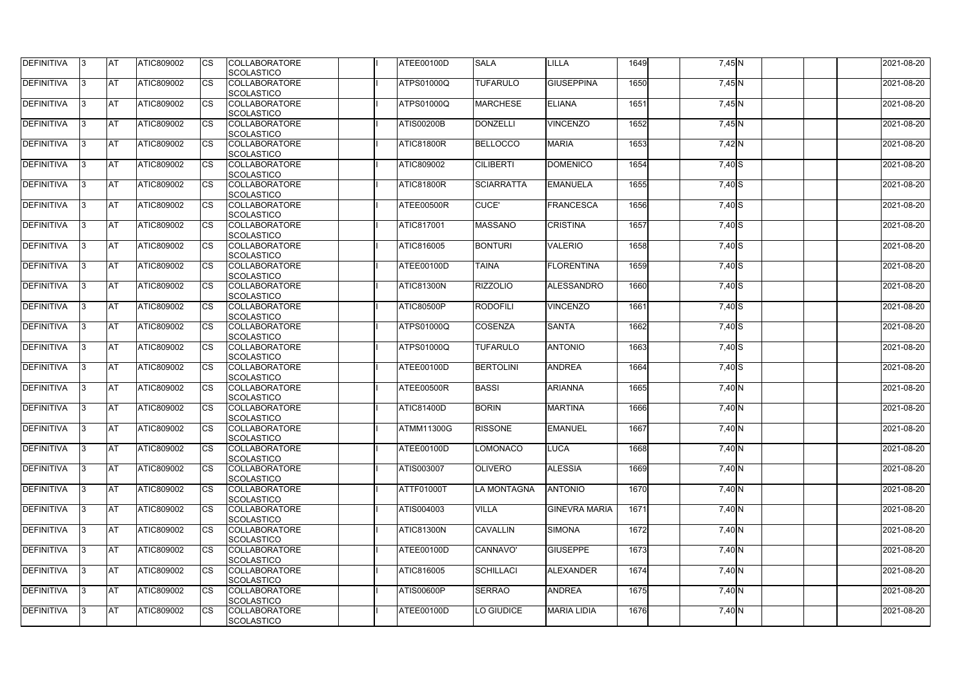| <b>DEFINITIVA</b> | IЗ  | <b>AT</b>  | <b>ATIC809002</b> | <b>CS</b> | <b>COLLABORATORE</b><br><b>SCOLASTICO</b> | ATEE00100D        | <b>SALA</b>        | <b>LILLA</b>         | 1649 | $7,45$ N            | 2021-08-20 |
|-------------------|-----|------------|-------------------|-----------|-------------------------------------------|-------------------|--------------------|----------------------|------|---------------------|------------|
| <b>DEFINITIVA</b> | R   | <b>AT</b>  | ATIC809002        | <b>CS</b> | <b>COLLABORATORE</b><br><b>SCOLASTICO</b> | <b>ATPS01000Q</b> | <b>TUFARULO</b>    | <b>GIUSEPPINA</b>    | 1650 | 7,45 N              | 2021-08-20 |
| <b>DEFINITIVA</b> | R   | <b>AT</b>  | <b>ATIC809002</b> | CS        | <b>COLLABORATORE</b><br>SCOLASTICO        | <b>ATPS01000Q</b> | <b>MARCHESE</b>    | <b>ELIANA</b>        | 1651 | $7,45$ <sub>N</sub> | 2021-08-20 |
| <b>DEFINITIVA</b> |     | <b>AT</b>  | ATIC809002        | <b>CS</b> | <b>COLLABORATORE</b><br>SCOLASTICO        | <b>ATIS00200B</b> | <b>DONZELLI</b>    | <b>VINCENZO</b>      | 1652 | $7,45$ N            | 2021-08-20 |
| <b>DEFINITIVA</b> |     | <b>AT</b>  | ATIC809002        | CS        | <b>COLLABORATORE</b><br>SCOLASTICO        | ATIC81800R        | <b>BELLOCCO</b>    | <b>MARIA</b>         | 1653 | 7,42 N              | 2021-08-20 |
| <b>DEFINITIVA</b> |     | <b>IAT</b> | ATIC809002        | <b>CS</b> | <b>COLLABORATORE</b><br><b>SCOLASTICO</b> | <b>ATIC809002</b> | <b>CILIBERTI</b>   | DOMENICO             | 1654 | $\overline{7,}40$ S | 2021-08-20 |
| DEFINITIVA        |     | <b>AT</b>  | ATIC809002        | <b>CS</b> | <b>COLLABORATORE</b><br>SCOLASTICO        | ATIC81800R        | <b>SCIARRATTA</b>  | <b>EMANUELA</b>      | 1655 | $7,40$ S            | 2021-08-20 |
| <b>DEFINITIVA</b> | ß   | <b>AT</b>  | ATIC809002        | CS        | <b>COLLABORATORE</b><br><b>SCOLASTICO</b> | ATEE00500R        | <b>CUCE'</b>       | FRANCESCA            | 1656 | 7,40 S              | 2021-08-20 |
| <b>DEFINITIVA</b> | R   | <b>AT</b>  | ATIC809002        | <b>CS</b> | <b>COLLABORATORE</b><br><b>SCOLASTICO</b> | ATIC817001        | <b>MASSANO</b>     | <b>CRISTINA</b>      | 1657 | $7,40$ S            | 2021-08-20 |
| <b>DEFINITIVA</b> |     | <b>AT</b>  | ATIC809002        | <b>CS</b> | <b>COLLABORATORE</b><br><b>SCOLASTICO</b> | <b>ATIC816005</b> | <b>BONTURI</b>     | <b>VALERIO</b>       | 1658 | 7,40 S              | 2021-08-20 |
| <b>DEFINITIVA</b> |     | <b>AT</b>  | ATIC809002        | <b>CS</b> | <b>COLLABORATORE</b><br>SCOLASTICO        | ATEE00100D        | <b>TAINA</b>       | <b>FLORENTINA</b>    | 1659 | 7,40 S              | 2021-08-20 |
| <b>DEFINITIVA</b> | R   | <b>AT</b>  | ATIC809002        | <b>CS</b> | <b>COLLABORATORE</b><br>SCOLASTICO        | ATIC81300N        | <b>RIZZOLIO</b>    | ALESSANDRO           | 1660 | $7,40$ S            | 2021-08-20 |
| DEFINITIVA        |     | <b>AT</b>  | ATIC809002        | <b>CS</b> | <b>COLLABORATORE</b><br>SCOLASTICO        | <b>ATIC80500P</b> | <b>RODOFILI</b>    | <b>VINCENZO</b>      | 1661 | 7,40 S              | 2021-08-20 |
| DEFINITIVA        | З   | <b>AT</b>  | ATIC809002        | CS        | <b>COLLABORATORE</b><br><b>SCOLASTICO</b> | <b>ATPS01000Q</b> | <b>COSENZA</b>     | <b>SANTA</b>         | 1662 | 7,40 S              | 2021-08-20 |
| <b>DEFINITIVA</b> | R   | <b>AT</b>  | ATIC809002        | CS        | <b>COLLABORATORE</b><br><b>SCOLASTICO</b> | <b>ATPS01000Q</b> | <b>TUFARULO</b>    | <b>ANTONIO</b>       | 1663 | $7,40$ S            | 2021-08-20 |
| <b>DEFINITIVA</b> |     | <b>AT</b>  | ATIC809002        | <b>CS</b> | <b>COLLABORATORE</b><br><b>SCOLASTICO</b> | <b>ATEE00100D</b> | <b>BERTOLINI</b>   | <b>ANDREA</b>        | 1664 | $7,40$ S            | 2021-08-20 |
| <b>DEFINITIVA</b> |     | <b>AT</b>  | ATIC809002        | CS        | <b>COLLABORATORE</b><br><b>SCOLASTICO</b> | ATEE00500R        | <b>BASSI</b>       | <b>ARIANNA</b>       | 1665 | 7,40 N              | 2021-08-20 |
| <b>DEFINITIVA</b> |     | <b>AT</b>  | ATIC809002        | CS        | <b>COLLABORATORE</b><br>SCOLASTICO        | <b>ATIC81400D</b> | <b>BORIN</b>       | <b>MARTINA</b>       | 1666 | 7,40 N              | 2021-08-20 |
| <b>DEFINITIVA</b> | 13. | <b>AT</b>  | ATIC809002        | <b>CS</b> | <b>COLLABORATORE</b><br>SCOLASTICO        | <b>ATMM11300G</b> | <b>RISSONE</b>     | <b>EMANUEL</b>       | 1667 | 7,40 N              | 2021-08-20 |
| DEFINITIVA        | 3   | <b>AT</b>  | ATIC809002        | <b>CS</b> | <b>COLLABORATORE</b><br><b>SCOLASTICO</b> | ATEE00100D        | <b>LOMONACO</b>    | <b>LUCA</b>          | 1668 | 7,40 N              | 2021-08-20 |
| <b>DEFINITIVA</b> | IЗ  | <b>AT</b>  | ATIC809002        | <b>CS</b> | <b>COLLABORATORE</b><br><b>SCOLASTICO</b> | <b>ATIS003007</b> | <b>OLIVERO</b>     | <b>ALESSIA</b>       | 1669 | $7,40$ N            | 2021-08-20 |
| <b>DEFINITIVA</b> |     | <b>AT</b>  | ATIC809002        | <b>CS</b> | <b>COLLABORATORE</b><br><b>SCOLASTICO</b> | <b>ATTF01000T</b> | <b>LA MONTAGNA</b> | <b>ANTONIO</b>       | 1670 | 7,40 N              | 2021-08-20 |
| <b>DEFINITIVA</b> |     | <b>AT</b>  | ATIC809002        | <b>CS</b> | <b>COLLABORATORE</b><br><b>SCOLASTICO</b> | ATIS004003        | <b>VILLA</b>       | <b>GINEVRA MARIA</b> | 1671 | $7,40$ N            | 2021-08-20 |
| <b>DEFINITIVA</b> | IЗ  | <b>AT</b>  | ATIC809002        | <b>CS</b> | <b>COLLABORATORE</b><br><b>SCOLASTICO</b> | <b>ATIC81300N</b> | <b>CAVALLIN</b>    | <b>SIMONA</b>        | 1672 | 7,40 N              | 2021-08-20 |
| <b>DEFINITIVA</b> | 3   | <b>AT</b>  | ATIC809002        | <b>CS</b> | <b>COLLABORATORE</b><br>SCOLASTICO        | ATEE00100D        | CANNAVO'           | <b>GIUSEPPE</b>      | 1673 | $7,40$ N            | 2021-08-20 |
| DEFINITIVA        | IЗ  | <b>AT</b>  | ATIC809002        | <b>CS</b> | <b>COLLABORATORE</b><br><b>SCOLASTICO</b> | ATIC816005        | <b>SCHILLACI</b>   | <b>ALEXANDER</b>     | 1674 | 7,40 N              | 2021-08-20 |
| DEFINITIVA        | 13. | <b>AT</b>  | ATIC809002        | <b>CS</b> | <b>COLLABORATORE</b><br><b>SCOLASTICO</b> | <b>ATIS00600P</b> | <b>SERRAO</b>      | <b>ANDREA</b>        | 1675 | $7,40$ N            | 2021-08-20 |
| <b>DEFINITIVA</b> | ß.  | <b>AT</b>  | ATIC809002        | <b>CS</b> | <b>COLLABORATORE</b><br>SCOLASTICO        | ATEE00100D        | LO GIUDICE         | <b>MARIA LIDIA</b>   | 1676 | 7,40 N              | 2021-08-20 |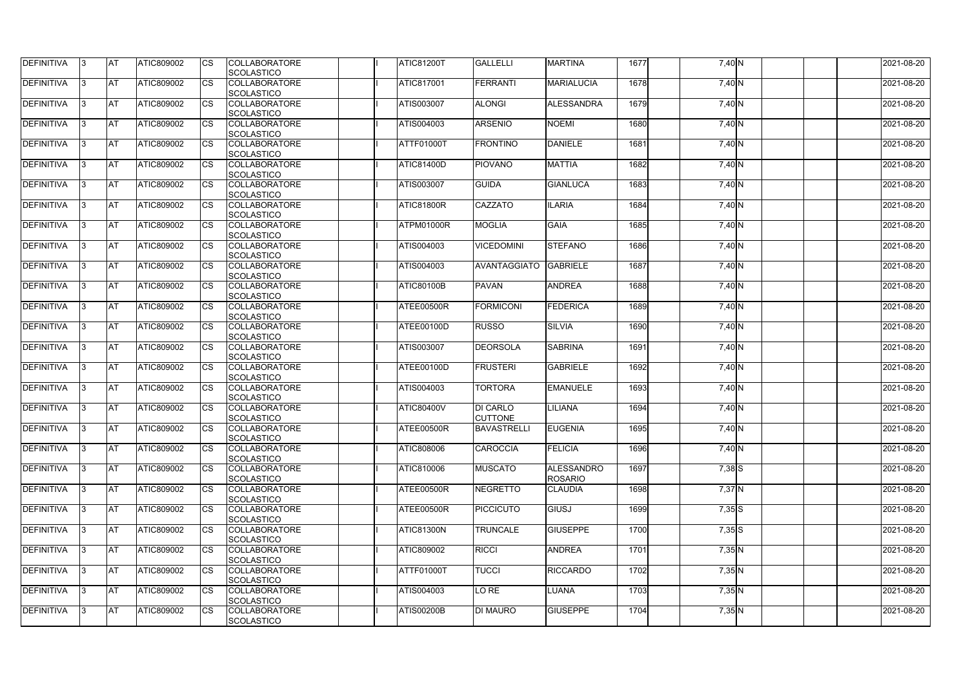| <b>DEFINITIVA</b> | IЗ  | <b>AT</b>  | ATIC809002        | <b>CS</b> | <b>COLLABORATORE</b><br><b>SCOLASTICO</b> | <b>ATIC81200T</b> | <b>GALLELLI</b>                   | <b>MARTINA</b>                      | 1677 | 7,40 N               | 2021-08-20 |
|-------------------|-----|------------|-------------------|-----------|-------------------------------------------|-------------------|-----------------------------------|-------------------------------------|------|----------------------|------------|
| <b>DEFINITIVA</b> | R   | <b>AT</b>  | ATIC809002        | <b>CS</b> | <b>COLLABORATORE</b><br><b>SCOLASTICO</b> | <b>ATIC817001</b> | <b>FERRANTI</b>                   | MARIALUCIA                          | 1678 | 7,40 N               | 2021-08-20 |
| <b>DEFINITIVA</b> | R   | <b>AT</b>  | <b>ATIC809002</b> | CS        | <b>COLLABORATORE</b><br>SCOLASTICO        | <b>ATIS003007</b> | <b>ALONGI</b>                     | ALESSANDRA                          | 1679 | $7,40$ N             | 2021-08-20 |
| <b>DEFINITIVA</b> |     | <b>AT</b>  | ATIC809002        | <b>CS</b> | <b>COLLABORATORE</b><br>SCOLASTICO        | ATIS004003        | <b>ARSENIO</b>                    | <b>NOEMI</b>                        | 1680 | 7,40 N               | 2021-08-20 |
| <b>DEFINITIVA</b> |     | <b>AT</b>  | ATIC809002        | CS        | <b>COLLABORATORE</b><br>SCOLASTICO        | <b>ATTF01000T</b> | <b>FRONTINO</b>                   | <b>DANIELE</b>                      | 1681 | 7,40 N               | 2021-08-20 |
| <b>DEFINITIVA</b> |     | <b>IAT</b> | ATIC809002        | <b>CS</b> | <b>COLLABORATORE</b><br><b>SCOLASTICO</b> | <b>ATIC81400D</b> | <b>PIOVANO</b>                    | <b>MATTIA</b>                       | 1682 | $\overline{7}$ ,40 N | 2021-08-20 |
| DEFINITIVA        |     | <b>AT</b>  | ATIC809002        | <b>CS</b> | <b>COLLABORATORE</b><br>SCOLASTICO        | <b>ATIS003007</b> | <b>GUIDA</b>                      | <b>GIANLUCA</b>                     | 1683 | 7,40 N               | 2021-08-20 |
| <b>DEFINITIVA</b> | ß   | <b>AT</b>  | ATIC809002        | CS        | <b>COLLABORATORE</b><br><b>SCOLASTICO</b> | ATIC81800R        | <b>CAZZATO</b>                    | <b>ILARIA</b>                       | 1684 | $7,40$ N             | 2021-08-20 |
| <b>DEFINITIVA</b> | R   | <b>AT</b>  | ATIC809002        | <b>CS</b> | <b>COLLABORATORE</b><br><b>SCOLASTICO</b> | ATPM01000R        | <b>MOGLIA</b>                     | <b>GAIA</b>                         | 1685 | 7,40 N               | 2021-08-20 |
| <b>DEFINITIVA</b> |     | <b>AT</b>  | ATIC809002        | <b>CS</b> | <b>COLLABORATORE</b><br><b>SCOLASTICO</b> | ATIS004003        | <b>VICEDOMINI</b>                 | <b>STEFANO</b>                      | 1686 | 7,40 N               | 2021-08-20 |
| <b>DEFINITIVA</b> |     | <b>AT</b>  | ATIC809002        | <b>CS</b> | <b>COLLABORATORE</b><br>SCOLASTICO        | ATIS004003        | <b>AVANTAGGIATO</b>               | <b>GABRIELE</b>                     | 1687 | 7,40 N               | 2021-08-20 |
| <b>DEFINITIVA</b> | R   | <b>AT</b>  | ATIC809002        | <b>CS</b> | <b>COLLABORATORE</b><br>SCOLASTICO        | <b>ATIC80100B</b> | <b>PAVAN</b>                      | <b>ANDREA</b>                       | 1688 | 7,40 N               | 2021-08-20 |
| DEFINITIVA        |     | <b>AT</b>  | ATIC809002        | <b>CS</b> | <b>COLLABORATORE</b><br><b>SCOLASTICO</b> | ATEE00500R        | <b>FORMICONI</b>                  | <b>FEDERICA</b>                     | 1689 | 7,40 N               | 2021-08-20 |
| DEFINITIVA        | R   | <b>AT</b>  | ATIC809002        | CS        | <b>COLLABORATORE</b><br><b>SCOLASTICO</b> | ATEE00100D        | <b>RUSSO</b>                      | <b>SILVIA</b>                       | 1690 | 7,40 N               | 2021-08-20 |
| <b>DEFINITIVA</b> | R   | <b>AT</b>  | ATIC809002        | CS        | <b>COLLABORATORE</b><br><b>SCOLASTICO</b> | ATIS003007        | <b>DEORSOLA</b>                   | <b>SABRINA</b>                      | 1691 | 7,40 N               | 2021-08-20 |
| <b>DEFINITIVA</b> |     | <b>AT</b>  | ATIC809002        | <b>CS</b> | <b>COLLABORATORE</b><br><b>SCOLASTICO</b> | ATEE00100D        | <b>FRUSTERI</b>                   | <b>GABRIELE</b>                     | 1692 | 7,40 N               | 2021-08-20 |
| <b>DEFINITIVA</b> |     | <b>AT</b>  | ATIC809002        | CS        | <b>COLLABORATORE</b><br><b>SCOLASTICO</b> | ATIS004003        | <b>TORTORA</b>                    | <b>EMANUELE</b>                     | 1693 | 7,40 N               | 2021-08-20 |
| <b>DEFINITIVA</b> |     | <b>AT</b>  | ATIC809002        | CS        | <b>COLLABORATORE</b><br>SCOLASTICO        | <b>ATIC80400V</b> | <b>DI CARLO</b><br><b>CUTTONE</b> | LILIANA                             | 1694 | 7,40 N               | 2021-08-20 |
| <b>DEFINITIVA</b> | 13. | <b>AT</b>  | ATIC809002        | <b>CS</b> | <b>COLLABORATORE</b><br>SCOLASTICO        | ATEE00500R        | BAVASTRELLI                       | <b>EUGENIA</b>                      | 1695 | 7,40 N               | 2021-08-20 |
| DEFINITIVA        | 3   | <b>AT</b>  | ATIC809002        | <b>CS</b> | <b>COLLABORATORE</b><br><b>SCOLASTICO</b> | <b>ATIC808006</b> | <b>CAROCCIA</b>                   | <b>FELICIA</b>                      | 1696 | 7,40 N               | 2021-08-20 |
| <b>DEFINITIVA</b> | IЗ  | <b>AT</b>  | ATIC809002        | <b>CS</b> | <b>COLLABORATORE</b><br><b>SCOLASTICO</b> | ATIC810006        | <b>MUSCATO</b>                    | <b>ALESSANDRO</b><br><b>ROSARIO</b> | 1697 | $7,38$ $S$           | 2021-08-20 |
| <b>DEFINITIVA</b> |     | <b>AT</b>  | ATIC809002        | <b>CS</b> | <b>COLLABORATORE</b><br><b>SCOLASTICO</b> | ATEE00500R        | <b>NEGRETTO</b>                   | <b>CLAUDIA</b>                      | 1698 | $7,37$ N             | 2021-08-20 |
| <b>DEFINITIVA</b> |     | <b>AT</b>  | ATIC809002        | <b>CS</b> | <b>COLLABORATORE</b><br><b>SCOLASTICO</b> | ATEE00500R        | <b>PICCICUTO</b>                  | GIUSJ                               | 1699 | $7,35$ $S$           | 2021-08-20 |
| <b>DEFINITIVA</b> | IЗ  | <b>AT</b>  | ATIC809002        | <b>CS</b> | <b>COLLABORATORE</b><br><b>SCOLASTICO</b> | <b>ATIC81300N</b> | <b>TRUNCALE</b>                   | <b>GIUSEPPE</b>                     | 1700 | $7,35$ S             | 2021-08-20 |
| <b>DEFINITIVA</b> | 3   | <b>AT</b>  | ATIC809002        | <b>CS</b> | <b>COLLABORATORE</b><br>SCOLASTICO        | <b>ATIC809002</b> | <b>RICCI</b>                      | <b>ANDREA</b>                       | 1701 | 7,35 N               | 2021-08-20 |
| DEFINITIVA        | ß.  | <b>AT</b>  | ATIC809002        | <b>CS</b> | <b>COLLABORATORE</b><br><b>SCOLASTICO</b> | <b>ATTF01000T</b> | <b>TUCCI</b>                      | <b>RICCARDO</b>                     | 1702 | $7,35$ N             | 2021-08-20 |
| DEFINITIVA        | 13. | <b>AT</b>  | ATIC809002        | <b>CS</b> | <b>COLLABORATORE</b><br><b>SCOLASTICO</b> | ATIS004003        | LO RE                             | <b>LUANA</b>                        | 1703 | 7,35 N               | 2021-08-20 |
| <b>DEFINITIVA</b> | ß.  | <b>AT</b>  | <b>ATIC809002</b> | <b>CS</b> | <b>COLLABORATORE</b><br>SCOLASTICO        | <b>ATIS00200B</b> | <b>DI MAURO</b>                   | <b>GIUSEPPE</b>                     | 1704 | $7,35$ N             | 2021-08-20 |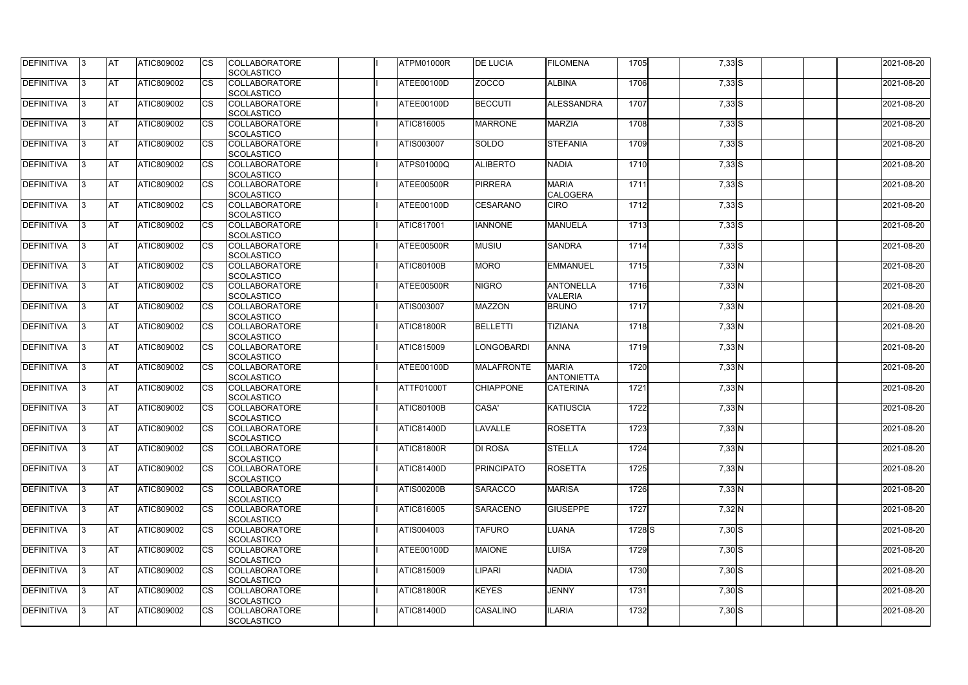| <b>DEFINITIVA</b> | IЗ  | <b>AT</b>  | ATIC809002        | <b>CS</b> | <b>COLLABORATORE</b><br>SCOLASTICO        | ATPM01000R        | <b>DE LUCIA</b>   | <b>FILOMENA</b>                    | 1705              | $7,33$ $S$ | 2021-08-20 |
|-------------------|-----|------------|-------------------|-----------|-------------------------------------------|-------------------|-------------------|------------------------------------|-------------------|------------|------------|
| <b>DEFINITIVA</b> | R   | <b>AT</b>  | ATIC809002        | <b>CS</b> | <b>COLLABORATORE</b><br><b>SCOLASTICO</b> | ATEE00100D        | <b>ZOCCO</b>      | <b>ALBINA</b>                      | 1706              | $7,33$ S   | 2021-08-20 |
| <b>DEFINITIVA</b> | R   | <b>AT</b>  | ATIC809002        | CS        | <b>COLLABORATORE</b><br>SCOLASTICO        | ATEE00100D        | <b>BECCUTI</b>    | ALESSANDRA                         | 1707              | $7,33$ $S$ | 2021-08-20 |
| <b>DEFINITIVA</b> |     | <b>AT</b>  | ATIC809002        | <b>CS</b> | <b>COLLABORATORE</b><br>SCOLASTICO        | ATIC816005        | <b>MARRONE</b>    | <b>MARZIA</b>                      | 1708              | $7,33$ $S$ | 2021-08-20 |
| <b>DEFINITIVA</b> |     | <b>AT</b>  | ATIC809002        | CS        | <b>COLLABORATORE</b><br>SCOLASTICO        | ATIS003007        | SOLDO             | <b>STEFANIA</b>                    | 1709              | $7,33$ $S$ | 2021-08-20 |
| <b>DEFINITIVA</b> |     | <b>IAT</b> | ATIC809002        | <b>CS</b> | <b>COLLABORATORE</b><br><b>SCOLASTICO</b> | <b>ATPS01000Q</b> | <b>ALIBERTO</b>   | <b>NADIA</b>                       | 1710              | $7,33$ S   | 2021-08-20 |
| DEFINITIVA        |     | <b>AT</b>  | ATIC809002        | <b>CS</b> | <b>COLLABORATORE</b><br>SCOLASTICO        | ATEE00500R        | <b>PIRRERA</b>    | <b>MARIA</b><br><b>CALOGERA</b>    | 1711              | $7,33$ S   | 2021-08-20 |
| <b>DEFINITIVA</b> | ß   | <b>AT</b>  | ATIC809002        | CS        | <b>COLLABORATORE</b><br><b>SCOLASTICO</b> | ATEE00100D        | <b>CESARANO</b>   | <b>CIRO</b>                        | 1712              | $7,33$ $S$ | 2021-08-20 |
| <b>DEFINITIVA</b> | R   | <b>AT</b>  | ATIC809002        | <b>CS</b> | <b>COLLABORATORE</b><br><b>SCOLASTICO</b> | <b>ATIC817001</b> | <b>IANNONE</b>    | <b>MANUELA</b>                     | 1713              | $7,33$ S   | 2021-08-20 |
| <b>DEFINITIVA</b> |     | <b>AT</b>  | ATIC809002        | <b>CS</b> | <b>COLLABORATORE</b><br><b>SCOLASTICO</b> | ATEE00500R        | <b>MUSIU</b>      | <b>SANDRA</b>                      | 1714              | $7,33$ $S$ | 2021-08-20 |
| <b>DEFINITIVA</b> |     | <b>AT</b>  | ATIC809002        | <b>CS</b> | <b>COLLABORATORE</b><br>SCOLASTICO        | <b>ATIC80100B</b> | <b>MORO</b>       | <b>EMMANUEL</b>                    | 1715              | $7,33$ N   | 2021-08-20 |
| <b>DEFINITIVA</b> | R   | <b>AT</b>  | ATIC809002        | <b>CS</b> | <b>COLLABORATORE</b><br>SCOLASTICO        | ATEE00500R        | <b>NIGRO</b>      | <b>ANTONELLA</b><br><b>VALERIA</b> | 1716              | 7,33 N     | 2021-08-20 |
| DEFINITIVA        |     | <b>AT</b>  | ATIC809002        | <b>CS</b> | <b>COLLABORATORE</b><br>SCOLASTICO        | <b>ATIS003007</b> | <b>MAZZON</b>     | <b>BRUNO</b>                       | 1717              | 7,33 N     | 2021-08-20 |
| DEFINITIVA        | З   | <b>AT</b>  | ATIC809002        | CS        | <b>COLLABORATORE</b><br><b>SCOLASTICO</b> | ATIC81800R        | <b>BELLETTI</b>   | <b>TIZIANA</b>                     | 1718              | $7,33$ N   | 2021-08-20 |
| <b>DEFINITIVA</b> | R   | <b>AT</b>  | ATIC809002        | CS        | <b>COLLABORATORE</b><br><b>SCOLASTICO</b> | <b>ATIC815009</b> | <b>LONGOBARDI</b> | <b>ANNA</b>                        | 1719              | 7,33 N     | 2021-08-20 |
| <b>DEFINITIVA</b> |     | <b>AT</b>  | ATIC809002        | <b>CS</b> | <b>COLLABORATORE</b><br><b>SCOLASTICO</b> | ATEE00100D        | <b>MALAFRONTE</b> | <b>MARIA</b><br><b>ANTONIETTA</b>  | 1720              | 7,33 N     | 2021-08-20 |
| <b>DEFINITIVA</b> |     | <b>AT</b>  | ATIC809002        | <b>CS</b> | <b>COLLABORATORE</b><br><b>SCOLASTICO</b> | <b>ATTF01000T</b> | <b>CHIAPPONE</b>  | <b>CATERINA</b>                    | 1721              | $7,33$ N   | 2021-08-20 |
| <b>DEFINITIVA</b> |     | <b>AT</b>  | ATIC809002        | CS        | <b>COLLABORATORE</b><br>SCOLASTICO        | <b>ATIC80100B</b> | CASA'             | KATIUSCIA                          | 1722              | $7,33$ N   | 2021-08-20 |
| <b>DEFINITIVA</b> | 13. | <b>AT</b>  | ATIC809002        | <b>CS</b> | <b>COLLABORATORE</b><br>SCOLASTICO        | <b>ATIC81400D</b> | LAVALLE           | <b>ROSETTA</b>                     | 1723              | $7,33$ N   | 2021-08-20 |
| DEFINITIVA        | 3   | <b>AT</b>  | ATIC809002        | <b>CS</b> | <b>COLLABORATORE</b><br><b>SCOLASTICO</b> | ATIC81800R        | <b>DI ROSA</b>    | <b>STELLA</b>                      | 1724              | $7,33$ N   | 2021-08-20 |
| <b>DEFINITIVA</b> | IЗ  | <b>AT</b>  | ATIC809002        | <b>CS</b> | <b>COLLABORATORE</b><br><b>SCOLASTICO</b> | <b>ATIC81400D</b> | <b>PRINCIPATO</b> | <b>ROSETTA</b>                     | 1725              | $7,33$ N   | 2021-08-20 |
| <b>DEFINITIVA</b> |     | <b>AT</b>  | ATIC809002        | <b>CS</b> | <b>COLLABORATORE</b><br><b>SCOLASTICO</b> | <b>ATIS00200B</b> | <b>SARACCO</b>    | <b>MARISA</b>                      | 1726              | $7,33$ N   | 2021-08-20 |
| <b>DEFINITIVA</b> |     | <b>AT</b>  | ATIC809002        | <b>CS</b> | <b>COLLABORATORE</b><br><b>SCOLASTICO</b> | ATIC816005        | <b>SARACENO</b>   | <b>GIUSEPPE</b>                    | 1727              | 7,32 N     | 2021-08-20 |
| <b>DEFINITIVA</b> | IЗ  | <b>AT</b>  | ATIC809002        | <b>CS</b> | <b>COLLABORATORE</b><br><b>SCOLASTICO</b> | ATIS004003        | <b>TAFURO</b>     | <b>LUANA</b>                       | 1728 <sub>S</sub> | $7,30$ S   | 2021-08-20 |
| <b>DEFINITIVA</b> | 3   | <b>AT</b>  | ATIC809002        | <b>CS</b> | <b>COLLABORATORE</b><br>SCOLASTICO        | ATEE00100D        | <b>MAIONE</b>     | <b>LUISA</b>                       | 1729              | $7,30$ S   | 2021-08-20 |
| DEFINITIVA        | IЗ  | <b>AT</b>  | ATIC809002        | <b>CS</b> | <b>COLLABORATORE</b><br><b>SCOLASTICO</b> | <b>ATIC815009</b> | <b>IPARI</b>      | <b>NADIA</b>                       | 1730              | $7,30$ S   | 2021-08-20 |
| DEFINITIVA        | 13. | <b>AT</b>  | ATIC809002        | <b>CS</b> | <b>COLLABORATORE</b><br><b>SCOLASTICO</b> | <b>ATIC81800R</b> | <b>KEYES</b>      | <b>JENNY</b>                       | 1731              | $7,30$ S   | 2021-08-20 |
| <b>DEFINITIVA</b> | ß.  | <b>AT</b>  | <b>ATIC809002</b> | <b>CS</b> | <b>COLLABORATORE</b><br>SCOLASTICO        | <b>ATIC81400D</b> | CASALINO          | <b>ILARIA</b>                      | 1732              | $7,30$ S   | 2021-08-20 |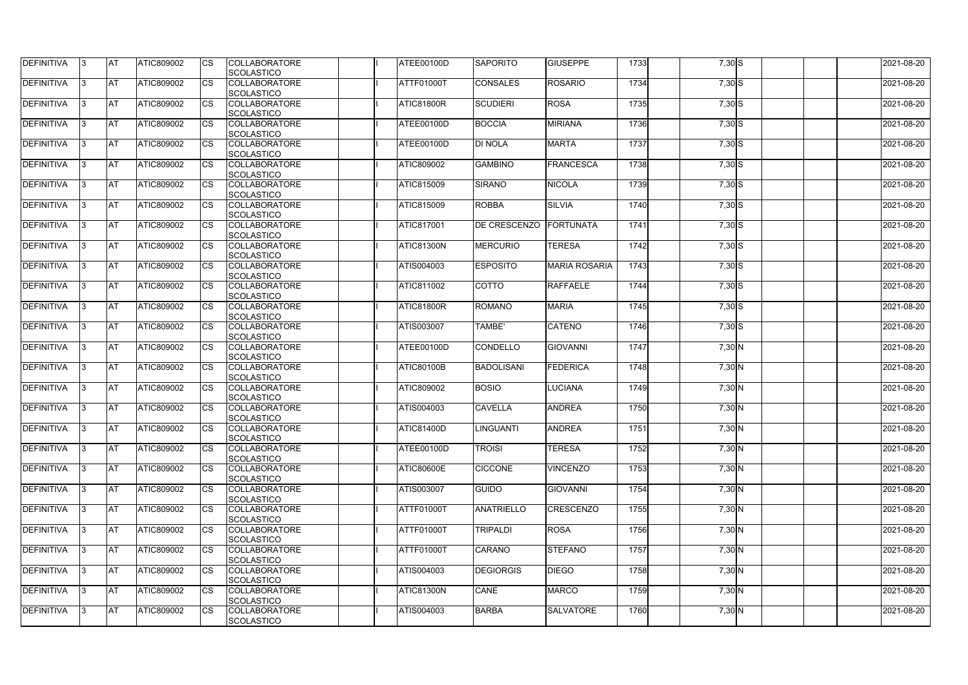| DEFINITIVA        | 13. | <b>JAT</b> | ATIC809002        | Ics        | <b>COLLABORATORE</b> | ATEE00100D        | <b>SAPORITO</b>   | <b>GIUSEPPE</b>      | 1733 | 7,30S    | 2021-08-20 |
|-------------------|-----|------------|-------------------|------------|----------------------|-------------------|-------------------|----------------------|------|----------|------------|
|                   |     |            |                   |            | <b>SCOLASTICO</b>    |                   |                   |                      |      |          |            |
| <b>DEFINITIVA</b> | l3  | <b>AT</b>  | ATIC809002        | Ics        | <b>COLLABORATORE</b> | ATTF01000T        | <b>CONSALES</b>   | <b>ROSARIO</b>       | 1734 | $7,30$ S | 2021-08-20 |
|                   |     |            |                   |            | <b>SCOLASTICO</b>    |                   |                   |                      |      |          |            |
| DEFINITIVA        | l3  | <b>AT</b>  | ATIC809002        | <b>CS</b>  | <b>COLLABORATORE</b> | <b>ATIC81800R</b> | <b>SCUDIERI</b>   | <b>ROSA</b>          | 1735 | $7,30$ S | 2021-08-20 |
|                   |     |            |                   |            | <b>SCOLASTICO</b>    |                   |                   |                      |      |          |            |
| DEFINITIVA        |     | <b>AT</b>  | ATIC809002        | Ics        | <b>COLLABORATORE</b> | ATEE00100D        | <b>BOCCIA</b>     | <b>MIRIANA</b>       | 1736 | $7,30$ S | 2021-08-20 |
|                   |     |            |                   |            | <b>SCOLASTICO</b>    |                   |                   |                      |      |          |            |
| DEFINITIVA        |     | <b>AT</b>  | <b>ATIC809002</b> | <b>CS</b>  | <b>COLLABORATORE</b> | ATEE00100D        | <b>DI NOLA</b>    | <b>MARTA</b>         | 1737 | $7,30$ S | 2021-08-20 |
|                   |     |            |                   |            |                      |                   |                   |                      |      |          |            |
|                   |     |            |                   |            | <b>SCOLASTICO</b>    |                   |                   |                      |      |          |            |
| <b>DEFINITIVA</b> |     | AT         | <b>ATIC809002</b> | <b>ICS</b> | <b>COLLABORATORE</b> | ATIC809002        | <b>GAMBINO</b>    | FRANCESCA            | 1738 | $7,30$ S | 2021-08-20 |
|                   |     |            |                   |            | <b>SCOLASTICO</b>    |                   |                   |                      |      |          |            |
| DEFINITIVA        |     | <b>AT</b>  | ATIC809002        | Ics        | <b>COLLABORATORE</b> | ATIC815009        | <b>SIRANO</b>     | <b>NICOLA</b>        | 1739 | $7,30$ S | 2021-08-20 |
|                   |     |            |                   |            | <b>SCOLASTICO</b>    |                   |                   |                      |      |          |            |
| <b>DEFINITIVA</b> | ıз  | <b>AT</b>  | ATIC809002        | Ics        | <b>COLLABORATORE</b> | ATIC815009        | <b>ROBBA</b>      | <b>SILVIA</b>        | 1740 | $7,30$ S | 2021-08-20 |
|                   |     |            |                   |            | <b>SCOLASTICO</b>    |                   |                   |                      |      |          |            |
| DEFINITIVA        | I3  | <b>AT</b>  | ATIC809002        | <b>CS</b>  | <b>COLLABORATORE</b> | <b>ATIC817001</b> | DE CRESCENZO      | <b>IFORTUNATA</b>    | 1741 | $7,30$ S | 2021-08-20 |
|                   |     |            |                   |            | <b>SCOLASTICO</b>    |                   |                   |                      |      |          |            |
| <b>DEFINITIVA</b> |     | <b>AT</b>  | ATIC809002        | <b>CS</b>  | <b>COLLABORATORE</b> | <b>ATIC81300N</b> | <b>MERCURIO</b>   | <b>TERESA</b>        | 1742 | $7,30$ S | 2021-08-20 |
|                   |     |            |                   |            | <b>SCOLASTICO</b>    |                   |                   |                      |      |          |            |
|                   |     | AT         | ATIC809002        | <b>CS</b>  | <b>COLLABORATORE</b> | ATIS004003        |                   | <b>MARIA ROSARIA</b> | 1743 |          | 2021-08-20 |
| <b>DEFINITIVA</b> |     |            |                   |            |                      |                   | <b>ESPOSITO</b>   |                      |      | $7,30$ S |            |
|                   |     |            |                   |            | <b>SCOLASTICO</b>    |                   |                   |                      |      |          |            |
| DEFINITIVA        | I3  | <b>AT</b>  | ATIC809002        |            | <b>COLLABORATORE</b> | ATIC811002        | <b>COTTO</b>      | <b>RAFFAELE</b>      | 1744 | $7,30$ S | 2021-08-20 |
|                   |     |            |                   |            | <b>SCOLASTICO</b>    |                   |                   |                      |      |          |            |
| <b>DEFINITIVA</b> |     | <b>JAT</b> | ATIC809002        |            | <b>COLLABORATORE</b> | <b>ATIC81800R</b> | <b>ROMANO</b>     | <b>MARIA</b>         | 1745 | $7,30$ S | 2021-08-20 |
|                   |     |            |                   |            | <b>SCOLASTICO</b>    |                   |                   |                      |      |          |            |
| <b>DEFINITIVA</b> |     | <b>AT</b>  | ATIC809002        | Ics        | <b>COLLABORATORE</b> | ATIS003007        | <b>TAMBE'</b>     | <b>CATENO</b>        | 1746 | $7,30$ S | 2021-08-20 |
|                   |     |            |                   |            | <b>SCOLASTICO</b>    |                   |                   |                      |      |          |            |
| DEFINITIVA        | l3  | <b>AT</b>  | <b>ATIC809002</b> | Ics        | <b>COLLABORATORE</b> | ATEE00100D        | <b>CONDELLO</b>   | <b>GIOVANNI</b>      | 1747 | $7,30$ N | 2021-08-20 |
|                   |     |            |                   |            | <b>SCOLASTICO</b>    |                   |                   |                      |      |          |            |
| DEFINITIVA        |     | <b>AT</b>  | ATIC809002        | <b>CS</b>  | <b>COLLABORATORE</b> | <b>ATIC80100B</b> | <b>BADOLISANI</b> | FEDERICA             | 1748 | $7,30$ N | 2021-08-20 |
|                   |     |            |                   |            |                      |                   |                   |                      |      |          |            |
|                   |     |            |                   |            | <b>SCOLASTICO</b>    |                   |                   |                      |      |          |            |
| DEFINITIVA        |     | <b>AT</b>  | ATIC809002        | <b>CS</b>  | <b>COLLABORATORE</b> | ATIC809002        | <b>BOSIO</b>      | <b>LUCIANA</b>       | 1749 | $7,30$ N | 2021-08-20 |
|                   |     |            |                   |            | <b>SCOLASTICO</b>    |                   |                   |                      |      |          |            |
| <b>DEFINITIVA</b> |     | <b>AT</b>  | ATIC809002        | <b>CS</b>  | <b>COLLABORATORE</b> | ATIS004003        | <b>CAVELLA</b>    | <b>ANDREA</b>        | 1750 | 7,30 N   | 2021-08-20 |
|                   |     |            |                   |            | <b>SCOLASTICO</b>    |                   |                   |                      |      |          |            |
| <b>DEFINITIVA</b> | 13. | <b>AT</b>  | ATIC809002        |            | <b>COLLABORATORE</b> | <b>ATIC81400D</b> | LINGUANTI         | <b>ANDREA</b>        | 1751 | 7,30 N   | 2021-08-20 |
|                   |     |            |                   |            | <b>SCOLASTICO</b>    |                   |                   |                      |      |          |            |
| <b>DEFINITIVA</b> | IЗ  | AT         | <b>ATIC809002</b> | Ics        | <b>COLLABORATORE</b> | ATEE00100D        | <b>TROISI</b>     | <b>TERESA</b>        | 1752 | $7,30$ N | 2021-08-20 |
|                   |     |            |                   |            | <b>SCOLASTICO</b>    |                   |                   |                      |      |          |            |
| <b>DEFINITIVA</b> | l3  | <b>AT</b>  | ATIC809002        | Ics        | <b>COLLABORATORE</b> | <b>ATIC80600E</b> | <b>CICCONE</b>    | <b>VINCENZO</b>      | 1753 | $7,30$ N | 2021-08-20 |
|                   |     |            |                   |            | <b>SCOLASTICO</b>    |                   |                   |                      |      |          |            |
| DEFINITIVA        | I3  | <b>AT</b>  | ATIC809002        | Ics        | <b>COLLABORATORE</b> | ATIS003007        | <b>GUIDO</b>      | <b>GIOVANNI</b>      | 1754 | $7,30$ N | 2021-08-20 |
|                   |     |            |                   |            | <b>SCOLASTICO</b>    |                   |                   |                      |      |          |            |
|                   |     |            |                   |            |                      |                   |                   |                      |      |          |            |
| <b>DEFINITIVA</b> |     | <b>AT</b>  | ATIC809002        | Ics        | <b>COLLABORATORE</b> | ATTF01000T        | <b>ANATRIELLO</b> | <b>CRESCENZO</b>     | 1755 | $7,30$ N | 2021-08-20 |
|                   |     |            |                   |            | <b>SCOLASTICO</b>    |                   |                   |                      |      |          |            |
| <b>DEFINITIVA</b> |     | <b>AT</b>  | ATIC809002        | Ics        | <b>COLLABORATORE</b> | ATTF01000T        | <b>TRIPALDI</b>   | <b>ROSA</b>          | 1756 | $7,30$ N | 2021-08-20 |
|                   |     |            |                   |            | <b>SCOLASTICO</b>    |                   |                   |                      |      |          |            |
| <b>DEFINITIVA</b> | ıз  | <b>AT</b>  | <b>ATIC809002</b> |            | <b>COLLABORATORE</b> | ATTF01000T        | <b>CARANO</b>     | <b>STEFANO</b>       | 1757 | $7,30$ N | 2021-08-20 |
|                   |     |            |                   |            | <b>SCOLASTICO</b>    |                   |                   |                      |      |          |            |
| <b>DEFINITIVA</b> | IЗ  | <b>AT</b>  | ATIC809002        | Ics        | <b>COLLABORATORE</b> | ATIS004003        | <b>DEGIORGIS</b>  | <b>DIEGO</b>         | 1758 | $7,30$ N | 2021-08-20 |
|                   |     |            |                   |            | <b>SCOLASTICO</b>    |                   |                   |                      |      |          |            |
| <b>DEFINITIVA</b> | ıз  | <b>AT</b>  | <b>ATIC809002</b> | <b>ICS</b> | <b>COLLABORATORE</b> | ATIC81300N        | CANE              | <b>MARCO</b>         | 1759 | $7,30$ N | 2021-08-20 |
|                   |     |            |                   |            | <b>SCOLASTICO</b>    |                   |                   |                      |      |          |            |
| <b>DEFINITIVA</b> | I3  | <b>AT</b>  | ATIC809002        | Ics        | <b>COLLABORATORE</b> | ATIS004003        | <b>BARBA</b>      | <b>SALVATORE</b>     | 1760 | 7,30 N   | 2021-08-20 |
|                   |     |            |                   |            |                      |                   |                   |                      |      |          |            |
|                   |     |            |                   |            | SCOLASTICO           |                   |                   |                      |      |          |            |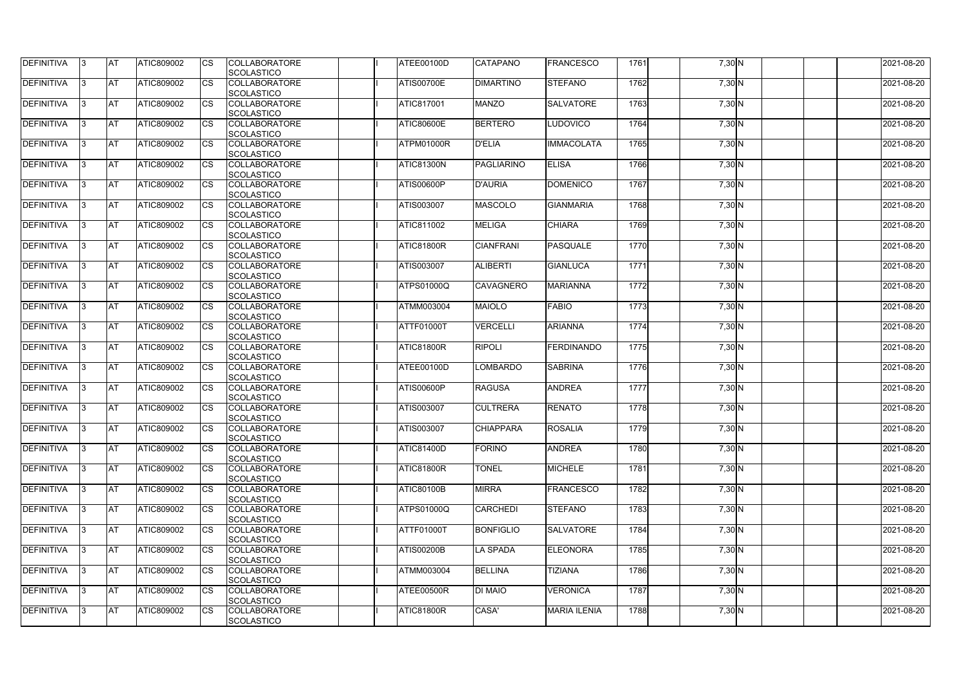| <b>DEFINITIVA</b> | IЗ  | <b>IAT</b> | ATIC809002        | <b>CS</b>              | <b>COLLABORATORE</b><br>SCOLASTICO        | ATEE00100D        | <b>CATAPANO</b>   | <b>FRANCESCO</b>    | 1761 | $7,30$ N            | 2021-08-20 |
|-------------------|-----|------------|-------------------|------------------------|-------------------------------------------|-------------------|-------------------|---------------------|------|---------------------|------------|
| DEFINITIVA        | ß.  | <b>AT</b>  | ATIC809002        | CS                     | <b>COLLABORATORE</b>                      | <b>ATIS00700E</b> | <b>DIMARTINO</b>  | <b>STEFANO</b>      | 1762 | 7,30 N              | 2021-08-20 |
|                   |     |            |                   |                        | <b>SCOLASTICO</b>                         |                   |                   |                     |      |                     |            |
| DEFINITIVA        | ß.  | <b>AT</b>  | ATIC809002        | CS                     | <b>COLLABORATORE</b>                      | <b>ATIC817001</b> | <b>MANZO</b>      | <b>SALVATORE</b>    | 1763 | 7,30 N              | 2021-08-20 |
|                   |     |            |                   |                        | <b>SCOLASTICO</b>                         |                   |                   |                     |      |                     |            |
| <b>DEFINITIVA</b> |     | <b>AT</b>  | ATIC809002        | <b>CS</b>              | <b>COLLABORATORE</b>                      | <b>ATIC80600E</b> | <b>BERTERO</b>    | LUDOVICO            | 1764 | 7,30 N              | 2021-08-20 |
|                   |     |            |                   |                        | <b>SCOLASTICO</b>                         |                   |                   |                     |      |                     |            |
| <b>DEFINITIVA</b> |     | <b>AT</b>  | ATIC809002        | CS                     | <b>COLLABORATORE</b>                      | ATPM01000R        | <b>D'ELIA</b>     | <b>IMMACOLATA</b>   | 1765 | 7,30 N              | 2021-08-20 |
|                   |     |            |                   |                        | SCOLASTICO                                |                   |                   |                     |      |                     |            |
| <b>DEFINITIVA</b> | ß   | AT         | ATIC809002        | <b>CS</b>              | <b>COLLABORATORE</b>                      | <b>ATIC81300N</b> | <b>PAGLIARINO</b> | <b>ELISA</b>        | 1766 | $7,30$ N            | 2021-08-20 |
|                   |     |            |                   |                        | SCOLASTICO                                |                   |                   |                     |      |                     |            |
| <b>DEFINITIVA</b> |     | <b>AT</b>  | ATIC809002        | <b>CS</b>              | <b>COLLABORATORE</b>                      | <b>ATIS00600P</b> | <b>D'AURIA</b>    | <b>DOMENICO</b>     | 1767 | 7,30 N              | 2021-08-20 |
|                   |     |            |                   |                        | SCOLASTICO                                |                   |                   |                     |      |                     |            |
| DEFINITIVA        | ß   | <b>AT</b>  | ATIC809002        | <b>CS</b>              | <b>COLLABORATORE</b>                      | <b>ATIS003007</b> | <b>MASCOLO</b>    | <b>GIANMARIA</b>    | 1768 | 7,30 N              | 2021-08-20 |
|                   |     |            |                   |                        | <b>SCOLASTICO</b>                         |                   |                   |                     |      |                     |            |
| <b>DEFINITIVA</b> | l3  | <b>AT</b>  | ATIC809002        | CS                     | <b>COLLABORATORE</b>                      | <b>ATIC811002</b> | <b>MELIGA</b>     | <b>CHIARA</b>       | 1769 | $7,30$ N            | 2021-08-20 |
|                   |     |            |                   |                        | <b>SCOLASTICO</b>                         |                   |                   |                     |      |                     |            |
| <b>DEFINITIVA</b> |     | <b>AT</b>  | <b>ATIC809002</b> | <b>CS</b>              | <b>COLLABORATORE</b>                      | ATIC81800R        | <b>CIANFRANI</b>  | <b>PASQUALE</b>     | 1770 | 7,30 N              | 2021-08-20 |
|                   |     |            |                   |                        | <b>SCOLASTICO</b>                         |                   |                   |                     |      |                     |            |
| <b>DEFINITIVA</b> |     | <b>AT</b>  | ATIC809002        | $\overline{\text{cs}}$ | <b>COLLABORATORE</b>                      | ATIS003007        | <b>ALIBERTI</b>   | <b>GIANLUCA</b>     | 1771 | 7,30 N              | 2021-08-20 |
|                   |     |            |                   |                        | SCOLASTICO                                |                   |                   |                     |      |                     |            |
| <b>DEFINITIVA</b> | 3   | <b>AT</b>  | ATIC809002        | <b>CS</b>              | <b>COLLABORATORE</b>                      | <b>ATPS01000Q</b> | <b>CAVAGNERO</b>  | <b>MARIANNA</b>     | 1772 | $7,30$ N            | 2021-08-20 |
|                   |     |            |                   |                        | SCOLASTICO                                |                   |                   |                     |      |                     |            |
| <b>DEFINITIVA</b> |     | <b>IAT</b> | ATIC809002        | CS                     | <b>COLLABORATORE</b>                      | <b>ATMM003004</b> | <b>MAIOLO</b>     | <b>FABIO</b>        | 1773 | 7,30 N              | 2021-08-20 |
|                   |     |            |                   |                        | <b>SCOLASTICO</b>                         |                   |                   |                     |      |                     |            |
| <b>DEFINITIVA</b> |     | <b>AT</b>  | ATIC809002        | <b>CS</b>              | <b>COLLABORATORE</b>                      | ATTF01000T        | <b>VERCELLI</b>   | <b>ARIANNA</b>      | 1774 | 7,30 N              | 2021-08-20 |
|                   |     |            |                   |                        | SCOLASTICO                                |                   |                   |                     |      |                     |            |
| DEFINITIVA        | R   | <b>AT</b>  | ATIC809002        | CS                     | <b>COLLABORATORE</b>                      | <b>ATIC81800R</b> | <b>RIPOLI</b>     | FERDINANDO          | 1775 | 7,30 N              | 2021-08-20 |
|                   |     |            |                   |                        | <b>SCOLASTICO</b>                         |                   |                   |                     |      |                     |            |
| <b>DEFINITIVA</b> |     | <b>AT</b>  | <b>ATIC809002</b> | CS                     | <b>COLLABORATORE</b>                      | ATEE00100D        | <b>LOMBARDO</b>   | <b>SABRINA</b>      | 1776 | 7,30 N              | 2021-08-20 |
|                   |     |            |                   |                        | <b>SCOLASTICO</b>                         |                   |                   |                     |      |                     |            |
| <b>DEFINITIVA</b> |     | <b>AT</b>  | ATIC809002        | <b>CS</b>              | <b>COLLABORATORE</b>                      | <b>ATIS00600P</b> | <b>RAGUSA</b>     | <b>ANDREA</b>       | 1777 | 7,30 N              | 2021-08-20 |
|                   |     |            |                   |                        | <b>SCOLASTICO</b>                         |                   |                   |                     |      |                     |            |
| <b>DEFINITIVA</b> |     | <b>AT</b>  | ATIC809002        | <b>CS</b>              | <b>COLLABORATORE</b>                      | ATIS003007        | <b>CULTRERA</b>   | <b>RENATO</b>       | 1778 | 7,30 N              | 2021-08-20 |
|                   |     |            |                   |                        | SCOLASTICO                                |                   |                   |                     |      |                     |            |
| DEFINITIVA        | I3. | <b>AT</b>  | ATIC809002        | <b>CS</b>              | <b>COLLABORATORE</b>                      | ATIS003007        | <b>CHIAPPARA</b>  | <b>ROSALIA</b>      | 1779 | 7,30 N              | 2021-08-20 |
|                   |     |            |                   |                        | SCOLASTICO                                |                   |                   |                     |      |                     |            |
| <b>DEFINITIVA</b> | 3   | <b>AT</b>  | ATIC809002        | <b>CS</b>              | <b>COLLABORATORE</b>                      | <b>ATIC81400D</b> | <b>FORINO</b>     | <b>ANDREA</b>       | 1780 | $7,30$ N            | 2021-08-20 |
|                   |     |            |                   |                        | <b>SCOLASTICO</b>                         |                   |                   |                     |      |                     |            |
| <b>DEFINITIVA</b> | l3. | <b>AT</b>  | ATIC809002        | <b>CS</b>              | <b>COLLABORATORE</b>                      | ATIC81800R        | <b>TONEL</b>      | <b>MICHELE</b>      | 1781 | $7,30$ N            | 2021-08-20 |
|                   |     |            |                   |                        | <b>SCOLASTICO</b>                         |                   |                   |                     |      |                     |            |
| <b>DEFINITIVA</b> | 13. | <b>AT</b>  | ATIC809002        | <b>CS</b>              | <b>COLLABORATORE</b>                      | <b>ATIC80100B</b> | <b>MIRRA</b>      | <b>FRANCESCO</b>    | 1782 | $7,30$ N            | 2021-08-20 |
| <b>DEFINITIVA</b> |     | <b>AT</b>  | ATIC809002        |                        | SCOLASTICO<br><b>COLLABORATORE</b>        | <b>ATPS01000Q</b> | CARCHEDI          | <b>STEFANO</b>      | 1783 | $7,30$ N            | 2021-08-20 |
|                   |     |            |                   | <b>CS</b>              |                                           |                   |                   |                     |      |                     |            |
| <b>DEFINITIVA</b> | ß   | <b>AT</b>  | ATIC809002        | <b>CS</b>              | <b>SCOLASTICO</b><br><b>COLLABORATORE</b> | <b>ATTF01000T</b> | <b>BONFIGLIO</b>  | <b>SALVATORE</b>    | 1784 | $7,30$ N            | 2021-08-20 |
|                   |     |            |                   |                        | <b>SCOLASTICO</b>                         |                   |                   |                     |      |                     |            |
| <b>DEFINITIVA</b> | l3  | <b>AT</b>  | ATIC809002        | <b>CS</b>              | <b>COLLABORATORE</b>                      | <b>ATIS00200B</b> | <b>LA SPADA</b>   | <b>ELEONORA</b>     | 1785 | $7,30$ N            | 2021-08-20 |
|                   |     |            |                   |                        | SCOLASTICO                                |                   |                   |                     |      |                     |            |
| DEFINITIVA        |     | <b>AT</b>  | ATIC809002        | <b>CS</b>              | <b>COLLABORATORE</b>                      | <b>ATMM003004</b> | <b>BELLINA</b>    | <b>TIZIANA</b>      | 1786 | $7,30$ N            | 2021-08-20 |
|                   |     |            |                   |                        | <b>SCOLASTICO</b>                         |                   |                   |                     |      |                     |            |
| DEFINITIVA        | IЗ  | <b>AT</b>  | ATIC809002        | <b>CS</b>              | <b>COLLABORATORE</b>                      | ATEE00500R        | <b>DI MAIO</b>    | <b>VERONICA</b>     | 1787 | $\overline{7,30}$ N | 2021-08-20 |
|                   |     |            |                   |                        | <b>SCOLASTICO</b>                         |                   |                   |                     |      |                     |            |
| <b>DEFINITIVA</b> | 13. | <b>AT</b>  | ATIC809002        | <b>CS</b>              | <b>COLLABORATORE</b>                      | ATIC81800R        | CASA'             | <b>MARIA ILENIA</b> | 1788 | 7,30 N              | 2021-08-20 |
|                   |     |            |                   |                        | SCOLASTICO                                |                   |                   |                     |      |                     |            |
|                   |     |            |                   |                        |                                           |                   |                   |                     |      |                     |            |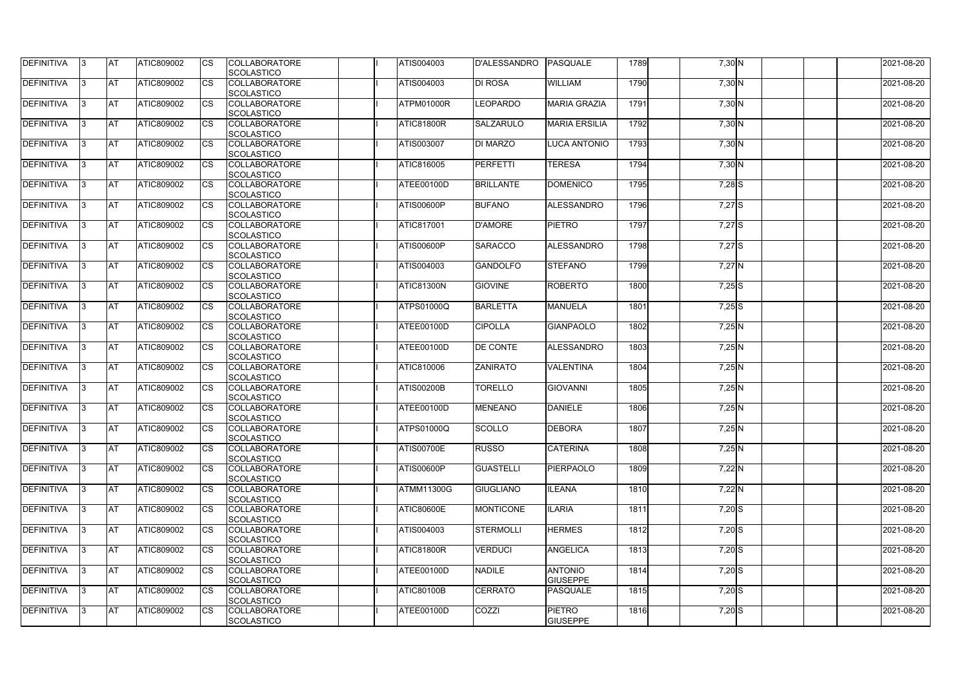| <b>DEFINITIVA</b> | IЗ  | <b>AT</b>  | <b>ATIC809002</b> | <b>CS</b> | <b>COLLABORATORE</b><br>SCOLASTICO        | ATIS004003        | <b>D'ALESSANDRO</b> | PASQUALE                          | 1789 | 7,30 N   | 2021-08-20 |
|-------------------|-----|------------|-------------------|-----------|-------------------------------------------|-------------------|---------------------|-----------------------------------|------|----------|------------|
| <b>DEFINITIVA</b> | R   | <b>AT</b>  | ATIC809002        | <b>CS</b> | <b>COLLABORATORE</b><br><b>SCOLASTICO</b> | ATIS004003        | <b>DI ROSA</b>      | <b>WILLIAM</b>                    | 1790 | 7,30 N   | 2021-08-20 |
| <b>DEFINITIVA</b> | R   | <b>AT</b>  | ATIC809002        | CS        | <b>COLLABORATORE</b><br>SCOLASTICO        | ATPM01000R        | <b>LEOPARDO</b>     | <b>MARIA GRAZIA</b>               | 1791 | 7,30 N   | 2021-08-20 |
| <b>DEFINITIVA</b> |     | <b>AT</b>  | ATIC809002        | <b>CS</b> | <b>COLLABORATORE</b><br>SCOLASTICO        | ATIC81800R        | <b>SALZARULO</b>    | <b>MARIA ERSILIA</b>              | 1792 | 7,30 N   | 2021-08-20 |
| <b>DEFINITIVA</b> |     | <b>AT</b>  | ATIC809002        | CS        | <b>COLLABORATORE</b><br>SCOLASTICO        | ATIS003007        | <b>DI MARZO</b>     | <b>LUCA ANTONIO</b>               | 1793 | 7,30 N   | 2021-08-20 |
| <b>DEFINITIVA</b> |     | <b>IAT</b> | ATIC809002        | <b>CS</b> | <b>COLLABORATORE</b><br><b>SCOLASTICO</b> | ATIC816005        | PERFETTI            | <b>TERESA</b>                     | 1794 | $7,30$ N | 2021-08-20 |
| DEFINITIVA        |     | <b>AT</b>  | ATIC809002        | <b>CS</b> | <b>COLLABORATORE</b><br>SCOLASTICO        | ATEE00100D        | <b>BRILLANTE</b>    | <b>DOMENICO</b>                   | 1795 | $7,28$ S | 2021-08-20 |
| <b>DEFINITIVA</b> | ß   | <b>AT</b>  | ATIC809002        | CS        | <b>COLLABORATORE</b><br><b>SCOLASTICO</b> | <b>ATIS00600P</b> | <b>BUFANO</b>       | ALESSANDRO                        | 1796 | $7,27$ S | 2021-08-20 |
| <b>DEFINITIVA</b> | R   | <b>AT</b>  | ATIC809002        | <b>CS</b> | <b>COLLABORATORE</b><br><b>SCOLASTICO</b> | <b>ATIC817001</b> | <b>D'AMORE</b>      | <b>PIETRO</b>                     | 1797 | $7,27$ S | 2021-08-20 |
| <b>DEFINITIVA</b> |     | <b>AT</b>  | ATIC809002        | <b>CS</b> | <b>COLLABORATORE</b><br><b>SCOLASTICO</b> | <b>ATIS00600P</b> | <b>SARACCO</b>      | <b>ALESSANDRO</b>                 | 1798 | 7,27 S   | 2021-08-20 |
| <b>DEFINITIVA</b> |     | <b>AT</b>  | ATIC809002        | <b>CS</b> | <b>COLLABORATORE</b><br>SCOLASTICO        | ATIS004003        | <b>GANDOLFO</b>     | <b>STEFANO</b>                    | 1799 | $7,27$ N | 2021-08-20 |
| <b>DEFINITIVA</b> |     | <b>AT</b>  | ATIC809002        | <b>CS</b> | <b>COLLABORATORE</b><br>SCOLASTICO        | ATIC81300N        | <b>GIOVINE</b>      | <b>ROBERTO</b>                    | 1800 | $7,25$ S | 2021-08-20 |
| DEFINITIVA        |     | <b>AT</b>  | ATIC809002        | <b>CS</b> | <b>COLLABORATORE</b><br>SCOLASTICO        | <b>ATPS01000Q</b> | <b>BARLETTA</b>     | <b>MANUELA</b>                    | 1801 | $7,25$ S | 2021-08-20 |
| DEFINITIVA        | з   | <b>AT</b>  | ATIC809002        | CS        | <b>COLLABORATORE</b><br><b>SCOLASTICO</b> | ATEE00100D        | <b>CIPOLLA</b>      | <b>GIANPAOLO</b>                  | 1802 | 7,25 N   | 2021-08-20 |
| <b>DEFINITIVA</b> | R   | <b>AT</b>  | ATIC809002        | CS        | <b>COLLABORATORE</b><br><b>SCOLASTICO</b> | ATEE00100D        | <b>DE CONTE</b>     | <b>ALESSANDRO</b>                 | 1803 | 7,25 N   | 2021-08-20 |
| <b>DEFINITIVA</b> |     | <b>AT</b>  | ATIC809002        | <b>CS</b> | <b>COLLABORATORE</b><br><b>SCOLASTICO</b> | <b>ATIC810006</b> | <b>ZANIRATO</b>     | VALENTINA                         | 1804 | $7,25$ N | 2021-08-20 |
| <b>DEFINITIVA</b> |     | <b>AT</b>  | ATIC809002        | CS        | <b>COLLABORATORE</b><br><b>SCOLASTICO</b> | <b>ATIS00200B</b> | <b>TORELLO</b>      | <b>GIOVANNI</b>                   | 1805 | $7,25$ N | 2021-08-20 |
| <b>DEFINITIVA</b> |     | <b>AT</b>  | ATIC809002        | CS        | <b>COLLABORATORE</b><br>SCOLASTICO        | ATEE00100D        | <b>MENEANO</b>      | <b>DANIELE</b>                    | 1806 | $7,25$ N | 2021-08-20 |
| <b>DEFINITIVA</b> | 13. | <b>AT</b>  | ATIC809002        | <b>CS</b> | <b>COLLABORATORE</b><br>SCOLASTICO        | <b>ATPS01000Q</b> | <b>SCOLLO</b>       | <b>DEBORA</b>                     | 1807 | $7,25$ N | 2021-08-20 |
| DEFINITIVA        | 3   | <b>AT</b>  | ATIC809002        | <b>CS</b> | <b>COLLABORATORE</b><br><b>SCOLASTICO</b> | <b>ATIS00700E</b> | <b>RUSSO</b>        | <b>CATERINA</b>                   | 1808 | $7,25$ N | 2021-08-20 |
| <b>DEFINITIVA</b> | IЗ  | <b>AT</b>  | ATIC809002        | <b>CS</b> | <b>COLLABORATORE</b><br><b>SCOLASTICO</b> | <b>ATIS00600P</b> | <b>GUASTELLI</b>    | PIERPAOLO                         | 1809 | $7,22$ N | 2021-08-20 |
| <b>DEFINITIVA</b> |     | <b>AT</b>  | ATIC809002        | <b>CS</b> | <b>COLLABORATORE</b><br><b>SCOLASTICO</b> | <b>ATMM11300G</b> | <b>GIUGLIANO</b>    | <b>ILEANA</b>                     | 1810 | $7,22$ N | 2021-08-20 |
| <b>DEFINITIVA</b> |     | <b>AT</b>  | ATIC809002        | <b>CS</b> | <b>COLLABORATORE</b><br><b>SCOLASTICO</b> | <b>ATIC80600E</b> | <b>MONTICONE</b>    | <b>ILARIA</b>                     | 1811 | $7,20$ S | 2021-08-20 |
| <b>DEFINITIVA</b> | ß.  | <b>AT</b>  | ATIC809002        | <b>CS</b> | <b>COLLABORATORE</b><br><b>SCOLASTICO</b> | <b>ATIS004003</b> | <b>STERMOLLI</b>    | <b>HERMES</b>                     | 1812 | $7,20$ S | 2021-08-20 |
| <b>DEFINITIVA</b> | 3   | <b>AT</b>  | ATIC809002        | <b>CS</b> | <b>COLLABORATORE</b><br>SCOLASTICO        | <b>ATIC81800R</b> | <b>VERDUCI</b>      | <b>ANGELICA</b>                   | 1813 | $7,20$ S | 2021-08-20 |
| DEFINITIVA        | ß.  | <b>AT</b>  | ATIC809002        | <b>CS</b> | <b>COLLABORATORE</b><br><b>SCOLASTICO</b> | ATEE00100D        | <b>NADILE</b>       | <b>ANTONIO</b><br><b>GIUSEPPE</b> | 1814 | $7,20$ S | 2021-08-20 |
| DEFINITIVA        | 13. | <b>AT</b>  | ATIC809002        | <b>CS</b> | <b>COLLABORATORE</b><br><b>SCOLASTICO</b> | <b>ATIC80100B</b> | <b>CERRATO</b>      | PASQUALE                          | 1815 | $7,20$ S | 2021-08-20 |
| <b>DEFINITIVA</b> | ß.  | <b>AT</b>  | ATIC809002        | <b>CS</b> | <b>COLLABORATORE</b><br>SCOLASTICO        | ATEE00100D        | COZZI               | <b>PIETRO</b><br><b>GIUSEPPE</b>  | 1816 | $7,20$ S | 2021-08-20 |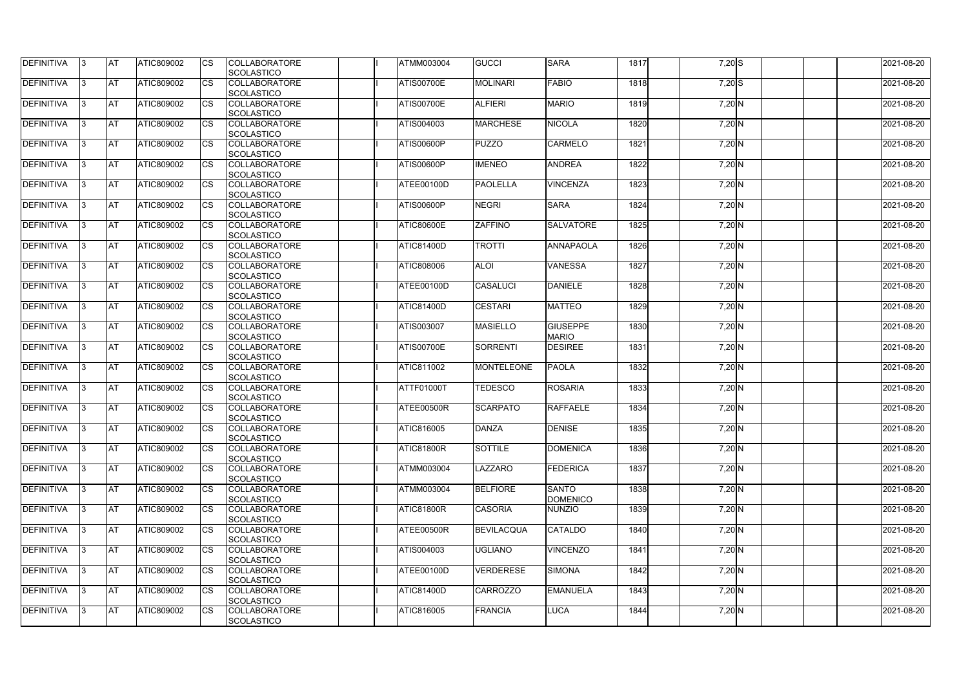| <b>DEFINITIVA</b> | 13  | <b>AT</b> | ATIC809002        | Ics                    | <b>COLLABORATORE</b><br><b>SCOLASTICO</b> | <b>ATMM003004</b> | <b>GUCCI</b>      | <b>SARA</b>                     | 1817 | $7,20$ S | 2021-08-20 |
|-------------------|-----|-----------|-------------------|------------------------|-------------------------------------------|-------------------|-------------------|---------------------------------|------|----------|------------|
| <b>DEFINITIVA</b> |     | <b>AT</b> | ATIC809002        | Ics                    | <b>COLLABORATORE</b><br><b>SCOLASTICO</b> | <b>ATIS00700E</b> | <b>MOLINARI</b>   | <b>FABIO</b>                    | 1818 | $7,20$ S | 2021-08-20 |
| DEFINITIVA        |     | <b>AT</b> | ATIC809002        | Ics                    | <b>COLLABORATORE</b><br><b>SCOLASTICO</b> | <b>ATIS00700E</b> | <b>ALFIERI</b>    | <b>MARIO</b>                    | 1819 | $7,20$ N | 2021-08-20 |
| DEFINITIVA        | ıз  | <b>AT</b> | ATIC809002        | <b>CS</b>              | <b>COLLABORATORE</b><br><b>SCOLASTICO</b> | ATIS004003        | <b>MARCHESE</b>   | <b>NICOLA</b>                   | 1820 | 7,20 N   | 2021-08-20 |
| DEFINITIVA        |     | <b>AT</b> | ATIC809002        | <b>CS</b>              | <b>COLLABORATORE</b><br><b>SCOLASTICO</b> | ATIS00600P        | <b>PUZZO</b>      | <b>CARMELO</b>                  | 1821 | $7,20$ N | 2021-08-20 |
| <b>DEFINITIVA</b> |     | <b>AT</b> | ATIC809002        | Ics                    | <b>COLLABORATORE</b><br><b>SCOLASTICO</b> | <b>ATIS00600P</b> | <b>IMENEO</b>     | <b>ANDREA</b>                   | 1822 | 7,20 N   | 2021-08-20 |
| DEFINITIVA        |     | <b>AT</b> | <b>ATIC809002</b> | Ics                    | <b>COLLABORATORE</b><br><b>SCOLASTICO</b> | ATEE00100D        | <b>PAOLELLA</b>   | <b>VINCENZA</b>                 | 1823 | 7,20 N   | 2021-08-20 |
| <b>DEFINITIVA</b> |     | AT        | ATIC809002        | <b>CS</b>              | <b>COLLABORATORE</b><br><b>SCOLASTICO</b> | <b>ATIS00600P</b> | <b>NEGRI</b>      | <b>SARA</b>                     | 1824 | $7,20$ N | 2021-08-20 |
| DEFINITIVA        |     | <b>AT</b> | ATIC809002        | <b>CS</b>              | <b>COLLABORATORE</b><br><b>SCOLASTICO</b> | <b>ATIC80600E</b> | <b>ZAFFINO</b>    | <b>SALVATORE</b>                | 1825 | $7,20$ N | 2021-08-20 |
| DEFINITIVA        |     | <b>AT</b> | ATIC809002        | $\overline{\text{cs}}$ | <b>COLLABORATORE</b><br>SCOLASTICO        | <b>ATIC81400D</b> | <b>TROTTI</b>     | <b>ANNAPAOLA</b>                | 1826 | 7,20 N   | 2021-08-20 |
| <b>DEFINITIVA</b> |     | <b>AT</b> | <b>ATIC809002</b> | <b>CS</b>              | <b>COLLABORATORE</b><br><b>SCOLASTICO</b> | ATIC808006        | <b>ALOI</b>       | <b>VANESSA</b>                  | 1827 | 7,20 N   | 2021-08-20 |
| DEFINITIVA        |     | <b>AT</b> | ATIC809002        | <b>CS</b>              | <b>COLLABORATORE</b><br><b>SCOLASTICO</b> | ATEE00100D        | <b>CASALUCI</b>   | <b>DANIELE</b>                  | 1828 | 7,20 N   | 2021-08-20 |
| <b>DEFINITIVA</b> | l3  | <b>AT</b> | ATIC809002        |                        | <b>COLLABORATORE</b><br><b>SCOLASTICO</b> | ATIC81400D        | <b>CESTARI</b>    | <b>MATTEO</b>                   | 1829 | 7,20 N   | 2021-08-20 |
| <b>DEFINITIVA</b> |     | <b>AT</b> | ATIC809002        | Ics                    | <b>COLLABORATORE</b><br><b>SCOLASTICO</b> | ATIS003007        | <b>MASIELLO</b>   | <b>GIUSEPPE</b><br><b>MARIO</b> | 1830 | $7,20$ N | 2021-08-20 |
| DEFINITIVA        | R   | <b>AT</b> | ATIC809002        | <b>CS</b>              | <b>COLLABORATORE</b><br><b>SCOLASTICO</b> | <b>ATIS00700E</b> | <b>SORRENTI</b>   | <b>DESIREE</b>                  | 1831 | $7,20$ N | 2021-08-20 |
| DEFINITIVA        |     | <b>AT</b> | ATIC809002        | Ics                    | <b>COLLABORATORE</b><br><b>SCOLASTICO</b> | <b>ATIC811002</b> | <b>MONTELEONE</b> | <b>PAOLA</b>                    | 1832 | $7,20$ N | 2021-08-20 |
| <b>DEFINITIVA</b> |     | <b>AT</b> | ATIC809002        | <b>CS</b>              | <b>COLLABORATORE</b><br><b>SCOLASTICO</b> | ATTF01000T        | <b>TEDESCO</b>    | <b>ROSARIA</b>                  | 1833 | $7,20$ N | 2021-08-20 |
| DEFINITIVA        |     | <b>AT</b> | ATIC809002        | <b>CS</b>              | <b>COLLABORATORE</b><br>SCOLASTICO        | ATEE00500R        | <b>SCARPATO</b>   | <b>RAFFAELE</b>                 | 1834 | 7,20 N   | 2021-08-20 |
| DEFINITIVA        | 13. | <b>AT</b> | ATIC809002        |                        | <b>COLLABORATORE</b><br><b>SCOLASTICO</b> | <b>ATIC816005</b> | <b>DANZA</b>      | <b>DENISE</b>                   | 1835 | $7,20$ N | 2021-08-20 |
| DEFINITIVA        | IЗ  | <b>AT</b> | <b>ATIC809002</b> | Ics                    | <b>COLLABORATORE</b><br><b>SCOLASTICO</b> | ATIC81800R        | <b>SOTTILE</b>    | <b>DOMENICA</b>                 | 1836 | $7,20$ N | 2021-08-20 |
| <b>DEFINITIVA</b> | I3  | <b>AT</b> | ATIC809002        | Ics                    | <b>COLLABORATORE</b><br><b>SCOLASTICO</b> | <b>ATMM003004</b> | LAZZARO           | FEDERICA                        | 1837 | 7,20 N   | 2021-08-20 |
| DEFINITIVA        |     | <b>AT</b> | ATIC809002        | Ics                    | <b>COLLABORATORE</b><br><b>SCOLASTICO</b> | <b>ATMM003004</b> | <b>BELFIORE</b>   | <b>SANTO</b><br><b>DOMENICO</b> | 1838 | $7,20$ N | 2021-08-20 |
| <b>DEFINITIVA</b> |     | <b>AT</b> | ATIC809002        | <b>CS</b>              | <b>COLLABORATORE</b><br><b>SCOLASTICO</b> | <b>ATIC81800R</b> | <b>CASORIA</b>    | NUNZIO                          | 1839 | $7,20$ N | 2021-08-20 |
| <b>DEFINITIVA</b> | ıз  | <b>AT</b> | ATIC809002        | Ics                    | <b>COLLABORATORE</b><br><b>SCOLASTICO</b> | ATEE00500R        | <b>BEVILACQUA</b> | <b>CATALDO</b>                  | 1840 | $7,20$ N | 2021-08-20 |
| <b>DEFINITIVA</b> |     | <b>AT</b> | ATIC809002        | Ics                    | <b>COLLABORATORE</b><br><b>SCOLASTICO</b> | ATIS004003        | <b>UGLIANO</b>    | <b>VINCENZO</b>                 | 1841 | 7,20 N   | 2021-08-20 |
| DEFINITIVA        | ıз  | <b>AT</b> | ATIC809002        | Ics                    | <b>COLLABORATORE</b><br><b>SCOLASTICO</b> | ATEE00100D        | <b>VERDERESE</b>  | <b>SIMONA</b>                   | 1842 | $7,20$ N | 2021-08-20 |
| <b>DEFINITIVA</b> | 13  | <b>AT</b> | <b>ATIC809002</b> | <b>ICS</b>             | <b>COLLABORATORE</b><br><b>SCOLASTICO</b> | <b>ATIC81400D</b> | <b>CARROZZO</b>   | <b>EMANUELA</b>                 | 1843 | $7,20$ N | 2021-08-20 |
| <b>DEFINITIVA</b> |     | <b>AT</b> | ATIC809002        | Ics                    | <b>COLLABORATORE</b><br><b>SCOLASTICO</b> | ATIC816005        | <b>FRANCIA</b>    | <b>LUCA</b>                     | 1844 | $7,20$ N | 2021-08-20 |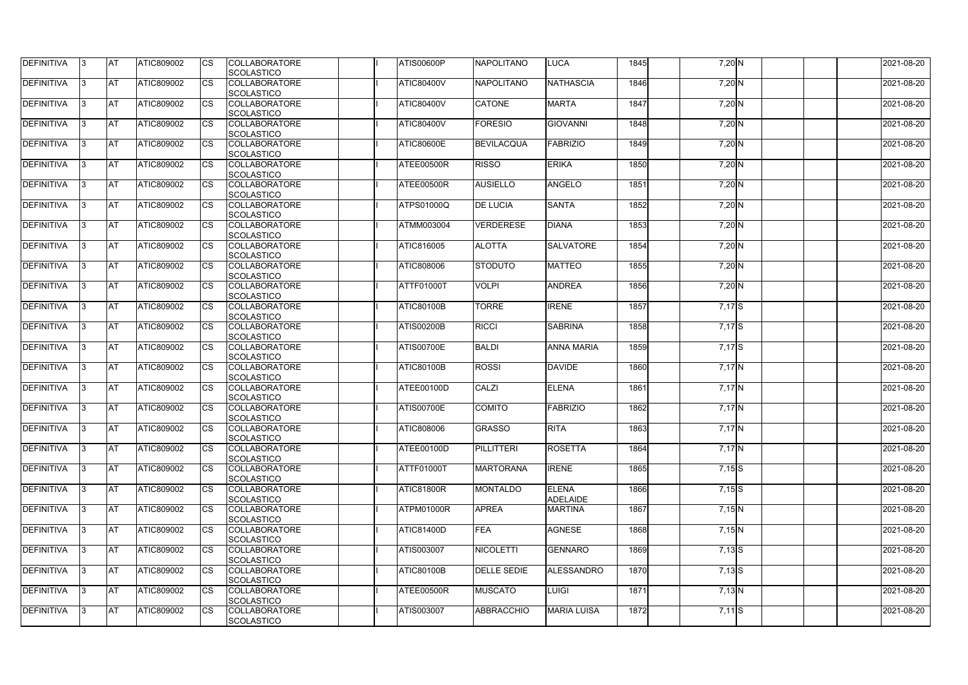| <b>DEFINITIVA</b> | IЗ  | <b>AT</b>  | <b>ATIC809002</b> | <b>CS</b> | <b>COLLABORATORE</b><br><b>SCOLASTICO</b> | <b>ATIS00600P</b> | <b>NAPOLITANO</b>  | <b>LUCA</b>                     | 1845 | 7,20 N     | 2021-08-20 |
|-------------------|-----|------------|-------------------|-----------|-------------------------------------------|-------------------|--------------------|---------------------------------|------|------------|------------|
| <b>DEFINITIVA</b> | R   | <b>AT</b>  | ATIC809002        | <b>CS</b> | <b>COLLABORATORE</b><br><b>SCOLASTICO</b> | <b>ATIC80400V</b> | <b>NAPOLITANO</b>  | <b>NATHASCIA</b>                | 1846 | 7,20 N     | 2021-08-20 |
| <b>DEFINITIVA</b> | З   | <b>AT</b>  | <b>ATIC809002</b> | CS        | <b>COLLABORATORE</b><br>SCOLASTICO        | <b>ATIC80400V</b> | <b>CATONE</b>      | <b>MARTA</b>                    | 1847 | 7,20 N     | 2021-08-20 |
| <b>DEFINITIVA</b> |     | <b>AT</b>  | ATIC809002        | <b>CS</b> | <b>COLLABORATORE</b><br>SCOLASTICO        | <b>ATIC80400V</b> | <b>FORESIO</b>     | <b>GIOVANNI</b>                 | 1848 | 7,20 N     | 2021-08-20 |
| <b>DEFINITIVA</b> |     | <b>AT</b>  | ATIC809002        | CS        | <b>COLLABORATORE</b><br>SCOLASTICO        | <b>ATIC80600E</b> | <b>BEVILACQUA</b>  | FABRIZIO                        | 1849 | 7,20 N     | 2021-08-20 |
| <b>DEFINITIVA</b> |     | <b>IAT</b> | ATIC809002        | <b>CS</b> | <b>COLLABORATORE</b><br><b>SCOLASTICO</b> | ATEE00500R        | <b>RISSO</b>       | <b>ERIKA</b>                    | 1850 | $7,20$ N   | 2021-08-20 |
| DEFINITIVA        |     | <b>AT</b>  | ATIC809002        | <b>CS</b> | <b>COLLABORATORE</b><br>SCOLASTICO        | ATEE00500R        | <b>AUSIELLO</b>    | ANGELO                          | 1851 | $7,20$ N   | 2021-08-20 |
| <b>DEFINITIVA</b> | ß   | <b>AT</b>  | ATIC809002        | CS        | <b>COLLABORATORE</b><br><b>SCOLASTICO</b> | <b>ATPS01000Q</b> | <b>DE LUCIA</b>    | <b>SANTA</b>                    | 1852 | $7,20$ N   | 2021-08-20 |
| <b>DEFINITIVA</b> | R   | <b>AT</b>  | ATIC809002        | <b>CS</b> | <b>COLLABORATORE</b><br><b>SCOLASTICO</b> | <b>ATMM003004</b> | <b>VERDERESE</b>   | <b>DIANA</b>                    | 1853 | 7,20 N     | 2021-08-20 |
| <b>DEFINITIVA</b> |     | <b>AT</b>  | ATIC809002        | <b>CS</b> | <b>COLLABORATORE</b><br><b>SCOLASTICO</b> | <b>ATIC816005</b> | <b>ALOTTA</b>      | <b>SALVATORE</b>                | 1854 | 7,20 N     | 2021-08-20 |
| <b>DEFINITIVA</b> |     | <b>AT</b>  | ATIC809002        | <b>CS</b> | <b>COLLABORATORE</b><br>SCOLASTICO        | ATIC808006        | <b>STODUTO</b>     | <b>MATTEO</b>                   | 1855 | 7,20 N     | 2021-08-20 |
| <b>DEFINITIVA</b> | R   | <b>AT</b>  | ATIC809002        | <b>CS</b> | <b>COLLABORATORE</b><br>SCOLASTICO        | <b>ATTF01000T</b> | <b>VOLPI</b>       | <b>ANDREA</b>                   | 1856 | 7,20 N     | 2021-08-20 |
| DEFINITIVA        |     | <b>AT</b>  | ATIC809002        | <b>CS</b> | <b>COLLABORATORE</b><br><b>SCOLASTICO</b> | <b>ATIC80100B</b> | <b>TORRE</b>       | <b>IRENE</b>                    | 1857 | $7,17$ S   | 2021-08-20 |
| DEFINITIVA        | З   | <b>AT</b>  | ATIC809002        | CS        | <b>COLLABORATORE</b><br><b>SCOLASTICO</b> | <b>ATIS00200B</b> | <b>RICCI</b>       | <b>SABRINA</b>                  | 1858 | $7,17$ S   | 2021-08-20 |
| <b>DEFINITIVA</b> | R   | <b>AT</b>  | ATIC809002        | CS        | <b>COLLABORATORE</b><br><b>SCOLASTICO</b> | <b>ATIS00700E</b> | <b>BALDI</b>       | <b>ANNA MARIA</b>               | 1859 | 7,17S      | 2021-08-20 |
| <b>DEFINITIVA</b> |     | <b>AT</b>  | ATIC809002        | <b>CS</b> | <b>COLLABORATORE</b><br><b>SCOLASTICO</b> | <b>ATIC80100B</b> | <b>ROSSI</b>       | <b>DAVIDE</b>                   | 1860 | $7,17$ N   | 2021-08-20 |
| <b>DEFINITIVA</b> |     | <b>AT</b>  | ATIC809002        | CS        | <b>COLLABORATORE</b><br><b>SCOLASTICO</b> | ATEE00100D        | <b>CALZI</b>       | <b>ELENA</b>                    | 1861 | $7,17$ N   | 2021-08-20 |
| <b>DEFINITIVA</b> |     | <b>AT</b>  | ATIC809002        | CS        | <b>COLLABORATORE</b><br>SCOLASTICO        | <b>ATIS00700E</b> | <b>COMITO</b>      | FABRIZIO                        | 1862 | $7,17$ N   | 2021-08-20 |
| <b>DEFINITIVA</b> | 13. | <b>AT</b>  | ATIC809002        | <b>CS</b> | <b>COLLABORATORE</b><br>SCOLASTICO        | <b>ATIC808006</b> | <b>GRASSO</b>      | RITA                            | 1863 | $7,17$ N   | 2021-08-20 |
| DEFINITIVA        | 3   | <b>AT</b>  | ATIC809002        | <b>CS</b> | <b>COLLABORATORE</b><br><b>SCOLASTICO</b> | ATEE00100D        | <b>PILLITTERI</b>  | <b>ROSETTA</b>                  | 1864 | $7,17$ N   | 2021-08-20 |
| <b>DEFINITIVA</b> | IЗ  | <b>AT</b>  | ATIC809002        | <b>CS</b> | <b>COLLABORATORE</b><br><b>SCOLASTICO</b> | <b>ATTF01000T</b> | <b>MARTORANA</b>   | <b>IRENE</b>                    | 1865 | $7,15$ S   | 2021-08-20 |
| <b>DEFINITIVA</b> |     | <b>AT</b>  | ATIC809002        | <b>CS</b> | <b>COLLABORATORE</b><br><b>SCOLASTICO</b> | <b>ATIC81800R</b> | <b>MONTALDO</b>    | <b>ELENA</b><br><b>ADELAIDE</b> | 1866 | $7,15$ S   | 2021-08-20 |
| <b>DEFINITIVA</b> |     | <b>AT</b>  | ATIC809002        | <b>CS</b> | <b>COLLABORATORE</b><br><b>SCOLASTICO</b> | ATPM01000R        | <b>APREA</b>       | <b>MARTINA</b>                  | 1867 | $7,15$ N   | 2021-08-20 |
| <b>DEFINITIVA</b> | IЗ  | <b>AT</b>  | ATIC809002        | <b>CS</b> | <b>COLLABORATORE</b><br><b>SCOLASTICO</b> | <b>ATIC81400D</b> | <b>FEA</b>         | <b>AGNESE</b>                   | 1868 | $7,15$ N   | 2021-08-20 |
| <b>DEFINITIVA</b> | 3   | <b>AT</b>  | ATIC809002        | <b>CS</b> | <b>COLLABORATORE</b><br>SCOLASTICO        | <b>ATIS003007</b> | <b>NICOLETTI</b>   | <b>GENNARO</b>                  | 1869 | $7,13$ S   | 2021-08-20 |
| DEFINITIVA        | ß.  | <b>AT</b>  | ATIC809002        | <b>CS</b> | <b>COLLABORATORE</b><br><b>SCOLASTICO</b> | <b>ATIC80100B</b> | <b>DELLE SEDIE</b> | <b>ALESSANDRO</b>               | 1870 | $7,13$ $S$ | 2021-08-20 |
| DEFINITIVA        | l3  | <b>AT</b>  | ATIC809002        | <b>CS</b> | <b>COLLABORATORE</b><br><b>SCOLASTICO</b> | ATEE00500R        | <b>MUSCATO</b>     | <b>LUIGI</b>                    | 1871 | $7,13$ N   | 2021-08-20 |
| <b>DEFINITIVA</b> | ß.  | <b>AT</b>  | ATIC809002        | <b>CS</b> | <b>COLLABORATORE</b><br>SCOLASTICO        | ATIS003007        | <b>ABBRACCHIO</b>  | <b>MARIA LUISA</b>              | 1872 | $7,11$ S   | 2021-08-20 |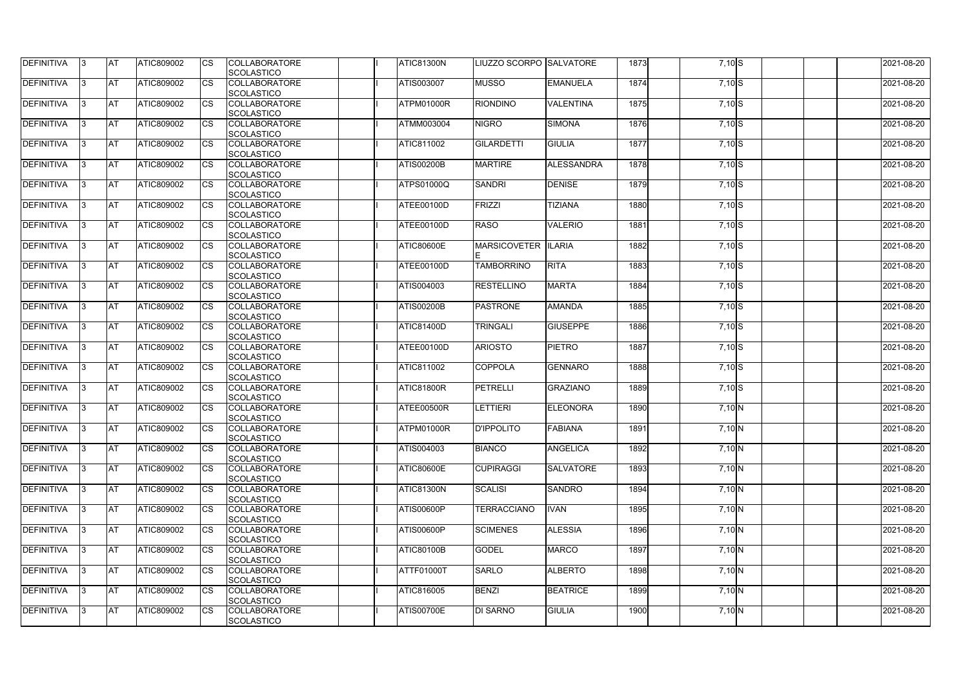| <b>DEFINITIVA</b> | IЗ  | <b>IAT</b> | ATIC809002        | <b>CS</b>              | <b>COLLABORATORE</b> | ATIC81300N        | LIUZZO SCORPO ISALVATORE |                  | 1873 | $7,10$ S  | 2021-08-20 |
|-------------------|-----|------------|-------------------|------------------------|----------------------|-------------------|--------------------------|------------------|------|-----------|------------|
|                   |     |            |                   |                        | SCOLASTICO           |                   |                          |                  |      |           |            |
| DEFINITIVA        | ß.  | <b>AT</b>  | ATIC809002        | CS                     | <b>COLLABORATORE</b> | <b>ATIS003007</b> | <b>MUSSO</b>             | <b>EMANUELA</b>  | 1874 | $7,10$ S  | 2021-08-20 |
|                   |     |            |                   |                        | <b>SCOLASTICO</b>    |                   |                          |                  |      |           |            |
| <b>DEFINITIVA</b> | ß.  | <b>AT</b>  | ATIC809002        | CS                     | <b>COLLABORATORE</b> | ATPM01000R        | <b>RIONDINO</b>          | <b>VALENTINA</b> | 1875 | $7,10$ S  | 2021-08-20 |
|                   |     |            |                   |                        | <b>SCOLASTICO</b>    |                   |                          |                  |      |           |            |
| <b>DEFINITIVA</b> |     | <b>AT</b>  | ATIC809002        | <b>CS</b>              | <b>COLLABORATORE</b> | ATMM003004        | <b>NIGRO</b>             | <b>SIMONA</b>    | 1876 | $7,10$ S  | 2021-08-20 |
|                   |     |            |                   |                        | <b>SCOLASTICO</b>    |                   |                          |                  |      |           |            |
| <b>DEFINITIVA</b> |     | <b>AT</b>  | ATIC809002        | CS                     | <b>COLLABORATORE</b> | ATIC811002        | <b>GILARDETTI</b>        | <b>GIULIA</b>    | 1877 | $7,10$ S  | 2021-08-20 |
|                   |     |            |                   |                        | SCOLASTICO           |                   |                          |                  |      |           |            |
| <b>DEFINITIVA</b> | ß   | AT         | ATIC809002        | <b>CS</b>              | <b>COLLABORATORE</b> | <b>ATIS00200B</b> | <b>MARTIRE</b>           | ALESSANDRA       | 1878 | $7,10$ S  | 2021-08-20 |
|                   |     |            |                   |                        | SCOLASTICO           |                   |                          |                  |      |           |            |
| <b>DEFINITIVA</b> |     | <b>AT</b>  | ATIC809002        | <b>CS</b>              | <b>COLLABORATORE</b> | <b>ATPS01000Q</b> | <b>SANDRI</b>            | <b>DENISE</b>    | 1879 | $7,10$ S  | 2021-08-20 |
|                   |     |            |                   |                        | SCOLASTICO           |                   |                          |                  |      |           |            |
| DEFINITIVA        |     | <b>AT</b>  | ATIC809002        | <b>CS</b>              | <b>COLLABORATORE</b> | ATEE00100D        | <b>FRIZZI</b>            | <b>TIZIANA</b>   | 1880 | $7,10$ S  | 2021-08-20 |
|                   |     |            |                   |                        | <b>SCOLASTICO</b>    |                   |                          |                  |      |           |            |
| DEFINITIVA        | IЗ  | <b>AT</b>  | ATIC809002        | CS                     | <b>COLLABORATORE</b> | ATEE00100D        | <b>RASO</b>              | <b>VALERIO</b>   | 1881 | $7,10$ S  | 2021-08-20 |
|                   |     |            |                   |                        | <b>SCOLASTICO</b>    |                   |                          |                  |      |           |            |
| <b>DEFINITIVA</b> |     | <b>AT</b>  | <b>ATIC809002</b> | <b>CS</b>              | <b>COLLABORATORE</b> | <b>ATIC80600E</b> | <b>MARSICOVETER</b>      | <b>ILARIA</b>    | 1882 | $7,10$ S  | 2021-08-20 |
|                   |     |            |                   |                        | <b>SCOLASTICO</b>    |                   |                          |                  |      |           |            |
| <b>DEFINITIVA</b> |     | <b>AT</b>  | ATIC809002        | $\overline{\text{cs}}$ | <b>COLLABORATORE</b> | <b>ATEE00100D</b> | <b>TAMBORRINO</b>        | <b>RITA</b>      | 1883 | $7,10$ S  | 2021-08-20 |
|                   |     |            |                   |                        | SCOLASTICO           |                   |                          |                  |      |           |            |
| <b>DEFINITIVA</b> | 3   | <b>AT</b>  | ATIC809002        | <b>CS</b>              | <b>COLLABORATORE</b> | ATIS004003        | <b>RESTELLINO</b>        | <b>MARTA</b>     | 1884 | $7,10$ S  | 2021-08-20 |
|                   |     |            |                   |                        | SCOLASTICO           |                   |                          |                  |      |           |            |
| <b>DEFINITIVA</b> |     | <b>IAT</b> | ATIC809002        |                        | <b>COLLABORATORE</b> | <b>ATIS00200B</b> | <b>PASTRONE</b>          | <b>AMANDA</b>    | 1885 | $7,10$ S  | 2021-08-20 |
|                   |     |            |                   |                        | <b>SCOLASTICO</b>    |                   |                          |                  |      |           |            |
| DEFINITIVA        |     | <b>AT</b>  | ATIC809002        | <b>CS</b>              | <b>COLLABORATORE</b> | <b>ATIC81400D</b> | <b>TRINGALI</b>          | <b>GIUSEPPE</b>  | 1886 | $7,10$ S  | 2021-08-20 |
|                   |     |            |                   |                        | SCOLASTICO           |                   |                          |                  |      |           |            |
| DEFINITIVA        | R   | <b>AT</b>  | ATIC809002        | CS                     | <b>COLLABORATORE</b> | ATEE00100D        | <b>ARIOSTO</b>           | <b>PIETRO</b>    | 1887 | $7,10$ S  | 2021-08-20 |
|                   |     |            |                   |                        | <b>SCOLASTICO</b>    |                   |                          |                  |      |           |            |
| <b>DEFINITIVA</b> |     | <b>AT</b>  | <b>ATIC809002</b> | CS                     | <b>COLLABORATORE</b> | <b>ATIC811002</b> | <b>COPPOLA</b>           | <b>GENNARO</b>   | 1888 | $7,10$ S  | 2021-08-20 |
|                   |     |            |                   |                        | <b>SCOLASTICO</b>    |                   |                          |                  |      |           |            |
| <b>DEFINITIVA</b> |     | <b>AT</b>  | ATIC809002        | <b>CS</b>              | <b>COLLABORATORE</b> | <b>ATIC81800R</b> | <b>PETRELLI</b>          | <b>GRAZIANO</b>  | 1889 | $7,10$ S  | 2021-08-20 |
|                   |     |            |                   |                        | <b>SCOLASTICO</b>    |                   |                          |                  |      |           |            |
| <b>DEFINITIVA</b> |     | <b>AT</b>  | ATIC809002        | <b>CS</b>              | <b>COLLABORATORE</b> | ATEE00500R        | <b>LETTIERI</b>          | <b>ELEONORA</b>  | 1890 | 7,10 N    | 2021-08-20 |
|                   |     |            |                   |                        | SCOLASTICO           |                   |                          |                  |      |           |            |
| DEFINITIVA        | 13. | <b>AT</b>  | ATIC809002        | <b>CS</b>              | <b>COLLABORATORE</b> | ATPM01000R        | <b>D'IPPOLITO</b>        | <b>FABIANA</b>   | 1891 | 7,10 N    | 2021-08-20 |
|                   |     |            |                   |                        | SCOLASTICO           |                   |                          |                  |      |           |            |
| <b>DEFINITIVA</b> | IЗ  | <b>AT</b>  | ATIC809002        | <b>CS</b>              | <b>COLLABORATORE</b> | ATIS004003        | <b>BIANCO</b>            | <b>ANGELICA</b>  | 1892 | $7,10\,N$ | 2021-08-20 |
|                   |     |            |                   |                        | <b>SCOLASTICO</b>    |                   |                          |                  |      |           |            |
| <b>DEFINITIVA</b> | l3. | <b>AT</b>  | <b>ATIC809002</b> | <b>CS</b>              | <b>COLLABORATORE</b> | <b>ATIC80600E</b> | <b>CUPIRAGGI</b>         | <b>SALVATORE</b> | 1893 | 7,10 N    | 2021-08-20 |
|                   |     |            |                   |                        | <b>SCOLASTICO</b>    |                   |                          |                  |      |           |            |
| <b>DEFINITIVA</b> | 13. | <b>AT</b>  | ATIC809002        | <b>CS</b>              | <b>COLLABORATORE</b> | <b>ATIC81300N</b> | <b>SCALISI</b>           | <b>SANDRO</b>    | 1894 | 7,10 N    | 2021-08-20 |
|                   |     |            |                   |                        | SCOLASTICO           |                   |                          |                  |      |           |            |
| <b>DEFINITIVA</b> |     | <b>AT</b>  | ATIC809002        |                        | <b>COLLABORATORE</b> | <b>ATIS00600P</b> | <b>TERRACCIANO</b>       | <b>IVAN</b>      | 1895 | $7,10$ N  | 2021-08-20 |
|                   |     |            |                   | <b>CS</b>              |                      |                   |                          |                  |      |           |            |
|                   |     |            |                   |                        | <b>SCOLASTICO</b>    |                   |                          |                  |      |           |            |
| <b>DEFINITIVA</b> | ß   | <b>AT</b>  | ATIC809002        | <b>CS</b>              | <b>COLLABORATORE</b> | <b>ATIS00600P</b> | <b>SCIMENES</b>          | <b>ALESSIA</b>   | 1896 | $7,10$ N  | 2021-08-20 |
|                   |     |            |                   |                        | <b>SCOLASTICO</b>    |                   |                          |                  |      |           |            |
| <b>DEFINITIVA</b> | l3  | <b>AT</b>  | ATIC809002        | <b>CS</b>              | <b>COLLABORATORE</b> | <b>ATIC80100B</b> | <b>GODEL</b>             | <b>MARCO</b>     | 1897 | 7,10 N    | 2021-08-20 |
|                   |     |            |                   |                        | SCOLASTICO           |                   |                          |                  |      |           |            |
| DEFINITIVA        |     | <b>AT</b>  | ATIC809002        | <b>CS</b>              | <b>COLLABORATORE</b> | <b>ATTF01000T</b> | <b>SARLO</b>             | <b>ALBERTO</b>   | 1898 | 7,10 N    | 2021-08-20 |
|                   |     |            |                   |                        | <b>SCOLASTICO</b>    |                   |                          |                  |      |           |            |
| DEFINITIVA        | IЗ  | <b>AT</b>  | ATIC809002        | <b>CS</b>              | <b>COLLABORATORE</b> | <b>ATIC816005</b> | <b>BENZI</b>             | <b>BEATRICE</b>  | 1899 | $7,10\,N$ | 2021-08-20 |
|                   |     |            |                   |                        | <b>SCOLASTICO</b>    |                   |                          |                  |      |           |            |
| <b>DEFINITIVA</b> | 13. | <b>AT</b>  | ATIC809002        | <b>CS</b>              | <b>COLLABORATORE</b> | <b>ATIS00700E</b> | <b>DI SARNO</b>          | <b>GIULIA</b>    | 1900 | 7,10 N    | 2021-08-20 |
|                   |     |            |                   |                        | SCOLASTICO           |                   |                          |                  |      |           |            |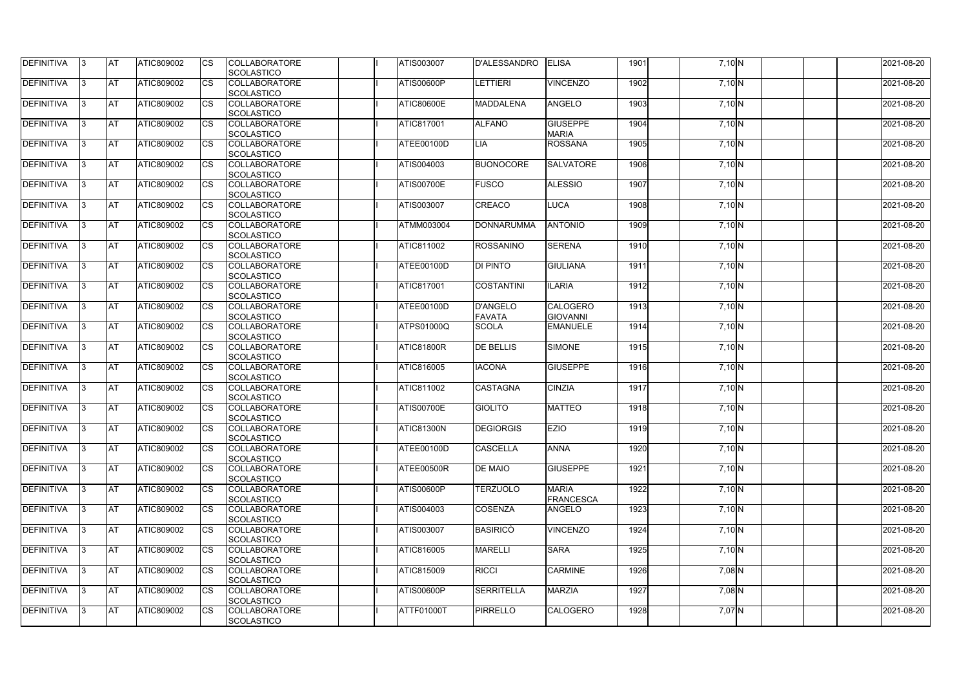| <b>DEFINITIVA</b> | IЗ  | <b>IAT</b>  | ATIC809002        | <b>CS</b>              | <b>COLLABORATORE</b>                      | <b>ATIS003007</b> | <b>D'ALESSANDRO</b> | <b>ELISA</b>     | 1901 | 7,10 N    | 2021-08-20 |
|-------------------|-----|-------------|-------------------|------------------------|-------------------------------------------|-------------------|---------------------|------------------|------|-----------|------------|
| DEFINITIVA        | ß.  | <b>AT</b>   | ATIC809002        | CS                     | SCOLASTICO<br><b>COLLABORATORE</b>        | <b>ATIS00600P</b> | <b>LETTIERI</b>     | <b>VINCENZO</b>  | 1902 | 7,10 N    | 2021-08-20 |
|                   |     |             |                   |                        | SCOLASTICO                                |                   |                     |                  |      |           |            |
| DEFINITIVA        | ß.  | <b>AT</b>   | ATIC809002        | CS                     | <b>COLLABORATORE</b>                      | <b>ATIC80600E</b> | <b>MADDALENA</b>    | <b>ANGELO</b>    | 1903 |           | 2021-08-20 |
|                   |     |             |                   |                        | <b>SCOLASTICO</b>                         |                   |                     |                  |      | 7,10 N    |            |
| <b>DEFINITIVA</b> |     | <b>AT</b>   | ATIC809002        | <b>CS</b>              | <b>COLLABORATORE</b>                      | <b>ATIC817001</b> | <b>ALFANO</b>       | <b>GIUSEPPE</b>  | 1904 | 7,10 N    | 2021-08-20 |
|                   |     |             |                   |                        | <b>SCOLASTICO</b>                         |                   |                     | <b>MARIA</b>     |      |           |            |
| <b>DEFINITIVA</b> |     | <b>AT</b>   | ATIC809002        | CS                     | <b>COLLABORATORE</b>                      | ATEE00100D        | LIA                 | <b>ROSSANA</b>   | 1905 | $7,10$ N  | 2021-08-20 |
|                   |     |             |                   |                        | SCOLASTICO                                |                   |                     |                  |      |           |            |
| <b>DEFINITIVA</b> | ß   | AT          | ATIC809002        | <b>CS</b>              | <b>COLLABORATORE</b>                      | ATIS004003        | <b>BUONOCORE</b>    | <b>SALVATORE</b> | 1906 |           | 2021-08-20 |
|                   |     |             |                   |                        |                                           |                   |                     |                  |      | 7,10 N    |            |
| <b>DEFINITIVA</b> |     | <b>AT</b>   | ATIC809002        | <b>CS</b>              | SCOLASTICO<br><b>COLLABORATORE</b>        | <b>ATIS00700E</b> | <b>FUSCO</b>        | <b>ALESSIO</b>   | 1907 |           | 2021-08-20 |
|                   |     |             |                   |                        | SCOLASTICO                                |                   |                     |                  |      | 7,10 N    |            |
| DEFINITIVA        | 3   | <b>AT</b>   | ATIC809002        | <b>CS</b>              | <b>COLLABORATORE</b>                      | <b>ATIS003007</b> | <b>CREACO</b>       | <b>LUCA</b>      | 1908 | 7,10 N    | 2021-08-20 |
|                   |     |             |                   |                        | <b>SCOLASTICO</b>                         |                   |                     |                  |      |           |            |
| DEFINITIVA        | l3  | <b>AT</b>   | ATIC809002        | CS                     | <b>COLLABORATORE</b>                      | ATMM003004        | <b>DONNARUMMA</b>   | <b>ANTONIO</b>   | 1909 | 7,10 N    | 2021-08-20 |
|                   |     |             |                   |                        | <b>SCOLASTICO</b>                         |                   |                     |                  |      |           |            |
| <b>DEFINITIVA</b> |     | <b>AT</b>   | <b>ATIC809002</b> | <b>CS</b>              | <b>COLLABORATORE</b>                      | ATIC811002        | <b>ROSSANINO</b>    | <b>SERENA</b>    | 1910 | $7,10$ N  | 2021-08-20 |
|                   |     |             |                   |                        | <b>SCOLASTICO</b>                         |                   |                     |                  |      |           |            |
| <b>DEFINITIVA</b> |     | <b>AT</b>   | ATIC809002        | $\overline{\text{cs}}$ | <b>COLLABORATORE</b>                      | ATEE00100D        | <b>DI PINTO</b>     | <b>GIULIANA</b>  | 1911 | $7,10$ N  | 2021-08-20 |
|                   |     |             |                   |                        | SCOLASTICO                                |                   |                     |                  |      |           |            |
| <b>DEFINITIVA</b> | 3   | <b>AT</b>   | ATIC809002        | <b>CS</b>              | <b>COLLABORATORE</b>                      | <b>ATIC817001</b> | <b>COSTANTINI</b>   | <b>ILARIA</b>    | 1912 |           | 2021-08-20 |
|                   |     |             |                   |                        | SCOLASTICO                                |                   |                     |                  |      | 7,10 N    |            |
| <b>DEFINITIVA</b> |     | <b>J</b> AT |                   |                        | <b>COLLABORATORE</b>                      |                   | <b>D'ANGELO</b>     | <b>CALOGERO</b>  |      |           |            |
|                   |     |             | ATIC809002        | CS                     |                                           | ATEE00100D        |                     |                  | 1913 | 7,10 N    | 2021-08-20 |
|                   |     | <b>AT</b>   |                   |                        | <b>SCOLASTICO</b>                         |                   | <b>FAVATA</b>       | <b>GIOVANNI</b>  |      |           |            |
| <b>DEFINITIVA</b> |     |             | ATIC809002        | <b>CS</b>              | <b>COLLABORATORE</b>                      | <b>ATPS01000Q</b> | <b>SCOLA</b>        | <b>EMANUELE</b>  | 1914 | 7,10 N    | 2021-08-20 |
|                   |     |             |                   |                        | SCOLASTICO                                |                   |                     |                  |      |           |            |
| DEFINITIVA        | R   | <b>AT</b>   | ATIC809002        | CS                     | <b>COLLABORATORE</b>                      | <b>ATIC81800R</b> | <b>DE BELLIS</b>    | <b>SIMONE</b>    | 1915 | 7,10 N    | 2021-08-20 |
|                   |     |             |                   |                        | <b>SCOLASTICO</b>                         |                   |                     |                  |      |           |            |
| <b>DEFINITIVA</b> |     | <b>AT</b>   | <b>ATIC809002</b> | CS                     | <b>COLLABORATORE</b><br><b>SCOLASTICO</b> | ATIC816005        | <b>IACONA</b>       | <b>GIUSEPPE</b>  | 1916 | 7,10 N    | 2021-08-20 |
| <b>DEFINITIVA</b> |     |             |                   |                        |                                           |                   |                     |                  |      |           | 2021-08-20 |
|                   |     | <b>AT</b>   | ATIC809002        | <b>CS</b>              | <b>COLLABORATORE</b><br><b>SCOLASTICO</b> | ATIC811002        | <b>CASTAGNA</b>     | <b>CINZIA</b>    | 1917 | $7,10$ N  |            |
|                   |     |             |                   |                        | <b>COLLABORATORE</b>                      |                   | <b>GIOLITO</b>      |                  |      |           | 2021-08-20 |
| <b>DEFINITIVA</b> |     | <b>AT</b>   | ATIC809002        | <b>CS</b>              |                                           | <b>ATIS00700E</b> |                     | <b>MATTEO</b>    | 1918 | 7,10 N    |            |
| <b>DEFINITIVA</b> |     |             |                   |                        | SCOLASTICO                                |                   |                     |                  |      |           |            |
|                   | 13. | <b>AT</b>   | ATIC809002        | <b>CS</b>              | <b>COLLABORATORE</b>                      | ATIC81300N        | <b>DEGIORGIS</b>    | <b>EZIO</b>      | 1919 | 7,10 N    | 2021-08-20 |
| <b>DEFINITIVA</b> |     |             |                   | <b>CS</b>              | SCOLASTICO                                |                   |                     | <b>ANNA</b>      | 1920 |           |            |
|                   | 3   | <b>AT</b>   | ATIC809002        |                        | <b>COLLABORATORE</b>                      | ATEE00100D        | <b>CASCELLA</b>     |                  |      | $7,10\,N$ | 2021-08-20 |
|                   |     |             |                   |                        | <b>SCOLASTICO</b>                         |                   |                     |                  |      |           | 2021-08-20 |
| <b>DEFINITIVA</b> | l3. | <b>AT</b>   | ATIC809002        | <b>CS</b>              | <b>COLLABORATORE</b>                      | ATEE00500R        | <b>DE MAIO</b>      | <b>GIUSEPPE</b>  | 1921 | 7,10 N    |            |
|                   |     |             |                   |                        | <b>SCOLASTICO</b>                         |                   |                     |                  |      |           |            |
| <b>DEFINITIVA</b> | 13. | <b>AT</b>   | ATIC809002        | <b>CS</b>              | <b>COLLABORATORE</b>                      | <b>ATIS00600P</b> | <b>TERZUOLO</b>     | <b>MARIA</b>     | 1922 | $7,10$ N  | 2021-08-20 |
|                   |     |             |                   |                        | <b>SCOLASTICO</b>                         |                   |                     | <b>FRANCESCA</b> |      |           |            |
| <b>DEFINITIVA</b> |     | <b>AT</b>   | ATIC809002        | <b>CS</b>              | <b>COLLABORATORE</b>                      | ATIS004003        | <b>COSENZA</b>      | <b>ANGELO</b>    | 1923 | $7,10$ N  | 2021-08-20 |
|                   |     |             |                   |                        | <b>SCOLASTICO</b>                         |                   |                     |                  |      |           |            |
| <b>DEFINITIVA</b> | ß   | <b>AT</b>   | ATIC809002        | <b>CS</b>              | <b>COLLABORATORE</b>                      | ATIS003007        | <b>BASIRICO</b>     | <b>VINCENZO</b>  | 1924 | $7,10$ N  | 2021-08-20 |
|                   |     |             |                   |                        | <b>SCOLASTICO</b>                         |                   |                     |                  |      |           |            |
| <b>DEFINITIVA</b> | l3  | <b>AT</b>   | ATIC809002        | <b>CS</b>              | <b>COLLABORATORE</b>                      | ATIC816005        | <b>MARELLI</b>      | <b>SARA</b>      | 1925 | 7,10 N    | 2021-08-20 |
|                   |     |             |                   |                        | SCOLASTICO                                |                   |                     |                  |      |           |            |
| DEFINITIVA        |     | <b>AT</b>   | ATIC809002        | <b>CS</b>              | <b>COLLABORATORE</b>                      | <b>ATIC815009</b> | <b>RICCI</b>        | <b>CARMINE</b>   | 1926 | 7,08 N    | 2021-08-20 |
|                   |     |             |                   |                        | <b>SCOLASTICO</b>                         |                   |                     |                  |      |           |            |
| DEFINITIVA        | IЗ  | <b>AT</b>   | ATIC809002        | <b>CS</b>              | <b>COLLABORATORE</b>                      | <b>ATIS00600P</b> | <b>SERRITELLA</b>   | <b>MARZIA</b>    | 1927 | $7,08$ N  | 2021-08-20 |
|                   |     |             |                   |                        | <b>SCOLASTICO</b>                         |                   |                     |                  |      |           |            |
| <b>DEFINITIVA</b> | 13. | <b>AT</b>   | ATIC809002        | <b>CS</b>              | <b>COLLABORATORE</b>                      | <b>ATTF01000T</b> | PIRRELLO            | <b>CALOGERO</b>  | 1928 | $7,07$ N  | 2021-08-20 |
|                   |     |             |                   |                        | SCOLASTICO                                |                   |                     |                  |      |           |            |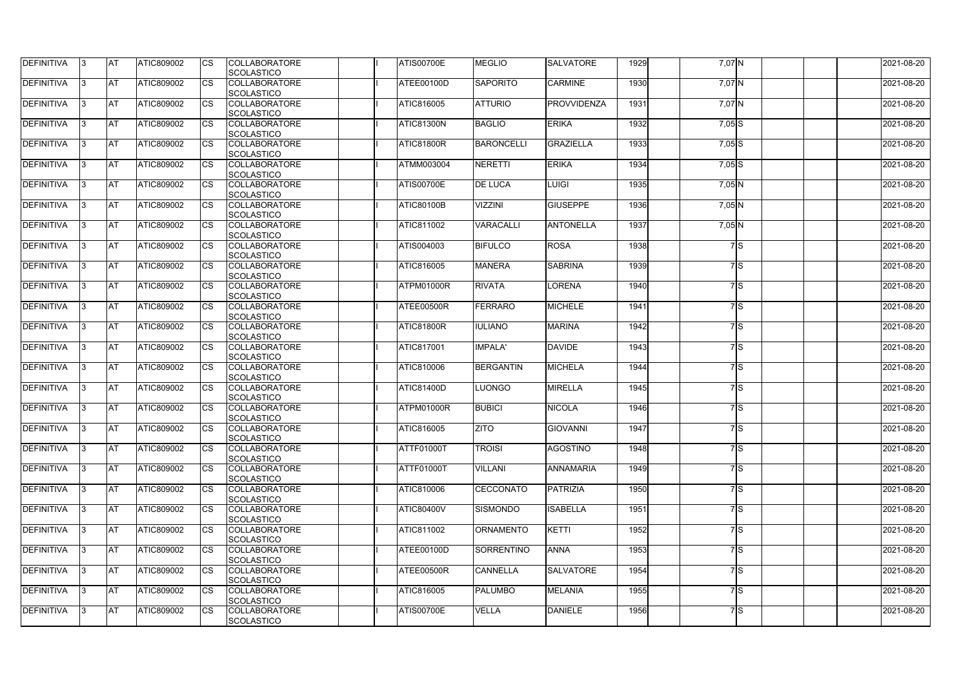| <b>DEFINITIVA</b> | 13  | IAT        | ATIC809002        | <b>I</b> CS | <b>COLLABORATORE</b><br><b>SCOLASTICO</b> | <b>ATIS00700E</b> | <b>MEGLIO</b>     | <b>SALVATORE</b> | 1929 | $7,07$ N   |    | 2021-08-20 |
|-------------------|-----|------------|-------------------|-------------|-------------------------------------------|-------------------|-------------------|------------------|------|------------|----|------------|
| DEFINITIVA        |     | <b>AT</b>  | ATIC809002        | Ics         | <b>COLLABORATORE</b><br><b>SCOLASTICO</b> | ATEE00100D        | <b>SAPORITO</b>   | <b>CARMINE</b>   | 1930 | 7,07 N     |    | 2021-08-20 |
| DEFINITIVA        |     | <b>AT</b>  | ATIC809002        | Ics         | <b>COLLABORATORE</b><br><b>SCOLASTICO</b> | ATIC816005        | <b>ATTURIO</b>    | PROVVIDENZA      | 1931 | 7,07 N     |    | 2021-08-20 |
| DEFINITIVA        | 13  | <b>AT</b>  | ATIC809002        | Ics         | <b>COLLABORATORE</b><br><b>SCOLASTICO</b> | <b>ATIC81300N</b> | <b>BAGLIO</b>     | <b>ERIKA</b>     | 1932 | $7,05$ S   |    | 2021-08-20 |
| DEFINITIVA        |     | <b>AT</b>  | ATIC809002        | Ics         | <b>COLLABORATORE</b><br><b>SCOLASTICO</b> | <b>ATIC81800R</b> | <b>BARONCELLI</b> | GRAZIELLA        | 1933 | $7,05$ $S$ |    | 2021-08-20 |
| <b>DEFINITIVA</b> |     | <b>IAT</b> | ATIC809002        | Ics         | <b>COLLABORATORE</b><br><b>SCOLASTICO</b> | <b>ATMM003004</b> | <b>NERETTI</b>    | <b>ERIKA</b>     | 1934 | $7,05$ S   |    | 2021-08-20 |
| DEFINITIVA        | 13. | <b>AT</b>  | ATIC809002        | Ics         | <b>COLLABORATORE</b><br><b>SCOLASTICO</b> | <b>ATIS00700E</b> | <b>DE LUCA</b>    | <b>LUIGI</b>     | 1935 | $7,05$ N   |    | 2021-08-20 |
| <b>DEFINITIVA</b> |     | <b>AT</b>  | ATIC809002        | Ics         | <b>COLLABORATORE</b><br><b>SCOLASTICO</b> | <b>ATIC80100B</b> | <b>VIZZINI</b>    | <b>GIUSEPPE</b>  | 1936 | $7,05$ N   |    | 2021-08-20 |
| <b>DEFINITIVA</b> | l3  | <b>AT</b>  | ATIC809002        | <b>ICS</b>  | <b>COLLABORATORE</b><br><b>SCOLASTICO</b> | ATIC811002        | VARACALLI         | <b>ANTONELLA</b> | 1937 | $7,05$ N   |    | 2021-08-20 |
| DEFINITIVA        |     | <b>AT</b>  | ATIC809002        | <b>ICS</b>  | <b>COLLABORATORE</b><br><b>SCOLASTICO</b> | ATIS004003        | <b>BIFULCO</b>    | <b>ROSA</b>      | 1938 |            | 7S | 2021-08-20 |
| DEFINITIVA        |     | <b>AT</b>  | ATIC809002        | Ics         | <b>COLLABORATORE</b><br><b>SCOLASTICO</b> | ATIC816005        | <b>MANERA</b>     | <b>SABRINA</b>   | 1939 |            | 7S | 2021-08-20 |
| <b>DEFINITIVA</b> |     | <b>AT</b>  | ATIC809002        |             | <b>COLLABORATORE</b><br><b>SCOLASTICO</b> | ATPM01000R        | <b>RIVATA</b>     | <b>LORENA</b>    | 1940 |            | 7S | 2021-08-20 |
| DEFINITIVA        | 13. | <b>AT</b>  | ATIC809002        | Ics         | <b>COLLABORATORE</b><br><b>SCOLASTICO</b> | ATEE00500R        | <b>FERRARO</b>    | <b>MICHELE</b>   | 1941 |            | 7S | 2021-08-20 |
| DEFINITIVA        | l3  | <b>AT</b>  | ATIC809002        | Ics         | <b>COLLABORATORE</b><br><b>SCOLASTICO</b> | <b>ATIC81800R</b> | <b>IULIANO</b>    | <b>MARINA</b>    | 1942 |            | 7S | 2021-08-20 |
| <b>DEFINITIVA</b> | IЗ  | <b>IAT</b> | ATIC809002        | Ics         | <b>COLLABORATORE</b><br><b>SCOLASTICO</b> | ATIC817001        | <b>IMPALA</b>     | DAVIDE           | 1943 |            | 7S | 2021-08-20 |
| DEFINITIVA        |     | <b>AT</b>  | ATIC809002        | Ics         | <b>COLLABORATORE</b><br><b>SCOLASTICO</b> | <b>ATIC810006</b> | <b>BERGANTIN</b>  | <b>MICHELA</b>   | 1944 |            | 7S | 2021-08-20 |
| DEFINITIVA        | 13. | <b>AT</b>  | ATIC809002        | Ics         | <b>COLLABORATORE</b><br><b>SCOLASTICO</b> | <b>ATIC81400D</b> | <b>LUONGO</b>     | <b>MIRELLA</b>   | 1945 |            | 7S | 2021-08-20 |
| DEFINITIVA        |     | AT         | ATIC809002        | Ics         | <b>COLLABORATORE</b><br><b>SCOLASTICO</b> | ATPM01000R        | <b>BUBICI</b>     | <b>NICOLA</b>    | 1946 |            | 7S | 2021-08-20 |
| DEFINITIVA        | 13. | <b>AT</b>  | ATIC809002        | Ics         | <b>COLLABORATORE</b><br><b>SCOLASTICO</b> | ATIC816005        | <b>ZITO</b>       | <b>GIOVANNI</b>  | 1947 |            | 7S | 2021-08-20 |
| <b>DEFINITIVA</b> | 13  | <b>AT</b>  | ATIC809002        | Ics         | <b>COLLABORATORE</b><br><b>SCOLASTICO</b> | <b>ATTF01000T</b> | <b>TROISI</b>     | <b>AGOSTINO</b>  | 1948 |            | 7S | 2021-08-20 |
| <b>DEFINITIVA</b> | 13. | <b>IAT</b> | ATIC809002        | <b>ICS</b>  | <b>COLLABORATORE</b><br><b>SCOLASTICO</b> | ATTF01000T        | <b>VILLANI</b>    | <b>ANNAMARIA</b> | 1949 |            | 7S | 2021-08-20 |
| <b>DEFINITIVA</b> |     | <b>AT</b>  | ATIC809002        | Ics         | <b>COLLABORATORE</b><br><b>SCOLASTICO</b> | ATIC810006        | <b>CECCONATO</b>  | PATRIZIA         | 1950 |            | 7S | 2021-08-20 |
| DEFINITIVA        | 13. | <b>AT</b>  | ATIC809002        | <b>CS</b>   | <b>COLLABORATORE</b><br><b>SCOLASTICO</b> | <b>ATIC80400V</b> | SISMONDO          | <b>ISABELLA</b>  | 1951 |            | 7S | 2021-08-20 |
| <b>DEFINITIVA</b> | 13. | <b>JAT</b> | ATIC809002        | Ics         | <b>COLLABORATORE</b><br><b>SCOLASTICO</b> | ATIC811002        | <b>ORNAMENTO</b>  | <b>KETTI</b>     | 1952 |            | 7S | 2021-08-20 |
| <b>DEFINITIVA</b> | 13. | <b>AT</b>  | ATIC809002        | Ics         | <b>COLLABORATORE</b><br><b>SCOLASTICO</b> | <b>ATEE00100D</b> | <b>SORRENTINO</b> | <b>ANNA</b>      | 1953 |            | 7S | 2021-08-20 |
| DEFINITIVA        | 13. | <b>AT</b>  | ATIC809002        | Ics         | <b>COLLABORATORE</b><br><b>SCOLASTICO</b> | ATEE00500R        | <b>CANNELLA</b>   | <b>SALVATORE</b> | 1954 |            | 7S | 2021-08-20 |
| <b>DEFINITIVA</b> | 13. | <b>IAT</b> | ATIC809002        | ICS         | <b>COLLABORATORE</b><br><b>SCOLASTICO</b> | ATIC816005        | <b>PALUMBO</b>    | <b>MELANIA</b>   | 1955 |            | 7S | 2021-08-20 |
| DEFINITIVA        |     | <b>AT</b>  | <b>ATIC809002</b> | Ics         | <b>COLLABORATORE</b><br><b>SCOLASTICO</b> | <b>ATIS00700E</b> | <b>VELLA</b>      | <b>DANIELE</b>   | 1956 |            | 7S | 2021-08-20 |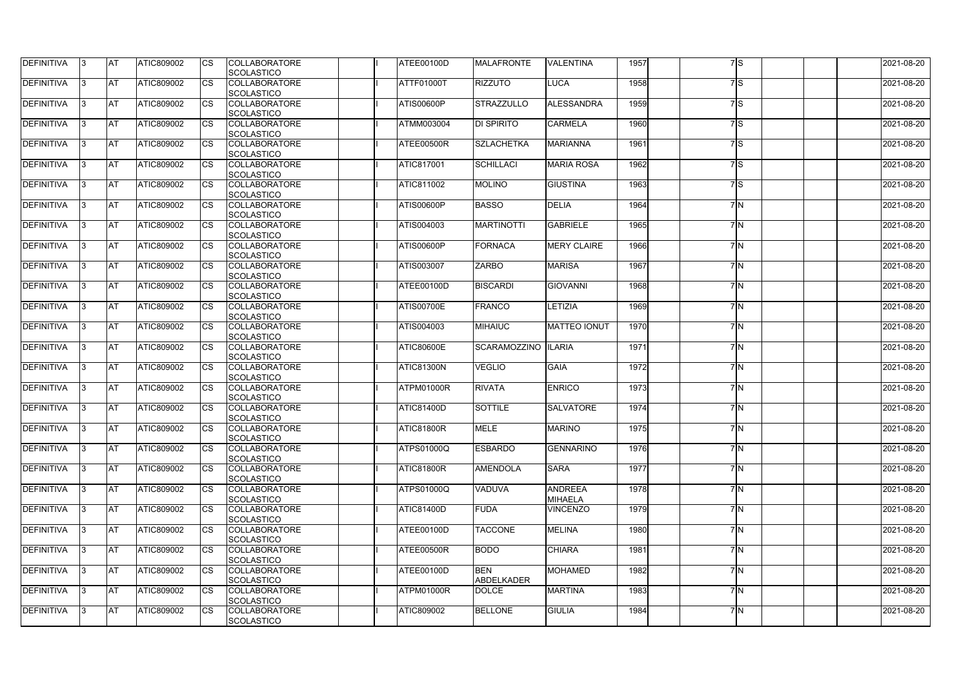| <b>DEFINITIVA</b> | 13  | <b>AT</b> | ATIC809002        | <b>CS</b> | <b>COLLABORATORE</b><br><b>SCOLASTICO</b> | <b>ATEE00100D</b> | <b>MALAFRONTE</b>               | <b>VALENTINA</b>                 | 1957 | 7S               | 2021-08-20 |
|-------------------|-----|-----------|-------------------|-----------|-------------------------------------------|-------------------|---------------------------------|----------------------------------|------|------------------|------------|
| <b>DEFINITIVA</b> | l3  | <b>AT</b> | ATIC809002        | CS        | <b>COLLABORATORE</b><br><b>SCOLASTICO</b> | ATTF01000T        | <b>RIZZUTO</b>                  | <b>LUCA</b>                      | 1958 | 7S               | 2021-08-20 |
| <b>DEFINITIVA</b> | l3  | <b>AT</b> | ATIC809002        | <b>CS</b> | <b>COLLABORATORE</b><br>SCOLASTICO        | ATIS00600P        | STRAZZULLO                      | ALESSANDRA                       | 1959 | 7S               | 2021-08-20 |
| <b>DEFINITIVA</b> |     | <b>AT</b> | ATIC809002        | CS        | <b>COLLABORATORE</b><br>SCOLASTICO        | <b>ATMM003004</b> | <b>DI SPIRITO</b>               | <b>CARMELA</b>                   | 1960 | 7S               | 2021-08-20 |
| <b>DEFINITIVA</b> | IЗ  | <b>AT</b> | ATIC809002        | CS        | <b>COLLABORATORE</b><br><b>SCOLASTICO</b> | ATEE00500R        | <b>SZLACHETKA</b>               | <b>MARIANNA</b>                  | 1961 | 7S               | 2021-08-20 |
| <b>DEFINITIVA</b> | 13  | <b>AT</b> | <b>ATIC809002</b> | CS        | <b>COLLABORATORE</b><br>SCOLASTICO        | <b>ATIC817001</b> | <b>SCHILLACI</b>                | <b>MARIA ROSA</b>                | 1962 | $\overline{7}$ S | 2021-08-20 |
| <b>DEFINITIVA</b> | 13. | <b>AT</b> | ATIC809002        | CS        | <b>COLLABORATORE</b><br><b>SCOLASTICO</b> | ATIC811002        | <b>MOLINO</b>                   | <b>GIUSTINA</b>                  | 1963 | 7S               | 2021-08-20 |
| <b>DEFINITIVA</b> | 13  | <b>AT</b> | ATIC809002        | CS        | <b>COLLABORATORE</b><br><b>SCOLASTICO</b> | ATIS00600P        | <b>BASSO</b>                    | <b>DELIA</b>                     | 1964 | 7N               | 2021-08-20 |
| <b>DEFINITIVA</b> | 13  | <b>AT</b> | ATIC809002        | CS        | <b>COLLABORATORE</b><br><b>SCOLASTICO</b> | ATIS004003        | <b>MARTINOTTI</b>               | <b>GABRIELE</b>                  | 1965 | 7M               | 2021-08-20 |
| <b>DEFINITIVA</b> |     | <b>AT</b> | ATIC809002        | <b>CS</b> | <b>COLLABORATORE</b><br>SCOLASTICO        | ATIS00600P        | <b>FORNACA</b>                  | <b>MERY CLAIRE</b>               | 1966 | 7M               | 2021-08-20 |
| <b>DEFINITIVA</b> | IЗ  | <b>AT</b> | ATIC809002        | CS        | <b>COLLABORATORE</b><br><b>SCOLASTICO</b> | ATIS003007        | <b>ZARBO</b>                    | <b>MARISA</b>                    | 1967 | 7N               | 2021-08-20 |
| <b>DEFINITIVA</b> | l3  | <b>AT</b> | ATIC809002        | CS        | <b>COLLABORATORE</b><br>SCOLASTICO        | <b>ATEE00100D</b> | <b>BISCARDI</b>                 | <b>GIOVANNI</b>                  | 1968 | 7M               | 2021-08-20 |
| <b>DEFINITIVA</b> | 13. | <b>AT</b> | <b>ATIC809002</b> | CS        | <b>COLLABORATORE</b><br>SCOLASTICO        | <b>ATIS00700E</b> | <b>FRANCO</b>                   | LETIZIA                          | 1969 | 7N               | 2021-08-20 |
| <b>DEFINITIVA</b> | l3  | <b>AT</b> | ATIC809002        | CS        | <b>COLLABORATORE</b><br><b>SCOLASTICO</b> | <b>ATIS004003</b> | <b>MIHAIUC</b>                  | <b>MATTEO IONUT</b>              | 1970 | 7M               | 2021-08-20 |
| <b>DEFINITIVA</b> | 3   | <b>AT</b> | ATIC809002        | CS        | <b>COLLABORATORE</b><br>SCOLASTICO        | <b>ATIC80600E</b> | <b>SCARAMOZZINO</b>             | <b>ILARIA</b>                    | 1971 | 7M               | 2021-08-20 |
| <b>DEFINITIVA</b> |     | <b>AT</b> | ATIC809002        | <b>CS</b> | <b>COLLABORATORE</b><br><b>SCOLASTICO</b> | ATIC81300N        | <b>VEGLIO</b>                   | <b>GAIA</b>                      | 1972 | 7M               | 2021-08-20 |
| <b>DEFINITIVA</b> | 13  | <b>AT</b> | ATIC809002        | <b>CS</b> | <b>COLLABORATORE</b><br><b>SCOLASTICO</b> | ATPM01000R        | <b>RIVATA</b>                   | <b>ENRICO</b>                    | 1973 | 7M               | 2021-08-20 |
| <b>DEFINITIVA</b> |     | <b>AT</b> | ATIC809002        | CS        | <b>COLLABORATORE</b><br><b>SCOLASTICO</b> | <b>ATIC81400D</b> | <b>SOTTILE</b>                  | <b>SALVATORE</b>                 | 1974 | 7M               | 2021-08-20 |
| <b>DEFINITIVA</b> | 13. | <b>AT</b> | ATIC809002        | <b>CS</b> | <b>COLLABORATORE</b><br><b>SCOLASTICO</b> | <b>ATIC81800R</b> | <b>MELE</b>                     | <b>MARINO</b>                    | 1975 | 7N               | 2021-08-20 |
| <b>DEFINITIVA</b> | 13  | <b>AT</b> | ATIC809002        | <b>CS</b> | <b>COLLABORATORE</b><br><b>SCOLASTICO</b> | ATPS01000Q        | <b>ESBARDO</b>                  | <b>GENNARINO</b>                 | 1976 | 7N               | 2021-08-20 |
| DEFINITIVA        | 13  | <b>AT</b> | <b>ATIC809002</b> | <b>CS</b> | <b>COLLABORATORE</b><br><b>SCOLASTICO</b> | <b>ATIC81800R</b> | <b>AMENDOLA</b>                 | <b>SARA</b>                      | 1977 | 7N               | 2021-08-20 |
| DEFINITIVA        | 13. | <b>AT</b> | ATIC809002        | <b>CS</b> | <b>COLLABORATORE</b><br><b>SCOLASTICO</b> | <b>ATPS01000Q</b> | <b>VADUVA</b>                   | <b>ANDREEA</b><br><b>MIHAELA</b> | 1978 | 7N               | 2021-08-20 |
| <b>DEFINITIVA</b> | 13. | <b>AT</b> | ATIC809002        | <b>CS</b> | <b>COLLABORATORE</b><br><b>SCOLASTICO</b> | <b>ATIC81400D</b> | FUDA                            | <b>VINCENZO</b>                  | 1979 | 7N               | 2021-08-20 |
| <b>DEFINITIVA</b> | 13. | <b>AT</b> | ATIC809002        | <b>CS</b> | <b>COLLABORATORE</b><br><b>SCOLASTICO</b> | <b>ATEE00100D</b> | <b>TACCONE</b>                  | <b>MELINA</b>                    | 1980 | 7M               | 2021-08-20 |
| <b>DEFINITIVA</b> | 13  | <b>AT</b> | ATIC809002        | <b>CS</b> | <b>COLLABORATORE</b><br><b>SCOLASTICO</b> | ATEE00500R        | <b>BODO</b>                     | <b>CHIARA</b>                    | 1981 | 7 N              | 2021-08-20 |
| <b>DEFINITIVA</b> | 13  | <b>AT</b> | <b>ATIC809002</b> | <b>CS</b> | <b>COLLABORATORE</b><br><b>SCOLASTICO</b> | ATEE00100D        | <b>BEN</b><br><b>ABDELKADER</b> | <b>MOHAMED</b>                   | 1982 | 7N               | 2021-08-20 |
| <b>DEFINITIVA</b> | 13. | <b>AT</b> | <b>ATIC809002</b> | <b>CS</b> | <b>COLLABORATORE</b><br><b>SCOLASTICO</b> | ATPM01000R        | <b>DOLCE</b>                    | <b>MARTINA</b>                   | 1983 | 7 N              | 2021-08-20 |
| <b>DEFINITIVA</b> | 13  | <b>AT</b> | <b>ATIC809002</b> | <b>CS</b> | <b>COLLABORATORE</b><br><b>SCOLASTICO</b> | ATIC809002        | <b>BELLONE</b>                  | <b>GIULIA</b>                    | 1984 | 7N               | 2021-08-20 |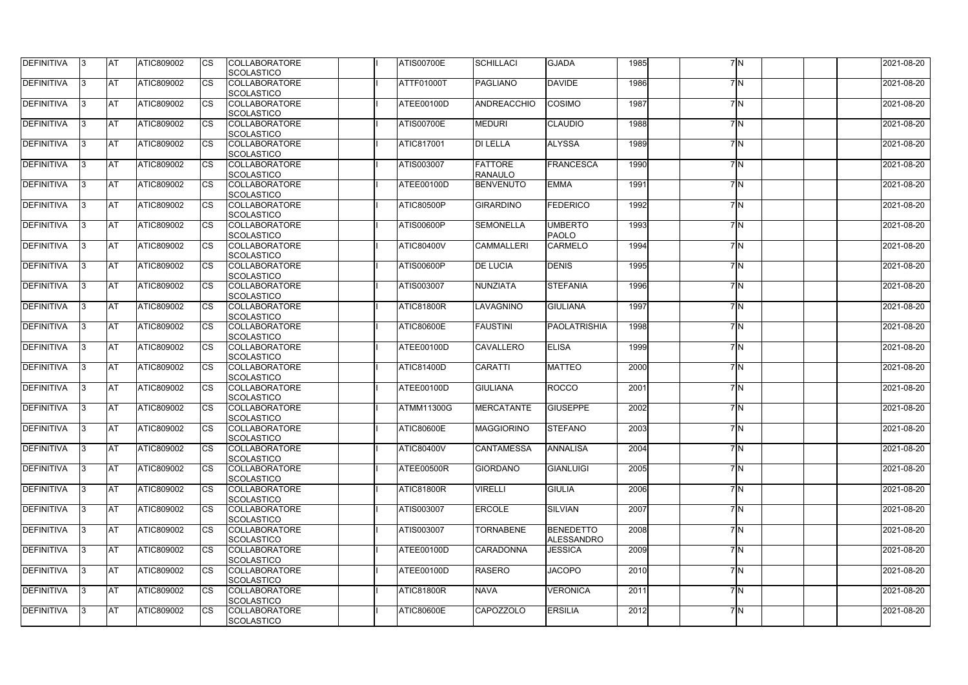| <b>DEFINITIVA</b> | 13  | <b>IAT</b> | <b>ATIC809002</b> |                        | <b>COLLABORATORE</b><br><b>SCOLASTICO</b> | <b>ATIS00700E</b> | SCHILLACI                        | <b>GJADA</b>                   | 1985 | 7 N | 2021-08-20 |
|-------------------|-----|------------|-------------------|------------------------|-------------------------------------------|-------------------|----------------------------------|--------------------------------|------|-----|------------|
| DEFINITIVA        | 13  | <b>AT</b>  | <b>ATIC809002</b> | CS                     | <b>COLLABORATORE</b><br><b>SCOLASTICO</b> | ATTF01000T        | <b>PAGLIANO</b>                  | <b>DAVIDE</b>                  | 1986 | 7M  | 2021-08-20 |
| <b>DEFINITIVA</b> | 13  | <b>AT</b>  | ATIC809002        | CS                     | <b>COLLABORATORE</b><br><b>SCOLASTICO</b> | ATEE00100D        | ANDREACCHIO                      | <b>COSIMO</b>                  | 1987 | 7M  | 2021-08-20 |
| <b>DEFINITIVA</b> |     | <b>AT</b>  | ATIC809002        | CS                     | <b>COLLABORATORE</b><br><b>SCOLASTICO</b> | <b>ATIS00700E</b> | <b>MEDURI</b>                    | <b>CLAUDIO</b>                 | 1988 | 7M  | 2021-08-20 |
| DEFINITIVA        | IЗ  | <b>AT</b>  | ATIC809002        | CS                     | <b>COLLABORATORE</b><br><b>SCOLASTICO</b> | <b>ATIC817001</b> | <b>DI LELLA</b>                  | <b>ALYSSA</b>                  | 1989 | 7M  | 2021-08-20 |
| <b>DEFINITIVA</b> | IЗ  | <b>AT</b>  | ATIC809002        | CS                     | <b>COLLABORATORE</b><br><b>SCOLASTICO</b> | ATIS003007        | <b>FATTORE</b><br><b>RANAULO</b> | FRANCESCA                      | 1990 | 7M  | 2021-08-20 |
| <b>DEFINITIVA</b> | 13. | <b>AT</b>  | <b>ATIC809002</b> | CS                     | <b>COLLABORATORE</b><br><b>SCOLASTICO</b> | ATEE00100D        | <b>BENVENUTO</b>                 | <b>EMMA</b>                    | 1991 | 7N  | 2021-08-20 |
| DEFINITIVA        | 13. | <b>AT</b>  | <b>ATIC809002</b> | CS                     | <b>COLLABORATORE</b><br><b>SCOLASTICO</b> | ATIC80500P        | <b>GIRARDINO</b>                 | <b>FEDERICO</b>                | 1992 | 7N  | 2021-08-20 |
| DEFINITIVA        | IЗ  | <b>AT</b>  | ATIC809002        | CS                     | <b>COLLABORATORE</b><br><b>SCOLASTICO</b> | ATIS00600P        | <b>SEMONELLA</b>                 | <b>UMBERTO</b><br>PAOLO        | 1993 | 7M  | 2021-08-20 |
| <b>DEFINITIVA</b> | l3  | <b>AT</b>  | <b>ATIC809002</b> | CS                     | <b>COLLABORATORE</b><br><b>SCOLASTICO</b> | <b>ATIC80400V</b> | <b>CAMMALLERI</b>                | <b>CARMELO</b>                 | 1994 | 7M  | 2021-08-20 |
| DEFINITIVA        | IЗ  | <b>AT</b>  | ATIC809002        | $\overline{\text{CS}}$ | <b>COLLABORATORE</b><br><b>SCOLASTICO</b> | ATIS00600P        | <b>DE LUCIA</b>                  | <b>DENIS</b>                   | 1995 | 7N  | 2021-08-20 |
| DEFINITIVA        | 13. | <b>AT</b>  | ATIC809002        | CS                     | <b>COLLABORATORE</b><br><b>SCOLASTICO</b> | ATIS003007        | NUNZIATA                         | <b>STEFANIA</b>                | 1996 | 7M  | 2021-08-20 |
| DEFINITIVA        | 13  | <b>AT</b>  | ATIC809002        |                        | <b>COLLABORATORE</b><br><b>SCOLASTICO</b> | <b>ATIC81800R</b> | LAVAGNINO                        | <b>GIULIANA</b>                | 1997 | 7M  | 2021-08-20 |
| DEFINITIVA        | 13. | AT         | ATIC809002        | CS                     | <b>COLLABORATORE</b><br><b>SCOLASTICO</b> | <b>ATIC80600E</b> | <b>FAUSTINI</b>                  | PAOLATRISHIA                   | 1998 | 7N  | 2021-08-20 |
| DEFINITIVA        | IЗ  | <b>AT</b>  | ATIC809002        | CS                     | <b>COLLABORATORE</b><br><b>SCOLASTICO</b> | ATEE00100D        | <b>CAVALLERO</b>                 | <b>ELISA</b>                   | 1999 | 7M  | 2021-08-20 |
| <b>DEFINITIVA</b> | IЗ  | <b>AT</b>  | ATIC809002        | CS                     | <b>COLLABORATORE</b><br><b>SCOLASTICO</b> | <b>ATIC81400D</b> | <b>CARATTI</b>                   | <b>MATTEO</b>                  | 2000 | 7M  | 2021-08-20 |
| <b>DEFINITIVA</b> | 13  | <b>AT</b>  | <b>ATIC809002</b> | CS                     | <b>COLLABORATORE</b><br><b>SCOLASTICO</b> | ATEE00100D        | <b>GIULIANA</b>                  | <b>ROCCO</b>                   | 2001 | 7M  | 2021-08-20 |
| DEFINITIVA        |     | <b>AT</b>  | ATIC809002        | CS                     | <b>COLLABORATORE</b><br>SCOLASTICO        | <b>ATMM11300G</b> | <b>MERCATANTE</b>                | <b>GIUSEPPE</b>                | 2002 | 7M  | 2021-08-20 |
| <b>DEFINITIVA</b> | 13  | <b>AT</b>  | ATIC809002        |                        | <b>COLLABORATORE</b><br><b>SCOLASTICO</b> | <b>ATIC80600E</b> | <b>MAGGIORINO</b>                | <b>STEFANO</b>                 | 2003 | 7N  | 2021-08-20 |
| <b>DEFINITIVA</b> | 13  | <b>AT</b>  | ATIC809002        |                        | <b>COLLABORATORE</b><br><b>SCOLASTICO</b> | <b>ATIC80400V</b> | <b>CANTAMESSA</b>                | <b>ANNALISA</b>                | 2004 | 7N  | 2021-08-20 |
| <b>DEFINITIVA</b> | 13. | <b>AT</b>  | <b>ATIC809002</b> | СS                     | <b>COLLABORATORE</b><br><b>SCOLASTICO</b> | ATEE00500R        | <b>GIORDANO</b>                  | <b>GIANLUIGI</b>               | 2005 | 7N  | 2021-08-20 |
| <b>DEFINITIVA</b> | 13  | <b>AT</b>  | ATIC809002        | CS                     | <b>COLLABORATORE</b><br><b>SCOLASTICO</b> | <b>ATIC81800R</b> | <b>VIRELLI</b>                   | <b>GIULIA</b>                  | 2006 | 7N  | 2021-08-20 |
| <b>DEFINITIVA</b> | 13. | <b>AT</b>  | ATIC809002        | СS                     | <b>COLLABORATORE</b><br><b>SCOLASTICO</b> | <b>ATIS003007</b> | ERCOLE                           | SILVIAN                        | 2007 | 7N  | 2021-08-20 |
| <b>DEFINITIVA</b> | IЗ  | <b>AT</b>  | ATIC809002        | СS                     | <b>COLLABORATORE</b><br><b>SCOLASTICO</b> | ATIS003007        | <b>TORNABENE</b>                 | <b>BENEDETTO</b><br>ALESSANDRO | 2008 | 7N  | 2021-08-20 |
| <b>DEFINITIVA</b> | 13  | <b>AT</b>  | ATIC809002        |                        | <b>COLLABORATORE</b><br><b>SCOLASTICO</b> | ATEE00100D        | <b>CARADONNA</b>                 | <b>JESSICA</b>                 | 2009 | 7 N | 2021-08-20 |
| <b>DEFINITIVA</b> | 13  | <b>AT</b>  | <b>ATIC809002</b> | СS                     | <b>COLLABORATORE</b><br>SCOLASTICO        | ATEE00100D        | <b>RASERO</b>                    | <b>JACOPO</b>                  | 2010 | 7N  | 2021-08-20 |
| <b>DEFINITIVA</b> | 13  | <b>AT</b>  | <b>ATIC809002</b> | СS                     | <b>COLLABORATORE</b><br><b>SCOLASTICO</b> | ATIC81800R        | <b>NAVA</b>                      | <b>VERONICA</b>                | 2011 | 7 N | 2021-08-20 |
| <b>DEFINITIVA</b> | 13  | <b>AT</b>  | ATIC809002        | CS                     | <b>COLLABORATORE</b><br><b>SCOLASTICO</b> | <b>ATIC80600E</b> | <b>CAPOZZOLO</b>                 | <b>ERSILIA</b>                 | 2012 | 7N  | 2021-08-20 |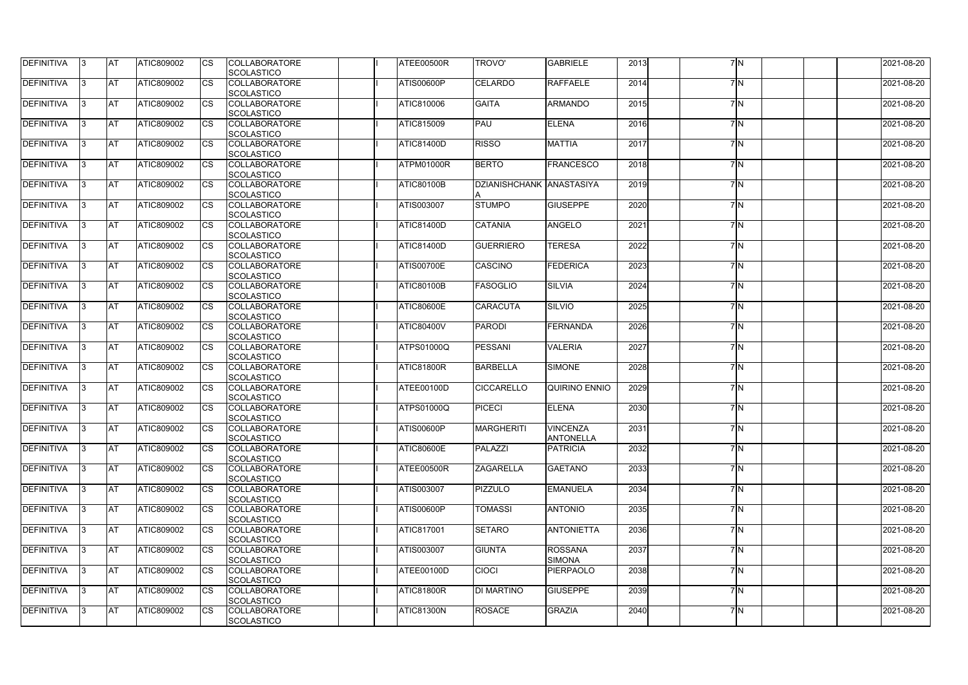| <b>DEFINITIVA</b> | 13  | <b>IAT</b> | <b>ATIC809002</b> |    | <b>COLLABORATORE</b><br><b>SCOLASTICO</b> | ATEE00500R        | <b>TROVO'</b>        | <b>GABRIELE</b>   | 2013 | 7 N | 2021-08-20 |
|-------------------|-----|------------|-------------------|----|-------------------------------------------|-------------------|----------------------|-------------------|------|-----|------------|
| DEFINITIVA        | l3  | <b>AT</b>  | <b>ATIC809002</b> | СS | <b>COLLABORATORE</b>                      | ATIS00600P        | <b>CELARDO</b>       | <b>RAFFAELE</b>   | 2014 | 7M  | 2021-08-20 |
|                   |     |            |                   |    | <b>SCOLASTICO</b>                         |                   |                      |                   |      |     |            |
| <b>DEFINITIVA</b> | 13  | <b>AT</b>  | ATIC809002        | CS | <b>COLLABORATORE</b>                      | ATIC810006        | <b>GAITA</b>         | <b>ARMANDO</b>    | 2015 | 7M  | 2021-08-20 |
|                   |     |            |                   |    | <b>SCOLASTICO</b>                         |                   |                      |                   |      |     |            |
| <b>DEFINITIVA</b> |     | <b>AT</b>  | ATIC809002        | CS | <b>COLLABORATORE</b>                      | <b>ATIC815009</b> | PAU                  | <b>ELENA</b>      | 2016 | 7M  | 2021-08-20 |
|                   |     |            |                   |    | <b>SCOLASTICO</b>                         |                   |                      |                   |      |     |            |
| DEFINITIVA        | IЗ  | <b>AT</b>  | ATIC809002        | CS | <b>COLLABORATORE</b>                      | <b>ATIC81400D</b> | <b>RISSO</b>         | <b>MATTIA</b>     | 2017 | 7M  | 2021-08-20 |
|                   |     |            |                   |    | <b>SCOLASTICO</b>                         |                   |                      |                   |      |     |            |
| <b>DEFINITIVA</b> | IЗ  | <b>AT</b>  | ATIC809002        | CS | <b>COLLABORATORE</b>                      | ATPM01000R        | <b>BERTO</b>         | <b>FRANCESCO</b>  | 2018 | 7M  | 2021-08-20 |
|                   |     |            |                   |    | <b>SCOLASTICO</b>                         |                   |                      |                   |      |     |            |
| <b>DEFINITIVA</b> | 13. | <b>AT</b>  | <b>ATIC809002</b> | CS | <b>COLLABORATORE</b>                      | <b>ATIC80100B</b> | <b>DZIANISHCHANK</b> | <b>ANASTASIYA</b> | 2019 | 7N  | 2021-08-20 |
|                   |     |            |                   |    | <b>SCOLASTICO</b>                         |                   |                      |                   |      |     |            |
| DEFINITIVA        | 13  | <b>AT</b>  | <b>ATIC809002</b> | СS | <b>COLLABORATORE</b>                      | ATIS003007        | <b>STUMPO</b>        | <b>GIUSEPPE</b>   | 2020 | 7N  | 2021-08-20 |
|                   |     |            |                   |    | <b>SCOLASTICO</b>                         |                   |                      |                   |      |     |            |
| DEFINITIVA        | IЗ  | <b>AT</b>  | ATIC809002        | CS | <b>COLLABORATORE</b>                      | ATIC81400D        | CATANIA              | <b>ANGELO</b>     | 2021 | 7M  | 2021-08-20 |
|                   |     |            |                   |    | <b>SCOLASTICO</b>                         |                   |                      |                   |      |     |            |
| <b>DEFINITIVA</b> | l3  | <b>AT</b>  | <b>ATIC809002</b> | CS | <b>COLLABORATORE</b>                      | <b>ATIC81400D</b> | <b>GUERRIERO</b>     | <b>TERESA</b>     | 2022 | 7M  | 2021-08-20 |
|                   |     |            |                   |    | <b>SCOLASTICO</b>                         |                   |                      |                   |      |     |            |
| DEFINITIVA        | IЗ  | <b>AT</b>  | ATIC809002        | CS | <b>COLLABORATORE</b>                      | <b>ATIS00700E</b> | <b>CASCINO</b>       | <b>FEDERICA</b>   | 2023 | 7N  | 2021-08-20 |
|                   |     |            |                   |    | <b>SCOLASTICO</b>                         |                   |                      |                   |      |     |            |
| DEFINITIVA        | 13. | <b>AT</b>  | ATIC809002        | CS | <b>COLLABORATORE</b>                      | <b>ATIC80100B</b> | <b>FASOGLIO</b>      | <b>SILVIA</b>     | 2024 | 7M  | 2021-08-20 |
|                   |     |            |                   |    | <b>SCOLASTICO</b>                         |                   |                      |                   |      |     |            |
| DEFINITIVA        | l3  | <b>AT</b>  | ATIC809002        |    | <b>COLLABORATORE</b>                      | <b>ATIC80600E</b> | <b>CARACUTA</b>      | <b>SILVIO</b>     | 2025 | 7M  | 2021-08-20 |
|                   |     |            |                   |    | <b>SCOLASTICO</b>                         |                   |                      |                   |      |     |            |
| DEFINITIVA        | IЗ  | AT         | ATIC809002        | CS | <b>COLLABORATORE</b>                      | <b>ATIC80400V</b> | <b>PARODI</b>        | <b>FERNANDA</b>   | 2026 | 7N  | 2021-08-20 |
|                   |     |            |                   |    | <b>SCOLASTICO</b>                         |                   |                      |                   |      |     |            |
| DEFINITIVA        | IЗ  | <b>AT</b>  | ATIC809002        | CS | <b>COLLABORATORE</b>                      | <b>ATPS01000Q</b> | <b>PESSANI</b>       | <b>VALERIA</b>    | 2027 | 7M  | 2021-08-20 |
|                   |     |            |                   |    | <b>SCOLASTICO</b>                         |                   |                      |                   |      |     |            |
| <b>DEFINITIVA</b> | IЗ  | <b>AT</b>  | ATIC809002        | CS | <b>COLLABORATORE</b>                      | <b>ATIC81800R</b> | <b>BARBELLA</b>      | <b>SIMONE</b>     | 2028 | 7M  | 2021-08-20 |
|                   |     |            |                   |    | <b>SCOLASTICO</b>                         |                   |                      |                   |      |     |            |
| <b>DEFINITIVA</b> | 13  | <b>AT</b>  | ATIC809002        | CS | <b>COLLABORATORE</b>                      | ATEE00100D        | <b>CICCARELLO</b>    | QUIRINO ENNIO     | 2029 | 7M  | 2021-08-20 |
|                   |     |            |                   |    | <b>SCOLASTICO</b>                         |                   |                      |                   |      |     |            |
| DEFINITIVA        |     | <b>AT</b>  | ATIC809002        | CS | <b>COLLABORATORE</b>                      | ATPS01000Q        | PICECI               | <b>ELENA</b>      | 2030 | 7M  | 2021-08-20 |
|                   |     |            |                   |    | SCOLASTICO                                |                   |                      |                   |      |     |            |
| <b>DEFINITIVA</b> | 13  | <b>AT</b>  | ATIC809002        |    | <b>COLLABORATORE</b>                      | <b>ATIS00600P</b> | MARGHERITI           | <b>VINCENZA</b>   | 2031 | 7 N | 2021-08-20 |
|                   |     |            |                   |    | <b>SCOLASTICO</b>                         |                   |                      | <b>ANTONELLA</b>  |      |     |            |
| <b>DEFINITIVA</b> | 13  | <b>AT</b>  | ATIC809002        |    | <b>COLLABORATORE</b>                      | <b>ATIC80600E</b> | <b>PALAZZI</b>       | <b>PATRICIA</b>   | 2032 | 7 N | 2021-08-20 |
|                   |     |            |                   |    | <b>SCOLASTICO</b>                         |                   |                      |                   |      |     |            |
| <b>DEFINITIVA</b> | 13. | <b>AT</b>  | <b>ATIC809002</b> | СS | <b>COLLABORATORE</b>                      | ATEE00500R        | <b>ZAGARELLA</b>     | <b>GAETANO</b>    | 2033 | 7 N | 2021-08-20 |
|                   |     |            |                   |    | <b>SCOLASTICO</b>                         |                   |                      |                   |      |     |            |
| <b>DEFINITIVA</b> | 13  | <b>AT</b>  | ATIC809002        | СS | <b>COLLABORATORE</b>                      | ATIS003007        | <b>PIZZULO</b>       | <b>EMANUELA</b>   | 2034 | 7 N | 2021-08-20 |
|                   |     |            |                   |    | <b>SCOLASTICO</b>                         |                   |                      |                   |      |     |            |
| <b>DEFINITIVA</b> | 13. | <b>AT</b>  | ATIC809002        | СS | <b>COLLABORATORE</b>                      | <b>ATIS00600P</b> | <b>TOMASSI</b>       | <b>ANTONIO</b>    | 2035 | 7 N | 2021-08-20 |
|                   |     |            |                   |    | <b>SCOLASTICO</b>                         |                   |                      |                   |      |     |            |
| <b>DEFINITIVA</b> | IЗ  | <b>AT</b>  | ATIC809002        | CS | <b>COLLABORATORE</b>                      | <b>ATIC817001</b> | <b>SETARO</b>        | <b>ANTONIETTA</b> | 2036 | 7N  | 2021-08-20 |
|                   |     |            |                   |    | <b>SCOLASTICO</b>                         |                   |                      |                   |      |     |            |
| <b>DEFINITIVA</b> | 13  | <b>AT</b>  | ATIC809002        |    | <b>COLLABORATORE</b>                      | ATIS003007        | <b>GIUNTA</b>        | <b>ROSSANA</b>    | 2037 | 7 N | 2021-08-20 |
|                   |     |            |                   |    | <b>SCOLASTICO</b>                         |                   |                      | <b>SIMONA</b>     |      |     |            |
| <b>DEFINITIVA</b> | 13  | <b>AT</b>  | ATIC809002        | СS | <b>COLLABORATORE</b>                      | ATEE00100D        | <b>CIOCI</b>         | <b>PIERPAOLO</b>  | 2038 | 7 N | 2021-08-20 |
|                   |     |            |                   |    | SCOLASTICO                                |                   |                      |                   |      |     |            |
| <b>DEFINITIVA</b> | 13  | <b>AT</b>  | <b>ATIC809002</b> | СS | <b>COLLABORATORE</b>                      | ATIC81800R        | <b>DI MARTINO</b>    | <b>GIUSEPPE</b>   | 2039 | 7 N | 2021-08-20 |
|                   |     |            |                   |    | <b>SCOLASTICO</b>                         |                   |                      |                   |      |     |            |
| <b>DEFINITIVA</b> | 13  | <b>AT</b>  | ATIC809002        | CS | <b>COLLABORATORE</b>                      | <b>ATIC81300N</b> | <b>ROSACE</b>        | <b>GRAZIA</b>     | 2040 | 7N  | 2021-08-20 |
|                   |     |            |                   |    | <b>SCOLASTICO</b>                         |                   |                      |                   |      |     |            |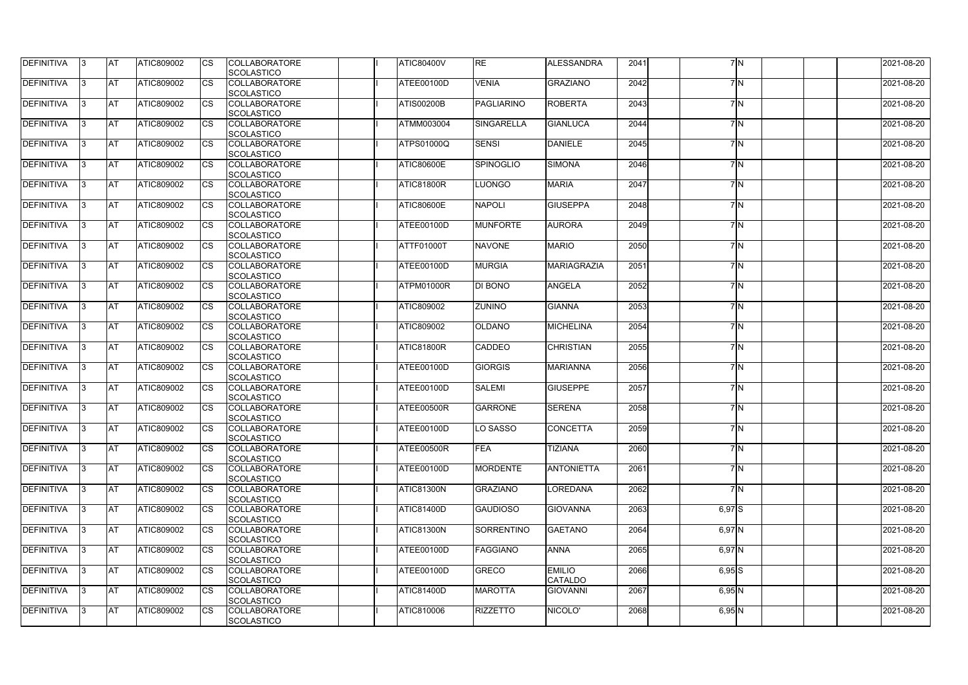| <b>DEFINITIVA</b> | 13        | ΙAΤ       | <b>ATIC809002</b> | <b>ICS</b>             | <b>COLLABORATORE</b><br><b>SCOLASTICO</b> | <b>ATIC80400V</b> | <b>RE</b>         | <b>ALESSANDRA</b>               | 2041 |          | 7 N | 2021-08-20 |
|-------------------|-----------|-----------|-------------------|------------------------|-------------------------------------------|-------------------|-------------------|---------------------------------|------|----------|-----|------------|
| <b>DEFINITIVA</b> | I3        | <b>AT</b> | ATIC809002        | Ics                    | <b>COLLABORATORE</b><br><b>SCOLASTICO</b> | ATEE00100D        | <b>VENIA</b>      | <b>GRAZIANO</b>                 | 2042 |          | 7M  | 2021-08-20 |
| DEFINITIVA        | 13.       | <b>AT</b> | <b>ATIC809002</b> | <b>CS</b>              | <b>COLLABORATORE</b><br><b>SCOLASTICO</b> | <b>ATIS00200B</b> | <b>PAGLIARINO</b> | <b>ROBERTA</b>                  | 2043 |          | 7M  | 2021-08-20 |
| DEFINITIVA        | 13        | <b>AT</b> | ATIC809002        | Ics                    | <b>COLLABORATORE</b><br><b>SCOLASTICO</b> | <b>ATMM003004</b> | <b>SINGARELLA</b> | <b>GIANLUCA</b>                 | 2044 |          | 7N  | 2021-08-20 |
| DEFINITIVA        | 13.       | <b>AT</b> | <b>ATIC809002</b> | Ics                    | <b>COLLABORATORE</b><br><b>SCOLASTICO</b> | <b>ATPS01000Q</b> | <b>SENSI</b>      | <b>DANIELE</b>                  | 2045 |          | 7M  | 2021-08-20 |
| DEFINITIVA        | 13        | <b>AT</b> | <b>ATIC809002</b> | Ics                    | <b>COLLABORATORE</b><br><b>SCOLASTICO</b> | <b>ATIC80600E</b> | <b>SPINOGLIO</b>  | <b>SIMONA</b>                   | 2046 |          | 7M  | 2021-08-20 |
| DEFINITIVA        | 13        | <b>AT</b> | <b>ATIC809002</b> | ICS                    | <b>COLLABORATORE</b><br><b>SCOLASTICO</b> | ATIC81800R        | LUONGO            | <b>MARIA</b>                    | 2047 |          | 7N  | 2021-08-20 |
| <b>DEFINITIVA</b> | 13.       | <b>AT</b> | <b>ATIC809002</b> | Ics                    | <b>COLLABORATORE</b><br><b>SCOLASTICO</b> | <b>ATIC80600E</b> | <b>NAPOLI</b>     | <b>GIUSEPPA</b>                 | 2048 |          | 7N  | 2021-08-20 |
| <b>DEFINITIVA</b> | 13.       | <b>AT</b> | ATIC809002        | Ics                    | <b>COLLABORATORE</b><br>SCOLASTICO        | ATEE00100D        | <b>MUNFORTE</b>   | <b>AURORA</b>                   | 2049 |          | 7M  | 2021-08-20 |
| DEFINITIVA        | 13.       | <b>AT</b> | ATIC809002        | Ics                    | <b>COLLABORATORE</b><br>SCOLASTICO        | ATTF01000T        | <b>NAVONE</b>     | <b>MARIO</b>                    | 2050 |          | 7N  | 2021-08-20 |
| <b>DEFINITIVA</b> | 13.       | <b>AT</b> | ATIC809002        | $\overline{\text{cs}}$ | <b>COLLABORATORE</b><br><b>SCOLASTICO</b> | ATEE00100D        | <b>MURGIA</b>     | <b>MARIAGRAZIA</b>              | 2051 |          | 7M  | 2021-08-20 |
| <b>DEFINITIVA</b> | 13        | <b>AT</b> | ATIC809002        | Ics                    | COLLABORATORE<br><b>SCOLASTICO</b>        | ATPM01000R        | DI BONO           | <b>ANGELA</b>                   | 2052 |          | 7M  | 2021-08-20 |
| <b>DEFINITIVA</b> | 13        | <b>AT</b> | <b>ATIC809002</b> |                        | <b>COLLABORATORE</b><br><b>SCOLASTICO</b> | ATIC809002        | <b>ZUNINO</b>     | <b>GIANNA</b>                   | 2053 |          | 7N  | 2021-08-20 |
| <b>DEFINITIVA</b> | I3        | <b>AT</b> | <b>ATIC809002</b> | Ics                    | <b>COLLABORATORE</b><br><b>SCOLASTICO</b> | ATIC809002        | <b>OLDANO</b>     | <b>MICHELINA</b>                | 2054 |          | 7N  | 2021-08-20 |
| <b>DEFINITIVA</b> | 13        | <b>AT</b> | ATIC809002        | <b>CS</b>              | <b>COLLABORATORE</b><br><b>SCOLASTICO</b> | ATIC81800R        | CADDEO            | <b>CHRISTIAN</b>                | 2055 |          | 7M  | 2021-08-20 |
| <b>DEFINITIVA</b> | 13        | <b>AT</b> | ATIC809002        | Ics                    | <b>COLLABORATORE</b><br><b>SCOLASTICO</b> | ATEE00100D        | <b>GIORGIS</b>    | <b>MARIANNA</b>                 | 2056 |          | 7M  | 2021-08-20 |
| DEFINITIVA        | 13        | <b>AT</b> | ATIC809002        | Ics                    | <b>COLLABORATORE</b><br><b>SCOLASTICO</b> | ATEE00100D        | <b>SALEMI</b>     | <b>GIUSEPPE</b>                 | 2057 |          | 7N  | 2021-08-20 |
| DEFINITIVA        | IЗ        | AT        | ATIC809002        | Ics                    | <b>COLLABORATORE</b><br>SCOLASTICO        | ATEE00500R        | <b>GARRONE</b>    | <b>SERENA</b>                   | 2058 |          | 7N  | 2021-08-20 |
| <b>DEFINITIVA</b> | 13        | <b>AT</b> | <b>ATIC809002</b> | <b>CS</b>              | <b>COLLABORATORE</b><br><b>SCOLASTICO</b> | ATEE00100D        | O SASSO           | <b>CONCETTA</b>                 | 2059 |          | 7 N | 2021-08-20 |
| DEFINITIVA        | $\vert$ 3 | <b>AT</b> | ATIC809002        | Ics                    | <b>COLLABORATORE</b><br><b>SCOLASTICO</b> | ATEE00500R        | <b>FEA</b>        | <b>TIZIANA</b>                  | 2060 |          | 7N  | 2021-08-20 |
| <b>DEFINITIVA</b> | 13        | <b>AT</b> | ATIC809002        | Ics                    | <b>COLLABORATORE</b><br><b>SCOLASTICO</b> | ATEE00100D        | <b>MORDENTE</b>   | <b>ANTONIETTA</b>               | 2061 |          | 7N  | 2021-08-20 |
| <b>DEFINITIVA</b> | 13        | <b>AT</b> | ATIC809002        | Ics                    | <b>COLLABORATORE</b><br><b>SCOLASTICO</b> | <b>ATIC81300N</b> | <b>GRAZIANO</b>   | LOREDANA                        | 2062 |          | 7N  | 2021-08-20 |
| DEFINITIVA        | 13        | <b>AT</b> | ATIC809002        | Ics                    | <b>COLLABORATORE</b><br><b>SCOLASTICO</b> | <b>ATIC81400D</b> | <b>GAUDIOSO</b>   | <b>GIOVANNA</b>                 | 2063 | $6,97$ S |     | 2021-08-20 |
| <b>DEFINITIVA</b> | 13        | <b>AT</b> | ATIC809002        | <b>ICS</b>             | <b>COLLABORATORE</b><br><b>SCOLASTICO</b> | <b>ATIC81300N</b> | <b>SORRENTINO</b> | <b>GAETANO</b>                  | 2064 | $6,97$ N |     | 2021-08-20 |
| <b>DEFINITIVA</b> | 13        | <b>AT</b> | <b>ATIC809002</b> | Ics                    | <b>COLLABORATORE</b><br><b>SCOLASTICO</b> | ATEE00100D        | <b>FAGGIANO</b>   | <b>ANNA</b>                     | 2065 | $6,97$ N |     | 2021-08-20 |
| <b>DEFINITIVA</b> | $\vert$ 3 | <b>AT</b> | ATIC809002        | Ics                    | <b>COLLABORATORE</b><br><b>SCOLASTICO</b> | ATEE00100D        | GRECO             | <b>EMILIO</b><br><b>CATALDO</b> | 2066 | $6,95$ S |     | 2021-08-20 |
| DEFINITIVA        | 13        | <b>AT</b> | <b>ATIC809002</b> | Ics                    | <b>COLLABORATORE</b><br><b>SCOLASTICO</b> | <b>ATIC81400D</b> | <b>MAROTTA</b>    | <b>GIOVANNI</b>                 | 2067 | $6,95$ N |     | 2021-08-20 |
| <b>DEFINITIVA</b> | 13        | <b>AT</b> | ATIC809002        | <b>ICS</b>             | <b>COLLABORATORE</b><br><b>SCOLASTICO</b> | ATIC810006        | <b>RIZZETTO</b>   | NICOLO'                         | 2068 | $6,95$ N |     | 2021-08-20 |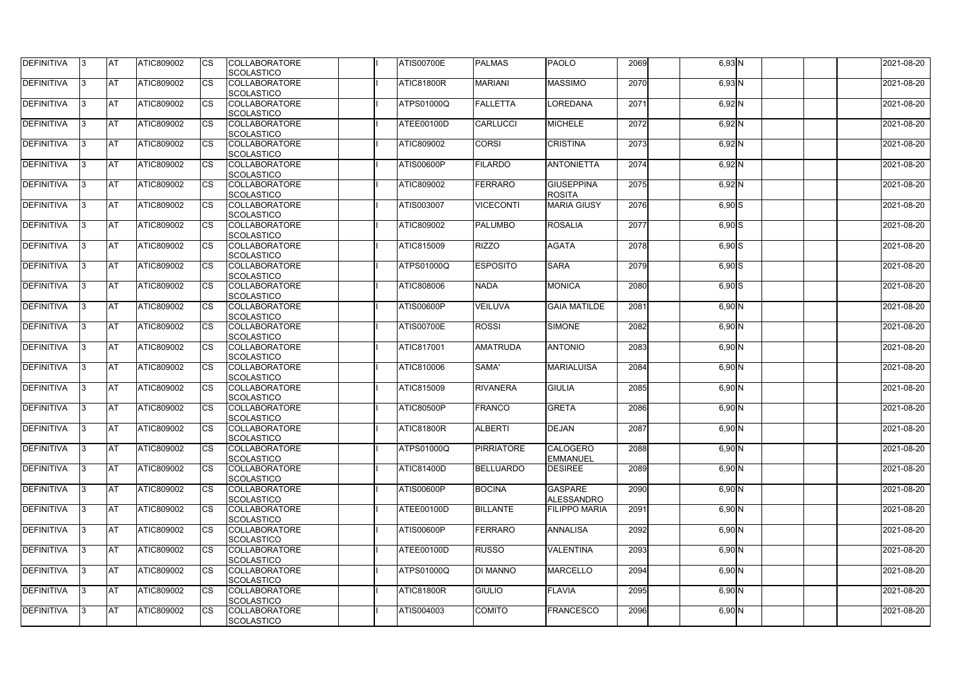| DEFINITIVA        | 13. | <b>JAT</b> | ATIC809002        | Ics        | <b>COLLABORATORE</b> | <b>ATIS00700E</b> | <b>PALMAS</b>     | <b>PAOLO</b>         | 2069 | $6,93$ N | 2021-08-20 |
|-------------------|-----|------------|-------------------|------------|----------------------|-------------------|-------------------|----------------------|------|----------|------------|
|                   |     |            |                   |            | <b>SCOLASTICO</b>    |                   |                   |                      |      |          |            |
| <b>DEFINITIVA</b> | l3  | <b>AT</b>  | ATIC809002        | Ics        | <b>COLLABORATORE</b> | ATIC81800R        | <b>MARIANI</b>    | <b>MASSIMO</b>       | 2070 | $6,93$ N | 2021-08-20 |
|                   |     |            |                   |            | <b>SCOLASTICO</b>    |                   |                   |                      |      |          |            |
| DEFINITIVA        | l3  | <b>AT</b>  | ATIC809002        | <b>CS</b>  | <b>COLLABORATORE</b> | <b>ATPS01000Q</b> | <b>FALLETTA</b>   | LOREDANA             | 2071 | $6,92$ N | 2021-08-20 |
|                   |     |            |                   |            | <b>SCOLASTICO</b>    |                   |                   |                      |      |          |            |
| DEFINITIVA        |     | <b>AT</b>  | ATIC809002        | Ics        | <b>COLLABORATORE</b> | ATEE00100D        | <b>CARLUCCI</b>   | <b>MICHELE</b>       | 2072 | $6,92$ N | 2021-08-20 |
|                   |     |            |                   |            | <b>SCOLASTICO</b>    |                   |                   |                      |      |          |            |
| DEFINITIVA        |     | <b>AT</b>  | <b>ATIC809002</b> | <b>CS</b>  | <b>COLLABORATORE</b> | ATIC809002        | <b>CORSI</b>      | <b>CRISTINA</b>      | 2073 | $6,92$ N | 2021-08-20 |
|                   |     |            |                   |            | <b>SCOLASTICO</b>    |                   |                   |                      |      |          |            |
| <b>DEFINITIVA</b> | ıз  | AT         | <b>ATIC809002</b> | <b>ICS</b> | <b>COLLABORATORE</b> | <b>ATIS00600P</b> | <b>FILARDO</b>    | <b>ANTONIETTA</b>    | 2074 | $6,92$ N | 2021-08-20 |
|                   |     |            |                   |            |                      |                   |                   |                      |      |          |            |
|                   |     |            |                   |            | <b>SCOLASTICO</b>    |                   |                   |                      |      |          |            |
| DEFINITIVA        |     | <b>AT</b>  | ATIC809002        | Ics        | <b>COLLABORATORE</b> | <b>ATIC809002</b> | <b>FERRARO</b>    | <b>GIUSEPPINA</b>    | 2075 | $6,92$ N | 2021-08-20 |
|                   |     |            |                   |            | <b>SCOLASTICO</b>    |                   |                   | <b>ROSITA</b>        |      |          |            |
| <b>DEFINITIVA</b> | ıз  | <b>AT</b>  | ATIC809002        | Ics        | <b>COLLABORATORE</b> | ATIS003007        | <b>VICECONTI</b>  | <b>MARIA GIUSY</b>   | 2076 | $6,90$ S | 2021-08-20 |
|                   |     |            |                   |            | <b>SCOLASTICO</b>    |                   |                   |                      |      |          |            |
| DEFINITIVA        | I3  | <b>JAT</b> | ATIC809002        | <b>CS</b>  | <b>COLLABORATORE</b> | ATIC809002        | <b>PALUMBO</b>    | <b>ROSALIA</b>       | 2077 | $6,90$ S | 2021-08-20 |
|                   |     |            |                   |            | <b>SCOLASTICO</b>    |                   |                   |                      |      |          |            |
| <b>DEFINITIVA</b> |     | <b>AT</b>  | ATIC809002        | <b>CS</b>  | <b>COLLABORATORE</b> | <b>ATIC815009</b> | <b>RIZZO</b>      | <b>AGATA</b>         | 2078 | $6,90$ S | 2021-08-20 |
|                   |     |            |                   |            | <b>SCOLASTICO</b>    |                   |                   |                      |      |          |            |
| <b>DEFINITIVA</b> |     | AT         | ATIC809002        | <b>CS</b>  | <b>COLLABORATORE</b> | <b>ATPS01000Q</b> | <b>ESPOSITO</b>   | <b>SARA</b>          | 2079 | $6,90$ S | 2021-08-20 |
|                   |     |            |                   |            | <b>SCOLASTICO</b>    |                   |                   |                      |      |          |            |
| DEFINITIVA        | I3  | <b>AT</b>  | ATIC809002        |            | <b>COLLABORATORE</b> | ATIC808006        | <b>NADA</b>       | <b>MONICA</b>        | 2080 | $6,90$ S | 2021-08-20 |
|                   |     |            |                   |            | <b>SCOLASTICO</b>    |                   |                   |                      |      |          |            |
|                   |     |            |                   |            |                      |                   |                   |                      |      |          |            |
| <b>DEFINITIVA</b> |     | <b>JAT</b> | ATIC809002        |            | <b>COLLABORATORE</b> | <b>ATIS00600P</b> | <b>VEILUVA</b>    | <b>GAIA MATILDE</b>  | 2081 | $6,90$ N | 2021-08-20 |
|                   |     |            |                   |            | <b>SCOLASTICO</b>    |                   |                   |                      |      |          |            |
| <b>DEFINITIVA</b> |     | <b>AT</b>  | ATIC809002        | Ics        | <b>COLLABORATORE</b> | <b>ATIS00700E</b> | <b>ROSSI</b>      | <b>SIMONE</b>        | 2082 | $6,90$ N | 2021-08-20 |
|                   |     |            |                   |            | <b>SCOLASTICO</b>    |                   |                   |                      |      |          |            |
| DEFINITIVA        | l3  | <b>AT</b>  | ATIC809002        | Ics        | <b>COLLABORATORE</b> | <b>ATIC817001</b> | <b>AMATRUDA</b>   | <b>ANTONIO</b>       | 2083 | $6,90$ N | 2021-08-20 |
|                   |     |            |                   |            | <b>SCOLASTICO</b>    |                   |                   |                      |      |          |            |
| DEFINITIVA        |     | <b>AT</b>  | ATIC809002        | <b>CS</b>  | <b>COLLABORATORE</b> | ATIC810006        | SAMA'             | <b>MARIALUISA</b>    | 2084 | $6,90$ N | 2021-08-20 |
|                   |     |            |                   |            | <b>SCOLASTICO</b>    |                   |                   |                      |      |          |            |
| DEFINITIVA        |     | <b>AT</b>  | ATIC809002        | <b>CS</b>  | <b>COLLABORATORE</b> | <b>ATIC815009</b> | <b>RIVANERA</b>   | <b>GIULIA</b>        | 2085 | $6,90$ N | 2021-08-20 |
|                   |     |            |                   |            | <b>SCOLASTICO</b>    |                   |                   |                      |      |          |            |
| <b>DEFINITIVA</b> |     | <b>AT</b>  | ATIC809002        | <b>CS</b>  | <b>COLLABORATORE</b> | ATIC80500P        | <b>FRANCO</b>     | <b>GRETA</b>         | 2086 | 6,90 N   | 2021-08-20 |
|                   |     |            |                   |            | <b>SCOLASTICO</b>    |                   |                   |                      |      |          |            |
| <b>DEFINITIVA</b> | 13. | <b>AT</b>  | ATIC809002        |            | <b>COLLABORATORE</b> | ATIC81800R        | <b>ALBERTI</b>    | DEJAN                | 2087 | $6,90$ N | 2021-08-20 |
|                   |     |            |                   |            |                      |                   |                   |                      |      |          |            |
|                   |     |            |                   |            | <b>SCOLASTICO</b>    |                   |                   |                      |      |          |            |
| <b>DEFINITIVA</b> | IЗ  | AT         | <b>ATIC809002</b> | Ics        | <b>COLLABORATORE</b> | <b>ATPS01000Q</b> | <b>PIRRIATORE</b> | <b>CALOGERO</b>      | 2088 | $6,90$ N | 2021-08-20 |
|                   |     |            |                   |            | <b>SCOLASTICO</b>    |                   |                   | <b>EMMANUEL</b>      |      |          |            |
| <b>DEFINITIVA</b> | I3  | <b>AT</b>  | ATIC809002        | Ics        | <b>COLLABORATORE</b> | <b>ATIC81400D</b> | <b>BELLUARDO</b>  | <b>DESIREE</b>       | 2089 | $6,90$ N | 2021-08-20 |
|                   |     |            |                   |            | <b>SCOLASTICO</b>    |                   |                   |                      |      |          |            |
| DEFINITIVA        | I3  | <b>AT</b>  | ATIC809002        | Ics        | <b>COLLABORATORE</b> | <b>ATIS00600P</b> | <b>BOCINA</b>     | <b>GASPARE</b>       | 2090 | $6,90$ N | 2021-08-20 |
|                   |     |            |                   |            | <b>SCOLASTICO</b>    |                   |                   | <b>ALESSANDRO</b>    |      |          |            |
| <b>DEFINITIVA</b> |     | <b>AT</b>  | ATIC809002        | Ics        | <b>COLLABORATORE</b> | ATEE00100D        | <b>BILLANTE</b>   | <b>FILIPPO MARIA</b> | 2091 | $6,90$ N | 2021-08-20 |
|                   |     |            |                   |            | <b>SCOLASTICO</b>    |                   |                   |                      |      |          |            |
| <b>DEFINITIVA</b> |     | <b>AT</b>  | ATIC809002        | Ics        | <b>COLLABORATORE</b> | <b>ATIS00600P</b> | <b>FERRARO</b>    | <b>ANNALISA</b>      | 2092 | $6,90$ N | 2021-08-20 |
|                   |     |            |                   |            | <b>SCOLASTICO</b>    |                   |                   |                      |      |          |            |
| <b>DEFINITIVA</b> | ıз  | <b>AT</b>  | <b>ATIC809002</b> |            | <b>COLLABORATORE</b> | ATEE00100D        | <b>RUSSO</b>      | <b>VALENTINA</b>     | 2093 | $6,90$ N | 2021-08-20 |
|                   |     |            |                   |            |                      |                   |                   |                      |      |          |            |
|                   |     |            |                   |            | <b>SCOLASTICO</b>    |                   |                   |                      |      |          |            |
| <b>DEFINITIVA</b> |     | <b>AT</b>  | ATIC809002        | Ics        | <b>COLLABORATORE</b> | <b>ATPS01000Q</b> | <b>DI MANNO</b>   | <b>MARCELLO</b>      | 2094 | $6,90$ N | 2021-08-20 |
|                   |     |            |                   |            | <b>SCOLASTICO</b>    |                   |                   |                      |      |          |            |
| <b>DEFINITIVA</b> | ıз  | <b>AT</b>  | ATIC809002        | <b>ICS</b> | <b>COLLABORATORE</b> | ATIC81800R        | <b>GIULIO</b>     | <b>FLAVIA</b>        | 2095 | $6,90$ N | 2021-08-20 |
|                   |     |            |                   |            | <b>SCOLASTICO</b>    |                   |                   |                      |      |          |            |
| <b>DEFINITIVA</b> | I3  | <b>AT</b>  | ATIC809002        | Ics        | <b>COLLABORATORE</b> | ATIS004003        | <b>COMITO</b>     | <b>FRANCESCO</b>     | 2096 | $6,90$ N | 2021-08-20 |
|                   |     |            |                   |            | SCOLASTICO           |                   |                   |                      |      |          |            |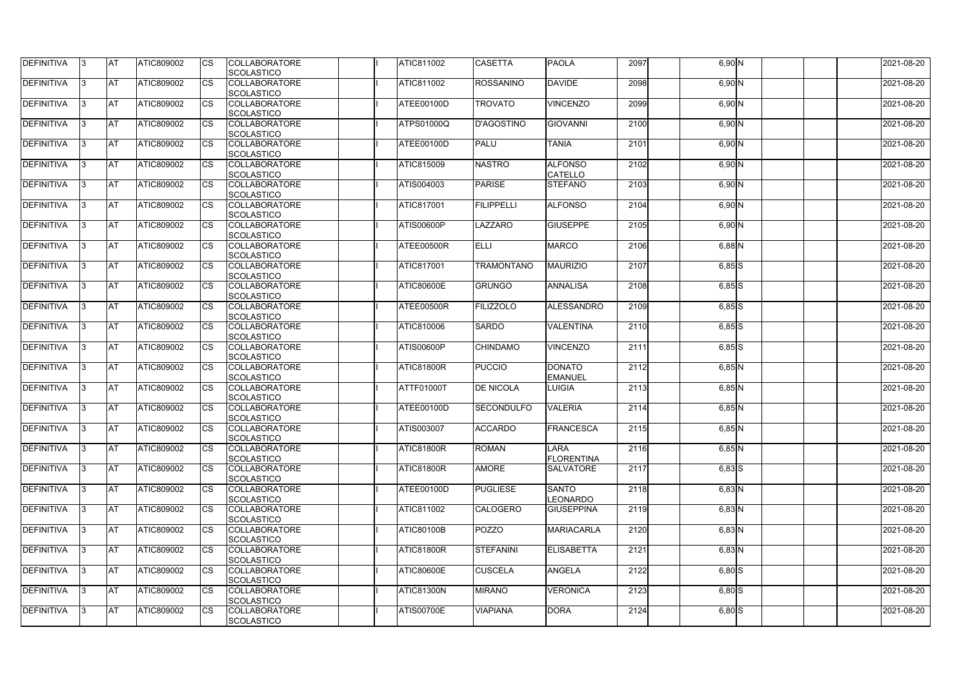| <b>DEFINITIVA</b> | IЗ  | <b>IAT</b>  | ATIC809002        | <b>CS</b>              | <b>COLLABORATORE</b>                      | <b>ATIC811002</b> | <b>CASETTA</b>    | <b>PAOLA</b>                         | 2097 | 6,90 N               | 2021-08-20 |
|-------------------|-----|-------------|-------------------|------------------------|-------------------------------------------|-------------------|-------------------|--------------------------------------|------|----------------------|------------|
| DEFINITIVA        | ß.  | <b>AT</b>   | ATIC809002        | CS                     | SCOLASTICO<br><b>COLLABORATORE</b>        | <b>ATIC811002</b> | <b>ROSSANINO</b>  | <b>DAVIDE</b>                        | 2098 | $6,90$ N             | 2021-08-20 |
|                   |     |             |                   |                        | <b>SCOLASTICO</b>                         |                   |                   |                                      |      |                      |            |
| <b>DEFINITIVA</b> | ß.  | <b>AT</b>   | ATIC809002        | CS                     | <b>COLLABORATORE</b>                      | ATEE00100D        | <b>TROVATO</b>    | <b>VINCENZO</b>                      | 2099 | 6,90 N               | 2021-08-20 |
|                   |     |             |                   |                        | <b>SCOLASTICO</b>                         |                   |                   |                                      |      |                      |            |
| <b>DEFINITIVA</b> |     | <b>AT</b>   | ATIC809002        | <b>CS</b>              | <b>COLLABORATORE</b>                      | <b>ATPS01000Q</b> | <b>D'AGOSTINO</b> | <b>GIOVANNI</b>                      | 2100 | 6,90 N               | 2021-08-20 |
|                   |     |             |                   |                        | <b>SCOLASTICO</b>                         |                   |                   |                                      |      |                      |            |
| <b>DEFINITIVA</b> |     | <b>AT</b>   | ATIC809002        | CS                     | <b>COLLABORATORE</b>                      | ATEE00100D        | <b>PALU</b>       | <b>TANIA</b>                         | 2101 | $6,90$ N             | 2021-08-20 |
|                   |     |             |                   |                        | SCOLASTICO                                |                   |                   |                                      |      |                      |            |
| <b>DEFINITIVA</b> | ß   | AT          | ATIC809002        | <b>CS</b>              | <b>COLLABORATORE</b>                      | <b>ATIC815009</b> | <b>NASTRO</b>     | <b>ALFONSO</b>                       | 2102 | $6,90$ N             | 2021-08-20 |
|                   |     |             |                   |                        | SCOLASTICO                                |                   |                   | <b>CATELLO</b>                       |      |                      |            |
| <b>DEFINITIVA</b> |     | <b>AT</b>   | ATIC809002        | <b>CS</b>              | <b>COLLABORATORE</b>                      | ATIS004003        | <b>PARISE</b>     | <b>STEFANO</b>                       | 2103 | 6,90 N               | 2021-08-20 |
|                   |     |             |                   |                        | SCOLASTICO                                |                   |                   |                                      |      |                      |            |
| DEFINITIVA        | 3   | <b>AT</b>   | ATIC809002        | <b>CS</b>              | <b>COLLABORATORE</b>                      | <b>ATIC817001</b> | <b>FILIPPELLI</b> | <b>ALFONSO</b>                       | 2104 | 6,90 N               | 2021-08-20 |
|                   |     |             |                   |                        | <b>SCOLASTICO</b>                         |                   |                   |                                      |      |                      |            |
| <b>DEFINITIVA</b> | l3  | <b>AT</b>   | ATIC809002        | CS                     | <b>COLLABORATORE</b>                      | ATIS00600P        | LAZZARO           | <b>GIUSEPPE</b>                      | 2105 | $6,90$ N             | 2021-08-20 |
|                   |     |             |                   |                        | <b>SCOLASTICO</b>                         |                   |                   |                                      |      |                      |            |
| <b>DEFINITIVA</b> |     | <b>AT</b>   | <b>ATIC809002</b> | <b>CS</b>              | <b>COLLABORATORE</b>                      | ATEE00500R        | <b>ELLI</b>       | <b>MARCO</b>                         | 2106 | $6,88$ N             | 2021-08-20 |
|                   |     |             |                   |                        | <b>SCOLASTICO</b>                         |                   |                   |                                      |      |                      |            |
| <b>DEFINITIVA</b> |     | <b>AT</b>   | ATIC809002        | $\overline{\text{cs}}$ | <b>COLLABORATORE</b>                      | <b>ATIC817001</b> | <b>TRAMONTANO</b> | <b>MAURIZIO</b>                      | 2107 | $6,85$ $S$           | 2021-08-20 |
|                   |     |             |                   |                        | SCOLASTICO                                |                   |                   |                                      |      |                      |            |
| <b>DEFINITIVA</b> | 3   | <b>AT</b>   | ATIC809002        | <b>CS</b>              | <b>COLLABORATORE</b>                      | <b>ATIC80600E</b> | <b>GRUNGO</b>     | <b>ANNALISA</b>                      | 2108 | $6,85$ S             | 2021-08-20 |
|                   |     |             |                   |                        | SCOLASTICO                                |                   |                   |                                      |      |                      |            |
| <b>DEFINITIVA</b> |     | <b>J</b> AT | ATIC809002        | CS                     | <b>COLLABORATORE</b>                      | ATEE00500R        | <b>FILIZZOLO</b>  | <b>ALESSANDRO</b>                    | 2109 | $6,85$ $S$           | 2021-08-20 |
|                   |     |             |                   |                        | <b>SCOLASTICO</b>                         |                   |                   |                                      |      |                      |            |
| <b>DEFINITIVA</b> |     | <b>AT</b>   | ATIC809002        | <b>CS</b>              | <b>COLLABORATORE</b>                      | ATIC810006        | <b>SARDO</b>      | <b>VALENTINA</b>                     | 2110 | $6,85$ S             | 2021-08-20 |
|                   |     |             |                   |                        | SCOLASTICO                                |                   |                   |                                      |      |                      |            |
| DEFINITIVA        | R   | <b>AT</b>   | ATIC809002        | CS                     | <b>COLLABORATORE</b>                      | <b>ATIS00600P</b> | <b>CHINDAMO</b>   | <b>VINCENZO</b>                      | 2111 | $6,85$ S             | 2021-08-20 |
|                   |     |             |                   |                        | <b>SCOLASTICO</b>                         |                   |                   |                                      |      |                      |            |
| <b>DEFINITIVA</b> |     | <b>AT</b>   | <b>ATIC809002</b> | CS                     | <b>COLLABORATORE</b>                      | <b>ATIC81800R</b> | <b>PUCCIO</b>     | <b>DONATO</b>                        | 2112 | 6,85N                | 2021-08-20 |
|                   |     |             |                   |                        | <b>SCOLASTICO</b>                         |                   |                   | <b>EMANUEL</b>                       |      |                      |            |
| <b>DEFINITIVA</b> |     | <b>AT</b>   | ATIC809002        | <b>CS</b>              | <b>COLLABORATORE</b>                      | <b>ATTF01000T</b> | <b>DE NICOLA</b>  | <b>LUIGIA</b>                        | 2113 | $6,85$ N             | 2021-08-20 |
|                   |     |             |                   |                        | SCOLASTICO                                |                   |                   |                                      |      |                      |            |
| <b>DEFINITIVA</b> |     | <b>AT</b>   | ATIC809002        | <b>CS</b>              | <b>COLLABORATORE</b>                      | ATEE00100D        | <b>SECONDULFO</b> | <b>VALERIA</b>                       | 2114 | $6,85$ N             | 2021-08-20 |
|                   |     |             |                   |                        | SCOLASTICO                                |                   |                   |                                      |      |                      |            |
| DEFINITIVA        | 13. | <b>AT</b>   | ATIC809002        | <b>CS</b>              | <b>COLLABORATORE</b>                      | ATIS003007        | <b>ACCARDO</b>    | FRANCESCA                            | 2115 | $6,85$ N             | 2021-08-20 |
|                   |     |             |                   |                        | SCOLASTICO                                |                   |                   |                                      |      |                      |            |
| <b>DEFINITIVA</b> | IЗ  | <b>AT</b>   | ATIC809002        | <b>CS</b>              | <b>COLLABORATORE</b>                      | <b>ATIC81800R</b> | <b>ROMAN</b>      | <b>LARA</b>                          | 2116 | $6,85$ N             | 2021-08-20 |
|                   |     |             |                   |                        | <b>SCOLASTICO</b>                         |                   |                   | <b>FLORENTINA</b>                    |      |                      |            |
| <b>DEFINITIVA</b> | l3. | <b>AT</b>   | ATIC809002        | <b>CS</b>              | <b>COLLABORATORE</b>                      | ATIC81800R        | <b>AMORE</b>      | <b>SALVATORE</b>                     | 2117 | $6,83$ $S$           | 2021-08-20 |
|                   |     |             |                   |                        | <b>SCOLASTICO</b>                         |                   |                   |                                      |      |                      |            |
| <b>DEFINITIVA</b> | 13. | <b>AT</b>   | ATIC809002        | <b>CS</b>              | <b>COLLABORATORE</b>                      | ATEE00100D        | <b>PUGLIESE</b>   | <b>SANTO</b>                         | 2118 | $6,83$ N             | 2021-08-20 |
| <b>DEFINITIVA</b> |     | <b>AT</b>   | ATIC809002        |                        | SCOLASTICO<br><b>COLLABORATORE</b>        | <b>ATIC811002</b> | <b>CALOGERO</b>   | <b>LEONARDO</b><br><b>GIUSEPPINA</b> | 2119 |                      | 2021-08-20 |
|                   |     |             |                   | <b>CS</b>              |                                           |                   |                   |                                      |      | $6,83$ N             |            |
| <b>DEFINITIVA</b> |     | <b>AT</b>   | ATIC809002        | <b>CS</b>              | <b>SCOLASTICO</b><br><b>COLLABORATORE</b> | <b>ATIC80100B</b> | <b>POZZO</b>      | <b>MARIACARLA</b>                    | 2120 | $\overline{6}$ ,83 N | 2021-08-20 |
|                   |     |             |                   |                        | <b>SCOLASTICO</b>                         |                   |                   |                                      |      |                      |            |
| <b>DEFINITIVA</b> | l3  | <b>AT</b>   | ATIC809002        | <b>CS</b>              | <b>COLLABORATORE</b>                      | <b>ATIC81800R</b> | <b>STEFANINI</b>  | <b>ELISABETTA</b>                    | 2121 | $6,83$ N             | 2021-08-20 |
|                   |     |             |                   |                        | SCOLASTICO                                |                   |                   |                                      |      |                      |            |
| DEFINITIVA        |     | <b>AT</b>   | ATIC809002        | <b>CS</b>              | <b>COLLABORATORE</b>                      | <b>ATIC80600E</b> | <b>CUSCELA</b>    | <b>ANGELA</b>                        | 2122 | $6,80$ $S$           | 2021-08-20 |
|                   |     |             |                   |                        | <b>SCOLASTICO</b>                         |                   |                   |                                      |      |                      |            |
| DEFINITIVA        | IЗ  | <b>AT</b>   | ATIC809002        | <b>CS</b>              | <b>COLLABORATORE</b>                      | ATIC81300N        | <b>MIRANO</b>     | <b>VERONICA</b>                      | 2123 | $6,80$ S             | 2021-08-20 |
|                   |     |             |                   |                        | <b>SCOLASTICO</b>                         |                   |                   |                                      |      |                      |            |
| <b>DEFINITIVA</b> | 13. | <b>AT</b>   | ATIC809002        | <b>CS</b>              | <b>COLLABORATORE</b>                      | <b>ATIS00700E</b> | <b>VIAPIANA</b>   | <b>DORA</b>                          | 2124 | $6,80$ S             | 2021-08-20 |
|                   |     |             |                   |                        | SCOLASTICO                                |                   |                   |                                      |      |                      |            |
|                   |     |             |                   |                        |                                           |                   |                   |                                      |      |                      |            |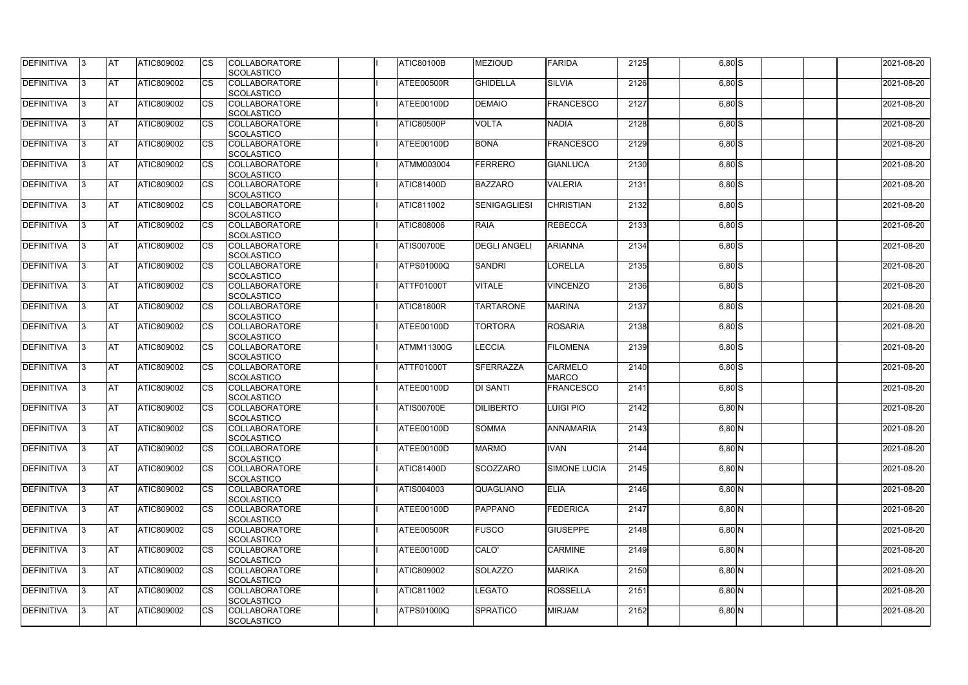| DEFINITIVA        | 13. | <b>JAT</b> | ATIC809002        | Ics                    | <b>COLLABORATORE</b> | <b>ATIC80100B</b> | <b>MEZIOUD</b>      | <b>FARIDA</b>       | 2125 | $6,80$ $S$ | 2021-08-20 |
|-------------------|-----|------------|-------------------|------------------------|----------------------|-------------------|---------------------|---------------------|------|------------|------------|
|                   |     |            |                   |                        | <b>SCOLASTICO</b>    |                   |                     |                     |      |            |            |
| <b>DEFINITIVA</b> | l3  | <b>AT</b>  | ATIC809002        | Ics                    | <b>COLLABORATORE</b> | ATEE00500R        | <b>GHIDELLA</b>     | <b>SILVIA</b>       | 2126 | $6,80$ S   | 2021-08-20 |
|                   |     |            |                   |                        | <b>SCOLASTICO</b>    |                   |                     |                     |      |            |            |
| DEFINITIVA        | l3  | <b>AT</b>  | ATIC809002        | <b>CS</b>              | <b>COLLABORATORE</b> | ATEE00100D        | <b>DEMAIO</b>       | <b>FRANCESCO</b>    | 2127 | $6,80$ S   | 2021-08-20 |
|                   |     |            |                   |                        | <b>SCOLASTICO</b>    |                   |                     |                     |      |            |            |
| DEFINITIVA        |     | <b>AT</b>  | ATIC809002        | Ics                    | <b>COLLABORATORE</b> | ATIC80500P        | <b>VOLTA</b>        | <b>NADIA</b>        | 2128 | $6,80$ S   | 2021-08-20 |
|                   |     |            |                   |                        | <b>SCOLASTICO</b>    |                   |                     |                     |      |            |            |
| DEFINITIVA        |     | <b>AT</b>  | <b>ATIC809002</b> | <b>CS</b>              | <b>COLLABORATORE</b> | ATEE00100D        | <b>BONA</b>         | <b>FRANCESCO</b>    | 2129 | $6,80$ S   | 2021-08-20 |
|                   |     |            |                   |                        | <b>SCOLASTICO</b>    |                   |                     |                     |      |            |            |
| <b>DEFINITIVA</b> |     | AT         | <b>ATIC809002</b> | <b>ICS</b>             | <b>COLLABORATORE</b> | ATMM003004        | <b>FERRERO</b>      | <b>GIANLUCA</b>     | 2130 |            | 2021-08-20 |
|                   |     |            |                   |                        |                      |                   |                     |                     |      | $6,80$ S   |            |
|                   |     |            |                   |                        | <b>SCOLASTICO</b>    |                   |                     |                     |      |            |            |
| DEFINITIVA        |     | <b>AT</b>  | ATIC809002        | Ics                    | <b>COLLABORATORE</b> | <b>ATIC81400D</b> | <b>BAZZARO</b>      | <b>VALERIA</b>      | 2131 | $6,80$ S   | 2021-08-20 |
|                   |     |            |                   |                        | <b>SCOLASTICO</b>    |                   |                     |                     |      |            |            |
| <b>DEFINITIVA</b> | ıз  | <b>AT</b>  | ATIC809002        | Ics                    | <b>COLLABORATORE</b> | ATIC811002        | <b>SENIGAGLIESI</b> | <b>CHRISTIAN</b>    | 2132 | $6,80$ $S$ | 2021-08-20 |
|                   |     |            |                   |                        | <b>SCOLASTICO</b>    |                   |                     |                     |      |            |            |
| DEFINITIVA        | I3  | <b>AT</b>  | ATIC809002        | <b>CS</b>              | <b>COLLABORATORE</b> | ATIC808006        | <b>RAIA</b>         | <b>REBECCA</b>      | 2133 | $6,80$ S   | 2021-08-20 |
|                   |     |            |                   |                        | <b>SCOLASTICO</b>    |                   |                     |                     |      |            |            |
| <b>DEFINITIVA</b> |     | <b>AT</b>  | ATIC809002        | <b>CS</b>              | <b>COLLABORATORE</b> | <b>ATIS00700E</b> | <b>DEGLI ANGELI</b> | <b>ARIANNA</b>      | 2134 | $6,80$ S   | 2021-08-20 |
|                   |     |            |                   |                        | <b>SCOLASTICO</b>    |                   |                     |                     |      |            |            |
| <b>DEFINITIVA</b> |     | AT         | ATIC809002        | $\overline{\text{cs}}$ | <b>COLLABORATORE</b> | <b>ATPS01000Q</b> | <b>SANDRI</b>       | LORELLA             | 2135 | $6,80$ S   | 2021-08-20 |
|                   |     |            |                   |                        | <b>SCOLASTICO</b>    |                   |                     |                     |      |            |            |
| DEFINITIVA        | I3  | <b>AT</b>  | ATIC809002        |                        | <b>COLLABORATORE</b> | ATTF01000T        | <b>VITALE</b>       | <b>VINCENZO</b>     | 2136 | $6,80$ $S$ | 2021-08-20 |
|                   |     |            |                   |                        |                      |                   |                     |                     |      |            |            |
|                   |     |            |                   |                        | <b>SCOLASTICO</b>    |                   |                     |                     |      |            |            |
| <b>DEFINITIVA</b> |     | <b>JAT</b> | ATIC809002        |                        | <b>COLLABORATORE</b> | <b>ATIC81800R</b> | <b>TARTARONE</b>    | <b>MARINA</b>       | 2137 | $6,80$ S   | 2021-08-20 |
|                   |     |            |                   |                        | <b>SCOLASTICO</b>    |                   |                     |                     |      |            |            |
| <b>DEFINITIVA</b> |     | <b>AT</b>  | ATIC809002        | Ics                    | <b>COLLABORATORE</b> | ATEE00100D        | <b>TORTORA</b>      | <b>ROSARIA</b>      | 2138 | $6,80$ S   | 2021-08-20 |
|                   |     |            |                   |                        | <b>SCOLASTICO</b>    |                   |                     |                     |      |            |            |
| DEFINITIVA        | l3  | <b>AT</b>  | <b>ATIC809002</b> | Ics                    | <b>COLLABORATORE</b> | ATMM11300G        | <b>LECCIA</b>       | <b>FILOMENA</b>     | 2139 | $6,80$ S   | 2021-08-20 |
|                   |     |            |                   |                        | <b>SCOLASTICO</b>    |                   |                     |                     |      |            |            |
| DEFINITIVA        |     | <b>AT</b>  | ATIC809002        | <b>CS</b>              | <b>COLLABORATORE</b> | ATTF01000T        | <b>SFERRAZZA</b>    | <b>CARMELO</b>      | 2140 | $6,80$ $S$ | 2021-08-20 |
|                   |     |            |                   |                        | <b>SCOLASTICO</b>    |                   |                     | <b>MARCO</b>        |      |            |            |
| DEFINITIVA        |     | <b>AT</b>  | ATIC809002        | <b>CS</b>              | <b>COLLABORATORE</b> | ATEE00100D        | <b>DI SANTI</b>     | <b>FRANCESCO</b>    | 2141 | $6,80$ S   | 2021-08-20 |
|                   |     |            |                   |                        | <b>SCOLASTICO</b>    |                   |                     |                     |      |            |            |
| <b>DEFINITIVA</b> |     | <b>AT</b>  | ATIC809002        | <b>CS</b>              | <b>COLLABORATORE</b> | <b>ATIS00700E</b> | <b>DILIBERTO</b>    | <b>LUIGI PIO</b>    | 2142 | $6,80$ N   | 2021-08-20 |
|                   |     |            |                   |                        | <b>SCOLASTICO</b>    |                   |                     |                     |      |            |            |
|                   |     | <b>AT</b>  |                   |                        |                      | ATEE00100D        | <b>SOMMA</b>        | <b>ANNAMARIA</b>    |      |            |            |
| <b>DEFINITIVA</b> | 13. |            | ATIC809002        |                        | <b>COLLABORATORE</b> |                   |                     |                     | 2143 | $6,80$ N   | 2021-08-20 |
|                   |     |            |                   |                        | <b>SCOLASTICO</b>    |                   |                     |                     |      |            |            |
| <b>DEFINITIVA</b> | 13  | AT         | <b>ATIC809002</b> | Ics                    | <b>COLLABORATORE</b> | ATEE00100D        | <b>MARMO</b>        | <b>IVAN</b>         | 2144 | $6,80$ N   | 2021-08-20 |
|                   |     |            |                   |                        | <b>SCOLASTICO</b>    |                   |                     |                     |      |            |            |
| <b>DEFINITIVA</b> | l3  | <b>AT</b>  | ATIC809002        | Ics                    | <b>COLLABORATORE</b> | <b>ATIC81400D</b> | SCOZZARO            | <b>SIMONE LUCIA</b> | 2145 | $6,80$ N   | 2021-08-20 |
|                   |     |            |                   |                        | <b>SCOLASTICO</b>    |                   |                     |                     |      |            |            |
| DEFINITIVA        | I3  | <b>AT</b>  | ATIC809002        | Ics                    | <b>COLLABORATORE</b> | ATIS004003        | <b>QUAGLIANO</b>    | <b>ELIA</b>         | 2146 | $6,80$ N   | 2021-08-20 |
|                   |     |            |                   |                        | <b>SCOLASTICO</b>    |                   |                     |                     |      |            |            |
| <b>DEFINITIVA</b> |     | <b>AT</b>  | ATIC809002        | Ics                    | <b>COLLABORATORE</b> | ATEE00100D        | <b>PAPPANO</b>      | FEDERICA            | 2147 | $6,80$ N   | 2021-08-20 |
|                   |     |            |                   |                        | <b>SCOLASTICO</b>    |                   |                     |                     |      |            |            |
| <b>DEFINITIVA</b> |     | <b>AT</b>  | ATIC809002        | Ics                    | <b>COLLABORATORE</b> | ATEE00500R        | <b>FUSCO</b>        | <b>GIUSEPPE</b>     | 2148 | $6,80$ N   | 2021-08-20 |
|                   |     |            |                   |                        | <b>SCOLASTICO</b>    |                   |                     |                     |      |            |            |
| <b>DEFINITIVA</b> | ıз  | <b>AT</b>  | <b>ATIC809002</b> |                        | <b>COLLABORATORE</b> | ATEE00100D        | CALO'               | <b>CARMINE</b>      | 2149 | $6,80$ N   | 2021-08-20 |
|                   |     |            |                   |                        |                      |                   |                     |                     |      |            |            |
|                   |     |            |                   |                        | <b>SCOLASTICO</b>    |                   |                     |                     |      |            |            |
| <b>DEFINITIVA</b> | ıз  | <b>AT</b>  | ATIC809002        | Ics                    | <b>COLLABORATORE</b> | ATIC809002        | <b>SOLAZZO</b>      | <b>MARIKA</b>       | 2150 | $6,80$ N   | 2021-08-20 |
|                   |     |            |                   |                        | <b>SCOLASTICO</b>    |                   |                     |                     |      |            |            |
| <b>DEFINITIVA</b> | IЗ  | <b>AT</b>  | <b>ATIC809002</b> | <b>ICS</b>             | <b>COLLABORATORE</b> | <b>ATIC811002</b> | LEGATO              | <b>ROSSELLA</b>     | 2151 | $6,80$ N   | 2021-08-20 |
|                   |     |            |                   |                        | <b>SCOLASTICO</b>    |                   |                     |                     |      |            |            |
| <b>DEFINITIVA</b> | I3  | <b>AT</b>  | ATIC809002        | Ics                    | <b>COLLABORATORE</b> | ATPS01000Q        | SPRATICO            | <b>MIRJAM</b>       | 2152 | $6,80$ N   | 2021-08-20 |
|                   |     |            |                   |                        | SCOLASTICO           |                   |                     |                     |      |            |            |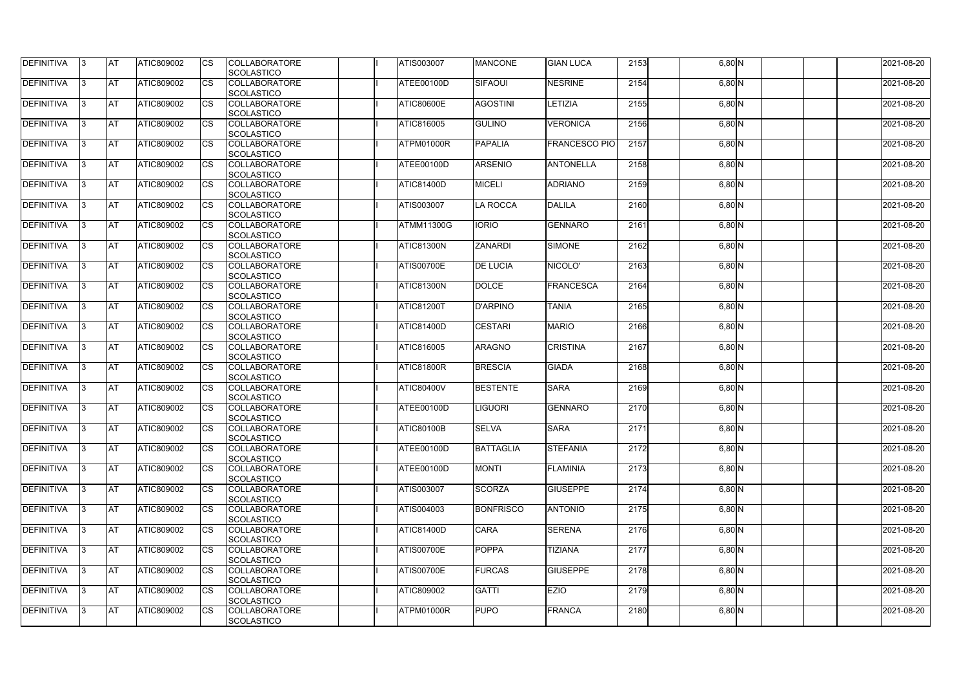| <b>DEFINITIVA</b> | 13  | <b>AT</b> | ATIC809002        | Ics                    | <b>COLLABORATORE</b><br><b>SCOLASTICO</b> | ATIS003007        | <b>MANCONE</b>   | <b>GIAN LUCA</b>     | 2153 | $6,80$ N | 2021-08-20 |
|-------------------|-----|-----------|-------------------|------------------------|-------------------------------------------|-------------------|------------------|----------------------|------|----------|------------|
| <b>DEFINITIVA</b> |     | <b>AT</b> | ATIC809002        | Ics                    | <b>COLLABORATORE</b><br><b>SCOLASTICO</b> | ATEE00100D        | <b>SIFAOUI</b>   | <b>NESRINE</b>       | 2154 | $6,80$ N | 2021-08-20 |
| DEFINITIVA        |     | <b>AT</b> | ATIC809002        | Ics                    | <b>COLLABORATORE</b><br><b>SCOLASTICO</b> | <b>ATIC80600E</b> | <b>AGOSTINI</b>  | LETIZIA              | 2155 | $6,80$ N | 2021-08-20 |
| DEFINITIVA        | IЗ  | <b>AT</b> | ATIC809002        | Ics                    | <b>COLLABORATORE</b><br><b>SCOLASTICO</b> | ATIC816005        | <b>GULINO</b>    | <b>VERONICA</b>      | 2156 | $6,80$ N | 2021-08-20 |
| DEFINITIVA        |     | <b>AT</b> | ATIC809002        | <b>CS</b>              | <b>COLLABORATORE</b><br><b>SCOLASTICO</b> | ATPM01000R        | <b>PAPALIA</b>   | <b>FRANCESCO PIO</b> | 2157 | $6,80$ N | 2021-08-20 |
| <b>DEFINITIVA</b> |     | <b>AT</b> | ATIC809002        | Ics                    | <b>COLLABORATORE</b><br><b>SCOLASTICO</b> | ATEE00100D        | <b>ARSENIO</b>   | <b>ANTONELLA</b>     | 2158 | $6,80$ N | 2021-08-20 |
| DEFINITIVA        |     | <b>AT</b> | <b>ATIC809002</b> | Ics                    | <b>COLLABORATORE</b><br><b>SCOLASTICO</b> | <b>ATIC81400D</b> | <b>MICELI</b>    | <b>ADRIANO</b>       | 2159 | $6,80$ N | 2021-08-20 |
| <b>DEFINITIVA</b> |     | AT        | ATIC809002        | <b>CS</b>              | <b>COLLABORATORE</b><br><b>SCOLASTICO</b> | ATIS003007        | <b>LA ROCCA</b>  | <b>DALILA</b>        | 2160 | $6,80$ N | 2021-08-20 |
| DEFINITIVA        |     | <b>AT</b> | ATIC809002        | Ics                    | <b>COLLABORATORE</b><br><b>SCOLASTICO</b> | ATMM11300G        | <b>IORIO</b>     | <b>GENNARO</b>       | 2161 | $6,80$ N | 2021-08-20 |
| DEFINITIVA        |     | <b>AT</b> | ATIC809002        | $\overline{\text{cs}}$ | <b>COLLABORATORE</b><br>SCOLASTICO        | <b>ATIC81300N</b> | <b>ZANARDI</b>   | <b>SIMONE</b>        | 2162 | $6,80$ N | 2021-08-20 |
| <b>DEFINITIVA</b> |     | AT        | <b>ATIC809002</b> | <b>CS</b>              | <b>COLLABORATORE</b><br><b>SCOLASTICO</b> | <b>ATIS00700E</b> | <b>DE LUCIA</b>  | NICOLO'              | 2163 | $6,80$ N | 2021-08-20 |
| DEFINITIVA        |     | <b>AT</b> | ATIC809002        | <b>CS</b>              | <b>COLLABORATORE</b><br><b>SCOLASTICO</b> | <b>ATIC81300N</b> | <b>DOLCE</b>     | FRANCESCA            | 2164 | $6,80$ N | 2021-08-20 |
| <b>DEFINITIVA</b> |     | <b>AT</b> | ATIC809002        |                        | <b>COLLABORATORE</b><br><b>SCOLASTICO</b> | <b>ATIC81200T</b> | <b>D'ARPINO</b>  | <b>TANIA</b>         | 2165 | $6,80$ N | 2021-08-20 |
| <b>DEFINITIVA</b> |     | <b>AT</b> | ATIC809002        | Ics                    | <b>COLLABORATORE</b><br><b>SCOLASTICO</b> | <b>ATIC81400D</b> | <b>CESTARI</b>   | <b>MARIO</b>         | 2166 | $6,80$ N | 2021-08-20 |
| DEFINITIVA        | R   | <b>AT</b> | ATIC809002        | <b>CS</b>              | <b>COLLABORATORE</b><br><b>SCOLASTICO</b> | ATIC816005        | <b>ARAGNO</b>    | <b>CRISTINA</b>      | 2167 | $6,80$ N | 2021-08-20 |
| DEFINITIVA        |     | <b>AT</b> | ATIC809002        | Ics                    | <b>COLLABORATORE</b><br><b>SCOLASTICO</b> | ATIC81800R        | <b>BRESCIA</b>   | <b>GIADA</b>         | 2168 | $6,80$ N | 2021-08-20 |
| <b>DEFINITIVA</b> |     | <b>AT</b> | ATIC809002        | <b>CS</b>              | <b>COLLABORATORE</b><br><b>SCOLASTICO</b> | <b>ATIC80400V</b> | <b>BESTENTE</b>  | <b>SARA</b>          | 2169 | $6,80$ N | 2021-08-20 |
| DEFINITIVA        |     | <b>AT</b> | ATIC809002        | <b>CS</b>              | <b>COLLABORATORE</b><br>SCOLASTICO        | ATEE00100D        | <b>IGUORI</b>    | <b>GENNARO</b>       | 2170 | $6,80$ N | 2021-08-20 |
| DEFINITIVA        | 13. | <b>AT</b> | ATIC809002        |                        | <b>COLLABORATORE</b><br><b>SCOLASTICO</b> | <b>ATIC80100B</b> | <b>SELVA</b>     | <b>SARA</b>          | 2171 | $6,80$ N | 2021-08-20 |
| DEFINITIVA        | IЗ  | <b>AT</b> | <b>ATIC809002</b> | Ics                    | <b>COLLABORATORE</b><br><b>SCOLASTICO</b> | ATEE00100D        | <b>BATTAGLIA</b> | <b>STEFANIA</b>      | 2172 | $6,80$ N | 2021-08-20 |
| <b>DEFINITIVA</b> | I3  | <b>AT</b> | ATIC809002        | Ics                    | <b>COLLABORATORE</b><br><b>SCOLASTICO</b> | ATEE00100D        | <b>MONTI</b>     | <b>FLAMINIA</b>      | 2173 | $6,80$ N | 2021-08-20 |
| DEFINITIVA        |     | <b>AT</b> | ATIC809002        | Ics                    | <b>COLLABORATORE</b><br><b>SCOLASTICO</b> | <b>ATIS003007</b> | SCORZA           | <b>GIUSEPPE</b>      | 2174 | $6,80$ N | 2021-08-20 |
| <b>DEFINITIVA</b> |     | <b>AT</b> | ATIC809002        | <b>CS</b>              | <b>COLLABORATORE</b><br><b>SCOLASTICO</b> | ATIS004003        | <b>BONFRISCO</b> | <b>ANTONIO</b>       | 2175 | $6,80$ N | 2021-08-20 |
| <b>DEFINITIVA</b> | IЗ  | <b>AT</b> | ATIC809002        | Ics                    | <b>COLLABORATORE</b><br><b>SCOLASTICO</b> | <b>ATIC81400D</b> | <b>CARA</b>      | <b>SERENA</b>        | 2176 | $6,80$ N | 2021-08-20 |
| <b>DEFINITIVA</b> |     | <b>AT</b> | ATIC809002        | Ics                    | <b>COLLABORATORE</b><br><b>SCOLASTICO</b> | <b>ATIS00700E</b> | <b>POPPA</b>     | <b>TIZIANA</b>       | 2177 | $6,80$ N | 2021-08-20 |
| DEFINITIVA        | IЗ  | <b>AT</b> | ATIC809002        | Ics                    | <b>COLLABORATORE</b><br><b>SCOLASTICO</b> | <b>ATIS00700E</b> | <b>FURCAS</b>    | <b>GIUSEPPE</b>      | 2178 | $6,80$ N | 2021-08-20 |
| <b>DEFINITIVA</b> | 13  | <b>AT</b> | <b>ATIC809002</b> | <b>ICS</b>             | <b>COLLABORATORE</b><br><b>SCOLASTICO</b> | ATIC809002        | <b>GATTI</b>     | <b>EZIO</b>          | 2179 | $6,80$ N | 2021-08-20 |
| <b>DEFINITIVA</b> |     | <b>AT</b> | ATIC809002        | Ics                    | <b>COLLABORATORE</b><br><b>SCOLASTICO</b> | ATPM01000R        | <b>PUPO</b>      | FRANCA               | 2180 | $6,80$ N | 2021-08-20 |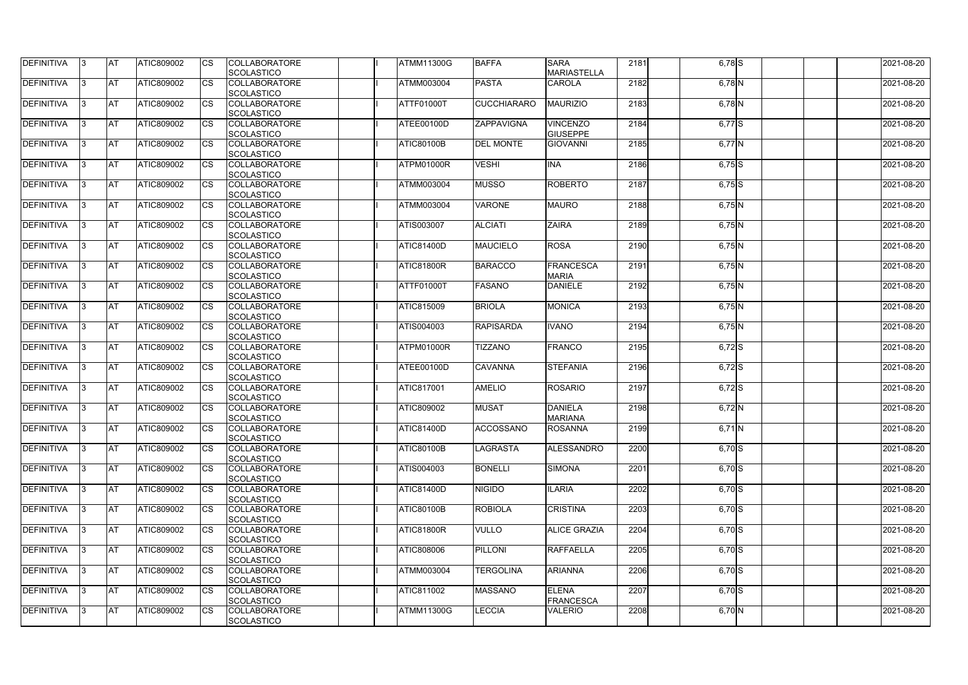| <b>DEFINITIVA</b> | 13  | <b>AT</b> | ATIC809002        | Ics                    | <b>COLLABORATORE</b><br><b>SCOLASTICO</b> | <b>ATMM11300G</b> | <b>BAFFA</b>       | <b>SARA</b><br><b>MARIASTELLA</b>  | 2181 | $6,78$ $S$          | 2021-08-20 |
|-------------------|-----|-----------|-------------------|------------------------|-------------------------------------------|-------------------|--------------------|------------------------------------|------|---------------------|------------|
| <b>DEFINITIVA</b> |     | <b>AT</b> | ATIC809002        | Ics                    | <b>COLLABORATORE</b><br><b>SCOLASTICO</b> | ATMM003004        | <b>PASTA</b>       | <b>CAROLA</b>                      | 2182 | $6,78$ N            | 2021-08-20 |
| DEFINITIVA        |     | <b>AT</b> | ATIC809002        | Ics                    | <b>COLLABORATORE</b><br><b>SCOLASTICO</b> | ATTF01000T        | <b>CUCCHIARARO</b> | <b>MAURIZIO</b>                    | 2183 | $6,78$ N            | 2021-08-20 |
| DEFINITIVA        | IЗ  | <b>AT</b> | ATIC809002        | Ics                    | <b>COLLABORATORE</b><br><b>SCOLASTICO</b> | ATEE00100D        | ZAPPAVIGNA         | <b>VINCENZO</b><br><b>GIUSEPPE</b> | 2184 | $6,77$ S            | 2021-08-20 |
| DEFINITIVA        |     | <b>AT</b> | ATIC809002        | <b>CS</b>              | <b>COLLABORATORE</b><br><b>SCOLASTICO</b> | <b>ATIC80100B</b> | <b>DEL MONTE</b>   | <b>GIOVANNI</b>                    | 2185 | 6,77 N              | 2021-08-20 |
| <b>DEFINITIVA</b> |     | <b>AT</b> | ATIC809002        | Ics                    | <b>COLLABORATORE</b><br><b>SCOLASTICO</b> | ATPM01000R        | <b>VESHI</b>       | <b>INA</b>                         | 2186 | $6,75$ S            | 2021-08-20 |
| DEFINITIVA        |     | <b>AT</b> | <b>ATIC809002</b> | Ics                    | <b>COLLABORATORE</b><br><b>SCOLASTICO</b> | ATMM003004        | <b>MUSSO</b>       | <b>ROBERTO</b>                     | 2187 | $6,75$ S            | 2021-08-20 |
| <b>DEFINITIVA</b> |     | AT        | ATIC809002        | <b>CS</b>              | <b>COLLABORATORE</b><br><b>SCOLASTICO</b> | <b>ATMM003004</b> | <b>VARONE</b>      | <b>MAURO</b>                       | 2188 | $6,75$ N            | 2021-08-20 |
| DEFINITIVA        |     | <b>AT</b> | ATIC809002        | <b>CS</b>              | <b>COLLABORATORE</b><br><b>SCOLASTICO</b> | ATIS003007        | <b>ALCIATI</b>     | <b>ZAIRA</b>                       | 2189 | $6,75$ N            | 2021-08-20 |
| DEFINITIVA        |     | <b>AT</b> | ATIC809002        | $\overline{\text{cs}}$ | <b>COLLABORATORE</b><br>SCOLASTICO        | <b>ATIC81400D</b> | <b>MAUCIELO</b>    | <b>ROSA</b>                        | 2190 | 6,75 N              | 2021-08-20 |
| <b>DEFINITIVA</b> |     | <b>AT</b> | <b>ATIC809002</b> | <b>CS</b>              | <b>COLLABORATORE</b><br><b>SCOLASTICO</b> | <b>ATIC81800R</b> | <b>BARACCO</b>     | FRANCESCA<br><b>MARIA</b>          | 2191 | $6,75$ N            | 2021-08-20 |
| <b>DEFINITIVA</b> |     | <b>AT</b> | ATIC809002        | <b>CS</b>              | <b>COLLABORATORE</b><br><b>SCOLASTICO</b> | <b>ATTF01000T</b> | <b>FASANO</b>      | <b>DANIELE</b>                     | 2192 | $6,75$ N            | 2021-08-20 |
| <b>DEFINITIVA</b> | l3  | <b>AT</b> | ATIC809002        |                        | <b>COLLABORATORE</b><br><b>SCOLASTICO</b> | ATIC815009        | <b>BRIOLA</b>      | <b>MONICA</b>                      | 2193 | $6,75$ N            | 2021-08-20 |
| <b>DEFINITIVA</b> |     | <b>AT</b> | ATIC809002        | Ics                    | <b>COLLABORATORE</b><br><b>SCOLASTICO</b> | ATIS004003        | <b>RAPISARDA</b>   | <b>IVANO</b>                       | 2194 | $6,75$ N            | 2021-08-20 |
| DEFINITIVA        |     | <b>AT</b> | ATIC809002        | <b>CS</b>              | <b>COLLABORATORE</b><br><b>SCOLASTICO</b> | ATPM01000R        | <b>TIZZANO</b>     | <b>FRANCO</b>                      | 2195 | $6,72$ S            | 2021-08-20 |
| DEFINITIVA        |     | <b>AT</b> | ATIC809002        | Ics                    | <b>COLLABORATORE</b><br><b>SCOLASTICO</b> | ATEE00100D        | <b>CAVANNA</b>     | <b>STEFANIA</b>                    | 2196 | $6,72$ S            | 2021-08-20 |
| <b>DEFINITIVA</b> |     | <b>AT</b> | ATIC809002        | <b>CS</b>              | <b>COLLABORATORE</b><br><b>SCOLASTICO</b> | <b>ATIC817001</b> | <b>AMELIO</b>      | <b>ROSARIO</b>                     | 2197 | $\overline{6,72}$ S | 2021-08-20 |
| DEFINITIVA        |     | <b>AT</b> | ATIC809002        | <b>CS</b>              | <b>COLLABORATORE</b><br>SCOLASTICO        | ATIC809002        | <b>MUSAT</b>       | <b>DANIELA</b><br><b>MARIANA</b>   | 2198 | $6,72$ N            | 2021-08-20 |
| <b>DEFINITIVA</b> | 13. | <b>AT</b> | ATIC809002        |                        | <b>COLLABORATORE</b><br><b>SCOLASTICO</b> | <b>ATIC81400D</b> | <b>ACCOSSANO</b>   | <b>ROSANNA</b>                     | 2199 | $6,71$ N            | 2021-08-20 |
| DEFINITIVA        | IЗ  | <b>AT</b> | <b>ATIC809002</b> | Ics                    | <b>COLLABORATORE</b><br><b>SCOLASTICO</b> | <b>ATIC80100B</b> | <b>LAGRASTA</b>    | <b>ALESSANDRO</b>                  | 2200 | $6,70$ S            | 2021-08-20 |
| <b>DEFINITIVA</b> | I3  | <b>AT</b> | ATIC809002        | Ics                    | <b>COLLABORATORE</b><br><b>SCOLASTICO</b> | ATIS004003        | <b>BONELLI</b>     | <b>SIMONA</b>                      | 2201 | $6,70$ S            | 2021-08-20 |
| DEFINITIVA        |     | <b>AT</b> | ATIC809002        | Ics                    | <b>COLLABORATORE</b><br><b>SCOLASTICO</b> | <b>ATIC81400D</b> | <b>NIGIDO</b>      | <b>ILARIA</b>                      | 2202 | $6,70$ S            | 2021-08-20 |
| DEFINITIVA        |     | <b>AT</b> | ATIC809002        | <b>CS</b>              | <b>COLLABORATORE</b><br><b>SCOLASTICO</b> | <b>ATIC80100B</b> | <b>ROBIOLA</b>     | <b>CRISTINA</b>                    | 2203 | $6,70$ S            | 2021-08-20 |
| <b>DEFINITIVA</b> | IЗ  | <b>AT</b> | ATIC809002        | Ics                    | <b>COLLABORATORE</b><br><b>SCOLASTICO</b> | <b>ATIC81800R</b> | <b>VULLO</b>       | <b>ALICE GRAZIA</b>                | 2204 | $6,70$ S            | 2021-08-20 |
| <b>DEFINITIVA</b> |     | <b>AT</b> | ATIC809002        | Ics                    | <b>COLLABORATORE</b><br><b>SCOLASTICO</b> | ATIC808006        | <b>PILLONI</b>     | <b>RAFFAELLA</b>                   | 2205 | $6,70$ S            | 2021-08-20 |
| DEFINITIVA        | IЗ  | <b>AT</b> | ATIC809002        | Ics                    | <b>COLLABORATORE</b><br><b>SCOLASTICO</b> | <b>ATMM003004</b> | <b>TERGOLINA</b>   | <b>ARIANNA</b>                     | 2206 | $6,70$ S            | 2021-08-20 |
| <b>DEFINITIVA</b> | 13  | <b>AT</b> | <b>ATIC809002</b> | <b>ICS</b>             | <b>COLLABORATORE</b><br><b>SCOLASTICO</b> | ATIC811002        | <b>MASSANO</b>     | <b>ELENA</b><br>FRANCESCA          | 2207 | $6,70$ S            | 2021-08-20 |
| <b>DEFINITIVA</b> |     | <b>AT</b> | ATIC809002        | Ics                    | <b>COLLABORATORE</b><br><b>SCOLASTICO</b> | <b>ATMM11300G</b> | <b>LECCIA</b>      | <b>VALERIO</b>                     | 2208 | 6,70 N              | 2021-08-20 |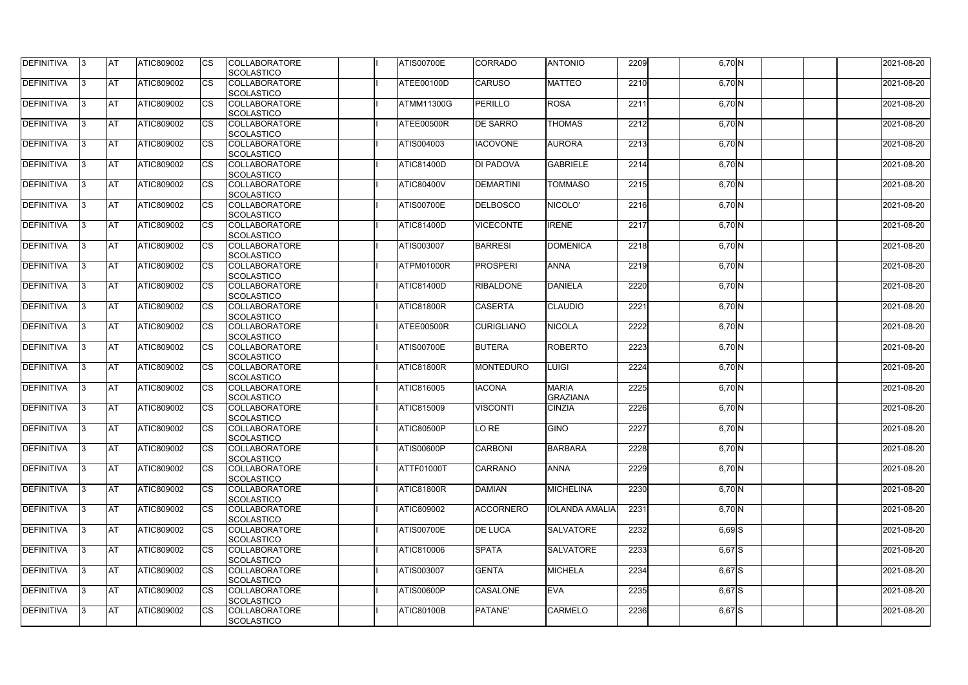| <b>DEFINITIVA</b> | IЗ  | <b>AT</b>  | <b>ATIC809002</b> | <b>CS</b>              | <b>COLLABORATORE</b><br>SCOLASTICO        | <b>ATIS00700E</b> | <b>CORRADO</b>    | <b>ANTONIO</b>                  | 2209 | 6,70 N     | 2021-08-20 |
|-------------------|-----|------------|-------------------|------------------------|-------------------------------------------|-------------------|-------------------|---------------------------------|------|------------|------------|
| <b>DEFINITIVA</b> | R   | <b>AT</b>  | ATIC809002        | <b>CS</b>              | <b>COLLABORATORE</b><br><b>SCOLASTICO</b> | ATEE00100D        | <b>CARUSO</b>     | <b>MATTEO</b>                   | 2210 | 6,70 N     | 2021-08-20 |
| <b>DEFINITIVA</b> | R   | <b>AT</b>  | <b>ATIC809002</b> | CS                     | <b>COLLABORATORE</b><br>SCOLASTICO        | <b>ATMM11300G</b> | <b>PERILLO</b>    | <b>ROSA</b>                     | 2211 | 6,70 N     | 2021-08-20 |
| <b>DEFINITIVA</b> |     | <b>AT</b>  | ATIC809002        | <b>CS</b>              | <b>COLLABORATORE</b><br>SCOLASTICO        | ATEE00500R        | <b>DE SARRO</b>   | <b>THOMAS</b>                   | 2212 | 6,70 N     | 2021-08-20 |
| <b>DEFINITIVA</b> |     | <b>AT</b>  | ATIC809002        | CS                     | <b>COLLABORATORE</b><br>SCOLASTICO        | ATIS004003        | <b>IACOVONE</b>   | <b>AURORA</b>                   | 2213 | $6,70$ N   | 2021-08-20 |
| <b>DEFINITIVA</b> |     | <b>IAT</b> | ATIC809002        | <b>CS</b>              | <b>COLLABORATORE</b><br><b>SCOLASTICO</b> | <b>ATIC81400D</b> | <b>DI PADOVA</b>  | <b>GABRIELE</b>                 | 2214 | $6,70$ N   | 2021-08-20 |
| DEFINITIVA        |     | <b>AT</b>  | ATIC809002        | <b>CS</b>              | <b>COLLABORATORE</b><br>SCOLASTICO        | <b>ATIC80400V</b> | <b>DEMARTINI</b>  | <b>TOMMASO</b>                  | 2215 | $6,70$ N   | 2021-08-20 |
| <b>DEFINITIVA</b> | ß   | <b>AT</b>  | ATIC809002        | CS                     | <b>COLLABORATORE</b><br><b>SCOLASTICO</b> | <b>ATIS00700E</b> | <b>DELBOSCO</b>   | NICOLO'                         | 2216 | $6,70$ N   | 2021-08-20 |
| <b>DEFINITIVA</b> | R   | <b>AT</b>  | ATIC809002        | <b>CS</b>              | <b>COLLABORATORE</b><br><b>SCOLASTICO</b> | <b>ATIC81400D</b> | <b>VICECONTE</b>  | <b>IRENE</b>                    | 2217 | 6,70 N     | 2021-08-20 |
| <b>DEFINITIVA</b> |     | <b>AT</b>  | ATIC809002        | <b>CS</b>              | <b>COLLABORATORE</b><br><b>SCOLASTICO</b> | <b>ATIS003007</b> | <b>BARRESI</b>    | <b>DOMENICA</b>                 | 2218 | 6,70 N     | 2021-08-20 |
| <b>DEFINITIVA</b> |     | <b>AT</b>  | ATIC809002        | <b>CS</b>              | <b>COLLABORATORE</b><br>SCOLASTICO        | ATPM01000R        | <b>PROSPERI</b>   | <b>ANNA</b>                     | 2219 | 6,70 N     | 2021-08-20 |
| <b>DEFINITIVA</b> | R   | <b>AT</b>  | ATIC809002        | $\overline{\text{cs}}$ | <b>COLLABORATORE</b><br>SCOLASTICO        | <b>ATIC81400D</b> | <b>RIBALDONE</b>  | <b>DANIELA</b>                  | 2220 | 6,70 N     | 2021-08-20 |
| DEFINITIVA        |     | <b>AT</b>  | ATIC809002        | <b>CS</b>              | <b>COLLABORATORE</b><br>SCOLASTICO        | ATIC81800R        | <b>CASERTA</b>    | <b>CLAUDIO</b>                  | 2221 | $6,70$ N   | 2021-08-20 |
| DEFINITIVA        | ß   | <b>AT</b>  | ATIC809002        | CS                     | <b>COLLABORATORE</b><br><b>SCOLASTICO</b> | ATEE00500R        | <b>CURIGLIANO</b> | <b>NICOLA</b>                   | 2222 | 6,70 N     | 2021-08-20 |
| <b>DEFINITIVA</b> | R   | <b>AT</b>  | ATIC809002        | CS                     | <b>COLLABORATORE</b><br><b>SCOLASTICO</b> | <b>ATIS00700E</b> | <b>BUTERA</b>     | <b>ROBERTO</b>                  | 2223 | 6,70 N     | 2021-08-20 |
| <b>DEFINITIVA</b> |     | <b>AT</b>  | ATIC809002        | <b>CS</b>              | <b>COLLABORATORE</b><br><b>SCOLASTICO</b> | ATIC81800R        | <b>MONTEDURO</b>  | LUIGI                           | 2224 | 6,70 N     | 2021-08-20 |
| <b>DEFINITIVA</b> |     | <b>AT</b>  | ATIC809002        | <b>CS</b>              | <b>COLLABORATORE</b><br><b>SCOLASTICO</b> | ATIC816005        | <b>IACONA</b>     | <b>MARIA</b><br><b>GRAZIANA</b> | 2225 | $6,70$ N   | 2021-08-20 |
| <b>DEFINITIVA</b> |     | <b>AT</b>  | ATIC809002        | CS                     | <b>COLLABORATORE</b><br>SCOLASTICO        | <b>ATIC815009</b> | <b>VISCONTI</b>   | <b>CINZIA</b>                   | 2226 | $6,70$ N   | 2021-08-20 |
| <b>DEFINITIVA</b> | 13. | <b>AT</b>  | ATIC809002        | <b>CS</b>              | <b>COLLABORATORE</b><br>SCOLASTICO        | <b>ATIC80500P</b> | LO RE             | <b>GINO</b>                     | 2227 | 6,70 N     | 2021-08-20 |
| DEFINITIVA        | 3   | <b>AT</b>  | ATIC809002        | <b>CS</b>              | <b>COLLABORATORE</b><br><b>SCOLASTICO</b> | <b>ATIS00600P</b> | <b>CARBONI</b>    | <b>BARBARA</b>                  | 2228 | 6,70 N     | 2021-08-20 |
| <b>DEFINITIVA</b> | IЗ  | <b>AT</b>  | ATIC809002        | <b>CS</b>              | <b>COLLABORATORE</b><br><b>SCOLASTICO</b> | <b>ATTF01000T</b> | <b>CARRANO</b>    | <b>ANNA</b>                     | 2229 | 6,70 N     | 2021-08-20 |
| <b>DEFINITIVA</b> |     | <b>AT</b>  | ATIC809002        | <b>CS</b>              | <b>COLLABORATORE</b><br><b>SCOLASTICO</b> | <b>ATIC81800R</b> | <b>DAMIAN</b>     | <b>MICHELINA</b>                | 2230 | 6,70 N     | 2021-08-20 |
| <b>DEFINITIVA</b> |     | <b>AT</b>  | ATIC809002        | <b>CS</b>              | <b>COLLABORATORE</b><br><b>SCOLASTICO</b> | ATIC809002        | <b>ACCORNERO</b>  | <b>IOLANDA AMALIA</b>           | 2231 | 6,70 N     | 2021-08-20 |
| <b>DEFINITIVA</b> | IЗ  | <b>AT</b>  | ATIC809002        | <b>CS</b>              | <b>COLLABORATORE</b><br><b>SCOLASTICO</b> | <b>ATIS00700E</b> | <b>DE LUCA</b>    | <b>SALVATORE</b>                | 2232 | $6,69$ $S$ | 2021-08-20 |
| <b>DEFINITIVA</b> | 3   | <b>AT</b>  | ATIC809002        | <b>CS</b>              | <b>COLLABORATORE</b><br>SCOLASTICO        | ATIC810006        | <b>SPATA</b>      | <b>SALVATORE</b>                | 2233 | $6,67$ $S$ | 2021-08-20 |
| DEFINITIVA        | ß.  | <b>AT</b>  | ATIC809002        | <b>CS</b>              | <b>COLLABORATORE</b><br><b>SCOLASTICO</b> | <b>ATIS003007</b> | <b>GENTA</b>      | <b>MICHELA</b>                  | 2234 | $6,67$ $S$ | 2021-08-20 |
| DEFINITIVA        | IЗ  | <b>AT</b>  | ATIC809002        | <b>CS</b>              | <b>COLLABORATORE</b><br><b>SCOLASTICO</b> | <b>ATIS00600P</b> | <b>CASALONE</b>   | <b>EVA</b>                      | 2235 | $6,67$ $S$ | 2021-08-20 |
| <b>DEFINITIVA</b> | ß.  | <b>AT</b>  | ATIC809002        | <b>CS</b>              | <b>COLLABORATORE</b><br>SCOLASTICO        | <b>ATIC80100B</b> | PATANE'           | <b>CARMELO</b>                  | 2236 | 6,67 S     | 2021-08-20 |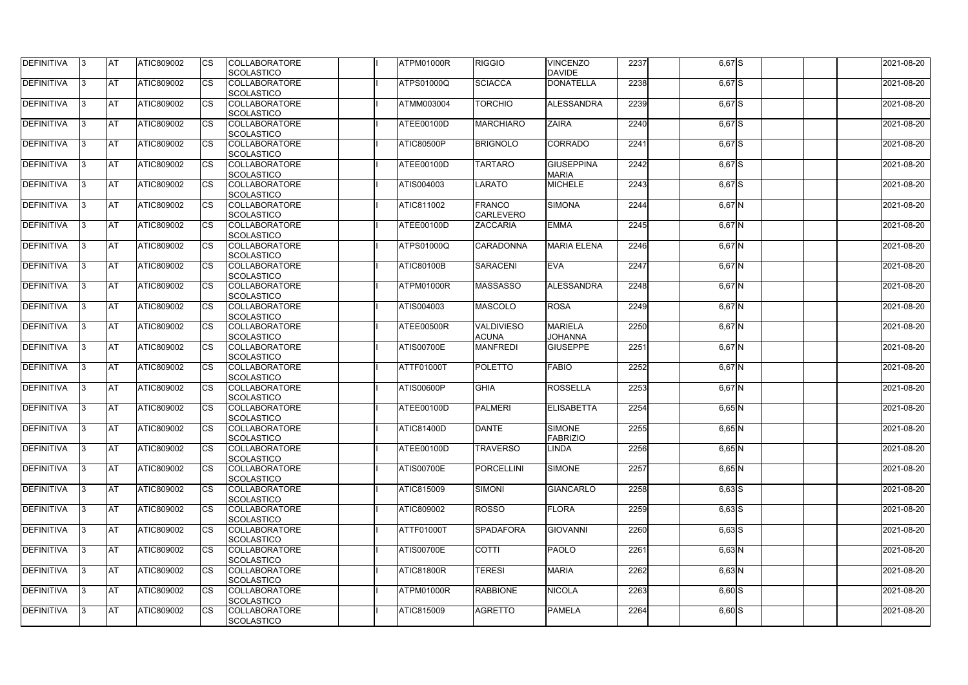| <b>DEFINITIVA</b> | 13  | <b>AT</b> | ATIC809002        | Ics                    | <b>COLLABORATORE</b> | ATPM01000R        | <b>RIGGIO</b>     | <b>VINCENZO</b>    | 2237 | $6,67$ $S$ | 2021-08-20 |
|-------------------|-----|-----------|-------------------|------------------------|----------------------|-------------------|-------------------|--------------------|------|------------|------------|
|                   |     |           |                   |                        | <b>SCOLASTICO</b>    |                   |                   | <b>DAVIDE</b>      |      |            |            |
| <b>DEFINITIVA</b> |     | <b>AT</b> | ATIC809002        | Ics                    | <b>COLLABORATORE</b> | <b>ATPS01000Q</b> | <b>SCIACCA</b>    | <b>DONATELLA</b>   | 2238 | $6,67$ S   | 2021-08-20 |
|                   |     |           |                   |                        | <b>SCOLASTICO</b>    |                   |                   |                    |      |            |            |
| DEFINITIVA        |     | <b>AT</b> | ATIC809002        | Ics                    | <b>COLLABORATORE</b> | ATMM003004        | <b>TORCHIO</b>    | ALESSANDRA         | 2239 | 6,67 S     | 2021-08-20 |
|                   |     |           |                   |                        | <b>SCOLASTICO</b>    |                   |                   |                    |      |            |            |
| DEFINITIVA        | IЗ  | <b>AT</b> | ATIC809002        | Ics                    | <b>COLLABORATORE</b> | ATEE00100D        | <b>MARCHIARO</b>  | <b>ZAIRA</b>       | 2240 | $6,67$ S   | 2021-08-20 |
|                   |     |           |                   |                        | <b>SCOLASTICO</b>    |                   |                   |                    |      |            |            |
| DEFINITIVA        |     | <b>AT</b> | ATIC809002        | <b>CS</b>              | <b>COLLABORATORE</b> | ATIC80500P        | <b>BRIGNOLO</b>   | <b>CORRADO</b>     | 2241 | 6,67 S     | 2021-08-20 |
|                   |     |           |                   |                        | <b>SCOLASTICO</b>    |                   |                   |                    |      |            |            |
| <b>DEFINITIVA</b> |     | <b>AT</b> | ATIC809002        | Ics                    | <b>COLLABORATORE</b> | ATEE00100D        | <b>TARTARO</b>    | <b>GIUSEPPINA</b>  | 2242 | $6,67$ $S$ | 2021-08-20 |
|                   |     |           |                   |                        | <b>SCOLASTICO</b>    |                   |                   | <b>MARIA</b>       |      |            |            |
| DEFINITIVA        |     | <b>AT</b> | <b>ATIC809002</b> | Ics                    | <b>COLLABORATORE</b> | ATIS004003        | LARATO            | <b>MICHELE</b>     | 2243 | $6,67$ $S$ | 2021-08-20 |
|                   |     |           |                   |                        | <b>SCOLASTICO</b>    |                   |                   |                    |      |            |            |
| <b>DEFINITIVA</b> |     | AT        | ATIC809002        | <b>CS</b>              | <b>COLLABORATORE</b> | ATIC811002        | <b>FRANCO</b>     | <b>SIMONA</b>      | 2244 | $6,67$ N   | 2021-08-20 |
|                   |     |           |                   |                        | <b>SCOLASTICO</b>    |                   | <b>CARLEVERO</b>  |                    |      |            |            |
| DEFINITIVA        |     | <b>AT</b> | ATIC809002        | <b>CS</b>              | <b>COLLABORATORE</b> | ATEE00100D        | <b>ZACCARIA</b>   | <b>EMMA</b>        | 2245 | $6,67$ N   | 2021-08-20 |
|                   |     |           |                   |                        | <b>SCOLASTICO</b>    |                   |                   |                    |      |            |            |
| DEFINITIVA        |     | <b>AT</b> | ATIC809002        | $\overline{\text{cs}}$ | <b>COLLABORATORE</b> | ATPS01000Q        | <b>CARADONNA</b>  | <b>MARIA ELENA</b> | 2246 | 6,67 N     | 2021-08-20 |
|                   |     |           |                   |                        | SCOLASTICO           |                   |                   |                    |      |            |            |
| <b>DEFINITIVA</b> |     | AT        | <b>ATIC809002</b> | <b>CS</b>              | <b>COLLABORATORE</b> | <b>ATIC80100B</b> | <b>SARACENI</b>   | <b>EVA</b>         | 2247 | 6,67 N     | 2021-08-20 |
|                   |     |           |                   |                        | <b>SCOLASTICO</b>    |                   |                   |                    |      |            |            |
| DEFINITIVA        |     | <b>AT</b> | ATIC809002        | <b>CS</b>              | <b>COLLABORATORE</b> | ATPM01000R        | <b>MASSASSO</b>   | ALESSANDRA         | 2248 | $6,67$ N   | 2021-08-20 |
|                   |     |           |                   |                        | <b>SCOLASTICO</b>    |                   |                   |                    |      |            |            |
| DEFINITIVA        |     | <b>AT</b> | ATIC809002        |                        | <b>COLLABORATORE</b> | ATIS004003        | <b>MASCOLO</b>    | <b>ROSA</b>        | 2249 | 6,67 N     | 2021-08-20 |
|                   |     |           |                   |                        | <b>SCOLASTICO</b>    |                   |                   |                    |      |            |            |
| <b>DEFINITIVA</b> |     | <b>AT</b> | ATIC809002        | Ics                    | <b>COLLABORATORE</b> | ATEE00500R        | <b>VALDIVIESO</b> | <b>MARIELA</b>     | 2250 | $6,67$ N   | 2021-08-20 |
|                   |     |           |                   |                        | <b>SCOLASTICO</b>    |                   | <b>ACUNA</b>      | <b>JOHANNA</b>     |      |            |            |
| DEFINITIVA        |     | <b>AT</b> | ATIC809002        | <b>CS</b>              | <b>COLLABORATORE</b> | <b>ATIS00700E</b> | <b>MANFREDI</b>   | <b>GIUSEPPE</b>    | 2251 | $6,67$ N   | 2021-08-20 |
|                   |     |           |                   |                        | <b>SCOLASTICO</b>    |                   |                   |                    |      |            |            |
| DEFINITIVA        |     | <b>AT</b> | ATIC809002        | Ics                    | <b>COLLABORATORE</b> | ATTF01000T        | <b>POLETTO</b>    | <b>FABIO</b>       | 2252 | $6,67$ N   | 2021-08-20 |
|                   |     |           |                   |                        | <b>SCOLASTICO</b>    |                   |                   |                    |      |            |            |
| <b>DEFINITIVA</b> |     | <b>AT</b> | ATIC809002        | <b>CS</b>              | <b>COLLABORATORE</b> | <b>ATIS00600P</b> | <b>GHIA</b>       | <b>ROSSELLA</b>    | 2253 | $6,67$ N   | 2021-08-20 |
|                   |     |           |                   |                        | <b>SCOLASTICO</b>    |                   |                   |                    |      |            |            |
| DEFINITIVA        |     | <b>AT</b> | ATIC809002        | <b>CS</b>              | <b>COLLABORATORE</b> | ATEE00100D        | <b>PALMERI</b>    | <b>ELISABETTA</b>  | 2254 |            | 2021-08-20 |
|                   |     |           |                   |                        |                      |                   |                   |                    |      | $6,65$ N   |            |
|                   |     |           |                   |                        | SCOLASTICO           |                   | <b>DANTE</b>      |                    |      |            |            |
| <b>DEFINITIVA</b> | 13. | <b>AT</b> | ATIC809002        |                        | <b>COLLABORATORE</b> | <b>ATIC81400D</b> |                   | <b>SIMONE</b>      | 2255 | $6,65$ N   | 2021-08-20 |
|                   |     |           |                   |                        | <b>SCOLASTICO</b>    |                   |                   | <b>FABRIZIO</b>    |      |            |            |
| DEFINITIVA        | IЗ  | <b>AT</b> | <b>ATIC809002</b> | Ics                    | <b>COLLABORATORE</b> | ATEE00100D        | <b>TRAVERSO</b>   | <b>LINDA</b>       | 2256 | $6,65$ N   | 2021-08-20 |
|                   |     |           |                   |                        | <b>SCOLASTICO</b>    |                   |                   |                    |      |            |            |
| <b>DEFINITIVA</b> | I3  | <b>AT</b> | ATIC809002        | Ics                    | <b>COLLABORATORE</b> | <b>ATIS00700E</b> | <b>PORCELLINI</b> | SIMONE             | 2257 | $6,65$ N   | 2021-08-20 |
|                   |     |           |                   |                        | <b>SCOLASTICO</b>    |                   |                   |                    |      |            |            |
| DEFINITIVA        |     | <b>AT</b> | ATIC809002        | Ics                    | <b>COLLABORATORE</b> | ATIC815009        | <b>SIMONI</b>     | <b>GIANCARLO</b>   | 2258 | $6,63$ $S$ | 2021-08-20 |
|                   |     |           |                   |                        | <b>SCOLASTICO</b>    |                   |                   |                    |      |            |            |
| DEFINITIVA        |     | <b>AT</b> | ATIC809002        | <b>CS</b>              | <b>COLLABORATORE</b> | ATIC809002        | <b>ROSSO</b>      | <b>FLORA</b>       | 2259 | $6,63$ $S$ | 2021-08-20 |
|                   |     |           |                   |                        | <b>SCOLASTICO</b>    |                   |                   |                    |      |            |            |
| <b>DEFINITIVA</b> | ıз  | <b>AT</b> | ATIC809002        | Ics                    | <b>COLLABORATORE</b> | ATTF01000T        | <b>SPADAFORA</b>  | <b>GIOVANNI</b>    | 2260 | $6,63$ $S$ | 2021-08-20 |
|                   |     |           |                   |                        | <b>SCOLASTICO</b>    |                   |                   |                    |      |            |            |
| <b>DEFINITIVA</b> |     | <b>AT</b> | ATIC809002        | Ics                    | <b>COLLABORATORE</b> | <b>ATIS00700E</b> | <b>COTTI</b>      | <b>PAOLO</b>       | 2261 | $6,63$ N   | 2021-08-20 |
|                   |     |           |                   |                        | <b>SCOLASTICO</b>    |                   |                   |                    |      |            |            |
| DEFINITIVA        | IЗ  | <b>AT</b> | ATIC809002        | Ics                    | <b>COLLABORATORE</b> | <b>ATIC81800R</b> | <b>TERESI</b>     | <b>MARIA</b>       | 2262 | $6,63$ N   | 2021-08-20 |
|                   |     |           |                   |                        | <b>SCOLASTICO</b>    |                   |                   |                    |      |            |            |
| <b>DEFINITIVA</b> | 13  | <b>AT</b> | <b>ATIC809002</b> | <b>ICS</b>             | <b>COLLABORATORE</b> | ATPM01000R        | <b>RABBIONE</b>   | <b>NICOLA</b>      | 2263 | $6,60$ S   | 2021-08-20 |
|                   |     |           |                   |                        | <b>SCOLASTICO</b>    |                   |                   |                    |      |            |            |
| <b>DEFINITIVA</b> |     | <b>AT</b> | ATIC809002        | Ics                    | <b>COLLABORATORE</b> | ATIC815009        | <b>AGRETTO</b>    | <b>PAMELA</b>      | 2264 | $6,60$ S   | 2021-08-20 |
|                   |     |           |                   |                        | <b>SCOLASTICO</b>    |                   |                   |                    |      |            |            |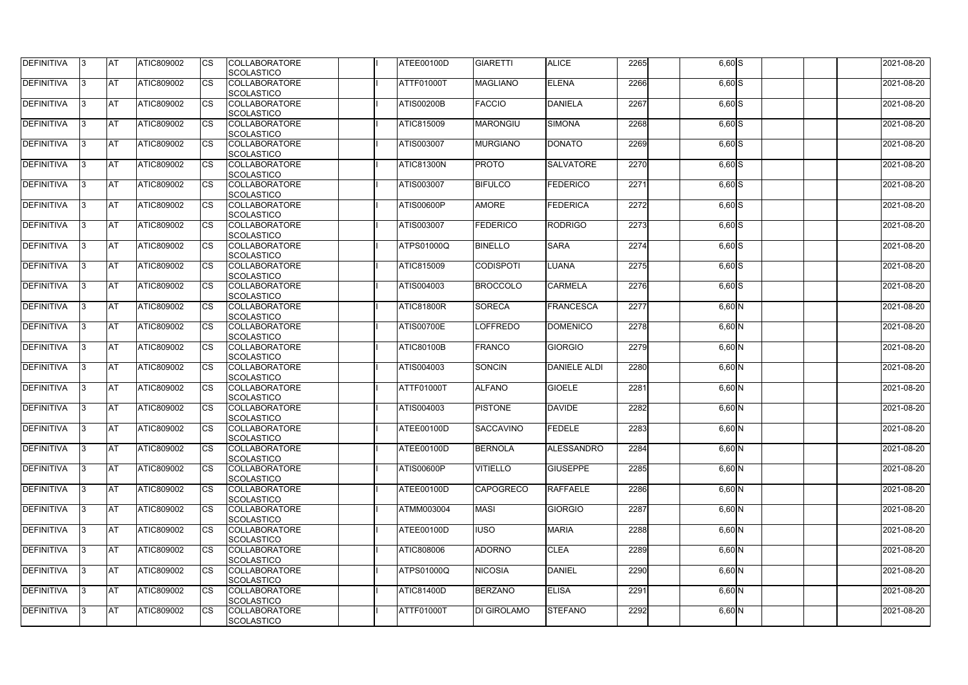| DEFINITIVA        | 13. | <b>JAT</b> | ATIC809002        | Ics        | <b>COLLABORATORE</b> | ATEE00100D        | <b>GIARETTI</b>    | <b>ALICE</b>        | 2265 | $6,60$ $S$          | 2021-08-20 |
|-------------------|-----|------------|-------------------|------------|----------------------|-------------------|--------------------|---------------------|------|---------------------|------------|
|                   |     |            |                   |            | <b>SCOLASTICO</b>    |                   |                    |                     |      |                     |            |
| <b>DEFINITIVA</b> | l3  | <b>AT</b>  | ATIC809002        | Ics        | <b>COLLABORATORE</b> | ATTF01000T        | <b>MAGLIANO</b>    | <b>ELENA</b>        | 2266 | $6,60$ $S$          | 2021-08-20 |
|                   |     |            |                   |            | <b>SCOLASTICO</b>    |                   |                    |                     |      |                     |            |
| DEFINITIVA        | l3  | <b>AT</b>  | ATIC809002        | <b>CS</b>  | <b>COLLABORATORE</b> | <b>ATIS00200B</b> | <b>FACCIO</b>      | <b>DANIELA</b>      | 2267 | $6,60$ S            | 2021-08-20 |
|                   |     |            |                   |            | <b>SCOLASTICO</b>    |                   |                    |                     |      |                     |            |
| DEFINITIVA        |     | <b>AT</b>  | ATIC809002        | Ics        | <b>COLLABORATORE</b> | <b>ATIC815009</b> | <b>MARONGIU</b>    | <b>SIMONA</b>       | 2268 | $6,60$ S            | 2021-08-20 |
|                   |     |            |                   |            | <b>SCOLASTICO</b>    |                   |                    |                     |      |                     |            |
| DEFINITIVA        |     | <b>AT</b>  | <b>ATIC809002</b> | <b>CS</b>  | <b>COLLABORATORE</b> | ATIS003007        | <b>MURGIANO</b>    | <b>DONATO</b>       | 2269 | $\overline{6,60}$ S | 2021-08-20 |
|                   |     |            |                   |            | <b>SCOLASTICO</b>    |                   |                    |                     |      |                     |            |
| <b>DEFINITIVA</b> |     | AT         | <b>ATIC809002</b> | <b>ICS</b> | <b>COLLABORATORE</b> | <b>ATIC81300N</b> | <b>PROTO</b>       | <b>SALVATORE</b>    | 2270 |                     | 2021-08-20 |
|                   |     |            |                   |            |                      |                   |                    |                     |      | $6,60$ S            |            |
|                   |     |            |                   |            | <b>SCOLASTICO</b>    |                   |                    |                     |      |                     |            |
| DEFINITIVA        |     | <b>AT</b>  | ATIC809002        | Ics        | <b>COLLABORATORE</b> | ATIS003007        | <b>BIFULCO</b>     | FEDERICO            | 2271 | $6,60$ S            | 2021-08-20 |
|                   |     |            |                   |            | <b>SCOLASTICO</b>    |                   |                    |                     |      |                     |            |
| <b>DEFINITIVA</b> | ıз  | <b>AT</b>  | ATIC809002        | Ics        | <b>COLLABORATORE</b> | <b>ATIS00600P</b> | <b>AMORE</b>       | <b>FEDERICA</b>     | 2272 | $6,60$ $S$          | 2021-08-20 |
|                   |     |            |                   |            | <b>SCOLASTICO</b>    |                   |                    |                     |      |                     |            |
| DEFINITIVA        | I3  | <b>AT</b>  | ATIC809002        | <b>CS</b>  | <b>COLLABORATORE</b> | ATIS003007        | <b>FEDERICO</b>    | <b>RODRIGO</b>      | 2273 | $6,60$ S            | 2021-08-20 |
|                   |     |            |                   |            | <b>SCOLASTICO</b>    |                   |                    |                     |      |                     |            |
| <b>DEFINITIVA</b> |     | <b>AT</b>  | ATIC809002        | <b>CS</b>  | <b>COLLABORATORE</b> | <b>ATPS01000Q</b> | <b>BINELLO</b>     | <b>SARA</b>         | 2274 | $6,60$ S            | 2021-08-20 |
|                   |     |            |                   |            | <b>SCOLASTICO</b>    |                   |                    |                     |      |                     |            |
| <b>DEFINITIVA</b> |     | AT         | ATIC809002        | <b>CS</b>  | <b>COLLABORATORE</b> | <b>ATIC815009</b> | <b>CODISPOTI</b>   | <b>LUANA</b>        | 2275 | $6,60$ S            | 2021-08-20 |
|                   |     |            |                   |            | <b>SCOLASTICO</b>    |                   |                    |                     |      |                     |            |
| DEFINITIVA        | I3  | <b>AT</b>  | ATIC809002        |            | <b>COLLABORATORE</b> | ATIS004003        | <b>BROCCOLO</b>    | <b>CARMELA</b>      | 2276 | $6,60$ S            | 2021-08-20 |
|                   |     |            |                   |            |                      |                   |                    |                     |      |                     |            |
|                   |     |            |                   |            | <b>SCOLASTICO</b>    |                   |                    |                     |      |                     |            |
| <b>DEFINITIVA</b> |     | <b>JAT</b> | ATIC809002        |            | <b>COLLABORATORE</b> | <b>ATIC81800R</b> | <b>SORECA</b>      | FRANCESCA           | 2277 | $6,60$ N            | 2021-08-20 |
|                   |     |            |                   |            | <b>SCOLASTICO</b>    |                   |                    |                     |      |                     |            |
| <b>DEFINITIVA</b> |     | <b>AT</b>  | ATIC809002        | Ics        | <b>COLLABORATORE</b> | <b>ATIS00700E</b> | <b>LOFFREDO</b>    | <b>DOMENICO</b>     | 2278 | $6,60$ N            | 2021-08-20 |
|                   |     |            |                   |            | <b>SCOLASTICO</b>    |                   |                    |                     |      |                     |            |
| DEFINITIVA        | l3  | <b>AT</b>  | <b>ATIC809002</b> | Ics        | <b>COLLABORATORE</b> | <b>ATIC80100B</b> | <b>FRANCO</b>      | <b>GIORGIO</b>      | 2279 | $6,60$ N            | 2021-08-20 |
|                   |     |            |                   |            | <b>SCOLASTICO</b>    |                   |                    |                     |      |                     |            |
| DEFINITIVA        |     | <b>AT</b>  | ATIC809002        | Ics        | <b>COLLABORATORE</b> | ATIS004003        | SONCIN             | <b>DANIELE ALDI</b> | 2280 | $6,60$ N            | 2021-08-20 |
|                   |     |            |                   |            | <b>SCOLASTICO</b>    |                   |                    |                     |      |                     |            |
| DEFINITIVA        |     | <b>AT</b>  | ATIC809002        | <b>CS</b>  | <b>COLLABORATORE</b> | ATTF01000T        | <b>ALFANO</b>      | <b>GIOELE</b>       | 2281 | $6,60$ N            | 2021-08-20 |
|                   |     |            |                   |            | <b>SCOLASTICO</b>    |                   |                    |                     |      |                     |            |
| <b>DEFINITIVA</b> |     | <b>AT</b>  | ATIC809002        | <b>CS</b>  | <b>COLLABORATORE</b> | ATIS004003        | <b>PISTONE</b>     | <b>DAVIDE</b>       | 2282 | $6,60$ N            | 2021-08-20 |
|                   |     |            |                   |            | <b>SCOLASTICO</b>    |                   |                    |                     |      |                     |            |
|                   |     | <b>AT</b>  |                   |            |                      | ATEE00100D        | <b>SACCAVINO</b>   |                     |      |                     |            |
| <b>DEFINITIVA</b> | 13. |            | ATIC809002        |            | <b>COLLABORATORE</b> |                   |                    | <b>FEDELE</b>       | 2283 | $6,60$ N            | 2021-08-20 |
|                   |     |            |                   |            | <b>SCOLASTICO</b>    |                   |                    |                     |      |                     |            |
| <b>DEFINITIVA</b> | 13  | AT         | <b>ATIC809002</b> | Ics        | <b>COLLABORATORE</b> | ATEE00100D        | <b>BERNOLA</b>     | ALESSANDRO          | 2284 | $6,60$ N            | 2021-08-20 |
|                   |     |            |                   |            | <b>SCOLASTICO</b>    |                   |                    |                     |      |                     |            |
| <b>DEFINITIVA</b> | l3  | <b>AT</b>  | ATIC809002        | Ics        | <b>COLLABORATORE</b> | <b>ATIS00600P</b> | <b>VITIELLO</b>    | <b>GIUSEPPE</b>     | 2285 | $6,60$ N            | 2021-08-20 |
|                   |     |            |                   |            | <b>SCOLASTICO</b>    |                   |                    |                     |      |                     |            |
| DEFINITIVA        | I3  | <b>AT</b>  | ATIC809002        | Ics        | <b>COLLABORATORE</b> | ATEE00100D        | <b>CAPOGRECO</b>   | <b>RAFFAELE</b>     | 2286 | $6,60$ N            | 2021-08-20 |
|                   |     |            |                   |            | <b>SCOLASTICO</b>    |                   |                    |                     |      |                     |            |
| <b>DEFINITIVA</b> |     | <b>AT</b>  | ATIC809002        | Ics        | <b>COLLABORATORE</b> | <b>ATMM003004</b> | <b>MASI</b>        | <b>GIORGIO</b>      | 2287 | $6,60$ N            | 2021-08-20 |
|                   |     |            |                   |            | <b>SCOLASTICO</b>    |                   |                    |                     |      |                     |            |
| <b>DEFINITIVA</b> |     | <b>AT</b>  | ATIC809002        | Ics        | <b>COLLABORATORE</b> | ATEE00100D        | <b>IUSO</b>        | <b>MARIA</b>        | 2288 | $6,60$ N            | 2021-08-20 |
|                   |     |            |                   |            | <b>SCOLASTICO</b>    |                   |                    |                     |      |                     |            |
| <b>DEFINITIVA</b> | ıз  | <b>AT</b>  | <b>ATIC809002</b> |            | <b>COLLABORATORE</b> | ATIC808006        | <b>ADORNO</b>      | <b>CLEA</b>         | 2289 | $6,60$ N            | 2021-08-20 |
|                   |     |            |                   |            |                      |                   |                    |                     |      |                     |            |
|                   |     |            |                   |            | <b>SCOLASTICO</b>    |                   |                    |                     |      |                     |            |
| <b>DEFINITIVA</b> |     | <b>AT</b>  | ATIC809002        | Ics        | <b>COLLABORATORE</b> | <b>ATPS01000Q</b> | <b>NICOSIA</b>     | DANIEL              | 2290 | $6,60$ N            | 2021-08-20 |
|                   |     |            |                   |            | <b>SCOLASTICO</b>    |                   |                    |                     |      |                     |            |
| <b>DEFINITIVA</b> | ıз  | <b>AT</b>  | <b>ATIC809002</b> | <b>ICS</b> | <b>COLLABORATORE</b> | ATIC81400D        | <b>BERZANO</b>     | <b>ELISA</b>        | 2291 | $6,60$ N            | 2021-08-20 |
|                   |     |            |                   |            | <b>SCOLASTICO</b>    |                   |                    |                     |      |                     |            |
| <b>DEFINITIVA</b> | I3  | <b>AT</b>  | ATIC809002        | Ics        | <b>COLLABORATORE</b> | ATTF01000T        | <b>DI GIROLAMO</b> | <b>STEFANO</b>      | 2292 | $6,60$ N            | 2021-08-20 |
|                   |     |            |                   |            | SCOLASTICO           |                   |                    |                     |      |                     |            |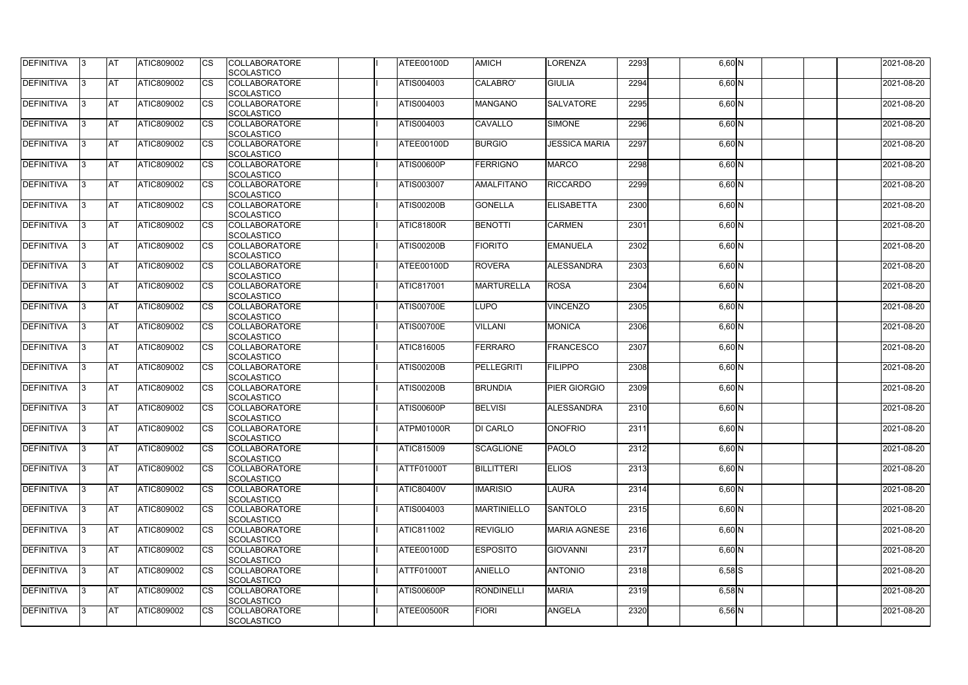| DEFINITIVA        | 13. | <b>JAT</b> | ATIC809002        | Ics        | <b>COLLABORATORE</b><br><b>SCOLASTICO</b> | ATEE00100D        | <b>AMICH</b>       | <b>LORENZA</b>       | 2293 | $6,60$ N   | 2021-08-20 |
|-------------------|-----|------------|-------------------|------------|-------------------------------------------|-------------------|--------------------|----------------------|------|------------|------------|
| <b>DEFINITIVA</b> | l3  | <b>AT</b>  | ATIC809002        | Ics        | <b>COLLABORATORE</b><br><b>SCOLASTICO</b> | ATIS004003        | CALABRO'           | <b>GIULIA</b>        | 2294 | 6,60 N     | 2021-08-20 |
| DEFINITIVA        | l3  | <b>AT</b>  | ATIC809002        | <b>CS</b>  | <b>COLLABORATORE</b><br><b>SCOLASTICO</b> | ATIS004003        | <b>MANGANO</b>     | <b>SALVATORE</b>     | 2295 | $6,60$ N   | 2021-08-20 |
| DEFINITIVA        |     | <b>AT</b>  | ATIC809002        | Ics        | <b>COLLABORATORE</b><br><b>SCOLASTICO</b> | ATIS004003        | <b>CAVALLO</b>     | <b>SIMONE</b>        | 2296 | 6,60 N     | 2021-08-20 |
| DEFINITIVA        |     | <b>AT</b>  | <b>ATIC809002</b> | <b>CS</b>  | <b>COLLABORATORE</b><br><b>SCOLASTICO</b> | ATEE00100D        | <b>BURGIO</b>      | <b>JESSICA MARIA</b> | 2297 | $6,60$ N   | 2021-08-20 |
| <b>DEFINITIVA</b> |     | AT         | <b>ATIC809002</b> | <b>ICS</b> | <b>COLLABORATORE</b><br><b>SCOLASTICO</b> | <b>ATIS00600P</b> | <b>FERRIGNO</b>    | <b>MARCO</b>         | 2298 | $6,60$ N   | 2021-08-20 |
| DEFINITIVA        |     | <b>AT</b>  | ATIC809002        | Ics        | <b>COLLABORATORE</b><br><b>SCOLASTICO</b> | ATIS003007        | <b>AMALFITANO</b>  | <b>RICCARDO</b>      | 2299 | $6,60$ N   | 2021-08-20 |
| <b>DEFINITIVA</b> | ıз  | <b>AT</b>  | ATIC809002        | Ics        | <b>COLLABORATORE</b><br><b>SCOLASTICO</b> | <b>ATIS00200B</b> | <b>GONELLA</b>     | <b>ELISABETTA</b>    | 2300 | $6,60$ N   | 2021-08-20 |
| DEFINITIVA        | I3  | <b>JAT</b> | ATIC809002        | <b>CS</b>  | <b>COLLABORATORE</b><br><b>SCOLASTICO</b> | <b>ATIC81800R</b> | <b>BENOTTI</b>     | <b>CARMEN</b>        | 2301 | $6,60$ N   | 2021-08-20 |
| <b>DEFINITIVA</b> |     | <b>AT</b>  | ATIC809002        | <b>CS</b>  | <b>COLLABORATORE</b><br><b>SCOLASTICO</b> | <b>ATIS00200B</b> | <b>FIORITO</b>     | <b>EMANUELA</b>      | 2302 | $6,60$ N   | 2021-08-20 |
| <b>DEFINITIVA</b> |     | AT         | ATIC809002        | <b>CS</b>  | <b>COLLABORATORE</b><br><b>SCOLASTICO</b> | ATEE00100D        | <b>ROVERA</b>      | ALESSANDRA           | 2303 | $6,60$ N   | 2021-08-20 |
| DEFINITIVA        | I3  | <b>AT</b>  | ATIC809002        |            | <b>COLLABORATORE</b><br><b>SCOLASTICO</b> | ATIC817001        | <b>MARTURELLA</b>  | <b>ROSA</b>          | 2304 | $6,60$ N   | 2021-08-20 |
| <b>DEFINITIVA</b> |     | <b>JAT</b> | ATIC809002        |            | <b>COLLABORATORE</b><br><b>SCOLASTICO</b> | <b>ATIS00700E</b> | <b>LUPO</b>        | <b>VINCENZO</b>      | 2305 | $6,60$ N   | 2021-08-20 |
| <b>DEFINITIVA</b> |     | <b>AT</b>  | ATIC809002        | Ics        | <b>COLLABORATORE</b><br><b>SCOLASTICO</b> | <b>ATIS00700E</b> | <b>VILLANI</b>     | <b>MONICA</b>        | 2306 | $6,60$ N   | 2021-08-20 |
| DEFINITIVA        | l3  | <b>AT</b>  | ATIC809002        | Ics        | <b>COLLABORATORE</b><br><b>SCOLASTICO</b> | ATIC816005        | <b>FERRARO</b>     | <b>FRANCESCO</b>     | 2307 | $6,60$ N   | 2021-08-20 |
| DEFINITIVA        |     | <b>AT</b>  | ATIC809002        | <b>CS</b>  | <b>COLLABORATORE</b><br><b>SCOLASTICO</b> | <b>ATIS00200B</b> | <b>PELLEGRITI</b>  | <b>FILIPPO</b>       | 2308 | $6,60$ N   | 2021-08-20 |
| DEFINITIVA        |     | <b>AT</b>  | ATIC809002        | <b>CS</b>  | <b>COLLABORATORE</b><br><b>SCOLASTICO</b> | <b>ATIS00200B</b> | <b>BRUNDIA</b>     | <b>PIER GIORGIO</b>  | 2309 | $6,60$ N   | 2021-08-20 |
| <b>DEFINITIVA</b> |     | <b>AT</b>  | ATIC809002        | <b>CS</b>  | <b>COLLABORATORE</b><br><b>SCOLASTICO</b> | <b>ATIS00600P</b> | <b>BELVISI</b>     | <b>ALESSANDRA</b>    | 2310 | 6,60 N     | 2021-08-20 |
| <b>DEFINITIVA</b> | 13. | <b>AT</b>  | ATIC809002        |            | <b>COLLABORATORE</b><br><b>SCOLASTICO</b> | ATPM01000R        | <b>DI CARLO</b>    | <b>ONOFRIO</b>       | 2311 | $6,60$ N   | 2021-08-20 |
| <b>DEFINITIVA</b> | 13  | AT         | <b>ATIC809002</b> | Ics        | <b>COLLABORATORE</b><br><b>SCOLASTICO</b> | ATIC815009        | <b>SCAGLIONE</b>   | <b>PAOLO</b>         | 2312 | $6,60$ N   | 2021-08-20 |
| <b>DEFINITIVA</b> | I3  | <b>AT</b>  | ATIC809002        | Ics        | <b>COLLABORATORE</b><br><b>SCOLASTICO</b> | ATTF01000T        | <b>BILLITTERI</b>  | <b>ELIOS</b>         | 2313 | $6,60$ N   | 2021-08-20 |
| DEFINITIVA        | I3  | <b>AT</b>  | ATIC809002        | Ics        | <b>COLLABORATORE</b><br><b>SCOLASTICO</b> | <b>ATIC80400V</b> | <b>IMARISIO</b>    | <b>LAURA</b>         | 2314 | $6,60$ N   | 2021-08-20 |
| <b>DEFINITIVA</b> |     | <b>AT</b>  | ATIC809002        | Ics        | <b>COLLABORATORE</b><br><b>SCOLASTICO</b> | ATIS004003        | <b>MARTINIELLO</b> | SANTOLO              | 2315 | $6,60$ N   | 2021-08-20 |
| <b>DEFINITIVA</b> |     | <b>AT</b>  | ATIC809002        | <b>CS</b>  | <b>COLLABORATORE</b><br><b>SCOLASTICO</b> | ATIC811002        | <b>REVIGLIO</b>    | <b>MARIA AGNESE</b>  | 2316 | $6,60$ N   | 2021-08-20 |
| <b>DEFINITIVA</b> | ıз  | <b>AT</b>  | <b>ATIC809002</b> |            | <b>COLLABORATORE</b><br><b>SCOLASTICO</b> | ATEE00100D        | <b>ESPOSITO</b>    | <b>GIOVANNI</b>      | 2317 | $6,60$ N   | 2021-08-20 |
| <b>DEFINITIVA</b> | ıз  | <b>AT</b>  | ATIC809002        | Ics        | <b>COLLABORATORE</b><br><b>SCOLASTICO</b> | ATTF01000T        | <b>ANIELLO</b>     | <b>ANTONIO</b>       | 2318 | $6,58$ $S$ | 2021-08-20 |
| <b>DEFINITIVA</b> | ıз  | <b>AT</b>  | <b>ATIC809002</b> | <b>ICS</b> | <b>COLLABORATORE</b><br><b>SCOLASTICO</b> | <b>ATIS00600P</b> | <b>RONDINELLI</b>  | <b>MARIA</b>         | 2319 | $6,58$ N   | 2021-08-20 |
| <b>DEFINITIVA</b> | I3  | <b>AT</b>  | ATIC809002        | Ics        | <b>COLLABORATORE</b><br>SCOLASTICO        | ATEE00500R        | <b>FIORI</b>       | <b>ANGELA</b>        | 2320 | $6,56$ N   | 2021-08-20 |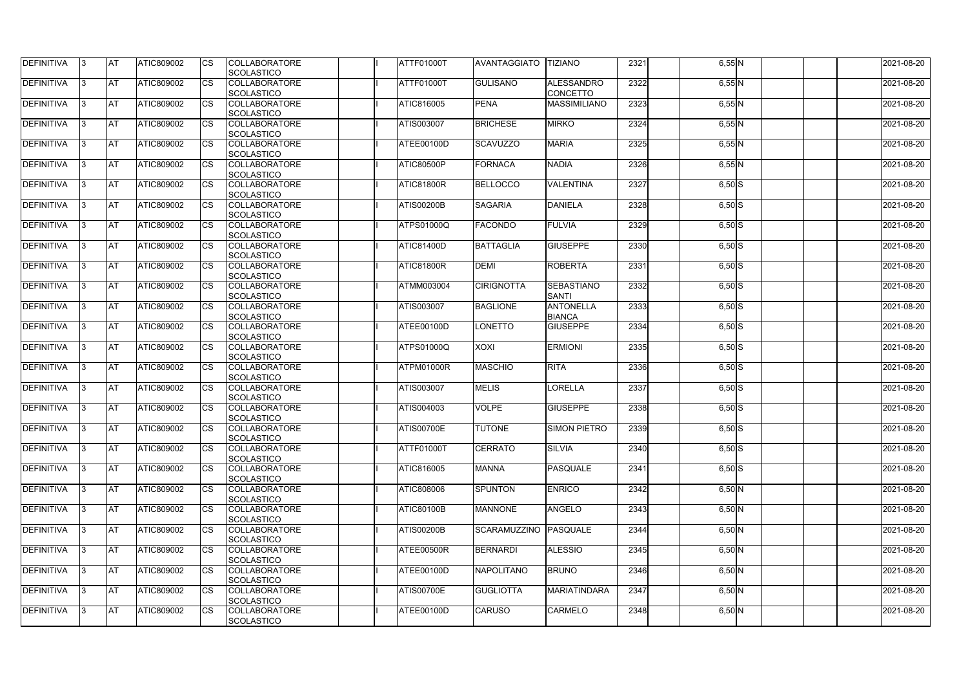| DEFINITIVA        | 13. | <b>JAT</b> | ATIC809002        | Ics                    | <b>COLLABORATORE</b> | ATTF01000T        | <b>AVANTAGGIATO</b>   | <b>TIZIANO</b>      | 2321 | $6,55$ N | 2021-08-20 |
|-------------------|-----|------------|-------------------|------------------------|----------------------|-------------------|-----------------------|---------------------|------|----------|------------|
|                   |     |            |                   |                        | <b>SCOLASTICO</b>    |                   |                       |                     |      |          |            |
| <b>DEFINITIVA</b> | l3  | <b>AT</b>  | ATIC809002        | Ics                    | <b>COLLABORATORE</b> | ATTF01000T        | <b>GULISANO</b>       | <b>ALESSANDRO</b>   | 2322 | $6,55$ N | 2021-08-20 |
|                   |     |            |                   |                        | <b>SCOLASTICO</b>    |                   |                       | <b>CONCETTO</b>     |      |          |            |
| DEFINITIVA        | l3  | <b>AT</b>  | ATIC809002        | <b>CS</b>              | <b>COLLABORATORE</b> | ATIC816005        | <b>PENA</b>           | <b>MASSIMILIANO</b> | 2323 | $6,55$ N | 2021-08-20 |
|                   |     |            |                   |                        | <b>SCOLASTICO</b>    |                   |                       |                     |      |          |            |
| DEFINITIVA        |     | <b>AT</b>  | ATIC809002        | Ics                    | <b>COLLABORATORE</b> | ATIS003007        | <b>BRICHESE</b>       | <b>MIRKO</b>        | 2324 | $6,55$ N | 2021-08-20 |
|                   |     |            |                   |                        | <b>SCOLASTICO</b>    |                   |                       |                     |      |          |            |
| DEFINITIVA        |     | <b>AT</b>  | <b>ATIC809002</b> | <b>CS</b>              | <b>COLLABORATORE</b> | ATEE00100D        | <b>SCAVUZZO</b>       | <b>MARIA</b>        | 2325 | $6,55$ N | 2021-08-20 |
|                   |     |            |                   |                        | <b>SCOLASTICO</b>    |                   |                       |                     |      |          |            |
| <b>DEFINITIVA</b> |     | AT         | <b>ATIC809002</b> | <b>ICS</b>             | <b>COLLABORATORE</b> | <b>ATIC80500P</b> | <b>FORNACA</b>        | <b>NADIA</b>        | 2326 |          | 2021-08-20 |
|                   |     |            |                   |                        |                      |                   |                       |                     |      | $6,55$ N |            |
|                   |     |            |                   |                        | <b>SCOLASTICO</b>    |                   |                       |                     |      |          |            |
| DEFINITIVA        |     | <b>AT</b>  | ATIC809002        | Ics                    | <b>COLLABORATORE</b> | <b>ATIC81800R</b> | <b>BELLOCCO</b>       | <b>VALENTINA</b>    | 2327 | $6,50$ S | 2021-08-20 |
|                   |     |            |                   |                        | <b>SCOLASTICO</b>    |                   |                       |                     |      |          |            |
| <b>DEFINITIVA</b> | ıз  | <b>AT</b>  | ATIC809002        | Ics                    | <b>COLLABORATORE</b> | <b>ATIS00200B</b> | <b>SAGARIA</b>        | <b>DANIELA</b>      | 2328 | $6,50$ S | 2021-08-20 |
|                   |     |            |                   |                        | <b>SCOLASTICO</b>    |                   |                       |                     |      |          |            |
| DEFINITIVA        | I3  | <b>AT</b>  | ATIC809002        | <b>CS</b>              | <b>COLLABORATORE</b> | ATPS01000Q        | <b>FACONDO</b>        | <b>FULVIA</b>       | 2329 | $6,50$ S | 2021-08-20 |
|                   |     |            |                   |                        | <b>SCOLASTICO</b>    |                   |                       |                     |      |          |            |
| <b>DEFINITIVA</b> |     | <b>AT</b>  | ATIC809002        | <b>CS</b>              | <b>COLLABORATORE</b> | <b>ATIC81400D</b> | <b>BATTAGLIA</b>      | <b>GIUSEPPE</b>     | 2330 | $6,50$ S | 2021-08-20 |
|                   |     |            |                   |                        | <b>SCOLASTICO</b>    |                   |                       |                     |      |          |            |
| <b>DEFINITIVA</b> |     | AT         | ATIC809002        | $\overline{\text{cs}}$ | <b>COLLABORATORE</b> | <b>ATIC81800R</b> | <b>DEMI</b>           | <b>ROBERTA</b>      | 2331 | $6,50$ S | 2021-08-20 |
|                   |     |            |                   |                        | <b>SCOLASTICO</b>    |                   |                       |                     |      |          |            |
| DEFINITIVA        | I3  | <b>AT</b>  | ATIC809002        |                        | <b>COLLABORATORE</b> | ATMM003004        | <b>CIRIGNOTTA</b>     | SEBASTIANO          | 2332 | $6,50$ S | 2021-08-20 |
|                   |     |            |                   |                        |                      |                   |                       |                     |      |          |            |
|                   |     |            |                   |                        | <b>SCOLASTICO</b>    |                   |                       | <b>SANTI</b>        |      |          |            |
| <b>DEFINITIVA</b> |     | <b>JAT</b> | ATIC809002        |                        | <b>COLLABORATORE</b> | ATIS003007        | <b>BAGLIONE</b>       | <b>ANTONELLA</b>    | 2333 | $6,50$ S | 2021-08-20 |
|                   |     |            |                   |                        | <b>SCOLASTICO</b>    |                   |                       | <b>BIANCA</b>       |      |          |            |
| <b>DEFINITIVA</b> |     | <b>AT</b>  | ATIC809002        | Ics                    | <b>COLLABORATORE</b> | ATEE00100D        | LONETTO               | <b>GIUSEPPE</b>     | 2334 | $6,50$ S | 2021-08-20 |
|                   |     |            |                   |                        | <b>SCOLASTICO</b>    |                   |                       |                     |      |          |            |
| DEFINITIVA        | l3  | <b>AT</b>  | ATIC809002        | Ics                    | <b>COLLABORATORE</b> | ATPS01000Q        | <b>XOXI</b>           | <b>ERMIONI</b>      | 2335 | $6,50$ S | 2021-08-20 |
|                   |     |            |                   |                        | <b>SCOLASTICO</b>    |                   |                       |                     |      |          |            |
| DEFINITIVA        |     | <b>AT</b>  | ATIC809002        | Ics                    | <b>COLLABORATORE</b> | ATPM01000R        | <b>MASCHIO</b>        | <b>RITA</b>         | 2336 | $6,50$ S | 2021-08-20 |
|                   |     |            |                   |                        | <b>SCOLASTICO</b>    |                   |                       |                     |      |          |            |
| DEFINITIVA        |     | <b>AT</b>  | ATIC809002        | <b>CS</b>              | <b>COLLABORATORE</b> | ATIS003007        | <b>MELIS</b>          | <b>LORELLA</b>      | 2337 | $6,50$ S | 2021-08-20 |
|                   |     |            |                   |                        | <b>SCOLASTICO</b>    |                   |                       |                     |      |          |            |
| <b>DEFINITIVA</b> |     | <b>AT</b>  | ATIC809002        | <b>CS</b>              | <b>COLLABORATORE</b> | ATIS004003        | <b>VOLPE</b>          | <b>GIUSEPPE</b>     | 2338 | $6,50$ S | 2021-08-20 |
|                   |     |            |                   |                        | <b>SCOLASTICO</b>    |                   |                       |                     |      |          |            |
|                   |     | <b>AT</b>  |                   |                        | <b>COLLABORATORE</b> | <b>ATIS00700E</b> | <b>TUTONE</b>         |                     |      |          |            |
| <b>DEFINITIVA</b> | 13. |            | ATIC809002        |                        |                      |                   |                       | <b>SIMON PIETRO</b> | 2339 | $6,50$ S | 2021-08-20 |
|                   |     |            |                   |                        | <b>SCOLASTICO</b>    |                   |                       |                     |      |          |            |
| <b>DEFINITIVA</b> | 13  | AT         | <b>ATIC809002</b> | Ics                    | <b>COLLABORATORE</b> | <b>ATTF01000T</b> | <b>CERRATO</b>        | <b>SILVIA</b>       | 2340 | $6,50$ S | 2021-08-20 |
|                   |     |            |                   |                        | <b>SCOLASTICO</b>    |                   |                       |                     |      |          |            |
| <b>DEFINITIVA</b> | l3  | <b>AT</b>  | ATIC809002        | Ics                    | <b>COLLABORATORE</b> | ATIC816005        | <b>MANNA</b>          | PASQUALE            | 2341 | $6,50$ S | 2021-08-20 |
|                   |     |            |                   |                        | <b>SCOLASTICO</b>    |                   |                       |                     |      |          |            |
| DEFINITIVA        | I3  | <b>AT</b>  | ATIC809002        | Ics                    | <b>COLLABORATORE</b> | ATIC808006        | <b>SPUNTON</b>        | <b>ENRICO</b>       | 2342 | $6,50$ N | 2021-08-20 |
|                   |     |            |                   |                        | <b>SCOLASTICO</b>    |                   |                       |                     |      |          |            |
| <b>DEFINITIVA</b> |     | <b>AT</b>  | ATIC809002        | Ics                    | <b>COLLABORATORE</b> | <b>ATIC80100B</b> | <b>MANNONE</b>        | <b>ANGELO</b>       | 2343 | $6,50$ N | 2021-08-20 |
|                   |     |            |                   |                        | <b>SCOLASTICO</b>    |                   |                       |                     |      |          |            |
| <b>DEFINITIVA</b> |     | <b>AT</b>  | ATIC809002        | Ics                    | <b>COLLABORATORE</b> | <b>ATIS00200B</b> | SCARAMUZZINO PASQUALE |                     | 2344 | $6,50$ N | 2021-08-20 |
|                   |     |            |                   |                        | <b>SCOLASTICO</b>    |                   |                       |                     |      |          |            |
| <b>DEFINITIVA</b> | ıз  | <b>AT</b>  | <b>ATIC809002</b> |                        | <b>COLLABORATORE</b> | ATEE00500R        | <b>BERNARDI</b>       | <b>ALESSIO</b>      | 2345 | $6,50$ N | 2021-08-20 |
|                   |     |            |                   |                        |                      |                   |                       |                     |      |          |            |
|                   |     |            |                   |                        | <b>SCOLASTICO</b>    |                   |                       |                     |      |          |            |
| <b>DEFINITIVA</b> | ıз  | <b>AT</b>  | ATIC809002        | Ics                    | <b>COLLABORATORE</b> | ATEE00100D        | <b>NAPOLITANO</b>     | <b>BRUNO</b>        | 2346 | $6,50$ N | 2021-08-20 |
|                   |     |            |                   |                        | <b>SCOLASTICO</b>    |                   |                       |                     |      |          |            |
| <b>DEFINITIVA</b> | ıз  | <b>AT</b>  | <b>ATIC809002</b> | <b>ICS</b>             | <b>COLLABORATORE</b> | <b>ATIS00700E</b> | <b>GUGLIOTTA</b>      | MARIATINDARA        | 2347 | $6,50$ N | 2021-08-20 |
|                   |     |            |                   |                        | <b>SCOLASTICO</b>    |                   |                       |                     |      |          |            |
| <b>DEFINITIVA</b> | I3  | <b>AT</b>  | ATIC809002        | Ics                    | <b>COLLABORATORE</b> | ATEE00100D        | <b>CARUSO</b>         | <b>CARMELO</b>      | 2348 | $6,50$ N | 2021-08-20 |
|                   |     |            |                   |                        | SCOLASTICO           |                   |                       |                     |      |          |            |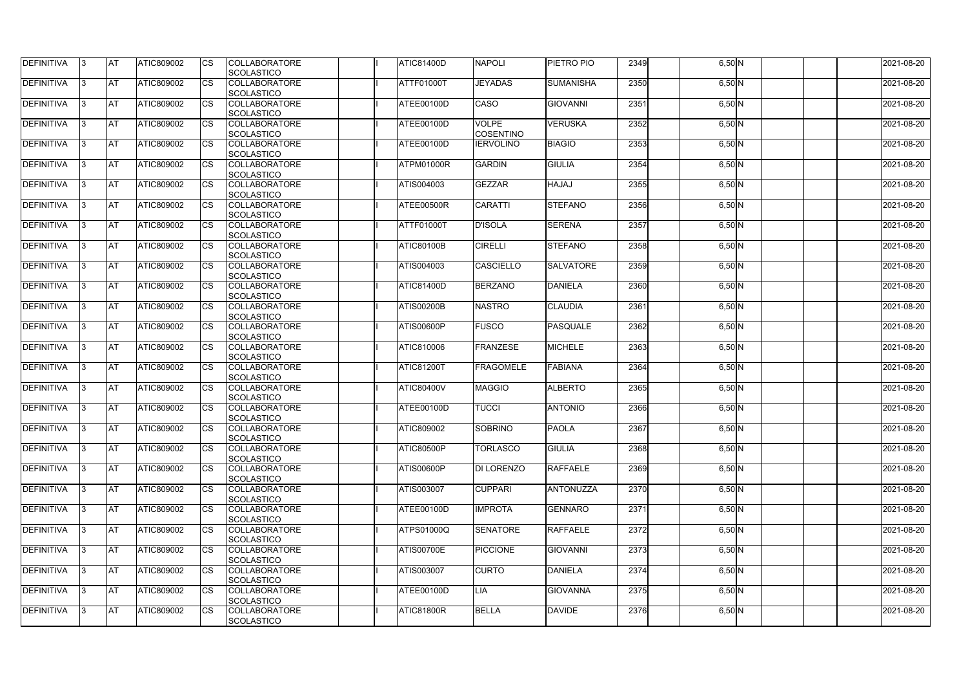| DEFINITIVA        | 13. | <b>JAT</b> | ATIC809002        | Ics        | <b>COLLABORATORE</b> | <b>ATIC81400D</b> | <b>NAPOLI</b>     | <b>PIETRO PIO</b> | 2349 | $6,50$ N | 2021-08-20 |
|-------------------|-----|------------|-------------------|------------|----------------------|-------------------|-------------------|-------------------|------|----------|------------|
|                   |     |            |                   |            | <b>SCOLASTICO</b>    |                   |                   |                   |      |          |            |
| <b>DEFINITIVA</b> | l3  | <b>AT</b>  | ATIC809002        | Ics        | <b>COLLABORATORE</b> | ATTF01000T        | <b>JEYADAS</b>    | <b>SUMANISHA</b>  | 2350 | $6,50$ N | 2021-08-20 |
|                   |     |            |                   |            | <b>SCOLASTICO</b>    |                   |                   |                   |      |          |            |
| DEFINITIVA        | l3  | <b>AT</b>  | ATIC809002        | <b>CS</b>  | <b>COLLABORATORE</b> | ATEE00100D        | <b>CASO</b>       | <b>GIOVANNI</b>   | 2351 | $6,50$ N | 2021-08-20 |
|                   |     |            |                   |            | <b>SCOLASTICO</b>    |                   |                   |                   |      |          |            |
| DEFINITIVA        |     | <b>AT</b>  | ATIC809002        | Ics        | <b>COLLABORATORE</b> | ATEE00100D        | <b>VOLPE</b>      | <b>VERUSKA</b>    | 2352 | $6,50$ N | 2021-08-20 |
|                   |     |            |                   |            | <b>SCOLASTICO</b>    |                   | <b>COSENTINO</b>  |                   |      |          |            |
| DEFINITIVA        |     | <b>AT</b>  | <b>ATIC809002</b> | <b>CS</b>  | <b>COLLABORATORE</b> | ATEE00100D        | <b>IERVOLINO</b>  | <b>BIAGIO</b>     | 2353 | $6,50$ N | 2021-08-20 |
|                   |     |            |                   |            | <b>SCOLASTICO</b>    |                   |                   |                   |      |          |            |
| <b>DEFINITIVA</b> |     | AT         | <b>ATIC809002</b> | <b>ICS</b> | <b>COLLABORATORE</b> | ATPM01000R        | <b>GARDIN</b>     | <b>GIULIA</b>     | 2354 |          | 2021-08-20 |
|                   |     |            |                   |            |                      |                   |                   |                   |      | $6,50$ N |            |
|                   |     |            |                   |            | <b>SCOLASTICO</b>    |                   |                   |                   |      |          |            |
| DEFINITIVA        |     | <b>AT</b>  | ATIC809002        | Ics        | <b>COLLABORATORE</b> | ATIS004003        | <b>GEZZAR</b>     | <b>HAJAJ</b>      | 2355 | $6,50$ N | 2021-08-20 |
|                   |     |            |                   |            | <b>SCOLASTICO</b>    |                   |                   |                   |      |          |            |
| <b>DEFINITIVA</b> | ıз  | <b>AT</b>  | ATIC809002        | Ics        | <b>COLLABORATORE</b> | ATEE00500R        | <b>CARATTI</b>    | <b>STEFANO</b>    | 2356 | $6,50$ N | 2021-08-20 |
|                   |     |            |                   |            | <b>SCOLASTICO</b>    |                   |                   |                   |      |          |            |
| DEFINITIVA        | I3  | <b>AT</b>  | ATIC809002        | <b>CS</b>  | <b>COLLABORATORE</b> | <b>ATTF01000T</b> | <b>D'ISOLA</b>    | <b>SERENA</b>     | 2357 | $6,50$ N | 2021-08-20 |
|                   |     |            |                   |            | <b>SCOLASTICO</b>    |                   |                   |                   |      |          |            |
| <b>DEFINITIVA</b> |     | <b>AT</b>  | ATIC809002        | <b>CS</b>  | <b>COLLABORATORE</b> | <b>ATIC80100B</b> | <b>CIRELLI</b>    | <b>STEFANO</b>    | 2358 | $6,50$ N | 2021-08-20 |
|                   |     |            |                   |            | <b>SCOLASTICO</b>    |                   |                   |                   |      |          |            |
| <b>DEFINITIVA</b> |     | AT         | ATIC809002        | <b>CS</b>  | <b>COLLABORATORE</b> | ATIS004003        | <b>CASCIELLO</b>  | <b>SALVATORE</b>  | 2359 | $6,50$ N | 2021-08-20 |
|                   |     |            |                   |            | <b>SCOLASTICO</b>    |                   |                   |                   |      |          |            |
| DEFINITIVA        | I3  | <b>AT</b>  | ATIC809002        |            | <b>COLLABORATORE</b> | <b>ATIC81400D</b> | <b>BERZANO</b>    | <b>DANIELA</b>    | 2360 | $6,50$ N | 2021-08-20 |
|                   |     |            |                   |            |                      |                   |                   |                   |      |          |            |
|                   |     |            |                   |            | <b>SCOLASTICO</b>    |                   |                   |                   |      |          |            |
| <b>DEFINITIVA</b> |     | <b>JAT</b> | ATIC809002        |            | <b>COLLABORATORE</b> | <b>ATIS00200B</b> | <b>NASTRO</b>     | <b>CLAUDIA</b>    | 2361 | $6,50$ N | 2021-08-20 |
|                   |     |            |                   |            | <b>SCOLASTICO</b>    |                   |                   |                   |      |          |            |
| <b>DEFINITIVA</b> |     | <b>AT</b>  | ATIC809002        | Ics        | <b>COLLABORATORE</b> | <b>ATIS00600P</b> | <b>FUSCO</b>      | <b>PASQUALE</b>   | 2362 | $6,50$ N | 2021-08-20 |
|                   |     |            |                   |            | <b>SCOLASTICO</b>    |                   |                   |                   |      |          |            |
| DEFINITIVA        | l3  | <b>AT</b>  | <b>ATIC809002</b> | Ics        | <b>COLLABORATORE</b> | ATIC810006        | <b>FRANZESE</b>   | <b>MICHELE</b>    | 2363 | $6,50$ N | 2021-08-20 |
|                   |     |            |                   |            | <b>SCOLASTICO</b>    |                   |                   |                   |      |          |            |
| DEFINITIVA        |     | <b>AT</b>  | ATIC809002        | Ics        | <b>COLLABORATORE</b> | <b>ATIC81200T</b> | <b>FRAGOMELE</b>  | <b>FABIANA</b>    | 2364 | $6,50$ N | 2021-08-20 |
|                   |     |            |                   |            | <b>SCOLASTICO</b>    |                   |                   |                   |      |          |            |
| DEFINITIVA        |     | <b>AT</b>  | ATIC809002        | <b>CS</b>  | <b>COLLABORATORE</b> | <b>ATIC80400V</b> | <b>MAGGIO</b>     | <b>ALBERTO</b>    | 2365 | $6,50$ N | 2021-08-20 |
|                   |     |            |                   |            | <b>SCOLASTICO</b>    |                   |                   |                   |      |          |            |
| <b>DEFINITIVA</b> |     | <b>AT</b>  | ATIC809002        | <b>CS</b>  | <b>COLLABORATORE</b> | ATEE00100D        | <b>TUCCI</b>      | <b>ANTONIO</b>    | 2366 | $6,50$ N | 2021-08-20 |
|                   |     |            |                   |            | <b>SCOLASTICO</b>    |                   |                   |                   |      |          |            |
|                   |     | <b>AT</b>  |                   |            |                      |                   | SOBRINO           | <b>PAOLA</b>      |      |          |            |
| <b>DEFINITIVA</b> | 13. |            | ATIC809002        |            | <b>COLLABORATORE</b> | ATIC809002        |                   |                   | 2367 | $6,50$ N | 2021-08-20 |
|                   |     |            |                   |            | <b>SCOLASTICO</b>    |                   |                   |                   |      |          |            |
| <b>DEFINITIVA</b> | 13  | AT         | <b>ATIC809002</b> | Ics        | <b>COLLABORATORE</b> | <b>ATIC80500P</b> | <b>TORLASCO</b>   | <b>GIULIA</b>     | 2368 | $6,50$ N | 2021-08-20 |
|                   |     |            |                   |            | <b>SCOLASTICO</b>    |                   |                   |                   |      |          |            |
| <b>DEFINITIVA</b> | l3  | <b>AT</b>  | ATIC809002        | Ics        | <b>COLLABORATORE</b> | <b>ATIS00600P</b> | <b>DI LORENZO</b> | <b>RAFFAELE</b>   | 2369 | $6,50$ N | 2021-08-20 |
|                   |     |            |                   |            | <b>SCOLASTICO</b>    |                   |                   |                   |      |          |            |
| DEFINITIVA        | I3  | <b>AT</b>  | ATIC809002        | Ics        | <b>COLLABORATORE</b> | ATIS003007        | <b>CUPPARI</b>    | ANTONUZZA         | 2370 | $6,50$ N | 2021-08-20 |
|                   |     |            |                   |            | <b>SCOLASTICO</b>    |                   |                   |                   |      |          |            |
| DEFINITIVA        |     | <b>AT</b>  | ATIC809002        | Ics        | <b>COLLABORATORE</b> | ATEE00100D        | <b>IMPROTA</b>    | <b>GENNARO</b>    | 2371 | $6,50$ N | 2021-08-20 |
|                   |     |            |                   |            | <b>SCOLASTICO</b>    |                   |                   |                   |      |          |            |
| <b>DEFINITIVA</b> |     | <b>AT</b>  | ATIC809002        | Ics        | <b>COLLABORATORE</b> | ATPS01000Q        | <b>SENATORE</b>   | <b>RAFFAELE</b>   | 2372 | $6,50$ N | 2021-08-20 |
|                   |     |            |                   |            | <b>SCOLASTICO</b>    |                   |                   |                   |      |          |            |
| <b>DEFINITIVA</b> | ıз  | <b>AT</b>  | <b>ATIC809002</b> |            | <b>COLLABORATORE</b> | <b>ATIS00700E</b> | <b>PICCIONE</b>   | <b>GIOVANNI</b>   | 2373 | $6,50$ N | 2021-08-20 |
|                   |     |            |                   |            |                      |                   |                   |                   |      |          |            |
|                   |     |            |                   |            | <b>SCOLASTICO</b>    |                   |                   |                   |      |          |            |
| <b>DEFINITIVA</b> | ıз  | <b>AT</b>  | ATIC809002        | Ics        | <b>COLLABORATORE</b> | ATIS003007        | <b>CURTO</b>      | <b>DANIELA</b>    | 2374 | $6,50$ N | 2021-08-20 |
|                   |     |            |                   |            | <b>SCOLASTICO</b>    |                   |                   |                   |      |          |            |
| <b>DEFINITIVA</b> | ıз  | <b>AT</b>  | <b>ATIC809002</b> | <b>ICS</b> | <b>COLLABORATORE</b> | ATEE00100D        | LIA               | <b>GIOVANNA</b>   | 2375 | $6,50$ N | 2021-08-20 |
|                   |     |            |                   |            | <b>SCOLASTICO</b>    |                   |                   |                   |      |          |            |
| <b>DEFINITIVA</b> | I3  | <b>AT</b>  | ATIC809002        | Ics        | <b>COLLABORATORE</b> | ATIC81800R        | <b>BELLA</b>      | <b>DAVIDE</b>     | 2376 | $6,50$ N | 2021-08-20 |
|                   |     |            |                   |            | SCOLASTICO           |                   |                   |                   |      |          |            |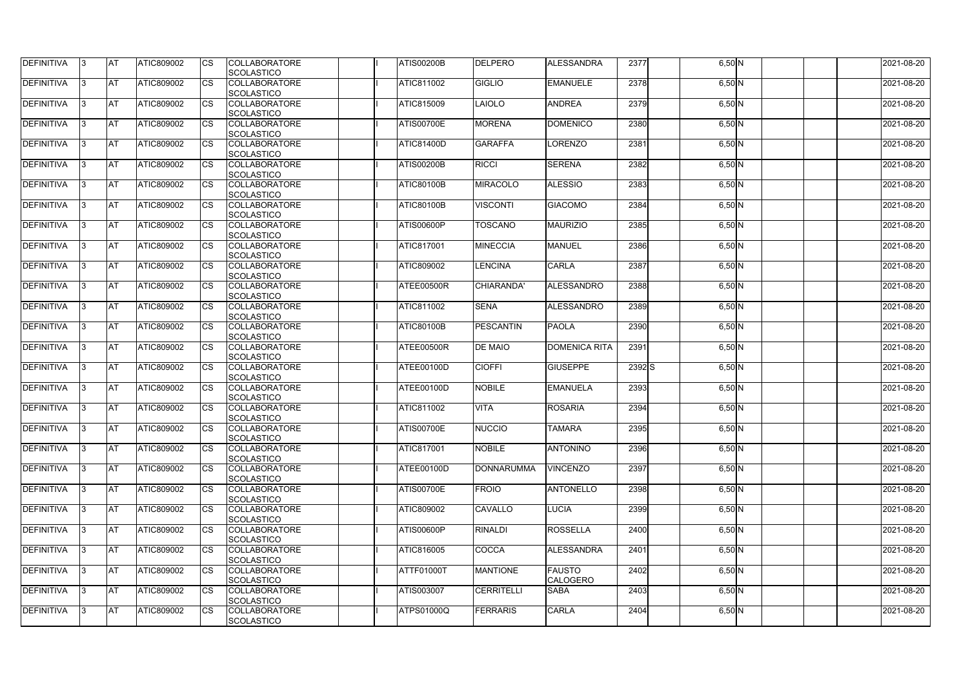| DEFINITIVA        | 13. | <b>JAT</b> | ATIC809002        | Ics        | <b>COLLABORATORE</b> | <b>ATIS00200B</b> | <b>DELPERO</b>    | <b>ALESSANDRA</b>    | 2377  | $6,50$ N  | 2021-08-20 |
|-------------------|-----|------------|-------------------|------------|----------------------|-------------------|-------------------|----------------------|-------|-----------|------------|
|                   |     |            |                   |            | <b>SCOLASTICO</b>    |                   |                   |                      |       |           |            |
| <b>DEFINITIVA</b> | l3  | <b>AT</b>  | ATIC809002        | Ics        | <b>COLLABORATORE</b> | ATIC811002        | <b>GIGLIO</b>     | <b>EMANUELE</b>      | 2378  | $6,50$ N  | 2021-08-20 |
|                   |     |            |                   |            | <b>SCOLASTICO</b>    |                   |                   |                      |       |           |            |
| DEFINITIVA        | l3  | <b>AT</b>  | ATIC809002        | <b>CS</b>  | <b>COLLABORATORE</b> | ATIC815009        | <b>LAIOLO</b>     | <b>ANDREA</b>        | 2379  | $6,50$ N  | 2021-08-20 |
|                   |     |            |                   |            | <b>SCOLASTICO</b>    |                   |                   |                      |       |           |            |
| DEFINITIVA        |     | <b>AT</b>  | ATIC809002        | Ics        | <b>COLLABORATORE</b> | <b>ATIS00700E</b> | <b>MORENA</b>     | <b>DOMENICO</b>      | 2380  | $6,50$ N  | 2021-08-20 |
|                   |     |            |                   |            | <b>SCOLASTICO</b>    |                   |                   |                      |       |           |            |
| DEFINITIVA        |     | <b>AT</b>  | <b>ATIC809002</b> | <b>CS</b>  | <b>COLLABORATORE</b> | <b>ATIC81400D</b> | <b>GARAFFA</b>    | LORENZO              | 2381  | $6,50$ N  | 2021-08-20 |
|                   |     |            |                   |            | <b>SCOLASTICO</b>    |                   |                   |                      |       |           |            |
| <b>DEFINITIVA</b> |     | AT         | <b>ATIC809002</b> | Ics        | <b>COLLABORATORE</b> | <b>ATIS00200B</b> | <b>RICCI</b>      | <b>SERENA</b>        | 2382  |           | 2021-08-20 |
|                   |     |            |                   |            |                      |                   |                   |                      |       | $6,50\,N$ |            |
|                   |     |            |                   |            | <b>SCOLASTICO</b>    |                   |                   |                      |       |           |            |
| DEFINITIVA        |     | <b>AT</b>  | ATIC809002        | Ics        | <b>COLLABORATORE</b> | <b>ATIC80100B</b> | <b>MIRACOLO</b>   | <b>ALESSIO</b>       | 2383  | $6,50$ N  | 2021-08-20 |
|                   |     |            |                   |            | <b>SCOLASTICO</b>    |                   |                   |                      |       |           |            |
| <b>DEFINITIVA</b> | ıз  | <b>AT</b>  | ATIC809002        | Ics        | <b>COLLABORATORE</b> | <b>ATIC80100B</b> | <b>VISCONTI</b>   | <b>GIACOMO</b>       | 2384  | $6,50$ N  | 2021-08-20 |
|                   |     |            |                   |            | <b>SCOLASTICO</b>    |                   |                   |                      |       |           |            |
| DEFINITIVA        | I3  | <b>JAT</b> | ATIC809002        | <b>CS</b>  | <b>COLLABORATORE</b> | <b>ATIS00600P</b> | <b>TOSCANO</b>    | <b>MAURIZIO</b>      | 2385  | $6,50$ N  | 2021-08-20 |
|                   |     |            |                   |            | <b>SCOLASTICO</b>    |                   |                   |                      |       |           |            |
| <b>DEFINITIVA</b> |     | <b>AT</b>  | ATIC809002        | <b>CS</b>  | <b>COLLABORATORE</b> | <b>ATIC817001</b> | <b>MINECCIA</b>   | MANUEL               | 2386  | $6,50$ N  | 2021-08-20 |
|                   |     |            |                   |            | <b>SCOLASTICO</b>    |                   |                   |                      |       |           |            |
| <b>DEFINITIVA</b> |     | AT         | ATIC809002        | <b>CS</b>  | <b>COLLABORATORE</b> | ATIC809002        | <b>LENCINA</b>    | <b>CARLA</b>         | 2387  | $6,50$ N  | 2021-08-20 |
|                   |     |            |                   |            | <b>SCOLASTICO</b>    |                   |                   |                      |       |           |            |
| DEFINITIVA        | I3  | <b>AT</b>  | ATIC809002        |            | <b>COLLABORATORE</b> | ATEE00500R        | CHIARANDA'        | ALESSANDRO           | 2388  | $6,50$ N  | 2021-08-20 |
|                   |     |            |                   |            |                      |                   |                   |                      |       |           |            |
|                   |     |            |                   |            | <b>SCOLASTICO</b>    |                   |                   |                      |       |           |            |
| <b>DEFINITIVA</b> |     | <b>JAT</b> | ATIC809002        |            | <b>COLLABORATORE</b> | ATIC811002        | <b>SENA</b>       | <b>ALESSANDRO</b>    | 2389  | $6,50$ N  | 2021-08-20 |
|                   |     |            |                   |            | <b>SCOLASTICO</b>    |                   |                   |                      |       |           |            |
| <b>DEFINITIVA</b> |     | <b>AT</b>  | ATIC809002        | Ics        | <b>COLLABORATORE</b> | <b>ATIC80100B</b> | <b>PESCANTIN</b>  | <b>PAOLA</b>         | 2390  | $6,50$ N  | 2021-08-20 |
|                   |     |            |                   |            | <b>SCOLASTICO</b>    |                   |                   |                      |       |           |            |
| DEFINITIVA        | l3  | <b>AT</b>  | <b>ATIC809002</b> | Ics        | <b>COLLABORATORE</b> | ATEE00500R        | <b>DE MAIO</b>    | <b>DOMENICA RITA</b> | 2391  | $6,50$ N  | 2021-08-20 |
|                   |     |            |                   |            | <b>SCOLASTICO</b>    |                   |                   |                      |       |           |            |
| DEFINITIVA        |     | <b>AT</b>  | ATIC809002        | <b>CS</b>  | <b>COLLABORATORE</b> | ATEE00100D        | <b>CIOFFI</b>     | <b>GIUSEPPE</b>      | 2392S | $6,50$ N  | 2021-08-20 |
|                   |     |            |                   |            | <b>SCOLASTICO</b>    |                   |                   |                      |       |           |            |
| DEFINITIVA        |     | AT         | ATIC809002        | <b>CS</b>  | <b>COLLABORATORE</b> | ATEE00100D        | <b>NOBILE</b>     | <b>EMANUELA</b>      | 2393  | $6,50$ N  | 2021-08-20 |
|                   |     |            |                   |            | <b>SCOLASTICO</b>    |                   |                   |                      |       |           |            |
| <b>DEFINITIVA</b> |     | <b>AT</b>  | ATIC809002        | <b>CS</b>  | <b>COLLABORATORE</b> | ATIC811002        | <b>VITA</b>       | <b>ROSARIA</b>       | 2394  | $6,50$ N  | 2021-08-20 |
|                   |     |            |                   |            | <b>SCOLASTICO</b>    |                   |                   |                      |       |           |            |
|                   |     | <b>AT</b>  |                   |            |                      | <b>ATIS00700E</b> | <b>NUCCIO</b>     | <b>TAMARA</b>        |       |           |            |
| <b>DEFINITIVA</b> | 13. |            | ATIC809002        |            | <b>COLLABORATORE</b> |                   |                   |                      | 2395  | $6,50$ N  | 2021-08-20 |
|                   |     |            |                   |            | <b>SCOLASTICO</b>    |                   |                   |                      |       |           |            |
| <b>DEFINITIVA</b> | IЗ  | AT         | <b>ATIC809002</b> | Ics        | <b>COLLABORATORE</b> | ATIC817001        | <b>NOBILE</b>     | <b>ANTONINO</b>      | 2396  | $6,50$ N  | 2021-08-20 |
|                   |     |            |                   |            | <b>SCOLASTICO</b>    |                   |                   |                      |       |           |            |
| <b>DEFINITIVA</b> | l3  | <b>AT</b>  | ATIC809002        | Ics        | <b>COLLABORATORE</b> | ATEE00100D        | <b>DONNARUMMA</b> | <b>VINCENZO</b>      | 2397  | $6,50$ N  | 2021-08-20 |
|                   |     |            |                   |            | <b>SCOLASTICO</b>    |                   |                   |                      |       |           |            |
| DEFINITIVA        | I3  | <b>AT</b>  | ATIC809002        | Ics        | <b>COLLABORATORE</b> | <b>ATIS00700E</b> | <b>FROIO</b>      | <b>ANTONELLO</b>     | 2398  | $6,50$ N  | 2021-08-20 |
|                   |     |            |                   |            | <b>SCOLASTICO</b>    |                   |                   |                      |       |           |            |
| DEFINITIVA        |     | <b>AT</b>  | ATIC809002        | Ics        | <b>COLLABORATORE</b> | <b>ATIC809002</b> | CAVALLO           | <b>LUCIA</b>         | 2399  | $6,50\,N$ | 2021-08-20 |
|                   |     |            |                   |            | <b>SCOLASTICO</b>    |                   |                   |                      |       |           |            |
| <b>DEFINITIVA</b> |     | <b>AT</b>  | ATIC809002        | Ics        | <b>COLLABORATORE</b> | <b>ATIS00600P</b> | RINALDI           | <b>ROSSELLA</b>      | 2400  | $6,50$ N  | 2021-08-20 |
|                   |     |            |                   |            | <b>SCOLASTICO</b>    |                   |                   |                      |       |           |            |
| <b>DEFINITIVA</b> | ıз  | <b>AT</b>  | <b>ATIC809002</b> |            | <b>COLLABORATORE</b> | ATIC816005        | COCCA             | <b>ALESSANDRA</b>    | 2401  | $6,50$ N  | 2021-08-20 |
|                   |     |            |                   |            |                      |                   |                   |                      |       |           |            |
|                   |     |            |                   |            | <b>SCOLASTICO</b>    |                   |                   |                      |       |           |            |
| <b>DEFINITIVA</b> | ıз  | <b>AT</b>  | ATIC809002        | Ics        | <b>COLLABORATORE</b> | ATTF01000T        | <b>MANTIONE</b>   | <b>FAUSTO</b>        | 2402  | $6,50$ N  | 2021-08-20 |
|                   |     |            |                   |            | <b>SCOLASTICO</b>    |                   |                   | <b>CALOGERO</b>      |       |           |            |
| <b>DEFINITIVA</b> | IЗ  | <b>AT</b>  | ATIC809002        | <b>ICS</b> | <b>COLLABORATORE</b> | ATIS003007        | <b>CERRITELLI</b> | <b>SABA</b>          | 2403  | $6,50$ N  | 2021-08-20 |
|                   |     |            |                   |            | <b>SCOLASTICO</b>    |                   |                   |                      |       |           |            |
| <b>DEFINITIVA</b> | I3  | <b>AT</b>  | ATIC809002        | Ics        | <b>COLLABORATORE</b> | ATPS01000Q        | <b>FERRARIS</b>   | CARLA                | 2404  | $6,50$ N  | 2021-08-20 |
|                   |     |            |                   |            | SCOLASTICO           |                   |                   |                      |       |           |            |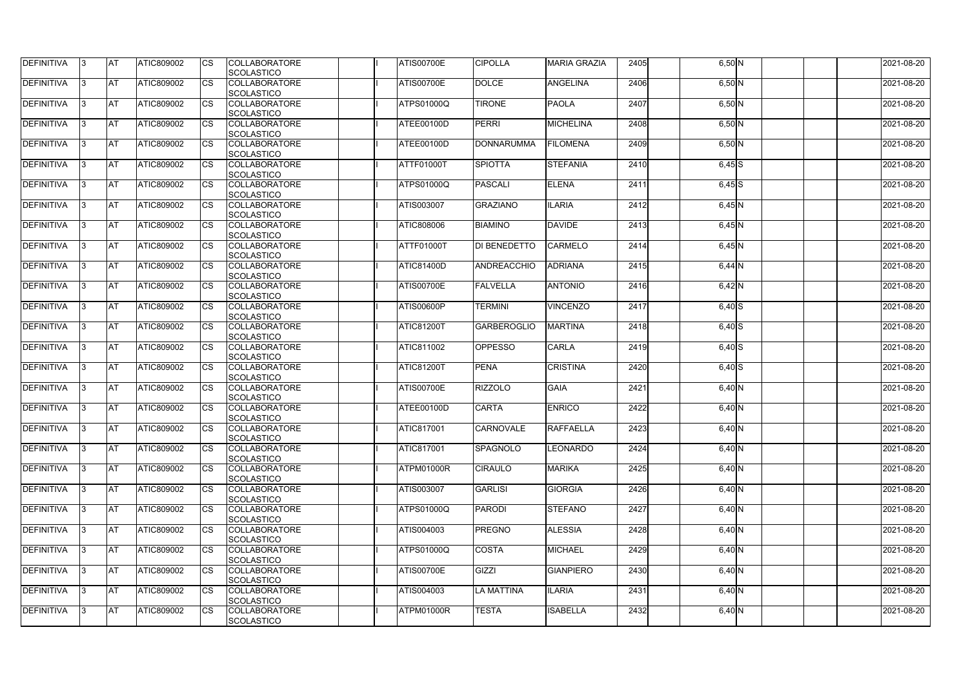| <b>DEFINITIVA</b> | 13  | <b>AT</b> | ATIC809002        | Ics                    | <b>COLLABORATORE</b><br><b>SCOLASTICO</b> | <b>ATIS00700E</b> | <b>CIPOLLA</b>     | <b>MARIA GRAZIA</b> | 2405 | $6,50$ N | 2021-08-20 |
|-------------------|-----|-----------|-------------------|------------------------|-------------------------------------------|-------------------|--------------------|---------------------|------|----------|------------|
| <b>DEFINITIVA</b> |     | <b>AT</b> | ATIC809002        | Ics                    | <b>COLLABORATORE</b><br><b>SCOLASTICO</b> | <b>ATIS00700E</b> | <b>DOLCE</b>       | <b>ANGELINA</b>     | 2406 | $6,50$ N | 2021-08-20 |
| DEFINITIVA        |     | <b>AT</b> | ATIC809002        | Ics                    | <b>COLLABORATORE</b><br><b>SCOLASTICO</b> | <b>ATPS01000Q</b> | <b>TIRONE</b>      | <b>PAOLA</b>        | 2407 | $6,50$ N | 2021-08-20 |
| DEFINITIVA        | IЗ  | <b>AT</b> | ATIC809002        | Ics                    | <b>COLLABORATORE</b><br><b>SCOLASTICO</b> | ATEE00100D        | <b>PERRI</b>       | <b>MICHELINA</b>    | 2408 | $6,50$ N | 2021-08-20 |
| DEFINITIVA        |     | <b>AT</b> | ATIC809002        | <b>CS</b>              | <b>COLLABORATORE</b><br><b>SCOLASTICO</b> | ATEE00100D        | <b>DONNARUMMA</b>  | <b>FILOMENA</b>     | 2409 | $6,50$ N | 2021-08-20 |
| <b>DEFINITIVA</b> |     | <b>AT</b> | ATIC809002        | Ics                    | <b>COLLABORATORE</b><br><b>SCOLASTICO</b> | ATTF01000T        | <b>SPIOTTA</b>     | <b>STEFANIA</b>     | 2410 | $6,45$ S | 2021-08-20 |
| DEFINITIVA        |     | <b>AT</b> | <b>ATIC809002</b> | Ics                    | <b>COLLABORATORE</b><br><b>SCOLASTICO</b> | <b>ATPS01000Q</b> | <b>PASCALI</b>     | <b>ELENA</b>        | 2411 | $6,45$ S | 2021-08-20 |
| <b>DEFINITIVA</b> |     | AT        | ATIC809002        | <b>CS</b>              | <b>COLLABORATORE</b><br><b>SCOLASTICO</b> | ATIS003007        | <b>GRAZIANO</b>    | <b>ILARIA</b>       | 2412 | $6,45$ N | 2021-08-20 |
| DEFINITIVA        |     | <b>AT</b> | ATIC809002        | Ics                    | <b>COLLABORATORE</b><br><b>SCOLASTICO</b> | ATIC808006        | <b>BIAMINO</b>     | <b>DAVIDE</b>       | 2413 | $6,45$ N | 2021-08-20 |
| DEFINITIVA        |     | <b>AT</b> | ATIC809002        | $\overline{\text{cs}}$ | <b>COLLABORATORE</b><br>SCOLASTICO        | ATTF01000T        | DI BENEDETTO       | <b>CARMELO</b>      | 2414 | $6,45$ N | 2021-08-20 |
| <b>DEFINITIVA</b> |     | <b>AT</b> | <b>ATIC809002</b> | <b>CS</b>              | <b>COLLABORATORE</b><br><b>SCOLASTICO</b> | <b>ATIC81400D</b> | ANDREACCHIO        | <b>ADRIANA</b>      | 2415 | $6,44$ N | 2021-08-20 |
| DEFINITIVA        |     | <b>AT</b> | ATIC809002        | <b>CS</b>              | <b>COLLABORATORE</b><br><b>SCOLASTICO</b> | <b>ATIS00700E</b> | <b>FALVELLA</b>    | <b>ANTONIO</b>      | 2416 | $6,42$ N | 2021-08-20 |
| <b>DEFINITIVA</b> |     | <b>AT</b> | ATIC809002        |                        | <b>COLLABORATORE</b><br><b>SCOLASTICO</b> | <b>ATIS00600P</b> | <b>TERMINI</b>     | <b>VINCENZO</b>     | 2417 | $6,40$ S | 2021-08-20 |
| <b>DEFINITIVA</b> |     | <b>AT</b> | ATIC809002        | Ics                    | <b>COLLABORATORE</b><br><b>SCOLASTICO</b> | <b>ATIC81200T</b> | <b>GARBEROGLIO</b> | <b>MARTINA</b>      | 2418 | $6,40$ S | 2021-08-20 |
| DEFINITIVA        |     | <b>AT</b> | ATIC809002        | <b>CS</b>              | <b>COLLABORATORE</b><br><b>SCOLASTICO</b> | ATIC811002        | <b>OPPESSO</b>     | <b>CARLA</b>        | 2419 | $6,40$ S | 2021-08-20 |
| DEFINITIVA        |     | <b>AT</b> | ATIC809002        | Ics                    | <b>COLLABORATORE</b><br><b>SCOLASTICO</b> | <b>ATIC81200T</b> | <b>PENA</b>        | <b>CRISTINA</b>     | 2420 | $6,40$ S | 2021-08-20 |
| <b>DEFINITIVA</b> |     | <b>AT</b> | ATIC809002        | <b>CS</b>              | <b>COLLABORATORE</b><br><b>SCOLASTICO</b> | <b>ATIS00700E</b> | <b>RIZZOLO</b>     | <b>GAIA</b>         | 2421 | 6,40 N   | 2021-08-20 |
| DEFINITIVA        |     | <b>AT</b> | ATIC809002        | <b>CS</b>              | <b>COLLABORATORE</b><br>SCOLASTICO        | ATEE00100D        | <b>CARTA</b>       | <b>ENRICO</b>       | 2422 | $6,40$ N | 2021-08-20 |
| <b>DEFINITIVA</b> | 13. | <b>AT</b> | ATIC809002        |                        | <b>COLLABORATORE</b><br><b>SCOLASTICO</b> | <b>ATIC817001</b> | <b>CARNOVALE</b>   | <b>RAFFAELLA</b>    | 2423 | $6,40$ N | 2021-08-20 |
| DEFINITIVA        | IЗ  | <b>AT</b> | <b>ATIC809002</b> | Ics                    | <b>COLLABORATORE</b><br><b>SCOLASTICO</b> | <b>ATIC817001</b> | SPAGNOLO           | <b>LEONARDO</b>     | 2424 | $6,40$ N | 2021-08-20 |
| <b>DEFINITIVA</b> | I3  | <b>AT</b> | ATIC809002        | Ics                    | <b>COLLABORATORE</b><br><b>SCOLASTICO</b> | ATPM01000R        | <b>CIRAULO</b>     | MARIKA              | 2425 | $6,40$ N | 2021-08-20 |
| DEFINITIVA        |     | <b>AT</b> | ATIC809002        | Ics                    | <b>COLLABORATORE</b><br><b>SCOLASTICO</b> | ATIS003007        | <b>GARLISI</b>     | <b>GIORGIA</b>      | 2426 | $6,40$ N | 2021-08-20 |
| <b>DEFINITIVA</b> |     | <b>AT</b> | ATIC809002        | <b>CS</b>              | <b>COLLABORATORE</b><br><b>SCOLASTICO</b> | ATPS01000Q        | <b>PARODI</b>      | <b>STEFANO</b>      | 2427 | $6,40$ N | 2021-08-20 |
| <b>DEFINITIVA</b> | IЗ  | <b>AT</b> | ATIC809002        | Ics                    | <b>COLLABORATORE</b><br><b>SCOLASTICO</b> | ATIS004003        | <b>PREGNO</b>      | <b>ALESSIA</b>      | 2428 | $6,40$ N | 2021-08-20 |
| <b>DEFINITIVA</b> |     | <b>AT</b> | ATIC809002        | Ics                    | <b>COLLABORATORE</b><br><b>SCOLASTICO</b> | <b>ATPS01000Q</b> | <b>COSTA</b>       | <b>MICHAEL</b>      | 2429 | $6,40$ N | 2021-08-20 |
| DEFINITIVA        | IЗ  | <b>AT</b> | ATIC809002        | Ics                    | <b>COLLABORATORE</b><br><b>SCOLASTICO</b> | <b>ATIS00700E</b> | GIZZI              | <b>GIANPIERO</b>    | 2430 | $6,40$ N | 2021-08-20 |
| <b>DEFINITIVA</b> | 13  | <b>AT</b> | <b>ATIC809002</b> | <b>ICS</b>             | <b>COLLABORATORE</b><br>SCOLASTICO        | ATIS004003        | <b>LA MATTINA</b>  | <b>ILARIA</b>       | 2431 | $6,40$ N | 2021-08-20 |
| <b>DEFINITIVA</b> |     | <b>AT</b> | ATIC809002        | Ics                    | <b>COLLABORATORE</b><br><b>SCOLASTICO</b> | ATPM01000R        | <b>TESTA</b>       | <b>ISABELLA</b>     | 2432 | $6,40$ N | 2021-08-20 |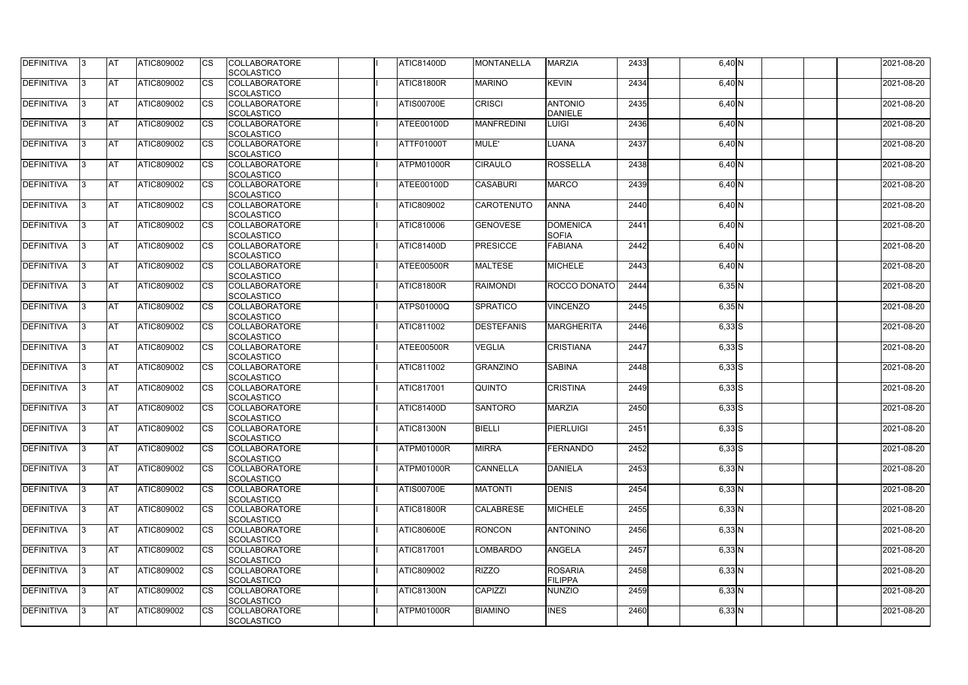| <b>DEFINITIVA</b> | IЗ  | <b>AT</b>  | ATIC809002        | <b>CS</b>              | <b>COLLABORATORE</b><br>SCOLASTICO        | <b>ATIC81400D</b> | <b>MONTANELLA</b> | <b>MARZIA</b>                    | 2433 | $6,40$ N   | 2021-08-20 |
|-------------------|-----|------------|-------------------|------------------------|-------------------------------------------|-------------------|-------------------|----------------------------------|------|------------|------------|
| <b>DEFINITIVA</b> | R   | <b>AT</b>  | ATIC809002        | <b>CS</b>              | <b>COLLABORATORE</b><br><b>SCOLASTICO</b> | ATIC81800R        | <b>MARINO</b>     | <b>KEVIN</b>                     | 2434 | 6,40 N     | 2021-08-20 |
| <b>DEFINITIVA</b> | R   | <b>AT</b>  | <b>ATIC809002</b> | CS                     | <b>COLLABORATORE</b><br>SCOLASTICO        | <b>ATIS00700E</b> | <b>CRISCI</b>     | <b>ANTONIO</b><br><b>DANIELE</b> | 2435 | 6,40 N     | 2021-08-20 |
| <b>DEFINITIVA</b> |     | <b>AT</b>  | ATIC809002        | <b>CS</b>              | <b>COLLABORATORE</b><br>SCOLASTICO        | ATEE00100D        | <b>MANFREDINI</b> | <b>LUIGI</b>                     | 2436 | 6,40 N     | 2021-08-20 |
| <b>DEFINITIVA</b> |     | <b>AT</b>  | ATIC809002        | CS                     | <b>COLLABORATORE</b><br>SCOLASTICO        | <b>ATTF01000T</b> | MULE'             | LUANA                            | 2437 | 6,40 N     | 2021-08-20 |
| <b>DEFINITIVA</b> |     | <b>IAT</b> | ATIC809002        | <b>CS</b>              | <b>COLLABORATORE</b><br><b>SCOLASTICO</b> | <b>ATPM01000R</b> | <b>CIRAULO</b>    | <b>ROSSELLA</b>                  | 2438 | 6,40 N     | 2021-08-20 |
| DEFINITIVA        |     | <b>AT</b>  | ATIC809002        | <b>CS</b>              | <b>COLLABORATORE</b><br>SCOLASTICO        | ATEE00100D        | <b>CASABURI</b>   | <b>MARCO</b>                     | 2439 | 6,40 N     | 2021-08-20 |
| <b>DEFINITIVA</b> | ß   | <b>AT</b>  | ATIC809002        | CS                     | <b>COLLABORATORE</b><br><b>SCOLASTICO</b> | <b>ATIC809002</b> | <b>CAROTENUTO</b> | <b>ANNA</b>                      | 2440 | $6,40$ N   | 2021-08-20 |
| <b>DEFINITIVA</b> | ß   | <b>AT</b>  | ATIC809002        | <b>CS</b>              | <b>COLLABORATORE</b><br><b>SCOLASTICO</b> | ATIC810006        | <b>GENOVESE</b>   | <b>DOMENICA</b><br><b>SOFIA</b>  | 2441 | 6,40 N     | 2021-08-20 |
| <b>DEFINITIVA</b> |     | <b>AT</b>  | ATIC809002        | <b>CS</b>              | <b>COLLABORATORE</b><br><b>SCOLASTICO</b> | <b>ATIC81400D</b> | <b>PRESICCE</b>   | <b>FABIANA</b>                   | 2442 | $6,40$ N   | 2021-08-20 |
| <b>DEFINITIVA</b> |     | <b>AT</b>  | ATIC809002        | <b>CS</b>              | <b>COLLABORATORE</b><br>SCOLASTICO        | ATEE00500R        | <b>MALTESE</b>    | <b>MICHELE</b>                   | 2443 | $6,40$ N   | 2021-08-20 |
| <b>DEFINITIVA</b> | R   | <b>AT</b>  | ATIC809002        | $\overline{\text{cs}}$ | <b>COLLABORATORE</b><br>SCOLASTICO        | ATIC81800R        | <b>RAIMONDI</b>   | ROCCO DONATO                     | 2444 | 6,35N      | 2021-08-20 |
| DEFINITIVA        |     | <b>AT</b>  | ATIC809002        | <b>CS</b>              | <b>COLLABORATORE</b><br>SCOLASTICO        | <b>ATPS01000Q</b> | SPRATICO          | <b>VINCENZO</b>                  | 2445 | 6,35N      | 2021-08-20 |
| DEFINITIVA        | з   | <b>AT</b>  | ATIC809002        | CS                     | <b>COLLABORATORE</b><br><b>SCOLASTICO</b> | <b>ATIC811002</b> | <b>DESTEFANIS</b> | <b>MARGHERITA</b>                | 2446 | $6,33$ $S$ | 2021-08-20 |
| <b>DEFINITIVA</b> | R   | <b>AT</b>  | ATIC809002        | CS                     | <b>COLLABORATORE</b><br><b>SCOLASTICO</b> | ATEE00500R        | <b>VEGLIA</b>     | <b>CRISTIANA</b>                 | 2447 | $6,33$ S   | 2021-08-20 |
| <b>DEFINITIVA</b> |     | <b>AT</b>  | ATIC809002        | <b>CS</b>              | <b>COLLABORATORE</b><br><b>SCOLASTICO</b> | <b>ATIC811002</b> | <b>GRANZINO</b>   | <b>SABINA</b>                    | 2448 | $6,33$ $S$ | 2021-08-20 |
| <b>DEFINITIVA</b> |     | <b>AT</b>  | ATIC809002        | CS                     | <b>COLLABORATORE</b><br><b>SCOLASTICO</b> | <b>ATIC817001</b> | <b>QUINTO</b>     | <b>CRISTINA</b>                  | 2449 | $6,33$ $S$ | 2021-08-20 |
| <b>DEFINITIVA</b> |     | <b>AT</b>  | ATIC809002        | CS                     | <b>COLLABORATORE</b><br>SCOLASTICO        | <b>ATIC81400D</b> | <b>SANTORO</b>    | <b>MARZIA</b>                    | 2450 | $6,33$ S   | 2021-08-20 |
| <b>DEFINITIVA</b> | 13. | <b>AT</b>  | ATIC809002        | <b>CS</b>              | <b>COLLABORATORE</b><br>SCOLASTICO        | ATIC81300N        | <b>BIELLI</b>     | PIERLUIGI                        | 2451 | $6,33$ S   | 2021-08-20 |
| DEFINITIVA        | 3   | <b>AT</b>  | ATIC809002        | <b>CS</b>              | <b>COLLABORATORE</b><br><b>SCOLASTICO</b> | ATPM01000R        | <b>MIRRA</b>      | FERNANDO                         | 2452 | $6,33$ S   | 2021-08-20 |
| <b>DEFINITIVA</b> | IЗ  | <b>AT</b>  | ATIC809002        | <b>CS</b>              | <b>COLLABORATORE</b><br><b>SCOLASTICO</b> | <b>ATPM01000R</b> | <b>CANNELLA</b>   | <b>DANIELA</b>                   | 2453 | 6,33 N     | 2021-08-20 |
| <b>DEFINITIVA</b> |     | <b>AT</b>  | ATIC809002        | <b>CS</b>              | <b>COLLABORATORE</b><br><b>SCOLASTICO</b> | <b>ATIS00700E</b> | <b>MATONTI</b>    | <b>DENIS</b>                     | 2454 | $6,33$ N   | 2021-08-20 |
| <b>DEFINITIVA</b> |     | <b>AT</b>  | ATIC809002        | <b>CS</b>              | <b>COLLABORATORE</b><br><b>SCOLASTICO</b> | ATIC81800R        | <b>CALABRESE</b>  | <b>MICHELE</b>                   | 2455 | $6,33$ N   | 2021-08-20 |
| <b>DEFINITIVA</b> | ß.  | <b>AT</b>  | ATIC809002        | <b>CS</b>              | <b>COLLABORATORE</b><br><b>SCOLASTICO</b> | <b>ATIC80600E</b> | <b>RONCON</b>     | <b>ANTONINO</b>                  | 2456 | $6,33$ N   | 2021-08-20 |
| <b>DEFINITIVA</b> | 3   | <b>AT</b>  | ATIC809002        | <b>CS</b>              | <b>COLLABORATORE</b><br>SCOLASTICO        | <b>ATIC817001</b> | <b>LOMBARDO</b>   | <b>ANGELA</b>                    | 2457 | $6,33$ N   | 2021-08-20 |
| DEFINITIVA        | ß.  | <b>AT</b>  | ATIC809002        | <b>CS</b>              | <b>COLLABORATORE</b><br><b>SCOLASTICO</b> | <b>ATIC809002</b> | <b>RIZZO</b>      | <b>ROSARIA</b><br>FILIPPA        | 2458 | $6,33$ N   | 2021-08-20 |
| DEFINITIVA        | IЗ  | <b>AT</b>  | ATIC809002        | <b>CS</b>              | <b>COLLABORATORE</b><br><b>SCOLASTICO</b> | <b>ATIC81300N</b> | <b>CAPIZZI</b>    | NUNZIO                           | 2459 | $6,33$ N   | 2021-08-20 |
| <b>DEFINITIVA</b> | ß.  | <b>AT</b>  | ATIC809002        | <b>CS</b>              | <b>COLLABORATORE</b><br>SCOLASTICO        | <b>ATPM01000R</b> | <b>BIAMINO</b>    | <b>INES</b>                      | 2460 | $6,33$ N   | 2021-08-20 |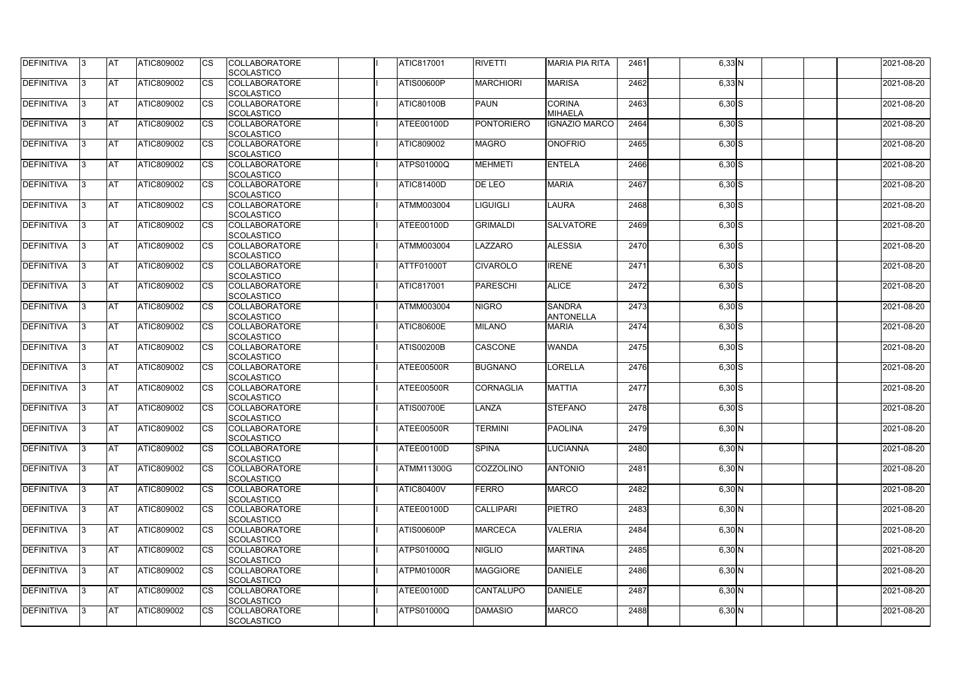| DEFINITIVA        | 13. | <b>JAT</b> | ATIC809002        | Ics                    | <b>COLLABORATORE</b> | <b>ATIC817001</b> | <b>RIVETTI</b>    | <b>MARIA PIA RITA</b> | 2461 | $6,33$ N   | 2021-08-20 |
|-------------------|-----|------------|-------------------|------------------------|----------------------|-------------------|-------------------|-----------------------|------|------------|------------|
|                   |     |            |                   |                        | <b>SCOLASTICO</b>    |                   |                   |                       |      |            |            |
| <b>DEFINITIVA</b> | l3  | <b>AT</b>  | ATIC809002        | Ics                    | <b>COLLABORATORE</b> | ATIS00600P        | <b>MARCHIORI</b>  | <b>MARISA</b>         | 2462 | $6,33$ N   | 2021-08-20 |
|                   |     |            |                   |                        | <b>SCOLASTICO</b>    |                   |                   |                       |      |            |            |
| DEFINITIVA        | l3  | <b>AT</b>  | ATIC809002        | <b>CS</b>              | <b>COLLABORATORE</b> | <b>ATIC80100B</b> | <b>PAUN</b>       | <b>CORINA</b>         | 2463 | $6,30$ S   | 2021-08-20 |
|                   |     |            |                   |                        | <b>SCOLASTICO</b>    |                   |                   | <b>MIHAELA</b>        |      |            |            |
| DEFINITIVA        |     | <b>AT</b>  | ATIC809002        | Ics                    | <b>COLLABORATORE</b> | ATEE00100D        | <b>PONTORIERO</b> | <b>IGNAZIO MARCO</b>  | 2464 | $6,30$ S   | 2021-08-20 |
|                   |     |            |                   |                        | <b>SCOLASTICO</b>    |                   |                   |                       |      |            |            |
| DEFINITIVA        |     | <b>AT</b>  | <b>ATIC809002</b> | <b>CS</b>              | <b>COLLABORATORE</b> | ATIC809002        | <b>MAGRO</b>      | <b>ONOFRIO</b>        | 2465 | $6,30$ S   | 2021-08-20 |
|                   |     |            |                   |                        | <b>SCOLASTICO</b>    |                   |                   |                       |      |            |            |
| <b>DEFINITIVA</b> |     | AT         | <b>ATIC809002</b> | <b>ICS</b>             | <b>COLLABORATORE</b> | <b>ATPS01000Q</b> | <b>MEHMETI</b>    | <b>ENTELA</b>         | 2466 | $6,30$ $S$ | 2021-08-20 |
|                   |     |            |                   |                        |                      |                   |                   |                       |      |            |            |
|                   |     |            |                   |                        | <b>SCOLASTICO</b>    |                   |                   |                       |      |            |            |
| DEFINITIVA        |     | <b>AT</b>  | ATIC809002        | Ics                    | <b>COLLABORATORE</b> | <b>ATIC81400D</b> | DE LEO            | <b>MARIA</b>          | 2467 | $6,30$ S   | 2021-08-20 |
|                   |     |            |                   |                        | <b>SCOLASTICO</b>    |                   |                   |                       |      |            |            |
| <b>DEFINITIVA</b> | ıз  | <b>AT</b>  | ATIC809002        | Ics                    | <b>COLLABORATORE</b> | <b>ATMM003004</b> | <b>LIGUIGLI</b>   | <b>LAURA</b>          | 2468 | $6,30$ S   | 2021-08-20 |
|                   |     |            |                   |                        | <b>SCOLASTICO</b>    |                   |                   |                       |      |            |            |
| DEFINITIVA        | I3  | <b>JAT</b> | ATIC809002        | <b>CS</b>              | <b>COLLABORATORE</b> | ATEE00100D        | <b>GRIMALDI</b>   | <b>SALVATORE</b>      | 2469 | $6,30$ $S$ | 2021-08-20 |
|                   |     |            |                   |                        | <b>SCOLASTICO</b>    |                   |                   |                       |      |            |            |
| <b>DEFINITIVA</b> |     | <b>AT</b>  | ATIC809002        | <b>CS</b>              | <b>COLLABORATORE</b> | <b>ATMM003004</b> | LAZZARO           | <b>ALESSIA</b>        | 2470 | $6,30$ S   | 2021-08-20 |
|                   |     |            |                   |                        | <b>SCOLASTICO</b>    |                   |                   |                       |      |            |            |
| <b>DEFINITIVA</b> |     | AT         | ATIC809002        | $\overline{\text{cs}}$ | <b>COLLABORATORE</b> | ATTF01000T        | <b>CIVAROLO</b>   | <b>IRENE</b>          | 2471 | $6,30$ S   | 2021-08-20 |
|                   |     |            |                   |                        | <b>SCOLASTICO</b>    |                   |                   |                       |      |            |            |
| DEFINITIVA        | I3  | <b>AT</b>  | ATIC809002        |                        | <b>COLLABORATORE</b> | <b>ATIC817001</b> | <b>PARESCHI</b>   | <b>ALICE</b>          | 2472 | $6,30$ S   | 2021-08-20 |
|                   |     |            |                   |                        | <b>SCOLASTICO</b>    |                   |                   |                       |      |            |            |
| <b>DEFINITIVA</b> |     | <b>JAT</b> | ATIC809002        |                        | <b>COLLABORATORE</b> | <b>ATMM003004</b> | <b>NIGRO</b>      | <b>SANDRA</b>         | 2473 |            |            |
|                   |     |            |                   |                        |                      |                   |                   |                       |      | $6,30$ S   | 2021-08-20 |
|                   |     |            |                   |                        | <b>SCOLASTICO</b>    |                   |                   | <b>ANTONELLA</b>      |      |            |            |
| <b>DEFINITIVA</b> |     | <b>AT</b>  | ATIC809002        | Ics                    | <b>COLLABORATORE</b> | <b>ATIC80600E</b> | <b>MILANO</b>     | <b>MARIA</b>          | 2474 | $6,30$ S   | 2021-08-20 |
|                   |     |            |                   |                        | <b>SCOLASTICO</b>    |                   |                   |                       |      |            |            |
| DEFINITIVA        | l3  | <b>AT</b>  | ATIC809002        | Ics                    | <b>COLLABORATORE</b> | <b>ATIS00200B</b> | <b>CASCONE</b>    | <b>WANDA</b>          | 2475 | $6,30$ S   | 2021-08-20 |
|                   |     |            |                   |                        | <b>SCOLASTICO</b>    |                   |                   |                       |      |            |            |
| DEFINITIVA        |     | <b>AT</b>  | ATIC809002        | Ics                    | <b>COLLABORATORE</b> | ATEE00500R        | <b>BUGNANO</b>    | <b>ILORELLA</b>       | 2476 | $6,30$ S   | 2021-08-20 |
|                   |     |            |                   |                        | <b>SCOLASTICO</b>    |                   |                   |                       |      |            |            |
| DEFINITIVA        |     | <b>AT</b>  | ATIC809002        | <b>CS</b>              | <b>COLLABORATORE</b> | ATEE00500R        | <b>CORNAGLIA</b>  | <b>MATTIA</b>         | 2477 | $6,30$ S   | 2021-08-20 |
|                   |     |            |                   |                        | <b>SCOLASTICO</b>    |                   |                   |                       |      |            |            |
| <b>DEFINITIVA</b> |     | <b>AT</b>  | ATIC809002        | <b>CS</b>              | <b>COLLABORATORE</b> | <b>ATIS00700E</b> | LANZA             | <b>STEFANO</b>        | 2478 | $6,30$ S   | 2021-08-20 |
|                   |     |            |                   |                        | <b>SCOLASTICO</b>    |                   |                   |                       |      |            |            |
| <b>DEFINITIVA</b> | 13. | <b>AT</b>  | ATIC809002        |                        | <b>COLLABORATORE</b> | ATEE00500R        | <b>TERMINI</b>    | <b>PAOLINA</b>        | 2479 | $6,30$ N   | 2021-08-20 |
|                   |     |            |                   |                        | <b>SCOLASTICO</b>    |                   |                   |                       |      |            |            |
| <b>DEFINITIVA</b> | IЗ  | AT         | <b>ATIC809002</b> | Ics                    | <b>COLLABORATORE</b> | ATEE00100D        | <b>SPINA</b>      | <b>LUCIANNA</b>       | 2480 | $6,30$ N   | 2021-08-20 |
|                   |     |            |                   |                        | <b>SCOLASTICO</b>    |                   |                   |                       |      |            |            |
| <b>DEFINITIVA</b> | l3  | <b>AT</b>  | ATIC809002        | Ics                    | <b>COLLABORATORE</b> | ATMM11300G        | <b>COZZOLINO</b>  | <b>ANTONIO</b>        | 2481 |            | 2021-08-20 |
|                   |     |            |                   |                        |                      |                   |                   |                       |      | $6,30$ N   |            |
|                   |     |            |                   |                        | <b>SCOLASTICO</b>    |                   |                   |                       |      |            |            |
| DEFINITIVA        | I3  | <b>AT</b>  | ATIC809002        | Ics                    | <b>COLLABORATORE</b> | <b>ATIC80400V</b> | FERRO             | <b>MARCO</b>          | 2482 | $6,30$ N   | 2021-08-20 |
|                   |     |            |                   |                        | <b>SCOLASTICO</b>    |                   |                   |                       |      |            |            |
| <b>DEFINITIVA</b> |     | <b>AT</b>  | ATIC809002        | Ics                    | <b>COLLABORATORE</b> | ATEE00100D        | <b>CALLIPARI</b>  | <b>PIETRO</b>         | 2483 | $6,30$ N   | 2021-08-20 |
|                   |     |            |                   |                        | <b>SCOLASTICO</b>    |                   |                   |                       |      |            |            |
| <b>DEFINITIVA</b> |     | <b>AT</b>  | ATIC809002        | Ics                    | <b>COLLABORATORE</b> | <b>ATIS00600P</b> | <b>MARCECA</b>    | <b>VALERIA</b>        | 2484 | $6,30$ N   | 2021-08-20 |
|                   |     |            |                   |                        | <b>SCOLASTICO</b>    |                   |                   |                       |      |            |            |
| <b>DEFINITIVA</b> | ıз  | <b>AT</b>  | <b>ATIC809002</b> |                        | <b>COLLABORATORE</b> | <b>ATPS01000Q</b> | <b>NIGLIO</b>     | <b>MARTINA</b>        | 2485 | $6,30$ N   | 2021-08-20 |
|                   |     |            |                   |                        | <b>SCOLASTICO</b>    |                   |                   |                       |      |            |            |
| <b>DEFINITIVA</b> | ıз  | <b>AT</b>  | ATIC809002        | Ics                    | <b>COLLABORATORE</b> | ATPM01000R        | <b>MAGGIORE</b>   | <b>DANIELE</b>        | 2486 | $6,30$ N   | 2021-08-20 |
|                   |     |            |                   |                        | <b>SCOLASTICO</b>    |                   |                   |                       |      |            |            |
| <b>DEFINITIVA</b> | ıз  | <b>AT</b>  | <b>ATIC809002</b> | <b>ICS</b>             | <b>COLLABORATORE</b> | ATEE00100D        | <b>CANTALUPO</b>  | <b>TDANIELE</b>       | 2487 | $6,30$ N   | 2021-08-20 |
|                   |     |            |                   |                        | <b>SCOLASTICO</b>    |                   |                   |                       |      |            |            |
| <b>DEFINITIVA</b> | I3  | <b>AT</b>  | ATIC809002        | Ics                    | <b>COLLABORATORE</b> | ATPS01000Q        | <b>DAMASIO</b>    | <b>MARCO</b>          | 2488 |            | 2021-08-20 |
|                   |     |            |                   |                        |                      |                   |                   |                       |      | $6,30$ N   |            |
|                   |     |            |                   |                        | SCOLASTICO           |                   |                   |                       |      |            |            |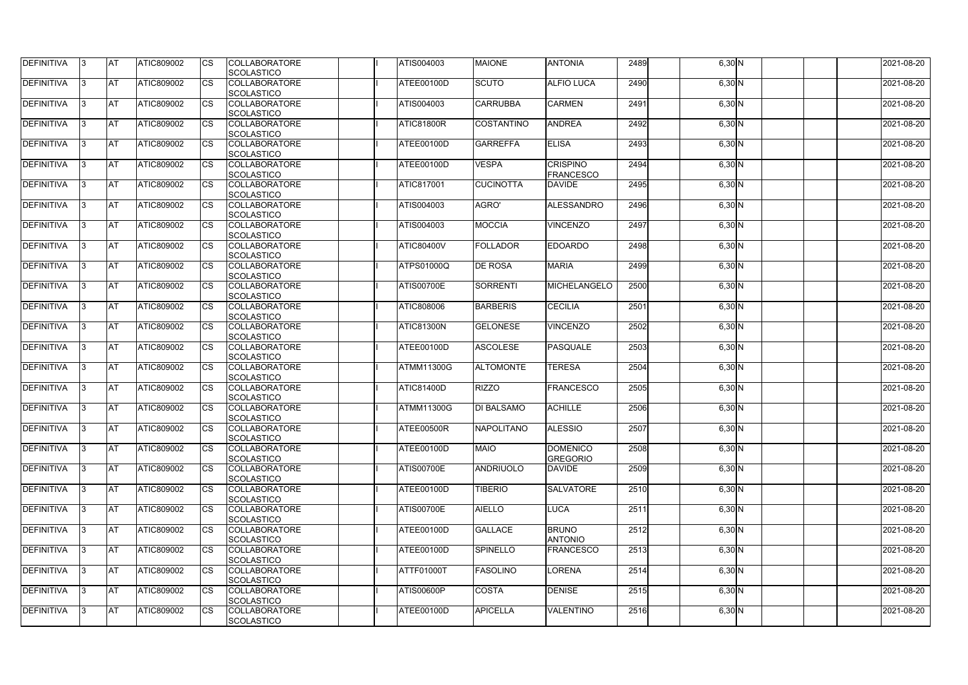| DEFINITIVA        | 13. | <b>JAT</b> | ATIC809002        | Ics                    | <b>COLLABORATORE</b> | ATIS004003        | <b>MAIONE</b>     | <b>ANTONIA</b>    | 2489 | $6,30$ N | 2021-08-20 |
|-------------------|-----|------------|-------------------|------------------------|----------------------|-------------------|-------------------|-------------------|------|----------|------------|
|                   |     |            |                   |                        | <b>SCOLASTICO</b>    |                   |                   |                   |      |          |            |
| <b>DEFINITIVA</b> | l3  | <b>AT</b>  | ATIC809002        | Ics                    | <b>COLLABORATORE</b> | ATEE00100D        | <b>SCUTO</b>      | <b>ALFIO LUCA</b> | 2490 | 6,30 N   | 2021-08-20 |
|                   |     |            |                   |                        | <b>SCOLASTICO</b>    |                   |                   |                   |      |          |            |
| DEFINITIVA        | l3  | <b>AT</b>  | ATIC809002        | <b>CS</b>              | <b>COLLABORATORE</b> | ATIS004003        | <b>CARRUBBA</b>   | <b>CARMEN</b>     | 2491 | 6,30 N   | 2021-08-20 |
|                   |     |            |                   |                        | <b>SCOLASTICO</b>    |                   |                   |                   |      |          |            |
| DEFINITIVA        |     | <b>AT</b>  | ATIC809002        | Ics                    | <b>COLLABORATORE</b> | <b>ATIC81800R</b> | <b>COSTANTINO</b> | <b>ANDREA</b>     | 2492 | 6,30 N   | 2021-08-20 |
|                   |     |            |                   |                        | <b>SCOLASTICO</b>    |                   |                   |                   |      |          |            |
| DEFINITIVA        |     | <b>AT</b>  | <b>ATIC809002</b> | <b>CS</b>              | <b>COLLABORATORE</b> | ATEE00100D        | <b>GARREFFA</b>   | <b>ELISA</b>      | 2493 | 6,30 N   | 2021-08-20 |
|                   |     |            |                   |                        | <b>SCOLASTICO</b>    |                   |                   |                   |      |          |            |
| <b>DEFINITIVA</b> |     | AT         | <b>ATIC809002</b> | <b>ICS</b>             | <b>COLLABORATORE</b> | <b>ATEE00100D</b> | <b>VESPA</b>      | <b>CRISPINO</b>   | 2494 | $6,30$ N | 2021-08-20 |
|                   |     |            |                   |                        |                      |                   |                   |                   |      |          |            |
|                   |     |            |                   |                        | <b>SCOLASTICO</b>    |                   |                   | <b>FRANCESCO</b>  |      |          |            |
| DEFINITIVA        |     | <b>AT</b>  | ATIC809002        | Ics                    | <b>COLLABORATORE</b> | <b>ATIC817001</b> | <b>CUCINOTTA</b>  | <b>DAVIDE</b>     | 2495 | 6,30 N   | 2021-08-20 |
|                   |     |            |                   |                        | <b>SCOLASTICO</b>    |                   |                   |                   |      |          |            |
| <b>DEFINITIVA</b> | ıз  | <b>AT</b>  | ATIC809002        | Ics                    | <b>COLLABORATORE</b> | ATIS004003        | AGRO'             | <b>ALESSANDRO</b> | 2496 | $6,30$ N | 2021-08-20 |
|                   |     |            |                   |                        | <b>SCOLASTICO</b>    |                   |                   |                   |      |          |            |
| DEFINITIVA        | I3  | <b>JAT</b> | ATIC809002        | <b>CS</b>              | <b>COLLABORATORE</b> | ATIS004003        | <b>MOCCIA</b>     | <b>VINCENZO</b>   | 2497 | $6,30$ N | 2021-08-20 |
|                   |     |            |                   |                        | <b>SCOLASTICO</b>    |                   |                   |                   |      |          |            |
| <b>DEFINITIVA</b> |     | <b>AT</b>  | ATIC809002        | <b>CS</b>              | <b>COLLABORATORE</b> | <b>ATIC80400V</b> | <b>FOLLADOR</b>   | <b>EDOARDO</b>    | 2498 | 6,30 N   | 2021-08-20 |
|                   |     |            |                   |                        | <b>SCOLASTICO</b>    |                   |                   |                   |      |          |            |
| <b>DEFINITIVA</b> |     | AT         | ATIC809002        | $\overline{\text{cs}}$ | <b>COLLABORATORE</b> | ATPS01000Q        | <b>DE ROSA</b>    | <b>MARIA</b>      | 2499 | 6,30 N   | 2021-08-20 |
|                   |     |            |                   |                        | <b>SCOLASTICO</b>    |                   |                   |                   |      |          |            |
| DEFINITIVA        | I3  | <b>AT</b>  | ATIC809002        |                        | <b>COLLABORATORE</b> | <b>ATIS00700E</b> | <b>SORRENTI</b>   | MICHELANGELO      | 2500 | $6,30$ N | 2021-08-20 |
|                   |     |            |                   |                        | <b>SCOLASTICO</b>    |                   |                   |                   |      |          |            |
|                   |     |            |                   |                        |                      |                   |                   |                   |      |          |            |
| <b>DEFINITIVA</b> |     | <b>JAT</b> | ATIC809002        |                        | <b>COLLABORATORE</b> | ATIC808006        | <b>BARBERIS</b>   | <b>CECILIA</b>    | 2501 | $6,30$ N | 2021-08-20 |
|                   |     |            |                   |                        | <b>SCOLASTICO</b>    |                   |                   |                   |      |          |            |
| <b>DEFINITIVA</b> |     | <b>AT</b>  | ATIC809002        | Ics                    | <b>COLLABORATORE</b> | <b>ATIC81300N</b> | <b>GELONESE</b>   | <b>VINCENZO</b>   | 2502 | $6,30$ N | 2021-08-20 |
|                   |     |            |                   |                        | <b>SCOLASTICO</b>    |                   |                   |                   |      |          |            |
| DEFINITIVA        | l3  | <b>AT</b>  | ATIC809002        | Ics                    | <b>COLLABORATORE</b> | ATEE00100D        | <b>ASCOLESE</b>   | <b>PASQUALE</b>   | 2503 | $6,30$ N | 2021-08-20 |
|                   |     |            |                   |                        | <b>SCOLASTICO</b>    |                   |                   |                   |      |          |            |
| DEFINITIVA        |     | <b>AT</b>  | ATIC809002        | <b>CS</b>              | <b>COLLABORATORE</b> | <b>ATMM11300G</b> | <b>ALTOMONTE</b>  | <b>TERESA</b>     | 2504 | $6,30$ N | 2021-08-20 |
|                   |     |            |                   |                        | <b>SCOLASTICO</b>    |                   |                   |                   |      |          |            |
| DEFINITIVA        |     | <b>AT</b>  | ATIC809002        | <b>CS</b>              | <b>COLLABORATORE</b> | <b>ATIC81400D</b> | <b>RIZZO</b>      | <b>FRANCESCO</b>  | 2505 | $6,30$ N | 2021-08-20 |
|                   |     |            |                   |                        | <b>SCOLASTICO</b>    |                   |                   |                   |      |          |            |
| <b>DEFINITIVA</b> |     | <b>AT</b>  | ATIC809002        | <b>CS</b>              | <b>COLLABORATORE</b> | <b>ATMM11300G</b> | DI BALSAMO        | <b>ACHILLE</b>    | 2506 | 6,30 N   | 2021-08-20 |
|                   |     |            |                   |                        | <b>SCOLASTICO</b>    |                   |                   |                   |      |          |            |
| <b>DEFINITIVA</b> | 13. | <b>AT</b>  | ATIC809002        |                        | <b>COLLABORATORE</b> | ATEE00500R        | <b>NAPOLITANO</b> | <b>ALESSIO</b>    | 2507 | $6,30$ N | 2021-08-20 |
|                   |     |            |                   |                        |                      |                   |                   |                   |      |          |            |
|                   |     |            |                   |                        | <b>SCOLASTICO</b>    |                   |                   |                   |      |          |            |
| <b>DEFINITIVA</b> | 13  | AT         | <b>ATIC809002</b> | Ics                    | <b>COLLABORATORE</b> | ATEE00100D        | <b>MAIO</b>       | <b>DOMENICO</b>   | 2508 | $6,30$ N | 2021-08-20 |
|                   |     |            |                   |                        | <b>SCOLASTICO</b>    |                   |                   | <b>GREGORIO</b>   |      |          |            |
| <b>DEFINITIVA</b> | I3  | <b>AT</b>  | ATIC809002        | Ics                    | <b>COLLABORATORE</b> | <b>ATIS00700E</b> | <b>ANDRIUOLO</b>  | <b>DAVIDE</b>     | 2509 | $6,30$ N | 2021-08-20 |
|                   |     |            |                   |                        | <b>SCOLASTICO</b>    |                   |                   |                   |      |          |            |
| DEFINITIVA        | I3  | <b>AT</b>  | ATIC809002        | Ics                    | <b>COLLABORATORE</b> | ATEE00100D        | <b>TIBERIO</b>    | <b>SALVATORE</b>  | 2510 | $6,30$ N | 2021-08-20 |
|                   |     |            |                   |                        | <b>SCOLASTICO</b>    |                   |                   |                   |      |          |            |
| <b>DEFINITIVA</b> |     | <b>AT</b>  | ATIC809002        | Ics                    | <b>COLLABORATORE</b> | <b>ATIS00700E</b> | <b>AIELLO</b>     | <b>LUCA</b>       | 2511 | $6,30$ N | 2021-08-20 |
|                   |     |            |                   |                        | <b>SCOLASTICO</b>    |                   |                   |                   |      |          |            |
| <b>DEFINITIVA</b> |     | <b>AT</b>  | ATIC809002        | Ics                    | <b>COLLABORATORE</b> | ATEE00100D        | <b>GALLACE</b>    | <b>BRUNO</b>      | 2512 | $6,30$ N | 2021-08-20 |
|                   |     |            |                   |                        | <b>SCOLASTICO</b>    |                   |                   | <b>ANTONIO</b>    |      |          |            |
| <b>DEFINITIVA</b> | ıз  | <b>AT</b>  | <b>ATIC809002</b> |                        | <b>COLLABORATORE</b> | ATEE00100D        | <b>SPINELLO</b>   | <b>FRANCESCO</b>  | 2513 | $6,30$ N | 2021-08-20 |
|                   |     |            |                   |                        | <b>SCOLASTICO</b>    |                   |                   |                   |      |          |            |
| <b>DEFINITIVA</b> |     | <b>AT</b>  | ATIC809002        | Ics                    | <b>COLLABORATORE</b> | ATTF01000T        | <b>FASOLINO</b>   | <b>LORENA</b>     | 2514 | $6,30$ N | 2021-08-20 |
|                   |     |            |                   |                        |                      |                   |                   |                   |      |          |            |
|                   |     |            |                   |                        | <b>SCOLASTICO</b>    |                   |                   |                   |      |          |            |
| <b>DEFINITIVA</b> | ıз  | <b>AT</b>  | <b>ATIC809002</b> | <b>ICS</b>             | <b>COLLABORATORE</b> | ATIS00600P        | <b>COSTA</b>      | <b>DENISE</b>     | 2515 | $6,30$ N | 2021-08-20 |
|                   |     |            |                   |                        | <b>SCOLASTICO</b>    |                   |                   |                   |      |          |            |
| <b>DEFINITIVA</b> | I3  | <b>AT</b>  | ATIC809002        | Ics                    | <b>COLLABORATORE</b> | ATEE00100D        | <b>APICELLA</b>   | <b>VALENTINO</b>  | 2516 | $6,30$ N | 2021-08-20 |
|                   |     |            |                   |                        | SCOLASTICO           |                   |                   |                   |      |          |            |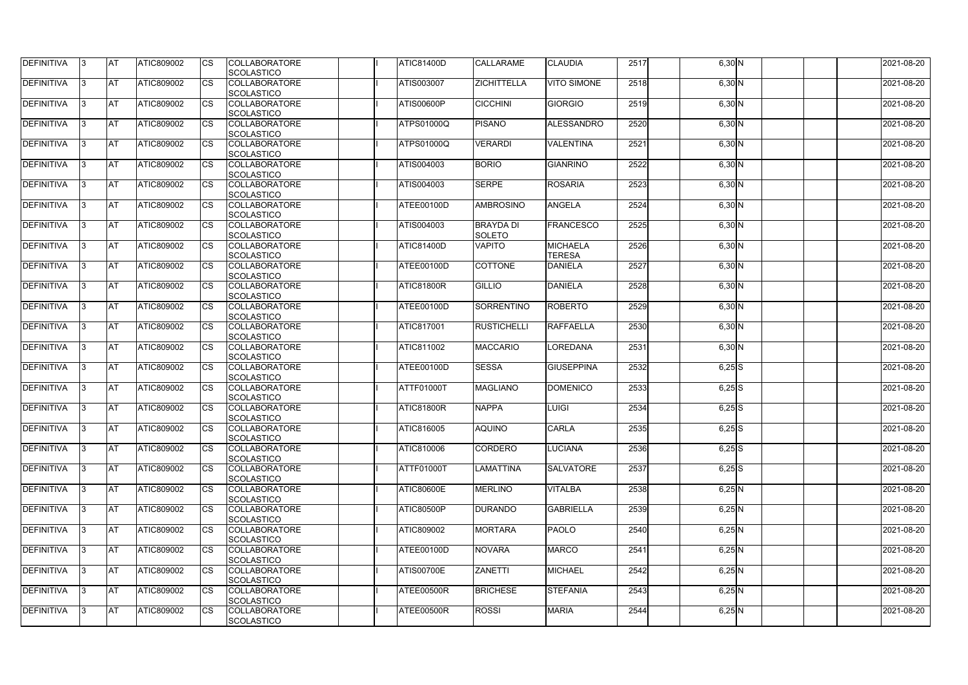| <b>DEFINITIVA</b> | IЗ  | <b>IAT</b>  | <b>ATIC809002</b> | <b>CS</b>              | <b>COLLABORATORE</b>                      | <b>ATIC81400D</b> | <b>CALLARAME</b>   | <b>CLAUDIA</b>     | 2517 | $6,30$ N             | 2021-08-20 |
|-------------------|-----|-------------|-------------------|------------------------|-------------------------------------------|-------------------|--------------------|--------------------|------|----------------------|------------|
| DEFINITIVA        | ß.  | <b>AT</b>   | ATIC809002        | CS                     | SCOLASTICO<br><b>COLLABORATORE</b>        | <b>ATIS003007</b> | <b>ZICHITTELLA</b> | <b>VITO SIMONE</b> | 2518 | $6,30$ N             | 2021-08-20 |
|                   |     |             |                   |                        | <b>SCOLASTICO</b>                         |                   |                    |                    |      |                      |            |
| <b>DEFINITIVA</b> | ß.  |             | ATIC809002        |                        | <b>COLLABORATORE</b>                      | <b>ATIS00600P</b> | <b>CICCHINI</b>    | <b>GIORGIO</b>     | 2519 | 6,30 N               | 2021-08-20 |
|                   |     | <b>AT</b>   |                   | CS                     | <b>SCOLASTICO</b>                         |                   |                    |                    |      |                      |            |
| <b>DEFINITIVA</b> |     | <b>AT</b>   | ATIC809002        | <b>CS</b>              | <b>COLLABORATORE</b>                      | <b>ATPS01000Q</b> | PISANO             | ALESSANDRO         | 2520 | 6,30 N               | 2021-08-20 |
|                   |     |             |                   |                        | <b>SCOLASTICO</b>                         |                   |                    |                    |      |                      |            |
| <b>DEFINITIVA</b> |     | <b>AT</b>   | ATIC809002        | CS                     | <b>COLLABORATORE</b>                      | <b>ATPS01000Q</b> | <b>VERARDI</b>     | <b>VALENTINA</b>   | 2521 | 6,30 N               | 2021-08-20 |
|                   |     |             |                   |                        | SCOLASTICO                                |                   |                    |                    |      |                      |            |
| <b>DEFINITIVA</b> | ß   | AT          | ATIC809002        | <b>CS</b>              | <b>COLLABORATORE</b>                      | ATIS004003        | <b>BORIO</b>       | <b>GIANRINO</b>    | 2522 |                      | 2021-08-20 |
|                   |     |             |                   |                        |                                           |                   |                    |                    |      | $6,30$ N             |            |
| <b>DEFINITIVA</b> |     | <b>AT</b>   | ATIC809002        | <b>CS</b>              | SCOLASTICO<br><b>COLLABORATORE</b>        | ATIS004003        | <b>SERPE</b>       | <b>ROSARIA</b>     | 2523 |                      | 2021-08-20 |
|                   |     |             |                   |                        | SCOLASTICO                                |                   |                    |                    |      | 6,30 N               |            |
| DEFINITIVA        | 3   | <b>AT</b>   | ATIC809002        | <b>CS</b>              | <b>COLLABORATORE</b>                      | ATEE00100D        | <b>AMBROSINO</b>   | <b>ANGELA</b>      | 2524 | 6,30 N               | 2021-08-20 |
|                   |     |             |                   |                        |                                           |                   |                    |                    |      |                      |            |
| <b>DEFINITIVA</b> | l3  | <b>AT</b>   | ATIC809002        |                        | <b>SCOLASTICO</b><br><b>COLLABORATORE</b> | <b>ATIS004003</b> | <b>BRAYDA DI</b>   | <b>FRANCESCO</b>   | 2525 |                      | 2021-08-20 |
|                   |     |             |                   | CS                     | <b>SCOLASTICO</b>                         |                   | <b>SOLETO</b>      |                    |      | $6,30$ N             |            |
|                   |     |             |                   |                        |                                           |                   | <b>VAPITO</b>      |                    |      |                      |            |
| <b>DEFINITIVA</b> |     | <b>AT</b>   | <b>ATIC809002</b> | <b>CS</b>              | <b>COLLABORATORE</b>                      | <b>ATIC81400D</b> |                    | <b>MICHAELA</b>    | 2526 | 6,30 N               | 2021-08-20 |
| <b>DEFINITIVA</b> |     |             |                   | $\overline{\text{cs}}$ | <b>SCOLASTICO</b>                         |                   |                    | <b>TERESA</b>      |      |                      |            |
|                   |     | <b>AT</b>   | ATIC809002        |                        | <b>COLLABORATORE</b>                      | ATEE00100D        | <b>COTTONE</b>     | <b>DANIELA</b>     | 2527 | 6,30 N               | 2021-08-20 |
|                   |     |             |                   |                        | SCOLASTICO                                |                   |                    |                    |      |                      |            |
| <b>DEFINITIVA</b> | 3   | <b>AT</b>   | ATIC809002        | <b>CS</b>              | <b>COLLABORATORE</b>                      | ATIC81800R        | <b>GILLIO</b>      | DANIELA            | 2528 | $6,30$ N             | 2021-08-20 |
|                   |     |             |                   |                        | SCOLASTICO                                |                   |                    |                    |      |                      |            |
| <b>DEFINITIVA</b> |     | <b>J</b> AT | ATIC809002        | CS                     | <b>COLLABORATORE</b>                      | ATEE00100D        | <b>SORRENTINO</b>  | <b>ROBERTO</b>     | 2529 | $6,30$ N             | 2021-08-20 |
|                   |     |             |                   |                        | <b>SCOLASTICO</b>                         |                   |                    |                    |      |                      |            |
| <b>DEFINITIVA</b> |     | <b>AT</b>   | ATIC809002        | <b>CS</b>              | <b>COLLABORATORE</b>                      | <b>ATIC817001</b> | <b>RUSTICHELLI</b> | <b>RAFFAELLA</b>   | 2530 | 6,30 N               | 2021-08-20 |
|                   |     |             |                   |                        | SCOLASTICO                                |                   |                    |                    |      |                      |            |
| DEFINITIVA        | R   | <b>AT</b>   | ATIC809002        | CS                     | <b>COLLABORATORE</b>                      | <b>ATIC811002</b> | <b>MACCARIO</b>    | <b>LOREDANA</b>    | 2531 | $6,30$ N             | 2021-08-20 |
|                   |     |             |                   |                        | <b>SCOLASTICO</b>                         |                   |                    |                    |      |                      |            |
| <b>DEFINITIVA</b> |     | <b>AT</b>   | <b>ATIC809002</b> | CS                     | <b>COLLABORATORE</b>                      | ATEE00100D        | <b>SESSA</b>       | <b>GIUSEPPINA</b>  | 2532 | $6,25$ S             | 2021-08-20 |
|                   |     |             |                   |                        | <b>SCOLASTICO</b>                         |                   |                    |                    |      |                      |            |
| <b>DEFINITIVA</b> |     | <b>AT</b>   | ATIC809002        | <b>CS</b>              | <b>COLLABORATORE</b>                      | <b>ATTF01000T</b> | <b>MAGLIANO</b>    | <b>DOMENICO</b>    | 2533 | $6,25$ S             | 2021-08-20 |
|                   |     |             |                   |                        | SCOLASTICO                                |                   |                    |                    |      |                      | 2021-08-20 |
| <b>DEFINITIVA</b> |     | <b>AT</b>   | ATIC809002        | <b>CS</b>              | <b>COLLABORATORE</b>                      | <b>ATIC81800R</b> | <b>NAPPA</b>       | LUIGI              | 2534 | $6,25$ S             |            |
|                   |     |             |                   |                        | SCOLASTICO                                |                   |                    |                    |      |                      |            |
| <b>DEFINITIVA</b> | I3. | <b>AT</b>   | ATIC809002        | <b>CS</b>              | <b>COLLABORATORE</b>                      | ATIC816005        | <b>AQUINO</b>      | <b>CARLA</b>       | 2535 | $6,25$ $S$           | 2021-08-20 |
|                   |     |             |                   |                        | SCOLASTICO                                |                   |                    |                    |      |                      |            |
| <b>DEFINITIVA</b> | IЗ  | <b>AT</b>   | ATIC809002        | <b>CS</b>              | <b>COLLABORATORE</b>                      | ATIC810006        | <b>CORDERO</b>     | <b>LUCIANA</b>     | 2536 | $6,25$ S             | 2021-08-20 |
|                   |     |             |                   |                        | <b>SCOLASTICO</b>                         |                   |                    |                    |      |                      |            |
| <b>DEFINITIVA</b> | l3. | <b>AT</b>   | ATIC809002        | <b>CS</b>              | <b>COLLABORATORE</b>                      | <b>ATTF01000T</b> | <b>LAMATTINA</b>   | <b>SALVATORE</b>   | 2537 | $6,25$ S             | 2021-08-20 |
|                   |     |             |                   |                        | <b>SCOLASTICO</b>                         |                   |                    |                    |      |                      |            |
| <b>DEFINITIVA</b> | 13. | <b>AT</b>   | ATIC809002        | <b>CS</b>              | <b>COLLABORATORE</b>                      | <b>ATIC80600E</b> | <b>MERLINO</b>     | <b>VITALBA</b>     | 2538 | $6,25$ N             | 2021-08-20 |
|                   |     |             |                   |                        | <b>SCOLASTICO</b>                         |                   |                    |                    |      |                      |            |
| <b>DEFINITIVA</b> |     | <b>AT</b>   | ATIC809002        | <b>CS</b>              | <b>COLLABORATORE</b>                      | <b>ATIC80500P</b> | <b>DURANDO</b>     | <b>GABRIELLA</b>   | 2539 | $6,25$ N             | 2021-08-20 |
|                   |     |             |                   |                        | <b>SCOLASTICO</b>                         |                   |                    |                    |      |                      |            |
| <b>DEFINITIVA</b> | ß   | <b>AT</b>   | ATIC809002        | <b>CS</b>              | <b>COLLABORATORE</b>                      | ATIC809002        | <b>MORTARA</b>     | PAOLO              | 2540 | $6,25$ N             | 2021-08-20 |
|                   |     |             |                   |                        | <b>SCOLASTICO</b>                         |                   |                    |                    |      |                      |            |
| <b>DEFINITIVA</b> | l3  | <b>AT</b>   | ATIC809002        | <b>CS</b>              | <b>COLLABORATORE</b>                      | ATEE00100D        | <b>NOVARA</b>      | <b>MARCO</b>       | 2541 | $6,25$ N             | 2021-08-20 |
|                   |     |             |                   |                        | SCOLASTICO                                |                   |                    |                    |      |                      |            |
| DEFINITIVA        |     | <b>AT</b>   | ATIC809002        | <b>CS</b>              | <b>COLLABORATORE</b>                      | <b>ATIS00700E</b> | <b>ZANETTI</b>     | <b>MICHAEL</b>     | 2542 | $6,25$ N             | 2021-08-20 |
|                   |     |             |                   |                        | <b>SCOLASTICO</b>                         |                   |                    |                    |      |                      |            |
| DEFINITIVA        | IЗ  | <b>AT</b>   | ATIC809002        | <b>CS</b>              | <b>COLLABORATORE</b>                      | ATEE00500R        | <b>BRICHESE</b>    | <b>STEFANIA</b>    | 2543 | $\overline{6}$ ,25 N | 2021-08-20 |
|                   |     |             |                   |                        | <b>SCOLASTICO</b>                         |                   |                    |                    |      |                      |            |
| <b>DEFINITIVA</b> | 13. | <b>AT</b>   | ATIC809002        | <b>CS</b>              | <b>COLLABORATORE</b>                      | ATEE00500R        | <b>ROSSI</b>       | <b>MARIA</b>       | 2544 | $6,25$ N             | 2021-08-20 |
|                   |     |             |                   |                        | SCOLASTICO                                |                   |                    |                    |      |                      |            |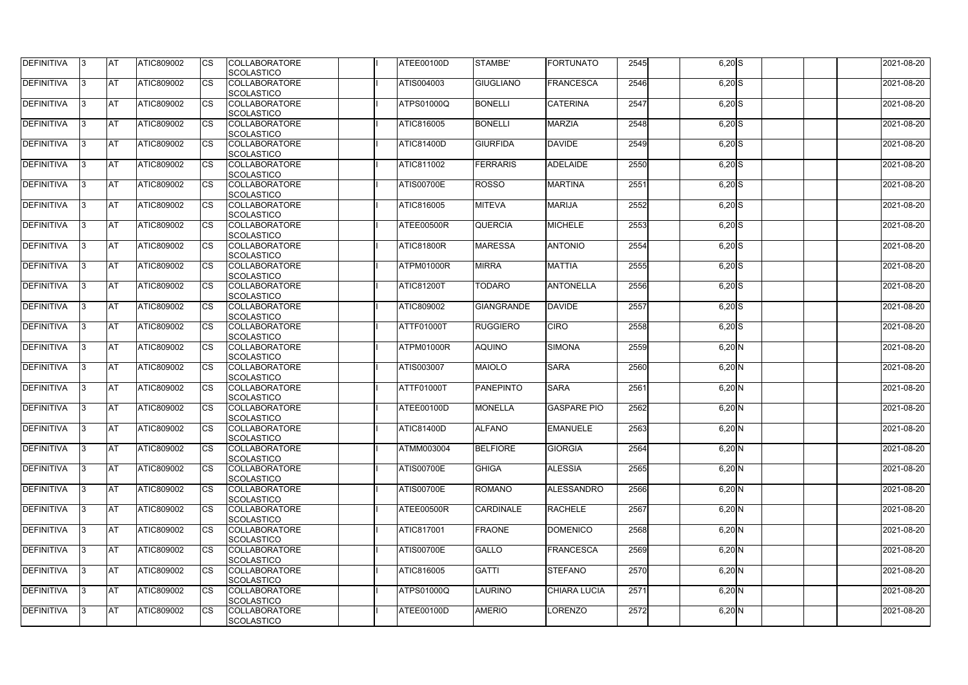| DEFINITIVA        | 13. | <b>JAT</b> | ATIC809002        | Ics        | <b>COLLABORATORE</b> | ATEE00100D        | STAMBE'           | FORTUNATO           | 2545 | $6,20$ S | 2021-08-20 |
|-------------------|-----|------------|-------------------|------------|----------------------|-------------------|-------------------|---------------------|------|----------|------------|
|                   |     |            |                   |            | <b>SCOLASTICO</b>    |                   |                   |                     |      |          |            |
| <b>DEFINITIVA</b> | l3  | <b>AT</b>  | ATIC809002        | Ics        | <b>COLLABORATORE</b> | ATIS004003        | <b>GIUGLIANO</b>  | <b>FRANCESCA</b>    | 2546 | $6,20$ S | 2021-08-20 |
|                   |     |            |                   |            | <b>SCOLASTICO</b>    |                   |                   |                     |      |          |            |
| DEFINITIVA        | l3  | <b>AT</b>  | ATIC809002        | <b>CS</b>  | <b>COLLABORATORE</b> | <b>ATPS01000Q</b> | <b>BONELLI</b>    | <b>CATERINA</b>     | 2547 | $6,20$ S | 2021-08-20 |
|                   |     |            |                   |            | <b>SCOLASTICO</b>    |                   |                   |                     |      |          |            |
| DEFINITIVA        |     | <b>AT</b>  | ATIC809002        | Ics        | <b>COLLABORATORE</b> | ATIC816005        | <b>BONELLI</b>    | <b>MARZIA</b>       | 2548 | $6,20$ S | 2021-08-20 |
|                   |     |            |                   |            | <b>SCOLASTICO</b>    |                   |                   |                     |      |          |            |
| DEFINITIVA        |     | <b>AT</b>  | <b>ATIC809002</b> | <b>CS</b>  | <b>COLLABORATORE</b> | <b>ATIC81400D</b> | <b>GIURFIDA</b>   | <b>DAVIDE</b>       | 2549 | $6,20$ S | 2021-08-20 |
|                   |     |            |                   |            | <b>SCOLASTICO</b>    |                   |                   |                     |      |          |            |
| <b>DEFINITIVA</b> |     | AT         | <b>ATIC809002</b> | <b>ICS</b> | <b>COLLABORATORE</b> | <b>ATIC811002</b> | <b>FERRARIS</b>   | <b>ADELAIDE</b>     | 2550 |          | 2021-08-20 |
|                   |     |            |                   |            |                      |                   |                   |                     |      | $6,20$ S |            |
|                   |     |            |                   |            | <b>SCOLASTICO</b>    |                   |                   |                     |      |          |            |
| DEFINITIVA        |     | <b>AT</b>  | ATIC809002        | Ics        | <b>COLLABORATORE</b> | <b>ATIS00700E</b> | <b>ROSSO</b>      | <b>MARTINA</b>      | 2551 | $6,20$ S | 2021-08-20 |
|                   |     |            |                   |            | <b>SCOLASTICO</b>    |                   |                   |                     |      |          |            |
| <b>DEFINITIVA</b> | ıз  | <b>AT</b>  | ATIC809002        | Ics        | <b>COLLABORATORE</b> | ATIC816005        | <b>MITEVA</b>     | <b>MARIJA</b>       | 2552 | $6,20$ S | 2021-08-20 |
|                   |     |            |                   |            | <b>SCOLASTICO</b>    |                   |                   |                     |      |          |            |
| DEFINITIVA        | I3  | <b>AT</b>  | ATIC809002        | <b>CS</b>  | <b>COLLABORATORE</b> | <b>ATEE00500R</b> | <b>QUERCIA</b>    | <b>MICHELE</b>      | 2553 | $6,20$ S | 2021-08-20 |
|                   |     |            |                   |            | <b>SCOLASTICO</b>    |                   |                   |                     |      |          |            |
| <b>DEFINITIVA</b> |     | <b>AT</b>  | ATIC809002        | <b>CS</b>  | <b>COLLABORATORE</b> | <b>ATIC81800R</b> | <b>MARESSA</b>    | <b>ANTONIO</b>      | 2554 | $6,20$ S | 2021-08-20 |
|                   |     |            |                   |            | <b>SCOLASTICO</b>    |                   |                   |                     |      |          |            |
| <b>DEFINITIVA</b> |     | <b>AT</b>  | ATIC809002        | <b>CS</b>  | <b>COLLABORATORE</b> | ATPM01000R        | <b>MIRRA</b>      | <b>MATTIA</b>       | 2555 | $6,20$ S | 2021-08-20 |
|                   |     |            |                   |            | <b>SCOLASTICO</b>    |                   |                   |                     |      |          |            |
| DEFINITIVA        | I3  | <b>AT</b>  | ATIC809002        |            | <b>COLLABORATORE</b> | <b>ATIC81200T</b> | <b>TODARO</b>     | <b>ANTONELLA</b>    | 2556 | $6,20$ S | 2021-08-20 |
|                   |     |            |                   |            |                      |                   |                   |                     |      |          |            |
|                   |     |            |                   |            | <b>SCOLASTICO</b>    |                   |                   |                     |      |          |            |
| <b>DEFINITIVA</b> |     | <b>JAT</b> | ATIC809002        |            | <b>COLLABORATORE</b> | ATIC809002        | <b>GIANGRANDE</b> | <b>DAVIDE</b>       | 2557 | $6,20$ S | 2021-08-20 |
|                   |     |            |                   |            | <b>SCOLASTICO</b>    |                   |                   |                     |      |          |            |
| <b>DEFINITIVA</b> |     | <b>AT</b>  | ATIC809002        | Ics        | <b>COLLABORATORE</b> | ATTF01000T        | <b>RUGGIERO</b>   | <b>CIRO</b>         | 2558 | $6,20$ S | 2021-08-20 |
|                   |     |            |                   |            | <b>SCOLASTICO</b>    |                   |                   |                     |      |          |            |
| DEFINITIVA        | l3  | <b>AT</b>  | <b>ATIC809002</b> | Ics        | <b>COLLABORATORE</b> | ATPM01000R        | <b>AQUINO</b>     | <b>SIMONA</b>       | 2559 | $6,20$ N | 2021-08-20 |
|                   |     |            |                   |            | <b>SCOLASTICO</b>    |                   |                   |                     |      |          |            |
| DEFINITIVA        |     | <b>AT</b>  | ATIC809002        | Ics        | <b>COLLABORATORE</b> | ATIS003007        | MAIOLO            | <b>SARA</b>         | 2560 | $6,20$ N | 2021-08-20 |
|                   |     |            |                   |            | <b>SCOLASTICO</b>    |                   |                   |                     |      |          |            |
| DEFINITIVA        |     | <b>AT</b>  | ATIC809002        | <b>CS</b>  | <b>COLLABORATORE</b> | ATTF01000T        | <b>PANEPINTO</b>  | <b>SARA</b>         | 2561 | $6,20$ N | 2021-08-20 |
|                   |     |            |                   |            | <b>SCOLASTICO</b>    |                   |                   |                     |      |          |            |
| <b>DEFINITIVA</b> |     | <b>AT</b>  | ATIC809002        | <b>CS</b>  | <b>COLLABORATORE</b> | ATEE00100D        | <b>MONELLA</b>    | <b>GASPARE PIO</b>  | 2562 | $6,20$ N | 2021-08-20 |
|                   |     |            |                   |            | <b>SCOLASTICO</b>    |                   |                   |                     |      |          |            |
| <b>DEFINITIVA</b> |     | <b>AT</b>  | ATIC809002        |            | <b>COLLABORATORE</b> | <b>ATIC81400D</b> | <b>ALFANO</b>     | <b>EMANUELE</b>     | 2563 |          |            |
|                   | 13. |            |                   |            |                      |                   |                   |                     |      | $6,20$ N | 2021-08-20 |
|                   |     |            |                   |            | <b>SCOLASTICO</b>    |                   |                   |                     |      |          |            |
| <b>DEFINITIVA</b> | 13  | AT         | <b>ATIC809002</b> | Ics        | <b>COLLABORATORE</b> | <b>ATMM003004</b> | <b>BELFIORE</b>   | <b>GIORGIA</b>      | 2564 | $6,20$ N | 2021-08-20 |
|                   |     |            |                   |            | <b>SCOLASTICO</b>    |                   |                   |                     |      |          |            |
| <b>DEFINITIVA</b> | I3  | <b>AT</b>  | ATIC809002        | Ics        | <b>COLLABORATORE</b> | <b>ATIS00700E</b> | <b>GHIGA</b>      | <b>ALESSIA</b>      | 2565 | $6,20$ N | 2021-08-20 |
|                   |     |            |                   |            | <b>SCOLASTICO</b>    |                   |                   |                     |      |          |            |
| DEFINITIVA        | I3  | <b>AT</b>  | ATIC809002        | Ics        | <b>COLLABORATORE</b> | ATIS00700E        | <b>ROMANO</b>     | <b>ALESSANDRO</b>   | 2566 | $6,20$ N | 2021-08-20 |
|                   |     |            |                   |            | <b>SCOLASTICO</b>    |                   |                   |                     |      |          |            |
| <b>DEFINITIVA</b> |     | <b>AT</b>  | ATIC809002        | Ics        | <b>COLLABORATORE</b> | ATEE00500R        | <b>CARDINALE</b>  | <b>RACHELE</b>      | 2567 | $6,20$ N | 2021-08-20 |
|                   |     |            |                   |            | <b>SCOLASTICO</b>    |                   |                   |                     |      |          |            |
| <b>DEFINITIVA</b> |     | <b>AT</b>  | ATIC809002        | Ics        | <b>COLLABORATORE</b> | <b>ATIC817001</b> | <b>FRAONE</b>     | DOMENICO            | 2568 | $6,20$ N | 2021-08-20 |
|                   |     |            |                   |            | <b>SCOLASTICO</b>    |                   |                   |                     |      |          |            |
| <b>DEFINITIVA</b> | ıз  | <b>AT</b>  | <b>ATIC809002</b> |            | <b>COLLABORATORE</b> | <b>ATIS00700E</b> | <b>GALLO</b>      | <b>FRANCESCA</b>    | 2569 | $6,20$ N | 2021-08-20 |
|                   |     |            |                   |            |                      |                   |                   |                     |      |          |            |
|                   |     |            |                   |            | <b>SCOLASTICO</b>    |                   |                   |                     |      |          |            |
| <b>DEFINITIVA</b> | ıз  | <b>AT</b>  | ATIC809002        | Ics        | <b>COLLABORATORE</b> | ATIC816005        | <b>GATTI</b>      | <b>STEFANO</b>      | 2570 | $6,20$ N | 2021-08-20 |
|                   |     |            |                   |            | <b>SCOLASTICO</b>    |                   |                   |                     |      |          |            |
| <b>DEFINITIVA</b> | ıз  | <b>AT</b>  | <b>ATIC809002</b> | <b>ICS</b> | <b>COLLABORATORE</b> | <b>ATPS01000Q</b> | <b>LAURINO</b>    | <b>CHIARA LUCIA</b> | 2571 | $6,20$ N | 2021-08-20 |
|                   |     |            |                   |            | <b>SCOLASTICO</b>    |                   |                   |                     |      |          |            |
| <b>DEFINITIVA</b> | I3  | <b>AT</b>  | ATIC809002        | Ics        | <b>COLLABORATORE</b> | ATEE00100D        | <b>AMERIO</b>     | LORENZO             | 2572 | $6,20$ N | 2021-08-20 |
|                   |     |            |                   |            | SCOLASTICO           |                   |                   |                     |      |          |            |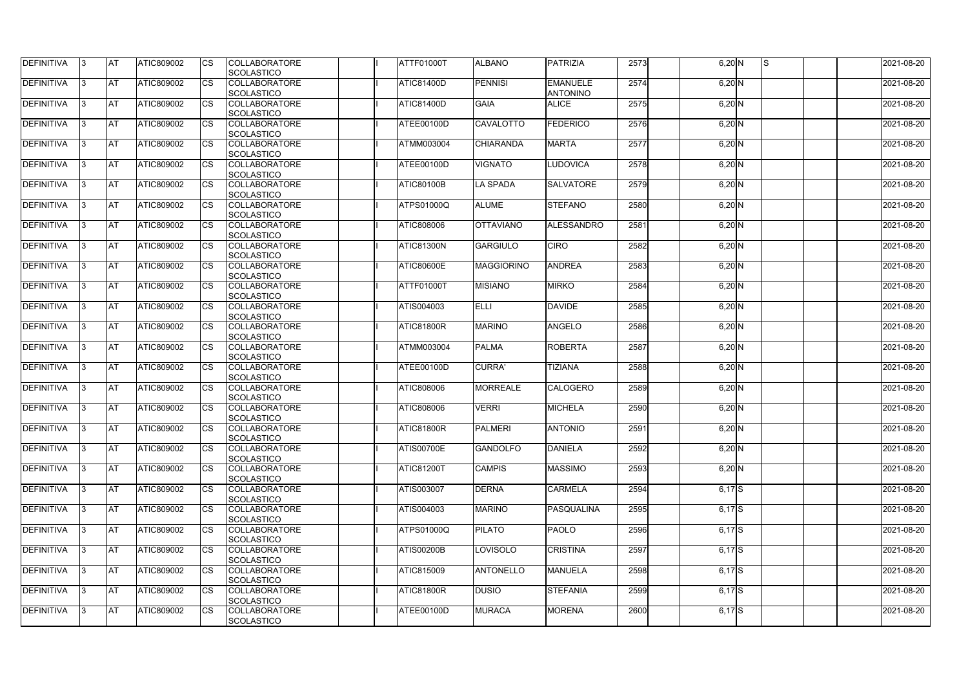| <b>DEFINITIVA</b> | IЗ  | <b>IAT</b> | <b>ATIC809002</b> | <b>CS</b>              | <b>COLLABORATORE</b> | <b>ATTF01000T</b> | <b>ALBANO</b>     | <b>PATRIZIA</b>   | 2573 | $6,20$ N   | IS. | 2021-08-20 |
|-------------------|-----|------------|-------------------|------------------------|----------------------|-------------------|-------------------|-------------------|------|------------|-----|------------|
|                   |     |            |                   |                        | SCOLASTICO           |                   |                   |                   |      |            |     |            |
| DEFINITIVA        | ß.  | <b>AT</b>  | ATIC809002        | CS                     | <b>COLLABORATORE</b> | <b>ATIC81400D</b> | <b>PENNISI</b>    | <b>EMANUELE</b>   | 2574 | $6,20$ N   |     | 2021-08-20 |
|                   |     |            |                   |                        | SCOLASTICO           |                   |                   | <b>ANTONINO</b>   |      |            |     |            |
| DEFINITIVA        | ß.  | <b>AT</b>  | ATIC809002        | CS                     | <b>COLLABORATORE</b> | <b>ATIC81400D</b> | <b>GAIA</b>       | <b>ALICE</b>      | 2575 | $6,20$ N   |     | 2021-08-20 |
|                   |     |            |                   |                        | <b>SCOLASTICO</b>    |                   |                   |                   |      |            |     |            |
| <b>DEFINITIVA</b> |     | <b>AT</b>  | ATIC809002        | <b>CS</b>              | <b>COLLABORATORE</b> | ATEE00100D        | <b>CAVALOTTO</b>  | <b>FEDERICO</b>   | 2576 | $6,20$ N   |     | 2021-08-20 |
|                   |     |            |                   |                        | <b>SCOLASTICO</b>    |                   |                   |                   |      |            |     |            |
| <b>DEFINITIVA</b> |     | <b>AT</b>  | ATIC809002        | CS                     | <b>COLLABORATORE</b> | <b>ATMM003004</b> | <b>CHIARANDA</b>  | <b>MARTA</b>      | 2577 | $6,20$ N   |     | 2021-08-20 |
|                   |     |            |                   |                        | SCOLASTICO           |                   |                   |                   |      |            |     |            |
| <b>DEFINITIVA</b> | ß   | <b>AT</b>  | ATIC809002        | <b>CS</b>              | <b>COLLABORATORE</b> | <b>ATEE00100D</b> | <b>VIGNATO</b>    | <b>LUDOVICA</b>   | 2578 | $6,20$ N   |     | 2021-08-20 |
|                   |     |            |                   |                        | SCOLASTICO           |                   |                   |                   |      |            |     |            |
| <b>DEFINITIVA</b> |     | <b>AT</b>  | ATIC809002        | <b>CS</b>              | <b>COLLABORATORE</b> | <b>ATIC80100B</b> | <b>LA SPADA</b>   | <b>SALVATORE</b>  | 2579 | $6,20$ N   |     | 2021-08-20 |
|                   |     |            |                   |                        | SCOLASTICO           |                   |                   |                   |      |            |     |            |
| DEFINITIVA        | 3   | <b>AT</b>  | ATIC809002        | <b>CS</b>              | <b>COLLABORATORE</b> | <b>ATPS01000Q</b> | <b>ALUME</b>      | <b>STEFANO</b>    | 2580 | $6,20$ N   |     | 2021-08-20 |
|                   |     |            |                   |                        | <b>SCOLASTICO</b>    |                   |                   |                   |      |            |     |            |
| <b>DEFINITIVA</b> | l3  | <b>AT</b>  | ATIC809002        | CS                     | <b>COLLABORATORE</b> | <b>ATIC808006</b> | <b>OTTAVIANO</b>  | <b>ALESSANDRO</b> | 2581 | $6,20$ N   |     | 2021-08-20 |
|                   |     |            |                   |                        | <b>SCOLASTICO</b>    |                   |                   |                   |      |            |     |            |
| <b>DEFINITIVA</b> |     | <b>AT</b>  | <b>ATIC809002</b> | <b>CS</b>              | <b>COLLABORATORE</b> | ATIC81300N        | <b>GARGIULO</b>   | <b>CIRO</b>       | 2582 | $6,20$ N   |     | 2021-08-20 |
|                   |     |            |                   |                        | <b>SCOLASTICO</b>    |                   |                   |                   |      |            |     |            |
| <b>DEFINITIVA</b> |     | <b>AT</b>  | ATIC809002        | $\overline{\text{cs}}$ | <b>COLLABORATORE</b> | <b>ATIC80600E</b> | <b>MAGGIORINO</b> | <b>ANDREA</b>     | 2583 | $6,20$ N   |     | 2021-08-20 |
|                   |     |            |                   |                        | SCOLASTICO           |                   |                   |                   |      |            |     |            |
| <b>DEFINITIVA</b> | 3   | <b>AT</b>  | ATIC809002        | <b>CS</b>              | <b>COLLABORATORE</b> | ATTF01000T        | <b>MISIANO</b>    | <b>MIRKO</b>      | 2584 | $6,20$ N   |     | 2021-08-20 |
|                   |     |            |                   |                        | SCOLASTICO           |                   |                   |                   |      |            |     |            |
| <b>DEFINITIVA</b> |     | <b>AT</b>  | ATIC809002        | CS                     | <b>COLLABORATORE</b> | <b>ATIS004003</b> | <b>ELLI</b>       | <b>DAVIDE</b>     | 2585 | $6,20$ N   |     | 2021-08-20 |
|                   |     |            |                   |                        | <b>SCOLASTICO</b>    |                   |                   |                   |      |            |     |            |
| <b>DEFINITIVA</b> | з   | <b>AT</b>  | ATIC809002        | <b>CS</b>              | <b>COLLABORATORE</b> | ATIC81800R        | <b>MARINO</b>     | <b>ANGELO</b>     | 2586 | $6,20$ N   |     | 2021-08-20 |
|                   |     |            |                   |                        | SCOLASTICO           |                   |                   |                   |      |            |     |            |
| DEFINITIVA        | R   | <b>AT</b>  | ATIC809002        | CS                     | <b>COLLABORATORE</b> | ATMM003004        | <b>PALMA</b>      | <b>ROBERTA</b>    | 2587 | $6,20$ N   |     | 2021-08-20 |
|                   |     |            |                   |                        | <b>SCOLASTICO</b>    |                   |                   |                   |      |            |     |            |
| <b>DEFINITIVA</b> |     | <b>AT</b>  | <b>ATIC809002</b> | CS                     | <b>COLLABORATORE</b> | ATEE00100D        | <b>CURRA</b>      | <b>TIZIANA</b>    | 2588 | $6,20$ N   |     | 2021-08-20 |
|                   |     |            |                   |                        | <b>SCOLASTICO</b>    |                   |                   |                   |      |            |     |            |
| <b>DEFINITIVA</b> |     | <b>AT</b>  | ATIC809002        | <b>CS</b>              | <b>COLLABORATORE</b> | ATIC808006        | <b>MORREALE</b>   | <b>CALOGERO</b>   | 2589 | $6,20$ N   |     | 2021-08-20 |
|                   |     |            |                   |                        | SCOLASTICO           |                   |                   |                   |      |            |     |            |
| <b>DEFINITIVA</b> |     | <b>AT</b>  | ATIC809002        | <b>CS</b>              | <b>COLLABORATORE</b> | <b>ATIC808006</b> | <b>VERRI</b>      | <b>MICHELA</b>    | 2590 | $6,20$ N   |     | 2021-08-20 |
|                   |     |            |                   |                        | SCOLASTICO           |                   |                   |                   |      |            |     |            |
| <b>DEFINITIVA</b> | I3. | <b>AT</b>  | ATIC809002        | <b>CS</b>              | <b>COLLABORATORE</b> | ATIC81800R        | PALMERI           | <b>ANTONIO</b>    | 2591 | $6,20$ N   |     | 2021-08-20 |
|                   |     |            |                   |                        | SCOLASTICO           |                   |                   |                   |      |            |     |            |
| <b>DEFINITIVA</b> | IЗ  | <b>AT</b>  | ATIC809002        | <b>CS</b>              | <b>COLLABORATORE</b> | <b>ATIS00700E</b> | <b>GANDOLFO</b>   | <b>DANIELA</b>    | 2592 | $6,20$ N   |     | 2021-08-20 |
|                   |     |            |                   |                        | <b>SCOLASTICO</b>    |                   |                   |                   |      |            |     |            |
| <b>DEFINITIVA</b> | l3. | <b>AT</b>  | ATIC809002        | <b>CS</b>              | <b>COLLABORATORE</b> | <b>ATIC81200T</b> | <b>CAMPIS</b>     | <b>MASSIMO</b>    | 2593 | $6,20$ N   |     | 2021-08-20 |
|                   |     |            |                   |                        | <b>SCOLASTICO</b>    |                   |                   |                   |      |            |     |            |
| <b>DEFINITIVA</b> | 13. | <b>AT</b>  | ATIC809002        | <b>CS</b>              | <b>COLLABORATORE</b> | ATIS003007        | <b>DERNA</b>      | <b>CARMELA</b>    | 2594 | $6,17$ $S$ |     | 2021-08-20 |
|                   |     |            |                   |                        | <b>SCOLASTICO</b>    |                   |                   |                   |      |            |     |            |
| <b>DEFINITIVA</b> |     | <b>AT</b>  | ATIC809002        | <b>CS</b>              | <b>COLLABORATORE</b> | ATIS004003        | <b>MARINO</b>     | <b>PASQUALINA</b> | 2595 | 6,17S      |     | 2021-08-20 |
|                   |     |            |                   |                        | <b>SCOLASTICO</b>    |                   |                   |                   |      |            |     |            |
| <b>DEFINITIVA</b> | ß   | <b>AT</b>  | ATIC809002        | <b>CS</b>              | <b>COLLABORATORE</b> | <b>ATPS01000Q</b> | <b>PILATO</b>     | PAOLO             | 2596 | $6,17$ $S$ |     | 2021-08-20 |
|                   |     |            |                   |                        | <b>SCOLASTICO</b>    |                   |                   |                   |      |            |     |            |
| <b>DEFINITIVA</b> | l3  | <b>AT</b>  | ATIC809002        | <b>CS</b>              | <b>COLLABORATORE</b> | <b>ATIS00200B</b> | <b>LOVISOLO</b>   | <b>CRISTINA</b>   | 2597 | $6,17$ $S$ |     | 2021-08-20 |
|                   |     |            |                   |                        | SCOLASTICO           |                   |                   |                   |      |            |     |            |
| DEFINITIVA        |     | <b>AT</b>  | ATIC809002        | <b>CS</b>              | <b>COLLABORATORE</b> | <b>ATIC815009</b> | <b>ANTONELLO</b>  | <b>MANUELA</b>    | 2598 | $6,17$ $S$ |     | 2021-08-20 |
|                   |     |            |                   |                        | <b>SCOLASTICO</b>    |                   |                   |                   |      |            |     |            |
| DEFINITIVA        | IЗ  | <b>AT</b>  | ATIC809002        | <b>CS</b>              | <b>COLLABORATORE</b> | ATIC81800R        | <b>DUSIO</b>      | <b>STEFANIA</b>   | 2599 | $6,17$ $S$ |     | 2021-08-20 |
|                   |     |            |                   |                        | <b>SCOLASTICO</b>    |                   |                   |                   |      |            |     |            |
| <b>DEFINITIVA</b> | 13. | <b>AT</b>  | ATIC809002        | <b>CS</b>              | <b>COLLABORATORE</b> | ATEE00100D        | <b>MURACA</b>     | <b>MORENA</b>     | 2600 | $6,17$ $S$ |     | 2021-08-20 |
|                   |     |            |                   |                        | SCOLASTICO           |                   |                   |                   |      |            |     |            |
|                   |     |            |                   |                        |                      |                   |                   |                   |      |            |     |            |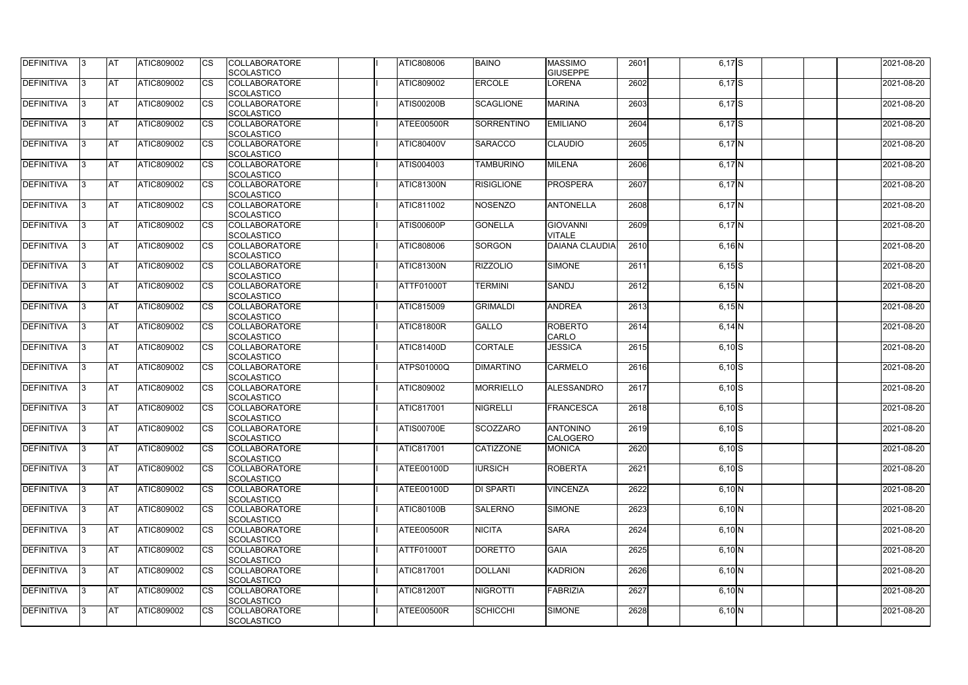| <b>DEFINITIVA</b> | IЗ  | <b>IAT</b> | <b>ATIC809002</b> | <b>CS</b>              | <b>COLLABORATORE</b> | <b>ATIC808006</b> | <b>BAINO</b>      | <b>MASSIMO</b>        | 2601 | $6,17$ $S$ | 2021-08-20 |
|-------------------|-----|------------|-------------------|------------------------|----------------------|-------------------|-------------------|-----------------------|------|------------|------------|
|                   |     |            |                   |                        | SCOLASTICO           |                   |                   | <b>GIUSEPPE</b>       |      |            |            |
| DEFINITIVA        | ß.  | <b>AT</b>  | ATIC809002        | CS                     | <b>COLLABORATORE</b> | <b>ATIC809002</b> | <b>ERCOLE</b>     | LORENA                | 2602 | $6,17$ S   | 2021-08-20 |
|                   |     |            |                   |                        | SCOLASTICO           |                   |                   |                       |      |            |            |
| <b>DEFINITIVA</b> | ß.  | <b>AT</b>  | ATIC809002        | CS                     | <b>COLLABORATORE</b> | <b>ATIS00200B</b> | <b>SCAGLIONE</b>  | <b>MARINA</b>         | 2603 | 6,17S      | 2021-08-20 |
|                   |     |            |                   |                        | <b>SCOLASTICO</b>    |                   |                   |                       |      |            |            |
| <b>DEFINITIVA</b> |     | <b>AT</b>  | ATIC809002        | <b>CS</b>              | <b>COLLABORATORE</b> | ATEE00500R        | <b>SORRENTINO</b> | <b>EMILIANO</b>       | 2604 | $6,17$ $S$ | 2021-08-20 |
|                   |     |            |                   |                        | <b>SCOLASTICO</b>    |                   |                   |                       |      |            |            |
| <b>DEFINITIVA</b> |     | <b>AT</b>  | ATIC809002        | CS                     | <b>COLLABORATORE</b> | <b>ATIC80400V</b> | <b>SARACCO</b>    | <b>CLAUDIO</b>        | 2605 | 6,17N      | 2021-08-20 |
|                   |     |            |                   |                        | SCOLASTICO           |                   |                   |                       |      |            |            |
| <b>DEFINITIVA</b> | ß   | AT         | ATIC809002        | <b>CS</b>              | <b>COLLABORATORE</b> | ATIS004003        | <b>TAMBURINO</b>  | <b>MILENA</b>         | 2606 | $6,17$ N   | 2021-08-20 |
|                   |     |            |                   |                        | SCOLASTICO           |                   |                   |                       |      |            |            |
| <b>DEFINITIVA</b> |     | <b>AT</b>  | ATIC809002        | <b>CS</b>              | <b>COLLABORATORE</b> | ATIC81300N        | <b>RISIGLIONE</b> | PROSPERA              | 2607 | $6,17$ N   | 2021-08-20 |
|                   |     |            |                   |                        | SCOLASTICO           |                   |                   |                       |      |            |            |
| DEFINITIVA        | 3   | <b>AT</b>  | ATIC809002        | <b>CS</b>              | <b>COLLABORATORE</b> | <b>ATIC811002</b> | <b>NOSENZO</b>    | <b>ANTONELLA</b>      | 2608 | 6,17N      | 2021-08-20 |
|                   |     |            |                   |                        | <b>SCOLASTICO</b>    |                   |                   |                       |      |            |            |
| <b>DEFINITIVA</b> | l3  | <b>AT</b>  | ATIC809002        | CS                     | <b>COLLABORATORE</b> | ATIS00600P        | <b>GONELLA</b>    | <b>GIOVANNI</b>       | 2609 | $6,17$ N   | 2021-08-20 |
|                   |     |            |                   |                        | <b>SCOLASTICO</b>    |                   |                   | <b>VITALE</b>         |      |            |            |
| <b>DEFINITIVA</b> |     | <b>AT</b>  | <b>ATIC809002</b> | <b>CS</b>              | <b>COLLABORATORE</b> | ATIC808006        | SORGON            | <b>DAIANA CLAUDIA</b> | 2610 | $6,16$ N   | 2021-08-20 |
|                   |     |            |                   |                        | <b>SCOLASTICO</b>    |                   |                   |                       |      |            |            |
| <b>DEFINITIVA</b> |     | <b>AT</b>  | ATIC809002        | $\overline{\text{cs}}$ | <b>COLLABORATORE</b> | <b>ATIC81300N</b> | <b>RIZZOLIO</b>   | <b>SIMONE</b>         | 2611 | $6,15$ S   | 2021-08-20 |
|                   |     |            |                   |                        | SCOLASTICO           |                   |                   |                       |      |            |            |
| <b>DEFINITIVA</b> | 3   | <b>AT</b>  | ATIC809002        | <b>CS</b>              | <b>COLLABORATORE</b> | ATTF01000T        | <b>TERMINI</b>    | SANDJ                 | 2612 | 6,15N      | 2021-08-20 |
|                   |     |            |                   |                        | SCOLASTICO           |                   |                   |                       |      |            |            |
| <b>DEFINITIVA</b> |     | <b>AT</b>  | ATIC809002        | CS                     | <b>COLLABORATORE</b> | <b>ATIC815009</b> | <b>GRIMALDI</b>   | <b>ANDREA</b>         | 2613 | 6,15N      | 2021-08-20 |
|                   |     |            |                   |                        | <b>SCOLASTICO</b>    |                   |                   |                       |      |            |            |
| <b>DEFINITIVA</b> |     | <b>AT</b>  | ATIC809002        | <b>CS</b>              | <b>COLLABORATORE</b> | ATIC81800R        | <b>GALLO</b>      | <b>ROBERTO</b>        | 2614 | $6,14$ N   | 2021-08-20 |
|                   |     |            |                   |                        | SCOLASTICO           |                   |                   | <b>CARLO</b>          |      |            |            |
| DEFINITIVA        | R   | <b>AT</b>  | ATIC809002        | CS                     | <b>COLLABORATORE</b> | ATIC81400D        | CORTALE           | <b>JESSICA</b>        | 2615 | $6,10$ S   | 2021-08-20 |
|                   |     |            |                   |                        | <b>SCOLASTICO</b>    |                   |                   |                       |      |            |            |
| <b>DEFINITIVA</b> |     | <b>AT</b>  | <b>ATIC809002</b> | CS                     | <b>COLLABORATORE</b> | <b>ATPS01000Q</b> | <b>DIMARTINO</b>  | <b>CARMELO</b>        | 2616 | $6,10$ S   | 2021-08-20 |
|                   |     |            |                   |                        | <b>SCOLASTICO</b>    |                   |                   |                       |      |            |            |
| <b>DEFINITIVA</b> |     | <b>AT</b>  | ATIC809002        | <b>CS</b>              | <b>COLLABORATORE</b> | ATIC809002        | <b>MORRIELLO</b>  | ALESSANDRO            | 2617 | $6,10$ S   | 2021-08-20 |
|                   |     |            |                   |                        | SCOLASTICO           |                   |                   |                       |      |            |            |
| <b>DEFINITIVA</b> |     | <b>AT</b>  | ATIC809002        | <b>CS</b>              | <b>COLLABORATORE</b> | <b>ATIC817001</b> | <b>NIGRELLI</b>   | <b>FRANCESCA</b>      | 2618 | $6,10$ S   | 2021-08-20 |
|                   |     |            |                   |                        | SCOLASTICO           |                   |                   |                       |      |            |            |
| DEFINITIVA        | 13. | <b>AT</b>  | ATIC809002        | <b>CS</b>              | <b>COLLABORATORE</b> | <b>ATIS00700E</b> | <b>SCOZZARO</b>   | <b>ANTONINO</b>       | 2619 | $6,10$ S   | 2021-08-20 |
|                   |     |            |                   |                        | SCOLASTICO           |                   |                   | <b>CALOGERO</b>       |      |            |            |
| <b>DEFINITIVA</b> | IЗ  | <b>AT</b>  | ATIC809002        | <b>CS</b>              | <b>COLLABORATORE</b> | <b>ATIC817001</b> | <b>CATIZZONE</b>  | <b>MONICA</b>         | 2620 | $6,10$ S   | 2021-08-20 |
|                   |     |            |                   |                        | <b>SCOLASTICO</b>    |                   |                   |                       |      |            |            |
| <b>DEFINITIVA</b> | l3. | <b>AT</b>  | ATIC809002        | <b>CS</b>              | <b>COLLABORATORE</b> | ATEE00100D        | <b>IURSICH</b>    | <b>ROBERTA</b>        | 2621 | $6,10$ S   | 2021-08-20 |
|                   |     |            |                   |                        | <b>SCOLASTICO</b>    |                   |                   |                       |      |            |            |
| <b>DEFINITIVA</b> | 13. | <b>AT</b>  | <b>ATIC809002</b> | <b>CS</b>              | <b>COLLABORATORE</b> | ATEE00100D        | <b>DI SPARTI</b>  | <b>VINCENZA</b>       | 2622 | 6,10 N     | 2021-08-20 |
|                   |     |            |                   |                        | <b>SCOLASTICO</b>    |                   |                   |                       |      |            |            |
| <b>DEFINITIVA</b> |     | <b>AT</b>  | ATIC809002        | <b>CS</b>              | <b>COLLABORATORE</b> | <b>ATIC80100B</b> | <b>SALERNO</b>    | <b>SIMONE</b>         | 2623 | $6,10\,N$  | 2021-08-20 |
|                   |     |            |                   |                        |                      |                   |                   |                       |      |            |            |
|                   |     |            |                   |                        | <b>SCOLASTICO</b>    |                   |                   |                       |      |            |            |
| <b>DEFINITIVA</b> |     | <b>AT</b>  | ATIC809002        | <b>CS</b>              | <b>COLLABORATORE</b> | ATEE00500R        | <b>NICITA</b>     | <b>SARA</b>           | 2624 | 6,10 N     | 2021-08-20 |
|                   |     |            |                   |                        | <b>SCOLASTICO</b>    |                   |                   |                       |      |            |            |
| <b>DEFINITIVA</b> | l3  | <b>AT</b>  | ATIC809002        | <b>CS</b>              | <b>COLLABORATORE</b> | <b>ATTF01000T</b> | <b>DORETTO</b>    | <b>GAIA</b>           | 2625 | 6,10 N     | 2021-08-20 |
|                   |     |            |                   |                        | SCOLASTICO           |                   |                   |                       |      |            |            |
| DEFINITIVA        |     | <b>AT</b>  | ATIC809002        | <b>CS</b>              | <b>COLLABORATORE</b> | <b>ATIC817001</b> | <b>DOLLANI</b>    | <b>KADRION</b>        | 2626 | 6,10 N     | 2021-08-20 |
|                   |     |            |                   |                        | <b>SCOLASTICO</b>    |                   |                   |                       |      |            |            |
| DEFINITIVA        | IЗ  | <b>AT</b>  | ATIC809002        | <b>CS</b>              | <b>COLLABORATORE</b> | <b>ATIC81200T</b> | <b>NIGROTTI</b>   | FABRIZIA              | 2627 | 6,10 N     | 2021-08-20 |
|                   |     |            |                   |                        | <b>SCOLASTICO</b>    |                   |                   |                       |      |            |            |
| <b>DEFINITIVA</b> | l3  | <b>AT</b>  | ATIC809002        | <b>CS</b>              | <b>COLLABORATORE</b> | ATEE00500R        | <b>SCHICCHI</b>   | <b>SIMONE</b>         | 2628 | $6,10$ N   | 2021-08-20 |
|                   |     |            |                   |                        | <b>SCOLASTICO</b>    |                   |                   |                       |      |            |            |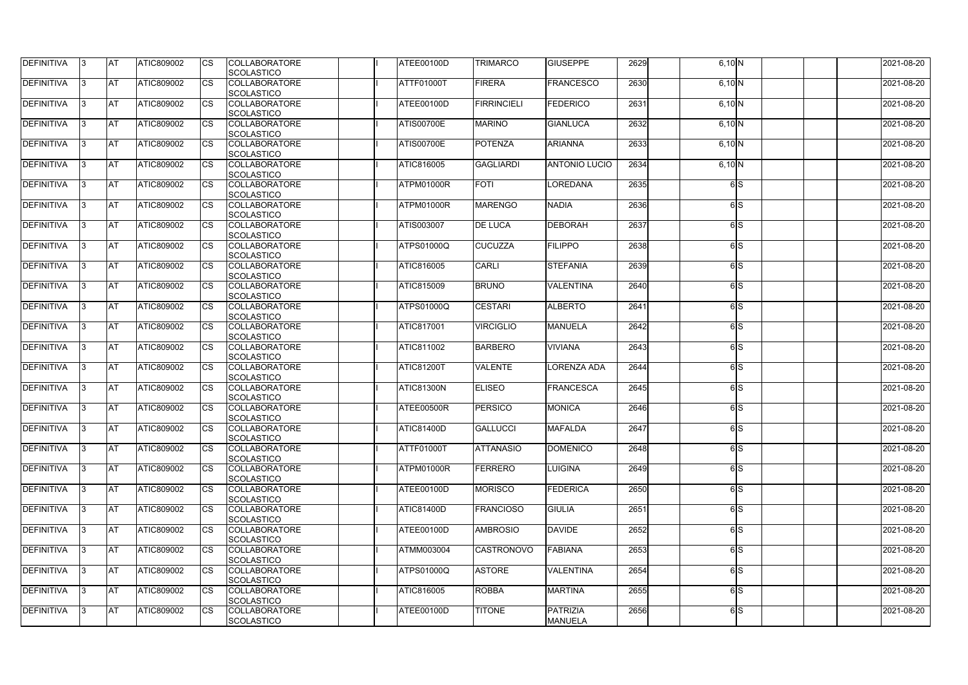| <b>DEFINITIVA</b> | 13. | IAT        | ATIC809002        | <b>ICS</b>  | <b>COLLABORATORE</b><br><b>SCOLASTICO</b>                      | ATEE00100D        | <b>TRIMARCO</b>    | <b>GIUSEPPE</b>                   | 2629 | $6,10$ N |     | 2021-08-20 |
|-------------------|-----|------------|-------------------|-------------|----------------------------------------------------------------|-------------------|--------------------|-----------------------------------|------|----------|-----|------------|
| DEFINITIVA        | I3  | <b>AT</b>  | <b>ATIC809002</b> | <b>CS</b>   | <b>COLLABORATORE</b>                                           | ATTF01000T        | <b>FIRERA</b>      | <b>FRANCESCO</b>                  | 2630 | $6,10$ N |     | 2021-08-20 |
| DEFINITIVA        | 13  | IAT        | ATIC809002        | <b>I</b> cs | <b>SCOLASTICO</b><br><b>COLLABORATORE</b><br><b>SCOLASTICO</b> | ATEE00100D        | <b>FIRRINCIELI</b> | <b>FEDERICO</b>                   | 2631 | 6,10 N   |     | 2021-08-20 |
| DEFINITIVA        |     | <b>AT</b>  | ATIC809002        | <b>CS</b>   | <b>COLLABORATORE</b><br>SCOLASTICO                             | ATIS00700E        | <b>MARINO</b>      | <b>GIANLUCA</b>                   | 2632 | 6,10 N   |     | 2021-08-20 |
| DEFINITIVA        |     | <b>AT</b>  | ATIC809002        | <b>CS</b>   | <b>COLLABORATORE</b><br><b>SCOLASTICO</b>                      | ATIS00700E        | <b>POTENZA</b>     | <b>ARIANNA</b>                    | 2633 | 6,10 N   |     | 2021-08-20 |
| <b>DEFINITIVA</b> | 13. | IAT        | ATIC809002        | <b>ICS</b>  | <b>COLLABORATORE</b><br><b>SCOLASTICO</b>                      | ATIC816005        | <b>GAGLIARDI</b>   | <b>ANTONIO LUCIO</b>              | 2634 | $6,10$ N |     | 2021-08-20 |
| DEFINITIVA        |     | lAT        | <b>ATIC809002</b> | <b>I</b> cs | <b>COLLABORATORE</b><br><b>SCOLASTICO</b>                      | ATPM01000R        | <b>FOTI</b>        | <b>LOREDANA</b>                   | 2635 |          | 6S  | 2021-08-20 |
| DEFINITIVA        | 13  | ΙAΤ        | <b>ATIC809002</b> | <b>ICS</b>  | <b>COLLABORATORE</b><br><b>SCOLASTICO</b>                      | ATPM01000R        | <b>MARENGO</b>     | <b>NADIA</b>                      | 2636 |          | 6S  | 2021-08-20 |
| DEFINITIVA        | 13  | IAT        | ATIC809002        | <b>CS</b>   | <b>COLLABORATORE</b><br>SCOLASTICO                             | <b>ATIS003007</b> | <b>DE LUCA</b>     | <b>DEBORAH</b>                    | 2637 |          | 6S  | 2021-08-20 |
| DEFINITIVA        |     | <b>AT</b>  | <b>ATIC809002</b> | <b>CS</b>   | <b>COLLABORATORE</b><br>SCOLASTICO                             | <b>ATPS01000Q</b> | <b>CUCUZZA</b>     | <b>FILIPPO</b>                    | 2638 |          | 6S  | 2021-08-20 |
| DEFINITIVA        |     | <b>AT</b>  | ATIC809002        | <b>ICS</b>  | <b>COLLABORATORE</b><br><b>SCOLASTICO</b>                      | ATIC816005        | <b>CARLI</b>       | <b>STEFANIA</b>                   | 2639 |          | 6S  | 2021-08-20 |
| <b>DEFINITIVA</b> | 13. | <b>AT</b>  | ATIC809002        | <b>ICS</b>  | <b>COLLABORATORE</b><br><b>SCOLASTICO</b>                      | <b>ATIC815009</b> | <b>BRUNO</b>       | <b>VALENTINA</b>                  | 2640 |          | 6S  | 2021-08-20 |
| DEFINITIVA        |     | IA1        | ATIC809002        |             | <b>COLLABORATORE</b><br><b>SCOLASTICO</b>                      | <b>ATPS01000Q</b> | <b>CESTARI</b>     | <b>ALBERTO</b>                    | 2641 |          | 6S  | 2021-08-20 |
| DEFINITIVA        | IЗ  | <b>AT</b>  | <b>ATIC809002</b> | <b>ICS</b>  | <b>COLLABORATORE</b><br><b>SCOLASTICO</b>                      | ATIC817001        | <b>VIRCIGLIO</b>   | <b>MANUELA</b>                    | 2642 |          | 6S  | 2021-08-20 |
| DEFINITIVA        | 13. | IAT        | ATIC809002        | <b>CS</b>   | <b>COLLABORATORE</b><br><b>SCOLASTICO</b>                      | ATIC811002        | <b>BARBERO</b>     | <b>VIVIANA</b>                    | 2643 |          | 6S  | 2021-08-20 |
| DEFINITIVA        |     | <b>AT</b>  | <b>ATIC809002</b> | <b>CS</b>   | <b>COLLABORATORE</b><br>SCOLASTICO                             | <b>ATIC81200T</b> | <b>VALENTE</b>     | <b>LORENZA ADA</b>                | 2644 |          | 6S  | 2021-08-20 |
| <b>DEFINITIVA</b> |     | <b>AT</b>  | ATIC809002        | <b>CS</b>   | <b>COLLABORATORE</b><br>SCOLASTICO                             | <b>ATIC81300N</b> | <b>ELISEO</b>      | <b>FRANCESCA</b>                  | 2645 |          | 6S  | 2021-08-20 |
| DEFINITIVA        |     | AT         | ATIC809002        | <b>CS</b>   | <b>COLLABORATORE</b><br>SCOLASTICO                             | ATEE00500R        | <b>PERSICO</b>     | <b>MONICA</b>                     | 2646 |          | 6S  | 2021-08-20 |
| <b>DEFINITIVA</b> | 13. | IAT        | ATIC809002        | <b>CS</b>   | <b>COLLABORATORE</b><br>SCOLASTICO                             | ATIC81400D        | <b>GALLUCCI</b>    | <b>MAFALDA</b>                    | 2647 |          | 6S  | 2021-08-20 |
| DEFINITIVA        | 13  | <b>AT</b>  | ATIC809002        | <b>CS</b>   | <b>COLLABORATORE</b><br><b>SCOLASTICO</b>                      | ATTF01000T        | <b>ATTANASIO</b>   | <b>DOMENICO</b>                   | 2648 |          | 6S  | 2021-08-20 |
| <b>DEFINITIVA</b> | 13  | <b>AT</b>  | <b>ATIC809002</b> | <b>CS</b>   | <b>COLLABORATORE</b><br><b>SCOLASTICO</b>                      | ATPM01000R        | FERRERO            | <b>LUIGINA</b>                    | 2649 |          | 6S  | 2021-08-20 |
| DEFINITIVA        | 13  | <b>AT</b>  | <b>ATIC809002</b> | <b>CS</b>   | <b>COLLABORATORE</b><br><b>SCOLASTICO</b>                      | ATEE00100D        | <b>MORISCO</b>     | <b>FEDERICA</b>                   | 2650 |          | 6S  | 2021-08-20 |
| <b>DEFINITIVA</b> | 13. | <b>AT</b>  | <b>ATIC809002</b> | <b>CS</b>   | <b>COLLABORATORE</b><br>SCOLASTICO                             | ATIC81400D        | <b>FRANCIOSO</b>   | <b>GIULIA</b>                     | 2651 |          | 6S  | 2021-08-20 |
| <b>DEFINITIVA</b> |     | <b>AT</b>  | ATIC809002        | <b>CS</b>   | <b>COLLABORATORE</b><br>SCOLASTICO                             | ATEE00100D        | <b>AMBROSIO</b>    | <b>DAVIDE</b>                     | 2652 |          | 6S  | 2021-08-20 |
| <b>DEFINITIVA</b> | 13. | <b>IAT</b> | ATIC809002        | <b>ICS</b>  | <b>COLLABORATORE</b><br><b>SCOLASTICO</b>                      | ATMM003004        | <b>CASTRONOVO</b>  | <b>FABIANA</b>                    | 2653 |          | 6 S | 2021-08-20 |
| <b>DEFINITIVA</b> | 13  | <b>AT</b>  | <b>ATIC809002</b> | <b>ICS</b>  | <b>COLLABORATORE</b><br>SCOLASTICO                             | <b>ATPS01000Q</b> | <b>ASTORE</b>      | <b>VALENTINA</b>                  | 2654 |          | 6S  | 2021-08-20 |
| <b>DEFINITIVA</b> | 13  | IAT        | <b>ATIC809002</b> | <b>CS</b>   | <b>COLLABORATORE</b><br>SCOLASTICO                             | ATIC816005        | <b>ROBBA</b>       | <b>MARTINA</b>                    | 2655 |          | 6 S | 2021-08-20 |
| <b>DEFINITIVA</b> | 13  | <b>AT</b>  | ATIC809002        | <b>CS</b>   | <b>COLLABORATORE</b><br>SCOLASTICO                             | ATEE00100D        | <b>TITONE</b>      | <b>PATRIZIA</b><br><b>MANUELA</b> | 2656 |          | 6S  | 2021-08-20 |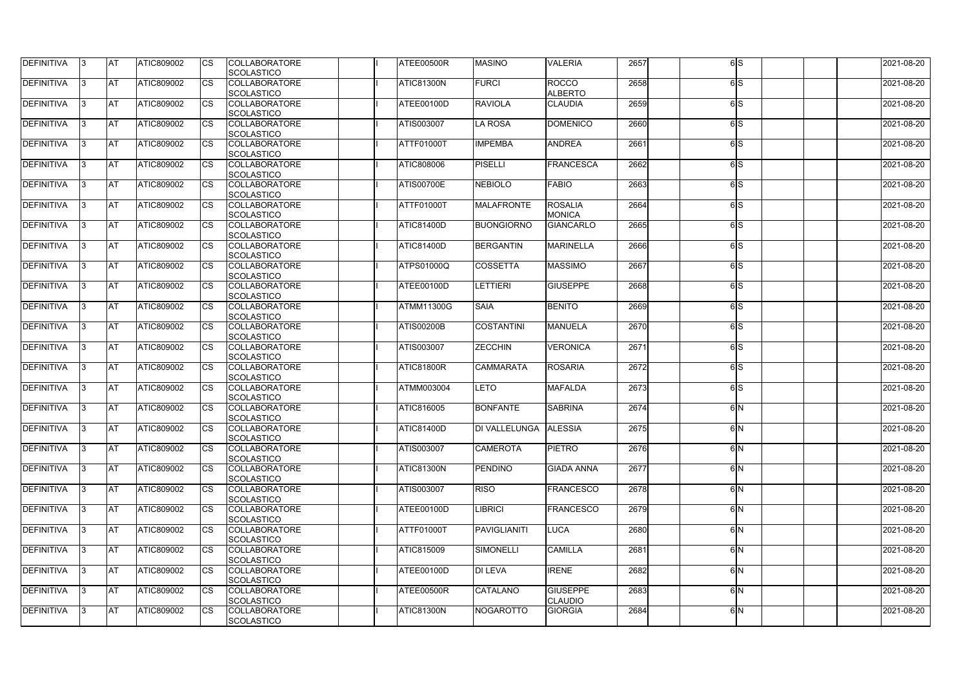| <b>DEFINITIVA</b> | 13  | <b>AT</b>  | ATIC809002        |    | <b>COLLABORATORE</b><br><b>SCOLASTICO</b> | ATEE00500R        | <b>MASINO</b>     | <b>VALERIA</b>                 | 2657 | 6S              | 2021-08-20 |
|-------------------|-----|------------|-------------------|----|-------------------------------------------|-------------------|-------------------|--------------------------------|------|-----------------|------------|
| DEFINITIVA        | IЗ  | <b>AT</b>  | ATIC809002        | CS | <b>COLLABORATORE</b>                      | ATIC81300N        | <b>FURCI</b>      | <b>ROCCO</b><br><b>ALBERTO</b> | 2658 | 6S              | 2021-08-20 |
| DEFINITIVA        | IЗ  | <b>AT</b>  | ATIC809002        | CS | <b>SCOLASTICO</b><br><b>COLLABORATORE</b> | ATEE00100D        | <b>RAVIOLA</b>    | <b>CLAUDIA</b>                 | 2659 | 6 <sub>IS</sub> | 2021-08-20 |
|                   |     |            |                   |    | <b>SCOLASTICO</b>                         |                   |                   |                                |      |                 |            |
| <b>DEFINITIVA</b> | 13  | <b>AT</b>  | ATIC809002        | CS | <b>COLLABORATORE</b><br><b>SCOLASTICO</b> | <b>ATIS003007</b> | <b>LA ROSA</b>    | <b>DOMENICO</b>                | 2660 | 6lS             | 2021-08-20 |
| DEFINITIVA        | l3. | <b>AT</b>  | ATIC809002        | CS | <b>COLLABORATORE</b>                      | <b>ATTF01000T</b> | <b>IMPEMBA</b>    | <b>ANDREA</b>                  | 2661 | 6lS             | 2021-08-20 |
|                   |     |            |                   |    | <b>SCOLASTICO</b>                         |                   |                   |                                |      |                 |            |
| DEFINITIVA        | 13  | <b>IAT</b> | ATIC809002        | СS | <b>COLLABORATORE</b>                      | ATIC808006        | PISELLI           | <b>FRANCESCA</b>               | 2662 | 6lS             | 2021-08-20 |
|                   |     |            |                   |    | <b>SCOLASTICO</b>                         |                   |                   |                                |      |                 |            |
| DEFINITIVA        | 13  | AT         | <b>ATIC809002</b> | CS | <b>COLLABORATORE</b>                      | <b>ATIS00700E</b> | <b>NEBIOLO</b>    | <b>FABIO</b>                   | 2663 | 6lS             | 2021-08-20 |
|                   |     |            |                   |    | <b>SCOLASTICO</b>                         |                   |                   |                                |      |                 |            |
| DEFINITIVA        | IЗ  | <b>AT</b>  | <b>ATIC809002</b> | CS | <b>COLLABORATORE</b>                      | ATTF01000T        | <b>MALAFRONTE</b> | <b>ROSALIA</b>                 | 2664 | 6S              | 2021-08-20 |
|                   |     |            |                   |    | <b>SCOLASTICO</b>                         |                   |                   | <b>MONICA</b>                  |      |                 |            |
| <b>DEFINITIVA</b> | IЗ  | <b>AT</b>  | <b>ATIC809002</b> | CS | <b>COLLABORATORE</b>                      | ATIC81400D        | <b>BUONGIORNO</b> | <b>GIANCARLO</b>               | 2665 | 6 <sub>IS</sub> | 2021-08-20 |
|                   |     |            |                   |    | <b>SCOLASTICO</b>                         |                   |                   |                                |      |                 |            |
| DEFINITIVA        | l3  | <b>AT</b>  | ATIC809002        | CS | <b>COLLABORATORE</b>                      | <b>ATIC81400D</b> | <b>BERGANTIN</b>  | <b>MARINELLA</b>               | 2666 | 6 <sub>IS</sub> | 2021-08-20 |
|                   |     |            |                   |    | <b>SCOLASTICO</b>                         |                   |                   |                                |      |                 |            |
| DEFINITIVA        | IЗ  | <b>AT</b>  | ATIC809002        | CS | <b>COLLABORATORE</b>                      | <b>ATPS01000Q</b> | <b>COSSETTA</b>   | <b>MASSIMO</b>                 | 2667 | 6lS             | 2021-08-20 |
|                   |     |            |                   |    | <b>SCOLASTICO</b>                         |                   |                   |                                |      |                 |            |
| <b>DEFINITIVA</b> | l3  | <b>AT</b>  | ATIC809002        | CS | <b>COLLABORATORE</b><br><b>SCOLASTICO</b> | ATEE00100D        | <b>LETTIERI</b>   | <b>GIUSEPPE</b>                | 2668 | 6lS             | 2021-08-20 |
| DEFINITIVA        | 13. | <b>AT</b>  | <b>ATIC809002</b> |    | <b>COLLABORATORE</b>                      | <b>ATMM11300G</b> | <b>SAIA</b>       | <b>BENITO</b>                  | 2669 | 6S              | 2021-08-20 |
|                   |     |            |                   |    | <b>SCOLASTICO</b>                         |                   |                   |                                |      |                 |            |
| DEFINITIVA        | IЗ  | <b>AT</b>  | <b>ATIC809002</b> | CS | <b>COLLABORATORE</b><br><b>SCOLASTICO</b> | <b>ATIS00200B</b> | <b>COSTANTINI</b> | <b>MANUELA</b>                 | 2670 | 6S              | 2021-08-20 |
| <b>DEFINITIVA</b> | 13. | <b>AT</b>  | <b>ATIC809002</b> | CS | <b>COLLABORATORE</b>                      | ATIS003007        | <b>ZECCHIN</b>    | <b>VERONICA</b>                | 2671 | 6S              | 2021-08-20 |
|                   |     |            |                   |    | <b>SCOLASTICO</b>                         |                   |                   |                                |      |                 |            |
| DEFINITIVA        | IЗ  | <b>AT</b>  | ATIC809002        | CS | <b>COLLABORATORE</b>                      | ATIC81800R        | <b>CAMMARATA</b>  | <b>ROSARIA</b>                 | 2672 | 6lS             | 2021-08-20 |
|                   |     |            |                   |    | <b>SCOLASTICO</b>                         |                   |                   |                                |      |                 |            |
| DEFINITIVA        | 13. | <b>AT</b>  | ATIC809002        | CS | <b>COLLABORATORE</b>                      | <b>ATMM003004</b> | <b>LETO</b>       | <b>MAFALDA</b>                 | 2673 | 6S              | 2021-08-20 |
|                   |     |            |                   |    | <b>SCOLASTICO</b>                         |                   |                   |                                |      |                 |            |
| DEFINITIVA        |     | <b>AT</b>  | ATIC809002        | СS | <b>COLLABORATORE</b>                      | ATIC816005        | <b>BONFANTE</b>   | <b>SABRINA</b>                 | 2674 | 6 <sup>N</sup>  | 2021-08-20 |
|                   |     |            |                   |    | SCOLASTICO                                |                   |                   |                                |      |                 |            |
| <b>DEFINITIVA</b> | 13  | <b>AT</b>  | ATIC809002        |    | <b>COLLABORATORE</b>                      | <b>ATIC81400D</b> | DI VALLELUNGA     | <b>ALESSIA</b>                 | 2675 | 6IN             | 2021-08-20 |
|                   |     |            |                   |    | <b>SCOLASTICO</b>                         |                   |                   |                                |      |                 |            |
| <b>DEFINITIVA</b> | 13  | <b>AT</b>  | ATIC809002        | СS | <b>COLLABORATORE</b><br><b>SCOLASTICO</b> | ATIS003007        | <b>CAMEROTA</b>   | <b>PIETRO</b>                  | 2676 | 6N              | 2021-08-20 |
| <b>DEFINITIVA</b> | 13. | <b>AT</b>  | ATIC809002        | СS | <b>COLLABORATORE</b>                      | ATIC81300N        | <b>PENDINO</b>    | <b>GIADA ANNA</b>              | 2677 | 6N              | 2021-08-20 |
|                   |     |            |                   |    | <b>SCOLASTICO</b>                         |                   |                   |                                |      |                 |            |
| <b>DEFINITIVA</b> | 13  | <b>AT</b>  | <b>ATIC809002</b> | CS | <b>COLLABORATORE</b>                      | ATIS003007        | <b>RISO</b>       | <b>FRANCESCO</b>               | 2678 | 6 <sup>N</sup>  | 2021-08-20 |
|                   |     |            |                   |    | <b>SCOLASTICO</b>                         |                   |                   |                                |      |                 |            |
| <b>DEFINITIVA</b> | 13. | <b>AT</b>  | ATIC809002        | CS | <b>COLLABORATORE</b>                      | <b>ATEE00100D</b> | <b>IBRICI</b>     | <b>FRANCESCO</b>               | 2679 | 6IN             | 2021-08-20 |
|                   |     |            |                   |    | <b>SCOLASTICO</b>                         |                   |                   |                                |      |                 |            |
| <b>DEFINITIVA</b> | 13. | <b>AT</b>  | ATIC809002        | СS | <b>COLLABORATORE</b>                      | <b>ATTF01000T</b> | PAVIGLIANITI      | <b>LUCA</b>                    | 2680 | 6 <sup>N</sup>  | 2021-08-20 |
|                   |     |            |                   |    | <b>SCOLASTICO</b>                         |                   |                   |                                |      |                 |            |
| <b>DEFINITIVA</b> | 13  | <b>AT</b>  | ATIC809002        | CS | <b>COLLABORATORE</b>                      | ATIC815009        | <b>SIMONELLI</b>  | <b>CAMILLA</b>                 | 2681 | 6IN             | 2021-08-20 |
|                   |     |            |                   |    | <b>SCOLASTICO</b>                         |                   |                   |                                |      |                 |            |
| <b>DEFINITIVA</b> | 13  | <b>AT</b>  | ATIC809002        | СS | <b>COLLABORATORE</b>                      | ATEE00100D        | <b>DI LEVA</b>    | <b>IRENE</b>                   | 2682 | 6N              | 2021-08-20 |
|                   |     |            |                   |    | <b>SCOLASTICO</b>                         |                   |                   |                                |      |                 |            |
| <b>DEFINITIVA</b> | 13. | <b>AT</b>  | ATIC809002        | СS | <b>COLLABORATORE</b>                      | ATEE00500R        | <b>CATALANO</b>   | <b>GIUSEPPE</b>                | 2683 | 6N              | 2021-08-20 |
|                   |     |            |                   |    | <b>SCOLASTICO</b>                         |                   |                   | <b>CLAUDIO</b>                 |      |                 |            |
| <b>DEFINITIVA</b> | 13  | <b>AT</b>  | ATIC809002        | CS | <b>COLLABORATORE</b><br>SCOLASTICO        | ATIC81300N        | <b>NOGAROTTO</b>  | <b>GIORGIA</b>                 | 2684 | 6N              | 2021-08-20 |
|                   |     |            |                   |    |                                           |                   |                   |                                |      |                 |            |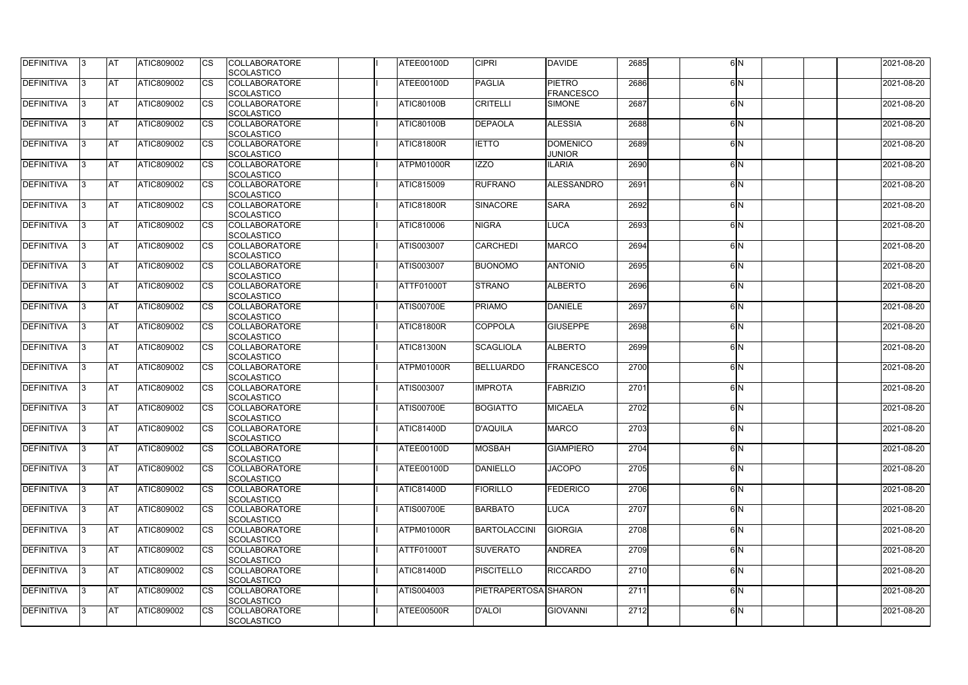| <b>DEFINITIVA</b> | 13  | <b>AT</b>  | ATIC809002        |    | <b>COLLABORATORE</b><br><b>SCOLASTICO</b> | ATEE00100D        | <b>CIPRI</b>         | <b>DAVIDE</b>                     | 2685 | 6IN            | 2021-08-20 |
|-------------------|-----|------------|-------------------|----|-------------------------------------------|-------------------|----------------------|-----------------------------------|------|----------------|------------|
| DEFINITIVA        | IЗ  | <b>AT</b>  | ATIC809002        | CS | <b>COLLABORATORE</b>                      | ATEE00100D        | <b>PAGLIA</b>        | <b>PIETRO</b>                     | 2686 | 6 <sup>N</sup> | 2021-08-20 |
| DEFINITIVA        | IЗ  | <b>AT</b>  | ATIC809002        | CS | <b>SCOLASTICO</b><br><b>COLLABORATORE</b> | <b>ATIC80100B</b> | <b>CRITELLI</b>      | <b>FRANCESCO</b><br><b>SIMONE</b> | 2687 | 6 <sup>N</sup> | 2021-08-20 |
|                   |     |            |                   |    | <b>SCOLASTICO</b>                         |                   |                      |                                   |      |                |            |
| <b>DEFINITIVA</b> | 13  | <b>AT</b>  | ATIC809002        | CS | <b>COLLABORATORE</b>                      | <b>ATIC80100B</b> | <b>DEPAOLA</b>       | <b>ALESSIA</b>                    | 2688 | 6 <sup>N</sup> | 2021-08-20 |
|                   |     |            |                   |    | <b>SCOLASTICO</b>                         |                   |                      |                                   |      |                |            |
| DEFINITIVA        | l3. | <b>AT</b>  | ATIC809002        | CS | <b>COLLABORATORE</b>                      | <b>ATIC81800R</b> | <b>IETTO</b>         | <b>DOMENICO</b>                   | 2689 | 6 <sup>N</sup> | 2021-08-20 |
|                   |     |            |                   |    | <b>SCOLASTICO</b>                         |                   |                      | <b>JUNIOR</b>                     |      |                |            |
| <b>DEFINITIVA</b> | 13  | <b>IAT</b> | ATIC809002        | СS | <b>COLLABORATORE</b>                      | ATPM01000R        | <b>IZZO</b>          | <b>ILARIA</b>                     | 2690 | 6IN            | 2021-08-20 |
|                   |     |            |                   |    | <b>SCOLASTICO</b>                         |                   |                      |                                   |      |                |            |
| DEFINITIVA        | 13  | AT         | <b>ATIC809002</b> | CS | <b>COLLABORATORE</b>                      | <b>ATIC815009</b> | <b>RUFRANO</b>       | ALESSANDRO                        | 2691 | 6IN            | 2021-08-20 |
|                   |     |            |                   |    | <b>SCOLASTICO</b>                         |                   |                      |                                   |      |                |            |
| DEFINITIVA        | IЗ  | <b>AT</b>  | <b>ATIC809002</b> | СS | <b>COLLABORATORE</b>                      | ATIC81800R        | <b>SINACORE</b>      | <b>SARA</b>                       | 2692 | 6IN            | 2021-08-20 |
|                   |     |            |                   |    | <b>SCOLASTICO</b>                         |                   |                      |                                   |      |                |            |
| <b>DEFINITIVA</b> | l3  | <b>AT</b>  | <b>ATIC809002</b> | CS | <b>COLLABORATORE</b>                      | ATIC810006        | <b>NIGRA</b>         | <b>LUCA</b>                       | 2693 | 6IN            | 2021-08-20 |
|                   |     |            |                   |    | <b>SCOLASTICO</b>                         |                   |                      |                                   |      |                |            |
| <b>DEFINITIVA</b> | l3  | <b>AT</b>  | ATIC809002        | CS | <b>COLLABORATORE</b>                      | <b>ATIS003007</b> | <b>CARCHEDI</b>      | <b>MARCO</b>                      | 2694 | 6IN            | 2021-08-20 |
|                   |     |            |                   |    | <b>SCOLASTICO</b>                         |                   |                      |                                   |      |                |            |
| DEFINITIVA        | IЗ  | <b>AT</b>  | ATIC809002        | CS | <b>COLLABORATORE</b>                      | ATIS003007        | <b>BUONOMO</b>       | <b>ANTONIO</b>                    | 2695 | 6 <sup>N</sup> | 2021-08-20 |
|                   |     |            |                   |    | <b>SCOLASTICO</b>                         |                   |                      |                                   |      |                |            |
| <b>DEFINITIVA</b> | l3  | <b>AT</b>  | ATIC809002        | CS | <b>COLLABORATORE</b><br><b>SCOLASTICO</b> | <b>ATTF01000T</b> | <b>STRANO</b>        | <b>ALBERTO</b>                    | 2696 | 6 <sup>N</sup> | 2021-08-20 |
| DEFINITIVA        | 13. | <b>AT</b>  | <b>ATIC809002</b> |    | <b>COLLABORATORE</b>                      | <b>ATIS00700E</b> | <b>PRIAMO</b>        | <b>DANIELE</b>                    | 2697 | 6IN            | 2021-08-20 |
|                   |     |            |                   |    | <b>SCOLASTICO</b>                         |                   |                      |                                   |      |                |            |
| DEFINITIVA        | IЗ  | <b>AT</b>  | <b>ATIC809002</b> | CS | <b>COLLABORATORE</b>                      | <b>ATIC81800R</b> | <b>COPPOLA</b>       | <b>GIUSEPPE</b>                   | 2698 | 6N             | 2021-08-20 |
|                   |     |            |                   |    | <b>SCOLASTICO</b>                         |                   |                      |                                   |      |                |            |
| <b>DEFINITIVA</b> | 13. | <b>AT</b>  | <b>ATIC809002</b> | CS | <b>COLLABORATORE</b>                      | <b>ATIC81300N</b> | <b>SCAGLIOLA</b>     | <b>ALBERTO</b>                    | 2699 | 6IN            | 2021-08-20 |
|                   |     |            |                   |    | <b>SCOLASTICO</b>                         |                   |                      |                                   |      |                |            |
| DEFINITIVA<br>IЗ  |     | <b>AT</b>  | ATIC809002        | CS | <b>COLLABORATORE</b>                      | ATPM01000R        | <b>BELLUARDO</b>     | <b>FRANCESCO</b>                  | 2700 | 6IN            | 2021-08-20 |
|                   |     |            |                   |    | <b>SCOLASTICO</b>                         |                   |                      |                                   |      |                |            |
| DEFINITIVA        | 13. | <b>AT</b>  | ATIC809002        | CS | <b>COLLABORATORE</b>                      | ATIS003007        | <b>IMPROTA</b>       | FABRIZIO                          | 2701 | 6 <sup>N</sup> | 2021-08-20 |
|                   |     |            |                   |    | <b>SCOLASTICO</b>                         |                   |                      |                                   |      |                |            |
| DEFINITIVA        |     | <b>AT</b>  | ATIC809002        | СS | <b>COLLABORATORE</b>                      | <b>ATIS00700E</b> | <b>BOGIATTO</b>      | <b>MICAELA</b>                    | 2702 | 6 <sup>N</sup> | 2021-08-20 |
|                   |     |            |                   |    | SCOLASTICO                                |                   |                      |                                   |      |                |            |
| <b>DEFINITIVA</b> | 13  | <b>AT</b>  | ATIC809002        |    | <b>COLLABORATORE</b>                      | <b>ATIC81400D</b> | <b>D'AQUILA</b>      | <b>MARCO</b>                      | 2703 | 6 <sup>N</sup> | 2021-08-20 |
|                   |     |            |                   |    | <b>SCOLASTICO</b>                         |                   |                      |                                   |      |                |            |
| <b>DEFINITIVA</b> | 13  | <b>AT</b>  | ATIC809002        | СS | <b>COLLABORATORE</b>                      | ATEE00100D        | <b>MOSBAH</b>        | <b>GIAMPIERO</b>                  | 2704 | 6N             | 2021-08-20 |
|                   |     |            |                   |    | <b>SCOLASTICO</b>                         |                   |                      |                                   |      |                |            |
| <b>DEFINITIVA</b> | 13. | <b>AT</b>  | ATIC809002        | СS | <b>COLLABORATORE</b>                      | ATEE00100D        | <b>DANIELLO</b>      | <b>JACOPO</b>                     | 2705 | 6N             | 2021-08-20 |
|                   |     |            |                   |    | <b>SCOLASTICO</b>                         |                   |                      |                                   |      |                |            |
| <b>DEFINITIVA</b> | 13  | <b>AT</b>  | <b>ATIC809002</b> | CS | <b>COLLABORATORE</b>                      | ATIC81400D        | <b>FIORILLO</b>      | <b>FEDERICO</b>                   | 2706 | 6 <sup>N</sup> | 2021-08-20 |
|                   |     |            |                   |    | <b>SCOLASTICO</b>                         |                   |                      |                                   |      |                |            |
| <b>DEFINITIVA</b> | 13. | <b>AT</b>  | ATIC809002        | CS | <b>COLLABORATORE</b>                      | <b>ATIS00700E</b> | <b>BARBATO</b>       | <b>LUCA</b>                       | 2707 | 6 <sup>N</sup> | 2021-08-20 |
|                   |     |            |                   |    | <b>SCOLASTICO</b>                         |                   |                      |                                   |      |                |            |
| <b>DEFINITIVA</b> | 13. | <b>AT</b>  | ATIC809002        | СS | <b>COLLABORATORE</b>                      | ATPM01000R        | <b>BARTOLACCINI</b>  | <b>GIORGIA</b>                    | 2708 | 6 <sup>N</sup> | 2021-08-20 |
|                   |     |            |                   |    | <b>SCOLASTICO</b>                         |                   |                      |                                   |      |                |            |
| <b>DEFINITIVA</b> | 13  | <b>AT</b>  | ATIC809002        | CS | <b>COLLABORATORE</b>                      | ATTF01000T        | <b>SUVERATO</b>      | <b>ANDREA</b>                     | 2709 | 6IN            | 2021-08-20 |
|                   |     |            |                   |    | <b>SCOLASTICO</b>                         |                   |                      |                                   |      |                |            |
| <b>DEFINITIVA</b> | 13  | <b>AT</b>  | ATIC809002        | СS | <b>COLLABORATORE</b>                      | ATIC81400D        | <b>PISCITELLO</b>    | <b>RICCARDO</b>                   | 2710 | 6N             | 2021-08-20 |
|                   | 13. |            |                   |    | <b>SCOLASTICO</b>                         |                   | PIETRAPERTOSA SHARON |                                   | 2711 | 6N             |            |
| <b>DEFINITIVA</b> |     | <b>AT</b>  | ATIC809002        | СS | <b>COLLABORATORE</b><br><b>SCOLASTICO</b> | ATIS004003        |                      |                                   |      |                | 2021-08-20 |
| <b>DEFINITIVA</b> | l3  | <b>AT</b>  | ATIC809002        | CS | <b>COLLABORATORE</b>                      | ATEE00500R        | <b>D'ALOI</b>        | <b>GIOVANNI</b>                   | 2712 | 6N             | 2021-08-20 |
|                   |     |            |                   |    | SCOLASTICO                                |                   |                      |                                   |      |                |            |
|                   |     |            |                   |    |                                           |                   |                      |                                   |      |                |            |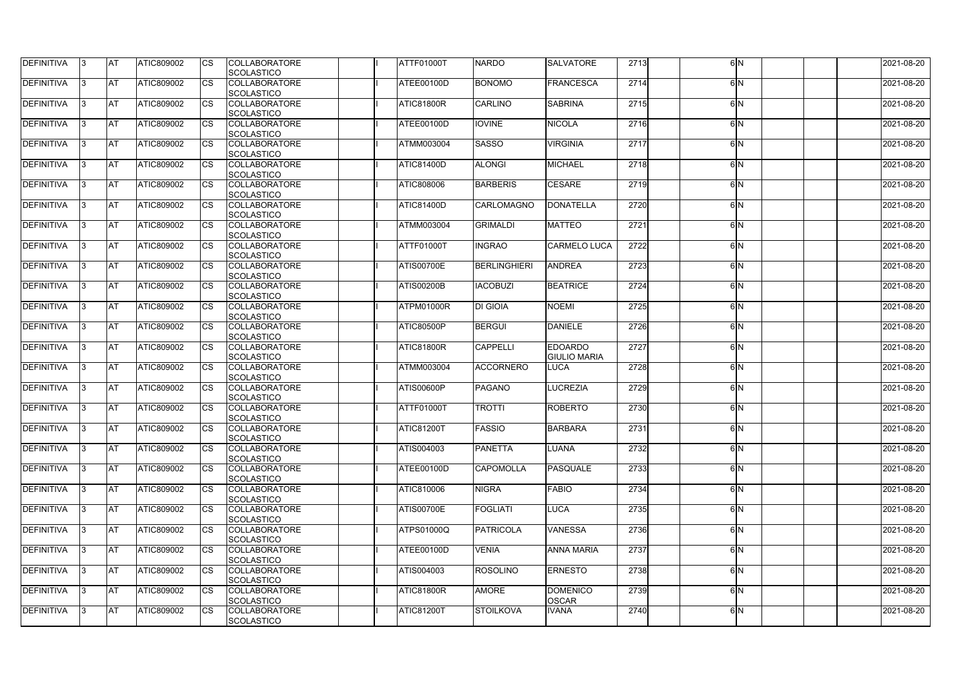| <b>DEFINITIVA</b> | 13        | IAT       | <b>ATIC809002</b> | <b>ICS</b> | <b>COLLABORATORE</b><br><b>SCOLASTICO</b> | ATTF01000T        | <b>NARDO</b>        | <b>SALVATORE</b>                      | 2713 | 6 <sup>N</sup> | 2021-08-20 |
|-------------------|-----------|-----------|-------------------|------------|-------------------------------------------|-------------------|---------------------|---------------------------------------|------|----------------|------------|
| <b>DEFINITIVA</b> | I3        | <b>AT</b> | ATIC809002        | Ics        | <b>COLLABORATORE</b><br><b>SCOLASTICO</b> | ATEE00100D        | <b>BONOMO</b>       | <b>FRANCESCA</b>                      | 2714 | 6N             | 2021-08-20 |
| DEFINITIVA        | 13.       | <b>AT</b> | <b>ATIC809002</b> | Ics        | <b>COLLABORATORE</b><br><b>SCOLASTICO</b> | ATIC81800R        | CARLINO             | <b>SABRINA</b>                        | 2715 | 6N             | 2021-08-20 |
| <b>DEFINITIVA</b> | 13        | <b>AT</b> | ATIC809002        | Ics        | <b>COLLABORATORE</b><br><b>SCOLASTICO</b> | ATEE00100D        | <b>IOVINE</b>       | <b>NICOLA</b>                         | 2716 | 6 <sup>N</sup> | 2021-08-20 |
| <b>DEFINITIVA</b> | 13.       | <b>AT</b> | ATIC809002        | Ics        | <b>COLLABORATORE</b><br><b>SCOLASTICO</b> | <b>ATMM003004</b> | <b>SASSO</b>        | <b>VIRGINIA</b>                       | 2717 | 6 <sup>N</sup> | 2021-08-20 |
| DEFINITIVA        | 13        | <b>AT</b> | <b>ATIC809002</b> | Ics        | <b>COLLABORATORE</b><br><b>SCOLASTICO</b> | ATIC81400D        | <b>ALONGI</b>       | <b>MICHAEL</b>                        | 2718 | 6 <sup>N</sup> | 2021-08-20 |
| DEFINITIVA        | 13        | <b>AT</b> | <b>ATIC809002</b> | Ics        | <b>COLLABORATORE</b><br><b>SCOLASTICO</b> | ATIC808006        | <b>BARBERIS</b>     | <b>CESARE</b>                         | 2719 | 6 <sup>N</sup> | 2021-08-20 |
| <b>DEFINITIVA</b> | 13.       | <b>AT</b> | <b>ATIC809002</b> | Ics        | <b>COLLABORATORE</b><br><b>SCOLASTICO</b> | ATIC81400D        | CARLOMAGNO          | <b>DONATELLA</b>                      | 2720 | 6 <sup>N</sup> | 2021-08-20 |
| <b>DEFINITIVA</b> | 13.       | <b>AT</b> | ATIC809002        | Ics        | <b>COLLABORATORE</b><br>SCOLASTICO        | <b>ATMM003004</b> | <b>GRIMALDI</b>     | <b>MATTEO</b>                         | 2721 | 6N             | 2021-08-20 |
| DEFINITIVA        | 13.       | <b>AT</b> | ATIC809002        | Ics        | <b>COLLABORATORE</b><br><b>SCOLASTICO</b> | ATTF01000T        | <b>INGRAO</b>       | <b>CARMELO LUCA</b>                   | 2722 | 6 <sup>N</sup> | 2021-08-20 |
| <b>DEFINITIVA</b> | 13.       | <b>AT</b> | ATIC809002        | Ics        | <b>COLLABORATORE</b><br><b>SCOLASTICO</b> | <b>ATIS00700E</b> | <b>BERLINGHIERI</b> | <b>ANDREA</b>                         | 2723 | 6N             | 2021-08-20 |
| <b>DEFINITIVA</b> | 13        | <b>AT</b> | ATIC809002        | Ics        | <b>COLLABORATORE</b><br><b>SCOLASTICO</b> | <b>ATIS00200B</b> | <b>IACOBUZI</b>     | <b>BEATRICE</b>                       | 2724 | 6N             | 2021-08-20 |
| <b>DEFINITIVA</b> | 13        | <b>AT</b> | <b>ATIC809002</b> |            | <b>COLLABORATORE</b><br><b>SCOLASTICO</b> | ATPM01000R        | <b>DI GIOIA</b>     | <b>NOEMI</b>                          | 2725 | 6 <sup>N</sup> | 2021-08-20 |
| <b>DEFINITIVA</b> | I3        | <b>AT</b> | <b>ATIC809002</b> | Ics        | <b>COLLABORATORE</b><br><b>SCOLASTICO</b> | <b>ATIC80500P</b> | <b>BERGUI</b>       | <b>DANIELE</b>                        | 2726 | 6N             | 2021-08-20 |
| <b>DEFINITIVA</b> | 13        | <b>AT</b> | ATIC809002        | <b>CS</b>  | <b>COLLABORATORE</b><br><b>SCOLASTICO</b> | <b>ATIC81800R</b> | <b>CAPPELLI</b>     | <b>EDOARDO</b><br><b>GIULIO MARIA</b> | 2727 | 6 <sup>N</sup> | 2021-08-20 |
| <b>DEFINITIVA</b> | 13        | <b>AT</b> | ATIC809002        | Ics        | <b>COLLABORATORE</b><br>SCOLASTICO        | <b>ATMM003004</b> | <b>ACCORNERO</b>    | <b>LUCA</b>                           | 2728 | 6N             | 2021-08-20 |
| <b>DEFINITIVA</b> | 13        | <b>AT</b> | ATIC809002        | Ics        | <b>COLLABORATORE</b><br><b>SCOLASTICO</b> | ATIS00600P        | <b>PAGANO</b>       | <b>LUCREZIA</b>                       | 2729 | 6N             | 2021-08-20 |
| DEFINITIVA        | IЗ        | AT        | ATIC809002        | Ics        | <b>COLLABORATORE</b><br>SCOLASTICO        | ATTF01000T        | <b>TROTTI</b>       | <b>ROBERTO</b>                        | 2730 | 6N             | 2021-08-20 |
| <b>DEFINITIVA</b> | 13        | <b>AT</b> | <b>ATIC809002</b> | <b>CS</b>  | <b>COLLABORATORE</b><br><b>SCOLASTICO</b> | <b>ATIC81200T</b> | <b>FASSIO</b>       | <b>BARBARA</b>                        | 2731 | 6 <sup>N</sup> | 2021-08-20 |
| DEFINITIVA        | $\vert$ 3 | <b>AT</b> | ATIC809002        | <b>CS</b>  | <b>COLLABORATORE</b><br><b>SCOLASTICO</b> | ATIS004003        | <b>PANETTA</b>      | <b>LUANA</b>                          | 2732 | 6N             | 2021-08-20 |
| <b>DEFINITIVA</b> | 13        | <b>AT</b> | <b>ATIC809002</b> | Ics        | <b>COLLABORATORE</b><br><b>SCOLASTICO</b> | ATEE00100D        | <b>CAPOMOLLA</b>    | <b>PASQUALE</b>                       | 2733 | 6N             | 2021-08-20 |
| <b>DEFINITIVA</b> | 13        | <b>AT</b> | ATIC809002        | Ics        | <b>COLLABORATORE</b><br><b>SCOLASTICO</b> | ATIC810006        | <b>NIGRA</b>        | <b>FABIO</b>                          | 2734 | 6N             | 2021-08-20 |
| DEFINITIVA        | 13        | <b>AT</b> | ATIC809002        | <b>CS</b>  | <b>COLLABORATORE</b><br><b>SCOLASTICO</b> | <b>ATIS00700E</b> | <b>FOGLIATI</b>     | <b>LUCA</b>                           | 2735 | 6N             | 2021-08-20 |
| <b>DEFINITIVA</b> | 13        | <b>AT</b> | ATIC809002        | <b>ICS</b> | <b>COLLABORATORE</b><br>SCOLASTICO        | <b>ATPS01000Q</b> | <b>PATRICOLA</b>    | <b>VANESSA</b>                        | 2736 | 6N             | 2021-08-20 |
| <b>DEFINITIVA</b> | 13        | <b>AT</b> | <b>ATIC809002</b> | Ics        | <b>COLLABORATORE</b><br><b>SCOLASTICO</b> | ATEE00100D        | <b>VENIA</b>        | <b>ANNA MARIA</b>                     | 2737 | 6 <sup>N</sup> | 2021-08-20 |
| <b>DEFINITIVA</b> | $\vert$ 3 | <b>AT</b> | ATIC809002        | <b>ICS</b> | <b>COLLABORATORE</b><br><b>SCOLASTICO</b> | ATIS004003        | <b>ROSOLINO</b>     | <b>ERNESTO</b>                        | 2738 | 6N             | 2021-08-20 |
| DEFINITIVA        | 13        | <b>AT</b> | <b>ATIC809002</b> | Ics        | <b>COLLABORATORE</b><br><b>SCOLASTICO</b> | ATIC81800R        | <b>AMORE</b>        | <b>DOMENICO</b><br><b>OSCAR</b>       | 2739 | 6N             | 2021-08-20 |
| <b>DEFINITIVA</b> | 13.       | <b>AT</b> | <b>ATIC809002</b> | <b>ICS</b> | <b>COLLABORATORE</b><br><b>SCOLASTICO</b> | <b>ATIC81200T</b> | <b>STOILKOVA</b>    | <b>IVANA</b>                          | 2740 | 6N             | 2021-08-20 |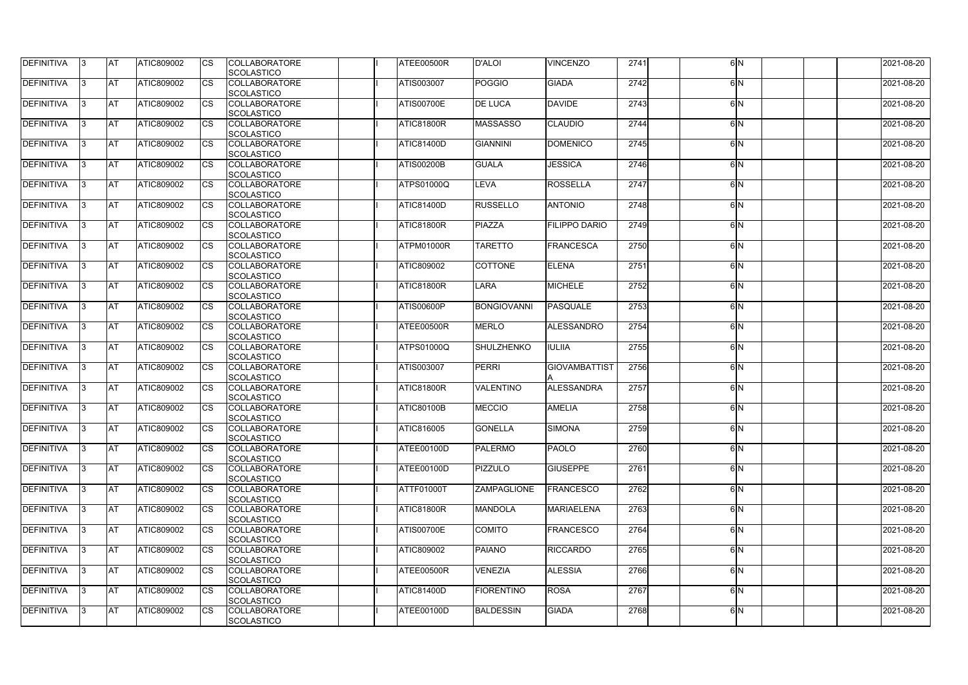| <b>DEFINITIVA</b> | 13  | <b>AT</b>  | ATIC809002        |    | <b>COLLABORATORE</b><br><b>SCOLASTICO</b> | ATEE00500R        | <b>D'ALOI</b>      | <b>VINCENZO</b>      | 2741 | 6IN            | 2021-08-20 |
|-------------------|-----|------------|-------------------|----|-------------------------------------------|-------------------|--------------------|----------------------|------|----------------|------------|
| DEFINITIVA        | IЗ  | <b>AT</b>  | ATIC809002        | CS | <b>COLLABORATORE</b>                      | <b>ATIS003007</b> | <b>POGGIO</b>      | <b>GIADA</b>         | 2742 | 6 <sup>N</sup> | 2021-08-20 |
|                   |     |            |                   |    | <b>SCOLASTICO</b>                         |                   |                    |                      |      |                |            |
| DEFINITIVA        | IЗ  | <b>AT</b>  | ATIC809002        | CS | <b>COLLABORATORE</b><br><b>SCOLASTICO</b> | <b>ATIS00700E</b> | <b>DE LUCA</b>     | <b>DAVIDE</b>        | 2743 | 6IN            | 2021-08-20 |
| <b>DEFINITIVA</b> | 13  | <b>AT</b>  | ATIC809002        | CS | <b>COLLABORATORE</b>                      | ATIC81800R        | <b>MASSASSO</b>    | <b>CLAUDIO</b>       | 2744 | 6 <sup>N</sup> | 2021-08-20 |
|                   |     |            |                   |    | <b>SCOLASTICO</b>                         |                   |                    |                      |      |                |            |
| DEFINITIVA        | l3. | <b>AT</b>  | ATIC809002        | CS | <b>COLLABORATORE</b><br><b>SCOLASTICO</b> | <b>ATIC81400D</b> | <b>GIANNINI</b>    | <b>DOMENICO</b>      | 2745 | 6 <sup>N</sup> | 2021-08-20 |
| DEFINITIVA        | 13  | <b>IAT</b> | ATIC809002        | СS | <b>COLLABORATORE</b>                      | <b>ATIS00200B</b> | <b>GUALA</b>       | <b>JESSICA</b>       | 2746 | 6IN            | 2021-08-20 |
|                   |     |            |                   |    | <b>SCOLASTICO</b>                         |                   |                    |                      |      |                |            |
| DEFINITIVA        | 13  | AT         | <b>ATIC809002</b> | CS | <b>COLLABORATORE</b><br><b>SCOLASTICO</b> | ATPS01000Q        | LEVA               | <b>ROSSELLA</b>      | 2747 | 6 <sup>N</sup> | 2021-08-20 |
| DEFINITIVA        | IЗ  | <b>AT</b>  | <b>ATIC809002</b> | СS | <b>COLLABORATORE</b>                      | ATIC81400D        | <b>RUSSELLO</b>    | <b>ANTONIO</b>       | 2748 | 6IN            | 2021-08-20 |
|                   |     |            |                   |    | <b>SCOLASTICO</b>                         |                   |                    |                      |      |                |            |
| <b>DEFINITIVA</b> | l3  | <b>AT</b>  | <b>ATIC809002</b> | CS | <b>COLLABORATORE</b>                      | ATIC81800R        | PIAZZA             | <b>FILIPPO DARIO</b> | 2749 | 6 <sup>N</sup> | 2021-08-20 |
|                   |     |            |                   |    | <b>SCOLASTICO</b>                         |                   |                    |                      |      |                |            |
| <b>DEFINITIVA</b> | l3  | <b>AT</b>  | ATIC809002        | CS | <b>COLLABORATORE</b>                      | ATPM01000R        | <b>TARETTO</b>     | <b>FRANCESCA</b>     | 2750 | 6 <sup>N</sup> | 2021-08-20 |
|                   |     |            |                   |    | <b>SCOLASTICO</b>                         |                   |                    |                      |      |                |            |
| DEFINITIVA        | IЗ  | <b>AT</b>  | ATIC809002        | CS | <b>COLLABORATORE</b><br><b>SCOLASTICO</b> | <b>ATIC809002</b> | <b>COTTONE</b>     | <b>ELENA</b>         | 2751 | 6 <sup>N</sup> | 2021-08-20 |
| <b>DEFINITIVA</b> | IЗ  | <b>AT</b>  | ATIC809002        | CS | <b>COLLABORATORE</b><br><b>SCOLASTICO</b> | <b>ATIC81800R</b> | <b>LARA</b>        | <b>MICHELE</b>       | 2752 | 6 <sup>N</sup> | 2021-08-20 |
| DEFINITIVA        | 13. | <b>AT</b>  | <b>ATIC809002</b> |    | <b>COLLABORATORE</b>                      | <b>ATIS00600P</b> | <b>BONGIOVANNI</b> | <b>PASQUALE</b>      | 2753 | 6IN            | 2021-08-20 |
|                   |     |            |                   |    | <b>SCOLASTICO</b>                         |                   |                    |                      |      |                |            |
| DEFINITIVA        | IЗ  | <b>AT</b>  | <b>ATIC809002</b> | CS | <b>COLLABORATORE</b>                      | ATEE00500R        | MERLO              | ALESSANDRO           | 2754 | 6N             | 2021-08-20 |
| <b>DEFINITIVA</b> | 13. | <b>AT</b>  | <b>ATIC809002</b> | CS | <b>SCOLASTICO</b><br><b>COLLABORATORE</b> | <b>ATPS01000Q</b> | SHULZHENKO         | <b>IULIIA</b>        | 2755 | 6IN            | 2021-08-20 |
|                   |     |            |                   |    | <b>SCOLASTICO</b>                         |                   |                    |                      |      |                |            |
| DEFINITIVA        | IЗ  | <b>AT</b>  | ATIC809002        | CS | <b>COLLABORATORE</b>                      | <b>ATIS003007</b> | <b>PERRI</b>       | <b>GIOVAMBATTIST</b> | 2756 | 6 <sup>N</sup> | 2021-08-20 |
|                   |     |            |                   |    | <b>SCOLASTICO</b>                         |                   |                    |                      |      |                |            |
| DEFINITIVA        | 13. | <b>AT</b>  | ATIC809002        | CS | <b>COLLABORATORE</b>                      | <b>ATIC81800R</b> | <b>VALENTINO</b>   | ALESSANDRA           | 2757 | 6IN            | 2021-08-20 |
|                   |     |            |                   |    | <b>SCOLASTICO</b>                         |                   |                    |                      |      |                |            |
| DEFINITIVA        |     | <b>AT</b>  | ATIC809002        | СS | <b>COLLABORATORE</b><br>SCOLASTICO        | <b>ATIC80100B</b> | <b>MECCIO</b>      | <b>AMELIA</b>        | 2758 | 6 <sup>N</sup> | 2021-08-20 |
| <b>DEFINITIVA</b> | 13  | <b>AT</b>  | ATIC809002        |    | <b>COLLABORATORE</b>                      | <b>ATIC816005</b> | <b>GONELLA</b>     | SIMONA               | 2759 | 6 <sup>N</sup> | 2021-08-20 |
|                   |     |            |                   |    | <b>SCOLASTICO</b>                         |                   |                    |                      |      |                |            |
| <b>DEFINITIVA</b> | 13  | <b>AT</b>  | ATIC809002        | СS | <b>COLLABORATORE</b>                      | ATEE00100D        | <b>PALERMO</b>     | <b>PAOLO</b>         | 2760 | 6N             | 2021-08-20 |
|                   |     |            |                   |    | <b>SCOLASTICO</b>                         |                   |                    |                      |      |                |            |
| <b>DEFINITIVA</b> | 13. | <b>AT</b>  | ATIC809002        | СS | <b>COLLABORATORE</b><br><b>SCOLASTICO</b> | ATEE00100D        | <b>PIZZULO</b>     | <b>GIUSEPPE</b>      | 2761 | 6N             | 2021-08-20 |
| <b>DEFINITIVA</b> | IЗ  | <b>AT</b>  | <b>ATIC809002</b> | CS | <b>COLLABORATORE</b>                      | ATTF01000T        | <b>ZAMPAGLIONE</b> | <b>FRANCESCO</b>     | 2762 | 6 <sup>N</sup> | 2021-08-20 |
|                   |     |            |                   |    | <b>SCOLASTICO</b>                         |                   |                    |                      |      |                |            |
| <b>DEFINITIVA</b> | 13. | <b>AT</b>  | ATIC809002        | CS | <b>COLLABORATORE</b>                      | <b>ATIC81800R</b> | <b>MANDOLA</b>     | <b>MARIAELENA</b>    | 2763 | 6IN            | 2021-08-20 |
|                   |     |            |                   |    | <b>SCOLASTICO</b>                         |                   |                    |                      |      |                |            |
| <b>DEFINITIVA</b> | 13. | <b>AT</b>  | ATIC809002        | СS | <b>COLLABORATORE</b>                      | <b>ATIS00700E</b> | <b>COMITO</b>      | <b>FRANCESCO</b>     | 2764 | 6 <sup>N</sup> | 2021-08-20 |
|                   |     |            |                   |    | <b>SCOLASTICO</b>                         |                   |                    |                      |      |                |            |
| <b>DEFINITIVA</b> | 13  | <b>AT</b>  | ATIC809002        | CS | <b>COLLABORATORE</b>                      | ATIC809002        | <b>PAIANO</b>      | <b>RICCARDO</b>      | 2765 | 6IN            | 2021-08-20 |
|                   |     |            |                   |    | <b>SCOLASTICO</b>                         |                   |                    |                      |      |                |            |
| <b>DEFINITIVA</b> | 13  | <b>AT</b>  | ATIC809002        | СS | <b>COLLABORATORE</b>                      | ATEE00500R        | <b>VENEZIA</b>     | <b>ALESSIA</b>       | 2766 | 6N             | 2021-08-20 |
|                   |     |            |                   |    | <b>SCOLASTICO</b>                         |                   |                    |                      |      |                |            |
| <b>DEFINITIVA</b> | 13. | <b>AT</b>  | ATIC809002        | СS | <b>COLLABORATORE</b><br><b>SCOLASTICO</b> | ATIC81400D        | <b>FIORENTINO</b>  | <b>ROSA</b>          | 2767 | 6N             | 2021-08-20 |
| <b>DEFINITIVA</b> | IЗ  | <b>AT</b>  | ATIC809002        | CS | <b>COLLABORATORE</b>                      | ATEE00100D        | <b>BALDESSIN</b>   | <b>GIADA</b>         | 2768 | 6N             | 2021-08-20 |
|                   |     |            |                   |    | SCOLASTICO                                |                   |                    |                      |      |                |            |
|                   |     |            |                   |    |                                           |                   |                    |                      |      |                |            |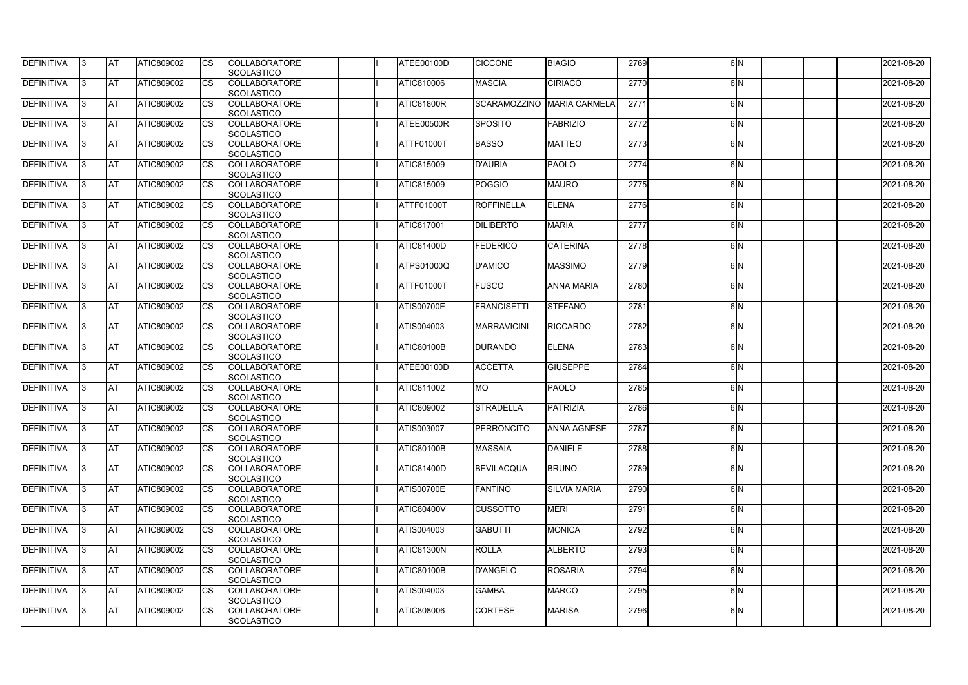| <b>DEFINITIVA</b> | 13        | IAT       | <b>ATIC809002</b> | <b>ICS</b> | <b>COLLABORATORE</b><br><b>SCOLASTICO</b> | <b>ATEE00100D</b> | <b>CICCONE</b>     | <b>BIAGIO</b>        | 2769 | 6 <sup>N</sup> | 2021-08-20 |
|-------------------|-----------|-----------|-------------------|------------|-------------------------------------------|-------------------|--------------------|----------------------|------|----------------|------------|
| <b>DEFINITIVA</b> | I3        | <b>AT</b> | ATIC809002        | Ics        | <b>COLLABORATORE</b><br><b>SCOLASTICO</b> | ATIC810006        | <b>MASCIA</b>      | <b>CIRIACO</b>       | 2770 | 6N             | 2021-08-20 |
| DEFINITIVA        | 13.       | <b>AT</b> | <b>ATIC809002</b> | Ics        | <b>COLLABORATORE</b>                      | <b>ATIC81800R</b> | SCARAMOZZINO       | <b>MARIA CARMELA</b> | 2771 | 6N             | 2021-08-20 |
|                   |           |           |                   |            | <b>SCOLASTICO</b>                         |                   |                    |                      |      |                |            |
| <b>DEFINITIVA</b> | 13        | <b>AT</b> | ATIC809002        | Ics        | <b>COLLABORATORE</b><br><b>SCOLASTICO</b> | ATEE00500R        | SPOSITO            | <b>FABRIZIO</b>      | 2772 | 6 <sup>N</sup> | 2021-08-20 |
| <b>DEFINITIVA</b> | 13.       | <b>AT</b> | <b>ATIC809002</b> | Ics        | <b>COLLABORATORE</b>                      | <b>ATTF01000T</b> | <b>BASSO</b>       | <b>MATTEO</b>        | 2773 | 6 <sup>N</sup> | 2021-08-20 |
|                   |           |           |                   |            | <b>SCOLASTICO</b>                         |                   |                    |                      |      |                |            |
| DEFINITIVA        | 13        | <b>AT</b> | <b>ATIC809002</b> | Ics        | <b>COLLABORATORE</b><br><b>SCOLASTICO</b> | ATIC815009        | <b>D'AURIA</b>     | <b>PAOLO</b>         | 2774 | 6 <sup>N</sup> | 2021-08-20 |
| DEFINITIVA        | 13        | <b>AT</b> | <b>ATIC809002</b> | Ics        | <b>COLLABORATORE</b>                      | <b>ATIC815009</b> | <b>POGGIO</b>      | <b>MAURO</b>         | 2775 | 6 <sup>N</sup> | 2021-08-20 |
|                   |           |           |                   |            | <b>SCOLASTICO</b>                         |                   |                    |                      |      |                |            |
| <b>DEFINITIVA</b> | 13.       | <b>AT</b> | <b>ATIC809002</b> | Ics        | <b>COLLABORATORE</b><br><b>SCOLASTICO</b> | <b>ATTF01000T</b> | <b>ROFFINELLA</b>  | <b>ELENA</b>         | 2776 | 6N             | 2021-08-20 |
| <b>DEFINITIVA</b> | 13.       | <b>AT</b> | ATIC809002        | Ics        | <b>COLLABORATORE</b>                      | <b>ATIC817001</b> | <b>DILIBERTO</b>   | <b>MARIA</b>         | 2777 | 6N             | 2021-08-20 |
|                   |           |           |                   |            | SCOLASTICO                                |                   |                    |                      |      |                |            |
| DEFINITIVA        | 13.       | <b>AT</b> | ATIC809002        | Ics        | <b>COLLABORATORE</b>                      | <b>ATIC81400D</b> | <b>FEDERICO</b>    | <b>CATERINA</b>      | 2778 | 6 <sup>N</sup> | 2021-08-20 |
|                   |           |           |                   |            | <b>SCOLASTICO</b>                         |                   |                    |                      |      |                |            |
| <b>DEFINITIVA</b> | 13.       | <b>AT</b> | ATIC809002        | Ics        | <b>COLLABORATORE</b><br><b>SCOLASTICO</b> | <b>ATPS01000Q</b> | <b>D'AMICO</b>     | <b>MASSIMO</b>       | 2779 | 6N             | 2021-08-20 |
| <b>DEFINITIVA</b> | 13        | <b>AT</b> | ATIC809002        | Ics        | <b>COLLABORATORE</b>                      | <b>ATTF01000T</b> | <b>FUSCO</b>       | <b>ANNA MARIA</b>    | 2780 | 6N             | 2021-08-20 |
| <b>DEFINITIVA</b> | 13        | <b>AT</b> | <b>ATIC809002</b> |            | <b>SCOLASTICO</b><br><b>COLLABORATORE</b> | <b>ATIS00700E</b> | <b>FRANCISETTI</b> | <b>STEFANO</b>       | 2781 | 6 <sup>N</sup> | 2021-08-20 |
|                   |           |           |                   |            | <b>SCOLASTICO</b>                         |                   |                    |                      |      |                |            |
| <b>DEFINITIVA</b> | I3        | <b>AT</b> | <b>ATIC809002</b> | Ics        | <b>COLLABORATORE</b>                      | ATIS004003        | <b>MARRAVICINI</b> | <b>RICCARDO</b>      | 2782 | 6N             | 2021-08-20 |
| <b>DEFINITIVA</b> | 13        | <b>AT</b> | ATIC809002        | <b>CS</b>  | <b>SCOLASTICO</b><br><b>COLLABORATORE</b> | <b>ATIC80100B</b> | <b>DURANDO</b>     | <b>ELENA</b>         | 2783 | 6 <sup>N</sup> | 2021-08-20 |
|                   |           |           |                   |            | <b>SCOLASTICO</b>                         |                   |                    |                      |      |                |            |
| <b>DEFINITIVA</b> | 13        | <b>AT</b> | ATIC809002        | Ics        | <b>COLLABORATORE</b>                      | ATEE00100D        | <b>ACCETTA</b>     | <b>GIUSEPPE</b>      | 2784 | 6N             | 2021-08-20 |
| <b>DEFINITIVA</b> | 13        | <b>AT</b> | ATIC809002        | Ics        | SCOLASTICO<br><b>COLLABORATORE</b>        | <b>ATIC811002</b> | <b>MO</b>          | <b>PAOLO</b>         | 2785 | 6N             | 2021-08-20 |
|                   |           |           |                   |            | <b>SCOLASTICO</b>                         |                   |                    |                      |      |                |            |
| DEFINITIVA        | IЗ        | AT        | ATIC809002        | Ics        | <b>COLLABORATORE</b>                      | ATIC809002        | <b>STRADELLA</b>   | PATRIZIA             | 2786 | 6N             | 2021-08-20 |
|                   |           |           |                   |            | SCOLASTICO                                |                   |                    |                      |      |                |            |
| <b>DEFINITIVA</b> | 13        | <b>AT</b> | <b>ATIC809002</b> | <b>CS</b>  | <b>COLLABORATORE</b><br><b>SCOLASTICO</b> | ATIS003007        | PERRONCITO         | <b>ANNA AGNESE</b>   | 2787 | 6 <sup>N</sup> | 2021-08-20 |
| DEFINITIVA        | $\vert$ 3 | <b>AT</b> | ATIC809002        | <b>CS</b>  | <b>COLLABORATORE</b>                      | <b>ATIC80100B</b> | <b>MASSAIA</b>     | <b>DANIELE</b>       | 2788 | 6N             | 2021-08-20 |
|                   |           |           |                   |            | <b>SCOLASTICO</b>                         |                   |                    |                      |      |                |            |
| <b>DEFINITIVA</b> | 13        | <b>AT</b> | ATIC809002        | Ics        | <b>COLLABORATORE</b><br><b>SCOLASTICO</b> | ATIC81400D        | <b>BEVILACQUA</b>  | <b>BRUNO</b>         | 2789 | 6N             | 2021-08-20 |
| <b>DEFINITIVA</b> | 13.       | <b>AT</b> | ATIC809002        | Ics        | <b>COLLABORATORE</b>                      | <b>ATIS00700E</b> | <b>FANTINO</b>     | <b>SILVIA MARIA</b>  | 2790 | 6N             | 2021-08-20 |
|                   |           |           |                   |            | <b>SCOLASTICO</b>                         |                   |                    |                      |      |                |            |
| DEFINITIVA        | 13        | <b>AT</b> | ATIC809002        | <b>CS</b>  | <b>COLLABORATORE</b>                      | <b>ATIC80400V</b> | <b>CUSSOTTO</b>    | <b>MERI</b>          | 2791 | 6N             | 2021-08-20 |
|                   |           |           |                   |            | <b>SCOLASTICO</b>                         |                   |                    |                      |      |                |            |
| <b>DEFINITIVA</b> | 13        | <b>AT</b> | ATIC809002        | <b>ICS</b> | <b>COLLABORATORE</b><br>SCOLASTICO        | ATIS004003        | <b>GABUTTI</b>     | <b>MONICA</b>        | 2792 | 6N             | 2021-08-20 |
| <b>DEFINITIVA</b> | 13        | <b>AT</b> | <b>ATIC809002</b> |            | <b>COLLABORATORE</b>                      | <b>ATIC81300N</b> | <b>ROLLA</b>       | <b>ALBERTO</b>       | 2793 | 6 <sup>N</sup> | 2021-08-20 |
|                   |           |           |                   |            | <b>SCOLASTICO</b>                         |                   |                    |                      |      |                |            |
| <b>DEFINITIVA</b> | $\vert$ 3 | <b>AT</b> | ATIC809002        | <b>ICS</b> | <b>COLLABORATORE</b>                      | <b>ATIC80100B</b> | <b>D'ANGELO</b>    | <b>ROSARIA</b>       | 2794 | 6N             | 2021-08-20 |
|                   |           |           |                   |            | <b>SCOLASTICO</b>                         |                   | <b>GAMBA</b>       |                      |      | 6N             |            |
| DEFINITIVA        | 13        | <b>AT</b> | <b>ATIC809002</b> | Ics        | <b>COLLABORATORE</b><br><b>SCOLASTICO</b> | ATIS004003        |                    | <b>MARCO</b>         | 2795 |                | 2021-08-20 |
| DEFINITIVA        | 13.       | <b>AT</b> | ATIC809002        | <b>ICS</b> | <b>COLLABORATORE</b>                      | <b>ATIC808006</b> | <b>CORTESE</b>     | <b>MARISA</b>        | 2796 | 6 N            | 2021-08-20 |
|                   |           |           |                   |            | <b>SCOLASTICO</b>                         |                   |                    |                      |      |                |            |